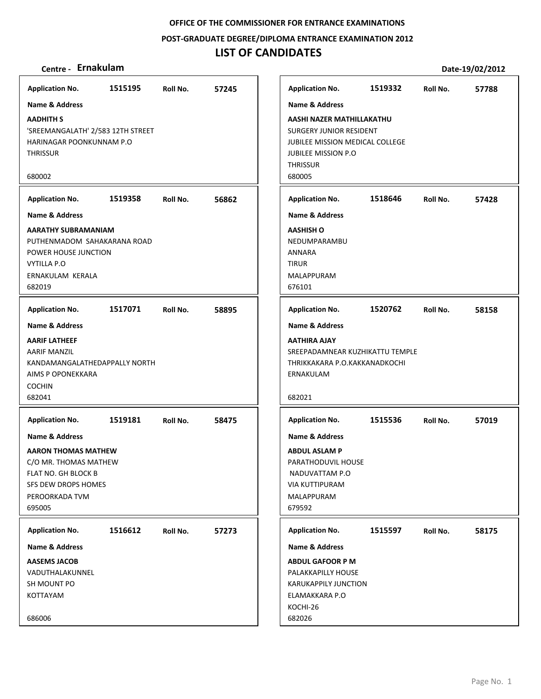**POST‐GRADUATE DEGREE/DIPLOMA ENTRANCE EXAMINATION 2012**

## **LIST OF CANDIDATES**

| <b>Application No.</b>            | 1515195 | Roll No. | 57245 |              | <b>Application No.</b>                 | 1519332 | Roll No. | 57788 |
|-----------------------------------|---------|----------|-------|--------------|----------------------------------------|---------|----------|-------|
| <b>Name &amp; Address</b>         |         |          |       |              | <b>Name &amp; Address</b>              |         |          |       |
| <b>AADHITH S</b>                  |         |          |       |              | AASHI NAZER MATHILLAKATHU              |         |          |       |
| 'SREEMANGALATH' 2/583 12TH STREET |         |          |       |              | <b>SURGERY JUNIOR RESIDENT</b>         |         |          |       |
| HARINAGAR POONKUNNAM P.O          |         |          |       |              | <b>JUBILEE MISSION MEDICAL COLLEGE</b> |         |          |       |
| <b>THRISSUR</b>                   |         |          |       |              | <b>JUBILEE MISSION P.O</b>             |         |          |       |
|                                   |         |          |       |              | <b>THRISSUR</b>                        |         |          |       |
| 680002                            |         |          |       | 680005       |                                        |         |          |       |
| <b>Application No.</b>            | 1519358 | Roll No. | 56862 |              | <b>Application No.</b>                 | 1518646 | Roll No. | 57428 |
| <b>Name &amp; Address</b>         |         |          |       |              | <b>Name &amp; Address</b>              |         |          |       |
| AARATHY SUBRAMANIAM               |         |          |       |              | <b>AASHISH O</b>                       |         |          |       |
| PUTHENMADOM SAHAKARANA ROAD       |         |          |       |              | NEDUMPARAMBU                           |         |          |       |
| POWER HOUSE JUNCTION              |         |          |       |              | ANNARA                                 |         |          |       |
| <b>VYTILLA P.O</b>                |         |          |       | <b>TIRUR</b> |                                        |         |          |       |
| ERNAKULAM KERALA                  |         |          |       |              | MALAPPURAM                             |         |          |       |
| 682019                            |         |          |       |              | 676101                                 |         |          |       |
| <b>Application No.</b>            | 1517071 | Roll No. | 58895 |              | <b>Application No.</b>                 | 1520762 | Roll No. | 58158 |
| <b>Name &amp; Address</b>         |         |          |       |              | <b>Name &amp; Address</b>              |         |          |       |
| <b>AARIF LATHEEF</b>              |         |          |       |              | <b>AATHIRA AJAY</b>                    |         |          |       |
| AARIF MANZIL                      |         |          |       |              | SREEPADAMNEAR KUZHIKATTU TEMPLE        |         |          |       |
| KANDAMANGALATHEDAPPALLY NORTH     |         |          |       |              | THRIKKAKARA P.O.KAKKANADKOCHI          |         |          |       |
| AIMS P OPONEKKARA                 |         |          |       |              | ERNAKULAM                              |         |          |       |
| <b>COCHIN</b><br>682041           |         |          |       | 682021       |                                        |         |          |       |
|                                   |         |          |       |              |                                        |         |          |       |
| <b>Application No.</b>            | 1519181 | Roll No. | 58475 |              | <b>Application No.</b>                 | 1515536 | Roll No. | 57019 |
| <b>Name &amp; Address</b>         |         |          |       |              | <b>Name &amp; Address</b>              |         |          |       |
| <b>AARON THOMAS MATHEW</b>        |         |          |       |              | <b>ABDUL ASLAM P</b>                   |         |          |       |
| C/O MR. THOMAS MATHEW             |         |          |       |              | PARATHODUVIL HOUSE                     |         |          |       |
| FLAT NO. GH BLOCK B               |         |          |       |              | NADUVATTAM P.O                         |         |          |       |
| SFS DEW DROPS HOMES               |         |          |       |              | <b>VIA KUTTIPURAM</b>                  |         |          |       |
| PEROORKADA TVM                    |         |          |       |              | MALAPPURAM                             |         |          |       |
| 695005                            |         |          |       |              | 679592                                 |         |          |       |
| <b>Application No.</b>            | 1516612 | Roll No. | 57273 |              | <b>Application No.</b>                 | 1515597 | Roll No. | 58175 |
| <b>Name &amp; Address</b>         |         |          |       |              | <b>Name &amp; Address</b>              |         |          |       |
| <b>AASEMS JACOB</b>               |         |          |       |              | <b>ABDUL GAFOOR P M</b>                |         |          |       |
| VADUTHALAKUNNEL                   |         |          |       |              | PALAKKAPILLY HOUSE                     |         |          |       |
| SH MOUNT PO                       |         |          |       |              | <b>KARUKAPPILY JUNCTION</b>            |         |          |       |
| KOTTAYAM                          |         |          |       |              | ELAMAKKARA P.O                         |         |          |       |
|                                   |         |          |       |              | KOCHI-26                               |         |          |       |
| 686006                            |         |          |       |              | 682026                                 |         |          |       |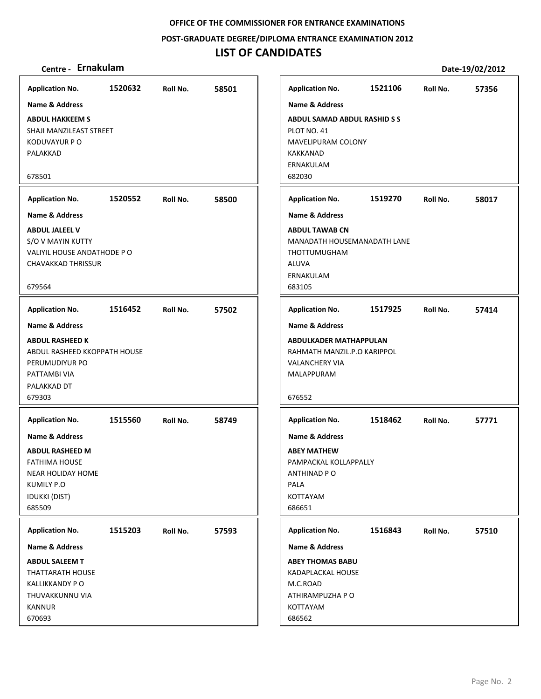**POST‐GRADUATE DEGREE/DIPLOMA ENTRANCE EXAMINATION 2012**

## **LIST OF CANDIDATES**

### **Centre ‐ Ernakulam Date‐19/02/2012**

**1520632 58501 ABDUL HAKKEEM S** SHAJI MANZILEAST STREET KODUVAYUR P O PALAKKAD 678501 **Application No. Name & Address 1520552 58500 ABDUL JALEEL V** S/O V MAYIN KUTTY VALIYIL HOUSE ANDATHODE P O CHAVAKKAD THRISSUR 679564 **Application No. Name & Address 1516452 57502 ABDUL RASHEED K** ABDUL RASHEED KKOPPATH HOUSE PERUMUDIYUR PO PATTAMBI VIA PALAKKAD DT 679303 **Application No. Name & Address 1515560 58749 ABDUL RASHEED M** FATHIMA HOUSE NEAR HOLIDAY HOME KUMILY P.O IDUKKI (DIST) 685509 **Application No. Name & Address 1515203 57593 ABDUL SALEEM T** THATTARATH HOUSE KALLIKKANDY P O THUVAKKUNNU VIA KANNUR 670693 **Application No. Name & Address 1521106 57356 ABDUL SAMAD ABDUL RASHID S S** PLOT NO. 41 MAVELIPURAM COLONY KAKKANAD ERNAKULAM 682030 **Application No. Name & Address 1519270 58017 ABDUL TAWAB CN** MANADATH HOUSEMANADATH LANE THOTTUMUGHAM ALUVA ERNAKULAM 683105 **Application No. Name & Address 1517925 57414 ABDULKADER MATHAPPULAN** RAHMATH MANZIL.P.O KARIPPOL VALANCHERY VIA MALAPPURAM 676552 **Application No. Name & Address 1518462 57771 ABEY MATHEW** PAMPACKAL KOLLAPPALLY ANTHINAD P O PALA KOTTAYAM 686651 **Application No. Name & Address 1516843 57510 ABEY THOMAS BABU** KADAPLACKAL HOUSE M.C.ROAD ATHIRAMPUZHA P O KOTTAYAM 686562 **Application No. Name & Address**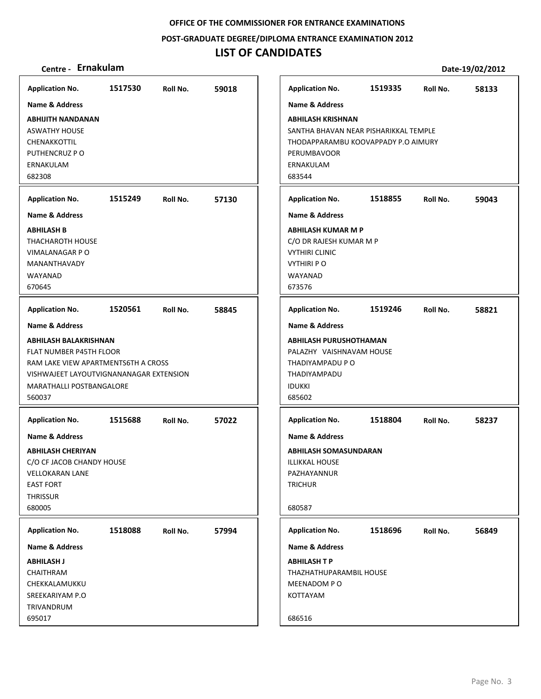**POST‐GRADUATE DEGREE/DIPLOMA ENTRANCE EXAMINATION 2012**

## **LIST OF CANDIDATES**

| <b>Application No.</b>                  | 1517530 | Roll No. | 59018 | <b>Application No.</b>                | 1519335 | Roll No. | 58133 |
|-----------------------------------------|---------|----------|-------|---------------------------------------|---------|----------|-------|
| <b>Name &amp; Address</b>               |         |          |       | Name & Address                        |         |          |       |
| <b>ABHIJITH NANDANAN</b>                |         |          |       | <b>ABHILASH KRISHNAN</b>              |         |          |       |
| <b>ASWATHY HOUSE</b>                    |         |          |       | SANTHA BHAVAN NEAR PISHARIKKAL TEMPLE |         |          |       |
| CHENAKKOTTIL                            |         |          |       | THODAPPARAMBU KOOVAPPADY P.O AIMURY   |         |          |       |
| PUTHENCRUZ P O                          |         |          |       | PERUMBAVOOR                           |         |          |       |
| ERNAKULAM                               |         |          |       | ERNAKULAM                             |         |          |       |
| 682308                                  |         |          |       | 683544                                |         |          |       |
|                                         |         |          |       |                                       |         |          |       |
| <b>Application No.</b>                  | 1515249 | Roll No. | 57130 | <b>Application No.</b>                | 1518855 | Roll No. | 59043 |
| Name & Address                          |         |          |       | <b>Name &amp; Address</b>             |         |          |       |
| <b>ABHILASH B</b>                       |         |          |       | <b>ABHILASH KUMAR M P</b>             |         |          |       |
| <b>THACHAROTH HOUSE</b>                 |         |          |       | C/O DR RAJESH KUMAR M P               |         |          |       |
| <b>VIMALANAGAR P O</b>                  |         |          |       | <b>VYTHIRI CLINIC</b>                 |         |          |       |
| MANANTHAVADY                            |         |          |       | <b>VYTHIRI PO</b>                     |         |          |       |
| WAYANAD                                 |         |          |       | WAYANAD                               |         |          |       |
| 670645                                  |         |          |       | 673576                                |         |          |       |
| <b>Application No.</b>                  | 1520561 | Roll No. | 58845 | <b>Application No.</b>                | 1519246 | Roll No. | 58821 |
| <b>Name &amp; Address</b>               |         |          |       | <b>Name &amp; Address</b>             |         |          |       |
| <b>ABHILASH BALAKRISHNAN</b>            |         |          |       | <b>ABHILASH PURUSHOTHAMAN</b>         |         |          |       |
| FLAT NUMBER P45TH FLOOR                 |         |          |       | PALAZHY VAISHNAVAM HOUSE              |         |          |       |
| RAM LAKE VIEW APARTMENTS6TH A CROSS     |         |          |       | THADIYAMPADU P O                      |         |          |       |
| VISHWAJEET LAYOUTVIGNANANAGAR EXTENSION |         |          |       | THADIYAMPADU                          |         |          |       |
| MARATHALLI POSTBANGALORE                |         |          |       | <b>IDUKKI</b>                         |         |          |       |
| 560037                                  |         |          |       | 685602                                |         |          |       |
| <b>Application No.</b>                  | 1515688 | Roll No. | 57022 | <b>Application No.</b>                | 1518804 | Roll No. | 58237 |
| <b>Name &amp; Address</b>               |         |          |       | <b>Name &amp; Address</b>             |         |          |       |
| <b>ABHILASH CHERIYAN</b>                |         |          |       | <b>ABHILASH SOMASUNDARAN</b>          |         |          |       |
| C/O CF JACOB CHANDY HOUSE               |         |          |       | <b>ILLIKKAL HOUSE</b>                 |         |          |       |
| <b>VELLOKARAN LANE</b>                  |         |          |       | PAZHAYANNUR                           |         |          |       |
| <b>EAST FORT</b>                        |         |          |       | <b>TRICHUR</b>                        |         |          |       |
| THRISSUR                                |         |          |       |                                       |         |          |       |
| 680005                                  |         |          |       | 680587                                |         |          |       |
|                                         |         |          |       |                                       |         |          |       |
| <b>Application No.</b>                  | 1518088 | Roll No. | 57994 | <b>Application No.</b>                | 1518696 | Roll No. | 56849 |
| <b>Name &amp; Address</b>               |         |          |       | <b>Name &amp; Address</b>             |         |          |       |
| <b>ABHILASH J</b>                       |         |          |       | <b>ABHILASH T P</b>                   |         |          |       |
| CHAITHRAM                               |         |          |       | THAZHATHUPARAMBIL HOUSE               |         |          |       |
| CHEKKALAMUKKU                           |         |          |       | MEENADOM PO                           |         |          |       |
| SREEKARIYAM P.O                         |         |          |       | KOTTAYAM                              |         |          |       |
| TRIVANDRUM                              |         |          |       |                                       |         |          |       |
| 695017                                  |         |          |       | 686516                                |         |          |       |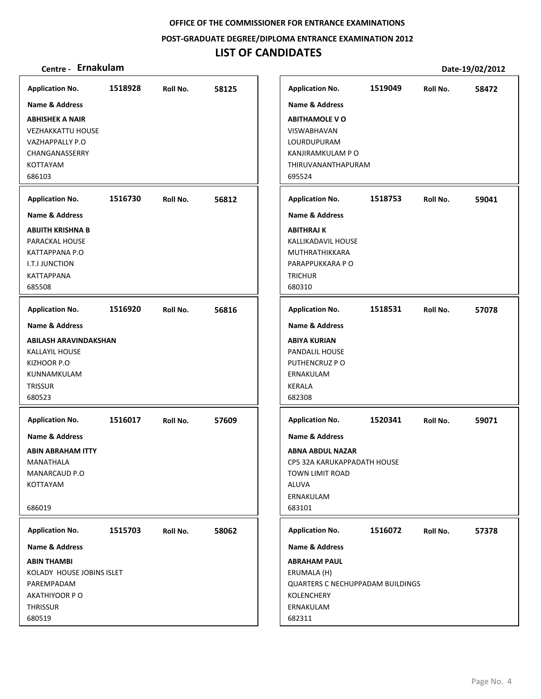### **POST‐GRADUATE DEGREE/DIPLOMA ENTRANCE EXAMINATION 2012**

## **LIST OF CANDIDATES**

| <b>Application No.</b>      | 1518928 | Roll No. | 58125 | <b>Application No.</b>                  | 1519049 | Roll No. | 58472 |
|-----------------------------|---------|----------|-------|-----------------------------------------|---------|----------|-------|
| Name & Address              |         |          |       | <b>Name &amp; Address</b>               |         |          |       |
| <b>ABHISHEK A NAIR</b>      |         |          |       | <b>ABITHAMOLE VO</b>                    |         |          |       |
| <b>VEZHAKKATTU HOUSE</b>    |         |          |       | VISWABHAVAN                             |         |          |       |
| VAZHAPPALLY P.O             |         |          |       | LOURDUPURAM                             |         |          |       |
| CHANGANASSERRY              |         |          |       | KANJIRAMKULAM P O                       |         |          |       |
| KOTTAYAM                    |         |          |       | THIRUVANANTHAPURAM                      |         |          |       |
| 686103                      |         |          |       | 695524                                  |         |          |       |
|                             |         |          |       |                                         |         |          |       |
| <b>Application No.</b>      | 1516730 | Roll No. | 56812 | <b>Application No.</b>                  | 1518753 | Roll No. | 59041 |
| Name & Address              |         |          |       | <b>Name &amp; Address</b>               |         |          |       |
| ABIJITH KRISHNA B           |         |          |       | <b>ABITHRAJ K</b>                       |         |          |       |
| PARACKAL HOUSE              |         |          |       | KALLIKADAVIL HOUSE                      |         |          |       |
| KATTAPPANA P.O              |         |          |       | MUTHRATHIKKARA                          |         |          |       |
| I.T.I JUNCTION              |         |          |       | PARAPPUKKARA PO                         |         |          |       |
| <b>KATTAPPANA</b><br>685508 |         |          |       | <b>TRICHUR</b>                          |         |          |       |
|                             |         |          |       | 680310                                  |         |          |       |
| <b>Application No.</b>      | 1516920 | Roll No. | 56816 | <b>Application No.</b>                  | 1518531 | Roll No. | 57078 |
| <b>Name &amp; Address</b>   |         |          |       | <b>Name &amp; Address</b>               |         |          |       |
| ABILASH ARAVINDAKSHAN       |         |          |       | <b>ABIYA KURIAN</b>                     |         |          |       |
| <b>KALLAYIL HOUSE</b>       |         |          |       | PANDALIL HOUSE                          |         |          |       |
| KIZHOOR P.O                 |         |          |       | PUTHENCRUZ PO                           |         |          |       |
| KUNNAMKULAM                 |         |          |       | ERNAKULAM                               |         |          |       |
| <b>TRISSUR</b>              |         |          |       | <b>KERALA</b>                           |         |          |       |
| 680523                      |         |          |       | 682308                                  |         |          |       |
| <b>Application No.</b>      | 1516017 | Roll No. | 57609 | <b>Application No.</b>                  | 1520341 | Roll No. | 59071 |
| Name & Address              |         |          |       | <b>Name &amp; Address</b>               |         |          |       |
| <b>ABIN ABRAHAM ITTY</b>    |         |          |       | <b>ABNA ABDUL NAZAR</b>                 |         |          |       |
| MANATHALA                   |         |          |       | CP5 32A KARUKAPPADATH HOUSE             |         |          |       |
| MANARCAUD P.O               |         |          |       | TOWN LIMIT ROAD                         |         |          |       |
| KOTTAYAM                    |         |          |       | <b>ALUVA</b>                            |         |          |       |
|                             |         |          |       | ERNAKULAM                               |         |          |       |
| 686019                      |         |          |       | 683101                                  |         |          |       |
| <b>Application No.</b>      | 1515703 | Roll No. | 58062 | <b>Application No.</b>                  | 1516072 | Roll No. | 57378 |
| <b>Name &amp; Address</b>   |         |          |       | <b>Name &amp; Address</b>               |         |          |       |
| <b>ABIN THAMBI</b>          |         |          |       | <b>ABRAHAM PAUL</b>                     |         |          |       |
| KOLADY HOUSE JOBINS ISLET   |         |          |       | ERUMALA (H)                             |         |          |       |
| PAREMPADAM                  |         |          |       | <b>QUARTERS C NECHUPPADAM BUILDINGS</b> |         |          |       |
| AKATHIYOOR P O              |         |          |       | <b>KOLENCHERY</b>                       |         |          |       |
| THRISSUR                    |         |          |       | ERNAKULAM                               |         |          |       |
| 680519                      |         |          |       | 682311                                  |         |          |       |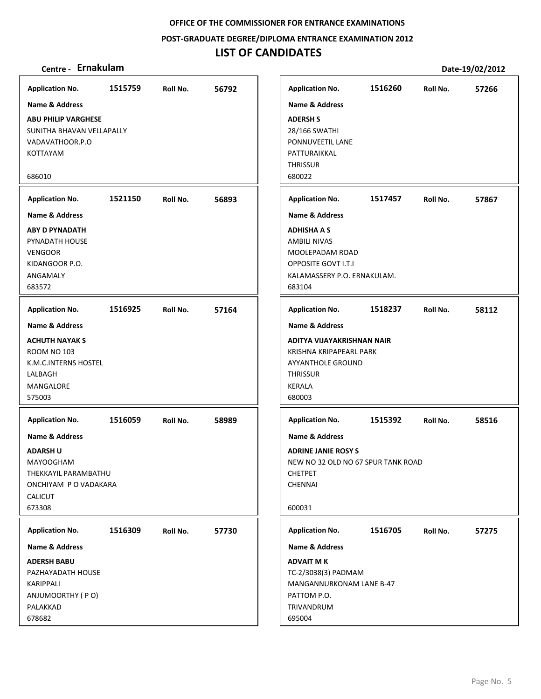**POST‐GRADUATE DEGREE/DIPLOMA ENTRANCE EXAMINATION 2012**

| Centre - Ernakulam                                                                                                      |         |          |       |                                                                                                                                                              |         |          | Date-19/02/2012 |
|-------------------------------------------------------------------------------------------------------------------------|---------|----------|-------|--------------------------------------------------------------------------------------------------------------------------------------------------------------|---------|----------|-----------------|
| <b>Application No.</b>                                                                                                  | 1515759 | Roll No. | 56792 | <b>Application No.</b>                                                                                                                                       | 1516260 | Roll No. | 57266           |
| Name & Address                                                                                                          |         |          |       | <b>Name &amp; Address</b>                                                                                                                                    |         |          |                 |
| <b>ABU PHILIP VARGHESE</b><br>SUNITHA BHAVAN VELLAPALLY<br>VADAVATHOOR.P.O<br>KOTTAYAM                                  |         |          |       | <b>ADERSH S</b><br>28/166 SWATHI<br>PONNUVEETIL LANE<br>PATTURAIKKAL<br><b>THRISSUR</b>                                                                      |         |          |                 |
| 686010                                                                                                                  |         |          |       | 680022                                                                                                                                                       |         |          |                 |
| <b>Application No.</b>                                                                                                  | 1521150 | Roll No. | 56893 | <b>Application No.</b>                                                                                                                                       | 1517457 | Roll No. | 57867           |
| <b>Name &amp; Address</b>                                                                                               |         |          |       | <b>Name &amp; Address</b>                                                                                                                                    |         |          |                 |
| <b>ABY D PYNADATH</b><br>PYNADATH HOUSE<br><b>VENGOOR</b><br>KIDANGOOR P.O.<br>ANGAMALY<br>683572                       |         |          |       | <b>ADHISHA A S</b><br><b>AMBILI NIVAS</b><br>MOOLEPADAM ROAD<br><b>OPPOSITE GOVT I.T.I</b><br>KALAMASSERY P.O. ERNAKULAM.<br>683104                          |         |          |                 |
| <b>Application No.</b>                                                                                                  | 1516925 | Roll No. | 57164 | <b>Application No.</b>                                                                                                                                       | 1518237 | Roll No. | 58112           |
| Name & Address<br><b>ACHUTH NAYAK S</b><br><b>ROOM NO 103</b><br>K.M.C.INTERNS HOSTEL<br>LALBAGH<br>MANGALORE<br>575003 |         |          |       | <b>Name &amp; Address</b><br>ADITYA VIJAYAKRISHNAN NAIR<br>KRISHNA KRIPAPEARL PARK<br><b>AYYANTHOLE GROUND</b><br><b>THRISSUR</b><br><b>KERALA</b><br>680003 |         |          |                 |
| <b>Application No.</b>                                                                                                  | 1516059 | Roll No. | 58989 | <b>Application No.</b>                                                                                                                                       | 1515392 | Roll No. | 58516           |
| <b>Name &amp; Address</b>                                                                                               |         |          |       | <b>Name &amp; Address</b>                                                                                                                                    |         |          |                 |
| <b>ADARSH U</b><br><b>MAYOOGHAM</b><br>THEKKAYIL PARAMBATHU<br>ONCHIYAM P O VADAKARA<br><b>CALICUT</b><br>673308        |         |          |       | <b>ADRINE JANIE ROSY S</b><br>NEW NO 32 OLD NO 67 SPUR TANK ROAD<br><b>CHETPET</b><br><b>CHENNAI</b><br>600031                                               |         |          |                 |
| <b>Application No.</b>                                                                                                  | 1516309 | Roll No. | 57730 | <b>Application No.</b>                                                                                                                                       | 1516705 | Roll No. | 57275           |
| <b>Name &amp; Address</b>                                                                                               |         |          |       | <b>Name &amp; Address</b>                                                                                                                                    |         |          |                 |
| <b>ADERSH BABU</b><br>PAZHAYADATH HOUSE<br>KARIPPALI<br>ANJUMOORTHY (PO)                                                |         |          |       | <b>ADVAIT MK</b><br>TC-2/3038(3) PADMAM<br>MANGANNURKONAM LANE B-47<br>PATTOM P.O.                                                                           |         |          |                 |
| PALAKKAD<br>678682                                                                                                      |         |          |       | TRIVANDRUM<br>695004                                                                                                                                         |         |          |                 |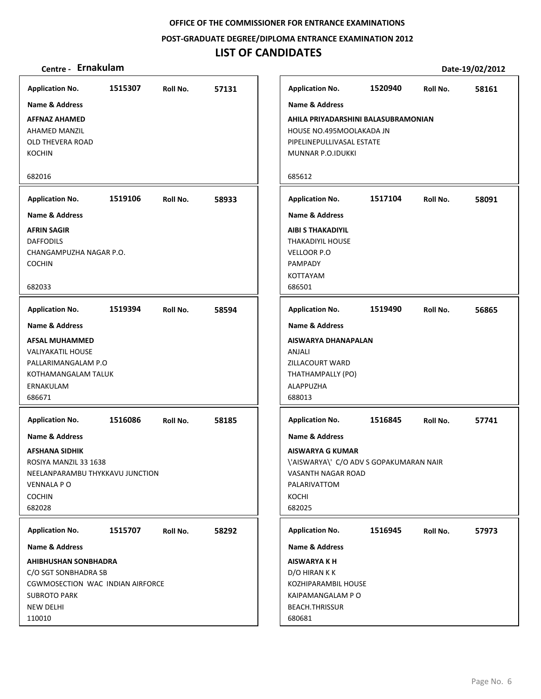**POST‐GRADUATE DEGREE/DIPLOMA ENTRANCE EXAMINATION 2012**

| Centre - Ernakulam                                                                                                                                              |         |          |       |                                                                                                                                                          |         |          | Date-19/02/2012 |
|-----------------------------------------------------------------------------------------------------------------------------------------------------------------|---------|----------|-------|----------------------------------------------------------------------------------------------------------------------------------------------------------|---------|----------|-----------------|
| <b>Application No.</b>                                                                                                                                          | 1515307 | Roll No. | 57131 | <b>Application No.</b>                                                                                                                                   | 1520940 | Roll No. | 58161           |
| <b>Name &amp; Address</b>                                                                                                                                       |         |          |       | <b>Name &amp; Address</b>                                                                                                                                |         |          |                 |
| <b>AFFNAZ AHAMED</b><br>AHAMED MANZIL<br>OLD THEVERA ROAD<br><b>KOCHIN</b>                                                                                      |         |          |       | AHILA PRIYADARSHINI BALASUBRAMONIAN<br>HOUSE NO.495MOOLAKADA JN<br>PIPELINEPULLIVASAL ESTATE<br>MUNNAR P.O.IDUKKI                                        |         |          |                 |
| 682016                                                                                                                                                          |         |          |       | 685612                                                                                                                                                   |         |          |                 |
| <b>Application No.</b>                                                                                                                                          | 1519106 | Roll No. | 58933 | <b>Application No.</b>                                                                                                                                   | 1517104 | Roll No. | 58091           |
| <b>Name &amp; Address</b>                                                                                                                                       |         |          |       | <b>Name &amp; Address</b>                                                                                                                                |         |          |                 |
| <b>AFRIN SAGIR</b><br><b>DAFFODILS</b><br>CHANGAMPUZHA NAGAR P.O.<br><b>COCHIN</b><br>682033                                                                    |         |          |       | <b>AIBI S THAKADIYIL</b><br><b>THAKADIYIL HOUSE</b><br>VELLOOR P.O<br>PAMPADY<br>KOTTAYAM<br>686501                                                      |         |          |                 |
| <b>Application No.</b>                                                                                                                                          | 1519394 | Roll No. | 58594 | <b>Application No.</b>                                                                                                                                   | 1519490 | Roll No. | 56865           |
| <b>Name &amp; Address</b>                                                                                                                                       |         |          |       | <b>Name &amp; Address</b>                                                                                                                                |         |          |                 |
| <b>AFSAL MUHAMMED</b><br><b>VALIYAKATIL HOUSE</b><br>PALLARIMANGALAM P.O<br>KOTHAMANGALAM TALUK<br>ERNAKULAM<br>686671                                          |         |          |       | AISWARYA DHANAPALAN<br>ANJALI<br>ZILLACOURT WARD<br>THATHAMPALLY (PO)<br>ALAPPUZHA<br>688013                                                             |         |          |                 |
| <b>Application No.</b>                                                                                                                                          | 1516086 | Roll No. | 58185 | <b>Application No.</b>                                                                                                                                   | 1516845 | Roll No. | 57741           |
| <b>Name &amp; Address</b><br><b>AFSHANA SIDHIK</b><br>ROSIYA MANZIL 33 1638<br>NEELANPARAMBU THYKKAVU JUNCTION<br><b>VENNALA P O</b><br><b>COCHIN</b><br>682028 |         |          |       | <b>Name &amp; Address</b><br><b>AISWARYA G KUMAR</b><br>\'AISWARYA\' C/O ADV S GOPAKUMARAN NAIR<br>VASANTH NAGAR ROAD<br>PALARIVATTOM<br>KOCHI<br>682025 |         |          |                 |
| <b>Application No.</b>                                                                                                                                          | 1515707 | Roll No. | 58292 | <b>Application No.</b>                                                                                                                                   | 1516945 | Roll No. | 57973           |
| <b>Name &amp; Address</b>                                                                                                                                       |         |          |       | <b>Name &amp; Address</b>                                                                                                                                |         |          |                 |
| <b>AHIBHUSHAN SONBHADRA</b><br>C/O SGT SONBHADRA SB<br>CGWMOSECTION WAC INDIAN AIRFORCE<br><b>SUBROTO PARK</b><br><b>NEW DELHI</b><br>110010                    |         |          |       | <b>AISWARYA K H</b><br>D/O HIRAN K K<br>KOZHIPARAMBIL HOUSE<br>KAIPAMANGALAM PO<br><b>BEACH.THRISSUR</b><br>680681                                       |         |          |                 |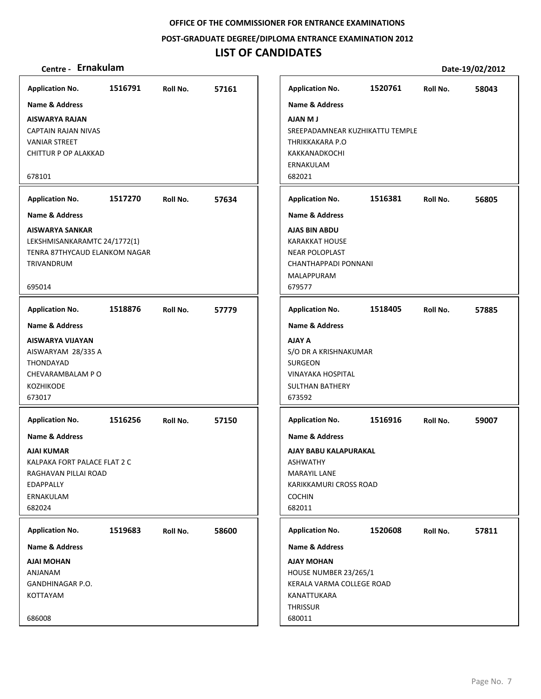**POST‐GRADUATE DEGREE/DIPLOMA ENTRANCE EXAMINATION 2012**

## **LIST OF CANDIDATES**

| <b>Application No.</b>                                                                                                                                                                                   | 1516791 | Roll No. | 57161 | <b>Application No.</b>                                                                                                                                                                                  | 1520761 | Roll No. | 58043 |
|----------------------------------------------------------------------------------------------------------------------------------------------------------------------------------------------------------|---------|----------|-------|---------------------------------------------------------------------------------------------------------------------------------------------------------------------------------------------------------|---------|----------|-------|
| <b>Name &amp; Address</b><br><b>AISWARYA RAJAN</b><br><b>CAPTAIN RAJAN NIVAS</b><br><b>VANIAR STREET</b><br><b>CHITTUR P OP ALAKKAD</b><br>678101<br><b>Application No.</b><br><b>Name &amp; Address</b> | 1517270 | Roll No. | 57634 | <b>Name &amp; Address</b><br><b>LM MALA</b><br>SREEPADAMNEAR KUZHIKATTU TEMPLE<br>THRIKKAKARA P.O<br><b>KAKKANADKOCHI</b><br>ERNAKULAM<br>682021<br><b>Application No.</b><br><b>Name &amp; Address</b> | 1516381 | Roll No. | 56805 |
| <b>AISWARYA SANKAR</b><br>LEKSHMISANKARAMTC 24/1772(1)<br>TENRA 87THYCAUD ELANKOM NAGAR<br><b>TRIVANDRUM</b><br>695014                                                                                   |         |          |       | <b>AJAS BIN ABDU</b><br><b>KARAKKAT HOUSE</b><br><b>NEAR POLOPLAST</b><br>CHANTHAPPADI PONNANI<br>MALAPPURAM<br>679577                                                                                  |         |          |       |
| <b>Application No.</b>                                                                                                                                                                                   | 1518876 | Roll No. | 57779 | <b>Application No.</b>                                                                                                                                                                                  | 1518405 | Roll No. | 57885 |
| <b>Name &amp; Address</b><br>AISWARYA VIJAYAN<br>AISWARYAM 28/335 A<br>THONDAYAD<br>CHEVARAMBALAM P O<br><b>KOZHIKODE</b><br>673017                                                                      |         |          |       | <b>Name &amp; Address</b><br><b>AJAY A</b><br>S/O DR A KRISHNAKUMAR<br><b>SURGEON</b><br><b>VINAYAKA HOSPITAL</b><br><b>SULTHAN BATHERY</b><br>673592                                                   |         |          |       |
| <b>Application No.</b><br><b>Name &amp; Address</b><br>AJAI KUMAR<br>KALPAKA FORT PALACE FLAT 2 C<br>RAGHAVAN PILLAI ROAD<br>EDAPPALLY<br>ERNAKULAM<br>682024                                            | 1516256 | Roll No. | 57150 | <b>Application No.</b><br><b>Name &amp; Address</b><br>AJAY BABU KALAPURAKAL<br><b>ASHWATHY</b><br><b>MARAYIL LANE</b><br>KARIKKAMURI CROSS ROAD<br><b>COCHIN</b><br>682011                             | 1516916 | Roll No. | 59007 |
| <b>Application No.</b><br>Name & Address                                                                                                                                                                 | 1519683 | Roll No. | 58600 | <b>Application No.</b><br><b>Name &amp; Address</b>                                                                                                                                                     | 1520608 | Roll No. | 57811 |
| AJAI MOHAN<br>ANJANAM<br>GANDHINAGAR P.O.<br>KOTTAYAM<br>686008                                                                                                                                          |         |          |       | <b>AJAY MOHAN</b><br><b>HOUSE NUMBER 23/265/1</b><br>KERALA VARMA COLLEGE ROAD<br>KANATTUKARA<br><b>THRISSUR</b><br>680011                                                                              |         |          |       |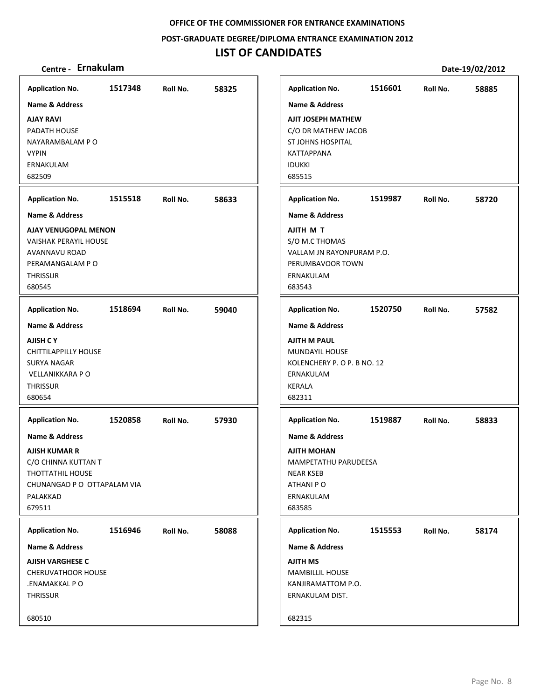**POST‐GRADUATE DEGREE/DIPLOMA ENTRANCE EXAMINATION 2012**

| Centre - Ernakulam                                                                                                                                        |         |          |       |                                                                                                         |                                               |         |          | Date-19/02/2012 |
|-----------------------------------------------------------------------------------------------------------------------------------------------------------|---------|----------|-------|---------------------------------------------------------------------------------------------------------|-----------------------------------------------|---------|----------|-----------------|
| <b>Application No.</b>                                                                                                                                    | 1517348 | Roll No. | 58325 | <b>Application No.</b>                                                                                  |                                               | 1516601 | Roll No. | 58885           |
| Name & Address<br><b>AJAY RAVI</b><br>PADATH HOUSE<br>NAYARAMBALAM P O<br><b>VYPIN</b><br>ERNAKULAM<br>682509                                             |         |          |       | <b>Name &amp; Address</b><br>ST JOHNS HOSPITAL<br><b>KATTAPPANA</b><br><b>IDUKKI</b><br>685515          | AJIT JOSEPH MATHEW<br>C/O DR MATHEW JACOB     |         |          |                 |
| <b>Application No.</b>                                                                                                                                    | 1515518 | Roll No. | 58633 | <b>Application No.</b>                                                                                  |                                               | 1519987 | Roll No. | 58720           |
| Name & Address                                                                                                                                            |         |          |       | <b>Name &amp; Address</b>                                                                               |                                               |         |          |                 |
| AJAY VENUGOPAL MENON<br><b>VAISHAK PERAYIL HOUSE</b><br><b>AVANNAVU ROAD</b><br>PERAMANGALAM PO<br><b>THRISSUR</b><br>680545                              |         |          |       | AJITH M T<br>S/O M.C THOMAS<br>ERNAKULAM<br>683543                                                      | VALLAM JN RAYONPURAM P.O.<br>PERUMBAVOOR TOWN |         |          |                 |
| <b>Application No.</b>                                                                                                                                    | 1518694 | Roll No. | 59040 | <b>Application No.</b>                                                                                  |                                               | 1520750 | Roll No. | 57582           |
| <b>Name &amp; Address</b><br><b>AJISH C Y</b><br><b>CHITTILAPPILLY HOUSE</b><br><b>SURYA NAGAR</b><br><b>VELLANIKKARA PO</b><br><b>THRISSUR</b><br>680654 |         |          |       | <b>Name &amp; Address</b><br><b>AJITH M PAUL</b><br>MUNDAYIL HOUSE<br>ERNAKULAM<br>KERALA<br>682311     | KOLENCHERY P. O P. B NO. 12                   |         |          |                 |
| <b>Application No.</b>                                                                                                                                    | 1520858 | Roll No. | 57930 | <b>Application No.</b>                                                                                  |                                               | 1519887 | Roll No. | 58833           |
| <b>Name &amp; Address</b><br><b>AJISH KUMAR R</b><br>C/O CHINNA KUTTAN T<br><b>THOTTATHIL HOUSE</b><br>CHUNANGAD P O OTTAPALAM VIA<br>PALAKKAD<br>679511  |         |          |       | <b>Name &amp; Address</b><br><b>AJITH MOHAN</b><br><b>NEAR KSEB</b><br>ATHANI PO<br>ERNAKULAM<br>683585 | MAMPETATHU PARUDEESA                          |         |          |                 |
| <b>Application No.</b>                                                                                                                                    | 1516946 | Roll No. | 58088 | <b>Application No.</b>                                                                                  |                                               | 1515553 | Roll No. | 58174           |
| Name & Address<br><b>AJISH VARGHESE C</b><br><b>CHERUVATHOOR HOUSE</b><br>.ENAMAKKAL PO<br>THRISSUR<br>680510                                             |         |          |       | Name & Address<br><b>AJITH MS</b><br><b>MAMBILLIL HOUSE</b><br>ERNAKULAM DIST.<br>682315                | KANJIRAMATTOM P.O.                            |         |          |                 |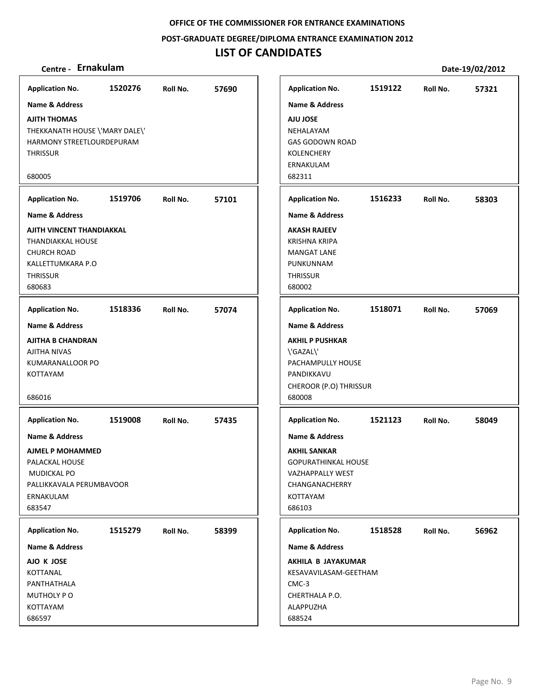**POST‐GRADUATE DEGREE/DIPLOMA ENTRANCE EXAMINATION 2012**

## **LIST OF CANDIDATES**

| <b>Application No.</b>                                                                                                            | 1520276 | Roll No. | 57690 |       | <b>Application No.</b>                                                                                                                     | 1519122 | Roll No. | 57321 |
|-----------------------------------------------------------------------------------------------------------------------------------|---------|----------|-------|-------|--------------------------------------------------------------------------------------------------------------------------------------------|---------|----------|-------|
| <b>Name &amp; Address</b>                                                                                                         |         |          |       |       | <b>Name &amp; Address</b>                                                                                                                  |         |          |       |
| <b>AJITH THOMAS</b><br>THEKKANATH HOUSE \'MARY DALE\'<br>HARMONY STREETLOURDEPURAM<br><b>THRISSUR</b>                             |         |          |       |       | <b>AJU JOSE</b><br>NEHALAYAM<br><b>GAS GODOWN ROAD</b><br>KOLENCHERY<br>ERNAKULAM                                                          |         |          |       |
| 680005                                                                                                                            |         |          |       |       | 682311                                                                                                                                     |         |          |       |
| <b>Application No.</b>                                                                                                            | 1519706 | Roll No. | 57101 |       | <b>Application No.</b>                                                                                                                     | 1516233 | Roll No. | 58303 |
| Name & Address                                                                                                                    |         |          |       |       | <b>Name &amp; Address</b>                                                                                                                  |         |          |       |
| AJITH VINCENT THANDIAKKAL<br>THANDIAKKAL HOUSE<br><b>CHURCH ROAD</b><br>KALLETTUMKARA P.O<br><b>THRISSUR</b><br>680683            |         |          |       |       | <b>AKASH RAJEEV</b><br><b>KRISHNA KRIPA</b><br><b>MANGAT LANE</b><br>PUNKUNNAM<br><b>THRISSUR</b><br>680002                                |         |          |       |
| <b>Application No.</b>                                                                                                            | 1518336 | Roll No. | 57074 |       | <b>Application No.</b>                                                                                                                     | 1518071 | Roll No. | 57069 |
| Name & Address                                                                                                                    |         |          |       |       | <b>Name &amp; Address</b>                                                                                                                  |         |          |       |
| <b>AJITHA B CHANDRAN</b><br>AJITHA NIVAS<br>KUMARANALLOOR PO<br>KOTTAYAM<br>686016                                                |         |          |       |       | <b>AKHIL P PUSHKAR</b><br>\'GAZAL\'<br>PACHAMPULLY HOUSE<br>PANDIKKAVU<br>CHEROOR (P.O) THRISSUR<br>680008                                 |         |          |       |
| <b>Application No.</b>                                                                                                            | 1519008 | Roll No. | 57435 |       | <b>Application No.</b>                                                                                                                     | 1521123 | Roll No. | 58049 |
| <b>Name &amp; Address</b><br>AJMEL P MOHAMMED<br>PALACKAL HOUSE<br>MUDICKAL PO<br>PALLIKKAVALA PERUMBAVOOR<br>ERNAKULAM<br>683547 |         |          |       |       | <b>Name &amp; Address</b><br><b>AKHIL SANKAR</b><br><b>GOPURATHINKAL HOUSE</b><br>VAZHAPPALLY WEST<br>CHANGANACHERRY<br>KOTTAYAM<br>686103 |         |          |       |
| <b>Application No.</b>                                                                                                            | 1515279 | Roll No. | 58399 |       | <b>Application No.</b>                                                                                                                     | 1518528 | Roll No. | 56962 |
| <b>Name &amp; Address</b>                                                                                                         |         |          |       |       | <b>Name &amp; Address</b>                                                                                                                  |         |          |       |
| AJO K JOSE<br>KOTTANAL<br>PANTHATHALA<br>MUTHOLY PO<br>KOTTAYAM<br>686597                                                         |         |          |       | CMC-3 | AKHILA B JAYAKUMAR<br>KESAVAVILASAM-GEETHAM<br>CHERTHALA P.O.<br>ALAPPUZHA<br>688524                                                       |         |          |       |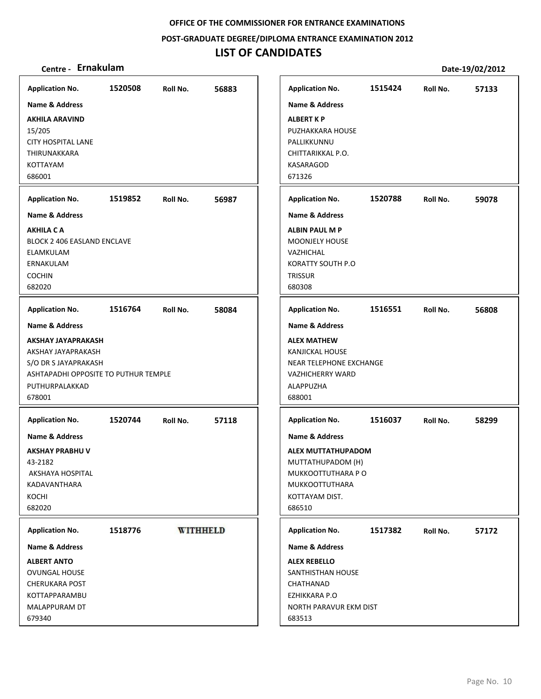**POST‐GRADUATE DEGREE/DIPLOMA ENTRANCE EXAMINATION 2012**

## **LIST OF CANDIDATES**

| <b>Application No.</b>                                 | 1520508 | Roll No. | 56883           |
|--------------------------------------------------------|---------|----------|-----------------|
| Name & Address                                         |         |          |                 |
| <b>AKHILA ARAVIND</b>                                  |         |          |                 |
| 15/205<br><b>CITY HOSPITAL LANE</b>                    |         |          |                 |
| THIRUNAKKARA                                           |         |          |                 |
| KOTTAYAM<br>686001                                     |         |          |                 |
|                                                        |         |          |                 |
| <b>Application No.</b>                                 | 1519852 | Roll No. | 56987           |
| <b>Name &amp; Address</b>                              |         |          |                 |
| <b>AKHILA C A</b>                                      |         |          |                 |
| BLOCK 2 406 EASLAND ENCLAVE<br><b>ELAMKULAM</b>        |         |          |                 |
| ERNAKULAM                                              |         |          |                 |
| <b>COCHIN</b>                                          |         |          |                 |
| 682020                                                 |         |          |                 |
| <b>Application No.</b>                                 | 1516764 | Roll No. | 58084           |
| Name & Address                                         |         |          |                 |
| <b>AKSHAY JAYAPRAKASH</b>                              |         |          |                 |
| AKSHAY JAYAPRAKASH                                     |         |          |                 |
| S/O DR S JAYAPRAKASH                                   |         |          |                 |
| ASHTAPADHI OPPOSITE TO PUTHUR TEMPLE<br>PUTHURPALAKKAD |         |          |                 |
| 678001                                                 |         |          |                 |
|                                                        |         |          |                 |
| <b>Application No.</b>                                 | 1520744 | Roll No. | 57118           |
| Name & Address                                         |         |          |                 |
| <b>AKSHAY PRABHU V</b>                                 |         |          |                 |
| 43-2182<br>AKSHAYA HOSPITAL                            |         |          |                 |
| KADAVANTHARA                                           |         |          |                 |
| KOCHI                                                  |         |          |                 |
| 682020                                                 |         |          |                 |
| <b>Application No.</b>                                 | 1518776 |          | <b>WITHHELD</b> |
| Name & Address                                         |         |          |                 |
| <b>ALBERT ANTO</b>                                     |         |          |                 |
| OVUNGAL HOUSE                                          |         |          |                 |
| <b>CHERUKARA POST</b>                                  |         |          |                 |
| KOTTAPPARAMBU                                          |         |          |                 |
| MALAPPURAM DT                                          |         |          |                 |
| 679340                                                 |         |          |                 |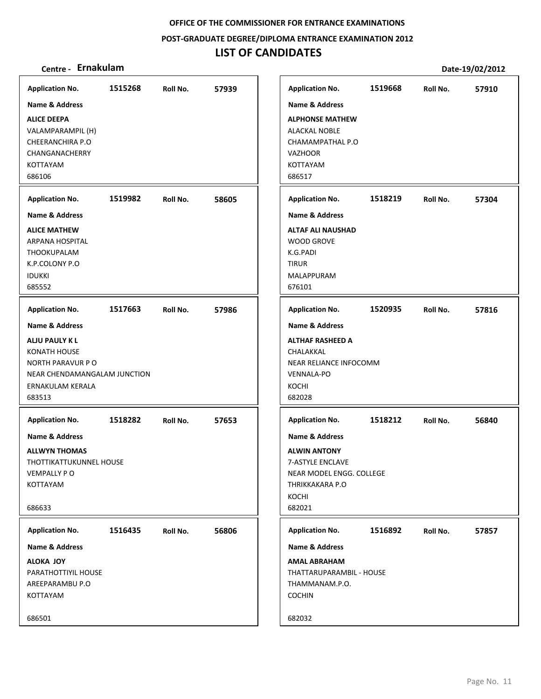**POST‐GRADUATE DEGREE/DIPLOMA ENTRANCE EXAMINATION 2012**

| Centre - Ernakulam                               |         |          |       |                                 |         |          | Date-19/02/2012 |
|--------------------------------------------------|---------|----------|-------|---------------------------------|---------|----------|-----------------|
| <b>Application No.</b>                           | 1515268 | Roll No. | 57939 | <b>Application No.</b>          | 1519668 | Roll No. | 57910           |
| <b>Name &amp; Address</b>                        |         |          |       | <b>Name &amp; Address</b>       |         |          |                 |
| <b>ALICE DEEPA</b>                               |         |          |       | <b>ALPHONSE MATHEW</b>          |         |          |                 |
| VALAMPARAMPIL (H)                                |         |          |       | <b>ALACKAL NOBLE</b>            |         |          |                 |
| CHEERANCHIRA P.O                                 |         |          |       | CHAMAMPATHAL P.O                |         |          |                 |
| CHANGANACHERRY                                   |         |          |       | <b>VAZHOOR</b>                  |         |          |                 |
| KOTTAYAM<br>686106                               |         |          |       | KOTTAYAM<br>686517              |         |          |                 |
|                                                  |         |          |       |                                 |         |          |                 |
| <b>Application No.</b>                           | 1519982 | Roll No. | 58605 | <b>Application No.</b>          | 1518219 | Roll No. | 57304           |
| <b>Name &amp; Address</b>                        |         |          |       | <b>Name &amp; Address</b>       |         |          |                 |
| <b>ALICE MATHEW</b>                              |         |          |       | <b>ALTAF ALI NAUSHAD</b>        |         |          |                 |
| <b>ARPANA HOSPITAL</b>                           |         |          |       | <b>WOOD GROVE</b>               |         |          |                 |
| <b>THOOKUPALAM</b><br>K.P.COLONY P.O             |         |          |       | K.G.PADI<br><b>TIRUR</b>        |         |          |                 |
| <b>IDUKKI</b>                                    |         |          |       | MALAPPURAM                      |         |          |                 |
| 685552                                           |         |          |       | 676101                          |         |          |                 |
| <b>Application No.</b>                           | 1517663 | Roll No. | 57986 | <b>Application No.</b>          | 1520935 | Roll No. | 57816           |
| Name & Address                                   |         |          |       | Name & Address                  |         |          |                 |
| ALJU PAULY K L                                   |         |          |       | <b>ALTHAF RASHEED A</b>         |         |          |                 |
| <b>KONATH HOUSE</b>                              |         |          |       | CHALAKKAL                       |         |          |                 |
| NORTH PARAVUR PO                                 |         |          |       | NEAR RELIANCE INFOCOMM          |         |          |                 |
| NEAR CHENDAMANGALAM JUNCTION<br>ERNAKULAM KERALA |         |          |       | <b>VENNALA-PO</b><br>KOCHI      |         |          |                 |
| 683513                                           |         |          |       | 682028                          |         |          |                 |
| <b>Application No.</b>                           | 1518282 | Roll No. | 57653 | <b>Application No.</b>          | 1518212 | Roll No. | 56840           |
| <b>Name &amp; Address</b>                        |         |          |       | <b>Name &amp; Address</b>       |         |          |                 |
| <b>ALLWYN THOMAS</b>                             |         |          |       | <b>ALWIN ANTONY</b>             |         |          |                 |
| THOTTIKATTUKUNNEL HOUSE                          |         |          |       | 7-ASTYLE ENCLAVE                |         |          |                 |
| <b>VEMPALLY PO</b>                               |         |          |       | NEAR MODEL ENGG. COLLEGE        |         |          |                 |
| KOTTAYAM                                         |         |          |       | THRIKKAKARA P.O                 |         |          |                 |
|                                                  |         |          |       | KOCHI                           |         |          |                 |
| 686633                                           |         |          |       | 682021                          |         |          |                 |
| <b>Application No.</b>                           | 1516435 | Roll No. | 56806 | <b>Application No.</b>          | 1516892 | Roll No. | 57857           |
| Name & Address                                   |         |          |       | <b>Name &amp; Address</b>       |         |          |                 |
| ALOKA JOY                                        |         |          |       | <b>AMAL ABRAHAM</b>             |         |          |                 |
| PARATHOTTIYIL HOUSE                              |         |          |       | THATTARUPARAMBIL - HOUSE        |         |          |                 |
| AREEPARAMBU P.O<br>KOTTAYAM                      |         |          |       | THAMMANAM.P.O.<br><b>COCHIN</b> |         |          |                 |
|                                                  |         |          |       |                                 |         |          |                 |
| 686501                                           |         |          |       | 682032                          |         |          |                 |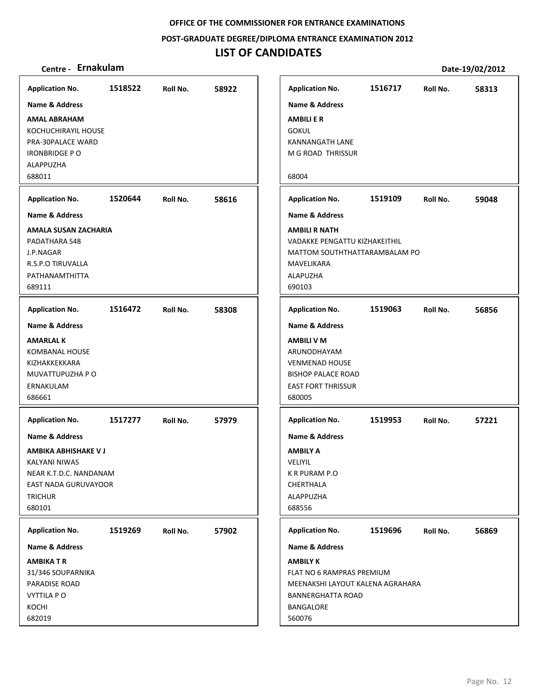**POST‐GRADUATE DEGREE/DIPLOMA ENTRANCE EXAMINATION 2012**

| Centre - Ernakulam                         |         |          |       |                                      |         |          | Date-19/02/2012 |
|--------------------------------------------|---------|----------|-------|--------------------------------------|---------|----------|-----------------|
| <b>Application No.</b>                     | 1518522 | Roll No. | 58922 | <b>Application No.</b>               | 1516717 | Roll No. | 58313           |
| <b>Name &amp; Address</b>                  |         |          |       | <b>Name &amp; Address</b>            |         |          |                 |
| <b>AMAL ABRAHAM</b>                        |         |          |       | <b>AMBILI E R</b>                    |         |          |                 |
| KOCHUCHIRAYIL HOUSE                        |         |          |       | <b>GOKUL</b>                         |         |          |                 |
| PRA-30PALACE WARD                          |         |          |       | KANNANGATH LANE                      |         |          |                 |
| <b>IRONBRIDGE P O</b>                      |         |          |       | M G ROAD THRISSUR                    |         |          |                 |
| <b>ALAPPUZHA</b><br>688011                 |         |          |       | 68004                                |         |          |                 |
|                                            |         |          |       |                                      |         |          |                 |
| <b>Application No.</b>                     | 1520644 | Roll No. | 58616 | <b>Application No.</b>               | 1519109 | Roll No. | 59048           |
| <b>Name &amp; Address</b>                  |         |          |       | <b>Name &amp; Address</b>            |         |          |                 |
| <b>AMALA SUSAN ZACHARIA</b>                |         |          |       | <b>AMBILI R NATH</b>                 |         |          |                 |
| PADATHARA S48                              |         |          |       | <b>VADAKKE PENGATTU KIZHAKEITHIL</b> |         |          |                 |
| J.P.NAGAR                                  |         |          |       | MATTOM SOUTHTHATTARAMBALAM PO        |         |          |                 |
| <b>R.S.P.O TIRUVALLA</b><br>PATHANAMTHITTA |         |          |       | MAVELIKARA<br>ALAPUZHA               |         |          |                 |
| 689111                                     |         |          |       | 690103                               |         |          |                 |
|                                            |         |          |       |                                      |         |          |                 |
| <b>Application No.</b>                     | 1516472 | Roll No. | 58308 | <b>Application No.</b>               | 1519063 | Roll No. | 56856           |
| <b>Name &amp; Address</b>                  |         |          |       | <b>Name &amp; Address</b>            |         |          |                 |
| <b>AMARLAL K</b>                           |         |          |       | <b>AMBILI V M</b>                    |         |          |                 |
| <b>KOMBANAL HOUSE</b><br>KIZHAKKEKKARA     |         |          |       | ARUNODHAYAM<br><b>VENMENAD HOUSE</b> |         |          |                 |
| MUVATTUPUZHA P O                           |         |          |       | <b>BISHOP PALACE ROAD</b>            |         |          |                 |
| ERNAKULAM                                  |         |          |       | <b>EAST FORT THRISSUR</b>            |         |          |                 |
| 686661                                     |         |          |       | 680005                               |         |          |                 |
| <b>Application No.</b>                     | 1517277 | Roll No. | 57979 | <b>Application No.</b>               | 1519953 | Roll No. | 57221           |
| <b>Name &amp; Address</b>                  |         |          |       | <b>Name &amp; Address</b>            |         |          |                 |
| AMBIKA ABHISHAKE V J                       |         |          |       | <b>AMBILY A</b>                      |         |          |                 |
| <b>KALYANI NIWAS</b>                       |         |          |       | VELIYIL                              |         |          |                 |
| NEAR K.T.D.C. NANDANAM                     |         |          |       | K R PURAM P.O                        |         |          |                 |
| EAST NADA GURUVAYOOR                       |         |          |       | CHERTHALA                            |         |          |                 |
| <b>TRICHUR</b>                             |         |          |       | ALAPPUZHA                            |         |          |                 |
| 680101                                     |         |          |       | 688556                               |         |          |                 |
| <b>Application No.</b>                     | 1519269 | Roll No. | 57902 | <b>Application No.</b>               | 1519696 | Roll No. | 56869           |
| <b>Name &amp; Address</b>                  |         |          |       | <b>Name &amp; Address</b>            |         |          |                 |
| <b>AMBIKATR</b>                            |         |          |       | <b>AMBILY K</b>                      |         |          |                 |
| 31/346 SOUPARNIKA                          |         |          |       | FLAT NO 6 RAMPRAS PREMIUM            |         |          |                 |
| PARADISE ROAD                              |         |          |       | MEENAKSHI LAYOUT KALENA AGRAHARA     |         |          |                 |
| <b>VYTTILA PO</b>                          |         |          |       | <b>BANNERGHATTA ROAD</b>             |         |          |                 |
| KOCHI<br>682019                            |         |          |       | <b>BANGALORE</b><br>560076           |         |          |                 |
|                                            |         |          |       |                                      |         |          |                 |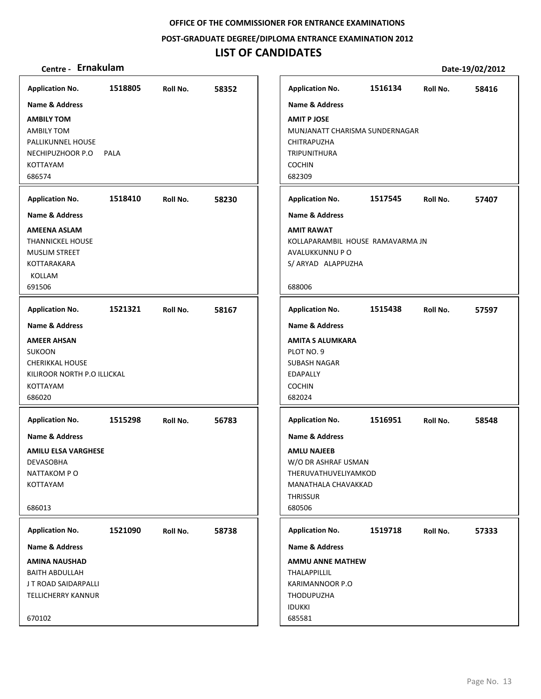**POST‐GRADUATE DEGREE/DIPLOMA ENTRANCE EXAMINATION 2012**

## **LIST OF CANDIDATES**

| <b>Application No.</b>      | 1518805 | Roll No. | 58352 |
|-----------------------------|---------|----------|-------|
| <b>Name &amp; Address</b>   |         |          |       |
| <b>AMBILY TOM</b>           |         |          |       |
| <b>AMBILY TOM</b>           |         |          |       |
| PALLIKUNNEL HOUSE           |         |          |       |
| NECHIPUZHOOR P.O            | PALA    |          |       |
| <b>KOTTAYAM</b>             |         |          |       |
| 686574                      |         |          |       |
| <b>Application No.</b>      | 1518410 | Roll No. | 58230 |
| <b>Name &amp; Address</b>   |         |          |       |
| <b>AMEENA ASLAM</b>         |         |          |       |
| <b>THANNICKEL HOUSE</b>     |         |          |       |
| <b>MUSLIM STREET</b>        |         |          |       |
| KOTTARAKARA<br>KOLLAM       |         |          |       |
| 691506                      |         |          |       |
|                             |         |          |       |
| <b>Application No.</b>      | 1521321 | Roll No. | 58167 |
| <b>Name &amp; Address</b>   |         |          |       |
| <b>AMEER AHSAN</b>          |         |          |       |
| <b>SUKOON</b>               |         |          |       |
| <b>CHERIKKAL HOUSE</b>      |         |          |       |
| KILIROOR NORTH P.O ILLICKAL |         |          |       |
| <b>KOTTAYAM</b>             |         |          |       |
| 686020                      |         |          |       |
| <b>Application No.</b>      | 1515298 | Roll No. | 56783 |
| <b>Name &amp; Address</b>   |         |          |       |
| <b>AMILU ELSA VARGHESE</b>  |         |          |       |
| <b>DEVASOBHA</b>            |         |          |       |
| NATTAKOM PO                 |         |          |       |
| KOTTAYAM                    |         |          |       |
|                             |         |          |       |
| 686013                      |         |          |       |
| <b>Application No.</b>      | 1521090 | Roll No. | 58738 |
| Name & Address              |         |          |       |
| <b>AMINA NAUSHAD</b>        |         |          |       |
| <b>BAITH ABDULLAH</b>       |         |          |       |
| J T ROAD SAIDARPALLI        |         |          |       |
| <b>TELLICHERRY KANNUR</b>   |         |          |       |
|                             |         |          |       |
| 670102                      |         |          |       |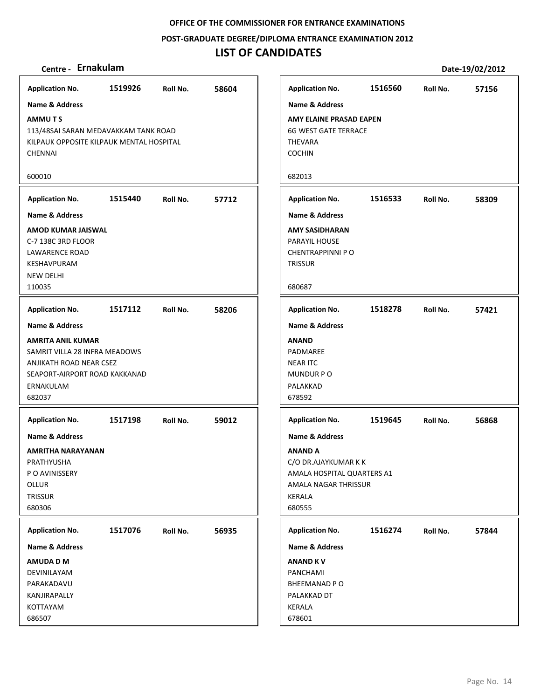**POST‐GRADUATE DEGREE/DIPLOMA ENTRANCE EXAMINATION 2012**

## **LIST OF CANDIDATES**

| <b>Application No.</b>                                                                                                                       | 1519926 | Roll No. | 58604 |
|----------------------------------------------------------------------------------------------------------------------------------------------|---------|----------|-------|
| Name & Address                                                                                                                               |         |          |       |
| <b>AMMUTS</b><br>113/48SAI SARAN MEDAVAKKAM TANK ROAD<br>KILPAUK OPPOSITE KILPAUK MENTAL HOSPITAL<br><b>CHENNAI</b>                          |         |          |       |
| 600010                                                                                                                                       |         |          |       |
| <b>Application No.</b>                                                                                                                       | 1515440 | Roll No. | 57712 |
| <b>Name &amp; Address</b>                                                                                                                    |         |          |       |
| AMOD KUMAR JAISWAL<br>C-7 138C 3RD FLOOR<br>LAWARENCE ROAD<br>KESHAVPURAM<br><b>NEW DELHI</b><br>110035                                      |         |          |       |
| <b>Application No.</b>                                                                                                                       | 1517112 | Roll No. | 58206 |
| Name & Address                                                                                                                               |         |          |       |
| <b>AMRITA ANIL KUMAR</b><br>SAMRIT VILLA 28 INFRA MEADOWS<br>ANJIKATH ROAD NEAR CSEZ<br>SEAPORT-AIRPORT ROAD KAKKANAD<br>ERNAKULAM<br>682037 |         |          |       |
| <b>Application No.</b>                                                                                                                       | 1517198 | Roll No. | 59012 |
| <b>Name &amp; Address</b><br><b>AMRITHA NARAYANAN</b><br>PRATHYUSHA<br>P O AVINISSERY<br>OLLUR<br>TRISSUR<br>680306                          |         |          |       |
|                                                                                                                                              |         |          |       |
| <b>Application No.</b>                                                                                                                       | 1517076 | Roll No. | 56935 |
| Name & Address                                                                                                                               |         |          |       |
| AMUDA D M<br>DEVINILAYAM<br>PARAKADAVU                                                                                                       |         |          |       |
| KANJIRAPALLY                                                                                                                                 |         |          |       |
| KOTTAYAM<br>686507                                                                                                                           |         |          |       |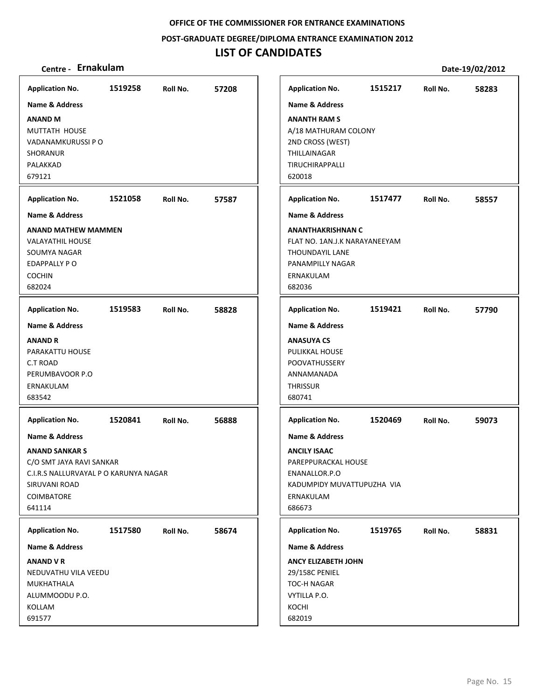**POST‐GRADUATE DEGREE/DIPLOMA ENTRANCE EXAMINATION 2012**

## **LIST OF CANDIDATES**

| <b>Application No.</b>                                                                                                                                       | 1519258 | Roll No. | 57208 |
|--------------------------------------------------------------------------------------------------------------------------------------------------------------|---------|----------|-------|
| <b>Name &amp; Address</b>                                                                                                                                    |         |          |       |
| <b>ANAND M</b><br>MUTTATH HOUSE<br>VADANAMKURUSSI P O<br>SHORANUR<br>PALAKKAD<br>679121                                                                      |         |          |       |
| <b>Application No.</b>                                                                                                                                       | 1521058 | Roll No. | 57587 |
| <b>Name &amp; Address</b>                                                                                                                                    |         |          |       |
| <b>ANAND MATHEW MAMMEN</b><br>VALAYATHIL HOUSE<br>SOUMYA NAGAR<br>EDAPPALLY PO<br><b>COCHIN</b><br>682024                                                    |         |          |       |
| <b>Application No.</b>                                                                                                                                       | 1519583 | Roll No. | 58828 |
| <b>Name &amp; Address</b>                                                                                                                                    |         |          |       |
| <b>ANAND R</b><br>PARAKATTU HOUSE<br>C.T ROAD<br>PERUMBAVOOR P.O<br>ERNAKULAM<br>683542                                                                      |         |          |       |
| <b>Application No.</b>                                                                                                                                       | 1520841 | Roll No. | 56888 |
| Name & Address<br><b>ANAND SANKAR S</b><br>C/O SMT JAYA RAVI SANKAR<br>C.I.R.S NALLURVAYAL P O KARUNYA NAGAR<br>SIRUVANI ROAD<br><b>COIMBATORE</b><br>641114 |         |          |       |
| <b>Application No.</b>                                                                                                                                       | 1517580 | Roll No. | 58674 |
| Name & Address                                                                                                                                               |         |          |       |
| <b>ANAND V R</b><br>NEDUVATHU VILA VEEDU<br>MUKHATHALA<br>ALUMMOODU P.O.<br>KOLLAM<br>691577                                                                 |         |          |       |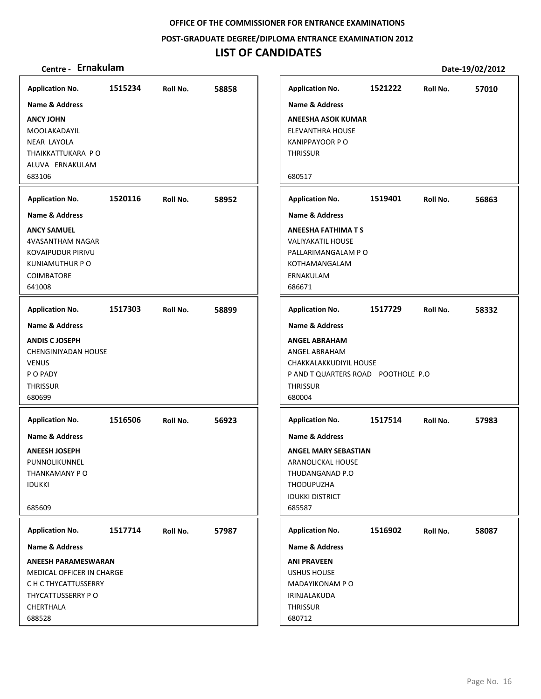**POST‐GRADUATE DEGREE/DIPLOMA ENTRANCE EXAMINATION 2012**

| Centre - Ernakulam                        |         |          |       |                                                              |         |          | Date-19/02/2012 |
|-------------------------------------------|---------|----------|-------|--------------------------------------------------------------|---------|----------|-----------------|
| <b>Application No.</b>                    | 1515234 | Roll No. | 58858 | <b>Application No.</b>                                       | 1521222 | Roll No. | 57010           |
| <b>Name &amp; Address</b>                 |         |          |       | <b>Name &amp; Address</b>                                    |         |          |                 |
| <b>ANCY JOHN</b>                          |         |          |       | <b>ANEESHA ASOK KUMAR</b>                                    |         |          |                 |
| MOOLAKADAYIL                              |         |          |       | <b>ELEVANTHRA HOUSE</b>                                      |         |          |                 |
| <b>NEAR LAYOLA</b>                        |         |          |       | <b>KANIPPAYOOR P O</b>                                       |         |          |                 |
| THAIKKATTUKARA PO                         |         |          |       | <b>THRISSUR</b>                                              |         |          |                 |
| ALUVA ERNAKULAM<br>683106                 |         |          |       | 680517                                                       |         |          |                 |
|                                           |         |          |       |                                                              |         |          |                 |
| <b>Application No.</b>                    | 1520116 | Roll No. | 58952 | <b>Application No.</b>                                       | 1519401 | Roll No. | 56863           |
| <b>Name &amp; Address</b>                 |         |          |       | Name & Address                                               |         |          |                 |
| <b>ANCY SAMUEL</b>                        |         |          |       | <b>ANEESHA FATHIMA T S</b>                                   |         |          |                 |
| 4VASANTHAM NAGAR                          |         |          |       | <b>VALIYAKATIL HOUSE</b>                                     |         |          |                 |
| <b>KOVAIPUDUR PIRIVU</b>                  |         |          |       | PALLARIMANGALAM PO                                           |         |          |                 |
| KUNIAMUTHUR P O<br><b>COIMBATORE</b>      |         |          |       | KOTHAMANGALAM<br>ERNAKULAM                                   |         |          |                 |
| 641008                                    |         |          |       | 686671                                                       |         |          |                 |
|                                           |         |          |       |                                                              |         |          |                 |
| <b>Application No.</b>                    | 1517303 | Roll No. | 58899 | <b>Application No.</b>                                       | 1517729 | Roll No. | 58332           |
| <b>Name &amp; Address</b>                 |         |          |       | Name & Address                                               |         |          |                 |
| <b>ANDIS CJOSEPH</b>                      |         |          |       | <b>ANGEL ABRAHAM</b>                                         |         |          |                 |
| CHENGINIYADAN HOUSE                       |         |          |       | ANGEL ABRAHAM                                                |         |          |                 |
| <b>VENUS</b><br>P O PADY                  |         |          |       | CHAKKALAKKUDIYIL HOUSE<br>P AND T QUARTERS ROAD POOTHOLE P.O |         |          |                 |
| <b>THRISSUR</b>                           |         |          |       | <b>THRISSUR</b>                                              |         |          |                 |
| 680699                                    |         |          |       | 680004                                                       |         |          |                 |
|                                           |         |          |       |                                                              |         |          |                 |
| <b>Application No.</b>                    | 1516506 | Roll No. | 56923 | <b>Application No.</b>                                       | 1517514 | Roll No. | 57983           |
| <b>Name &amp; Address</b>                 |         |          |       | <b>Name &amp; Address</b>                                    |         |          |                 |
| <b>ANEESH JOSEPH</b>                      |         |          |       | <b>ANGEL MARY SEBASTIAN</b>                                  |         |          |                 |
| PUNNOLIKUNNEL                             |         |          |       | ARANOLICKAL HOUSE                                            |         |          |                 |
| THANKAMANY PO                             |         |          |       | THUDANGANAD P.O                                              |         |          |                 |
| <b>IDUKKI</b>                             |         |          |       | THODUPUZHA<br><b>IDUKKI DISTRICT</b>                         |         |          |                 |
| 685609                                    |         |          |       | 685587                                                       |         |          |                 |
|                                           |         |          |       |                                                              |         |          |                 |
| <b>Application No.</b>                    | 1517714 | Roll No. | 57987 | <b>Application No.</b>                                       | 1516902 | Roll No. | 58087           |
| <b>Name &amp; Address</b>                 |         |          |       | <b>Name &amp; Address</b>                                    |         |          |                 |
| <b>ANEESH PARAMESWARAN</b>                |         |          |       | <b>ANI PRAVEEN</b>                                           |         |          |                 |
| MEDICAL OFFICER IN CHARGE                 |         |          |       | <b>USHUS HOUSE</b>                                           |         |          |                 |
| C H C THYCATTUSSERRY<br>THYCATTUSSERRY PO |         |          |       | MADAYIKONAM P O<br>IRINJALAKUDA                              |         |          |                 |
| CHERTHALA                                 |         |          |       | <b>THRISSUR</b>                                              |         |          |                 |
| 688528                                    |         |          |       | 680712                                                       |         |          |                 |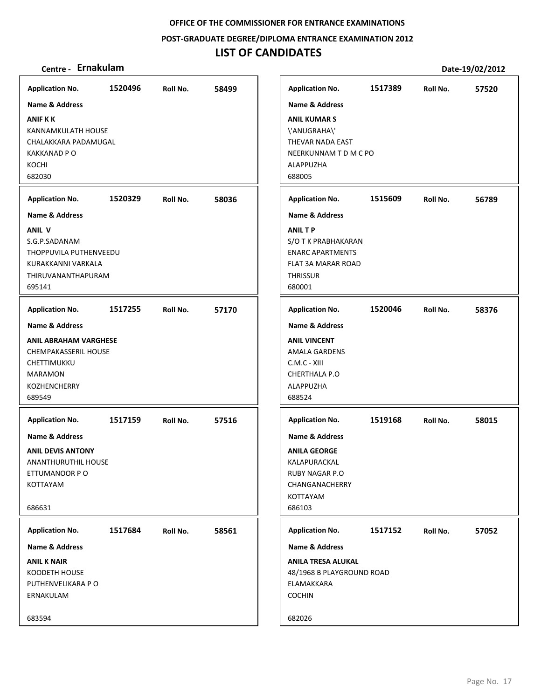**POST‐GRADUATE DEGREE/DIPLOMA ENTRANCE EXAMINATION 2012**

| Centre - Ernakulam                                                                                                     |         |          |       |                                                                                                                                   |         |          | Date-19/02/2012 |
|------------------------------------------------------------------------------------------------------------------------|---------|----------|-------|-----------------------------------------------------------------------------------------------------------------------------------|---------|----------|-----------------|
| <b>Application No.</b>                                                                                                 | 1520496 | Roll No. | 58499 | <b>Application No.</b>                                                                                                            | 1517389 | Roll No. | 57520           |
| <b>Name &amp; Address</b>                                                                                              |         |          |       | <b>Name &amp; Address</b>                                                                                                         |         |          |                 |
| <b>ANIF K K</b><br>KANNAMKULATH HOUSE<br>CHALAKKARA PADAMUGAL<br><b>KAKKANAD P O</b><br>KOCHI<br>682030                |         |          |       | <b>ANIL KUMAR S</b><br>\'ANUGRAHA\'<br>THEVAR NADA EAST<br>NEERKUNNAM T D M C PO<br>ALAPPUZHA<br>688005                           |         |          |                 |
| <b>Application No.</b>                                                                                                 | 1520329 | Roll No. | 58036 | <b>Application No.</b>                                                                                                            | 1515609 | Roll No. | 56789           |
| <b>Name &amp; Address</b>                                                                                              |         |          |       | <b>Name &amp; Address</b>                                                                                                         |         |          |                 |
| <b>ANIL V</b><br>S.G.P.SADANAM<br>THOPPUVILA PUTHENVEEDU<br>KURAKKANNI VARKALA<br>THIRUVANANTHAPURAM<br>695141         |         |          |       | <b>ANILTP</b><br>S/O T K PRABHAKARAN<br><b>ENARC APARTMENTS</b><br>FLAT 3A MARAR ROAD<br>THRISSUR<br>680001                       |         |          |                 |
| <b>Application No.</b>                                                                                                 | 1517255 | Roll No. | 57170 | <b>Application No.</b>                                                                                                            | 1520046 | Roll No. | 58376           |
| <b>Name &amp; Address</b>                                                                                              |         |          |       | <b>Name &amp; Address</b>                                                                                                         |         |          |                 |
| <b>ANIL ABRAHAM VARGHESE</b><br><b>CHEMPAKASSERIL HOUSE</b><br>CHETTIMUKKU<br>MARAMON<br><b>KOZHENCHERRY</b><br>689549 |         |          |       | <b>ANIL VINCENT</b><br><b>AMALA GARDENS</b><br>C.M.C - XIII<br>CHERTHALA P.O<br>ALAPPUZHA<br>688524                               |         |          |                 |
| <b>Application No.</b>                                                                                                 | 1517159 | Roll No. | 57516 | <b>Application No.</b>                                                                                                            | 1519168 | Roll No. | 58015           |
| <b>Name &amp; Address</b><br><b>ANIL DEVIS ANTONY</b><br>ANANTHURUTHIL HOUSE<br>ETTUMANOOR P O<br>KOTTAYAM<br>686631   |         |          |       | <b>Name &amp; Address</b><br><b>ANILA GEORGE</b><br>KALAPURACKAL<br><b>RUBY NAGAR P.O</b><br>CHANGANACHERRY<br>KOTTAYAM<br>686103 |         |          |                 |
| <b>Application No.</b>                                                                                                 | 1517684 | Roll No. | 58561 | <b>Application No.</b>                                                                                                            | 1517152 | Roll No. | 57052           |
| <b>Name &amp; Address</b>                                                                                              |         |          |       | <b>Name &amp; Address</b>                                                                                                         |         |          |                 |
| <b>ANIL K NAIR</b><br>KOODETH HOUSE<br>PUTHENVELIKARA P O<br>ERNAKULAM                                                 |         |          |       | <b>ANILA TRESA ALUKAL</b><br>48/1968 B PLAYGROUND ROAD<br>ELAMAKKARA<br><b>COCHIN</b>                                             |         |          |                 |
| 683594                                                                                                                 |         |          |       | 682026                                                                                                                            |         |          |                 |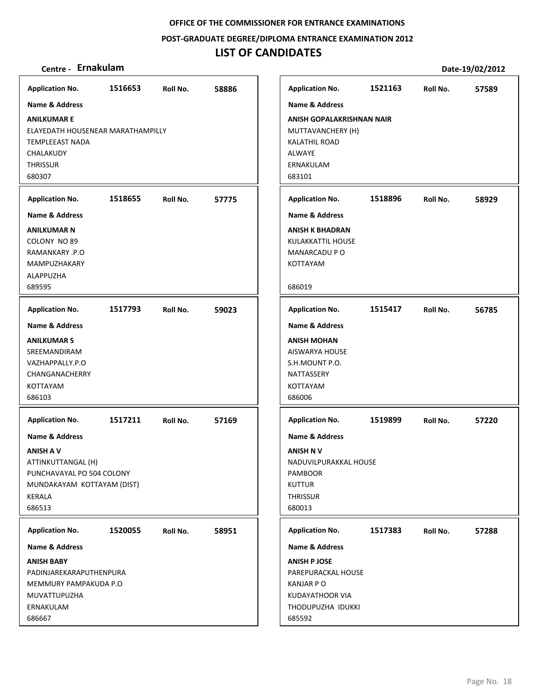**POST‐GRADUATE DEGREE/DIPLOMA ENTRANCE EXAMINATION 2012**

| Centre - Ernakulam                                                                                                                                 |         |          |       |                                                                                                                                       |         |          | Date-19/02/2012 |
|----------------------------------------------------------------------------------------------------------------------------------------------------|---------|----------|-------|---------------------------------------------------------------------------------------------------------------------------------------|---------|----------|-----------------|
| <b>Application No.</b>                                                                                                                             | 1516653 | Roll No. | 58886 | <b>Application No.</b>                                                                                                                | 1521163 | Roll No. | 57589           |
| <b>Name &amp; Address</b>                                                                                                                          |         |          |       | <b>Name &amp; Address</b>                                                                                                             |         |          |                 |
| <b>ANILKUMAR E</b><br>ELAYEDATH HOUSENEAR MARATHAMPILLY<br><b>TEMPLEEAST NADA</b><br>CHALAKUDY<br><b>THRISSUR</b><br>680307                        |         |          |       | ANISH GOPALAKRISHNAN NAIR<br>MUTTAVANCHERY (H)<br>KALATHIL ROAD<br>ALWAYE<br>ERNAKULAM<br>683101                                      |         |          |                 |
| <b>Application No.</b>                                                                                                                             | 1518655 | Roll No. | 57775 | <b>Application No.</b>                                                                                                                | 1518896 | Roll No. | 58929           |
| <b>Name &amp; Address</b>                                                                                                                          |         |          |       | <b>Name &amp; Address</b>                                                                                                             |         |          |                 |
| <b>ANILKUMAR N</b><br>COLONY NO 89<br>RAMANKARY .P.O<br><b>MAMPUZHAKARY</b><br>ALAPPUZHA<br>689595                                                 |         |          |       | <b>ANISH K BHADRAN</b><br>KULAKKATTIL HOUSE<br>MANARCADU P O<br>KOTTAYAM<br>686019                                                    |         |          |                 |
| <b>Application No.</b>                                                                                                                             | 1517793 | Roll No. | 59023 | <b>Application No.</b>                                                                                                                | 1515417 | Roll No. | 56785           |
| <b>Name &amp; Address</b><br><b>ANILKUMAR S</b><br>SREEMANDIRAM<br>VAZHAPPALLY.P.O<br>CHANGANACHERRY<br>KOTTAYAM<br>686103                         |         |          |       | <b>Name &amp; Address</b><br><b>ANISH MOHAN</b><br>AISWARYA HOUSE<br>S.H.MOUNT P.O.<br>NATTASSERY<br>KOTTAYAM<br>686006               |         |          |                 |
| <b>Application No.</b>                                                                                                                             | 1517211 | Roll No. | 57169 | <b>Application No.</b>                                                                                                                | 1519899 | Roll No. | 57220           |
| <b>Name &amp; Address</b><br><b>ANISH A V</b><br>ATTINKUTTANGAL (H)<br>PUNCHAVAYAL PO 504 COLONY<br>MUNDAKAYAM KOTTAYAM (DIST)<br>KERALA<br>686513 |         |          |       | <b>Name &amp; Address</b><br><b>ANISH NV</b><br>NADUVILPURAKKAL HOUSE<br><b>PAMBOOR</b><br><b>KUTTUR</b><br><b>THRISSUR</b><br>680013 |         |          |                 |
| <b>Application No.</b>                                                                                                                             | 1520055 | Roll No. | 58951 | <b>Application No.</b>                                                                                                                | 1517383 | Roll No. | 57288           |
| <b>Name &amp; Address</b>                                                                                                                          |         |          |       | <b>Name &amp; Address</b>                                                                                                             |         |          |                 |
| <b>ANISH BABY</b><br>PADINJAREKARAPUTHENPURA<br>MEMMURY PAMPAKUDA P.O<br>MUVATTUPUZHA<br>ERNAKULAM<br>686667                                       |         |          |       | <b>ANISH P JOSE</b><br>PAREPURACKAL HOUSE<br><b>KANJAR PO</b><br>KUDAYATHOOR VIA<br>THODUPUZHA IDUKKI<br>685592                       |         |          |                 |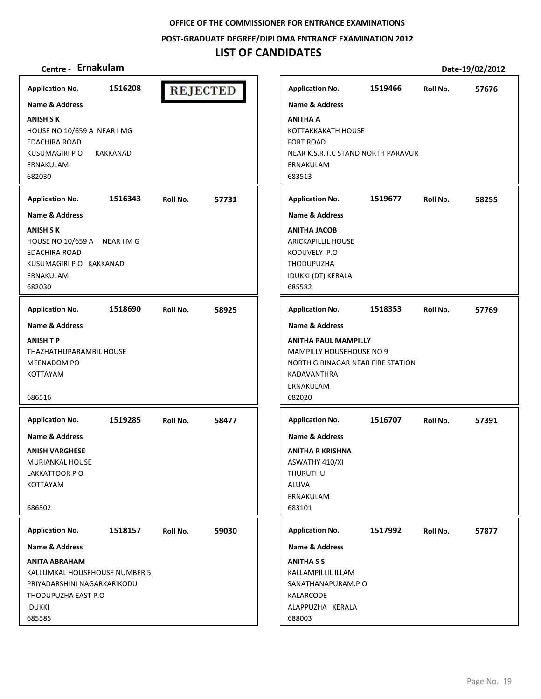**POST‐GRADUATE DEGREE/DIPLOMA ENTRANCE EXAMINATION 2012**

## **LIST OF CANDIDATES**

## **Centre ‐ Ernakulam Date‐19/02/2012**

**Application No. 1516208 Application No. 1519466 57676 REJECTED Name & Address Name & Address ANISH S K ANITHA A** HOUSE NO 10/659 A NEAR I MG KOTTAKKAKATH HOUSE EDACHIRA ROAD FORT ROAD KUSUMAGIRI P O KAKKANAD NEAR K.S.R.T.C STAND NORTH PARAVUR ERNAKULAM ERNAKULAM 682030 683513 **Application No. 1516343 57731 Application No. 1519677 58255 Name & Address Name & Address ANITHA JACOB ANISH S K** HOUSE NO 10/659 A NEAR I M G ARICKAPILLIL HOUSE EDACHIRA ROAD KODUVELY P.O KUSUMAGIRI P O KAKKANAD THODUPUZHA ERNAKULAM IDUKKI (DT) KERALA 682030 685582 **Application No. Application No. 1518690 58925 1518353 57769 Name & Address Name & Address ANISH T P ANITHA PAUL MAMPILLY** THAZHATHUPARAMBIL HOUSE MAMPILLY HOUSEHOUSE NO 9 MEENADOM PO NORTH GIRINAGAR NEAR FIRE STATION KOTTAYAM KADAVANTHRA ERNAKULAM 686516 682020 **Application No. Application No. 1519285 58477 1516707 57391 Name & Address Name & Address ANISH VARGHESE ANITHA R KRISHNA** MURIANKAL HOUSE ASWATHY 410/XI LAKKATTOOR P O THURUTHU KOTTAYAM ALUVA ERNAKULAM 686502 683101 **Application No. Application No. 1518157 59030 1517992 57877 Name & Address Name & Address ANITA ABRAHAM ANITHA S S** KALLUMKAL HOUSEHOUSE NUMBER 5 KALLAMPILLIL ILLAM PRIYADARSHINI NAGARKARIKODU SANATHANAPURAM.P.O THODUPUZHA EAST P.O KALARCODE ALAPPUZHA KERALA IDUKKI 685585 688003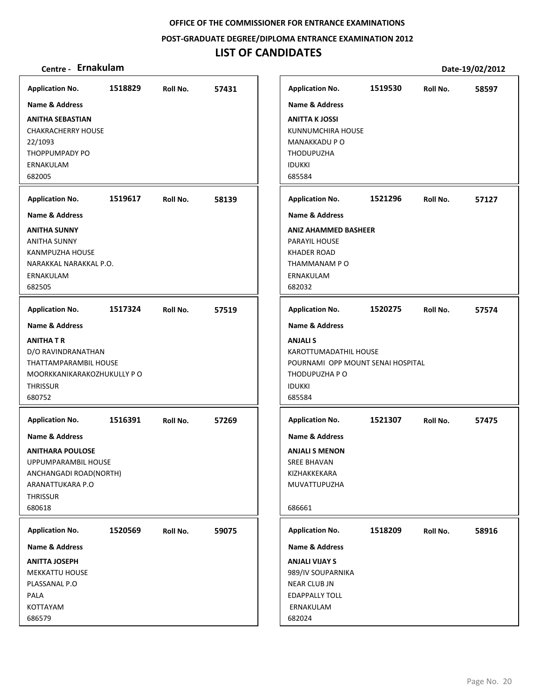**POST‐GRADUATE DEGREE/DIPLOMA ENTRANCE EXAMINATION 2012**

| Centre - Ernakulam                                                                                                                                       |         |          |       |                                                                                                                                             |         |          | Date-19/02/2012 |
|----------------------------------------------------------------------------------------------------------------------------------------------------------|---------|----------|-------|---------------------------------------------------------------------------------------------------------------------------------------------|---------|----------|-----------------|
| <b>Application No.</b>                                                                                                                                   | 1518829 | Roll No. | 57431 | <b>Application No.</b>                                                                                                                      | 1519530 | Roll No. | 58597           |
| <b>Name &amp; Address</b>                                                                                                                                |         |          |       | <b>Name &amp; Address</b>                                                                                                                   |         |          |                 |
| <b>ANITHA SEBASTIAN</b><br><b>CHAKRACHERRY HOUSE</b><br>22/1093<br><b>THOPPUMPADY PO</b><br>ERNAKULAM<br>682005                                          |         |          |       | <b>ANITTA K JOSSI</b><br>KUNNUMCHIRA HOUSE<br>MANAKKADU P O<br>THODUPUZHA<br><b>IDUKKI</b><br>685584                                        |         |          |                 |
| <b>Application No.</b>                                                                                                                                   | 1519617 | Roll No. | 58139 | <b>Application No.</b>                                                                                                                      | 1521296 | Roll No. | 57127           |
| <b>Name &amp; Address</b>                                                                                                                                |         |          |       | <b>Name &amp; Address</b>                                                                                                                   |         |          |                 |
| <b>ANITHA SUNNY</b><br><b>ANITHA SUNNY</b><br>KANMPUZHA HOUSE<br>NARAKKAL NARAKKAL P.O.<br>ERNAKULAM<br>682505                                           |         |          |       | <b>ANIZ AHAMMED BASHEER</b><br><b>PARAYIL HOUSE</b><br><b>KHADER ROAD</b><br>THAMMANAM P O<br>ERNAKULAM<br>682032                           |         |          |                 |
| <b>Application No.</b>                                                                                                                                   | 1517324 | Roll No. | 57519 | <b>Application No.</b>                                                                                                                      | 1520275 | Roll No. | 57574           |
| <b>Name &amp; Address</b><br><b>ANITHAT R</b><br>D/O RAVINDRANATHAN<br>THATTAMPARAMBIL HOUSE<br>MOORKKANIKARAKOZHUKULLY P O<br><b>THRISSUR</b><br>680752 |         |          |       | Name & Address<br><b>ANJALIS</b><br>KAROTTUMADATHIL HOUSE<br>POURNAMI OPP MOUNT SENAI HOSPITAL<br>THODUPUZHA P O<br><b>IDUKKI</b><br>685584 |         |          |                 |
| <b>Application No.</b>                                                                                                                                   | 1516391 | Roll No. | 57269 | <b>Application No.</b>                                                                                                                      | 1521307 | Roll No. | 57475           |
| <b>Name &amp; Address</b>                                                                                                                                |         |          |       | <b>Name &amp; Address</b>                                                                                                                   |         |          |                 |
| <b>ANITHARA POULOSE</b><br>UPPUMPARAMBIL HOUSE<br>ANCHANGADI ROAD(NORTH)<br>ARANATTUKARA P.O<br><b>THRISSUR</b><br>680618                                |         |          |       | <b>ANJALI S MENON</b><br><b>SREE BHAVAN</b><br>KIZHAKKEKARA<br>MUVATTUPUZHA<br>686661                                                       |         |          |                 |
| <b>Application No.</b>                                                                                                                                   | 1520569 | Roll No. | 59075 | <b>Application No.</b>                                                                                                                      | 1518209 | Roll No. | 58916           |
| Name & Address                                                                                                                                           |         |          |       | <b>Name &amp; Address</b>                                                                                                                   |         |          |                 |
| <b>ANITTA JOSEPH</b><br><b>MEKKATTU HOUSE</b><br>PLASSANAL P.O<br>PALA<br>KOTTAYAM<br>686579                                                             |         |          |       | <b>ANJALI VIJAY S</b><br>989/IV SOUPARNIKA<br>NEAR CLUB JN<br><b>EDAPPALLY TOLL</b><br>ERNAKULAM<br>682024                                  |         |          |                 |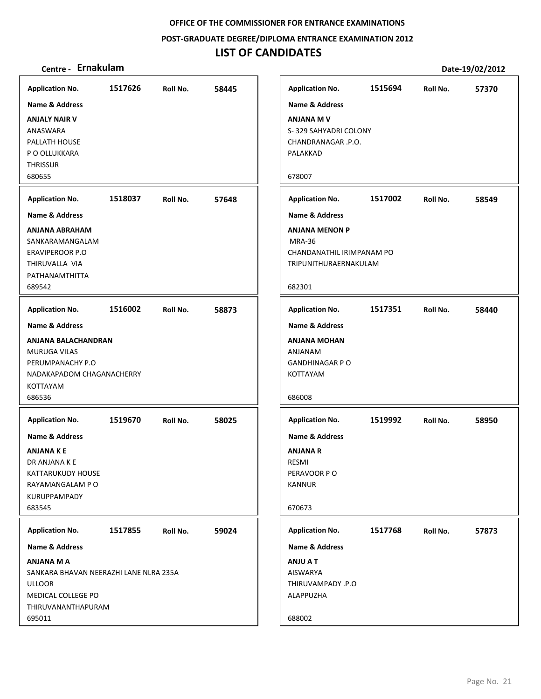**POST‐GRADUATE DEGREE/DIPLOMA ENTRANCE EXAMINATION 2012**

| Application No. 1517626 Roll No. 58445 |                  |       | <b>Applio</b> |
|----------------------------------------|------------------|-------|---------------|
| <b>Name &amp; Address</b>              |                  |       | Name          |
| <b>ANJALY NAIR V</b>                   |                  |       | ANJAM         |
| ANASWARA                               |                  |       | S-329         |
| PALLATH HOUSE                          |                  |       | <b>CHAN</b>   |
| P O OLLUKKARA                          |                  |       | PALAK         |
| <b>THRISSUR</b>                        |                  |       |               |
| 680655                                 |                  |       | 67800         |
| <b>Application No.</b>                 | 1518037 Roll No. | 57648 | Applio        |
| <b>Name &amp; Address</b>              |                  |       | Name          |
| ANJANA ABRAHAM                         |                  |       | ANJAM         |
| SANKARAMANGALAM                        |                  |       | MRA-          |
| <b>ERAVIPEROOR P.O</b>                 |                  |       | <b>CHAN</b>   |
| THIRUVALLA VIA                         |                  |       | TRIPU         |
| PATHANAMTHITTA                         |                  |       |               |
| 689542                                 |                  |       | 68230         |
| Application No. 1516002 Roll No. 58873 |                  |       | Applio        |
| <b>Name &amp; Address</b>              |                  |       | Name          |
| ANJANA BALACHANDRAN                    |                  |       | ANJAM         |
| <b>MURUGA VILAS</b>                    |                  |       | <b>ANJAM</b>  |
| PERUMPANACHY P.O                       |                  |       | <b>GAND</b>   |
| NADAKAPADOM CHAGANACHERRY              |                  |       | KOTTA         |
| <b>KOTTAYAM</b>                        |                  |       |               |
| 686536                                 |                  |       | 68600         |
| <b>Application No.</b>                 | 1519670 Roll No. | 58025 | Applio        |
| <b>Name &amp; Address</b>              |                  |       | Name          |
| ANJANA K E                             |                  |       | ANJAM         |
| DR ANJANA K E                          |                  |       | <b>RESMI</b>  |
| KATTARUKUDY HOUSE                      |                  |       | PERAV         |
| RAYAMANGALAM P O                       |                  |       | <b>KANN</b>   |
| <b>KURUPPAMPADY</b>                    |                  |       |               |
| 683545                                 |                  |       | 67067         |
| <b>Application No.</b>                 |                  | 59024 | <b>Applio</b> |
| <b>Name &amp; Address</b>              |                  |       | Name          |
| ANJANA M A                             |                  |       | <b>ULIA</b>   |
| SANKARA BHAVAN NEERAZHI LANE NLRA 235A |                  |       | AISW/         |
| ULLOOR                                 |                  |       | THIRU         |
| MEDICAL COLLEGE PO                     |                  |       | <b>ALAPP</b>  |
| THIRUVANANTHAPURAM                     |                  |       |               |
| 695011                                 |                  |       | 68800         |
|                                        |                  |       |               |

| Centre - Ernakulam                                                                                                                                                                                                           |                    |                      |                |
|------------------------------------------------------------------------------------------------------------------------------------------------------------------------------------------------------------------------------|--------------------|----------------------|----------------|
| olication No.<br>ne & Address<br><b>ALY NAIR V</b><br><b>\SWARA</b><br>LATH HOUSE<br>OLLUKKARA<br><b>ISSUR</b><br>655<br>olication No.<br>ne & Address<br><b>ANA ABRAHAM</b><br>IKARAMANGALAM<br>VIPEROOR P.O<br>RUVALLA VIA | 1517626<br>1518037 | Roll No.<br>Roll No. | 58445<br>57648 |
| HANAMTHITTA<br>542                                                                                                                                                                                                           |                    |                      |                |
| olication No.<br>ne & Address                                                                                                                                                                                                | 1516002            | Roll No.             | 58873          |
| ANA BALACHANDRAN<br>RUGA VILAS<br>UMPANACHY P.O<br><b>DAKAPADOM CHAGANACHERRY</b><br>TAYAM<br>536                                                                                                                            |                    |                      |                |
| olication No.                                                                                                                                                                                                                | 1519670            | Roll No.             | 58025          |
| ne & Address<br><b>ANAKE</b><br>ANJANA K E<br>TARUKUDY HOUSE<br>'AMANGALAM P O<br>IUPPAMPADY<br>545                                                                                                                          |                    |                      |                |
| olication No.                                                                                                                                                                                                                | 1517855            | Roll No.             | 59024          |
| ne & Address<br>ANA M A<br>IKARA BHAVAN NEERAZHI LANE NLRA 235A                                                                                                                                                              |                    |                      |                |
| OOR<br>DICAL COLLEGE PO<br>RUVANANTHAPURAM<br>011                                                                                                                                                                            |                    |                      |                |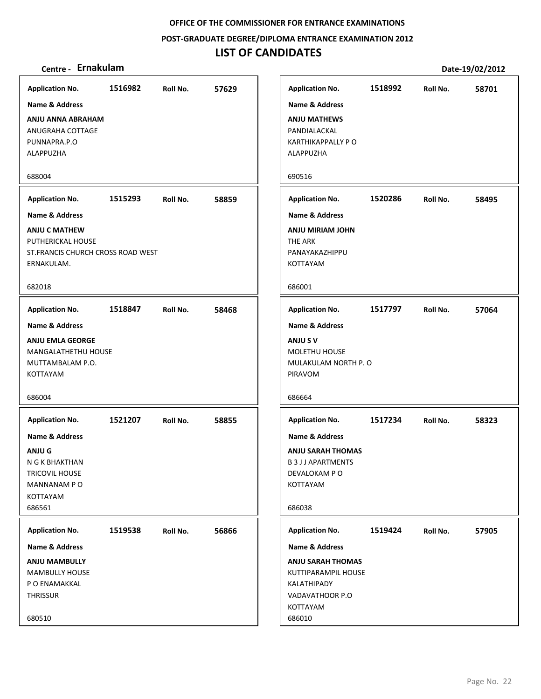**POST‐GRADUATE DEGREE/DIPLOMA ENTRANCE EXAMINATION 2012**

## **LIST OF CANDIDATES**

|                                    |         |          |       |                           |         |          | PULL 1970676016 |
|------------------------------------|---------|----------|-------|---------------------------|---------|----------|-----------------|
| <b>Application No.</b>             | 1516982 | Roll No. | 57629 | <b>Application No.</b>    | 1518992 | Roll No. | 58701           |
| Name & Address                     |         |          |       | <b>Name &amp; Address</b> |         |          |                 |
| ANJU ANNA ABRAHAM                  |         |          |       | <b>ANJU MATHEWS</b>       |         |          |                 |
| ANUGRAHA COTTAGE                   |         |          |       | PANDIALACKAL              |         |          |                 |
| PUNNAPRA.P.O                       |         |          |       | <b>KARTHIKAPPALLY P O</b> |         |          |                 |
| ALAPPUZHA                          |         |          |       | ALAPPUZHA                 |         |          |                 |
|                                    |         |          |       |                           |         |          |                 |
| 688004                             |         |          |       | 690516                    |         |          |                 |
| <b>Application No.</b>             | 1515293 | Roll No. | 58859 | <b>Application No.</b>    | 1520286 | Roll No. | 58495           |
| Name & Address                     |         |          |       | <b>Name &amp; Address</b> |         |          |                 |
| <b>ANJU C MATHEW</b>               |         |          |       | ANJU MIRIAM JOHN          |         |          |                 |
| PUTHERICKAL HOUSE                  |         |          |       | THE ARK                   |         |          |                 |
| ST. FRANCIS CHURCH CROSS ROAD WEST |         |          |       | PANAYAKAZHIPPU            |         |          |                 |
| ERNAKULAM.                         |         |          |       | KOTTAYAM                  |         |          |                 |
| 682018                             |         |          |       | 686001                    |         |          |                 |
| <b>Application No.</b>             | 1518847 | Roll No. | 58468 | <b>Application No.</b>    | 1517797 | Roll No. | 57064           |
| <b>Name &amp; Address</b>          |         |          |       | <b>Name &amp; Address</b> |         |          |                 |
| <b>ANJU EMLA GEORGE</b>            |         |          |       | ANJU S V                  |         |          |                 |
| MANGALATHETHU HOUSE                |         |          |       | MOLETHU HOUSE             |         |          |                 |
| MUTTAMBALAM P.O.                   |         |          |       | MULAKULAM NORTH P. O      |         |          |                 |
| KOTTAYAM                           |         |          |       | PIRAVOM                   |         |          |                 |
| 686004                             |         |          |       | 686664                    |         |          |                 |
|                                    |         |          |       |                           |         |          |                 |
| <b>Application No.</b>             | 1521207 | Roll No. | 58855 | <b>Application No.</b>    | 1517234 | Roll No. | 58323           |
| Name & Address                     |         |          |       | <b>Name &amp; Address</b> |         |          |                 |
| <b>ANJUG</b>                       |         |          |       | <b>ANJU SARAH THOMAS</b>  |         |          |                 |
| N G K BHAKTHAN                     |         |          |       | <b>B3JJAPARTMENTS</b>     |         |          |                 |
| TRICOVIL HOUSE                     |         |          |       | DEVALOKAM PO              |         |          |                 |
| MANNANAM PO                        |         |          |       | KOTTAYAM                  |         |          |                 |
| KOTTAYAM<br>686561                 |         |          |       | 686038                    |         |          |                 |
|                                    |         |          |       |                           |         |          |                 |
| <b>Application No.</b>             | 1519538 | Roll No. | 56866 | <b>Application No.</b>    | 1519424 | Roll No. | 57905           |
| Name & Address                     |         |          |       | Name & Address            |         |          |                 |
| <b>ANJU MAMBULLY</b>               |         |          |       | <b>ANJU SARAH THOMAS</b>  |         |          |                 |
| <b>MAMBULLY HOUSE</b>              |         |          |       | KUTTIPARAMPIL HOUSE       |         |          |                 |
| P O ENAMAKKAL                      |         |          |       | KALATHIPADY               |         |          |                 |
| THRISSUR                           |         |          |       | VADAVATHOOR P.O           |         |          |                 |
| 680510                             |         |          |       | KOTTAYAM<br>686010        |         |          |                 |
|                                    |         |          |       |                           |         |          |                 |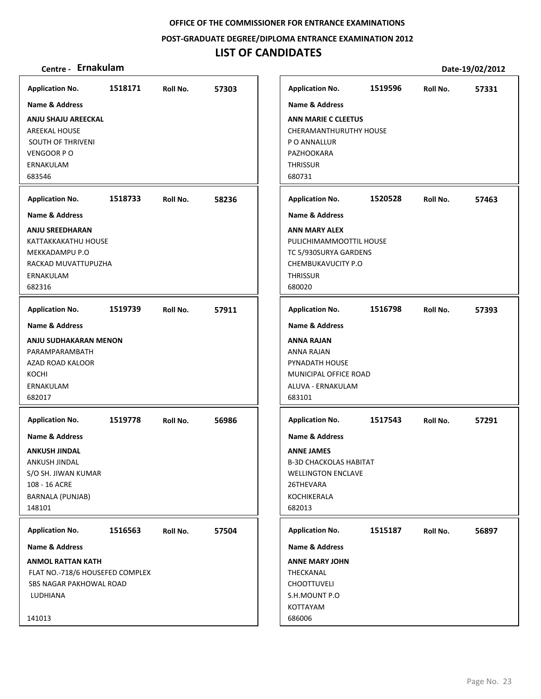**POST‐GRADUATE DEGREE/DIPLOMA ENTRANCE EXAMINATION 2012**

| Centre - Ernakulam                                                                                            |         |          |       |                                                                                                                             |         |          | Date-19/02/2012 |
|---------------------------------------------------------------------------------------------------------------|---------|----------|-------|-----------------------------------------------------------------------------------------------------------------------------|---------|----------|-----------------|
| <b>Application No.</b>                                                                                        | 1518171 | Roll No. | 57303 | <b>Application No.</b>                                                                                                      | 1519596 | Roll No. | 57331           |
| Name & Address                                                                                                |         |          |       | <b>Name &amp; Address</b>                                                                                                   |         |          |                 |
| <b>ANJU SHAJU AREECKAL</b><br><b>AREEKAL HOUSE</b><br>SOUTH OF THRIVENI<br>VENGOOR PO<br>ERNAKULAM<br>683546  |         |          |       | <b>ANN MARIE C CLEETUS</b><br>CHERAMANTHURUTHY HOUSE<br>P O ANNALLUR<br>PAZHOOKARA<br><b>THRISSUR</b><br>680731             |         |          |                 |
| <b>Application No.</b>                                                                                        | 1518733 | Roll No. | 58236 | <b>Application No.</b>                                                                                                      | 1520528 | Roll No. | 57463           |
| Name & Address                                                                                                |         |          |       | <b>Name &amp; Address</b>                                                                                                   |         |          |                 |
| <b>ANJU SREEDHARAN</b><br>KATTAKKAKATHU HOUSE<br>MEKKADAMPU P.O<br>RACKAD MUVATTUPUZHA<br>ERNAKULAM<br>682316 |         |          |       | <b>ANN MARY ALEX</b><br>PULICHIMAMMOOTTIL HOUSE<br>TC 5/930SURYA GARDENS<br>CHEMBUKAVUCITY P.O<br><b>THRISSUR</b><br>680020 |         |          |                 |
| <b>Application No.</b>                                                                                        | 1519739 | Roll No. | 57911 | <b>Application No.</b>                                                                                                      | 1516798 | Roll No. | 57393           |
| Name & Address                                                                                                |         |          |       | <b>Name &amp; Address</b>                                                                                                   |         |          |                 |
| ANJU SUDHAKARAN MENON<br>PARAMPARAMBATH<br>AZAD ROAD KALOOR<br>KOCHI<br>ERNAKULAM<br>682017                   |         |          |       | <b>ANNA RAJAN</b><br>ANNA RAJAN<br>PYNADATH HOUSE<br>MUNICIPAL OFFICE ROAD<br>ALUVA - ERNAKULAM<br>683101                   |         |          |                 |
| <b>Application No.</b>                                                                                        | 1519778 | Roll No. | 56986 | <b>Application No.</b>                                                                                                      | 1517543 | Roll No. | 57291           |
| <b>Name &amp; Address</b>                                                                                     |         |          |       | <b>Name &amp; Address</b>                                                                                                   |         |          |                 |
| <b>ANKUSH JINDAL</b><br>ANKUSH JINDAL<br>S/O SH. JIWAN KUMAR<br>108 - 16 ACRE<br>BARNALA (PUNJAB)<br>148101   |         |          |       | <b>ANNE JAMES</b><br><b>B-3D CHACKOLAS HABITAT</b><br><b>WELLINGTON ENCLAVE</b><br>26THEVARA<br>KOCHIKERALA<br>682013       |         |          |                 |
| <b>Application No.</b>                                                                                        | 1516563 | Roll No. | 57504 | <b>Application No.</b>                                                                                                      | 1515187 | Roll No. | 56897           |
| <b>Name &amp; Address</b>                                                                                     |         |          |       | Name & Address                                                                                                              |         |          |                 |
| <b>ANMOL RATTAN KATH</b><br>FLAT NO.-718/6 HOUSEFED COMPLEX<br>SBS NAGAR PAKHOWAL ROAD<br>LUDHIANA<br>141013  |         |          |       | <b>ANNE MARY JOHN</b><br>THECKANAL<br><b>CHOOTTUVELI</b><br>S.H.MOUNT P.O<br>KOTTAYAM<br>686006                             |         |          |                 |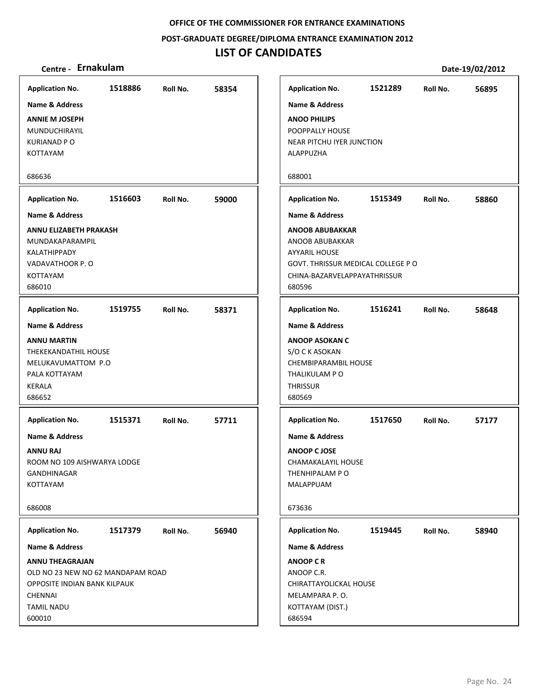**POST‐GRADUATE DEGREE/DIPLOMA ENTRANCE EXAMINATION 2012**

## **LIST OF CANDIDATES**

| <b>Application No.</b>                                                                                                                                         | 1518886 | Roll No. | 58354 |
|----------------------------------------------------------------------------------------------------------------------------------------------------------------|---------|----------|-------|
| Name & Address                                                                                                                                                 |         |          |       |
| <b>ANNIE M JOSEPH</b><br>MUNDUCHIRAYIL<br><b>KURIANAD PO</b><br>KOTTAYAM                                                                                       |         |          |       |
| 686636                                                                                                                                                         |         |          |       |
| <b>Application No.</b>                                                                                                                                         | 1516603 | Roll No. | 59000 |
| <b>Name &amp; Address</b><br>ANNU ELIZABETH PRAKASH<br>MUNDAKAPARAMPIL<br>KALATHIPPADY<br>VADAVATHOOR P.O<br>KOTTAYAM<br>686010                                |         |          |       |
| <b>Application No.</b>                                                                                                                                         | 1519755 | Roll No. | 58371 |
| <b>ANNU MARTIN</b><br>THEKEKANDATHIL HOUSE<br>MELUKAVUMATTOM P.O<br>PALA KOTTAYAM<br><b>KERALA</b><br>686652                                                   |         |          |       |
| <b>Application No.</b><br>Name & Address<br><b>ANNU RAJ</b><br>ROOM NO 109 AISHWARYA LODGE<br>GANDHINAGAR<br>KOTTAYAM<br>686008                                | 1515371 | Roll No. | 57711 |
| <b>Application No.</b>                                                                                                                                         | 1517379 | Roll No. | 56940 |
| Name & Address<br><b>ANNU THEAGRAJAN</b><br>OLD NO 23 NEW NO 62 MANDAPAM ROAD<br>OPPOSITE INDIAN BANK KILPAUK<br><b>CHENNAI</b><br><b>TAMIL NADU</b><br>600010 |         |          |       |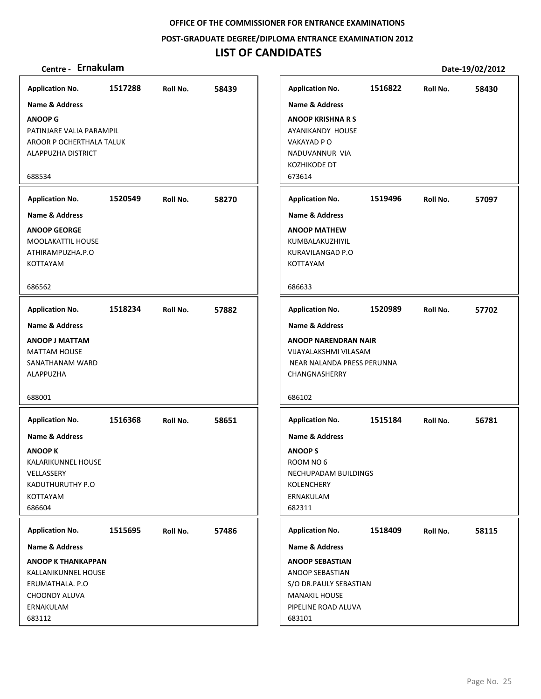### **POST‐GRADUATE DEGREE/DIPLOMA ENTRANCE EXAMINATION 2012**

## **LIST OF CANDIDATES**

| <b>Application No.</b>              | 1517288 | Roll No. | 58439 |               | <b>Application No.</b>       | 1516822 | Roll No. | 58430 |
|-------------------------------------|---------|----------|-------|---------------|------------------------------|---------|----------|-------|
| Name & Address                      |         |          |       |               | <b>Name &amp; Address</b>    |         |          |       |
| <b>ANOOP G</b>                      |         |          |       |               | <b>ANOOP KRISHNA R S</b>     |         |          |       |
| PATINJARE VALIA PARAMPIL            |         |          |       |               | AYANIKANDY HOUSE             |         |          |       |
| AROOR P OCHERTHALA TALUK            |         |          |       |               | VAKAYAD P O                  |         |          |       |
| ALAPPUZHA DISTRICT                  |         |          |       |               | NADUVANNUR VIA               |         |          |       |
| 688534                              |         |          |       | 673614        | KOZHIKODE DT                 |         |          |       |
|                                     |         |          |       |               |                              |         |          |       |
| <b>Application No.</b>              | 1520549 | Roll No. | 58270 |               | <b>Application No.</b>       | 1519496 | Roll No. | 57097 |
| <b>Name &amp; Address</b>           |         |          |       |               | <b>Name &amp; Address</b>    |         |          |       |
| <b>ANOOP GEORGE</b>                 |         |          |       |               | <b>ANOOP MATHEW</b>          |         |          |       |
| MOOLAKATTIL HOUSE                   |         |          |       |               | KUMBALAKUZHIYIL              |         |          |       |
| ATHIRAMPUZHA.P.O<br><b>KOTTAYAM</b> |         |          |       |               | KURAVILANGAD P.O<br>KOTTAYAM |         |          |       |
|                                     |         |          |       |               |                              |         |          |       |
| 686562                              |         |          |       | 686633        |                              |         |          |       |
| <b>Application No.</b>              | 1518234 | Roll No. | 57882 |               | <b>Application No.</b>       | 1520989 | Roll No. | 57702 |
| Name & Address                      |         |          |       |               | Name & Address               |         |          |       |
| <b>ANOOP J MATTAM</b>               |         |          |       |               | <b>ANOOP NARENDRAN NAIR</b>  |         |          |       |
| <b>MATTAM HOUSE</b>                 |         |          |       |               | VIJAYALAKSHMI VILASAM        |         |          |       |
| SANATHANAM WARD                     |         |          |       |               | NEAR NALANDA PRESS PERUNNA   |         |          |       |
| ALAPPUZHA                           |         |          |       |               | CHANGNASHERRY                |         |          |       |
|                                     |         |          |       |               |                              |         |          |       |
| 688001                              |         |          |       | 686102        |                              |         |          |       |
| <b>Application No.</b>              | 1516368 | Roll No. | 58651 |               | <b>Application No.</b>       | 1515184 | Roll No. | 56781 |
| <b>Name &amp; Address</b>           |         |          |       |               | <b>Name &amp; Address</b>    |         |          |       |
| <b>ANOOP K</b>                      |         |          |       | <b>ANOOPS</b> |                              |         |          |       |
| KALARIKUNNEL HOUSE                  |         |          |       |               | ROOM NO 6                    |         |          |       |
| VELLASSERY                          |         |          |       |               | NECHUPADAM BUILDINGS         |         |          |       |
| KADUTHURUTHY P.O                    |         |          |       |               | <b>KOLENCHERY</b>            |         |          |       |
| KOTTAYAM                            |         |          |       |               | ERNAKULAM                    |         |          |       |
| 686604                              |         |          |       | 682311        |                              |         |          |       |
| <b>Application No.</b>              | 1515695 | Roll No. | 57486 |               | <b>Application No.</b>       | 1518409 | Roll No. | 58115 |
| Name & Address                      |         |          |       |               | Name & Address               |         |          |       |
| <b>ANOOP K THANKAPPAN</b>           |         |          |       |               | <b>ANOOP SEBASTIAN</b>       |         |          |       |
| KALLANIKUNNEL HOUSE                 |         |          |       |               | ANOOP SEBASTIAN              |         |          |       |
| ERUMATHALA. P.O                     |         |          |       |               | S/O DR.PAULY SEBASTIAN       |         |          |       |
| CHOONDY ALUVA                       |         |          |       |               | <b>MANAKIL HOUSE</b>         |         |          |       |
| ERNAKULAM                           |         |          |       |               | PIPELINE ROAD ALUVA          |         |          |       |
| 683112                              |         |          |       | 683101        |                              |         |          |       |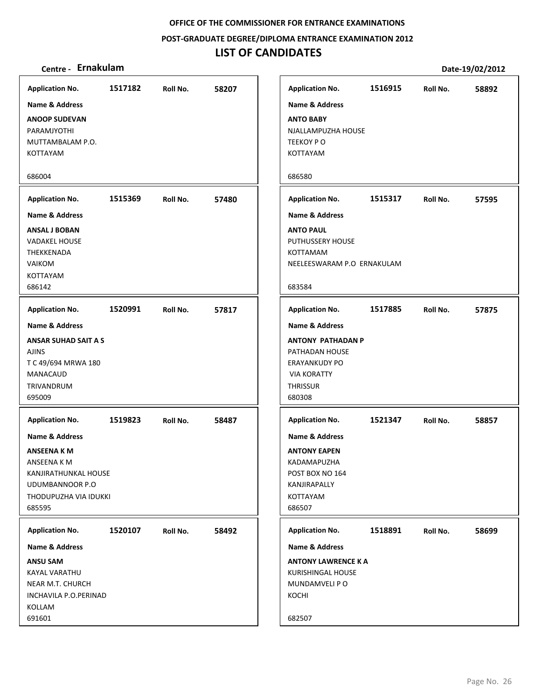**POST‐GRADUATE DEGREE/DIPLOMA ENTRANCE EXAMINATION 2012**

## **LIST OF CANDIDATES**

| <b>Application No.</b>      | 1517182 | Roll No. | 58207 |
|-----------------------------|---------|----------|-------|
| Name & Address              |         |          |       |
| <b>ANOOP SUDEVAN</b>        |         |          |       |
| PARAMJYOTHI                 |         |          |       |
| MUTTAMBALAM P.O.            |         |          |       |
| KOTTAYAM                    |         |          |       |
| 686004                      |         |          |       |
| <b>Application No.</b>      | 1515369 | Roll No. | 57480 |
| Name & Address              |         |          |       |
| <b>ANSAL J BOBAN</b>        |         |          |       |
| <b>VADAKEL HOUSE</b>        |         |          |       |
| THEKKENADA                  |         |          |       |
| <b>VAIKOM</b>               |         |          |       |
| KOTTAYAM                    |         |          |       |
| 686142                      |         |          |       |
| <b>Application No.</b>      | 1520991 | Roll No. | 57817 |
| Name & Address              |         |          |       |
| <b>ANSAR SUHAD SAIT A S</b> |         |          |       |
| <b>AJINS</b>                |         |          |       |
| T C 49/694 MRWA 180         |         |          |       |
| MANACAUD                    |         |          |       |
| TRIVANDRUM                  |         |          |       |
| 695009                      |         |          |       |
| <b>Application No.</b>      | 1519823 | Roll No. | 58487 |
| Name & Address              |         |          |       |
| <b>ANSEENA K M</b>          |         |          |       |
| ANSEENA K M                 |         |          |       |
| KANJIRATHUNKAL HOUSE        |         |          |       |
| UDUMBANNOOR P.O             |         |          |       |
| THODUPUZHA VIA IDUKKI       |         |          |       |
| 685595                      |         |          |       |
| <b>Application No.</b>      | 1520107 | Roll No. | 58492 |
| Name & Address              |         |          |       |
| <b>ANSU SAM</b>             |         |          |       |
| <b>KAYAL VARATHU</b>        |         |          |       |
| NEAR M.T. CHURCH            |         |          |       |
| INCHAVILA P.O.PERINAD       |         |          |       |
| KOLLAM                      |         |          |       |
| 691601                      |         |          |       |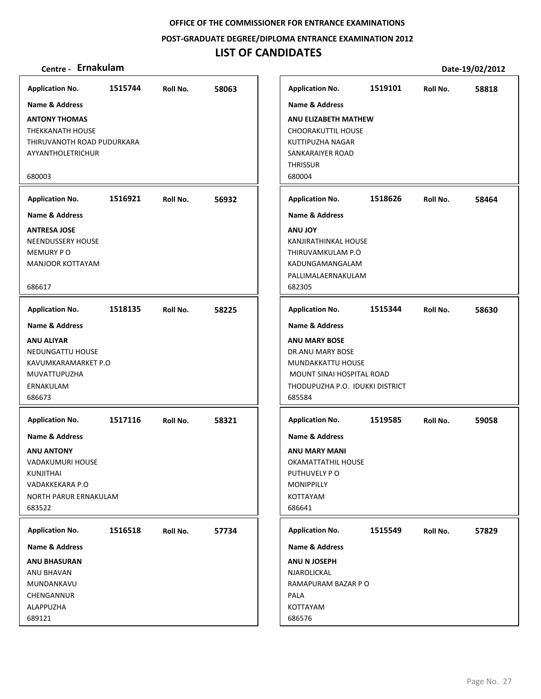### **POST‐GRADUATE DEGREE/DIPLOMA ENTRANCE EXAMINATION 2012**

## **LIST OF CANDIDATES**

| <b>Application No.</b>                                                                                                                | 1515744 | Roll No. | 58063 | <b>Application No.</b>                                                                                                                  | 1519101 | Roll No. | 58818 |
|---------------------------------------------------------------------------------------------------------------------------------------|---------|----------|-------|-----------------------------------------------------------------------------------------------------------------------------------------|---------|----------|-------|
| Name & Address                                                                                                                        |         |          |       | <b>Name &amp; Address</b>                                                                                                               |         |          |       |
| <b>ANTONY THOMAS</b><br><b>THEKKANATH HOUSE</b><br>THIRUVANOTH ROAD PUDURKARA<br>AYYANTHOLETRICHUR<br>680003                          |         |          |       | ANU ELIZABETH MATHEW<br><b>CHOORAKUTTIL HOUSE</b><br>KUTTIPUZHA NAGAR<br>SANKARAIYER ROAD<br><b>THRISSUR</b><br>680004                  |         |          |       |
| <b>Application No.</b>                                                                                                                | 1516921 | Roll No. | 56932 | <b>Application No.</b>                                                                                                                  | 1518626 | Roll No. | 58464 |
| <b>Name &amp; Address</b>                                                                                                             |         |          |       | <b>Name &amp; Address</b>                                                                                                               |         |          |       |
| <b>ANTRESA JOSE</b><br><b>NEENDUSSERY HOUSE</b><br>MEMURY PO<br>MANJOOR KOTTAYAM<br>686617                                            |         |          |       | <b>ANU JOY</b><br>KANJIRATHINKAL HOUSE<br>THIRUVAMKULAM P.O<br>KADUNGAMANGALAM<br>PALLIMALAERNAKULAM<br>682305                          |         |          |       |
| <b>Application No.</b>                                                                                                                | 1518135 | Roll No. | 58225 | <b>Application No.</b>                                                                                                                  | 1515344 | Roll No. | 58630 |
| <b>Name &amp; Address</b>                                                                                                             |         |          |       | <b>Name &amp; Address</b>                                                                                                               |         |          |       |
| <b>ANU ALIYAR</b><br>NEDUNGATTU HOUSE<br>KAVUMKARAMARKET P.O<br>MUVATTUPUZHA<br>ERNAKULAM<br>686673                                   |         |          |       | <b>ANU MARY BOSE</b><br>DR.ANU MARY BOSE<br>MUNDAKKATTU HOUSE<br>MOUNT SINAI HOSPITAL ROAD<br>THODUPUZHA P.O. IDUKKI DISTRICT<br>685584 |         |          |       |
| <b>Application No.</b>                                                                                                                | 1517116 | Roll No. | 58321 | <b>Application No.</b>                                                                                                                  | 1519585 | Roll No. | 59058 |
| <b>Name &amp; Address</b><br><b>ANU ANTONY</b><br>VADAKUMURI HOUSE<br>KUNJITHAI<br>VADAKKEKARA P.O<br>NORTH PARUR ERNAKULAM<br>683522 |         |          |       | <b>Name &amp; Address</b><br><b>ANU MARY MANI</b><br>OKAMATTATHIL HOUSE<br>PUTHUVELY PO<br><b>MONIPPILLY</b><br>KOTTAYAM<br>686641      |         |          |       |
| <b>Application No.</b>                                                                                                                | 1516518 | Roll No. | 57734 | <b>Application No.</b>                                                                                                                  | 1515549 | Roll No. | 57829 |
| Name & Address                                                                                                                        |         |          |       | Name & Address                                                                                                                          |         |          |       |
| <b>ANU BHASURAN</b><br>ANU BHAVAN<br>MUNDANKAVU<br>CHENGANNUR<br>ALAPPUZHA<br>689121                                                  |         |          |       | ANU N JOSEPH<br>NJAROLICKAL<br>RAMAPURAM BAZAR P O<br>PALA<br>KOTTAYAM<br>686576                                                        |         |          |       |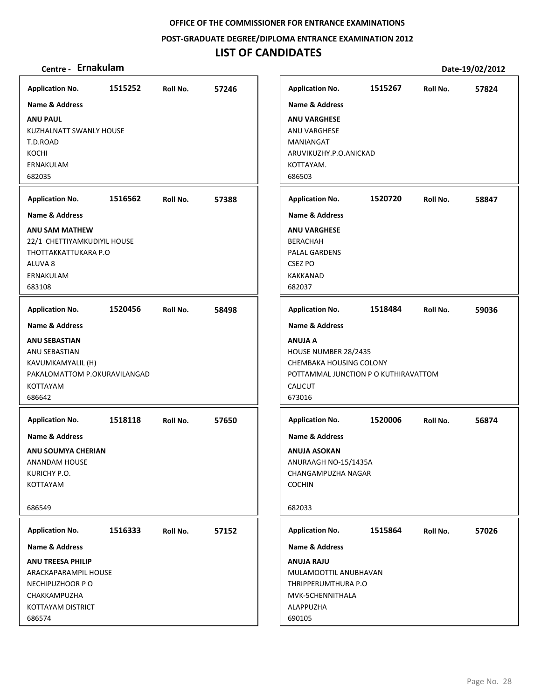**POST‐GRADUATE DEGREE/DIPLOMA ENTRANCE EXAMINATION 2012**

## **LIST OF CANDIDATES**

| <b>Application No.</b>       | 1515252 | Roll No. | 57246 | <b>Application No.</b>               | 1515267 | Roll No. | 57824 |
|------------------------------|---------|----------|-------|--------------------------------------|---------|----------|-------|
| <b>Name &amp; Address</b>    |         |          |       | <b>Name &amp; Address</b>            |         |          |       |
| <b>ANU PAUL</b>              |         |          |       | <b>ANU VARGHESE</b>                  |         |          |       |
| KUZHALNATT SWANLY HOUSE      |         |          |       | ANU VARGHESE                         |         |          |       |
| T.D.ROAD                     |         |          |       | MANIANGAT                            |         |          |       |
| KOCHI                        |         |          |       | ARUVIKUZHY.P.O.ANICKAD               |         |          |       |
| ERNAKULAM                    |         |          |       | KOTTAYAM.                            |         |          |       |
| 682035                       |         |          |       | 686503                               |         |          |       |
| <b>Application No.</b>       | 1516562 | Roll No. | 57388 | <b>Application No.</b>               | 1520720 | Roll No. | 58847 |
| Name & Address               |         |          |       | Name & Address                       |         |          |       |
| <b>ANU SAM MATHEW</b>        |         |          |       | <b>ANU VARGHESE</b>                  |         |          |       |
| 22/1 CHETTIYAMKUDIYIL HOUSE  |         |          |       | <b>BERACHAH</b>                      |         |          |       |
| THOTTAKKATTUKARA P.O         |         |          |       | PALAL GARDENS                        |         |          |       |
| ALUVA <sub>8</sub>           |         |          |       | <b>CSEZ PO</b>                       |         |          |       |
| ERNAKULAM                    |         |          |       | <b>KAKKANAD</b>                      |         |          |       |
| 683108                       |         |          |       | 682037                               |         |          |       |
| <b>Application No.</b>       | 1520456 | Roll No. | 58498 | <b>Application No.</b>               | 1518484 | Roll No. | 59036 |
| <b>Name &amp; Address</b>    |         |          |       | <b>Name &amp; Address</b>            |         |          |       |
| <b>ANU SEBASTIAN</b>         |         |          |       | <b>ANUJA A</b>                       |         |          |       |
| ANU SEBASTIAN                |         |          |       | HOUSE NUMBER 28/2435                 |         |          |       |
| KAVUMKAMYALIL (H)            |         |          |       | CHEMBAKA HOUSING COLONY              |         |          |       |
| PAKALOMATTOM P.OKURAVILANGAD |         |          |       | POTTAMMAL JUNCTION P O KUTHIRAVATTOM |         |          |       |
| <b>KOTTAYAM</b>              |         |          |       | <b>CALICUT</b>                       |         |          |       |
| 686642                       |         |          |       | 673016                               |         |          |       |
|                              |         |          |       |                                      | 1520006 |          |       |
| <b>Application No.</b>       | 1518118 | Roll No. | 57650 | <b>Application No.</b>               |         | Roll No. | 56874 |
| Name & Address               |         |          |       | <b>Name &amp; Address</b>            |         |          |       |
| <b>ANU SOUMYA CHERIAN</b>    |         |          |       | <b>ANUJA ASOKAN</b>                  |         |          |       |
| <b>ANANDAM HOUSE</b>         |         |          |       | ANURAAGH NO-15/1435A                 |         |          |       |
| KURICHY P.O.                 |         |          |       | CHANGAMPUZHA NAGAR                   |         |          |       |
| KOTTAYAM                     |         |          |       | <b>COCHIN</b>                        |         |          |       |
| 686549                       |         |          |       | 682033                               |         |          |       |
| <b>Application No.</b>       | 1516333 | Roll No. | 57152 | <b>Application No.</b>               | 1515864 | Roll No. | 57026 |
| Name & Address               |         |          |       | <b>Name &amp; Address</b>            |         |          |       |
| <b>ANU TREESA PHILIP</b>     |         |          |       | <b>ANUJA RAJU</b>                    |         |          |       |
| ARACKAPARAMPIL HOUSE         |         |          |       | MULAMOOTTIL ANUBHAVAN                |         |          |       |
| NECHIPUZHOOR PO              |         |          |       | THRIPPERUMTHURA P.O                  |         |          |       |
| CHAKKAMPUZHA                 |         |          |       | MVK-5CHENNITHALA                     |         |          |       |
| KOTTAYAM DISTRICT            |         |          |       | ALAPPUZHA                            |         |          |       |
| 686574                       |         |          |       | 690105                               |         |          |       |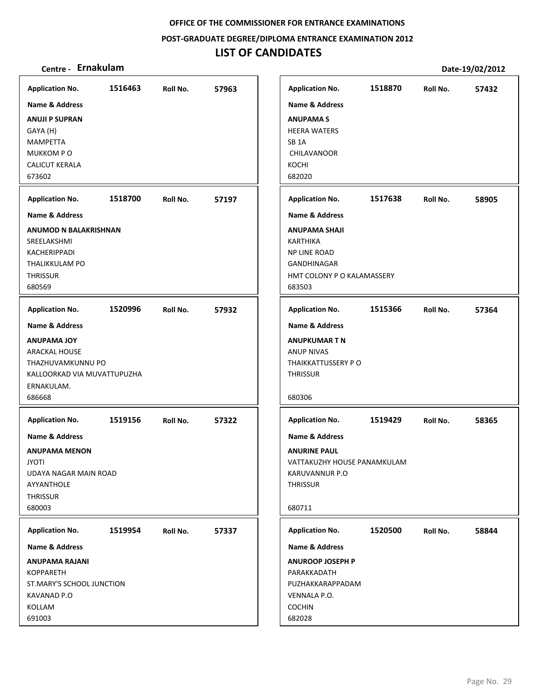**POST‐GRADUATE DEGREE/DIPLOMA ENTRANCE EXAMINATION 2012**

## **LIST OF CANDIDATES**

| <b>Application No.</b>                                                                                                                                                                                 | 1516463 | Roll No. | 57963 |                                                                         | <b>Application No.</b>                                                                                      | 1518870 | Roll No. | 57432 |
|--------------------------------------------------------------------------------------------------------------------------------------------------------------------------------------------------------|---------|----------|-------|-------------------------------------------------------------------------|-------------------------------------------------------------------------------------------------------------|---------|----------|-------|
| <b>Name &amp; Address</b>                                                                                                                                                                              |         |          |       |                                                                         | <b>Name &amp; Address</b>                                                                                   |         |          |       |
| <b>ANUJI P SUPRAN</b>                                                                                                                                                                                  |         |          |       |                                                                         | <b>ANUPAMAS</b>                                                                                             |         |          |       |
| GAYA (H)                                                                                                                                                                                               |         |          |       |                                                                         | <b>HEERA WATERS</b>                                                                                         |         |          |       |
| <b>MAMPETTA</b>                                                                                                                                                                                        |         |          |       | SB <sub>1</sub> A                                                       |                                                                                                             |         |          |       |
| MUKKOM PO                                                                                                                                                                                              |         |          |       |                                                                         | CHILAVANOOR                                                                                                 |         |          |       |
| <b>CALICUT KERALA</b>                                                                                                                                                                                  |         |          |       | KOCHI                                                                   |                                                                                                             |         |          |       |
|                                                                                                                                                                                                        |         |          |       |                                                                         |                                                                                                             |         |          |       |
| 673602                                                                                                                                                                                                 |         |          |       | 682020                                                                  |                                                                                                             |         |          |       |
| <b>Application No.</b>                                                                                                                                                                                 | 1518700 | Roll No. | 57197 |                                                                         | <b>Application No.</b>                                                                                      | 1517638 | Roll No. | 58905 |
| Name & Address                                                                                                                                                                                         |         |          |       |                                                                         | <b>Name &amp; Address</b>                                                                                   |         |          |       |
| ANUMOD N BALAKRISHNAN                                                                                                                                                                                  |         |          |       |                                                                         | <b>ANUPAMA SHAJI</b>                                                                                        |         |          |       |
| SREELAKSHMI                                                                                                                                                                                            |         |          |       | <b>KARTHIKA</b>                                                         |                                                                                                             |         |          |       |
| KACHERIPPADI                                                                                                                                                                                           |         |          |       |                                                                         | <b>NP LINE ROAD</b>                                                                                         |         |          |       |
| THALIKKULAM PO                                                                                                                                                                                         |         |          |       |                                                                         | GANDHINAGAR                                                                                                 |         |          |       |
| <b>THRISSUR</b>                                                                                                                                                                                        |         |          |       |                                                                         | HMT COLONY P O KALAMASSERY                                                                                  |         |          |       |
| 680569                                                                                                                                                                                                 |         |          |       | 683503                                                                  |                                                                                                             |         |          |       |
| <b>Application No.</b>                                                                                                                                                                                 | 1520996 | Roll No. | 57932 |                                                                         | <b>Application No.</b>                                                                                      | 1515366 | Roll No. | 57364 |
|                                                                                                                                                                                                        |         |          |       |                                                                         |                                                                                                             |         |          |       |
| <b>Name &amp; Address</b>                                                                                                                                                                              |         |          |       |                                                                         | <b>Name &amp; Address</b>                                                                                   |         |          |       |
| <b>ANUPAMA JOY</b>                                                                                                                                                                                     |         |          |       |                                                                         | <b>ANUPKUMAR T N</b>                                                                                        |         |          |       |
| <b>ARACKAL HOUSE</b>                                                                                                                                                                                   |         |          |       |                                                                         | <b>ANUP NIVAS</b>                                                                                           |         |          |       |
|                                                                                                                                                                                                        |         |          |       |                                                                         |                                                                                                             |         |          |       |
|                                                                                                                                                                                                        |         |          |       |                                                                         |                                                                                                             |         |          |       |
|                                                                                                                                                                                                        |         |          |       |                                                                         |                                                                                                             |         |          |       |
|                                                                                                                                                                                                        |         |          |       |                                                                         |                                                                                                             |         |          |       |
| <b>Application No.</b>                                                                                                                                                                                 | 1519156 | Roll No. | 57322 |                                                                         | <b>Application No.</b>                                                                                      | 1519429 | Roll No. | 58365 |
| Name & Address                                                                                                                                                                                         |         |          |       |                                                                         | <b>Name &amp; Address</b>                                                                                   |         |          |       |
|                                                                                                                                                                                                        |         |          |       |                                                                         |                                                                                                             |         |          |       |
|                                                                                                                                                                                                        |         |          |       |                                                                         |                                                                                                             |         |          |       |
|                                                                                                                                                                                                        |         |          |       |                                                                         |                                                                                                             |         |          |       |
|                                                                                                                                                                                                        |         |          |       |                                                                         |                                                                                                             |         |          |       |
|                                                                                                                                                                                                        |         |          |       |                                                                         |                                                                                                             |         |          |       |
|                                                                                                                                                                                                        |         |          |       |                                                                         |                                                                                                             |         |          |       |
|                                                                                                                                                                                                        |         |          |       |                                                                         |                                                                                                             |         |          |       |
| <b>Application No.</b>                                                                                                                                                                                 | 1519954 | Roll No. | 57337 |                                                                         | <b>Application No.</b>                                                                                      | 1520500 | Roll No. | 58844 |
| Name & Address                                                                                                                                                                                         |         |          |       |                                                                         | Name & Address                                                                                              |         |          |       |
| <b>ANUPAMA RAJANI</b>                                                                                                                                                                                  |         |          |       |                                                                         | <b>ANUROOP JOSEPH P</b>                                                                                     |         |          |       |
| <b>KOPPARETH</b>                                                                                                                                                                                       |         |          |       |                                                                         | PARAKKADATH                                                                                                 |         |          |       |
| ST.MARY'S SCHOOL JUNCTION                                                                                                                                                                              |         |          |       |                                                                         | PUZHAKKARAPPADAM                                                                                            |         |          |       |
|                                                                                                                                                                                                        |         |          |       |                                                                         |                                                                                                             |         |          |       |
|                                                                                                                                                                                                        |         |          |       |                                                                         |                                                                                                             |         |          |       |
| 691003                                                                                                                                                                                                 |         |          |       | 682028                                                                  |                                                                                                             |         |          |       |
| THAZHUVAMKUNNU PO<br>KALLOORKAD VIA MUVATTUPUZHA<br>ERNAKULAM.<br>686668<br><b>ANUPAMA MENON</b><br><b>JYOTI</b><br>UDAYA NAGAR MAIN ROAD<br>AYYANTHOLE<br>THRISSUR<br>680003<br>KAVANAD P.O<br>KOLLAM |         |          |       | <b>THRISSUR</b><br>680306<br><b>THRISSUR</b><br>680711<br><b>COCHIN</b> | THAIKKATTUSSERY P O<br><b>ANURINE PAUL</b><br>VATTAKUZHY HOUSE PANAMKULAM<br>KARUVANNUR P.O<br>VENNALA P.O. |         |          |       |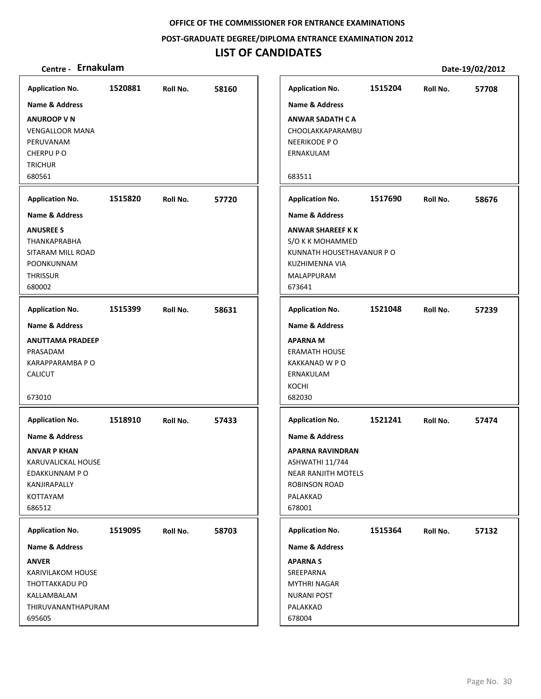**POST‐GRADUATE DEGREE/DIPLOMA ENTRANCE EXAMINATION 2012**

| Centre - Ernakulam                                                                                                             |         |          |       | Date-19/02/2012                                                                                                                              |         |          |       |  |
|--------------------------------------------------------------------------------------------------------------------------------|---------|----------|-------|----------------------------------------------------------------------------------------------------------------------------------------------|---------|----------|-------|--|
| <b>Application No.</b>                                                                                                         | 1520881 | Roll No. | 58160 | <b>Application No.</b>                                                                                                                       | 1515204 | Roll No. | 57708 |  |
| <b>Name &amp; Address</b>                                                                                                      |         |          |       | <b>Name &amp; Address</b>                                                                                                                    |         |          |       |  |
| <b>ANUROOP V N</b><br><b>VENGALLOOR MANA</b><br>PERUVANAM<br>CHERPU P O<br><b>TRICHUR</b>                                      |         |          |       | <b>ANWAR SADATH CA</b><br>CHOOLAKKAPARAMBU<br>NEERIKODE PO<br>ERNAKULAM                                                                      |         |          |       |  |
| 680561                                                                                                                         |         |          |       | 683511                                                                                                                                       |         |          |       |  |
| <b>Application No.</b>                                                                                                         | 1515820 | Roll No. | 57720 | <b>Application No.</b>                                                                                                                       | 1517690 | Roll No. | 58676 |  |
| <b>Name &amp; Address</b>                                                                                                      |         |          |       | Name & Address                                                                                                                               |         |          |       |  |
| <b>ANUSREE S</b><br><b>THANKAPRABHA</b><br>SITARAM MILL ROAD<br>POONKUNNAM<br><b>THRISSUR</b><br>680002                        |         |          |       | <b>ANWAR SHAREEF K K</b><br>S/O K K MOHAMMED<br>KUNNATH HOUSETHAVANUR PO<br>KUZHIMENNA VIA<br>MALAPPURAM<br>673641                           |         |          |       |  |
| <b>Application No.</b>                                                                                                         | 1515399 | Roll No. | 58631 | <b>Application No.</b>                                                                                                                       | 1521048 | Roll No. | 57239 |  |
| <b>Name &amp; Address</b><br><b>ANUTTAMA PRADEEP</b><br>PRASADAM<br>KARAPPARAMBA P O<br><b>CALICUT</b><br>673010               |         |          |       | Name & Address<br><b>APARNA M</b><br><b>ERAMATH HOUSE</b><br>KAKKANAD W P O<br>ERNAKULAM<br>KOCHI<br>682030                                  |         |          |       |  |
| <b>Application No.</b>                                                                                                         | 1518910 | Roll No. | 57433 | <b>Application No.</b>                                                                                                                       | 1521241 | Roll No. | 57474 |  |
| <b>Name &amp; Address</b><br><b>ANVAR P KHAN</b><br>KARUVALICKAL HOUSE<br>EDAKKUNNAM P O<br>KANJIRAPALLY<br>KOTTAYAM<br>686512 |         |          |       | <b>Name &amp; Address</b><br><b>APARNA RAVINDRAN</b><br>ASHWATHI 11/744<br>NEAR RANJITH MOTELS<br><b>ROBINSON ROAD</b><br>PALAKKAD<br>678001 |         |          |       |  |
| <b>Application No.</b>                                                                                                         | 1519095 | Roll No. | 58703 | <b>Application No.</b>                                                                                                                       | 1515364 | Roll No. | 57132 |  |
| <b>Name &amp; Address</b>                                                                                                      |         |          |       | <b>Name &amp; Address</b>                                                                                                                    |         |          |       |  |
| <b>ANVER</b><br><b>KARIVILAKOM HOUSE</b><br>THOTTAKKADU PO<br>KALLAMBALAM<br>THIRUVANANTHAPURAM<br>695605                      |         |          |       | <b>APARNAS</b><br>SREEPARNA<br><b>MYTHRI NAGAR</b><br><b>NURANI POST</b><br>PALAKKAD<br>678004                                               |         |          |       |  |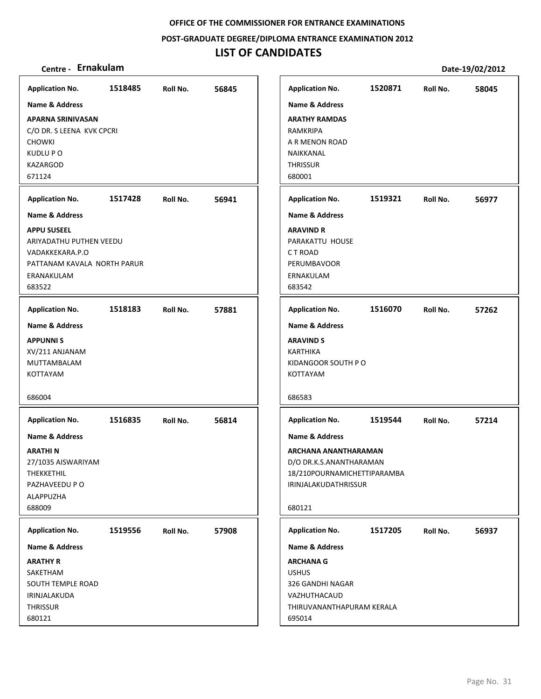**POST‐GRADUATE DEGREE/DIPLOMA ENTRANCE EXAMINATION 2012**

| Centre - Ernakulam          |         |          |       |                             |         |          | Date-19/02/2012 |
|-----------------------------|---------|----------|-------|-----------------------------|---------|----------|-----------------|
| <b>Application No.</b>      | 1518485 | Roll No. | 56845 | <b>Application No.</b>      | 1520871 | Roll No. | 58045           |
| <b>Name &amp; Address</b>   |         |          |       | <b>Name &amp; Address</b>   |         |          |                 |
| <b>APARNA SRINIVASAN</b>    |         |          |       | <b>ARATHY RAMDAS</b>        |         |          |                 |
| C/O DR. S LEENA KVK CPCRI   |         |          |       | RAMKRIPA                    |         |          |                 |
| <b>CHOWKI</b>               |         |          |       | A R MENON ROAD              |         |          |                 |
| KUDLU P O                   |         |          |       | NAIKKANAL                   |         |          |                 |
| <b>KAZARGOD</b>             |         |          |       | <b>THRISSUR</b>             |         |          |                 |
| 671124                      |         |          |       | 680001                      |         |          |                 |
| <b>Application No.</b>      | 1517428 | Roll No. | 56941 | <b>Application No.</b>      | 1519321 | Roll No. | 56977           |
| <b>Name &amp; Address</b>   |         |          |       | <b>Name &amp; Address</b>   |         |          |                 |
| <b>APPU SUSEEL</b>          |         |          |       | <b>ARAVIND R</b>            |         |          |                 |
| ARIYADATHU PUTHEN VEEDU     |         |          |       | PARAKATTU HOUSE             |         |          |                 |
| VADAKKEKARA.P.O             |         |          |       | CT ROAD                     |         |          |                 |
| PATTANAM KAVALA NORTH PARUR |         |          |       | <b>PERUMBAVOOR</b>          |         |          |                 |
| ERANAKULAM                  |         |          |       | ERNAKULAM                   |         |          |                 |
| 683522                      |         |          |       | 683542                      |         |          |                 |
| <b>Application No.</b>      | 1518183 | Roll No. | 57881 | <b>Application No.</b>      | 1516070 | Roll No. | 57262           |
| <b>Name &amp; Address</b>   |         |          |       | <b>Name &amp; Address</b>   |         |          |                 |
| <b>APPUNNIS</b>             |         |          |       | <b>ARAVIND S</b>            |         |          |                 |
| XV/211 ANJANAM              |         |          |       | <b>KARTHIKA</b>             |         |          |                 |
| MUTTAMBALAM                 |         |          |       | KIDANGOOR SOUTH P O         |         |          |                 |
| KOTTAYAM                    |         |          |       | KOTTAYAM                    |         |          |                 |
| 686004                      |         |          |       | 686583                      |         |          |                 |
| <b>Application No.</b>      | 1516835 | Roll No. | 56814 | <b>Application No.</b>      | 1519544 | Roll No. | 57214           |
| <b>Name &amp; Address</b>   |         |          |       | <b>Name &amp; Address</b>   |         |          |                 |
| <b>ARATHIN</b>              |         |          |       | ARCHANA ANANTHARAMAN        |         |          |                 |
| 27/1035 AISWARIYAM          |         |          |       | D/O DR.K.S.ANANTHARAMAN     |         |          |                 |
| THEKKETHIL                  |         |          |       | 18/210POURNAMICHETTIPARAMBA |         |          |                 |
| PAZHAVEEDU P O              |         |          |       | IRINJALAKUDATHRISSUR        |         |          |                 |
| ALAPPUZHA                   |         |          |       |                             |         |          |                 |
| 688009                      |         |          |       | 680121                      |         |          |                 |
| <b>Application No.</b>      | 1519556 | Roll No. | 57908 | <b>Application No.</b>      | 1517205 | Roll No. | 56937           |
| Name & Address              |         |          |       | <b>Name &amp; Address</b>   |         |          |                 |
| <b>ARATHY R</b>             |         |          |       | <b>ARCHANA G</b>            |         |          |                 |
| SAKETHAM                    |         |          |       | <b>USHUS</b>                |         |          |                 |
| SOUTH TEMPLE ROAD           |         |          |       | 326 GANDHI NAGAR            |         |          |                 |
| IRINJALAKUDA                |         |          |       | VAZHUTHACAUD                |         |          |                 |
| <b>THRISSUR</b>             |         |          |       | THIRUVANANTHAPURAM KERALA   |         |          |                 |
| 680121                      |         |          |       | 695014                      |         |          |                 |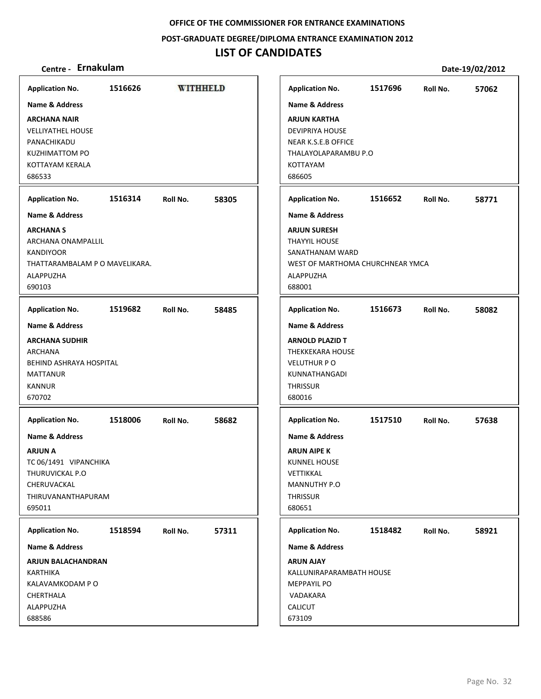### **POST‐GRADUATE DEGREE/DIPLOMA ENTRANCE EXAMINATION 2012**

## **LIST OF CANDIDATES**

| <b>Application No.</b>                                                                                                                                           | 1516626 | WITHHELD |       | <b>Application No.</b>                                                                                                                                     | 1517696 | Roll No. | 57062 |
|------------------------------------------------------------------------------------------------------------------------------------------------------------------|---------|----------|-------|------------------------------------------------------------------------------------------------------------------------------------------------------------|---------|----------|-------|
| Name & Address<br><b>ARCHANA NAIR</b><br><b>VELLIYATHEL HOUSE</b><br>PANACHIKADU<br><b>KUZHIMATTOM PO</b><br>KOTTAYAM KERALA<br>686533                           |         |          |       | Name & Address<br><b>ARJUN KARTHA</b><br><b>DEVIPRIYA HOUSE</b><br>NEAR K.S.E.B OFFICE<br>THALAYOLAPARAMBU P.O<br><b>KOTTAYAM</b><br>686605                |         |          |       |
| <b>Application No.</b><br><b>Name &amp; Address</b>                                                                                                              | 1516314 | Roll No. | 58305 | <b>Application No.</b><br><b>Name &amp; Address</b>                                                                                                        | 1516652 | Roll No. | 58771 |
| <b>ARCHANA S</b><br>ARCHANA ONAMPALLIL<br><b>KANDIYOOR</b><br>THATTARAMBALAM P O MAVELIKARA.<br>ALAPPUZHA<br>690103                                              |         |          |       | <b>ARJUN SURESH</b><br><b>THAYYIL HOUSE</b><br>SANATHANAM WARD<br>WEST OF MARTHOMA CHURCHNEAR YMCA<br>ALAPPUZHA<br>688001                                  |         |          |       |
| <b>Application No.</b>                                                                                                                                           | 1519682 | Roll No. | 58485 | <b>Application No.</b>                                                                                                                                     | 1516673 | Roll No. | 58082 |
| Name & Address<br><b>ARCHANA SUDHIR</b><br><b>ARCHANA</b><br><b>BEHIND ASHRAYA HOSPITAL</b><br><b>MATTANUR</b><br><b>KANNUR</b><br>670702                        |         |          |       | <b>Name &amp; Address</b><br><b>ARNOLD PLAZID T</b><br><b>THEKKEKARA HOUSE</b><br><b>VELUTHUR PO</b><br>KUNNATHANGADI<br><b>THRISSUR</b><br>680016         |         |          |       |
| <b>Application No.</b><br><b>Name &amp; Address</b><br><b>ARJUN A</b><br>TC 06/1491 VIPANCHIKA<br>THURUVICKAL P.O<br>CHERUVACKAL<br>THIRUVANANTHAPURAM<br>695011 | 1518006 | Roll No. | 58682 | <b>Application No.</b><br><b>Name &amp; Address</b><br><b>ARUN AIPE K</b><br><b>KUNNEL HOUSE</b><br>VETTIKKAL<br>MANNUTHY P.O<br><b>THRISSUR</b><br>680651 | 1517510 | Roll No. | 57638 |
| <b>Application No.</b><br>Name & Address<br>ARJUN BALACHANDRAN<br><b>KARTHIKA</b><br>KALAVAMKODAM P O<br>CHERTHALA<br>ALAPPUZHA<br>688586                        | 1518594 | Roll No. | 57311 | <b>Application No.</b><br><b>Name &amp; Address</b><br><b>ARUN AJAY</b><br>KALLUNIRAPARAMBATH HOUSE<br><b>MEPPAYIL PO</b><br>VADAKARA<br>CALICUT           | 1518482 | Roll No. | 58921 |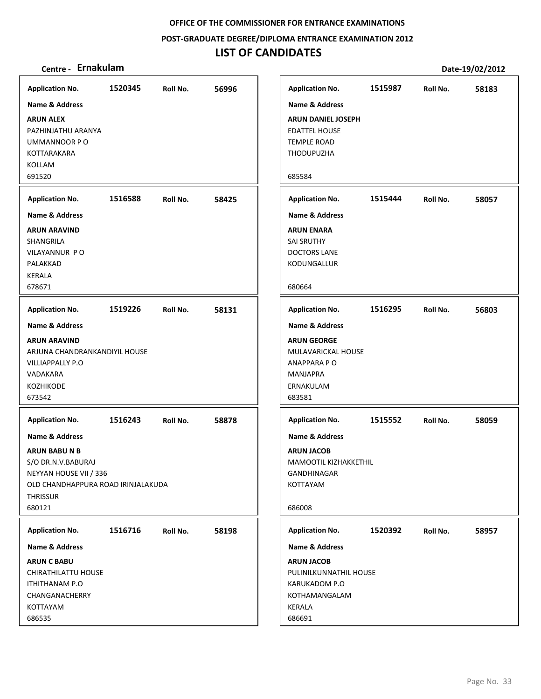**POST‐GRADUATE DEGREE/DIPLOMA ENTRANCE EXAMINATION 2012**

| Centre - Ernakulam                                           |         |          |       |                                                          | Date-19/02/2012 |          |       |  |  |
|--------------------------------------------------------------|---------|----------|-------|----------------------------------------------------------|-----------------|----------|-------|--|--|
| <b>Application No.</b>                                       | 1520345 | Roll No. | 56996 | <b>Application No.</b>                                   | 1515987         | Roll No. | 58183 |  |  |
| <b>Name &amp; Address</b><br><b>ARUN ALEX</b>                |         |          |       | <b>Name &amp; Address</b><br><b>ARUN DANIEL JOSEPH</b>   |                 |          |       |  |  |
| PAZHINJATHU ARANYA<br>UMMANNOOR PO<br>KOTTARAKARA            |         |          |       | <b>EDATTEL HOUSE</b><br><b>TEMPLE ROAD</b><br>THODUPUZHA |                 |          |       |  |  |
| KOLLAM<br>691520                                             |         |          |       | 685584                                                   |                 |          |       |  |  |
| <b>Application No.</b>                                       | 1516588 | Roll No. | 58425 | <b>Application No.</b>                                   | 1515444         | Roll No. | 58057 |  |  |
| <b>Name &amp; Address</b>                                    |         |          |       | Name & Address                                           |                 |          |       |  |  |
| <b>ARUN ARAVIND</b>                                          |         |          |       | <b>ARUN ENARA</b>                                        |                 |          |       |  |  |
| SHANGRILA                                                    |         |          |       | <b>SAI SRUTHY</b>                                        |                 |          |       |  |  |
| VILAYANNUR PO<br>PALAKKAD                                    |         |          |       | <b>DOCTORS LANE</b><br>KODUNGALLUR                       |                 |          |       |  |  |
| <b>KERALA</b>                                                |         |          |       |                                                          |                 |          |       |  |  |
| 678671                                                       |         |          |       | 680664                                                   |                 |          |       |  |  |
| <b>Application No.</b>                                       | 1519226 | Roll No. | 58131 | <b>Application No.</b>                                   | 1516295         | Roll No. | 56803 |  |  |
| <b>Name &amp; Address</b>                                    |         |          |       | <b>Name &amp; Address</b>                                |                 |          |       |  |  |
| <b>ARUN ARAVIND</b>                                          |         |          |       | <b>ARUN GEORGE</b>                                       |                 |          |       |  |  |
| ARJUNA CHANDRANKANDIYIL HOUSE                                |         |          |       | MULAVARICKAL HOUSE                                       |                 |          |       |  |  |
| <b>VILLIAPPALLY P.O</b><br>VADAKARA                          |         |          |       | ANAPPARA PO<br><b>MANJAPRA</b>                           |                 |          |       |  |  |
| <b>KOZHIKODE</b>                                             |         |          |       | ERNAKULAM                                                |                 |          |       |  |  |
| 673542                                                       |         |          |       | 683581                                                   |                 |          |       |  |  |
| <b>Application No.</b>                                       | 1516243 | Roll No. | 58878 | <b>Application No.</b>                                   | 1515552         | Roll No. | 58059 |  |  |
| <b>Name &amp; Address</b>                                    |         |          |       | <b>Name &amp; Address</b>                                |                 |          |       |  |  |
| <b>ARUN BABU N B</b>                                         |         |          |       | <b>ARUN JACOB</b>                                        |                 |          |       |  |  |
| S/O DR.N.V.BABURAJ                                           |         |          |       | MAMOOTIL KIZHAKKETHIL                                    |                 |          |       |  |  |
| NEYYAN HOUSE VII / 336<br>OLD CHANDHAPPURA ROAD IRINJALAKUDA |         |          |       | <b>GANDHINAGAR</b><br>KOTTAYAM                           |                 |          |       |  |  |
| <b>THRISSUR</b>                                              |         |          |       |                                                          |                 |          |       |  |  |
| 680121                                                       |         |          |       | 686008                                                   |                 |          |       |  |  |
| <b>Application No.</b>                                       | 1516716 | Roll No. | 58198 | <b>Application No.</b>                                   | 1520392         | Roll No. | 58957 |  |  |
| <b>Name &amp; Address</b>                                    |         |          |       | <b>Name &amp; Address</b>                                |                 |          |       |  |  |
| <b>ARUN C BABU</b>                                           |         |          |       | <b>ARUN JACOB</b>                                        |                 |          |       |  |  |
| CHIRATHILATTU HOUSE                                          |         |          |       | PULINILKUNNATHIL HOUSE                                   |                 |          |       |  |  |
| <b>ITHITHANAM P.O</b><br>CHANGANACHERRY                      |         |          |       | KARUKADOM P.O<br>KOTHAMANGALAM                           |                 |          |       |  |  |
| KOTTAYAM                                                     |         |          |       | KERALA                                                   |                 |          |       |  |  |
| 686535                                                       |         |          |       | 686691                                                   |                 |          |       |  |  |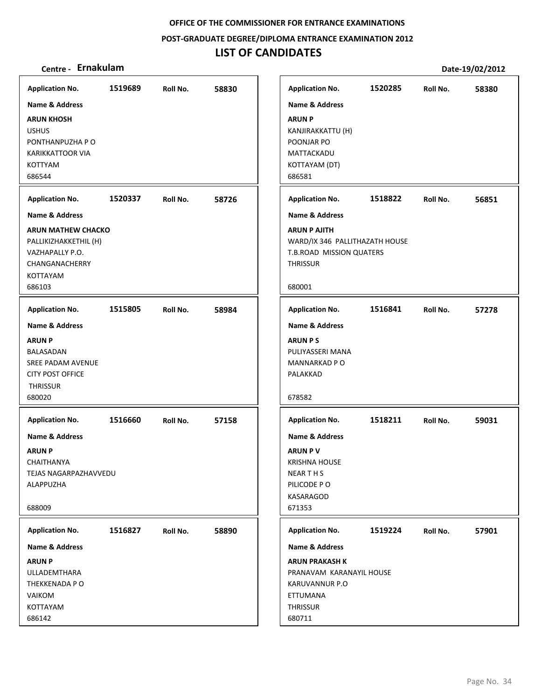**POST‐GRADUATE DEGREE/DIPLOMA ENTRANCE EXAMINATION 2012**

| Centre - Ernakulam                                                                                                          |         |          |       |                                                                                                                             | Date-19/02/2012 |          |       |  |  |
|-----------------------------------------------------------------------------------------------------------------------------|---------|----------|-------|-----------------------------------------------------------------------------------------------------------------------------|-----------------|----------|-------|--|--|
| <b>Application No.</b>                                                                                                      | 1519689 | Roll No. | 58830 | <b>Application No.</b>                                                                                                      | 1520285         | Roll No. | 58380 |  |  |
| <b>Name &amp; Address</b><br><b>ARUN KHOSH</b><br><b>USHUS</b><br>PONTHANPUZHA P O<br>KARIKKATTOOR VIA<br>KOTTYAM<br>686544 |         |          |       | <b>Name &amp; Address</b><br><b>ARUN P</b><br>KANJIRAKKATTU (H)<br>POONJAR PO<br>MATTACKADU<br>KOTTAYAM (DT)<br>686581      |                 |          |       |  |  |
| <b>Application No.</b>                                                                                                      | 1520337 | Roll No. | 58726 | <b>Application No.</b>                                                                                                      | 1518822         | Roll No. | 56851 |  |  |
| Name & Address                                                                                                              |         |          |       | Name & Address                                                                                                              |                 |          |       |  |  |
| <b>ARUN MATHEW CHACKO</b><br>PALLIKIZHAKKETHIL (H)<br>VAZHAPALLY P.O.<br>CHANGANACHERRY<br>KOTTAYAM<br>686103               |         |          |       | <b>ARUN P AJITH</b><br>WARD/IX 346 PALLITHAZATH HOUSE<br>T.B.ROAD MISSION QUATERS<br><b>THRISSUR</b><br>680001              |                 |          |       |  |  |
| <b>Application No.</b>                                                                                                      | 1515805 | Roll No. | 58984 | <b>Application No.</b>                                                                                                      | 1516841         | Roll No. | 57278 |  |  |
| Name & Address<br><b>ARUN P</b><br>BALASADAN<br>SREE PADAM AVENUE<br><b>CITY POST OFFICE</b><br><b>THRISSUR</b><br>680020   |         |          |       | <b>Name &amp; Address</b><br><b>ARUN PS</b><br>PULIYASSERI MANA<br><b>MANNARKAD P O</b><br>PALAKKAD<br>678582               |                 |          |       |  |  |
| <b>Application No.</b>                                                                                                      | 1516660 | Roll No. | 57158 | <b>Application No.</b>                                                                                                      | 1518211         | Roll No. | 59031 |  |  |
| <b>Name &amp; Address</b><br><b>ARUN P</b><br>CHAITHANYA<br>TEJAS NAGARPAZHAVVEDU<br>ALAPPUZHA<br>688009                    |         |          |       | <b>Name &amp; Address</b><br><b>ARUN PV</b><br><b>KRISHNA HOUSE</b><br><b>NEARTHS</b><br>PILICODE PO<br>KASARAGOD<br>671353 |                 |          |       |  |  |
| <b>Application No.</b>                                                                                                      | 1516827 | Roll No. | 58890 | <b>Application No.</b>                                                                                                      | 1519224         | Roll No. | 57901 |  |  |
| <b>Name &amp; Address</b>                                                                                                   |         |          |       | <b>Name &amp; Address</b>                                                                                                   |                 |          |       |  |  |
| <b>ARUN P</b><br>ULLADEMTHARA<br>THEKKENADA P O<br>VAIKOM<br>KOTTAYAM<br>686142                                             |         |          |       | <b>ARUN PRAKASH K</b><br>PRANAVAM KARANAYIL HOUSE<br>KARUVANNUR P.O<br>ETTUMANA<br><b>THRISSUR</b><br>680711                |                 |          |       |  |  |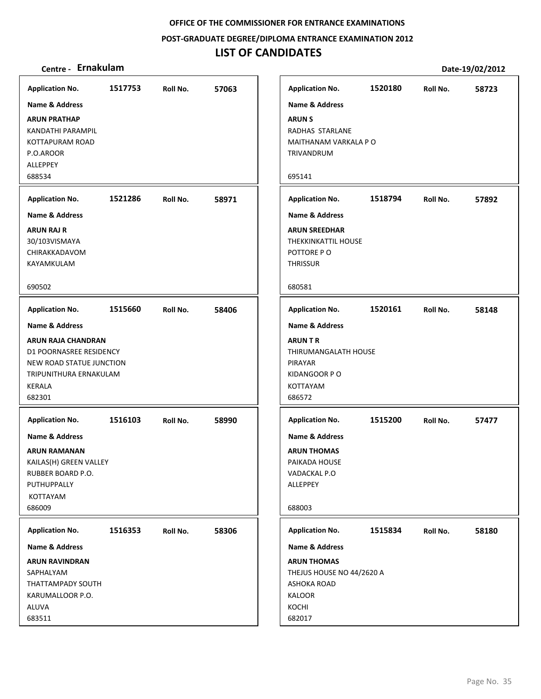**POST‐GRADUATE DEGREE/DIPLOMA ENTRANCE EXAMINATION 2012**

## **LIST OF CANDIDATES**

| <b>Application No.</b>                                                                                                                                  | 1517753 | Roll No. | 57063 | <b>Application No.</b>                                                                                                           | 1520180 | Roll No. | 58723 |
|---------------------------------------------------------------------------------------------------------------------------------------------------------|---------|----------|-------|----------------------------------------------------------------------------------------------------------------------------------|---------|----------|-------|
| Name & Address                                                                                                                                          |         |          |       | <b>Name &amp; Address</b>                                                                                                        |         |          |       |
| <b>ARUN PRATHAP</b><br>KANDATHI PARAMPIL<br>KOTTAPURAM ROAD<br>P.O.AROOR<br><b>ALLEPPEY</b>                                                             |         |          |       | <b>ARUN S</b><br>RADHAS STARLANE<br>MAITHANAM VARKALA P O<br>TRIVANDRUM                                                          |         |          |       |
| 688534                                                                                                                                                  |         |          |       | 695141                                                                                                                           |         |          |       |
| <b>Application No.</b>                                                                                                                                  | 1521286 | Roll No. | 58971 | <b>Application No.</b>                                                                                                           | 1518794 | Roll No. | 57892 |
| <b>Name &amp; Address</b><br><b>ARUN RAJ R</b><br>30/103VISMAYA<br>CHIRAKKADAVOM<br>KAYAMKULAM                                                          |         |          |       | <b>Name &amp; Address</b><br><b>ARUN SREEDHAR</b><br>THEKKINKATTIL HOUSE<br>POTTORE PO<br><b>THRISSUR</b>                        |         |          |       |
| 690502                                                                                                                                                  |         |          |       | 680581                                                                                                                           |         |          |       |
| <b>Application No.</b>                                                                                                                                  | 1515660 | Roll No. | 58406 | <b>Application No.</b>                                                                                                           | 1520161 | Roll No. | 58148 |
| Name & Address<br><b>ARUN RAJA CHANDRAN</b><br>D1 POORNASREE RESIDENCY<br>NEW ROAD STATUE JUNCTION<br>TRIPUNITHURA ERNAKULAM<br>KERALA<br>682301        |         |          |       | <b>Name &amp; Address</b><br><b>ARUN T R</b><br>THIRUMANGALATH HOUSE<br>PIRAYAR<br>KIDANGOOR P O<br>KOTTAYAM<br>686572           |         |          |       |
| <b>Application No.</b><br><b>Name &amp; Address</b><br>ARUN RAMANAN<br>KAILAS(H) GREEN VALLEY<br>RUBBER BOARD P.O.<br>PUTHUPPALLY<br>KOTTAYAM<br>686009 | 1516103 | Roll No. | 58990 | <b>Application No.</b><br><b>Name &amp; Address</b><br><b>ARUN THOMAS</b><br>PAIKADA HOUSE<br>VADACKAL P.O<br>ALLEPPEY<br>688003 | 1515200 | Roll No. | 57477 |
| <b>Application No.</b>                                                                                                                                  | 1516353 | Roll No. | 58306 | <b>Application No.</b>                                                                                                           | 1515834 | Roll No. | 58180 |
| Name & Address<br><b>ARUN RAVINDRAN</b><br>SAPHALYAM<br>THATTAMPADY SOUTH<br>KARUMALLOOR P.O.<br><b>ALUVA</b>                                           |         |          |       | Name & Address<br><b>ARUN THOMAS</b><br>THEJUS HOUSE NO 44/2620 A<br><b>ASHOKA ROAD</b><br>KALOOR<br>KOCHI                       |         |          |       |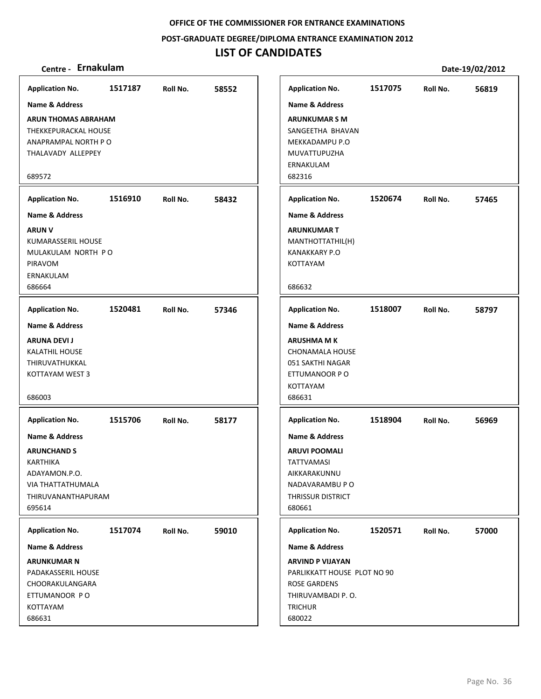### **POST‐GRADUATE DEGREE/DIPLOMA ENTRANCE EXAMINATION 2012**

| Centre - Ernakulam                                                                                                                       |         |          |       |                                                                                                                                |         |          | Date-19/02/2012 |
|------------------------------------------------------------------------------------------------------------------------------------------|---------|----------|-------|--------------------------------------------------------------------------------------------------------------------------------|---------|----------|-----------------|
| <b>Application No.</b>                                                                                                                   | 1517187 | Roll No. | 58552 | <b>Application No.</b>                                                                                                         | 1517075 | Roll No. | 56819           |
| <b>Name &amp; Address</b>                                                                                                                |         |          |       | <b>Name &amp; Address</b>                                                                                                      |         |          |                 |
| <b>ARUN THOMAS ABRAHAM</b><br>THEKKEPURACKAL HOUSE<br>ANAPRAMPAL NORTH PO<br>THALAVADY ALLEPPEY<br>689572                                |         |          |       | <b>ARUNKUMAR S M</b><br>SANGEETHA BHAVAN<br>MEKKADAMPU P.O<br>MUVATTUPUZHA<br>ERNAKULAM<br>682316                              |         |          |                 |
|                                                                                                                                          | 1516910 |          |       |                                                                                                                                | 1520674 |          |                 |
| <b>Application No.</b>                                                                                                                   |         | Roll No. | 58432 | <b>Application No.</b>                                                                                                         |         | Roll No. | 57465           |
| <b>Name &amp; Address</b><br><b>ARUN V</b><br><b>KUMARASSERIL HOUSE</b><br>MULAKULAM NORTH PO<br>PIRAVOM<br>ERNAKULAM<br>686664          |         |          |       | <b>Name &amp; Address</b><br><b>ARUNKUMAR T</b><br>MANTHOTTATHIL(H)<br><b>KANAKKARY P.O</b><br>KOTTAYAM<br>686632              |         |          |                 |
| <b>Application No.</b>                                                                                                                   | 1520481 | Roll No. | 57346 | <b>Application No.</b>                                                                                                         | 1518007 | Roll No. | 58797           |
| Name & Address<br><b>ARUNA DEVI J</b><br><b>KALATHIL HOUSE</b><br>THIRUVATHUKKAL<br>KOTTAYAM WEST 3<br>686003                            |         |          |       | <b>Name &amp; Address</b><br><b>ARUSHMA M K</b><br>CHONAMALA HOUSE<br>051 SAKTHI NAGAR<br>ETTUMANOOR P O<br>KOTTAYAM<br>686631 |         |          |                 |
| <b>Application No.</b>                                                                                                                   | 1515706 | Roll No. | 58177 | <b>Application No.</b>                                                                                                         | 1518904 | Roll No. | 56969           |
| <b>Name &amp; Address</b><br><b>ARUNCHAND S</b><br><b>KARTHIKA</b><br>ADAYAMON.P.O.<br>VIA THATTATHUMALA<br>THIRUVANANTHAPURAM<br>695614 |         |          |       | Name & Address<br><b>ARUVI POOMALI</b><br><b>TATTVAMASI</b><br>AIKKARAKUNNU<br>NADAVARAMBU P O<br>THRISSUR DISTRICT<br>680661  |         |          |                 |
| <b>Application No.</b>                                                                                                                   | 1517074 | Roll No. | 59010 | <b>Application No.</b>                                                                                                         | 1520571 | Roll No. | 57000           |
| <b>Name &amp; Address</b>                                                                                                                |         |          |       | <b>Name &amp; Address</b>                                                                                                      |         |          |                 |
| <b>ARUNKUMAR N</b><br>PADAKASSERIL HOUSE<br>CHOORAKULANGARA<br>ETTUMANOOR PO<br>KOTTAYAM<br>686631                                       |         |          |       | <b>ARVIND P VIJAYAN</b><br>PARLIKKATT HOUSE PLOT NO 90<br><b>ROSE GARDENS</b><br>THIRUVAMBADI P.O.<br><b>TRICHUR</b><br>680022 |         |          |                 |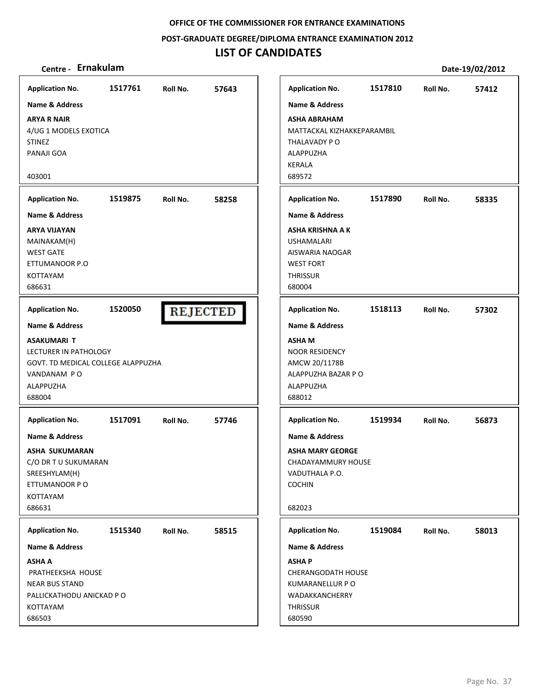**POST‐GRADUATE DEGREE/DIPLOMA ENTRANCE EXAMINATION 2012**

## **LIST OF CANDIDATES**

| <b>Application No.</b>                                                                                                       | 1517761 | Roll No.        | 57643 | <b>Application No.</b>                                                                                                  | 1517810 | Roll No. | 57412 |
|------------------------------------------------------------------------------------------------------------------------------|---------|-----------------|-------|-------------------------------------------------------------------------------------------------------------------------|---------|----------|-------|
| <b>Name &amp; Address</b>                                                                                                    |         |                 |       | <b>Name &amp; Address</b>                                                                                               |         |          |       |
| <b>ARYA R NAIR</b><br>4/UG 1 MODELS EXOTICA<br><b>STINEZ</b><br>PANAJI GOA                                                   |         |                 |       | <b>ASHA ABRAHAM</b><br>MATTACKAL KIZHAKKEPARAMBIL<br>THALAVADY PO<br>ALAPPUZHA<br><b>KERALA</b>                         |         |          |       |
| 403001                                                                                                                       |         |                 |       | 689572                                                                                                                  |         |          |       |
| <b>Application No.</b>                                                                                                       | 1519875 | Roll No.        | 58258 | <b>Application No.</b>                                                                                                  | 1517890 | Roll No. | 58335 |
| <b>Name &amp; Address</b>                                                                                                    |         |                 |       | <b>Name &amp; Address</b>                                                                                               |         |          |       |
| <b>ARYA VIJAYAN</b><br>MAINAKAM(H)<br><b>WEST GATE</b><br>ETTUMANOOR P.O<br>KOTTAYAM<br>686631                               |         |                 |       | ASHA KRISHNA A K<br><b>USHAMALARI</b><br>AISWARIA NAOGAR<br><b>WEST FORT</b><br><b>THRISSUR</b><br>680004               |         |          |       |
| <b>Application No.</b>                                                                                                       | 1520050 | <b>REJECTED</b> |       | <b>Application No.</b>                                                                                                  | 1518113 | Roll No. | 57302 |
| <b>Name &amp; Address</b>                                                                                                    |         |                 |       | <b>Name &amp; Address</b>                                                                                               |         |          |       |
| ASAKUMARI T<br>LECTURER IN PATHOLOGY<br>GOVT. TD MEDICAL COLLEGE ALAPPUZHA<br>VANDANAM PO<br>ALAPPUZHA<br>688004             |         |                 |       | <b>ASHAM</b><br><b>NOOR RESIDENCY</b><br>AMCW 20/1178B<br>ALAPPUZHA BAZAR P O<br>ALAPPUZHA<br>688012                    |         |          |       |
| <b>Application No.</b>                                                                                                       | 1517091 | Roll No.        | 57746 | <b>Application No.</b>                                                                                                  | 1519934 | Roll No. | 56873 |
| <b>Name &amp; Address</b><br>ASHA SUKUMARAN<br>C/O DR T U SUKUMARAN<br>SREESHYLAM(H)<br>ETTUMANOOR P O<br>KOTTAYAM<br>686631 |         |                 |       | <b>Name &amp; Address</b><br><b>ASHA MARY GEORGE</b><br>CHADAYAMMURY HOUSE<br>VADUTHALA P.O.<br><b>COCHIN</b><br>682023 |         |          |       |
| <b>Application No.</b>                                                                                                       | 1515340 | Roll No.        | 58515 | <b>Application No.</b>                                                                                                  | 1519084 | Roll No. | 58013 |
| Name & Address                                                                                                               |         |                 |       | Name & Address                                                                                                          |         |          |       |
| <b>ASHA A</b><br>PRATHEEKSHA HOUSE<br><b>NEAR BUS STAND</b><br>PALLICKATHODU ANICKAD P O<br>KOTTAYAM<br>686503               |         |                 |       | <b>ASHAP</b><br>CHERANGODATH HOUSE<br>KUMARANELLUR P O<br>WADAKKANCHERRY<br><b>THRISSUR</b><br>680590                   |         |          |       |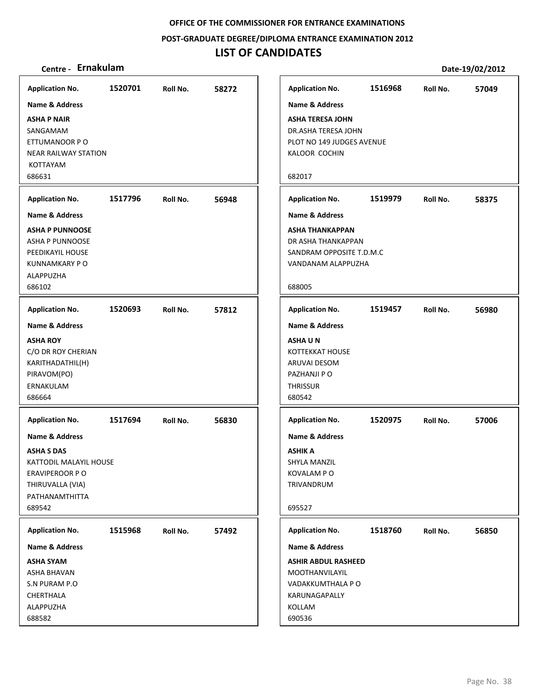**POST‐GRADUATE DEGREE/DIPLOMA ENTRANCE EXAMINATION 2012**

### **LIST OF CANDIDATES**

# **Centre ‐ Ernakulam Date‐19/02/2012**

| <b>Application No.</b>      | 1520701 | Roll No. | 58272 | <b>Application No.</b>    |
|-----------------------------|---------|----------|-------|---------------------------|
| <b>Name &amp; Address</b>   |         |          |       | <b>Name &amp; Address</b> |
| <b>ASHA P NAIR</b>          |         |          |       | <b>ASHA TERESA JOHN</b>   |
| SANGAMAM                    |         |          |       | DR.ASHA TERESA JOHN       |
| ETTUMANOOR P O              |         |          |       | PLOT NO 149 JUDGES AV     |
| <b>NEAR RAILWAY STATION</b> |         |          |       | KALOOR COCHIN             |
| KOTTAYAM                    |         |          |       |                           |
| 686631                      |         |          |       | 682017                    |
| <b>Application No.</b>      | 1517796 | Roll No. | 56948 | <b>Application No.</b>    |
| <b>Name &amp; Address</b>   |         |          |       | <b>Name &amp; Address</b> |
| <b>ASHA P PUNNOOSE</b>      |         |          |       | <b>ASHA THANKAPPAN</b>    |
| ASHA P PUNNOOSE             |         |          |       | DR ASHA THANKAPPAN        |
| PEEDIKAYIL HOUSE            |         |          |       | SANDRAM OPPOSITE T.D      |
| KUNNAMKARY P O              |         |          |       | VANDANAM ALAPPUZHA        |
| ALAPPUZHA                   |         |          |       |                           |
| 686102                      |         |          |       | 688005                    |
| <b>Application No.</b>      | 1520693 | Roll No. | 57812 | <b>Application No.</b>    |
| <b>Name &amp; Address</b>   |         |          |       | <b>Name &amp; Address</b> |
| <b>ASHA ROY</b>             |         |          |       | <b>ASHAUN</b>             |
| C/O DR ROY CHERIAN          |         |          |       | <b>KOTTEKKAT HOUSE</b>    |
| KARITHADATHIL(H)            |         |          |       | ARUVAI DESOM              |
| PIRAVOM(PO)                 |         |          |       | PAZHANJI P O              |
| ERNAKULAM                   |         |          |       | THRISSUR                  |
| 686664                      |         |          |       | 680542                    |
|                             |         |          |       |                           |
| <b>Application No.</b>      | 1517694 | Roll No. | 56830 | <b>Application No.</b>    |
| <b>Name &amp; Address</b>   |         |          |       | <b>Name &amp; Address</b> |
| ASHA S DAS                  |         |          |       | ASHIK A                   |
| KATTODIL MALAYIL HOUSE      |         |          |       | <b>SHYLA MANZIL</b>       |
| <b>ERAVIPEROOR P O</b>      |         |          |       | <b>KOVALAM P O</b>        |
| THIRUVALLA (VIA)            |         |          |       | TRIVANDRUM                |
| PATHANAMTHITTA              |         |          |       |                           |
| 689542                      |         |          |       | 695527                    |
| <b>Application No.</b>      | 1515968 | Roll No. | 57492 | <b>Application No.</b>    |
| <b>Name &amp; Address</b>   |         |          |       | <b>Name &amp; Address</b> |
| <b>ASHA SYAM</b>            |         |          |       | ASHIR ABDUL RASHEED       |
| ASHA BHAVAN                 |         |          |       | <b>MOOTHANVILAYIL</b>     |
| S.N PURAM P.O               |         |          |       | VADAKKUMTHALA P O         |
| CHERTHALA                   |         |          |       | KARUNAGAPALLY             |
| ALAPPUZHA                   |         |          |       | KOLLAM                    |
| 688582                      |         |          |       | 690536                    |

**1516968 57049 Application No. Roll No. PENUE 1519979 58375 Application No. Roll No.**  $OM.C$ **1519457 56980 Application No. Roll No.**  $\overline{\phantom{a}}$ **1520975 57006 Application No. Roll No. 1518760 56850 Application No. Roll No.**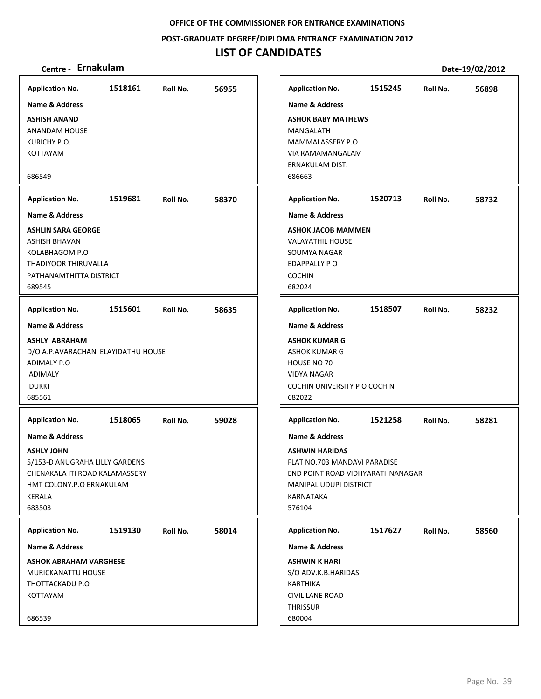#### **POST‐GRADUATE DEGREE/DIPLOMA ENTRANCE EXAMINATION 2012**

## **LIST OF CANDIDATES**

| <b>Application No.</b>                          | 1518161 | Roll No. | 56955 |
|-------------------------------------------------|---------|----------|-------|
| <b>Name &amp; Address</b>                       |         |          |       |
| <b>ASHISH ANAND</b>                             |         |          |       |
| <b>ANANDAM HOUSE</b>                            |         |          |       |
| KURICHY P.O.                                    |         |          |       |
| <b>KOTTAYAM</b>                                 |         |          |       |
|                                                 |         |          |       |
| 686549                                          |         |          |       |
| <b>Application No.</b>                          | 1519681 | Roll No. | 58370 |
| <b>Name &amp; Address</b>                       |         |          |       |
| <b>ASHLIN SARA GEORGE</b>                       |         |          |       |
| <b>ASHISH BHAVAN</b>                            |         |          |       |
| KOLABHAGOM P.O                                  |         |          |       |
| THADIYOOR THIRUVALLA                            |         |          |       |
| PATHANAMTHITTA DISTRICT                         |         |          |       |
| 689545                                          |         |          |       |
| <b>Application No.</b>                          | 1515601 | Roll No. | 58635 |
| <b>Name &amp; Address</b>                       |         |          |       |
| <b>ASHLY ABRAHAM</b>                            |         |          |       |
| D/O A.P.AVARACHAN ELAYIDATHU HOUSE              |         |          |       |
| <b>ADIMALY P.O</b>                              |         |          |       |
| ADIMALY                                         |         |          |       |
| <b>IDUKKI</b>                                   |         |          |       |
| 685561                                          |         |          |       |
| <b>Application No.</b>                          | 1518065 | Roll No. | 59028 |
| <b>Name &amp; Address</b>                       |         |          |       |
| <b>ASHLY JOHN</b>                               |         |          |       |
| 5/153-D ANUGRAHA LILLY GARDENS                  |         |          |       |
| CHENAKALA ITI ROAD KALAMASSERY                  |         |          |       |
|                                                 |         |          |       |
| HMT COLONY.P.O ERNAKULAM                        |         |          |       |
|                                                 |         |          |       |
|                                                 |         |          |       |
| KERALA<br>683503<br><b>Application No.</b>      | 1519130 | Roll No. | 58014 |
|                                                 |         |          |       |
| Name & Address<br><b>ASHOK ABRAHAM VARGHESE</b> |         |          |       |
| MURICKANATTU HOUSE                              |         |          |       |
| THOTTACKADU P.O                                 |         |          |       |
| KOTTAYAM                                        |         |          |       |
|                                                 |         |          |       |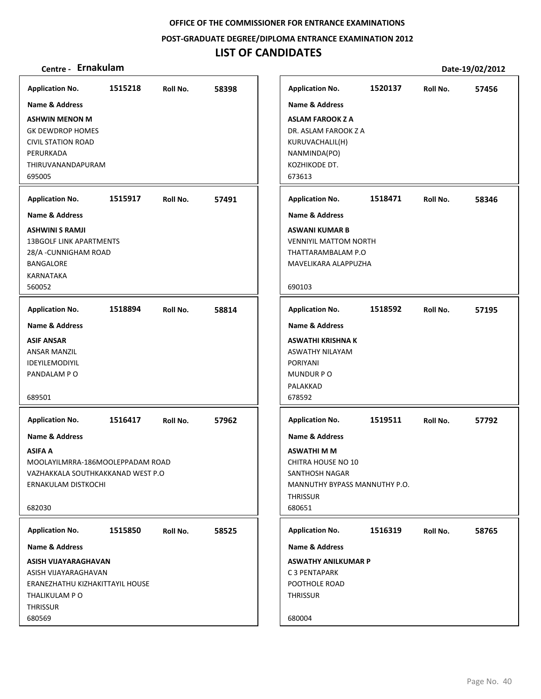**POST‐GRADUATE DEGREE/DIPLOMA ENTRANCE EXAMINATION 2012**

## **LIST OF CANDIDATES**

| Centre - Ernakulam                |         |          |       |                               |         |          | Date-19/02/2012 |
|-----------------------------------|---------|----------|-------|-------------------------------|---------|----------|-----------------|
| <b>Application No.</b>            | 1515218 | Roll No. | 58398 | <b>Application No.</b>        | 1520137 | Roll No. | 57456           |
| <b>Name &amp; Address</b>         |         |          |       | <b>Name &amp; Address</b>     |         |          |                 |
| <b>ASHWIN MENON M</b>             |         |          |       | <b>ASLAM FAROOK Z A</b>       |         |          |                 |
| <b>GK DEWDROP HOMES</b>           |         |          |       | DR. ASLAM FAROOK Z A          |         |          |                 |
| <b>CIVIL STATION ROAD</b>         |         |          |       | KURUVACHALIL(H)               |         |          |                 |
| PERURKADA                         |         |          |       | NANMINDA(PO)                  |         |          |                 |
| THIRUVANANDAPURAM                 |         |          |       | KOZHIKODE DT.                 |         |          |                 |
| 695005                            |         |          |       | 673613                        |         |          |                 |
| <b>Application No.</b>            | 1515917 | Roll No. | 57491 | <b>Application No.</b>        | 1518471 | Roll No. | 58346           |
| <b>Name &amp; Address</b>         |         |          |       | Name & Address                |         |          |                 |
| <b>ASHWINI S RAMJI</b>            |         |          |       | <b>ASWANI KUMAR B</b>         |         |          |                 |
| <b>13BGOLF LINK APARTMENTS</b>    |         |          |       | <b>VENNIYIL MATTOM NORTH</b>  |         |          |                 |
| 28/A - CUNNIGHAM ROAD             |         |          |       | THATTARAMBALAM P.O            |         |          |                 |
| <b>BANGALORE</b>                  |         |          |       | MAVELIKARA ALAPPUZHA          |         |          |                 |
| KARNATAKA<br>560052               |         |          |       | 690103                        |         |          |                 |
|                                   |         |          |       |                               |         |          |                 |
| <b>Application No.</b>            | 1518894 | Roll No. | 58814 | <b>Application No.</b>        | 1518592 | Roll No. | 57195           |
| <b>Name &amp; Address</b>         |         |          |       | <b>Name &amp; Address</b>     |         |          |                 |
| <b>ASIF ANSAR</b>                 |         |          |       | ASWATHI KRISHNA K             |         |          |                 |
| ANSAR MANZIL                      |         |          |       | ASWATHY NILAYAM               |         |          |                 |
| <b>IDEYILEMODIYIL</b>             |         |          |       | <b>PORIYANI</b>               |         |          |                 |
| PANDALAM PO                       |         |          |       | MUNDUR PO                     |         |          |                 |
| 689501                            |         |          |       | PALAKKAD<br>678592            |         |          |                 |
|                                   |         |          |       |                               |         |          |                 |
| <b>Application No.</b>            | 1516417 | Roll No. | 57962 | <b>Application No.</b>        | 1519511 | Roll No. | 57792           |
| <b>Name &amp; Address</b>         |         |          |       | <b>Name &amp; Address</b>     |         |          |                 |
| <b>ASIFA A</b>                    |         |          |       | <b>ASWATHI M M</b>            |         |          |                 |
| MOOLAYILMRRA-186MOOLEPPADAM ROAD  |         |          |       | CHITRA HOUSE NO 10            |         |          |                 |
| VAZHAKKALA SOUTHKAKKANAD WEST P.O |         |          |       | SANTHOSH NAGAR                |         |          |                 |
| ERNAKULAM DISTKOCHI               |         |          |       | MANNUTHY BYPASS MANNUTHY P.O. |         |          |                 |
| 682030                            |         |          |       | <b>THRISSUR</b><br>680651     |         |          |                 |
|                                   |         |          |       |                               |         |          |                 |
| <b>Application No.</b>            | 1515850 | Roll No. | 58525 | <b>Application No.</b>        | 1516319 | Roll No. | 58765           |
| <b>Name &amp; Address</b>         |         |          |       | Name & Address                |         |          |                 |
| ASISH VIJAYARAGHAVAN              |         |          |       | <b>ASWATHY ANILKUMAR P</b>    |         |          |                 |
| ASISH VIJAYARAGHAVAN              |         |          |       | C 3 PENTAPARK                 |         |          |                 |
| ERANEZHATHU KIZHAKITTAYIL HOUSE   |         |          |       | POOTHOLE ROAD                 |         |          |                 |
| THALIKULAM P O                    |         |          |       | <b>THRISSUR</b>               |         |          |                 |
| <b>THRISSUR</b><br>680569         |         |          |       | 680004                        |         |          |                 |
|                                   |         |          |       |                               |         |          |                 |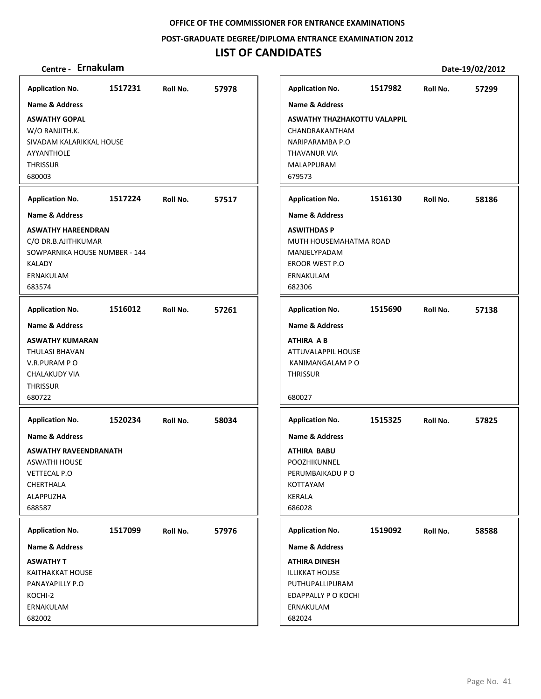**POST‐GRADUATE DEGREE/DIPLOMA ENTRANCE EXAMINATION 2012**

## **LIST OF CANDIDATES**

| <b>Application No.</b>                                                                                               | 1517231 | Roll No. | 57978 | <b>Application No.</b>                                                                                           | 1517982 | Roll No. | 57299 |
|----------------------------------------------------------------------------------------------------------------------|---------|----------|-------|------------------------------------------------------------------------------------------------------------------|---------|----------|-------|
| <b>Name &amp; Address</b>                                                                                            |         |          |       | Name & Address                                                                                                   |         |          |       |
| <b>ASWATHY GOPAL</b><br>W/O RANJITH.K.<br>SIVADAM KALARIKKAL HOUSE<br><b>AYYANTHOLE</b><br><b>THRISSUR</b><br>680003 |         |          |       | <b>ASWATHY THAZHAKOTTU VALAPPIL</b><br>CHANDRAKANTHAM<br>NARIPARAMBA P.O<br>THAVANUR VIA<br>MALAPPURAM<br>679573 |         |          |       |
| <b>Application No.</b>                                                                                               | 1517224 | Roll No. | 57517 | <b>Application No.</b>                                                                                           | 1516130 | Roll No. | 58186 |
| <b>Name &amp; Address</b>                                                                                            |         |          |       | <b>Name &amp; Address</b>                                                                                        |         |          |       |
| <b>ASWATHY HAREENDRAN</b><br>C/O DR.B.AJITHKUMAR<br>SOWPARNIKA HOUSE NUMBER - 144<br>KALADY<br>ERNAKULAM<br>683574   |         |          |       | <b>ASWITHDAS P</b><br>MUTH HOUSEMAHATMA ROAD<br>MANJELYPADAM<br>EROOR WEST P.O<br>ERNAKULAM<br>682306            |         |          |       |
| <b>Application No.</b>                                                                                               | 1516012 | Roll No. | 57261 | <b>Application No.</b>                                                                                           | 1515690 | Roll No. | 57138 |
| <b>Name &amp; Address</b>                                                                                            |         |          |       | <b>Name &amp; Address</b>                                                                                        |         |          |       |
| <b>ASWATHY KUMARAN</b><br>THULASI BHAVAN<br>V.R.PURAM PO<br><b>CHALAKUDY VIA</b><br><b>THRISSUR</b><br>680722        |         |          |       | <b>ATHIRA AB</b><br>ATTUVALAPPIL HOUSE<br>KANIMANGALAM P O<br><b>THRISSUR</b><br>680027                          |         |          |       |
| <b>Application No.</b>                                                                                               | 1520234 | Roll No. | 58034 | <b>Application No.</b>                                                                                           | 1515325 | Roll No. | 57825 |
| Name & Address                                                                                                       |         |          |       | <b>Name &amp; Address</b>                                                                                        |         |          |       |
| <b>ASWATHY RAVEENDRANATH</b><br><b>ASWATHI HOUSE</b><br>VETTECAL P.O<br>CHERTHALA<br>ALAPPUZHA<br>688587             |         |          |       | <b>ATHIRA BABU</b><br>POOZHIKUNNEL<br>PERUMBAIKADU P O<br>KOTTAYAM<br>KERALA<br>686028                           |         |          |       |
| <b>Application No.</b>                                                                                               | 1517099 | Roll No. | 57976 | <b>Application No.</b>                                                                                           | 1519092 | Roll No. | 58588 |
| Name & Address                                                                                                       |         |          |       | Name & Address                                                                                                   |         |          |       |
| <b>ASWATHY T</b><br>KAITHAKKAT HOUSE<br>PANAYAPILLY P.O<br>KOCHI-2<br>ERNAKULAM<br>682002                            |         |          |       | <b>ATHIRA DINESH</b><br><b>ILLIKKAT HOUSE</b><br>PUTHUPALLIPURAM<br>EDAPPALLY P O KOCHI<br>ERNAKULAM<br>682024   |         |          |       |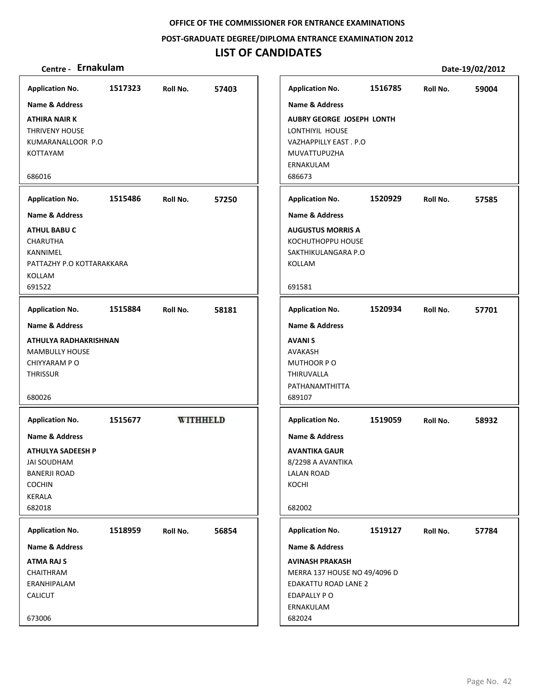**POST‐GRADUATE DEGREE/DIPLOMA ENTRANCE EXAMINATION 2012**

## **LIST OF CANDIDATES**

| <b>Application No.</b>                         | 1517323 | Roll No.        | 57403 | <b>Application No.</b>                    | 1516785 | Roll No. | 59004 |
|------------------------------------------------|---------|-----------------|-------|-------------------------------------------|---------|----------|-------|
| <b>Name &amp; Address</b>                      |         |                 |       | <b>Name &amp; Address</b>                 |         |          |       |
| <b>ATHIRA NAIR K</b>                           |         |                 |       | <b>AUBRY GEORGE JOSEPH LONTH</b>          |         |          |       |
| <b>THRIVENY HOUSE</b>                          |         |                 |       | LONTHIYIL HOUSE                           |         |          |       |
| KUMARANALLOOR P.O                              |         |                 |       | VAZHAPPILLY EAST. P.O                     |         |          |       |
| <b>KOTTAYAM</b>                                |         |                 |       | MUVATTUPUZHA                              |         |          |       |
|                                                |         |                 |       | ERNAKULAM                                 |         |          |       |
| 686016                                         |         |                 |       | 686673                                    |         |          |       |
| <b>Application No.</b>                         | 1515486 | Roll No.        | 57250 | <b>Application No.</b>                    | 1520929 | Roll No. | 57585 |
|                                                |         |                 |       |                                           |         |          |       |
| <b>Name &amp; Address</b>                      |         |                 |       | <b>Name &amp; Address</b>                 |         |          |       |
| <b>ATHUL BABU C</b>                            |         |                 |       | <b>AUGUSTUS MORRIS A</b>                  |         |          |       |
| <b>CHARUTHA</b>                                |         |                 |       | KOCHUTHOPPU HOUSE                         |         |          |       |
| KANNIMEL                                       |         |                 |       | SAKTHIKULANGARA P.O                       |         |          |       |
| PATTAZHY P.O KOTTARAKKARA                      |         |                 |       | KOLLAM                                    |         |          |       |
| KOLLAM<br>691522                               |         |                 |       | 691581                                    |         |          |       |
|                                                |         |                 |       |                                           |         |          |       |
| <b>Application No.</b>                         | 1515884 | Roll No.        | 58181 | <b>Application No.</b>                    | 1520934 | Roll No. | 57701 |
| Name & Address                                 |         |                 |       | <b>Name &amp; Address</b>                 |         |          |       |
| ATHULYA RADHAKRISHNAN                          |         |                 |       | <b>AVANIS</b>                             |         |          |       |
| <b>MAMBULLY HOUSE</b>                          |         |                 |       | AVAKASH                                   |         |          |       |
| CHIYYARAM P O                                  |         |                 |       | MUTHOOR PO                                |         |          |       |
| <b>THRISSUR</b>                                |         |                 |       | THIRUVALLA                                |         |          |       |
|                                                |         |                 |       | PATHANAMTHITTA                            |         |          |       |
| 680026                                         |         |                 |       | 689107                                    |         |          |       |
| <b>Application No.</b>                         | 1515677 | <b>WITHHELD</b> |       | <b>Application No.</b>                    | 1519059 | Roll No. | 58932 |
| <b>Name &amp; Address</b>                      |         |                 |       | <b>Name &amp; Address</b>                 |         |          |       |
|                                                |         |                 |       |                                           |         |          |       |
| <b>ATHULYA SADEESH P</b><br><b>JAI SOUDHAM</b> |         |                 |       | <b>AVANTIKA GAUR</b><br>8/2298 A AVANTIKA |         |          |       |
| <b>BANERJI ROAD</b>                            |         |                 |       | <b>LALAN ROAD</b>                         |         |          |       |
| <b>COCHIN</b>                                  |         |                 |       | KOCHI                                     |         |          |       |
| KERALA                                         |         |                 |       |                                           |         |          |       |
| 682018                                         |         |                 |       | 682002                                    |         |          |       |
|                                                |         |                 |       |                                           |         |          |       |
| <b>Application No.</b>                         | 1518959 | Roll No.        | 56854 | <b>Application No.</b>                    | 1519127 | Roll No. | 57784 |
| Name & Address                                 |         |                 |       | <b>Name &amp; Address</b>                 |         |          |       |
| <b>ATMA RAJ S</b>                              |         |                 |       | <b>AVINASH PRAKASH</b>                    |         |          |       |
| CHAITHRAM                                      |         |                 |       | MERRA 137 HOUSE NO 49/4096 D              |         |          |       |
| ERANHIPALAM                                    |         |                 |       | EDAKATTU ROAD LANE 2                      |         |          |       |
| <b>CALICUT</b>                                 |         |                 |       | EDAPALLY PO                               |         |          |       |
|                                                |         |                 |       | ERNAKULAM                                 |         |          |       |
| 673006                                         |         |                 |       | 682024                                    |         |          |       |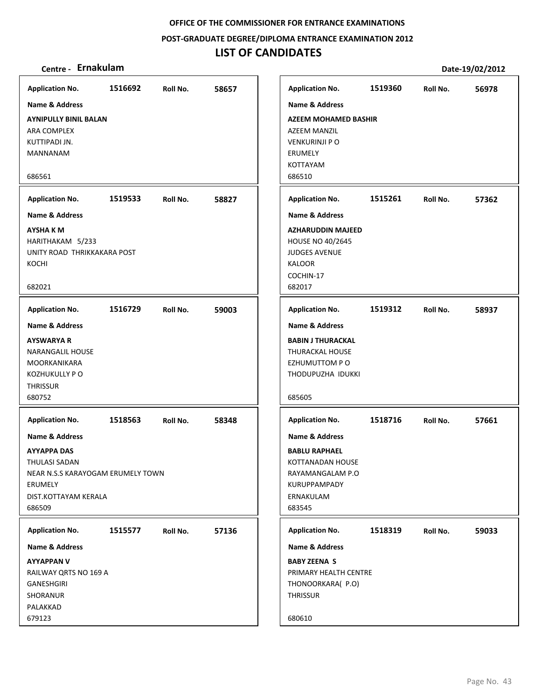**POST‐GRADUATE DEGREE/DIPLOMA ENTRANCE EXAMINATION 2012**

## **LIST OF CANDIDATES**

| <b>Application No.</b>                                                                                                                             | 1516692 | Roll No. | 58657 | <b>Application No.</b>                                                                                                           | 1519360 | Roll No. | 56978 |
|----------------------------------------------------------------------------------------------------------------------------------------------------|---------|----------|-------|----------------------------------------------------------------------------------------------------------------------------------|---------|----------|-------|
| Name & Address                                                                                                                                     |         |          |       | Name & Address                                                                                                                   |         |          |       |
| <b>AYNIPULLY BINIL BALAN</b><br>ARA COMPLEX<br>KUTTIPADI JN.<br>MANNANAM<br>686561                                                                 |         |          |       | <b>AZEEM MOHAMED BASHIR</b><br>AZEEM MANZIL<br><b>VENKURINJI P O</b><br>ERUMELY<br>KOTTAYAM<br>686510                            |         |          |       |
| <b>Application No.</b>                                                                                                                             | 1519533 | Roll No. | 58827 | <b>Application No.</b>                                                                                                           | 1515261 | Roll No. | 57362 |
| <b>Name &amp; Address</b>                                                                                                                          |         |          |       | <b>Name &amp; Address</b>                                                                                                        |         |          |       |
| <b>AYSHAKM</b><br>HARITHAKAM 5/233<br>UNITY ROAD THRIKKAKARA POST<br>KOCHI<br>682021                                                               |         |          |       | <b>AZHARUDDIN MAJEED</b><br>HOUSE NO 40/2645<br><b>JUDGES AVENUE</b><br>KALOOR<br>COCHIN-17<br>682017                            |         |          |       |
| <b>Application No.</b>                                                                                                                             | 1516729 | Roll No. | 59003 | <b>Application No.</b>                                                                                                           | 1519312 | Roll No. | 58937 |
| Name & Address                                                                                                                                     |         |          |       | Name & Address                                                                                                                   |         |          |       |
| <b>AYSWARYA R</b><br>NARANGALIL HOUSE<br>MOORKANIKARA<br><b>KOZHUKULLY PO</b><br><b>THRISSUR</b><br>680752                                         |         |          |       | <b>BABIN J THURACKAL</b><br><b>THURACKAL HOUSE</b><br>EZHUMUTTOM PO<br>THODUPUZHA IDUKKI<br>685605                               |         |          |       |
| <b>Application No.</b>                                                                                                                             | 1518563 | Roll No. | 58348 | <b>Application No.</b>                                                                                                           | 1518716 | Roll No. | 57661 |
| <b>Name &amp; Address</b><br><b>AYYAPPA DAS</b><br>THULASI SADAN<br>NEAR N.S.S KARAYOGAM ERUMELY TOWN<br>ERUMELY<br>DIST.KOTTAYAM KERALA<br>686509 |         |          |       | <b>Name &amp; Address</b><br><b>BABLU RAPHAEL</b><br>KOTTANADAN HOUSE<br>RAYAMANGALAM P.O<br>KURUPPAMPADY<br>ERNAKULAM<br>683545 |         |          |       |
| <b>Application No.</b>                                                                                                                             | 1515577 | Roll No. | 57136 | <b>Application No.</b>                                                                                                           | 1518319 | Roll No. | 59033 |
| Name & Address                                                                                                                                     |         |          |       | Name & Address                                                                                                                   |         |          |       |
| <b>AYYAPPAN V</b><br>RAILWAY QRTS NO 169 A<br><b>GANESHGIRI</b><br>SHORANUR<br>PALAKKAD<br>679123                                                  |         |          |       | <b>BABY ZEENA S</b><br>PRIMARY HEALTH CENTRE<br>THONOORKARA( P.O)<br><b>THRISSUR</b><br>680610                                   |         |          |       |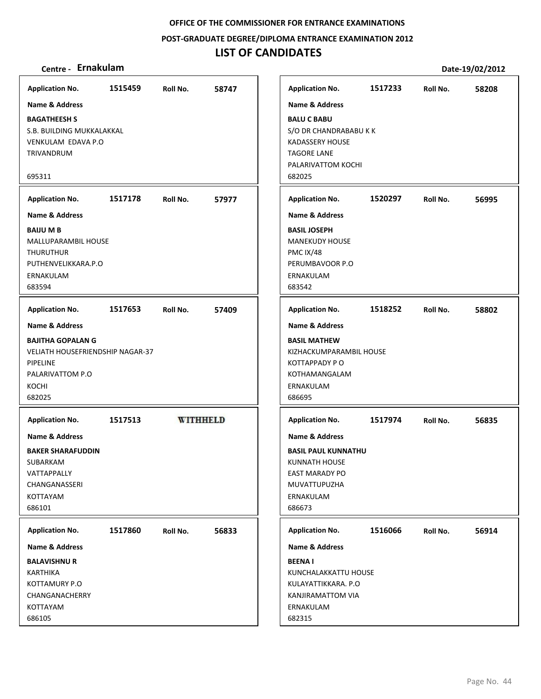#### **POST‐GRADUATE DEGREE/DIPLOMA ENTRANCE EXAMINATION 2012**

## **LIST OF CANDIDATES**

| <b>Application No.</b>                  | 1515459 | Roll No.        | 58747 | <b>Application No.</b>     | 1517233 | Roll No. | 58208 |
|-----------------------------------------|---------|-----------------|-------|----------------------------|---------|----------|-------|
| <b>Name &amp; Address</b>               |         |                 |       | <b>Name &amp; Address</b>  |         |          |       |
| <b>BAGATHEESH S</b>                     |         |                 |       | <b>BALU C BABU</b>         |         |          |       |
| S.B. BUILDING MUKKALAKKAL               |         |                 |       | S/O DR CHANDRABABU K K     |         |          |       |
|                                         |         |                 |       |                            |         |          |       |
| VENKULAM EDAVA P.O                      |         |                 |       | KADASSERY HOUSE            |         |          |       |
| TRIVANDRUM                              |         |                 |       | <b>TAGORE LANE</b>         |         |          |       |
|                                         |         |                 |       | PALARIVATTOM KOCHI         |         |          |       |
| 695311                                  |         |                 |       | 682025                     |         |          |       |
| <b>Application No.</b>                  | 1517178 | Roll No.        | 57977 | <b>Application No.</b>     | 1520297 | Roll No. | 56995 |
| <b>Name &amp; Address</b>               |         |                 |       | <b>Name &amp; Address</b>  |         |          |       |
| <b>BAIJU MB</b>                         |         |                 |       | <b>BASIL JOSEPH</b>        |         |          |       |
| MALLUPARAMBIL HOUSE                     |         |                 |       | <b>MANEKUDY HOUSE</b>      |         |          |       |
| <b>THURUTHUR</b>                        |         |                 |       | PMC IX/48                  |         |          |       |
| PUTHENVELIKKARA.P.O                     |         |                 |       | PERUMBAVOOR P.O            |         |          |       |
| ERNAKULAM                               |         |                 |       | ERNAKULAM                  |         |          |       |
| 683594                                  |         |                 |       | 683542                     |         |          |       |
|                                         |         |                 |       |                            |         |          |       |
| <b>Application No.</b>                  | 1517653 | Roll No.        | 57409 | <b>Application No.</b>     | 1518252 | Roll No. | 58802 |
| <b>Name &amp; Address</b>               |         |                 |       | Name & Address             |         |          |       |
| <b>BAJITHA GOPALAN G</b>                |         |                 |       | <b>BASIL MATHEW</b>        |         |          |       |
| <b>VELIATH HOUSEFRIENDSHIP NAGAR-37</b> |         |                 |       | KIZHACKUMPARAMBIL HOUSE    |         |          |       |
| <b>PIPELINE</b>                         |         |                 |       | <b>KOTTAPPADY PO</b>       |         |          |       |
| PALARIVATTOM P.O                        |         |                 |       | KOTHAMANGALAM              |         |          |       |
| KOCHI                                   |         |                 |       | ERNAKULAM                  |         |          |       |
| 682025                                  |         |                 |       | 686695                     |         |          |       |
|                                         |         |                 |       |                            |         |          |       |
| <b>Application No.</b>                  | 1517513 | <b>WITHHELD</b> |       | <b>Application No.</b>     | 1517974 | Roll No. | 56835 |
| <b>Name &amp; Address</b>               |         |                 |       | <b>Name &amp; Address</b>  |         |          |       |
| <b>BAKER SHARAFUDDIN</b>                |         |                 |       | <b>BASIL PAUL KUNNATHU</b> |         |          |       |
| SUBARKAM                                |         |                 |       | <b>KUNNATH HOUSE</b>       |         |          |       |
| VATTAPPALLY                             |         |                 |       | <b>EAST MARADY PO</b>      |         |          |       |
| CHANGANASSERI                           |         |                 |       | MUVATTUPUZHA               |         |          |       |
| KOTTAYAM                                |         |                 |       | ERNAKULAM                  |         |          |       |
| 686101                                  |         |                 |       | 686673                     |         |          |       |
|                                         |         |                 |       |                            |         |          |       |
| <b>Application No.</b>                  | 1517860 | Roll No.        | 56833 | <b>Application No.</b>     | 1516066 | Roll No. | 56914 |
| <b>Name &amp; Address</b>               |         |                 |       | <b>Name &amp; Address</b>  |         |          |       |
| <b>BALAVISHNU R</b>                     |         |                 |       | <b>BEENAI</b>              |         |          |       |
| KARTHIKA                                |         |                 |       | KUNCHALAKKATTU HOUSE       |         |          |       |
| KOTTAMURY P.O                           |         |                 |       | KULAYATTIKKARA. P.O        |         |          |       |
| CHANGANACHERRY                          |         |                 |       | KANJIRAMATTOM VIA          |         |          |       |
| KOTTAYAM                                |         |                 |       | ERNAKULAM                  |         |          |       |
| 686105                                  |         |                 |       | 682315                     |         |          |       |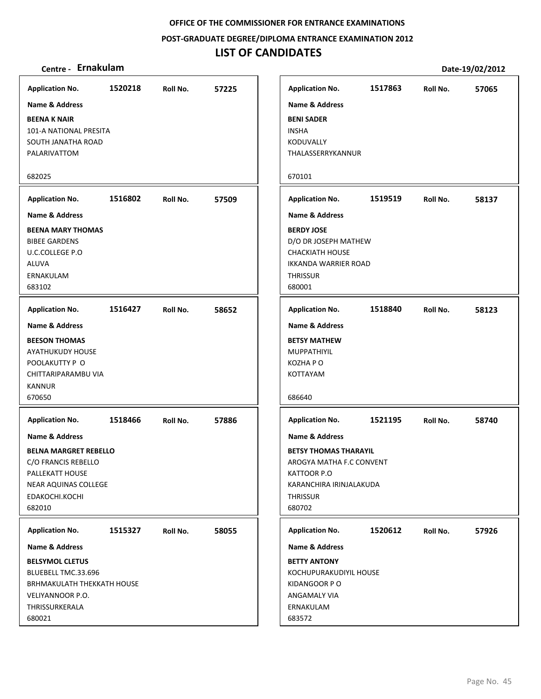**POST‐GRADUATE DEGREE/DIPLOMA ENTRANCE EXAMINATION 2012**

## **LIST OF CANDIDATES**

|                                               |         |          |       |                                   | 1517863 |          |       |
|-----------------------------------------------|---------|----------|-------|-----------------------------------|---------|----------|-------|
| <b>Application No.</b>                        | 1520218 | Roll No. | 57225 | <b>Application No.</b>            |         | Roll No. | 57065 |
| <b>Name &amp; Address</b>                     |         |          |       | <b>Name &amp; Address</b>         |         |          |       |
| <b>BEENA K NAIR</b><br>101-A NATIONAL PRESITA |         |          |       | <b>BENI SADER</b><br><b>INSHA</b> |         |          |       |
| SOUTH JANATHA ROAD                            |         |          |       | KODUVALLY                         |         |          |       |
| PALARIVATTOM                                  |         |          |       | THALASSERRYKANNUR                 |         |          |       |
|                                               |         |          |       |                                   |         |          |       |
| 682025                                        |         |          |       | 670101                            |         |          |       |
| <b>Application No.</b>                        | 1516802 | Roll No. | 57509 | <b>Application No.</b>            | 1519519 | Roll No. | 58137 |
| <b>Name &amp; Address</b>                     |         |          |       | <b>Name &amp; Address</b>         |         |          |       |
| <b>BEENA MARY THOMAS</b>                      |         |          |       | <b>BERDY JOSE</b>                 |         |          |       |
| <b>BIBEE GARDENS</b>                          |         |          |       | D/O DR JOSEPH MATHEW              |         |          |       |
| <b>U.C.COLLEGE P.O</b>                        |         |          |       | <b>CHACKIATH HOUSE</b>            |         |          |       |
| ALUVA                                         |         |          |       | <b>IKKANDA WARRIER ROAD</b>       |         |          |       |
| ERNAKULAM                                     |         |          |       | <b>THRISSUR</b>                   |         |          |       |
| 683102                                        |         |          |       | 680001                            |         |          |       |
| <b>Application No.</b>                        | 1516427 | Roll No. | 58652 | <b>Application No.</b>            | 1518840 | Roll No. | 58123 |
| <b>Name &amp; Address</b>                     |         |          |       | Name & Address                    |         |          |       |
| <b>BEESON THOMAS</b>                          |         |          |       | <b>BETSY MATHEW</b>               |         |          |       |
| <b>AYATHUKUDY HOUSE</b>                       |         |          |       | <b>MUPPATHIYIL</b>                |         |          |       |
| POOLAKUTTY P O                                |         |          |       | KOZHA P O                         |         |          |       |
| CHITTARIPARAMBU VIA                           |         |          |       | KOTTAYAM                          |         |          |       |
| <b>KANNUR</b>                                 |         |          |       |                                   |         |          |       |
| 670650                                        |         |          |       | 686640                            |         |          |       |
| <b>Application No.</b>                        | 1518466 | Roll No. | 57886 | <b>Application No.</b>            | 1521195 | Roll No. | 58740 |
| <b>Name &amp; Address</b>                     |         |          |       | <b>Name &amp; Address</b>         |         |          |       |
| <b>BELNA MARGRET REBELLO</b>                  |         |          |       | <b>BETSY THOMAS THARAYIL</b>      |         |          |       |
| C/O FRANCIS REBELLO                           |         |          |       | AROGYA MATHA F.C CONVENT          |         |          |       |
| PALLEKATT HOUSE                               |         |          |       | KATTOOR P.O                       |         |          |       |
| <b>NEAR AQUINAS COLLEGE</b>                   |         |          |       | KARANCHIRA IRINJALAKUDA           |         |          |       |
| EDAKOCHI.KOCHI                                |         |          |       | <b>THRISSUR</b>                   |         |          |       |
| 682010                                        |         |          |       | 680702                            |         |          |       |
| <b>Application No.</b>                        | 1515327 | Roll No. | 58055 | <b>Application No.</b>            | 1520612 | Roll No. | 57926 |
| Name & Address                                |         |          |       | Name & Address                    |         |          |       |
| <b>BELSYMOL CLETUS</b>                        |         |          |       | <b>BETTY ANTONY</b>               |         |          |       |
| BLUEBELL TMC.33.696                           |         |          |       | KOCHUPURAKUDIYIL HOUSE            |         |          |       |
| BRHMAKULATH THEKKATH HOUSE                    |         |          |       | KIDANGOOR PO                      |         |          |       |
| VELIYANNOOR P.O.                              |         |          |       | ANGAMALY VIA                      |         |          |       |
| THRISSURKERALA                                |         |          |       | ERNAKULAM                         |         |          |       |
| 680021                                        |         |          |       | 683572                            |         |          |       |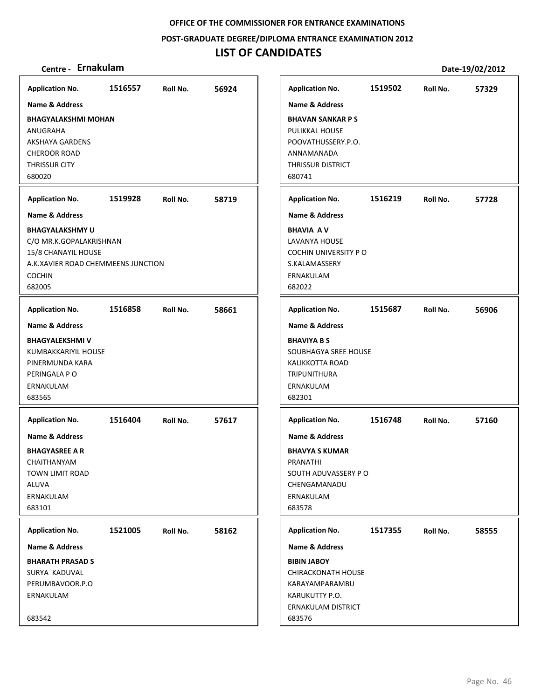**POST‐GRADUATE DEGREE/DIPLOMA ENTRANCE EXAMINATION 2012**

## **LIST OF CANDIDATES**

| <b>Application No.</b>                                                                                                                    | 1516557 | Roll No. | 56924 | <b>Application No.</b>                                                                                                                   | 1519502 | Roll No. | 57329 |
|-------------------------------------------------------------------------------------------------------------------------------------------|---------|----------|-------|------------------------------------------------------------------------------------------------------------------------------------------|---------|----------|-------|
| <b>Name &amp; Address</b>                                                                                                                 |         |          |       | <b>Name &amp; Address</b>                                                                                                                |         |          |       |
| <b>BHAGYALAKSHMI MOHAN</b><br>ANUGRAHA<br><b>AKSHAYA GARDENS</b><br><b>CHEROOR ROAD</b><br><b>THRISSUR CITY</b><br>680020                 |         |          |       | <b>BHAVAN SANKAR P S</b><br>PULIKKAL HOUSE<br>POOVATHUSSERY.P.O.<br>ANNAMANADA<br>THRISSUR DISTRICT<br>680741                            |         |          |       |
| <b>Application No.</b>                                                                                                                    | 1519928 | Roll No. | 58719 | <b>Application No.</b>                                                                                                                   | 1516219 | Roll No. | 57728 |
| <b>Name &amp; Address</b>                                                                                                                 |         |          |       | <b>Name &amp; Address</b>                                                                                                                |         |          |       |
| <b>BHAGYALAKSHMY U</b><br>C/O MR.K.GOPALAKRISHNAN<br>15/8 CHANAYIL HOUSE<br>A.K.XAVIER ROAD CHEMMEENS JUNCTION<br><b>COCHIN</b><br>682005 |         |          |       | <b>BHAVIA AV</b><br>LAVANYA HOUSE<br>COCHIN UNIVERSITY PO<br>S.KALAMASSERY<br>ERNAKULAM<br>682022                                        |         |          |       |
| <b>Application No.</b>                                                                                                                    | 1516858 | Roll No. | 58661 | <b>Application No.</b>                                                                                                                   | 1515687 | Roll No. | 56906 |
| <b>Name &amp; Address</b><br><b>BHAGYALEKSHMI V</b><br>KUMBAKKARIYIL HOUSE<br>PINERMUNDA KARA<br>PERINGALA PO<br>ERNAKULAM<br>683565      |         |          |       | <b>Name &amp; Address</b><br><b>BHAVIYA B S</b><br>SOUBHAGYA SREE HOUSE<br><b>KALIKKOTTA ROAD</b><br>TRIPUNITHURA<br>ERNAKULAM<br>682301 |         |          |       |
| <b>Application No.</b>                                                                                                                    | 1516404 | Roll No. | 57617 | <b>Application No.</b>                                                                                                                   | 1516748 | Roll No. | 57160 |
| <b>Name &amp; Address</b><br><b>BHAGYASREE A R</b><br>CHAITHANYAM<br>TOWN LIMIT ROAD<br>ALUVA<br>ERNAKULAM<br>683101                      |         |          |       | <b>Name &amp; Address</b><br><b>BHAVYA S KUMAR</b><br>PRANATHI<br>SOUTH ADUVASSERY PO<br>CHENGAMANADU<br>ERNAKULAM<br>683578             |         |          |       |
| <b>Application No.</b>                                                                                                                    | 1521005 | Roll No. | 58162 | <b>Application No.</b>                                                                                                                   | 1517355 | Roll No. | 58555 |
| Name & Address                                                                                                                            |         |          |       | <b>Name &amp; Address</b>                                                                                                                |         |          |       |
| <b>BHARATH PRASAD S</b><br>SURYA KADUVAL<br>PERUMBAVOOR.P.O<br>ERNAKULAM<br>683542                                                        |         |          |       | <b>BIBIN JABOY</b><br><b>CHIRACKONATH HOUSE</b><br>KARAYAMPARAMBU<br>KARUKUTTY P.O.<br>ERNAKULAM DISTRICT<br>683576                      |         |          |       |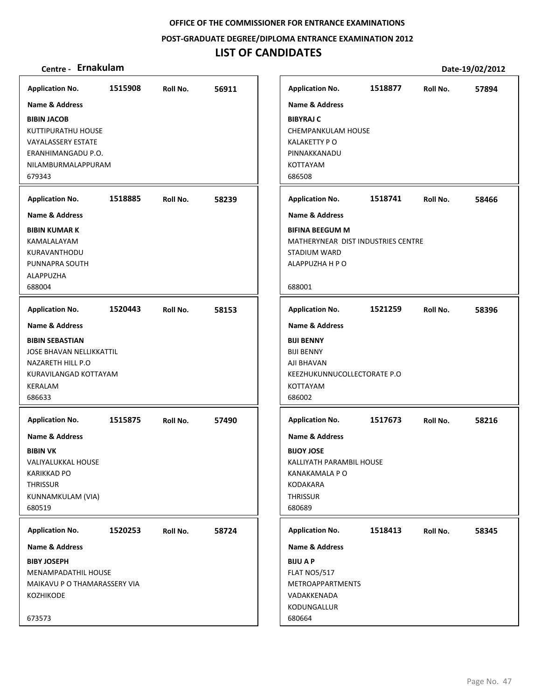**POST‐GRADUATE DEGREE/DIPLOMA ENTRANCE EXAMINATION 2012**

## **LIST OF CANDIDATES**

| Centre - Ernakulam                                                                                                                                        |         |          |       |                                                                                                                                         |         |          | Date-19/02/2012 |
|-----------------------------------------------------------------------------------------------------------------------------------------------------------|---------|----------|-------|-----------------------------------------------------------------------------------------------------------------------------------------|---------|----------|-----------------|
| <b>Application No.</b>                                                                                                                                    | 1515908 | Roll No. | 56911 | <b>Application No.</b>                                                                                                                  | 1518877 | Roll No. | 57894           |
| <b>Name &amp; Address</b><br><b>BIBIN JACOB</b><br>KUTTIPURATHU HOUSE<br>VAYALASSERY ESTATE<br>ERANHIMANGADU P.O.<br>NILAMBURMALAPPURAM<br>679343         |         |          |       | <b>Name &amp; Address</b><br><b>BIBYRAJ C</b><br><b>CHEMPANKULAM HOUSE</b><br>KALAKETTY PO<br>PINNAKKANADU<br><b>KOTTAYAM</b><br>686508 |         |          |                 |
| <b>Application No.</b>                                                                                                                                    | 1518885 | Roll No. | 58239 | <b>Application No.</b>                                                                                                                  | 1518741 | Roll No. | 58466           |
| <b>Name &amp; Address</b>                                                                                                                                 |         |          |       | Name & Address                                                                                                                          |         |          |                 |
| <b>BIBIN KUMAR K</b><br>KAMALALAYAM<br>KURAVANTHODU<br>PUNNAPRA SOUTH<br>ALAPPUZHA<br>688004                                                              |         |          |       | <b>BIFINA BEEGUM M</b><br>MATHERYNEAR DIST INDUSTRIES CENTRE<br><b>STADIUM WARD</b><br>ALAPPUZHA H P O<br>688001                        |         |          |                 |
| <b>Application No.</b>                                                                                                                                    | 1520443 | Roll No. | 58153 | <b>Application No.</b>                                                                                                                  | 1521259 | Roll No. | 58396           |
| <b>Name &amp; Address</b><br><b>BIBIN SEBASTIAN</b><br><b>JOSE BHAVAN NELLIKKATTIL</b><br>NAZARETH HILL P.O<br>KURAVILANGAD KOTTAYAM<br>KERALAM<br>686633 |         |          |       | <b>Name &amp; Address</b><br><b>BIJI BENNY</b><br><b>BIJI BENNY</b><br>AJI BHAVAN<br>KEEZHUKUNNUCOLLECTORATE P.O<br>KOTTAYAM<br>686002  |         |          |                 |
| <b>Application No.</b>                                                                                                                                    | 1515875 | Roll No. | 57490 | <b>Application No.</b>                                                                                                                  | 1517673 | Roll No. | 58216           |
| <b>Name &amp; Address</b><br><b>BIBIN VK</b><br>VALIYALUKKAL HOUSE<br><b>KARIKKAD PO</b><br><b>THRISSUR</b><br>KUNNAMKULAM (VIA)<br>680519                |         |          |       | <b>Name &amp; Address</b><br><b>BIJOY JOSE</b><br>KALLIYATH PARAMBIL HOUSE<br>KANAKAMALA P O<br>KODAKARA<br><b>THRISSUR</b><br>680689   |         |          |                 |
| <b>Application No.</b>                                                                                                                                    | 1520253 | Roll No. | 58724 | <b>Application No.</b>                                                                                                                  | 1518413 | Roll No. | 58345           |
| <b>Name &amp; Address</b>                                                                                                                                 |         |          |       | <b>Name &amp; Address</b>                                                                                                               |         |          |                 |
| <b>BIBY JOSEPH</b><br>MENAMPADATHIL HOUSE<br>MAIKAVU P O THAMARASSERY VIA<br>KOZHIKODE<br>673573                                                          |         |          |       | <b>BIJU A P</b><br><b>FLAT NO5/517</b><br><b>METROAPPARTMENTS</b><br>VADAKKENADA<br>KODUNGALLUR<br>680664                               |         |          |                 |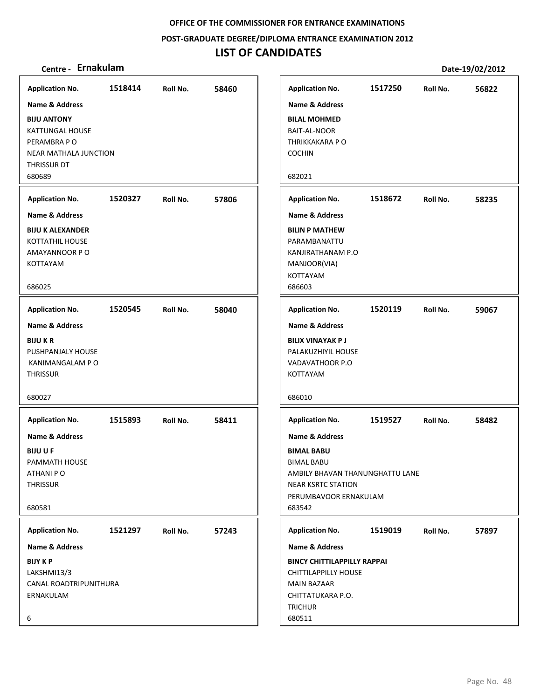**POST‐GRADUATE DEGREE/DIPLOMA ENTRANCE EXAMINATION 2012**

## **LIST OF CANDIDATES**

| <b>Application No.</b>                                                                                                                                                                                                                                                 | 1518414            | Roll No.             | 58460          |
|------------------------------------------------------------------------------------------------------------------------------------------------------------------------------------------------------------------------------------------------------------------------|--------------------|----------------------|----------------|
| <b>Name &amp; Address</b>                                                                                                                                                                                                                                              |                    |                      |                |
| <b>BIJU ANTONY</b><br>KATTUNGAL HOUSE<br>PERAMBRA P O<br><b>NEAR MATHALA JUNCTION</b><br>THRISSUR DT<br>680689                                                                                                                                                         |                    |                      |                |
| <b>Application No.</b>                                                                                                                                                                                                                                                 | 1520327            | Roll No.             | 57806          |
| <b>Name &amp; Address</b>                                                                                                                                                                                                                                              |                    |                      |                |
| <b>BIJU K ALEXANDER</b><br>KOTTATHIL HOUSE<br>AMAYANNOOR PO<br>KOTTAYAM<br>686025                                                                                                                                                                                      |                    |                      |                |
|                                                                                                                                                                                                                                                                        |                    |                      |                |
| <b>Application No.</b><br><b>Name &amp; Address</b><br><b>BIJUKR</b><br>PUSHPANJALY HOUSE<br>KANIMANGALAM P O<br><b>THRISSUR</b><br>680027<br><b>Application No.</b><br><b>Name &amp; Address</b><br><b>BIJUUF</b><br>PAMMATH HOUSE<br>ATHANI PO<br>THRISSUR<br>680581 | 1520545<br>1515893 | Roll No.<br>Roll No. | 58040<br>58411 |
| <b>Application No.</b>                                                                                                                                                                                                                                                 | 1521297            | Roll No.             | 57243          |
| <b>Name &amp; Address</b>                                                                                                                                                                                                                                              |                    |                      |                |
| <b>BIJY K P</b><br>LAKSHMI13/3<br>CANAL ROADTRIPUNITHURA<br>ERNAKULAM<br>6                                                                                                                                                                                             |                    |                      |                |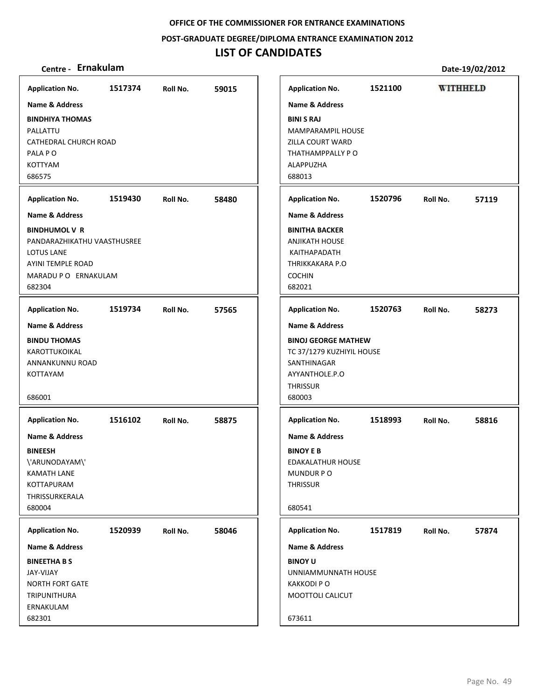**POST‐GRADUATE DEGREE/DIPLOMA ENTRANCE EXAMINATION 2012**

### **LIST OF CANDIDATES**

### **Centre ‐ Ernakulam Date‐19/02/2012**

**Application No. 1517374 59015 Application No. 1521100 WITHHELD Name & Address Name & Address BINDHIYA THOMAS BINI S RAJ** PALLATTU MAMPARAMPIL HOUSE CATHEDRAL CHURCH ROAD ZILLA COURT WARD PALA P O THATHAMPPALLY P O KOTTYAM ALAPPUZHA 686575 688013 **Application No. 1519430 58480 Application No. 1520796 57119 Name & Address Name & Address BINITHA BACKER BINDHUMOL V R** PANDARAZHIKATHU VAASTHUSREE ANJIKATH HOUSE LOTUS LANE KAITHAPADATH AYINI TEMPLE ROAD THRIKKAKARA P.O MARADU P O ERNAKULAM COCHIN 682304 682021 **Application No. 1519734 57565 Application No. 1520763 58273 Name & Address Name & Address BINDU THOMAS BINOJ GEORGE MATHEW KAROTTUKOIKAL** TC 37/1279 KUZHIYIL HOUSE ANNANKUNNU ROAD SANTHINAGAR AYYANTHOLE.P.O KOTTAYAM **THRISSUR** 686001 680003 **Application No. Application No. 1516102 58875 1518993 58816 Name & Address Name & Address BINEESH BINOY E B** \'ARUNODAYAM\' EDAKALATHUR HOUSE KAMATH LANE MUNDUR P O KOTTAPURAM **THRISSUR** THRISSURKERALA 680004 680541 **Application No. 1520939 58046 Application No. 1517819 57874 Name & Address Name & Address BINEETHA B S BINOY U** JAY‐VIJAY UNNIAMMUNNATH HOUSE KAKKODI P O NORTH FORT GATE TRIPUNITHURA MOOTTOLI CALICUT ERNAKULAM 682301 673611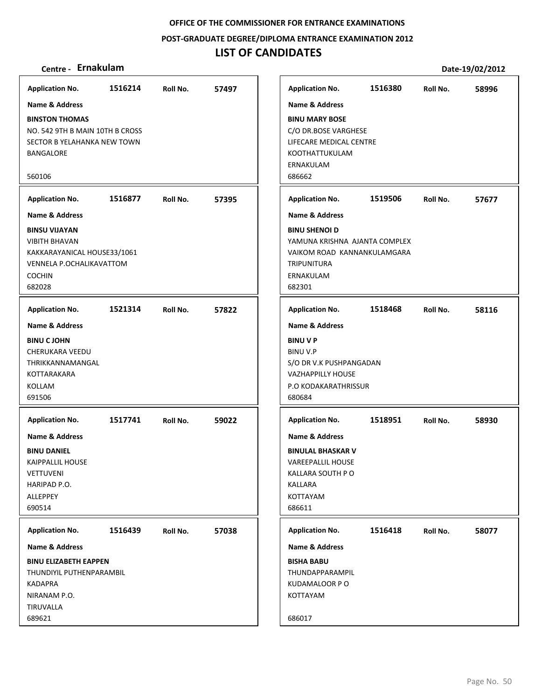**POST‐GRADUATE DEGREE/DIPLOMA ENTRANCE EXAMINATION 2012**

## **LIST OF CANDIDATES**

| Centre - Ernakulam                        |         |          |       |                                                  |         |          | Date-19/02/2012 |
|-------------------------------------------|---------|----------|-------|--------------------------------------------------|---------|----------|-----------------|
| <b>Application No.</b>                    | 1516214 | Roll No. | 57497 | <b>Application No.</b>                           | 1516380 | Roll No. | 58996           |
| <b>Name &amp; Address</b>                 |         |          |       | <b>Name &amp; Address</b>                        |         |          |                 |
| <b>BINSTON THOMAS</b>                     |         |          |       | <b>BINU MARY BOSE</b>                            |         |          |                 |
| NO. 542 9TH B MAIN 10TH B CROSS           |         |          |       | C/O DR.BOSE VARGHESE                             |         |          |                 |
| SECTOR B YELAHANKA NEW TOWN               |         |          |       | LIFECARE MEDICAL CENTRE                          |         |          |                 |
| BANGALORE                                 |         |          |       | KOOTHATTUKULAM                                   |         |          |                 |
|                                           |         |          |       | ERNAKULAM                                        |         |          |                 |
| 560106                                    |         |          |       | 686662                                           |         |          |                 |
| <b>Application No.</b>                    | 1516877 | Roll No. | 57395 | <b>Application No.</b>                           | 1519506 | Roll No. | 57677           |
| Name & Address                            |         |          |       | <b>Name &amp; Address</b>                        |         |          |                 |
| <b>BINSU VIJAYAN</b>                      |         |          |       | <b>BINU SHENOI D</b>                             |         |          |                 |
| <b>VIBITH BHAVAN</b>                      |         |          |       | YAMUNA KRISHNA AJANTA COMPLEX                    |         |          |                 |
| KAKKARAYANICAL HOUSE33/1061               |         |          |       | VAIKOM ROAD KANNANKULAMGARA                      |         |          |                 |
| VENNELA P.OCHALIKAVATTOM<br><b>COCHIN</b> |         |          |       | <b>TRIPUNITURA</b><br>ERNAKULAM                  |         |          |                 |
| 682028                                    |         |          |       | 682301                                           |         |          |                 |
|                                           |         |          |       |                                                  |         |          |                 |
| <b>Application No.</b>                    | 1521314 | Roll No. | 57822 | <b>Application No.</b>                           | 1518468 | Roll No. | 58116           |
| <b>Name &amp; Address</b>                 |         |          |       | <b>Name &amp; Address</b>                        |         |          |                 |
| <b>BINU CJOHN</b>                         |         |          |       | <b>BINUVP</b>                                    |         |          |                 |
| <b>CHERUKARA VEEDU</b>                    |         |          |       | <b>BINU V.P</b>                                  |         |          |                 |
| THRIKKANNAMANGAL                          |         |          |       | S/O DR V.K PUSHPANGADAN                          |         |          |                 |
| KOTTARAKARA<br>KOLLAM                     |         |          |       | <b>VAZHAPPILLY HOUSE</b><br>P.O KODAKARATHRISSUR |         |          |                 |
| 691506                                    |         |          |       | 680684                                           |         |          |                 |
|                                           |         |          |       |                                                  |         |          |                 |
| <b>Application No.</b>                    | 1517741 | Roll No. | 59022 | <b>Application No.</b>                           | 1518951 | Roll No. | 58930           |
| <b>Name &amp; Address</b>                 |         |          |       | <b>Name &amp; Address</b>                        |         |          |                 |
| BINU DANIEL                               |         |          |       | <b>BINULAL BHASKAR V</b>                         |         |          |                 |
| <b>KAIPPALLIL HOUSE</b>                   |         |          |       | <b>VAREEPALLIL HOUSE</b>                         |         |          |                 |
| <b>VETTUVENI</b>                          |         |          |       | KALLARA SOUTH P O                                |         |          |                 |
| HARIPAD P.O.                              |         |          |       | KALLARA                                          |         |          |                 |
| ALLEPPEY<br>690514                        |         |          |       | KOTTAYAM<br>686611                               |         |          |                 |
|                                           |         |          |       |                                                  |         |          |                 |
| <b>Application No.</b>                    | 1516439 | Roll No. | 57038 | <b>Application No.</b>                           | 1516418 | Roll No. | 58077           |
| <b>Name &amp; Address</b>                 |         |          |       | <b>Name &amp; Address</b>                        |         |          |                 |
| <b>BINU ELIZABETH EAPPEN</b>              |         |          |       | <b>BISHA BABU</b>                                |         |          |                 |
| THUNDIYIL PUTHENPARAMBIL                  |         |          |       | THUNDAPPARAMPIL                                  |         |          |                 |
| <b>KADAPRA</b>                            |         |          |       | KUDAMALOOR PO                                    |         |          |                 |
| NIRANAM P.O.                              |         |          |       | KOTTAYAM                                         |         |          |                 |
| TIRUVALLA<br>689621                       |         |          |       | 686017                                           |         |          |                 |
|                                           |         |          |       |                                                  |         |          |                 |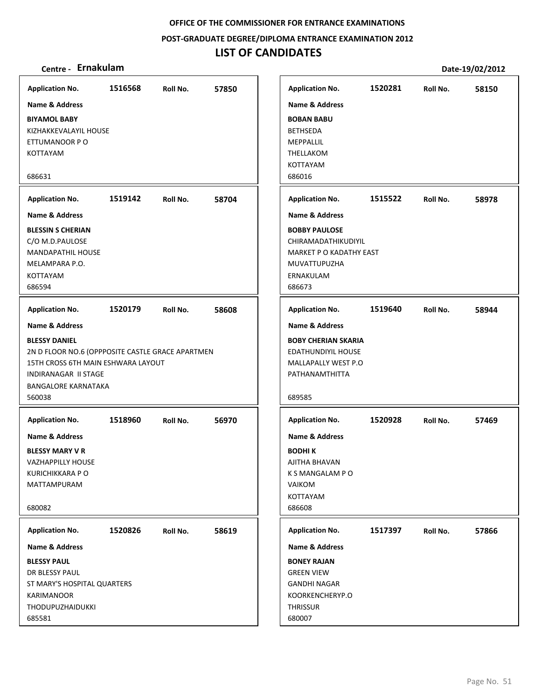**POST‐GRADUATE DEGREE/DIPLOMA ENTRANCE EXAMINATION 2012**

## **LIST OF CANDIDATES**

| <b>Application No.</b>                           | 1516568 | Roll No. | 57850 |
|--------------------------------------------------|---------|----------|-------|
| Name & Address                                   |         |          |       |
| <b>BIYAMOL BABY</b>                              |         |          |       |
| KIZHAKKEVALAYIL HOUSE                            |         |          |       |
| ETTUMANOOR P O                                   |         |          |       |
| <b>KOTTAYAM</b>                                  |         |          |       |
| 686631                                           |         |          |       |
| <b>Application No.</b>                           | 1519142 | Roll No. | 58704 |
| Name & Address                                   |         |          |       |
| <b>BLESSIN S CHERIAN</b>                         |         |          |       |
| C/O M.D.PAULOSE                                  |         |          |       |
| <b>MANDAPATHIL HOUSE</b>                         |         |          |       |
| MELAMPARA P.O.                                   |         |          |       |
| KOTTAYAM                                         |         |          |       |
| 686594                                           |         |          |       |
| <b>Application No.</b>                           | 1520179 | Roll No. | 58608 |
| Name & Address                                   |         |          |       |
| <b>BLESSY DANIEL</b>                             |         |          |       |
| 2N D FLOOR NO.6 (OPPPOSITE CASTLE GRACE APARTMEN |         |          |       |
| 15TH CROSS 6TH MAIN ESHWARA LAYOUT               |         |          |       |
| INDIRANAGAR II STAGE                             |         |          |       |
| <b>BANGALORE KARNATAKA</b>                       |         |          |       |
| 560038                                           |         |          |       |
| <b>Application No.</b>                           | 1518960 | Roll No. | 56970 |
| Name & Address                                   |         |          |       |
| <b>BLESSY MARY V R</b>                           |         |          |       |
| <b>VAZHAPPILLY HOUSE</b>                         |         |          |       |
| <b>KURICHIKKARA P O</b>                          |         |          |       |
| <b>MATTAMPURAM</b>                               |         |          |       |
|                                                  |         |          |       |
| 680082                                           |         |          |       |
| <b>Application No.</b>                           | 1520826 | Roll No. | 58619 |
| <b>Name &amp; Address</b>                        |         |          |       |
| <b>BLESSY PAUL</b>                               |         |          |       |
| DR BLESSY PAUL                                   |         |          |       |
| ST MARY'S HOSPITAL QUARTERS                      |         |          |       |
| KARIMANOOR                                       |         |          |       |
| <b>THODUPUZHAIDUKKI</b>                          |         |          |       |
| 685581                                           |         |          |       |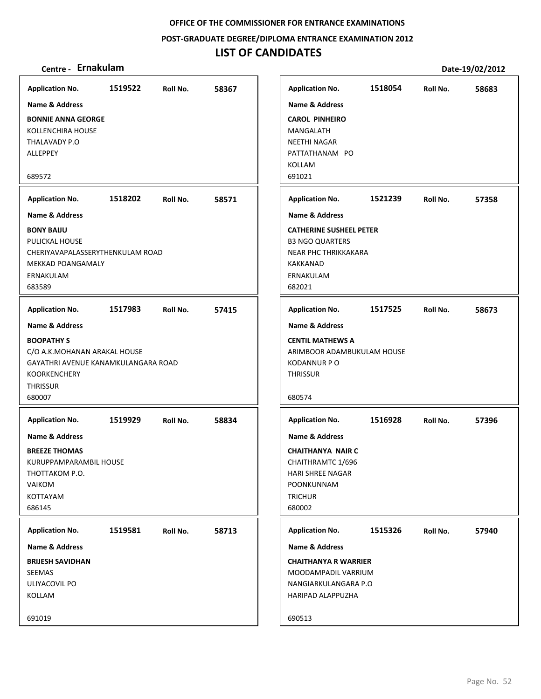**POST‐GRADUATE DEGREE/DIPLOMA ENTRANCE EXAMINATION 2012**

## **LIST OF CANDIDATES**

| Centre - Ernakulam                                                                                                                                                        |         |          |       |                                                                                                                                                 |         |          | Date-19/02/2012 |
|---------------------------------------------------------------------------------------------------------------------------------------------------------------------------|---------|----------|-------|-------------------------------------------------------------------------------------------------------------------------------------------------|---------|----------|-----------------|
| <b>Application No.</b>                                                                                                                                                    | 1519522 | Roll No. | 58367 | <b>Application No.</b>                                                                                                                          | 1518054 | Roll No. | 58683           |
| <b>Name &amp; Address</b>                                                                                                                                                 |         |          |       | <b>Name &amp; Address</b>                                                                                                                       |         |          |                 |
| <b>BONNIE ANNA GEORGE</b><br>KOLLENCHIRA HOUSE<br>THALAVADY P.O<br><b>ALLEPPEY</b>                                                                                        |         |          |       | <b>CAROL PINHEIRO</b><br>MANGALATH<br><b>NEETHI NAGAR</b><br>PATTATHANAM PO<br>KOLLAM                                                           |         |          |                 |
| 689572                                                                                                                                                                    |         |          |       | 691021                                                                                                                                          |         |          |                 |
| <b>Application No.</b>                                                                                                                                                    | 1518202 | Roll No. | 58571 | <b>Application No.</b>                                                                                                                          | 1521239 | Roll No. | 57358           |
| <b>Name &amp; Address</b>                                                                                                                                                 |         |          |       | Name & Address                                                                                                                                  |         |          |                 |
| <b>BONY BAIJU</b><br>PULICKAL HOUSE<br>CHERIYAVAPALASSERYTHENKULAM ROAD<br>MEKKAD POANGAMALY<br>ERNAKULAM<br>683589                                                       |         |          |       | <b>CATHERINE SUSHEEL PETER</b><br><b>B3 NGO QUARTERS</b><br>NEAR PHC THRIKKAKARA<br>KAKKANAD<br>ERNAKULAM<br>682021                             |         |          |                 |
| <b>Application No.</b>                                                                                                                                                    | 1517983 | Roll No. | 57415 | <b>Application No.</b>                                                                                                                          | 1517525 | Roll No. | 58673           |
| <b>Name &amp; Address</b><br><b>BOOPATHY S</b><br>C/O A.K.MOHANAN ARAKAL HOUSE<br>GAYATHRI AVENUE KANAMKULANGARA ROAD<br><b>KOORKENCHERY</b><br><b>THRISSUR</b><br>680007 |         |          |       | <b>Name &amp; Address</b><br><b>CENTIL MATHEWS A</b><br>ARIMBOOR ADAMBUKULAM HOUSE<br><b>KODANNUR P O</b><br><b>THRISSUR</b><br>680574          |         |          |                 |
| <b>Application No.</b>                                                                                                                                                    | 1519929 | Roll No. | 58834 | <b>Application No.</b>                                                                                                                          | 1516928 | Roll No. | 57396           |
| <b>Name &amp; Address</b><br><b>BREEZE THOMAS</b><br>KURUPPAMPARAMBIL HOUSE<br>THOTTAKOM P.O.<br>VAIKOM<br>KOTTAYAM<br>686145                                             |         |          |       | <b>Name &amp; Address</b><br><b>CHAITHANYA NAIR C</b><br>CHAITHRAMTC 1/696<br><b>HARI SHREE NAGAR</b><br>POONKUNNAM<br><b>TRICHUR</b><br>680002 |         |          |                 |
| <b>Application No.</b>                                                                                                                                                    | 1519581 | Roll No. | 58713 | <b>Application No.</b>                                                                                                                          | 1515326 | Roll No. | 57940           |
| Name & Address                                                                                                                                                            |         |          |       | Name & Address                                                                                                                                  |         |          |                 |
| <b>BRIJESH SAVIDHAN</b><br>SEEMAS<br>ULIYACOVIL PO<br>KOLLAM                                                                                                              |         |          |       | <b>CHAITHANYA R WARRIER</b><br>MOODAMPADIL VARRIUM<br>NANGIARKULANGARA P.O<br>HARIPAD ALAPPUZHA                                                 |         |          |                 |
| 691019                                                                                                                                                                    |         |          |       | 690513                                                                                                                                          |         |          |                 |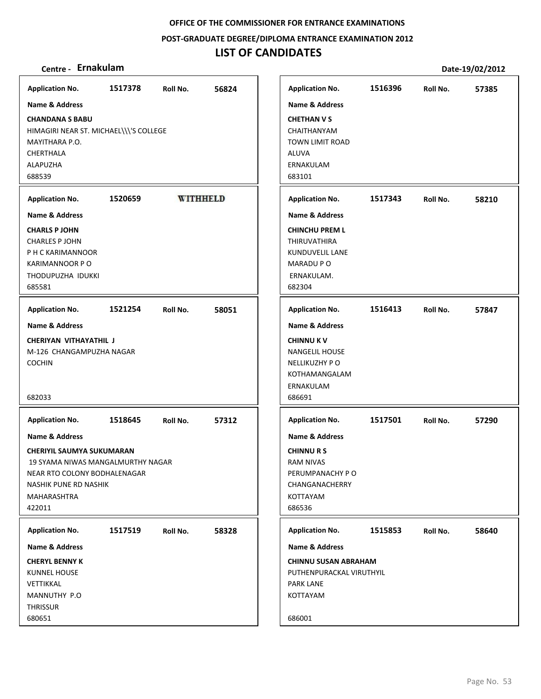**POST‐GRADUATE DEGREE/DIPLOMA ENTRANCE EXAMINATION 2012**

## **LIST OF CANDIDATES**

| Name & Address<br>HIMAGIRI NEAR ST. MICHAEL\\\'S COLLEGE<br>1520659<br><b>WITHHELD</b><br>1521254<br>58051<br>Roll No.<br>CHERIYAN VITHAYATHIL J<br>M-126 CHANGAMPUZHA NAGAR<br>1518645<br>57312<br>Roll No.<br><b>CHERIYIL SAUMYA SUKUMARAN</b><br>19 SYAMA NIWAS MANGALMURTHY NAGAR<br>NEAR RTO COLONY BODHALENAGAR<br>NASHIK PUNE RD NASHIK<br>1517519<br>Roll No.<br>58328 | <b>Application No.</b>                                                                                                    | 1517378 | Roll No. | 56824 |
|--------------------------------------------------------------------------------------------------------------------------------------------------------------------------------------------------------------------------------------------------------------------------------------------------------------------------------------------------------------------------------|---------------------------------------------------------------------------------------------------------------------------|---------|----------|-------|
|                                                                                                                                                                                                                                                                                                                                                                                |                                                                                                                           |         |          |       |
|                                                                                                                                                                                                                                                                                                                                                                                | <b>CHANDANA S BABU</b><br>MAYITHARA P.O.<br>CHERTHALA<br>ALAPUZHA<br>688539                                               |         |          |       |
|                                                                                                                                                                                                                                                                                                                                                                                | <b>Application No.</b>                                                                                                    |         |          |       |
|                                                                                                                                                                                                                                                                                                                                                                                | <b>Name &amp; Address</b>                                                                                                 |         |          |       |
|                                                                                                                                                                                                                                                                                                                                                                                | <b>CHARLS PJOHN</b><br><b>CHARLES P JOHN</b><br>P H C KARIMANNOOR<br><b>KARIMANNOOR PO</b><br>THODUPUZHA IDUKKI<br>685581 |         |          |       |
|                                                                                                                                                                                                                                                                                                                                                                                | <b>Application No.</b>                                                                                                    |         |          |       |
|                                                                                                                                                                                                                                                                                                                                                                                | Name & Address                                                                                                            |         |          |       |
|                                                                                                                                                                                                                                                                                                                                                                                | <b>COCHIN</b><br>682033                                                                                                   |         |          |       |
| Name & Address                                                                                                                                                                                                                                                                                                                                                                 | <b>Application No.</b>                                                                                                    |         |          |       |
| <b>CHINNURS</b><br><b>RAM NIVAS</b><br>PERUMPANACHY PO<br>CHANGANACHERRY<br>KOTTAYAM<br>686536<br><b>PARK LANE</b><br>KOTTAYAM                                                                                                                                                                                                                                                 | Name & Address                                                                                                            |         |          |       |
| <b>Application No.</b><br>Name & Address<br><b>CHINNU SUSAN ABRAHAM</b><br>PUTHENPURACKAL VIRUTHYIL                                                                                                                                                                                                                                                                            | MAHARASHTRA<br>422011                                                                                                     |         |          |       |
|                                                                                                                                                                                                                                                                                                                                                                                |                                                                                                                           |         |          |       |
|                                                                                                                                                                                                                                                                                                                                                                                | <b>Application No.</b>                                                                                                    |         |          |       |
|                                                                                                                                                                                                                                                                                                                                                                                | Name & Address                                                                                                            |         |          |       |
| 686001                                                                                                                                                                                                                                                                                                                                                                         | <b>CHERYL BENNY K</b><br><b>KUNNEL HOUSE</b><br>VETTIKKAL<br>MANNUTHY P.O<br><b>THRISSUR</b><br>680651                    |         |          |       |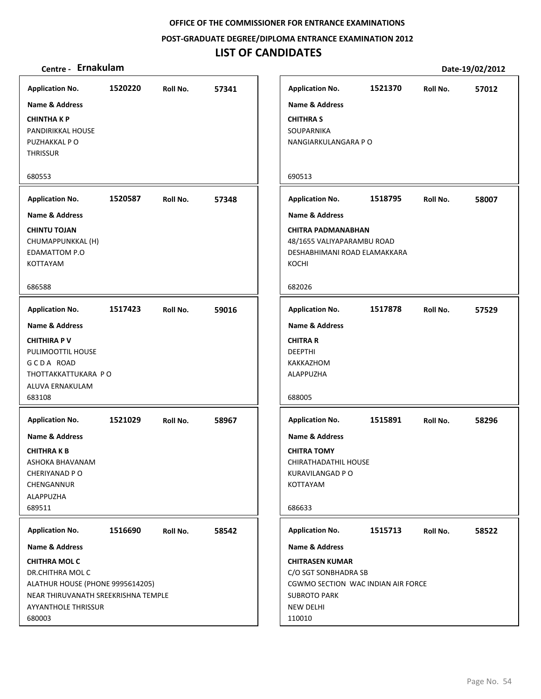**POST‐GRADUATE DEGREE/DIPLOMA ENTRANCE EXAMINATION 2012**

## **LIST OF CANDIDATES**

| Application No.  1520220 Roll No.  57341 |         |                        |       | <b>Applicat</b>          |
|------------------------------------------|---------|------------------------|-------|--------------------------|
| <b>Name &amp; Address</b>                |         |                        |       | Name &                   |
| <b>CHINTHAKP</b>                         |         |                        |       | <b>CHITHRA</b>           |
| PANDIRIKKAL HOUSE                        |         |                        |       | SOUPAR                   |
| PUZHAKKAL P O                            |         |                        |       | <b>NANGIAI</b>           |
| <b>THRISSUR</b>                          |         |                        |       |                          |
| 680553                                   |         |                        |       | 690513                   |
| Application No. 1520587 Roll No. 57348   |         |                        |       | <b>Applicat</b>          |
| Name & Address                           |         |                        |       | Name &                   |
| <b>CHINTU TOJAN</b>                      |         |                        |       | <b>CHITRAI</b>           |
| CHUMAPPUNKKAL (H)                        |         |                        |       | 48/1655                  |
| <b>EDAMATTOM P.O</b>                     |         |                        |       | <b>DESHABI</b>           |
| <b>KOTTAYAM</b>                          |         |                        |       | KOCHI                    |
| 686588                                   |         |                        |       | 682026                   |
| <b>Application No.</b>                   |         | 1517423 Roll No. 59016 |       | <b>Applicat</b>          |
| <b>Name &amp; Address</b>                |         |                        |       | Name &                   |
| <b>CHITHIRA P V</b>                      |         |                        |       | <b>CHITRA</b>            |
| PULIMOOTTIL HOUSE                        |         |                        |       | <b>DEEPTHI</b>           |
| GCDA ROAD                                |         |                        |       | <b>KAKKAZI</b>           |
| THOTTAKKATTUKARA PO                      |         |                        |       | <b>ALAPPUZ</b>           |
| ALUVA ERNAKULAM                          |         |                        |       |                          |
| 683108                                   |         |                        |       | 688005                   |
| Application No. 1521029 Roll No.         |         |                        | 58967 | <b>Applicat</b>          |
| <b>Name &amp; Address</b>                |         |                        |       | Name &                   |
| <b>CHITHRAKB</b>                         |         |                        |       | <b>CHITRA</b>            |
| ASHOKA BHAVANAM                          |         |                        |       | <b>CHIRATH</b>           |
| CHERIYANAD P O                           |         |                        |       | KURAVIL<br><b>KOTTAY</b> |
| CHENGANNUR<br>ALAPPUZHA                  |         |                        |       |                          |
| 689511                                   |         |                        |       | 686633                   |
| <b>Application No.</b>                   | 1516690 | Roll No.               | 58542 | <b>Applicat</b>          |
| <b>Name &amp; Address</b>                |         |                        |       | Name &                   |
| <b>CHITHRA MOL C</b>                     |         |                        |       | <b>CHITRAS</b>           |
| DR.CHITHRA MOL C                         |         |                        |       | C/O SGT                  |
| ALATHUR HOUSE (PHONE 9995614205)         |         |                        |       | CGWMO                    |
| NEAR THIRUVANATH SREEKRISHNA TEMPLE      |         |                        |       | <b>SUBROT</b>            |
| <b>AYYANTHOLE THRISSUR</b>               |         |                        |       | <b>NEW DEI</b>           |
| 680003                                   |         |                        |       | 110010                   |

| <b>Application No.</b>                                                                                                      | 1521370 | Roll No. | 57012 |
|-----------------------------------------------------------------------------------------------------------------------------|---------|----------|-------|
| <b>Name &amp; Address</b>                                                                                                   |         |          |       |
| CHITHRA S<br>SOUPARNIKA<br>NANGIARKULANGARA P O                                                                             |         |          |       |
| 690513                                                                                                                      |         |          |       |
| <b>Application No.</b>                                                                                                      | 1518795 | Roll No. | 58007 |
| <b>Name &amp; Address</b>                                                                                                   |         |          |       |
| CHITRA PADMANABHAN<br>48/1655 VALIYAPARAMBU ROAD<br>DESHABHIMANI ROAD ELAMAKKARA<br>KOCHI                                   |         |          |       |
| 682026                                                                                                                      |         |          |       |
| <b>Application No.</b>                                                                                                      | 1517878 | Roll No. | 57529 |
| <b>Name &amp; Address</b>                                                                                                   |         |          |       |
| CHITRA R<br>DEEPTHI<br>KAKKAZHOM<br>ALAPPUZHA                                                                               |         |          |       |
| 688005                                                                                                                      |         |          |       |
| <b>Application No.</b>                                                                                                      | 1515891 | Roll No. | 58296 |
| <b>Name &amp; Address</b>                                                                                                   |         |          |       |
| CHITRA TOMY<br>CHIRATHADATHIL HOUSE<br>KURAVILANGAD P O<br>KOTTAYAM                                                         |         |          |       |
| 686633                                                                                                                      |         |          |       |
| <b>Application No.</b>                                                                                                      | 1515713 | Roll No. | 58522 |
| <b>Name &amp; Address</b>                                                                                                   |         |          |       |
| <b>CHITRASEN KUMAR</b><br>C/O SGT SONBHADRA SB<br>CGWMO SECTION WAC INDIAN AIR FORCE<br>SUBROTO PARK<br>NEW DELHI<br>110010 |         |          |       |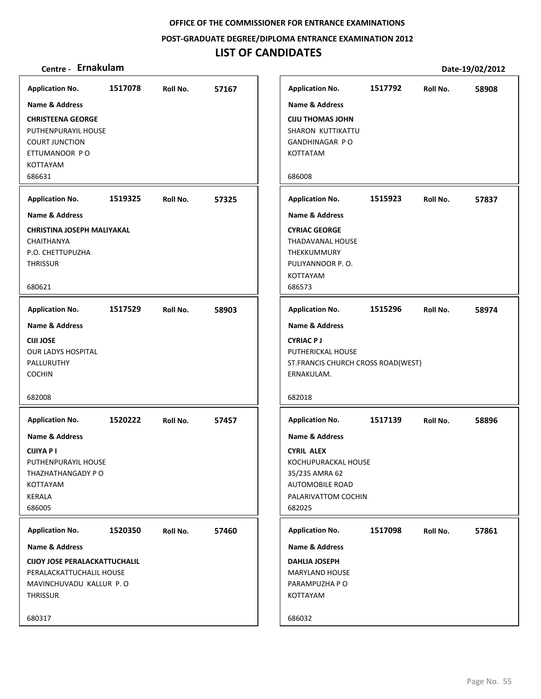**POST‐GRADUATE DEGREE/DIPLOMA ENTRANCE EXAMINATION 2012**

## **LIST OF CANDIDATES**

| <b>Application No.</b>                                                                                                 | 1517078 | Roll No. | 57167 |
|------------------------------------------------------------------------------------------------------------------------|---------|----------|-------|
| Name & Address                                                                                                         |         |          |       |
| <b>CHRISTEENA GEORGE</b><br>PUTHENPURAYIL HOUSE<br><b>COURT JUNCTION</b><br>ETTUMANOOR PO<br><b>KOTTAYAM</b><br>686631 |         |          |       |
| <b>Application No.</b>                                                                                                 | 1519325 | Roll No. | 57325 |
| <b>Name &amp; Address</b>                                                                                              |         |          |       |
| <b>CHRISTINA JOSEPH MALIYAKAL</b><br>CHAITHANYA<br>P.O. CHETTUPUZHA<br><b>THRISSUR</b><br>680621                       |         |          |       |
| <b>Application No.</b>                                                                                                 | 1517529 | Roll No. | 58903 |
| <b>Name &amp; Address</b>                                                                                              |         |          |       |
| <b>CIJI JOSE</b><br><b>OUR LADYS HOSPITAL</b><br>PALLURUTHY<br><b>COCHIN</b>                                           |         |          |       |
| 682008                                                                                                                 |         |          |       |
| <b>Application No.</b>                                                                                                 | 1520222 | Roll No. | 57457 |
| <b>Name &amp; Address</b>                                                                                              |         |          |       |
| <b>CIJIYA P I</b><br>PUTHENPURAYIL HOUSE<br>THAZHATHANGADY PO<br>KOTTAYAM<br>KERALA<br>686005                          |         |          |       |
|                                                                                                                        | 1520350 |          |       |
| <b>Application No.</b><br><b>Name &amp; Address</b>                                                                    |         | Roll No. | 57460 |
| <b>CIJOY JOSE PERALACKATTUCHALIL</b>                                                                                   |         |          |       |
| PERALACKATTUCHALIL HOUSE<br>MAVINCHUVADU KALLUR P.O<br><b>THRISSUR</b>                                                 |         |          |       |
| 680317                                                                                                                 |         |          |       |
|                                                                                                                        |         |          |       |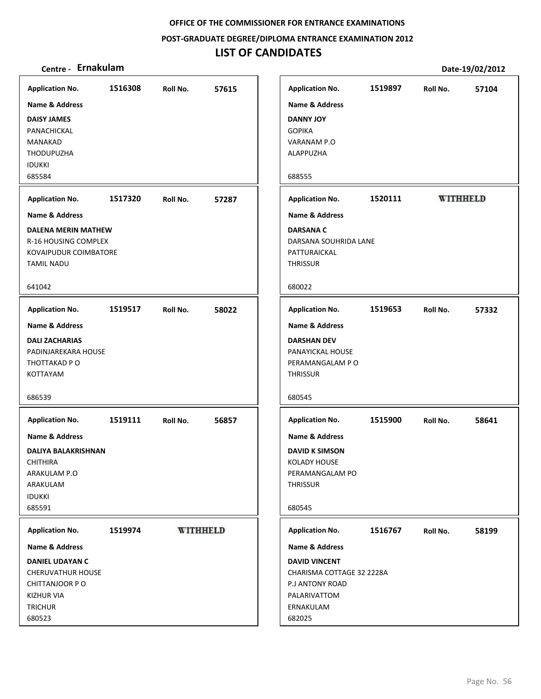**POST‐GRADUATE DEGREE/DIPLOMA ENTRANCE EXAMINATION 2012**

## **LIST OF CANDIDATES**

| <b>Application No.</b>       | 1516308 | Roll No.        | 57615 | <b>Application No.</b>    | 1519897 | Roll No.        | 57104 |
|------------------------------|---------|-----------------|-------|---------------------------|---------|-----------------|-------|
| <b>Name &amp; Address</b>    |         |                 |       | <b>Name &amp; Address</b> |         |                 |       |
| <b>DAISY JAMES</b>           |         |                 |       | <b>DANNY JOY</b>          |         |                 |       |
| PANACHICKAL                  |         |                 |       | <b>GOPIKA</b>             |         |                 |       |
| MANAKAD                      |         |                 |       | VARANAM P.O               |         |                 |       |
| <b>THODUPUZHA</b>            |         |                 |       | ALAPPUZHA                 |         |                 |       |
| <b>IDUKKI</b>                |         |                 |       |                           |         |                 |       |
| 685584                       |         |                 |       | 688555                    |         |                 |       |
| <b>Application No.</b>       | 1517320 | Roll No.        | 57287 | <b>Application No.</b>    | 1520111 | <b>WITHHELD</b> |       |
| <b>Name &amp; Address</b>    |         |                 |       | <b>Name &amp; Address</b> |         |                 |       |
| <b>DALENA MERIN MATHEW</b>   |         |                 |       | <b>DARSANA C</b>          |         |                 |       |
| R-16 HOUSING COMPLEX         |         |                 |       | DARSANA SOUHRIDA LANE     |         |                 |       |
| <b>KOVAIPUDUR COIMBATORE</b> |         |                 |       | PATTURAICKAL              |         |                 |       |
| <b>TAMIL NADU</b>            |         |                 |       | THRISSUR                  |         |                 |       |
| 641042                       |         |                 |       | 680022                    |         |                 |       |
| <b>Application No.</b>       | 1519517 | Roll No.        | 58022 | <b>Application No.</b>    | 1519653 | Roll No.        | 57332 |
| <b>Name &amp; Address</b>    |         |                 |       | <b>Name &amp; Address</b> |         |                 |       |
| <b>DALI ZACHARIAS</b>        |         |                 |       | <b>DARSHAN DEV</b>        |         |                 |       |
| PADINJAREKARA HOUSE          |         |                 |       | PANAYICKAL HOUSE          |         |                 |       |
| THOTTAKAD P O                |         |                 |       | PERAMANGALAM PO           |         |                 |       |
| <b>KOTTAYAM</b>              |         |                 |       | <b>THRISSUR</b>           |         |                 |       |
| 686539                       |         |                 |       | 680545                    |         |                 |       |
| <b>Application No.</b>       | 1519111 | Roll No.        | 56857 | <b>Application No.</b>    | 1515900 | Roll No.        | 58641 |
| <b>Name &amp; Address</b>    |         |                 |       | <b>Name &amp; Address</b> |         |                 |       |
| <b>DALIYA BALAKRISHNAN</b>   |         |                 |       | <b>DAVID K SIMSON</b>     |         |                 |       |
| <b>CHITHIRA</b>              |         |                 |       | <b>KOLADY HOUSE</b>       |         |                 |       |
| ARAKULAM P.O                 |         |                 |       | PERAMANGALAM PO           |         |                 |       |
| ARAKULAM                     |         |                 |       | <b>THRISSUR</b>           |         |                 |       |
| <b>IDUKKI</b>                |         |                 |       |                           |         |                 |       |
| 685591                       |         |                 |       | 680545                    |         |                 |       |
| <b>Application No.</b>       | 1519974 | <b>WITHHELD</b> |       | <b>Application No.</b>    | 1516767 | Roll No.        | 58199 |
| Name & Address               |         |                 |       | Name & Address            |         |                 |       |
| <b>DANIEL UDAYAN C</b>       |         |                 |       | <b>DAVID VINCENT</b>      |         |                 |       |
| <b>CHERUVATHUR HOUSE</b>     |         |                 |       | CHARISMA COTTAGE 32 2228A |         |                 |       |
| CHITTANJOOR PO               |         |                 |       | P.J ANTONY ROAD           |         |                 |       |
| <b>KIZHUR VIA</b>            |         |                 |       | PALARIVATTOM              |         |                 |       |
| <b>TRICHUR</b>               |         |                 |       | ERNAKULAM                 |         |                 |       |
| 680523                       |         |                 |       | 682025                    |         |                 |       |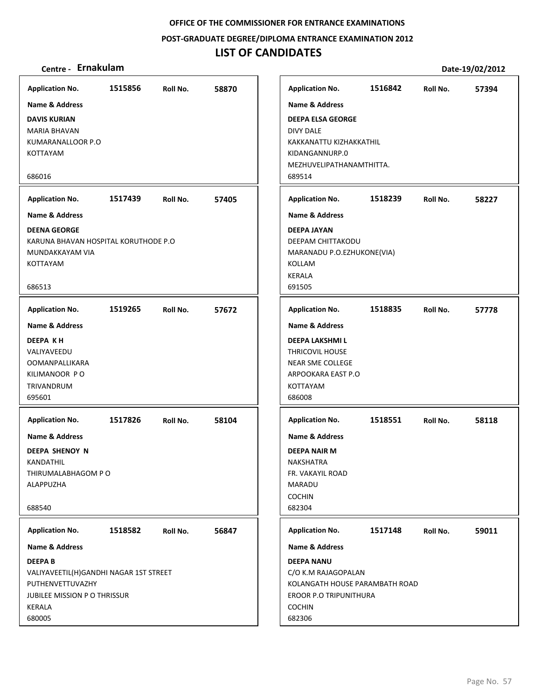**POST‐GRADUATE DEGREE/DIPLOMA ENTRANCE EXAMINATION 2012**

## **LIST OF CANDIDATES**

| Centre - Ernakulam                                                                                                                     |         |          |       |                                                                                                                                 |         |          | Date-19/02/2012 |
|----------------------------------------------------------------------------------------------------------------------------------------|---------|----------|-------|---------------------------------------------------------------------------------------------------------------------------------|---------|----------|-----------------|
| <b>Application No.</b>                                                                                                                 | 1515856 | Roll No. | 58870 | <b>Application No.</b>                                                                                                          | 1516842 | Roll No. | 57394           |
| <b>Name &amp; Address</b>                                                                                                              |         |          |       | <b>Name &amp; Address</b>                                                                                                       |         |          |                 |
| <b>DAVIS KURIAN</b><br>MARIA BHAVAN<br>KUMARANALLOOR P.O<br>KOTTAYAM                                                                   |         |          |       | <b>DEEPA ELSA GEORGE</b><br>DIVY DALE<br>KAKKANATTU KIZHAKKATHIL<br>KIDANGANNURP.0<br>MEZHUVELIPATHANAMTHITTA.                  |         |          |                 |
| 686016                                                                                                                                 |         |          |       | 689514                                                                                                                          |         |          |                 |
| <b>Application No.</b>                                                                                                                 | 1517439 | Roll No. | 57405 | <b>Application No.</b>                                                                                                          | 1518239 | Roll No. | 58227           |
| <b>Name &amp; Address</b>                                                                                                              |         |          |       | <b>Name &amp; Address</b>                                                                                                       |         |          |                 |
| <b>DEENA GEORGE</b><br>KARUNA BHAVAN HOSPITAL KORUTHODE P.O<br>MUNDAKKAYAM VIA<br>KOTTAYAM<br>686513                                   |         |          |       | <b>DEEPA JAYAN</b><br>DEEPAM CHITTAKODU<br>MARANADU P.O.EZHUKONE(VIA)<br>KOLLAM<br><b>KERALA</b><br>691505                      |         |          |                 |
| <b>Application No.</b>                                                                                                                 | 1519265 | Roll No. | 57672 | <b>Application No.</b>                                                                                                          | 1518835 | Roll No. | 57778           |
| <b>Name &amp; Address</b>                                                                                                              |         |          |       | Name & Address                                                                                                                  |         |          |                 |
| <b>DEEPA KH</b><br>VALIYAVEEDU<br><b>OOMANPALLIKARA</b><br>KILIMANOOR PO<br>TRIVANDRUM<br>695601                                       |         |          |       | <b>DEEPA LAKSHMI L</b><br><b>THRICOVIL HOUSE</b><br><b>NEAR SME COLLEGE</b><br>ARPOOKARA EAST P.O<br>KOTTAYAM<br>686008         |         |          |                 |
| <b>Application No.</b>                                                                                                                 | 1517826 | Roll No. | 58104 | <b>Application No.</b>                                                                                                          | 1518551 | Roll No. | 58118           |
| <b>Name &amp; Address</b>                                                                                                              |         |          |       | <b>Name &amp; Address</b>                                                                                                       |         |          |                 |
| <b>DEEPA SHENOY N</b><br>KANDATHIL<br>THIRUMALABHAGOM P O<br><b>ALAPPUZHA</b><br>688540                                                |         |          |       | DEEPA NAIR M<br>NAKSHATRA<br>FR. VAKAYIL ROAD<br>MARADU<br><b>COCHIN</b><br>682304                                              |         |          |                 |
| <b>Application No.</b>                                                                                                                 | 1518582 | Roll No. | 56847 | <b>Application No.</b>                                                                                                          | 1517148 | Roll No. | 59011           |
| Name & Address                                                                                                                         |         |          |       | <b>Name &amp; Address</b>                                                                                                       |         |          |                 |
| <b>DEEPAB</b><br>VALIYAVEETIL(H)GANDHI NAGAR 1ST STREET<br>PUTHENVETTUVAZHY<br><b>JUBILEE MISSION P O THRISSUR</b><br>KERALA<br>680005 |         |          |       | <b>DEEPA NANU</b><br>C/O K.M RAJAGOPALAN<br>KOLANGATH HOUSE PARAMBATH ROAD<br>EROOR P.O TRIPUNITHURA<br><b>COCHIN</b><br>682306 |         |          |                 |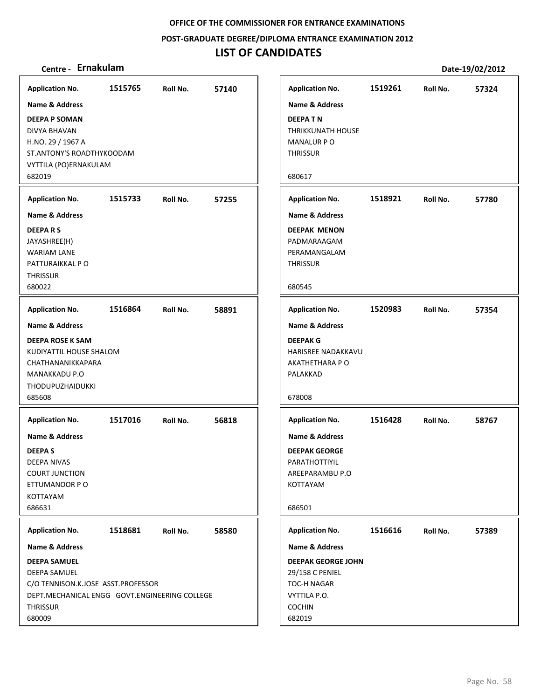**POST‐GRADUATE DEGREE/DIPLOMA ENTRANCE EXAMINATION 2012**

## **LIST OF CANDIDATES**

| Centre - Ernakulam                                 |         |          |       |                                  |         |          | Date-19/02/2012 |
|----------------------------------------------------|---------|----------|-------|----------------------------------|---------|----------|-----------------|
| <b>Application No.</b>                             | 1515765 | Roll No. | 57140 | <b>Application No.</b>           | 1519261 | Roll No. | 57324           |
| <b>Name &amp; Address</b>                          |         |          |       | <b>Name &amp; Address</b>        |         |          |                 |
| <b>DEEPA P SOMAN</b>                               |         |          |       | <b>DEEPATN</b>                   |         |          |                 |
| DIVYA BHAVAN                                       |         |          |       | <b>THRIKKUNATH HOUSE</b>         |         |          |                 |
| H.NO. 29 / 1967 A                                  |         |          |       | <b>MANALUR P O</b>               |         |          |                 |
| ST.ANTONY'S ROADTHYKOODAM<br>VYTTILA (PO)ERNAKULAM |         |          |       | <b>THRISSUR</b>                  |         |          |                 |
| 682019                                             |         |          |       | 680617                           |         |          |                 |
|                                                    |         |          |       |                                  |         |          |                 |
| <b>Application No.</b>                             | 1515733 | Roll No. | 57255 | <b>Application No.</b>           | 1518921 | Roll No. | 57780           |
| <b>Name &amp; Address</b>                          |         |          |       | <b>Name &amp; Address</b>        |         |          |                 |
| <b>DEEPARS</b>                                     |         |          |       | <b>DEEPAK MENON</b>              |         |          |                 |
| JAYASHREE(H)                                       |         |          |       | PADMARAAGAM                      |         |          |                 |
| <b>WARIAM LANE</b><br>PATTURAIKKAL P O             |         |          |       | PERAMANGALAM<br><b>THRISSUR</b>  |         |          |                 |
| <b>THRISSUR</b>                                    |         |          |       |                                  |         |          |                 |
| 680022                                             |         |          |       | 680545                           |         |          |                 |
| <b>Application No.</b>                             | 1516864 | Roll No. | 58891 | <b>Application No.</b>           | 1520983 | Roll No. | 57354           |
| <b>Name &amp; Address</b>                          |         |          |       | <b>Name &amp; Address</b>        |         |          |                 |
| <b>DEEPA ROSE K SAM</b>                            |         |          |       | <b>DEEPAK G</b>                  |         |          |                 |
| KUDIYATTIL HOUSE SHALOM                            |         |          |       | HARISREE NADAKKAVU               |         |          |                 |
| CHATHANANIKKAPARA                                  |         |          |       | AKATHETHARA P O                  |         |          |                 |
| MANAKKADU P.O<br><b>THODUPUZHAIDUKKI</b>           |         |          |       | PALAKKAD                         |         |          |                 |
| 685608                                             |         |          |       | 678008                           |         |          |                 |
| <b>Application No.</b>                             | 1517016 | Roll No. | 56818 | <b>Application No.</b>           | 1516428 | Roll No. | 58767           |
|                                                    |         |          |       |                                  |         |          |                 |
| <b>Name &amp; Address</b>                          |         |          |       | <b>Name &amp; Address</b>        |         |          |                 |
| <b>DEEPAS</b>                                      |         |          |       | <b>DEEPAK GEORGE</b>             |         |          |                 |
| <b>DEEPA NIVAS</b><br><b>COURT JUNCTION</b>        |         |          |       | PARATHOTTIYIL<br>AREEPARAMBU P.O |         |          |                 |
| ETTUMANOOR P O                                     |         |          |       | KOTTAYAM                         |         |          |                 |
| KOTTAYAM                                           |         |          |       |                                  |         |          |                 |
| 686631                                             |         |          |       | 686501                           |         |          |                 |
| <b>Application No.</b>                             | 1518681 | Roll No. | 58580 | <b>Application No.</b>           | 1516616 | Roll No. | 57389           |
| <b>Name &amp; Address</b>                          |         |          |       | <b>Name &amp; Address</b>        |         |          |                 |
| <b>DEEPA SAMUEL</b>                                |         |          |       | <b>DEEPAK GEORGE JOHN</b>        |         |          |                 |
| <b>DEEPA SAMUEL</b>                                |         |          |       | 29/158 C PENIEL                  |         |          |                 |
| C/O TENNISON.K.JOSE ASST.PROFESSOR                 |         |          |       | TOC-H NAGAR                      |         |          |                 |
| DEPT.MECHANICAL ENGG GOVT.ENGINEERING COLLEGE      |         |          |       | VYTTILA P.O.                     |         |          |                 |
| <b>THRISSUR</b><br>680009                          |         |          |       | <b>COCHIN</b><br>682019          |         |          |                 |
|                                                    |         |          |       |                                  |         |          |                 |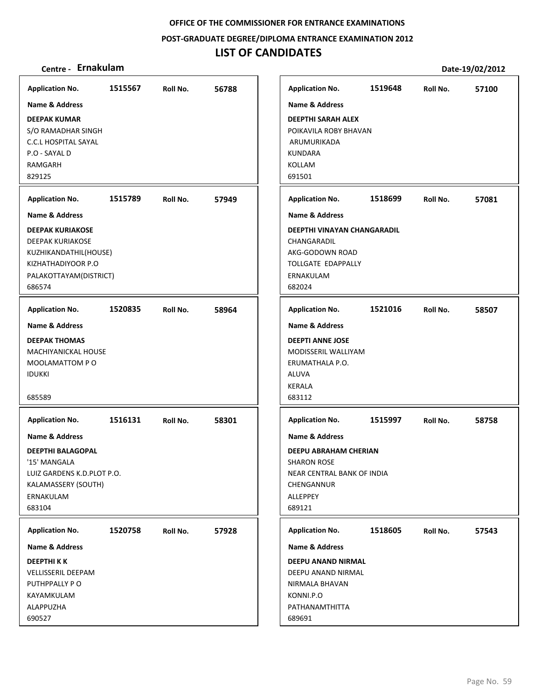**POST‐GRADUATE DEGREE/DIPLOMA ENTRANCE EXAMINATION 2012**

## **LIST OF CANDIDATES**

| <b>Application No.</b>                                                                                                                                                      | 1515567 | Roll No. | 56788 |
|-----------------------------------------------------------------------------------------------------------------------------------------------------------------------------|---------|----------|-------|
| Name & Address<br><b>DEEPAK KUMAR</b><br>S/O RAMADHAR SINGH<br><b>C.C.L HOSPITAL SAYAL</b><br>P.O - SAYAL D<br><b>RAMGARH</b><br>829125                                     |         |          |       |
| <b>Application No.</b>                                                                                                                                                      | 1515789 | Roll No. | 57949 |
| <b>Name &amp; Address</b><br><b>DEEPAK KURIAKOSE</b><br>DEEPAK KURIAKOSE<br>KUZHIKANDATHIL(HOUSE)<br>KIZHATHADIYOOR P.O<br>PALAKOTTAYAM(DISTRICT)<br>686574                 |         |          |       |
| <b>Application No.</b>                                                                                                                                                      | 1520835 | Roll No. | 58964 |
| Name & Address<br><b>DEEPAK THOMAS</b><br>MACHIYANICKAL HOUSE<br>MOOLAMATTOM PO<br><b>IDUKKI</b><br>685589                                                                  |         |          |       |
| <b>Application No.</b><br><b>Name &amp; Address</b><br><b>DEEPTHI BALAGOPAL</b><br>'15' MANGALA<br>LUIZ GARDENS K.D.PLOT P.O.<br>KALAMASSERY (SOUTH)<br>ERNAKULAM<br>683104 | 1516131 | Roll No. | 58301 |
| <b>Application No.</b>                                                                                                                                                      | 1520758 | Roll No. | 57928 |
| Name & Address<br><b>DEEPTHIKK</b><br>VELLISSERIL DEEPAM<br>PUTHPPALLY PO<br>KAYAMKULAM<br>ALAPPUZHA<br>690527                                                              |         |          |       |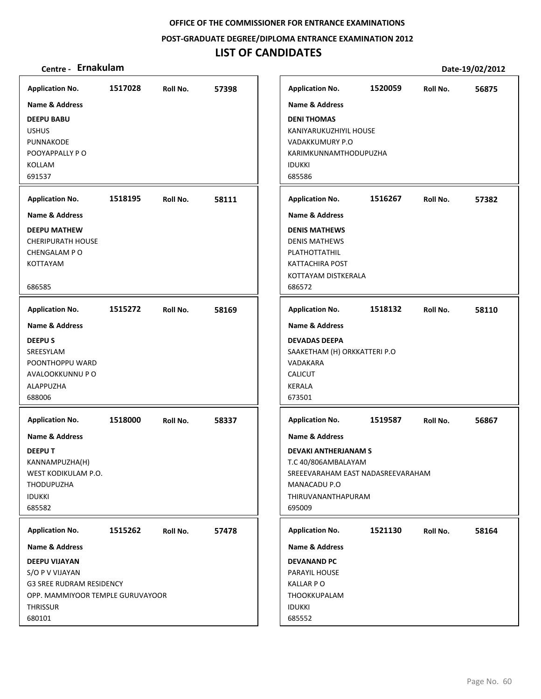**POST‐GRADUATE DEGREE/DIPLOMA ENTRANCE EXAMINATION 2012**

## **LIST OF CANDIDATES**

| <b>Application No.</b>                                                                                                               | 1517028 | Roll No. | 57398 | <b>Application No.</b>                                                                                                                                               | 1520059 | Roll No. | 56875 |
|--------------------------------------------------------------------------------------------------------------------------------------|---------|----------|-------|----------------------------------------------------------------------------------------------------------------------------------------------------------------------|---------|----------|-------|
| Name & Address<br><b>DEEPU BABU</b>                                                                                                  |         |          |       | <b>Name &amp; Address</b><br><b>DENI THOMAS</b>                                                                                                                      |         |          |       |
| <b>USHUS</b><br>PUNNAKODE<br>POOYAPPALLY PO                                                                                          |         |          |       | KANIYARUKUZHIYIL HOUSE<br>VADAKKUMURY P.O<br>KARIMKUNNAMTHODUPUZHA                                                                                                   |         |          |       |
| KOLLAM<br>691537                                                                                                                     |         |          |       | <b>IDUKKI</b><br>685586                                                                                                                                              |         |          |       |
| <b>Application No.</b>                                                                                                               | 1518195 | Roll No. | 58111 | <b>Application No.</b>                                                                                                                                               | 1516267 | Roll No. | 57382 |
| <b>Name &amp; Address</b>                                                                                                            |         |          |       | <b>Name &amp; Address</b>                                                                                                                                            |         |          |       |
| <b>DEEPU MATHEW</b><br><b>CHERIPURATH HOUSE</b><br>CHENGALAM P O<br>KOTTAYAM<br>686585                                               |         |          |       | <b>DENIS MATHEWS</b><br><b>DENIS MATHEWS</b><br>PLATHOTTATHIL<br><b>KATTACHIRA POST</b><br>KOTTAYAM DISTKERALA<br>686572                                             |         |          |       |
|                                                                                                                                      | 1515272 |          |       |                                                                                                                                                                      | 1518132 |          |       |
| <b>Application No.</b><br><b>Name &amp; Address</b>                                                                                  |         | Roll No. | 58169 | <b>Application No.</b><br><b>Name &amp; Address</b>                                                                                                                  |         | Roll No. | 58110 |
| <b>DEEPUS</b><br>SREESYLAM<br>POONTHOPPU WARD<br>AVALOOKKUNNU P O<br>ALAPPUZHA<br>688006                                             |         |          |       | <b>DEVADAS DEEPA</b><br>SAAKETHAM (H) ORKKATTERI P.O<br>VADAKARA<br><b>CALICUT</b><br><b>KERALA</b><br>673501                                                        |         |          |       |
| <b>Application No.</b>                                                                                                               | 1518000 | Roll No. | 58337 | <b>Application No.</b>                                                                                                                                               | 1519587 | Roll No. | 56867 |
| <b>Name &amp; Address</b><br><b>DEEPUT</b><br>KANNAMPUZHA(H)<br>WEST KODIKULAM P.O.<br>THODUPUZHA<br><b>IDUKKI</b><br>685582         |         |          |       | <b>Name &amp; Address</b><br><b>DEVAKI ANTHERJANAM S</b><br>T.C 40/806AMBALAYAM<br>SREEEVARAHAM EAST NADASREEVARAHAM<br>MANACADU P.O<br>THIRUVANANTHAPURAM<br>695009 |         |          |       |
| <b>Application No.</b>                                                                                                               | 1515262 | Roll No. | 57478 | <b>Application No.</b>                                                                                                                                               | 1521130 | Roll No. | 58164 |
| Name & Address                                                                                                                       |         |          |       | <b>Name &amp; Address</b>                                                                                                                                            |         |          |       |
| DEEPU VIJAYAN<br>S/O P V VIJAYAN<br><b>G3 SREE RUDRAM RESIDENCY</b><br>OPP. MAMMIYOOR TEMPLE GURUVAYOOR<br><b>THRISSUR</b><br>680101 |         |          |       | <b>DEVANAND PC</b><br>PARAYIL HOUSE<br><b>KALLAR PO</b><br>THOOKKUPALAM<br><b>IDUKKI</b><br>685552                                                                   |         |          |       |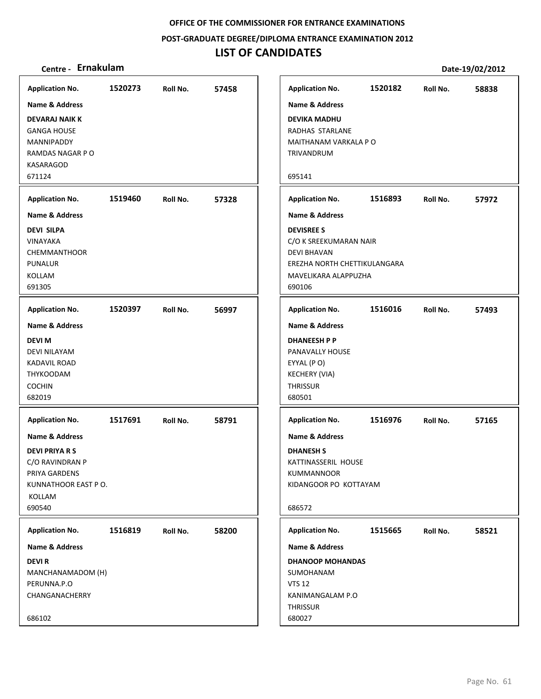**POST‐GRADUATE DEGREE/DIPLOMA ENTRANCE EXAMINATION 2012**

## **LIST OF CANDIDATES**

| <b>Application No.</b>                                                                                                                                      | 1520273 | Roll No. | 57458 |
|-------------------------------------------------------------------------------------------------------------------------------------------------------------|---------|----------|-------|
| Name & Address                                                                                                                                              |         |          |       |
| <b>DEVARAJ NAIK K</b><br><b>GANGA HOUSE</b><br>MANNIPADDY<br>RAMDAS NAGAR PO<br>KASARAGOD<br>671124                                                         |         |          |       |
| <b>Application No.</b>                                                                                                                                      | 1519460 | Roll No. | 57328 |
| <b>Name &amp; Address</b>                                                                                                                                   |         |          |       |
| <b>DEVI SILPA</b><br>VINAYAKA<br><b>CHEMMANTHOOR</b><br><b>PUNALUR</b><br><b>KOLLAM</b><br>691305                                                           |         |          |       |
| <b>Application No.</b>                                                                                                                                      | 1520397 | Roll No. | 56997 |
| <b>Name &amp; Address</b><br><b>DEVI M</b><br>DEVI NILAYAM<br><b>KADAVIL ROAD</b><br><b>THYKOODAM</b><br><b>COCHIN</b><br>682019                            |         |          |       |
| <b>Application No.</b><br><b>Name &amp; Address</b><br><b>DEVI PRIYA R S</b><br>C/O RAVINDRAN P<br>PRIYA GARDENS<br>KUNNATHOOR EAST PO.<br>KOLLAM<br>690540 | 1517691 | Roll No. | 58791 |
|                                                                                                                                                             |         |          |       |
| <b>Application No.</b><br>Name & Address                                                                                                                    | 1516819 | Roll No. | 58200 |
| <b>DEVIR</b><br>MANCHANAMADOM (H)<br>PERUNNA.P.O<br>CHANGANACHERRY<br>686102                                                                                |         |          |       |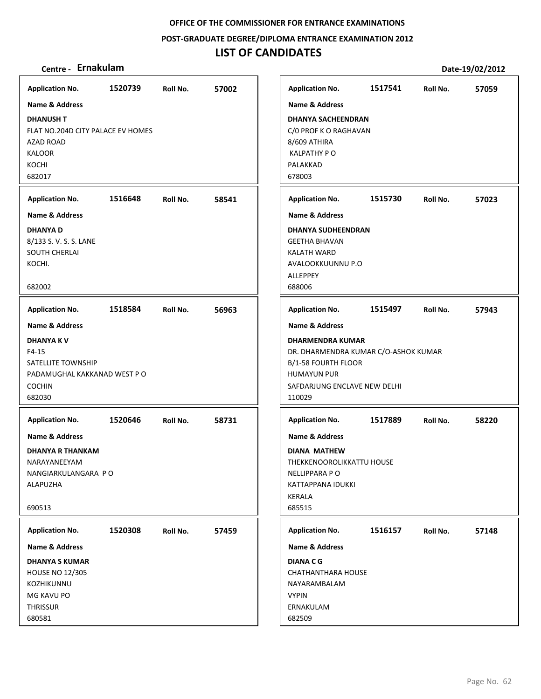**POST‐GRADUATE DEGREE/DIPLOMA ENTRANCE EXAMINATION 2012**

## **LIST OF CANDIDATES**

| <b>Application No.</b>                                                                                            | 1520739 | Roll No. | 57002 |
|-------------------------------------------------------------------------------------------------------------------|---------|----------|-------|
| <b>Name &amp; Address</b>                                                                                         |         |          |       |
| <b>DHANUSH T</b><br>FLAT NO.204D CITY PALACE EV HOMES<br>AZAD ROAD<br><b>KALOOR</b><br>KOCHI<br>682017            |         |          |       |
| <b>Application No.</b>                                                                                            | 1516648 | Roll No. | 58541 |
| <b>Name &amp; Address</b>                                                                                         |         |          |       |
| <b>DHANYAD</b><br>8/133 S.V.S.S.LANE<br><b>SOUTH CHERLAI</b><br>KOCHI.<br>682002                                  |         |          |       |
| <b>Application No.</b>                                                                                            | 1518584 | Roll No. | 56963 |
| <b>Name &amp; Address</b>                                                                                         |         |          |       |
| <b>DHANYAKV</b><br>F4-15<br>SATELLITE TOWNSHIP<br>PADAMUGHAL KAKKANAD WEST P O<br><b>COCHIN</b><br>682030         |         |          |       |
| <b>Application No.</b>                                                                                            | 1520646 | Roll No. | 58731 |
| <b>Name &amp; Address</b><br><b>DHANYA R THANKAM</b><br>NARAYANEEYAM<br>NANGIARKULANGARA PO<br>ALAPUZHA<br>690513 |         |          |       |
|                                                                                                                   |         |          |       |
| <b>Application No.</b>                                                                                            | 1520308 | Roll No. | 57459 |
| <b>Name &amp; Address</b><br><b>DHANYA S KUMAR</b>                                                                |         |          |       |
| <b>HOUSE NO 12/305</b><br>KOZHIKUNNU<br>MG KAVU PO<br><b>THRISSUR</b><br>680581                                   |         |          |       |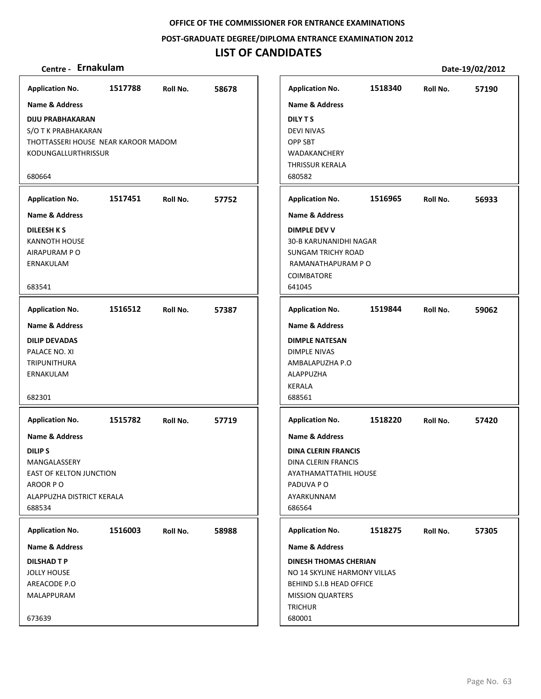**POST‐GRADUATE DEGREE/DIPLOMA ENTRANCE EXAMINATION 2012**

### **LIST OF CANDIDATES**

### **Centre ‐ Ernakulam Date‐19/02/2012**

**1517788 58678 DIJU PRABHAKARAN** S/O T K PRABHAKARAN THOTTASSERI HOUSE NEAR KAROOR MADOM KODUNGALLURTHRISSUR 680664 **Application No. Name & Address 1517451 57752 DILEESH K S** KANNOTH HOUSE AIRAPURAM P O ERNAKULAM 683541 **Application No. Name & Address 1516512 57387 DILIP DEVADAS** PALACE NO. XI TRIPUNITHURA ERNAKULAM 682301 **Application No. Name & Address 1515782 57719 DILIP S** MANGALASSERY EAST OF KELTON JUNCTION AROOR P O ALAPPUZHA DISTRICT KERALA 688534 **Application No. Name & Address 1516003 58988 DILSHAD T P** JOLLY HOUSE AREACODE P.O MALAPPURAM 673639 **Application No. Name & Address 1518340 57190 DILY T S** DEVI NIVAS OPP SBT WADAKANCHERY THRISSUR KERALA 680582 **Application No. Name & Address 1516965 56933 DIMPLE DEV V** 30‐B KARUNANIDHI NAGAR SUNGAM TRICHY ROAD RAMANATHAPURAM P O COIMBATORE 641045 **Application No. Name & Address 1519844 59062 DIMPLE NATESAN** DIMPLE NIVAS AMBALAPUZHA P.O ALAPPUZHA KERALA 688561 **Application No. Name & Address 1518220 57420 DINA CLERIN FRANCIS** DINA CLERIN FRANCIS AYATHAMATTATHIL HOUSE PADUVA P O AYARKUNNAM 686564 **Application No. Name & Address 1518275 57305 DINESH THOMAS CHERIAN** NO 14 SKYLINE HARMONY VILLAS BEHIND S.I.B HEAD OFFICE MISSION QUARTERS **TRICHUR** 680001 **Application No. Name & Address**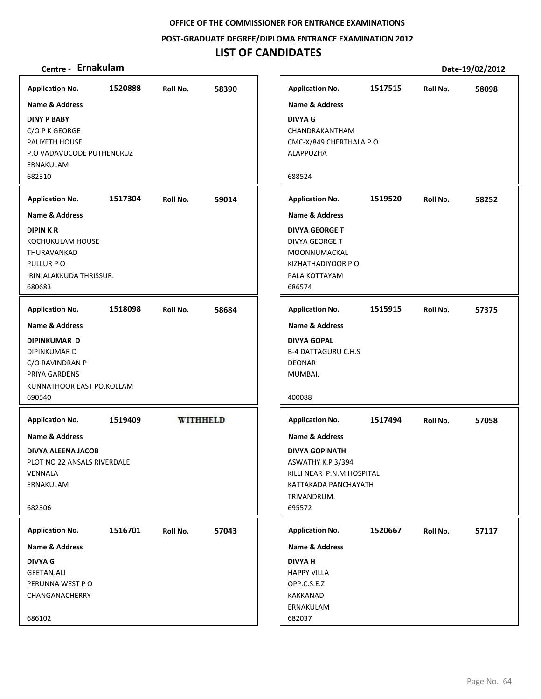**POST‐GRADUATE DEGREE/DIPLOMA ENTRANCE EXAMINATION 2012**

## **LIST OF CANDIDATES**

| <b>Application No.</b>                                                                                                           | 1520888 | Roll No.        | 58390 |
|----------------------------------------------------------------------------------------------------------------------------------|---------|-----------------|-------|
| <b>Name &amp; Address</b>                                                                                                        |         |                 |       |
| <b>DINY P BABY</b><br>C/O P K GEORGE<br>PALIYETH HOUSE<br>P.O VADAVUCODE PUTHENCRUZ<br>ERNAKULAM                                 |         |                 |       |
| 682310                                                                                                                           |         |                 |       |
| <b>Application No.</b>                                                                                                           | 1517304 | Roll No.        | 59014 |
| <b>Name &amp; Address</b><br><b>DIPINKR</b><br>KOCHUKULAM HOUSE<br>THURAVANKAD<br>PULLUR PO<br>IRINJALAKKUDA THRISSUR.<br>680683 |         |                 |       |
| <b>Application No.</b>                                                                                                           | 1518098 | Roll No.        | 58684 |
| Name & Address<br><b>DIPINKUMAR D</b><br>DIPINKUMAR D<br>C/O RAVINDRAN P<br>PRIYA GARDENS<br>KUNNATHOOR EAST PO.KOLLAM<br>690540 |         |                 |       |
| <b>Application No.</b>                                                                                                           | 1519409 | <b>WITHHELD</b> |       |
| Name & Address<br>DIVYA ALEENA JACOB<br>PLOT NO 22 ANSALS RIVERDALE<br>VENNALA<br>ERNAKULAM<br>682306                            |         |                 |       |
|                                                                                                                                  | 1516701 |                 |       |
| <b>Application No.</b><br>Name & Address                                                                                         |         | Roll No.        | 57043 |
| <b>DIVYA G</b>                                                                                                                   |         |                 |       |
| GEETANJALI                                                                                                                       |         |                 |       |
| PERUNNA WEST PO<br>CHANGANACHERRY                                                                                                |         |                 |       |
|                                                                                                                                  |         |                 |       |
| 686102                                                                                                                           |         |                 |       |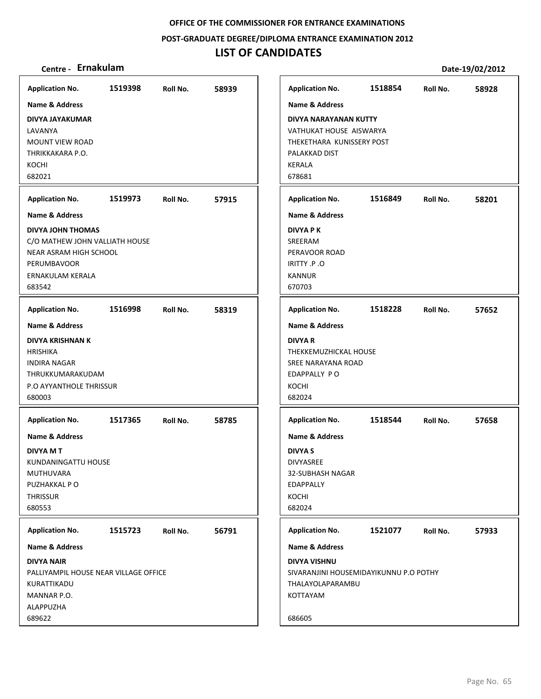**POST‐GRADUATE DEGREE/DIPLOMA ENTRANCE EXAMINATION 2012**

## **LIST OF CANDIDATES**

| <b>Application No.</b>                                                                                                                                  | 1519398 | Roll No. | 58939 |
|---------------------------------------------------------------------------------------------------------------------------------------------------------|---------|----------|-------|
| <b>Name &amp; Address</b>                                                                                                                               |         |          |       |
| DIVYA JAYAKUMAR<br>LAVANYA<br><b>MOUNT VIEW ROAD</b><br>THRIKKAKARA P.O.<br>KOCHI<br>682021                                                             |         |          |       |
| <b>Application No.</b>                                                                                                                                  | 1519973 | Roll No. | 57915 |
| <b>Name &amp; Address</b><br>DIVYA JOHN THOMAS<br>C/O MATHEW JOHN VALLIATH HOUSE<br>NEAR ASRAM HIGH SCHOOL<br>PERUMBAVOOR<br>ERNAKULAM KERALA<br>683542 |         |          |       |
| <b>Application No.</b>                                                                                                                                  | 1516998 | Roll No. | 58319 |
| Name & Address                                                                                                                                          |         |          |       |
| DIVYA KRISHNAN K<br><b>HRISHIKA</b><br><b>INDIRA NAGAR</b><br>THRUKKUMARAKUDAM<br>P.O AYYANTHOLE THRISSUR<br>680003                                     |         |          |       |
| <b>Application No.</b>                                                                                                                                  | 1517365 | Roll No. | 58785 |
| <b>Name &amp; Address</b><br><b>DIVYA M T</b><br>KUNDANINGATTU HOUSE<br>MUTHUVARA<br>PUZHAKKAL P O<br><b>THRISSUR</b><br>680553                         |         |          |       |
| <b>Application No.</b>                                                                                                                                  | 1515723 | Roll No. | 56791 |
| <b>Name &amp; Address</b><br><b>DIVYA NAIR</b><br>PALLIYAMPIL HOUSE NEAR VILLAGE OFFICE<br>KURATTIKADU<br>MANNAR P.O.<br>ALAPPUZHA<br>689622            |         |          |       |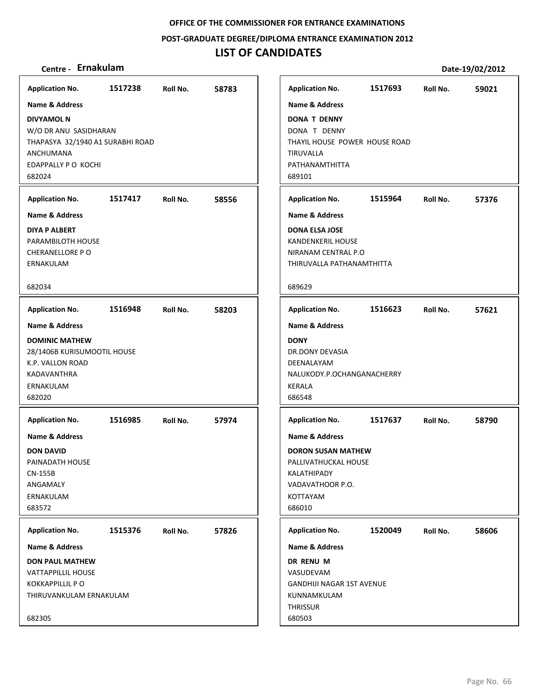#### **POST‐GRADUATE DEGREE/DIPLOMA ENTRANCE EXAMINATION 2012**

### **LIST OF CANDIDATES**

### **Centre ‐ Ernakulam Date‐19/02/2012**

**1517238 58783 DIVYAMOL N** W/O DR ANU SASIDHARAN THAPASYA 32/1940 A1 SURABHI ROAD ANCHUMANA EDAPPALLY P O KOCHI 682024 **Application No. Name & Address 1517417 58556 DIYA P ALBERT** PARAMBILOTH HOUSE CHERANELLORE P O ERNAKULAM 682034 **Application No. Name & Address 1516948 58203 DOMINIC MATHEW** 28/1406B KURISUMOOTIL HOUSE K.P. VALLON ROAD KADAVANTHRA ERNAKULAM 682020 **Application No. Name & Address 1516985 57974 DON DAVID** PAINADATH HOUSE CN‐155B ANGAMALY ERNAKULAM 683572 **Application No. Name & Address 1515376 57826 DON PAUL MATHEW** VATTAPPILLIL HOUSE KOKKAPPILLIL P O THIRUVANKULAM ERNAKULAM 682305 **Application No. Name & Address 1517693 59021 DONA T DENNY** DONA T DENNY THAYIL HOUSE POWER HOUSE ROAD TIRUVALLA PATHANAMTHITTA 689101 **Application No. Name & Address 1515964 57376 DONA ELSA JOSE** KANDENKERIL HOUSE NIRANAM CENTRAL P.O THIRUVALLA PATHANAMTHITTA 689629 **Application No. Name & Address 1516623 57621 DONY** DR.DONY DEVASIA DEENALAYAM NALUKODY.P.OCHANGANACHERRY KERALA 686548 **Application No. Name & Address 1517637 58790 DORON SUSAN MATHEW** PALLIVATHUCKAL HOUSE KALATHIPADY VADAVATHOOR P.O. KOTTAYAM 686010 **Application No. Name & Address 1520049 58606 DR RENU M** VASUDEVAM GANDHIJI NAGAR 1ST AVENUE KUNNAMKULAM **THRISSUR** 680503 **Application No. Name & Address**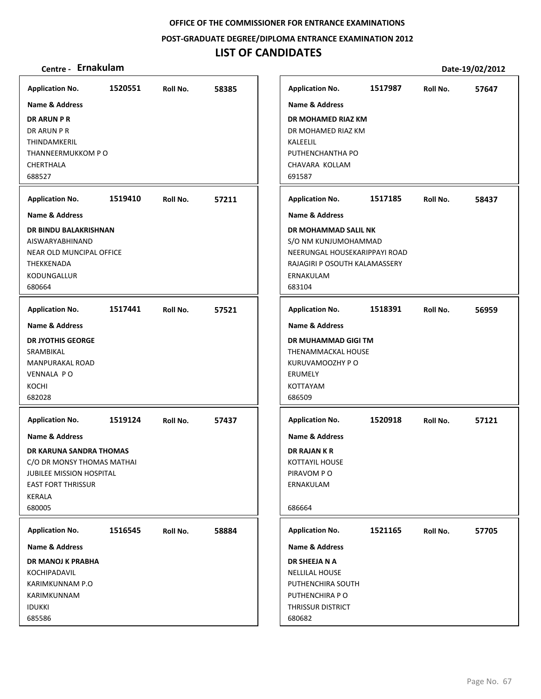**POST‐GRADUATE DEGREE/DIPLOMA ENTRANCE EXAMINATION 2012**

## **LIST OF CANDIDATES**

| <b>Application No.</b>         | 1520551 | Roll No. | 58385 | <b>Application No.</b>        | 1517987 | Roll No. | 57647 |
|--------------------------------|---------|----------|-------|-------------------------------|---------|----------|-------|
| Name & Address                 |         |          |       | Name & Address                |         |          |       |
| <b>DR ARUN P R</b>             |         |          |       | DR MOHAMED RIAZ KM            |         |          |       |
| DR ARUN P R                    |         |          |       | DR MOHAMED RIAZ KM            |         |          |       |
| THINDAMKERIL                   |         |          |       | KALEELIL                      |         |          |       |
| THANNEERMUKKOM P O             |         |          |       | PUTHENCHANTHA PO              |         |          |       |
| CHERTHALA                      |         |          |       | CHAVARA KOLLAM                |         |          |       |
| 688527                         |         |          |       | 691587                        |         |          |       |
| <b>Application No.</b>         | 1519410 | Roll No. | 57211 | <b>Application No.</b>        | 1517185 | Roll No. | 58437 |
| <b>Name &amp; Address</b>      |         |          |       | <b>Name &amp; Address</b>     |         |          |       |
| DR BINDU BALAKRISHNAN          |         |          |       | DR MOHAMMAD SALIL NK          |         |          |       |
| AISWARYABHINAND                |         |          |       | S/O NM KUNJUMOHAMMAD          |         |          |       |
| NEAR OLD MUNCIPAL OFFICE       |         |          |       | NEERUNGAL HOUSEKARIPPAYI ROAD |         |          |       |
| THEKKENADA                     |         |          |       | RAJAGIRI P OSOUTH KALAMASSERY |         |          |       |
| KODUNGALLUR                    |         |          |       | ERNAKULAM                     |         |          |       |
| 680664                         |         |          |       | 683104                        |         |          |       |
| <b>Application No.</b>         | 1517441 | Roll No. | 57521 | <b>Application No.</b>        | 1518391 | Roll No. | 56959 |
| Name & Address                 |         |          |       | Name & Address                |         |          |       |
| <b>DR JYOTHIS GEORGE</b>       |         |          |       | DR MUHAMMAD GIGI TM           |         |          |       |
| SRAMBIKAL                      |         |          |       | THENAMMACKAL HOUSE            |         |          |       |
| <b>MANPURAKAL ROAD</b>         |         |          |       | KURUVAMOOZHY P O              |         |          |       |
| <b>VENNALA PO</b>              |         |          |       | <b>ERUMELY</b>                |         |          |       |
| KOCHI                          |         |          |       | KOTTAYAM                      |         |          |       |
| 682028                         |         |          |       | 686509                        |         |          |       |
| <b>Application No.</b>         | 1519124 | Roll No. | 57437 | <b>Application No.</b>        | 1520918 | Roll No. | 57121 |
| <b>Name &amp; Address</b>      |         |          |       | <b>Name &amp; Address</b>     |         |          |       |
| <b>DR KARUNA SANDRA THOMAS</b> |         |          |       | DR RAJAN K R                  |         |          |       |
| C/O DR MONSY THOMAS MATHAI     |         |          |       | KOTTAYIL HOUSE                |         |          |       |
| JUBILEE MISSION HOSPITAL       |         |          |       | PIRAVOM PO                    |         |          |       |
| <b>EAST FORT THRISSUR</b>      |         |          |       | ERNAKULAM                     |         |          |       |
| KERALA                         |         |          |       |                               |         |          |       |
| 680005                         |         |          |       | 686664                        |         |          |       |
| <b>Application No.</b>         | 1516545 | Roll No. | 58884 | <b>Application No.</b>        | 1521165 | Roll No. | 57705 |
| Name & Address                 |         |          |       | <b>Name &amp; Address</b>     |         |          |       |
| DR MANOJ K PRABHA              |         |          |       | DR SHEEJA N A                 |         |          |       |
| KOCHIPADAVIL                   |         |          |       | <b>NELLILAL HOUSE</b>         |         |          |       |
| KARIMKUNNAM P.O                |         |          |       | PUTHENCHIRA SOUTH             |         |          |       |
| KARIMKUNNAM                    |         |          |       | PUTHENCHIRA P O               |         |          |       |
| <b>IDUKKI</b>                  |         |          |       | THRISSUR DISTRICT             |         |          |       |
| 685586                         |         |          |       | 680682                        |         |          |       |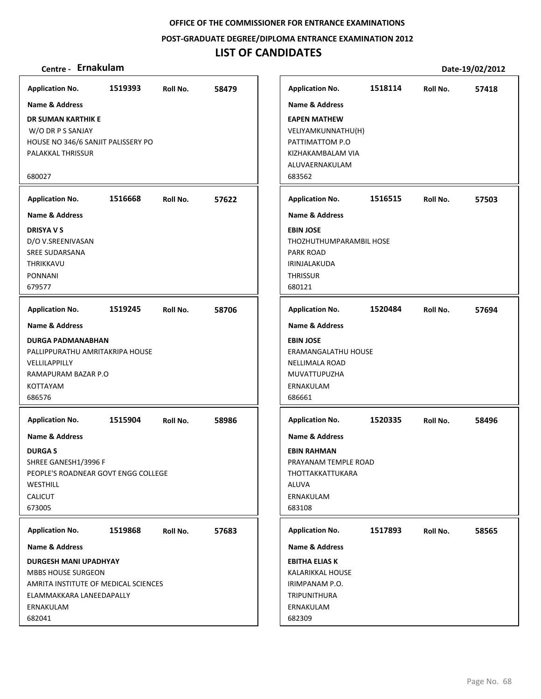**POST‐GRADUATE DEGREE/DIPLOMA ENTRANCE EXAMINATION 2012**

## **LIST OF CANDIDATES**

| <b>Application No.</b>               | 1519393 | Roll No. | 58479 | <b>Application No.</b>    | 1518114 | Roll No. | 57418 |
|--------------------------------------|---------|----------|-------|---------------------------|---------|----------|-------|
| <b>Name &amp; Address</b>            |         |          |       | <b>Name &amp; Address</b> |         |          |       |
| DR SUMAN KARTHIK E                   |         |          |       | <b>EAPEN MATHEW</b>       |         |          |       |
| W/O DR P S SANJAY                    |         |          |       | VELIYAMKUNNATHU(H)        |         |          |       |
| HOUSE NO 346/6 SANJIT PALISSERY PO   |         |          |       | PATTIMATTOM P.O           |         |          |       |
| PALAKKAL THRISSUR                    |         |          |       | KIZHAKAMBALAM VIA         |         |          |       |
|                                      |         |          |       | ALUVAERNAKULAM            |         |          |       |
| 680027                               |         |          |       | 683562                    |         |          |       |
| <b>Application No.</b>               | 1516668 | Roll No. | 57622 | <b>Application No.</b>    | 1516515 | Roll No. | 57503 |
| Name & Address                       |         |          |       | <b>Name &amp; Address</b> |         |          |       |
| <b>DRISYAVS</b>                      |         |          |       | <b>EBIN JOSE</b>          |         |          |       |
| D/O V.SREENIVASAN                    |         |          |       | THOZHUTHUMPARAMBIL HOSE   |         |          |       |
| <b>SREE SUDARSANA</b>                |         |          |       | PARK ROAD                 |         |          |       |
| THRIKKAVU                            |         |          |       | IRINJALAKUDA              |         |          |       |
| <b>PONNANI</b>                       |         |          |       | <b>THRISSUR</b>           |         |          |       |
| 679577                               |         |          |       | 680121                    |         |          |       |
|                                      |         |          |       |                           |         |          |       |
| <b>Application No.</b>               | 1519245 | Roll No. | 58706 | <b>Application No.</b>    | 1520484 | Roll No. | 57694 |
| <b>Name &amp; Address</b>            |         |          |       | <b>Name &amp; Address</b> |         |          |       |
| <b>DURGA PADMANABHAN</b>             |         |          |       | <b>EBIN JOSE</b>          |         |          |       |
| PALLIPPURATHU AMRITAKRIPA HOUSE      |         |          |       | ERAMANGALATHU HOUSE       |         |          |       |
| VELLILAPPILLY                        |         |          |       | NELLIMALA ROAD            |         |          |       |
| RAMAPURAM BAZAR P.O                  |         |          |       | MUVATTUPUZHA              |         |          |       |
| <b>KOTTAYAM</b>                      |         |          |       | ERNAKULAM                 |         |          |       |
| 686576                               |         |          |       | 686661                    |         |          |       |
| <b>Application No.</b>               | 1515904 | Roll No. | 58986 | <b>Application No.</b>    | 1520335 | Roll No. | 58496 |
| <b>Name &amp; Address</b>            |         |          |       | <b>Name &amp; Address</b> |         |          |       |
| <b>DURGAS</b>                        |         |          |       | <b>EBIN RAHMAN</b>        |         |          |       |
| SHREE GANESH1/3996 F                 |         |          |       | PRAYANAM TEMPLE ROAD      |         |          |       |
| PEOPLE'S ROADNEAR GOVT ENGG COLLEGE  |         |          |       | THOTTAKKATTUKARA          |         |          |       |
| WESTHILL                             |         |          |       | <b>ALUVA</b>              |         |          |       |
| <b>CALICUT</b>                       |         |          |       | ERNAKULAM                 |         |          |       |
| 673005                               |         |          |       | 683108                    |         |          |       |
|                                      |         |          |       |                           |         |          |       |
| <b>Application No.</b>               | 1519868 | Roll No. | 57683 | <b>Application No.</b>    | 1517893 | Roll No. | 58565 |
| Name & Address                       |         |          |       | <b>Name &amp; Address</b> |         |          |       |
| <b>DURGESH MANI UPADHYAY</b>         |         |          |       | <b>EBITHA ELIAS K</b>     |         |          |       |
| <b>MBBS HOUSE SURGEON</b>            |         |          |       | <b>KALARIKKAL HOUSE</b>   |         |          |       |
| AMRITA INSTITUTE OF MEDICAL SCIENCES |         |          |       | IRIMPANAM P.O.            |         |          |       |
| ELAMMAKKARA LANEEDAPALLY             |         |          |       | TRIPUNITHURA              |         |          |       |
| ERNAKULAM                            |         |          |       | ERNAKULAM                 |         |          |       |
| 682041                               |         |          |       | 682309                    |         |          |       |
|                                      |         |          |       |                           |         |          |       |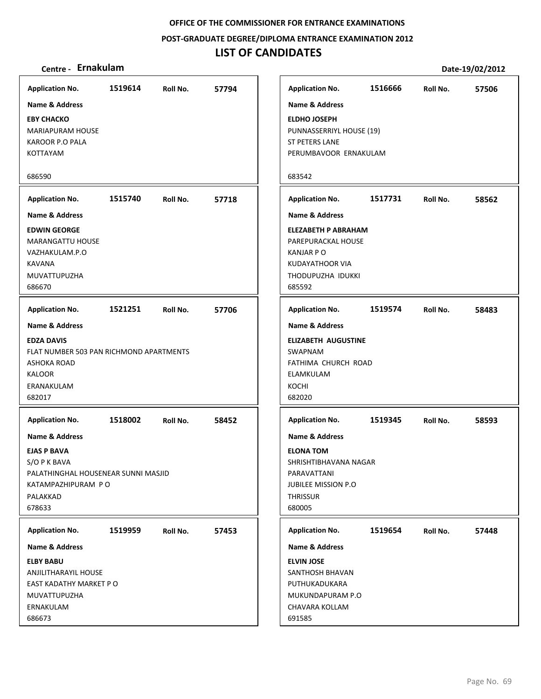**POST‐GRADUATE DEGREE/DIPLOMA ENTRANCE EXAMINATION 2012**

## **LIST OF CANDIDATES**

| Centre - Ernakulam                                                                                                                                       |         |          |       |                                                                                                                                           |         |          | Date-19/02/2012 |
|----------------------------------------------------------------------------------------------------------------------------------------------------------|---------|----------|-------|-------------------------------------------------------------------------------------------------------------------------------------------|---------|----------|-----------------|
| <b>Application No.</b>                                                                                                                                   | 1519614 | Roll No. | 57794 | <b>Application No.</b>                                                                                                                    | 1516666 | Roll No. | 57506           |
| <b>Name &amp; Address</b>                                                                                                                                |         |          |       | <b>Name &amp; Address</b>                                                                                                                 |         |          |                 |
| <b>EBY CHACKO</b><br><b>MARIAPURAM HOUSE</b><br><b>KAROOR P.O PALA</b><br><b>KOTTAYAM</b>                                                                |         |          |       | <b>ELDHO JOSEPH</b><br>PUNNASSERRIYL HOUSE (19)<br><b>ST PETERS LANE</b><br>PERUMBAVOOR ERNAKULAM                                         |         |          |                 |
| 686590                                                                                                                                                   |         |          |       | 683542                                                                                                                                    |         |          |                 |
| <b>Application No.</b>                                                                                                                                   | 1515740 | Roll No. | 57718 | <b>Application No.</b>                                                                                                                    | 1517731 | Roll No. | 58562           |
| <b>Name &amp; Address</b>                                                                                                                                |         |          |       | <b>Name &amp; Address</b>                                                                                                                 |         |          |                 |
| <b>EDWIN GEORGE</b><br><b>MARANGATTU HOUSE</b><br>VAZHAKULAM.P.O<br><b>KAVANA</b><br>MUVATTUPUZHA<br>686670                                              |         |          |       | <b>ELEZABETH P ABRAHAM</b><br>PAREPURACKAL HOUSE<br><b>KANJAR P O</b><br><b>KUDAYATHOOR VIA</b><br>THODUPUZHA IDUKKI<br>685592            |         |          |                 |
| <b>Application No.</b>                                                                                                                                   | 1521251 | Roll No. | 57706 | <b>Application No.</b>                                                                                                                    | 1519574 | Roll No. | 58483           |
| <b>Name &amp; Address</b><br><b>EDZA DAVIS</b><br>FLAT NUMBER 503 PAN RICHMOND APARTMENTS<br><b>ASHOKA ROAD</b><br><b>KALOOR</b><br>ERANAKULAM<br>682017 |         |          |       | <b>Name &amp; Address</b><br><b>ELIZABETH AUGUSTINE</b><br>SWAPNAM<br>FATHIMA CHURCH ROAD<br>ELAMKULAM<br>KOCHI<br>682020                 |         |          |                 |
| <b>Application No.</b>                                                                                                                                   | 1518002 | Roll No. | 58452 | <b>Application No.</b>                                                                                                                    | 1519345 | Roll No. | 58593           |
| <b>Name &amp; Address</b><br><b>EJAS P BAVA</b><br>S/O P K BAVA<br>PALATHINGHAL HOUSENEAR SUNNI MASJID<br>KATAMPAZHIPURAM PO<br>PALAKKAD<br>678633       |         |          |       | <b>Name &amp; Address</b><br><b>ELONA TOM</b><br>SHRISHTIBHAVANA NAGAR<br>PARAVATTANI<br>JUBILEE MISSION P.O<br><b>THRISSUR</b><br>680005 |         |          |                 |
| <b>Application No.</b>                                                                                                                                   | 1519959 | Roll No. | 57453 | <b>Application No.</b>                                                                                                                    | 1519654 | Roll No. | 57448           |
| Name & Address                                                                                                                                           |         |          |       | Name & Address                                                                                                                            |         |          |                 |
| <b>ELBY BABU</b><br>ANJILITHARAYIL HOUSE<br>EAST KADATHY MARKET PO<br>MUVATTUPUZHA<br>ERNAKULAM<br>686673                                                |         |          |       | <b>ELVIN JOSE</b><br>SANTHOSH BHAVAN<br>PUTHUKADUKARA<br>MUKUNDAPURAM P.O<br>CHAVARA KOLLAM<br>691585                                     |         |          |                 |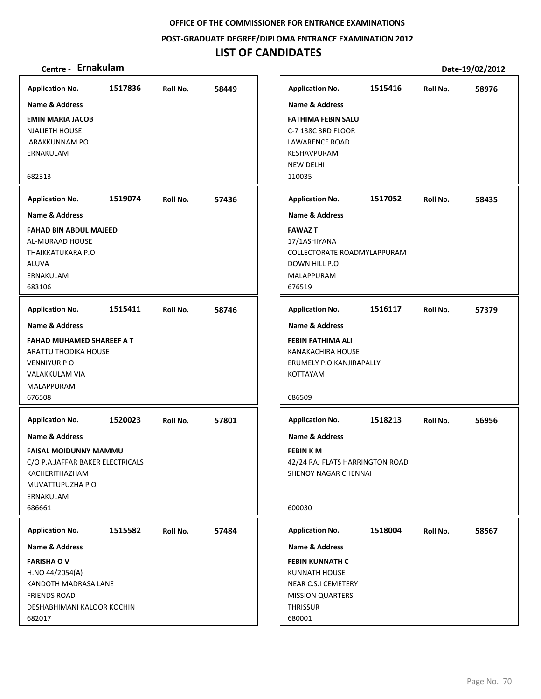**POST‐GRADUATE DEGREE/DIPLOMA ENTRANCE EXAMINATION 2012**

## **LIST OF CANDIDATES**

| <b>Application No.</b><br><b>Name &amp; Address</b><br><b>EMIN MARIA JACOB</b><br><b>NJALIETH HOUSE</b><br>ARAKKUNNAM PO                                                           | 1517836                                                                                          | Roll No. | 58449 | <b>Application No.</b><br><b>Name &amp; Address</b><br><b>FATHIMA FEBIN SALU</b><br>C-7 138C 3RD FLOOR<br><b>LAWARENCE ROAD</b>                                                      | 1515416 | Roll No. | 58976 |  |
|------------------------------------------------------------------------------------------------------------------------------------------------------------------------------------|--------------------------------------------------------------------------------------------------|----------|-------|--------------------------------------------------------------------------------------------------------------------------------------------------------------------------------------|---------|----------|-------|--|
| ERNAKULAM<br>682313                                                                                                                                                                |                                                                                                  |          |       | KESHAVPURAM<br><b>NEW DELHI</b><br>110035                                                                                                                                            |         |          |       |  |
| <b>Application No.</b>                                                                                                                                                             | 1519074                                                                                          | Roll No. | 57436 | <b>Application No.</b>                                                                                                                                                               | 1517052 | Roll No. | 58435 |  |
| <b>Name &amp; Address</b><br><b>FAHAD BIN ABDUL MAJEED</b><br>AL-MURAAD HOUSE<br>THAIKKATUKARA P.O<br><b>ALUVA</b><br>ERNAKULAM<br>683106                                          |                                                                                                  |          |       | <b>Name &amp; Address</b><br><b>FAWAZ T</b><br>17/1ASHIYANA<br>COLLECTORATE ROADMYLAPPURAM<br>DOWN HILL P.O<br>MALAPPURAM<br>676519                                                  |         |          |       |  |
| <b>Application No.</b>                                                                                                                                                             | 1515411                                                                                          | Roll No. | 58746 | <b>Application No.</b>                                                                                                                                                               | 1516117 | Roll No. | 57379 |  |
| Name & Address<br><b>FAHAD MUHAMED SHAREEF A T</b><br>ARATTU THODIKA HOUSE<br><b>VENNIYUR P O</b><br>VALAKKULAM VIA<br>MALAPPURAM<br>676508                                        |                                                                                                  |          |       | <b>Name &amp; Address</b><br>FEBIN FATHIMA ALI<br>KANAKACHIRA HOUSE<br>ERUMELY P.O KANJIRAPALLY<br><b>KOTTAYAM</b><br>686509                                                         |         |          |       |  |
| <b>Application No.</b><br>Name & Address<br>KACHERITHAZHAM<br>MUVATTUPUZHA P O<br>ERNAKULAM                                                                                        | 1520023<br>57801<br>Roll No.<br><b>FAISAL MOIDUNNY MAMMU</b><br>C/O P.A.JAFFAR BAKER ELECTRICALS |          |       | 1518213<br><b>Application No.</b><br>56956<br>Roll No.<br><b>Name &amp; Address</b><br><b>FEBINKM</b><br>42/24 RAJ FLATS HARRINGTON ROAD<br>SHENOY NAGAR CHENNAI                     |         |          |       |  |
| 686661                                                                                                                                                                             |                                                                                                  |          |       | 600030                                                                                                                                                                               |         |          |       |  |
| <b>Application No.</b><br><b>Name &amp; Address</b><br><b>FARISHA OV</b><br>H.NO 44/2054(A)<br>KANDOTH MADRASA LANE<br><b>FRIENDS ROAD</b><br>DESHABHIMANI KALOOR KOCHIN<br>682017 | 1515582                                                                                          | Roll No. | 57484 | <b>Application No.</b><br><b>Name &amp; Address</b><br><b>FEBIN KUNNATH C</b><br><b>KUNNATH HOUSE</b><br>NEAR C.S.I CEMETERY<br><b>MISSION QUARTERS</b><br><b>THRISSUR</b><br>680001 | 1518004 | Roll No. | 58567 |  |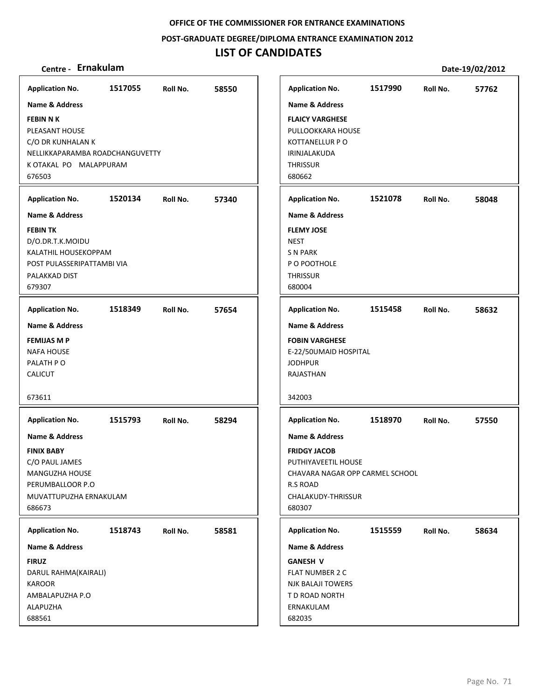**POST‐GRADUATE DEGREE/DIPLOMA ENTRANCE EXAMINATION 2012**

## **LIST OF CANDIDATES**

| <b>Application No.</b>                                                                                                                     | 1517055 | Roll No. | 58550 | <b>Application No.</b>                                                                                                                                 | 1517990 | Roll No. | 57762 |
|--------------------------------------------------------------------------------------------------------------------------------------------|---------|----------|-------|--------------------------------------------------------------------------------------------------------------------------------------------------------|---------|----------|-------|
| <b>Name &amp; Address</b>                                                                                                                  |         |          |       | <b>Name &amp; Address</b>                                                                                                                              |         |          |       |
| <b>FEBIN N K</b><br>PLEASANT HOUSE<br>C/O DR KUNHALAN K<br>NELLIKKAPARAMBA ROADCHANGUVETTY<br>K OTAKAL PO MALAPPURAM<br>676503             |         |          |       | <b>FLAICY VARGHESE</b><br>PULLOOKKARA HOUSE<br><b>KOTTANELLUR P O</b><br>IRINJALAKUDA<br><b>THRISSUR</b><br>680662                                     |         |          |       |
| <b>Application No.</b>                                                                                                                     | 1520134 | Roll No. | 57340 | <b>Application No.</b>                                                                                                                                 | 1521078 | Roll No. | 58048 |
| Name & Address                                                                                                                             |         |          |       | <b>Name &amp; Address</b>                                                                                                                              |         |          |       |
| <b>FEBIN TK</b><br>D/O.DR.T.K.MOIDU<br>KALATHIL HOUSEKOPPAM<br>POST PULASSERIPATTAMBI VIA<br>PALAKKAD DIST<br>679307                       |         |          |       | <b>FLEMY JOSE</b><br><b>NEST</b><br><b>SN PARK</b><br>P O POOTHOLE<br><b>THRISSUR</b><br>680004                                                        |         |          |       |
| <b>Application No.</b>                                                                                                                     | 1518349 | Roll No. | 57654 | <b>Application No.</b>                                                                                                                                 | 1515458 | Roll No. | 58632 |
| <b>Name &amp; Address</b><br><b>FEMIJAS M P</b><br><b>NAFA HOUSE</b><br>PALATH PO<br>CALICUT<br>673611                                     |         |          |       | <b>Name &amp; Address</b><br><b>FOBIN VARGHESE</b><br>E-22/50UMAID HOSPITAL<br><b>JODHPUR</b><br>RAJASTHAN<br>342003                                   |         |          |       |
| <b>Application No.</b>                                                                                                                     | 1515793 | Roll No. | 58294 | <b>Application No.</b>                                                                                                                                 | 1518970 | Roll No. | 57550 |
| <b>Name &amp; Address</b><br><b>FINIX BABY</b><br>C/O PAUL JAMES<br>MANGUZHA HOUSE<br>PERUMBALLOOR P.O<br>MUVATTUPUZHA ERNAKULAM<br>686673 |         |          |       | <b>Name &amp; Address</b><br><b>FRIDGY JACOB</b><br>PUTHIYAVEETIL HOUSE<br>CHAVARA NAGAR OPP CARMEL SCHOOL<br>R.S ROAD<br>CHALAKUDY-THRISSUR<br>680307 |         |          |       |
| <b>Application No.</b>                                                                                                                     | 1518743 | Roll No. | 58581 | <b>Application No.</b>                                                                                                                                 | 1515559 | Roll No. | 58634 |
| Name & Address                                                                                                                             |         |          |       | <b>Name &amp; Address</b>                                                                                                                              |         |          |       |
| <b>FIRUZ</b><br>DARUL RAHMA(KAIRALI)<br><b>KAROOR</b><br>AMBALAPUZHA P.O<br>ALAPUZHA<br>688561                                             |         |          |       | <b>GANESH V</b><br>FLAT NUMBER 2 C<br><b>NJK BALAJI TOWERS</b><br>T D ROAD NORTH<br>ERNAKULAM<br>682035                                                |         |          |       |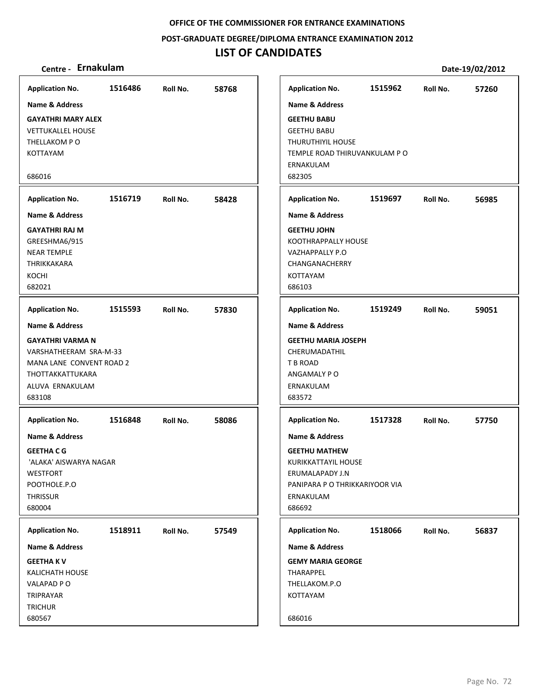#### **POST‐GRADUATE DEGREE/DIPLOMA ENTRANCE EXAMINATION 2012**

## **LIST OF CANDIDATES**

| <b>Application No.</b>    | 1516486 | Roll No. | 58768 | <b>Application No.</b>         | 1515962 | Roll No. | 57260 |
|---------------------------|---------|----------|-------|--------------------------------|---------|----------|-------|
| Name & Address            |         |          |       | <b>Name &amp; Address</b>      |         |          |       |
| <b>GAYATHRI MARY ALEX</b> |         |          |       | <b>GEETHU BABU</b>             |         |          |       |
| <b>VETTUKALLEL HOUSE</b>  |         |          |       | <b>GEETHU BABU</b>             |         |          |       |
| THELLAKOM PO              |         |          |       | THURUTHIYIL HOUSE              |         |          |       |
| KOTTAYAM                  |         |          |       | TEMPLE ROAD THIRUVANKULAM PO   |         |          |       |
|                           |         |          |       | ERNAKULAM                      |         |          |       |
| 686016                    |         |          |       | 682305                         |         |          |       |
| <b>Application No.</b>    | 1516719 | Roll No. | 58428 | <b>Application No.</b>         | 1519697 | Roll No. | 56985 |
| <b>Name &amp; Address</b> |         |          |       | <b>Name &amp; Address</b>      |         |          |       |
| <b>GAYATHRI RAJ M</b>     |         |          |       | <b>GEETHU JOHN</b>             |         |          |       |
| GREESHMA6/915             |         |          |       | KOOTHRAPPALLY HOUSE            |         |          |       |
| <b>NEAR TEMPLE</b>        |         |          |       | <b>VAZHAPPALLY P.O</b>         |         |          |       |
| THRIKKAKARA               |         |          |       | CHANGANACHERRY                 |         |          |       |
| KOCHI                     |         |          |       | KOTTAYAM                       |         |          |       |
| 682021                    |         |          |       | 686103                         |         |          |       |
|                           |         |          |       |                                |         |          |       |
| <b>Application No.</b>    | 1515593 | Roll No. | 57830 | <b>Application No.</b>         | 1519249 | Roll No. | 59051 |
| Name & Address            |         |          |       | Name & Address                 |         |          |       |
| <b>GAYATHRI VARMA N</b>   |         |          |       | <b>GEETHU MARIA JOSEPH</b>     |         |          |       |
| VARSHATHEERAM SRA-M-33    |         |          |       | CHERUMADATHIL                  |         |          |       |
| MANA LANE CONVENT ROAD 2  |         |          |       | T B ROAD                       |         |          |       |
| THOTTAKKATTUKARA          |         |          |       | ANGAMALY PO                    |         |          |       |
| ALUVA ERNAKULAM           |         |          |       | ERNAKULAM                      |         |          |       |
| 683108                    |         |          |       | 683572                         |         |          |       |
|                           |         |          |       |                                |         |          |       |
| <b>Application No.</b>    | 1516848 | Roll No. | 58086 | <b>Application No.</b>         | 1517328 | Roll No. | 57750 |
| <b>Name &amp; Address</b> |         |          |       | <b>Name &amp; Address</b>      |         |          |       |
| <b>GEETHA C G</b>         |         |          |       | <b>GEETHU MATHEW</b>           |         |          |       |
| 'ALAKA' AISWARYA NAGAR    |         |          |       | KURIKKATTAYIL HOUSE            |         |          |       |
| <b>WESTFORT</b>           |         |          |       | ERUMALAPADY J.N                |         |          |       |
| POOTHOLE.P.O              |         |          |       | PANIPARA P O THRIKKARIYOOR VIA |         |          |       |
| <b>THRISSUR</b>           |         |          |       | ERNAKULAM                      |         |          |       |
| 680004                    |         |          |       | 686692                         |         |          |       |
| <b>Application No.</b>    | 1518911 | Roll No. | 57549 | <b>Application No.</b>         | 1518066 | Roll No. | 56837 |
| <b>Name &amp; Address</b> |         |          |       | Name & Address                 |         |          |       |
| <b>GEETHAKV</b>           |         |          |       | <b>GEMY MARIA GEORGE</b>       |         |          |       |
| <b>KALICHATH HOUSE</b>    |         |          |       | THARAPPEL                      |         |          |       |
| VALAPAD PO                |         |          |       | THELLAKOM.P.O                  |         |          |       |
| TRIPRAYAR                 |         |          |       | KOTTAYAM                       |         |          |       |
| <b>TRICHUR</b>            |         |          |       |                                |         |          |       |
| 680567                    |         |          |       | 686016                         |         |          |       |
|                           |         |          |       |                                |         |          |       |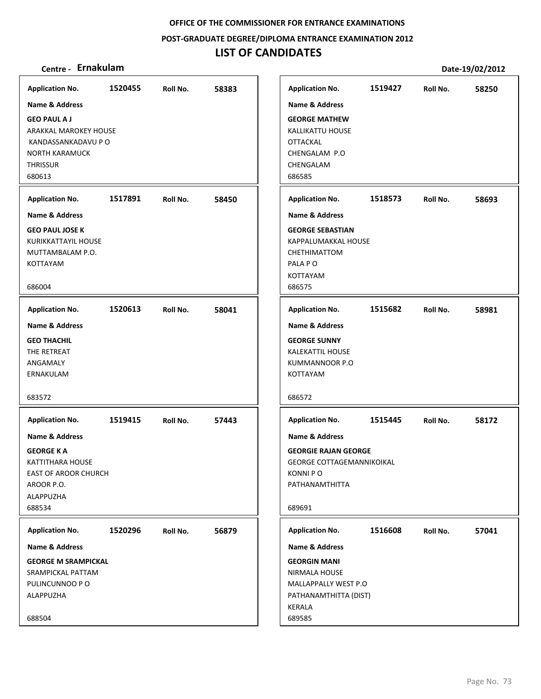**POST‐GRADUATE DEGREE/DIPLOMA ENTRANCE EXAMINATION 2012**

# **LIST OF CANDIDATES**

| <b>Application No.</b>                                                                                                                 | 1520455 | Roll No. | 58383 | <b>Application No.</b>                                                                                                                     | 1519427 | Roll No. | 58250 |
|----------------------------------------------------------------------------------------------------------------------------------------|---------|----------|-------|--------------------------------------------------------------------------------------------------------------------------------------------|---------|----------|-------|
| <b>Name &amp; Address</b>                                                                                                              |         |          |       | <b>Name &amp; Address</b>                                                                                                                  |         |          |       |
| <b>GEO PAUL A J</b><br>ARAKKAL MAROKEY HOUSE<br>KANDASSANKADAVU P O<br><b>NORTH KARAMUCK</b><br><b>THRISSUR</b><br>680613              |         |          |       | <b>GEORGE MATHEW</b><br><b>KALLIKATTU HOUSE</b><br><b>OTTACKAL</b><br>CHENGALAM P.O<br>CHENGALAM<br>686585                                 |         |          |       |
| <b>Application No.</b>                                                                                                                 | 1517891 | Roll No. | 58450 | <b>Application No.</b>                                                                                                                     | 1518573 | Roll No. | 58693 |
| <b>Name &amp; Address</b>                                                                                                              |         |          |       | <b>Name &amp; Address</b>                                                                                                                  |         |          |       |
| <b>GEO PAUL JOSE K</b><br>KURIKKATTAYIL HOUSE<br>MUTTAMBALAM P.O.<br>KOTTAYAM<br>686004                                                |         |          |       | <b>GEORGE SEBASTIAN</b><br>KAPPALUMAKKAL HOUSE<br>CHETHIMATTOM<br>PALA PO<br>KOTTAYAM<br>686575                                            |         |          |       |
|                                                                                                                                        |         |          |       |                                                                                                                                            |         |          |       |
| <b>Application No.</b>                                                                                                                 | 1520613 | Roll No. | 58041 | <b>Application No.</b>                                                                                                                     | 1515682 | Roll No. | 58981 |
| <b>Name &amp; Address</b><br><b>GEO THACHIL</b><br>THE RETREAT<br>ANGAMALY<br>ERNAKULAM<br>683572                                      |         |          |       | <b>Name &amp; Address</b><br><b>GEORGE SUNNY</b><br><b>KALEKATTIL HOUSE</b><br>KUMMANNOOR P.O<br>KOTTAYAM<br>686572                        |         |          |       |
| <b>Application No.</b>                                                                                                                 | 1519415 | Roll No. | 57443 | <b>Application No.</b>                                                                                                                     | 1515445 | Roll No. | 58172 |
| <b>Name &amp; Address</b><br><b>GEORGE K A</b><br>KATTITHARA HOUSE<br><b>EAST OF AROOR CHURCH</b><br>AROOR P.O.<br>ALAPPUZHA<br>688534 |         |          |       | <b>Name &amp; Address</b><br><b>GEORGIE RAJAN GEORGE</b><br><b>GEORGE COTTAGEMANNIKOIKAL</b><br><b>KONNIPO</b><br>PATHANAMTHITTA<br>689691 |         |          |       |
| <b>Application No.</b>                                                                                                                 | 1520296 | Roll No. | 56879 | <b>Application No.</b>                                                                                                                     | 1516608 | Roll No. | 57041 |
| Name & Address                                                                                                                         |         |          |       | Name & Address                                                                                                                             |         |          |       |
| <b>GEORGE M SRAMPICKAL</b><br>SRAMPICKAL PATTAM<br>PULINCUNNOO P O<br>ALAPPUZHA<br>688504                                              |         |          |       | <b>GEORGIN MANI</b><br>NIRMALA HOUSE<br>MALLAPPALLY WEST P.O<br>PATHANAMTHITTA (DIST)<br>KERALA<br>689585                                  |         |          |       |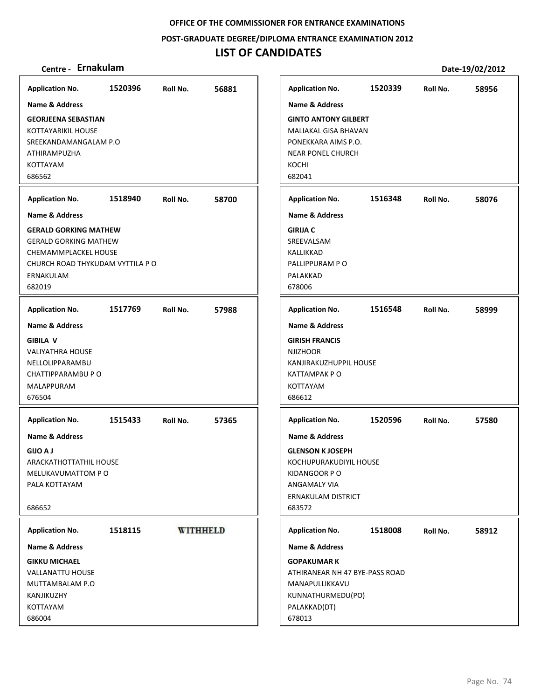**POST‐GRADUATE DEGREE/DIPLOMA ENTRANCE EXAMINATION 2012**

| Centre - Ernakulam                                                                                                                              |         |                 |       |                                                                                                                                                       |         |          | Date-19/02/2012 |
|-------------------------------------------------------------------------------------------------------------------------------------------------|---------|-----------------|-------|-------------------------------------------------------------------------------------------------------------------------------------------------------|---------|----------|-----------------|
| <b>Application No.</b>                                                                                                                          | 1520396 | Roll No.        | 56881 | <b>Application No.</b>                                                                                                                                | 1520339 | Roll No. | 58956           |
| <b>Name &amp; Address</b>                                                                                                                       |         |                 |       | <b>Name &amp; Address</b>                                                                                                                             |         |          |                 |
| <b>GEORJEENA SEBASTIAN</b><br>KOTTAYARIKIL HOUSE<br>SREEKANDAMANGALAM P.O<br><b>ATHIRAMPUZHA</b><br><b>KOTTAYAM</b><br>686562                   |         |                 |       | <b>GINTO ANTONY GILBERT</b><br>MALIAKAL GISA BHAVAN<br>PONEKKARA AIMS P.O.<br><b>NEAR PONEL CHURCH</b><br>KOCHI<br>682041                             |         |          |                 |
| <b>Application No.</b>                                                                                                                          | 1518940 | Roll No.        | 58700 | <b>Application No.</b>                                                                                                                                | 1516348 | Roll No. | 58076           |
| <b>Name &amp; Address</b>                                                                                                                       |         |                 |       | <b>Name &amp; Address</b>                                                                                                                             |         |          |                 |
| <b>GERALD GORKING MATHEW</b><br><b>GERALD GORKING MATHEW</b><br>CHEMAMMPLACKEL HOUSE<br>CHURCH ROAD THYKUDAM VYTTILA P O<br>ERNAKULAM<br>682019 |         |                 |       | <b>GIRIJA C</b><br>SREEVALSAM<br>KALLIKKAD<br>PALLIPPURAM PO<br>PALAKKAD<br>678006                                                                    |         |          |                 |
| <b>Application No.</b>                                                                                                                          | 1517769 | Roll No.        | 57988 | <b>Application No.</b>                                                                                                                                | 1516548 | Roll No. | 58999           |
| Name & Address<br><b>GIBILA V</b><br><b>VALIYATHRA HOUSE</b><br>NELLOLIPPARAMBU<br>CHATTIPPARAMBU P O<br>MALAPPURAM<br>676504                   |         |                 |       | <b>Name &amp; Address</b><br><b>GIRISH FRANCIS</b><br><b>NJIZHOOR</b><br>KANJIRAKUZHUPPIL HOUSE<br>KATTAMPAK PO<br>KOTTAYAM<br>686612                 |         |          |                 |
| <b>Application No.</b>                                                                                                                          | 1515433 | Roll No.        | 57365 | <b>Application No.</b>                                                                                                                                | 1520596 | Roll No. | 57580           |
| <b>Name &amp; Address</b><br><b>GIJO A J</b><br>ARACKATHOTTATHIL HOUSE<br>MELUKAVUMATTOM PO<br>PALA KOTTAYAM<br>686652                          |         |                 |       | <b>Name &amp; Address</b><br><b>GLENSON K JOSEPH</b><br>KOCHUPURAKUDIYIL HOUSE<br>KIDANGOOR PO<br>ANGAMALY VIA<br><b>ERNAKULAM DISTRICT</b><br>683572 |         |          |                 |
| <b>Application No.</b>                                                                                                                          | 1518115 | <b>WITHHELD</b> |       | <b>Application No.</b>                                                                                                                                | 1518008 | Roll No. | 58912           |
| Name & Address                                                                                                                                  |         |                 |       | <b>Name &amp; Address</b>                                                                                                                             |         |          |                 |
| <b>GIKKU MICHAEL</b><br><b>VALLANATTU HOUSE</b><br>MUTTAMBALAM P.O<br>KANJIKUZHY<br>KOTTAYAM<br>686004                                          |         |                 |       | <b>GOPAKUMAR K</b><br>ATHIRANEAR NH 47 BYE-PASS ROAD<br>MANAPULLIKKAVU<br>KUNNATHURMEDU(PO)<br>PALAKKAD(DT)<br>678013                                 |         |          |                 |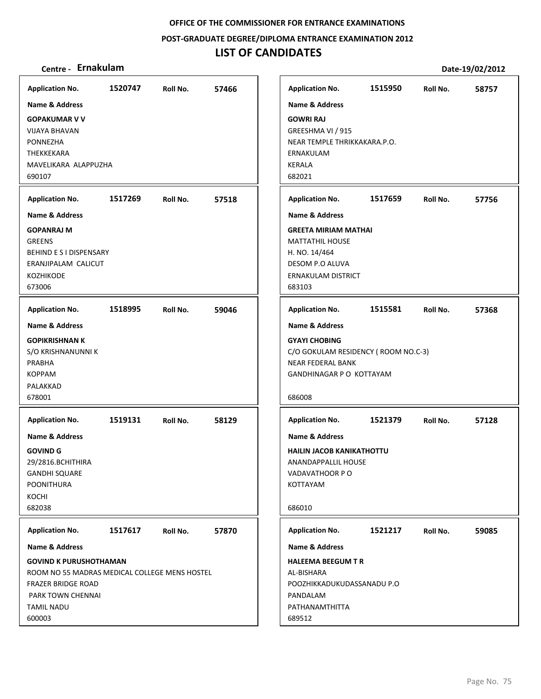**POST‐GRADUATE DEGREE/DIPLOMA ENTRANCE EXAMINATION 2012**

# **LIST OF CANDIDATES**

| <b>Application No.</b>                        | 1520747 | Roll No. | 57466 |
|-----------------------------------------------|---------|----------|-------|
| <b>Name &amp; Address</b>                     |         |          |       |
| <b>GOPAKUMAR V V</b>                          |         |          |       |
| <b>VIJAYA BHAVAN</b>                          |         |          |       |
| PONNEZHA                                      |         |          |       |
| THEKKEKARA                                    |         |          |       |
| MAVELIKARA ALAPPUZHA                          |         |          |       |
| 690107                                        |         |          |       |
| <b>Application No.</b>                        | 1517269 | Roll No. | 57518 |
| Name & Address                                |         |          |       |
| <b>GOPANRAJ M</b>                             |         |          |       |
| <b>GREENS</b>                                 |         |          |       |
| BEHIND E S I DISPENSARY                       |         |          |       |
| ERANJIPALAM CALICUT                           |         |          |       |
| KOZHIKODE<br>673006                           |         |          |       |
|                                               |         |          |       |
| <b>Application No.</b>                        | 1518995 | Roll No. | 59046 |
| <b>Name &amp; Address</b>                     |         |          |       |
| <b>GOPIKRISHNAN K</b>                         |         |          |       |
| S/O KRISHNANUNNI K                            |         |          |       |
| PRABHA                                        |         |          |       |
| <b>KOPPAM</b>                                 |         |          |       |
| PALAKKAD                                      |         |          |       |
| 678001                                        |         |          |       |
| <b>Application No.</b>                        | 1519131 | Roll No. | 58129 |
| <b>Name &amp; Address</b>                     |         |          |       |
| <b>GOVIND G</b>                               |         |          |       |
| 29/2816.BCHITHIRA                             |         |          |       |
| <b>GANDHI SQUARE</b>                          |         |          |       |
| <b>POONITHURA</b>                             |         |          |       |
| KOCHI                                         |         |          |       |
| 682038                                        |         |          |       |
| <b>Application No.</b>                        | 1517617 | Roll No. | 57870 |
| <b>Name &amp; Address</b>                     |         |          |       |
| <b>GOVIND K PURUSHOTHAMAN</b>                 |         |          |       |
| ROOM NO 55 MADRAS MEDICAL COLLEGE MENS HOSTEL |         |          |       |
| <b>FRAZER BRIDGE ROAD</b>                     |         |          |       |
| PARK TOWN CHENNAI                             |         |          |       |
| <b>TAMIL NADU</b>                             |         |          |       |
| 600003                                        |         |          |       |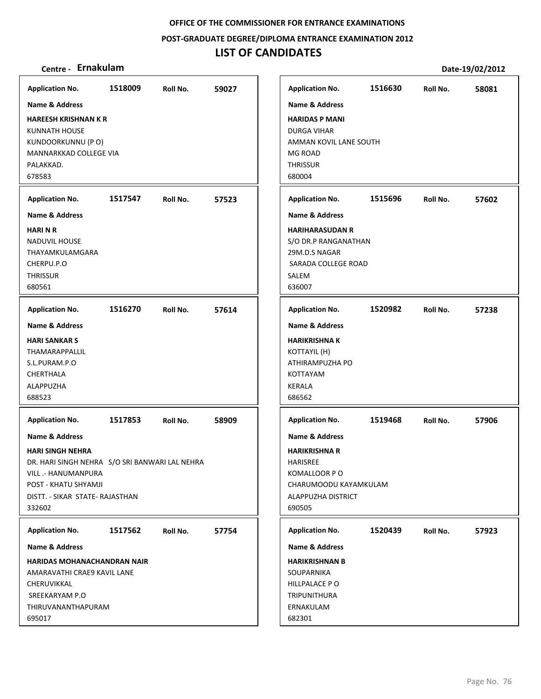**POST‐GRADUATE DEGREE/DIPLOMA ENTRANCE EXAMINATION 2012**

# **LIST OF CANDIDATES**

| <b>Application No.</b>                                                                                                                                                                             | 1518009 | Roll No. | 59027 | <b>Application No.</b>                                                                                                                         | 1516630 | Roll No. | 58081 |
|----------------------------------------------------------------------------------------------------------------------------------------------------------------------------------------------------|---------|----------|-------|------------------------------------------------------------------------------------------------------------------------------------------------|---------|----------|-------|
| Name & Address<br><b>HAREESH KRISHNAN K R</b><br><b>KUNNATH HOUSE</b><br>KUNDOORKUNNU (PO)<br>MANNARKKAD COLLEGE VIA<br>PALAKKAD.<br>678583                                                        |         |          |       | Name & Address<br><b>HARIDAS P MANI</b><br><b>DURGA VIHAR</b><br>AMMAN KOVIL LANE SOUTH<br><b>MG ROAD</b><br><b>THRISSUR</b><br>680004         |         |          |       |
| <b>Application No.</b>                                                                                                                                                                             | 1517547 | Roll No. | 57523 | <b>Application No.</b>                                                                                                                         | 1515696 | Roll No. | 57602 |
| <b>Name &amp; Address</b><br><b>HARINR</b><br><b>NADUVIL HOUSE</b><br>THAYAMKULAMGARA<br>CHERPU.P.O<br><b>THRISSUR</b><br>680561                                                                   |         |          |       | <b>Name &amp; Address</b><br><b>HARIHARASUDAN R</b><br>S/O DR.P RANGANATHAN<br>29M.D.S NAGAR<br>SARADA COLLEGE ROAD<br>SALEM<br>636007         |         |          |       |
| <b>Application No.</b>                                                                                                                                                                             | 1516270 | Roll No. | 57614 | <b>Application No.</b>                                                                                                                         | 1520982 | Roll No. | 57238 |
| <b>Name &amp; Address</b><br><b>HARI SANKAR S</b><br><b>THAMARAPPALLIL</b><br>S.L.PURAM.P.O<br><b>CHERTHALA</b><br><b>ALAPPUZHA</b><br>688523                                                      |         |          |       | <b>Name &amp; Address</b><br><b>HARIKRISHNAK</b><br>KOTTAYIL (H)<br>ATHIRAMPUZHA PO<br><b>KOTTAYAM</b><br><b>KERALA</b><br>686562              |         |          |       |
| <b>Application No.</b>                                                                                                                                                                             | 1517853 | Roll No. | 58909 | <b>Application No.</b>                                                                                                                         | 1519468 | Roll No. | 57906 |
| <b>Name &amp; Address</b><br><b>HARI SINGH NEHRA</b><br>DR. HARI SINGH NEHRA S/O SRI BANWARI LAL NEHRA<br>VILL .- HANUMANPURA<br>POST - KHATU SHYAMJI<br>DISTT. - SIKAR STATE- RAJASTHAN<br>332602 |         |          |       | <b>Name &amp; Address</b><br><b>HARIKRISHNA R</b><br><b>HARISREE</b><br>KOMALLOOR P O<br>CHARUMOODU KAYAMKULAM<br>ALAPPUZHA DISTRICT<br>690505 |         |          |       |
| <b>Application No.</b>                                                                                                                                                                             | 1517562 | Roll No. | 57754 | <b>Application No.</b>                                                                                                                         | 1520439 | Roll No. | 57923 |
| <b>Name &amp; Address</b><br><b>HARIDAS MOHANACHANDRAN NAIR</b><br>AMARAVATHI CRAE9 KAVIL LANE<br>CHERUVIKKAL<br>SREEKARYAM P.O<br>THIRUVANANTHAPURAM<br>695017                                    |         |          |       | <b>Name &amp; Address</b><br><b>HARIKRISHNAN B</b><br>SOUPARNIKA<br>HILLPALACE PO<br><b>TRIPUNITHURA</b><br>ERNAKULAM<br>682301                |         |          |       |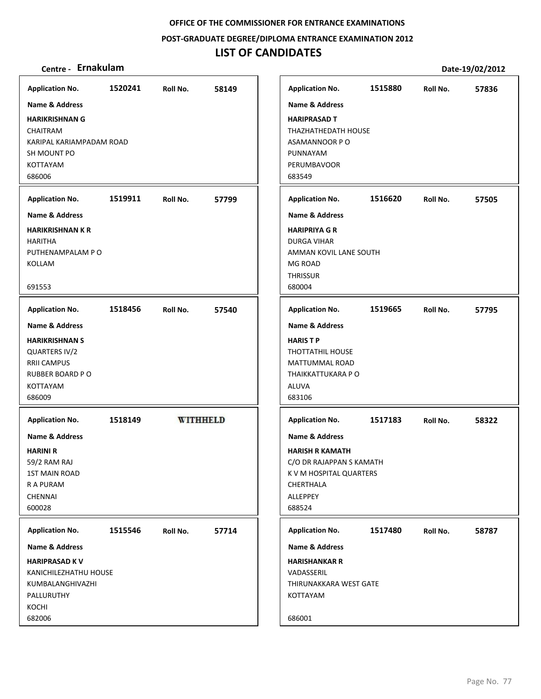**POST‐GRADUATE DEGREE/DIPLOMA ENTRANCE EXAMINATION 2012**

# **LIST OF CANDIDATES**

| <b>Application No.</b>                                                                                                                                  | 1520241 | Roll No. | 58149           |
|---------------------------------------------------------------------------------------------------------------------------------------------------------|---------|----------|-----------------|
| Name & Address                                                                                                                                          |         |          |                 |
| <b>HARIKRISHNAN G</b><br><b>CHAITRAM</b><br>KARIPAL KARIAMPADAM ROAD<br>SH MOUNT PO<br><b>KOTTAYAM</b><br>686006                                        |         |          |                 |
| <b>Application No.</b>                                                                                                                                  | 1519911 | Roll No. | 57799           |
| <b>Name &amp; Address</b><br><b>HARIKRISHNAN K R</b><br><b>HARITHA</b><br>PUTHENAMPALAM P O<br>KOLLAM<br>691553                                         |         |          |                 |
| <b>Application No.</b>                                                                                                                                  | 1518456 | Roll No. | 57540           |
| Name & Address<br><b>HARIKRISHNAN S</b><br>QUARTERS IV/2<br><b>RRII CAMPUS</b><br><b>RUBBER BOARD PO</b><br><b>KOTTAYAM</b><br>686009                   |         |          |                 |
| <b>Application No.</b><br><b>Name &amp; Address</b><br><b>HARINI R</b><br>59/2 RAM RAJ<br><b>1ST MAIN ROAD</b><br>R A PURAM<br><b>CHENNAI</b><br>600028 | 1518149 |          | <b>WITHHELD</b> |
| <b>Application No.</b>                                                                                                                                  | 1515546 | Roll No. | 57714           |
| <b>Name &amp; Address</b><br><b>HARIPRASAD KV</b><br>KANICHILEZHATHU HOUSE<br>KUMBALANGHIVAZHI<br>PALLURUTHY<br>KOCHI<br>682006                         |         |          |                 |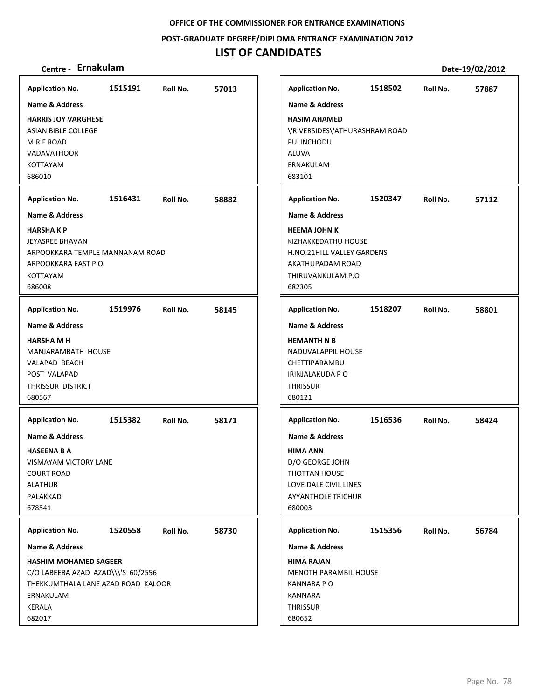**POST‐GRADUATE DEGREE/DIPLOMA ENTRANCE EXAMINATION 2012**

| Centre - Ernakulam                                                                                                                                                     |         |          |       |                                                                                                                                                          |         |          | Date-19/02/2012 |
|------------------------------------------------------------------------------------------------------------------------------------------------------------------------|---------|----------|-------|----------------------------------------------------------------------------------------------------------------------------------------------------------|---------|----------|-----------------|
| <b>Application No.</b>                                                                                                                                                 | 1515191 | Roll No. | 57013 | <b>Application No.</b>                                                                                                                                   | 1518502 | Roll No. | 57887           |
| <b>Name &amp; Address</b><br><b>HARRIS JOY VARGHESE</b><br>ASIAN BIBLE COLLEGE<br>M.R.F ROAD<br><b>VADAVATHOOR</b><br><b>KOTTAYAM</b><br>686010                        |         |          |       | <b>Name &amp; Address</b><br><b>HASIM AHAMED</b><br>\'RIVERSIDES\'ATHURASHRAM ROAD<br>PULINCHODU<br>ALUVA<br>ERNAKULAM<br>683101                         |         |          |                 |
| <b>Application No.</b>                                                                                                                                                 | 1516431 | Roll No. | 58882 | <b>Application No.</b>                                                                                                                                   | 1520347 | Roll No. | 57112           |
| <b>Name &amp; Address</b><br><b>HARSHAKP</b><br><b>JEYASREE BHAVAN</b><br>ARPOOKKARA TEMPLE MANNANAM ROAD<br>ARPOOKKARA EAST P O<br>KOTTAYAM<br>686008                 |         |          |       | <b>Name &amp; Address</b><br><b>HEEMA JOHN K</b><br>KIZHAKKEDATHU HOUSE<br>H.NO.21HILL VALLEY GARDENS<br>AKATHUPADAM ROAD<br>THIRUVANKULAM.P.O<br>682305 |         |          |                 |
| <b>Application No.</b>                                                                                                                                                 | 1519976 | Roll No. | 58145 | <b>Application No.</b>                                                                                                                                   | 1518207 | Roll No. | 58801           |
| <b>Name &amp; Address</b><br><b>HARSHA M H</b><br>MANJARAMBATH HOUSE<br>VALAPAD BEACH<br>POST VALAPAD<br>THRISSUR DISTRICT<br>680567                                   |         |          |       | <b>Name &amp; Address</b><br><b>HEMANTH N B</b><br>NADUVALAPPIL HOUSE<br>CHETTIPARAMBU<br>IRINJALAKUDA P O<br><b>THRISSUR</b><br>680121                  |         |          |                 |
| <b>Application No.</b>                                                                                                                                                 | 1515382 | Roll No. | 58171 | <b>Application No.</b>                                                                                                                                   | 1516536 | Roll No. | 58424           |
| <b>Name &amp; Address</b><br><b>HASEENA B A</b><br>VISMAYAM VICTORY LANE<br><b>COURT ROAD</b><br><b>ALATHUR</b><br>PALAKKAD<br>678541                                  |         |          |       | <b>Name &amp; Address</b><br><b>HIMA ANN</b><br>D/O GEORGE JOHN<br>THOTTAN HOUSE<br>LOVE DALE CIVIL LINES<br><b>AYYANTHOLE TRICHUR</b><br>680003         |         |          |                 |
| <b>Application No.</b>                                                                                                                                                 | 1520558 | Roll No. | 58730 | <b>Application No.</b>                                                                                                                                   | 1515356 | Roll No. | 56784           |
| <b>Name &amp; Address</b><br><b>HASHIM MOHAMED SAGEER</b><br>C/O LABEEBA AZAD AZAD\\\'S 60/2556<br>THEKKUMTHALA LANE AZAD ROAD KALOOR<br>ERNAKULAM<br>KERALA<br>682017 |         |          |       | <b>Name &amp; Address</b><br><b>HIMA RAJAN</b><br>MENOTH PARAMBIL HOUSE<br><b>KANNARA PO</b><br>KANNARA<br><b>THRISSUR</b><br>680652                     |         |          |                 |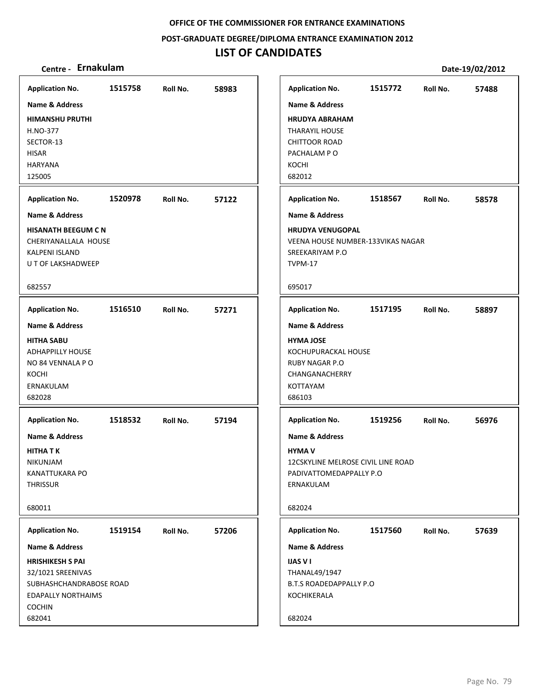**POST‐GRADUATE DEGREE/DIPLOMA ENTRANCE EXAMINATION 2012**

| Centre - Ernakulam                                                                                                                                                                     |                    |                      |                |                                                                                                                                                           |                                       |                                               |                      | Date-19/02/2012 |
|----------------------------------------------------------------------------------------------------------------------------------------------------------------------------------------|--------------------|----------------------|----------------|-----------------------------------------------------------------------------------------------------------------------------------------------------------|---------------------------------------|-----------------------------------------------|----------------------|-----------------|
| <b>Application No.</b><br><b>Name &amp; Address</b><br><b>HIMANSHU PRUTHI</b><br>H.NO-377<br>SECTOR-13<br><b>HISAR</b><br><b>HARYANA</b><br>125005<br><b>Application No.</b>           | 1515758<br>1520978 | Roll No.<br>Roll No. | 58983<br>57122 | <b>Application No.</b><br><b>Name &amp; Address</b><br><b>THARAYIL HOUSE</b><br>CHITTOOR ROAD<br>PACHALAM PO<br>KOCHI<br>682012<br><b>Application No.</b> | <b>HRUDYA ABRAHAM</b>                 | 1515772<br>1518567                            | Roll No.<br>Roll No. | 57488<br>58578  |
| <b>Name &amp; Address</b><br><b>HISANATH BEEGUM C N</b><br>CHERIYANALLALA HOUSE<br>KALPENI ISLAND<br>U T OF LAKSHADWEEP<br>682557                                                      |                    |                      |                | <b>Name &amp; Address</b><br>SREEKARIYAM P.O<br>TVPM-17<br>695017                                                                                         | <b>HRUDYA VENUGOPAL</b>               | <b>VEENA HOUSE NUMBER-133VIKAS NAGAR</b>      |                      |                 |
| <b>Application No.</b><br><b>Name &amp; Address</b><br><b>HITHA SABU</b><br><b>ADHAPPILLY HOUSE</b><br>NO 84 VENNALA PO<br>KOCHI<br>ERNAKULAM<br>682028                                | 1516510            | Roll No.             | 57271          | <b>Application No.</b><br><b>Name &amp; Address</b><br><b>HYMA JOSE</b><br><b>RUBY NAGAR P.O</b><br>KOTTAYAM<br>686103                                    | KOCHUPURACKAL HOUSE<br>CHANGANACHERRY | 1517195                                       | Roll No.             | 58897           |
| <b>Application No.</b><br><b>Name &amp; Address</b><br><b>HITHA T K</b><br>NIKUNJAM<br><b>KANATTUKARA PO</b><br><b>THRISSUR</b><br>680011                                              | 1518532            | Roll No.             | 57194          | <b>Application No.</b><br><b>Name &amp; Address</b><br><b>HYMA V</b><br>ERNAKULAM<br>682024                                                               | PADIVATTOMEDAPPALLY P.O               | 1519256<br>12CSKYLINE MELROSE CIVIL LINE ROAD | Roll No.             | 56976           |
| <b>Application No.</b><br><b>Name &amp; Address</b><br><b>HRISHIKESH S PAI</b><br>32/1021 SREENIVAS<br>SUBHASHCHANDRABOSE ROAD<br><b>EDAPALLY NORTHAIMS</b><br><b>COCHIN</b><br>682041 | 1519154            | Roll No.             | 57206          | <b>Application No.</b><br><b>Name &amp; Address</b><br><b>IJAS V I</b><br>THANAL49/1947<br>KOCHIKERALA<br>682024                                          | <b>B.T.S ROADEDAPPALLY P.O</b>        | 1517560                                       | Roll No.             | 57639           |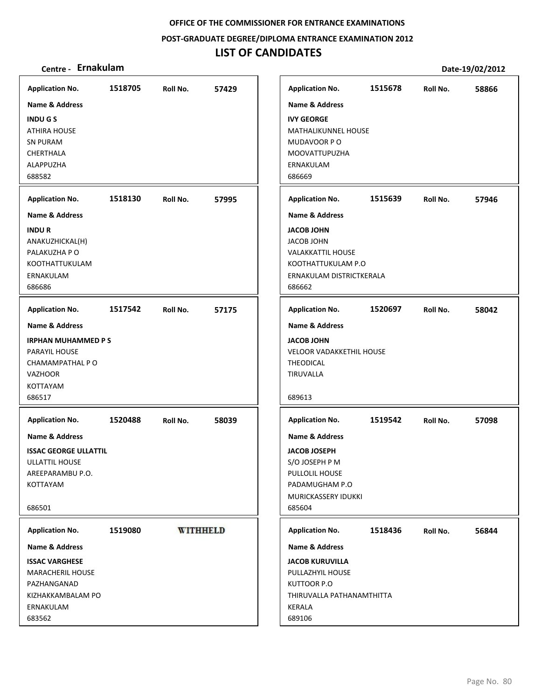**POST‐GRADUATE DEGREE/DIPLOMA ENTRANCE EXAMINATION 2012**

# **LIST OF CANDIDATES**

| <b>Application No.</b>       | 1518705 | Roll No.        | 57429 | <b>Application No.</b>             | 1515678 | Roll No. | 58866 |
|------------------------------|---------|-----------------|-------|------------------------------------|---------|----------|-------|
| Name & Address               |         |                 |       | <b>Name &amp; Address</b>          |         |          |       |
| <b>INDUGS</b>                |         |                 |       | <b>IVY GEORGE</b>                  |         |          |       |
| <b>ATHIRA HOUSE</b>          |         |                 |       | <b>MATHALIKUNNEL HOUSE</b>         |         |          |       |
| <b>SN PURAM</b>              |         |                 |       | MUDAVOOR PO                        |         |          |       |
| CHERTHALA                    |         |                 |       | MOOVATTUPUZHA                      |         |          |       |
| ALAPPUZHA                    |         |                 |       | ERNAKULAM                          |         |          |       |
| 688582                       |         |                 |       | 686669                             |         |          |       |
| <b>Application No.</b>       | 1518130 | Roll No.        | 57995 | <b>Application No.</b>             | 1515639 | Roll No. | 57946 |
| <b>Name &amp; Address</b>    |         |                 |       | <b>Name &amp; Address</b>          |         |          |       |
| <b>INDUR</b>                 |         |                 |       | <b>JACOB JOHN</b>                  |         |          |       |
| ANAKUZHICKAL(H)              |         |                 |       | <b>JACOB JOHN</b>                  |         |          |       |
| PALAKUZHA P O                |         |                 |       | <b>VALAKKATTIL HOUSE</b>           |         |          |       |
| KOOTHATTUKULAM               |         |                 |       | KOOTHATTUKULAM P.O                 |         |          |       |
| ERNAKULAM<br>686686          |         |                 |       | ERNAKULAM DISTRICTKERALA<br>686662 |         |          |       |
|                              |         |                 |       |                                    |         |          |       |
| <b>Application No.</b>       | 1517542 | Roll No.        | 57175 | <b>Application No.</b>             | 1520697 | Roll No. | 58042 |
| Name & Address               |         |                 |       | <b>Name &amp; Address</b>          |         |          |       |
| <b>IRPHAN MUHAMMED PS</b>    |         |                 |       | <b>JACOB JOHN</b>                  |         |          |       |
| PARAYIL HOUSE                |         |                 |       | <b>VELOOR VADAKKETHIL HOUSE</b>    |         |          |       |
| CHAMAMPATHAL PO              |         |                 |       | <b>THEODICAL</b>                   |         |          |       |
| <b>VAZHOOR</b>               |         |                 |       | <b>TIRUVALLA</b>                   |         |          |       |
| <b>KOTTAYAM</b>              |         |                 |       |                                    |         |          |       |
| 686517                       |         |                 |       | 689613                             |         |          |       |
| <b>Application No.</b>       | 1520488 | Roll No.        | 58039 | <b>Application No.</b>             | 1519542 | Roll No. | 57098 |
| <b>Name &amp; Address</b>    |         |                 |       | <b>Name &amp; Address</b>          |         |          |       |
| <b>ISSAC GEORGE ULLATTIL</b> |         |                 |       | <b>JACOB JOSEPH</b>                |         |          |       |
| ULLATTIL HOUSE               |         |                 |       | S/O JOSEPH P M                     |         |          |       |
| AREEPARAMBU P.O.             |         |                 |       | PULLOLIL HOUSE                     |         |          |       |
| <b>KOTTAYAM</b>              |         |                 |       | PADAMUGHAM P.O                     |         |          |       |
|                              |         |                 |       | MURICKASSERY IDUKKI                |         |          |       |
| 686501                       |         |                 |       | 685604                             |         |          |       |
| <b>Application No.</b>       | 1519080 | <b>WITHHELD</b> |       | <b>Application No.</b>             | 1518436 | Roll No. | 56844 |
| Name & Address               |         |                 |       | <b>Name &amp; Address</b>          |         |          |       |
| <b>ISSAC VARGHESE</b>        |         |                 |       | <b>JACOB KURUVILLA</b>             |         |          |       |
| <b>MARACHERIL HOUSE</b>      |         |                 |       | PULLAZHYIL HOUSE                   |         |          |       |
| PAZHANGANAD                  |         |                 |       | KUTTOOR P.O                        |         |          |       |
| KIZHAKKAMBALAM PO            |         |                 |       | THIRUVALLA PATHANAMTHITTA          |         |          |       |
| ERNAKULAM                    |         |                 |       | KERALA                             |         |          |       |
| 683562                       |         |                 |       | 689106                             |         |          |       |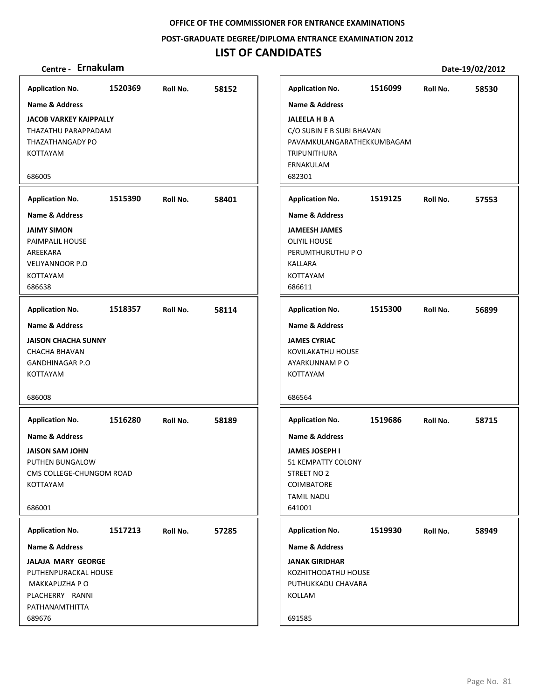**POST‐GRADUATE DEGREE/DIPLOMA ENTRANCE EXAMINATION 2012**

## **LIST OF CANDIDATES**

## **Centre ‐ Ernakulam Date‐19/02/2012**

**1520369 58152 JACOB VARKEY KAIPPALLY** THAZATHU PARAPPADAM THAZATHANGADY PO KOTTAYAM 686005 **Application No. Name & Address 1515390 58401 JAIMY SIMON** PAIMPALIL HOUSE AREEKARA VELIYANNOOR P.O KOTTAYAM 686638 **Application No. Name & Address 1518357 58114 JAISON CHACHA SUNNY** CHACHA BHAVAN GANDHINAGAR P.O KOTTAYAM 686008 **Application No. Name & Address 1516280 58189 JAISON SAM JOHN** PUTHEN BUNGALOW CMS COLLEGE‐CHUNGOM ROAD KOTTAYAM 686001 **Application No. Name & Address 1517213 57285 JALAJA MARY GEORGE** PUTHENPURACKAL HOUSE MAKKAPUZHA P O PLACHERRY RANNI PATHANAMTHITTA 689676 **Application No. Name & Address 1516099 58530 JALEELA H B A** C/O SUBIN E B SUBI BHAVAN PAVAMKULANGARATHEKKUMBAGAM TRIPUNITHURA ERNAKULAM 682301 **Application No. Name & Address 1519125 57553 JAMEESH JAMES** OLIYIL HOUSE PERUMTHURUTHU P O KALLARA KOTTAYAM 686611 **Application No. Name & Address 1515300 56899 JAMES CYRIAC** KOVILAKATHU HOUSE AYARKUNNAM P O KOTTAYAM 686564 **Application No. Name & Address 1519686 58715 JAMES JOSEPH I** 51 KEMPATTY COLONY STREET NO 2 COIMBATORE TAMIL NADU 641001 **Application No. Name & Address 1519930 58949 JANAK GIRIDHAR** KOZHITHODATHU HOUSE PUTHUKKADU CHAVARA KOLLAM 691585 **Application No. Name & Address**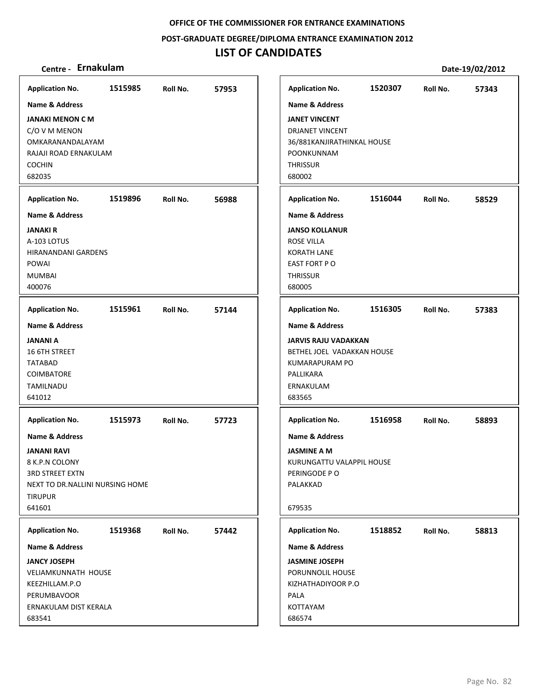**POST‐GRADUATE DEGREE/DIPLOMA ENTRANCE EXAMINATION 2012**

## **LIST OF CANDIDATES**

## **Centre ‐ Ernakulam Date‐19/02/2012**

**1515985 57953 JANAKI MENON C M** C/O V M MENON OMKARANANDALAYAM RAJAJI ROAD ERNAKULAM COCHIN 682035 **Application No. Name & Address 1519896 56988 JANAKI R** A‐103 LOTUS HIRANANDANI GARDENS POWAI MUMBAI 400076 **Application No. Name & Address 1515961 57144 JANANI A** 16 6TH STREET TATABAD **COIMBATORE** TAMILNADU 641012 **Application No. Name & Address 1515973 57723 JANANI RAVI** 8 K.P.N COLONY 3RD STREET EXTN NEXT TO DR.NALLINI NURSING HOME TIRUPUR 641601 **Application No. Name & Address 1519368 57442 JANCY JOSEPH** VELIAMKUNNATH HOUSE KEEZHILLAM.P.O PERUMBAVOOR ERNAKULAM DIST KERALA 683541 **Application No. Name & Address 1520307 57343 JANET VINCENT** DRJANET VINCENT 36/881KANJIRATHINKAL HOUSE POONKUNNAM **THRISSUR** 680002 **Application No. Name & Address 1516044 58529 JANSO KOLLANUR** ROSE VILLA KORATH LANE EAST FORT P O **THRISSUR** 680005 **Application No. Name & Address 1516305 57383 JARVIS RAJU VADAKKAN** BETHEL JOEL VADAKKAN HOUSE KUMARAPURAM PO PALLIKARA ERNAKULAM 683565 **Application No. Name & Address 1516958 58893 JASMINE A M** KURUNGATTU VALAPPIL HOUSE PERINGODE P O PALAKKAD 679535 **Application No. Name & Address 1518852 58813 JASMINE JOSEPH** PORUNNOLIL HOUSE KIZHATHADIYOOR P.O PALA KOTTAYAM 686574 **Application No. Name & Address**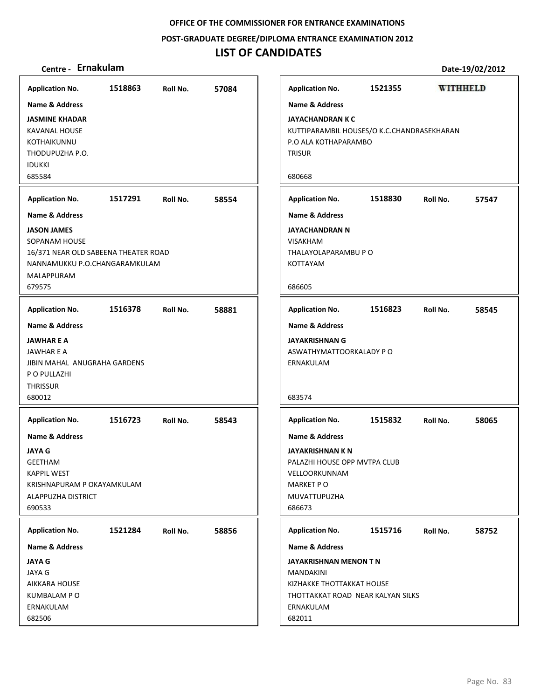**POST‐GRADUATE DEGREE/DIPLOMA ENTRANCE EXAMINATION 2012**

# **LIST OF CANDIDATES**

|                                                                                                                                                  |         |          |       |                                                                                                                     |                                            |          | PULL 19, 04, 4014 |
|--------------------------------------------------------------------------------------------------------------------------------------------------|---------|----------|-------|---------------------------------------------------------------------------------------------------------------------|--------------------------------------------|----------|-------------------|
| <b>Application No.</b>                                                                                                                           | 1518863 | Roll No. | 57084 | <b>Application No.</b>                                                                                              | 1521355                                    |          | <b>WITHHELD</b>   |
| <b>Name &amp; Address</b>                                                                                                                        |         |          |       | <b>Name &amp; Address</b>                                                                                           |                                            |          |                   |
| <b>JASMINE KHADAR</b><br>KAVANAL HOUSE<br>KOTHAIKUNNU<br>THODUPUZHA P.O.<br><b>IDUKKI</b><br>685584                                              |         |          |       | <b>JAYACHANDRAN K C</b><br>P.O ALA KOTHAPARAMBO<br><b>TRISUR</b><br>680668                                          | KUTTIPARAMBIL HOUSES/O K.C.CHANDRASEKHARAN |          |                   |
| <b>Application No.</b>                                                                                                                           | 1517291 | Roll No. | 58554 | <b>Application No.</b>                                                                                              | 1518830                                    | Roll No. | 57547             |
| <b>Name &amp; Address</b>                                                                                                                        |         |          |       | <b>Name &amp; Address</b>                                                                                           |                                            |          |                   |
| <b>JASON JAMES</b><br>SOPANAM HOUSE<br>16/371 NEAR OLD SABEENA THEATER ROAD<br>NANNAMUKKU P.O.CHANGARAMKULAM<br>MALAPPURAM                       |         |          |       | <b>JAYACHANDRAN N</b><br><b>VISAKHAM</b><br>THALAYOLAPARAMBU P O<br><b>KOTTAYAM</b>                                 |                                            |          |                   |
| 679575                                                                                                                                           |         |          |       | 686605                                                                                                              |                                            |          |                   |
| <b>Application No.</b>                                                                                                                           | 1516378 | Roll No. | 58881 | <b>Application No.</b>                                                                                              | 1516823                                    | Roll No. | 58545             |
| <b>Name &amp; Address</b><br><b>JAWHAR E A</b><br>JAWHAR E A<br>JIBIN MAHAL ANUGRAHA GARDENS<br>P O PULLAZHI<br><b>THRISSUR</b><br>680012        |         |          |       | <b>Name &amp; Address</b><br><b>JAYAKRISHNAN G</b><br>ASWATHYMATTOORKALADY P O<br>ERNAKULAM<br>683574               |                                            |          |                   |
| <b>Application No.</b>                                                                                                                           | 1516723 | Roll No. | 58543 | <b>Application No.</b>                                                                                              | 1515832                                    | Roll No. | 58065             |
| <b>Name &amp; Address</b><br><b>JAYA G</b><br><b>GEETHAM</b><br><b>KAPPIL WEST</b><br>KRISHNAPURAM P OKAYAMKULAM<br>ALAPPUZHA DISTRICT<br>690533 |         |          |       | <b>Name &amp; Address</b><br><b>JAYAKRISHNAN K N</b><br>VELLOORKUNNAM<br><b>MARKET PO</b><br>MUVATTUPUZHA<br>686673 | PALAZHI HOUSE OPP MVTPA CLUB               |          |                   |
| <b>Application No.</b>                                                                                                                           | 1521284 | Roll No. | 58856 | <b>Application No.</b>                                                                                              | 1515716                                    | Roll No. | 58752             |
| <b>Name &amp; Address</b>                                                                                                                        |         |          |       | Name & Address                                                                                                      |                                            |          |                   |
| <b>JAYA G</b><br>JAYA G<br>AIKKARA HOUSE<br><b>KUMBALAM PO</b><br>ERNAKULAM<br>682506                                                            |         |          |       | JAYAKRISHNAN MENON T N<br>MANDAKINI<br>KIZHAKKE THOTTAKKAT HOUSE<br>ERNAKULAM<br>682011                             | THOTTAKKAT ROAD NEAR KALYAN SILKS          |          |                   |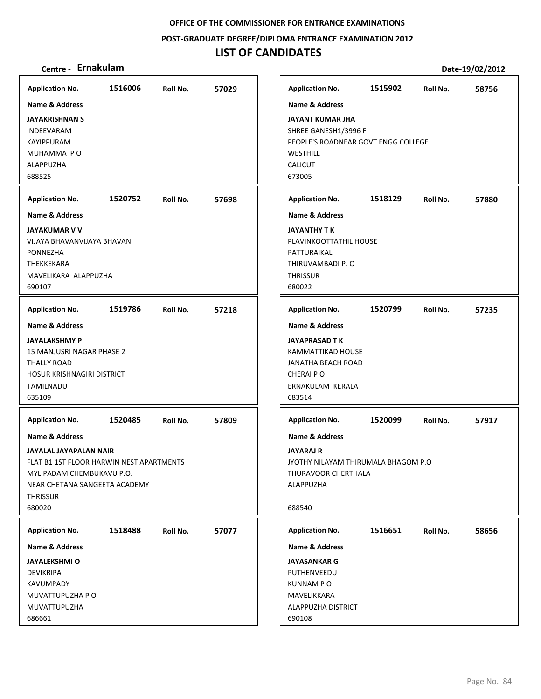**POST‐GRADUATE DEGREE/DIPLOMA ENTRANCE EXAMINATION 2012**

# **LIST OF CANDIDATES**

| <b>Application No.</b><br><b>Name &amp; Address</b><br><b>JAYAKRISHNAN S</b><br>INDEEVARAM<br><b>KAYIPPURAM</b>                                                                            | 1516006 | Roll No. | 57029 | <b>Application No.</b><br><b>Name &amp; Address</b><br><b>JAYANT KUMAR JHA</b><br>SHREE GANESH1/3996 F<br>PEOPLE'S ROADNEAR GOVT ENGG COLLEGE | 1515902 | Roll No. | 58756 |
|--------------------------------------------------------------------------------------------------------------------------------------------------------------------------------------------|---------|----------|-------|-----------------------------------------------------------------------------------------------------------------------------------------------|---------|----------|-------|
| MUHAMMA PO<br>ALAPPUZHA<br>688525                                                                                                                                                          |         |          |       | WESTHILL<br><b>CALICUT</b><br>673005                                                                                                          |         |          |       |
| <b>Application No.</b>                                                                                                                                                                     | 1520752 | Roll No. | 57698 | <b>Application No.</b>                                                                                                                        | 1518129 | Roll No. | 57880 |
| <b>Name &amp; Address</b><br><b>JAYAKUMAR V V</b><br>VIJAYA BHAVANVIJAYA BHAVAN<br><b>PONNEZHA</b><br>THEKKEKARA<br>MAVELIKARA ALAPPUZHA<br>690107                                         |         |          |       | <b>Name &amp; Address</b><br>JAYANTHY T K<br>PLAVINKOOTTATHIL HOUSE<br>PATTURAIKAL<br>THIRUVAMBADI P. O<br><b>THRISSUR</b><br>680022          |         |          |       |
| <b>Application No.</b>                                                                                                                                                                     | 1519786 | Roll No. | 57218 | <b>Application No.</b>                                                                                                                        | 1520799 | Roll No. | 57235 |
| <b>Name &amp; Address</b><br><b>JAYALAKSHMY P</b><br>15 MANJUSRI NAGAR PHASE 2<br>THALLY ROAD<br>HOSUR KRISHNAGIRI DISTRICT<br>TAMILNADU<br>635109                                         |         |          |       | <b>Name &amp; Address</b><br><b>JAYAPRASAD TK</b><br>KAMMATTIKAD HOUSE<br>JANATHA BEACH ROAD<br>CHERAI P O<br>ERNAKULAM KERALA<br>683514      |         |          |       |
| <b>Application No.</b>                                                                                                                                                                     | 1520485 | Roll No. | 57809 | <b>Application No.</b>                                                                                                                        | 1520099 | Roll No. | 57917 |
| <b>Name &amp; Address</b><br>JAYALAL JAYAPALAN NAIR<br>FLAT B1 1ST FLOOR HARWIN NEST APARTMENTS<br>MYLIPADAM CHEMBUKAVU P.O.<br>NEAR CHETANA SANGEETA ACADEMY<br><b>THRISSUR</b><br>680020 |         |          |       | <b>Name &amp; Address</b><br>JAYARAJ R<br>JYOTHY NILAYAM THIRUMALA BHAGOM P.O<br>THURAVOOR CHERTHALA<br>ALAPPUZHA<br>688540                   |         |          |       |
| <b>Application No.</b>                                                                                                                                                                     | 1518488 | Roll No. | 57077 | <b>Application No.</b>                                                                                                                        | 1516651 | Roll No. | 58656 |
| <b>Name &amp; Address</b><br><b>JAYALEKSHMI O</b><br><b>DEVIKRIPA</b><br>KAVUMPADY<br>MUVATTUPUZHA P O<br>MUVATTUPUZHA<br>686661                                                           |         |          |       | Name & Address<br><b>JAYASANKAR G</b><br>PUTHENVEEDU<br><b>KUNNAMPO</b><br>MAVELIKKARA<br>ALAPPUZHA DISTRICT<br>690108                        |         |          |       |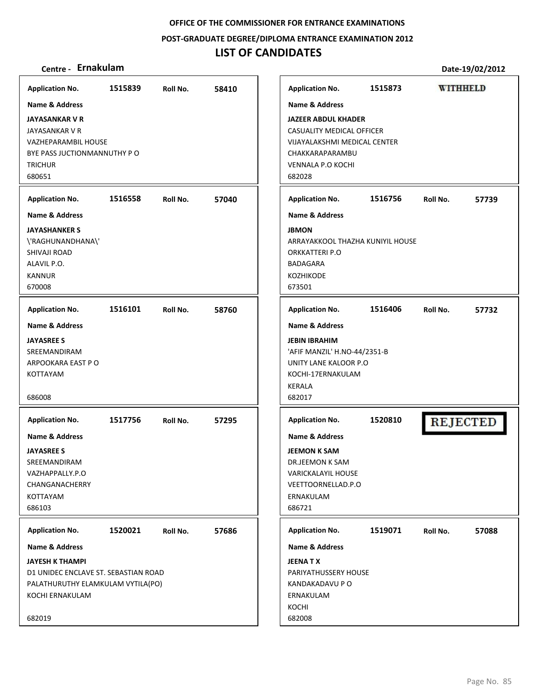**POST‐GRADUATE DEGREE/DIPLOMA ENTRANCE EXAMINATION 2012**

## **LIST OF CANDIDATES**

## **Centre ‐ Ernakulam Date‐19/02/2012**

**Application No. 1515839 58410 Application No. 1515873 WITHHELD Name & Address Name & Address JAYASANKAR V R JAZEER ABDUL KHADER** JAYASANKAR V R CASUALITY MEDICAL OFFICER VAZHEPARAMBIL HOUSE VIJAYALAKSHMI MEDICAL CENTER BYE PASS JUCTIONMANNUTHY P O CHAKKARAPARAMBU **TRICHUR** VENNALA P.O KOCHI 680651 682028 **Application No. 1516558 57040 Application No. 1516756 57739 Name & Address Name & Address JAYASHANKER S JBMON** \'RAGHUNANDHANA\' ARRAYAKKOOL THAZHA KUNIYIL HOUSE SHIVAJI ROAD ORKKATTERI P.O ALAVIL P.O. BADAGARA KANNUR KOZHIKODE 670008 673501 **Application No. 1516101 58760 Application No. 1516406 57732 Name & Address Name & Address JAYASREE S JEBIN IBRAHIM** SREEMANDIRAM 'AFIF MANZIL' H.NO‐44/2351‐B ARPOOKARA EAST P O UNITY LANE KALOOR P.O KOTTAYAM KOCHI‐17ERNAKULAM KERALA 686008 682017 **Application No. Application No. 1520810 1517756 57295 REJECTED Name & Address Name & Address JAYASREE S JEEMON K SAM** SREEMANDIRAM DR.JEEMON K SAM VAZHAPPALLY.P.O VARICKALAYIL HOUSE CHANGANACHERRY VEETTOORNELLAD.P.O KOTTAYAM ERNAKULAM 686103 686721 **Application No. Application No. 1520021 57686 1519071 57088 Name & Address Name & Address JAYESH K THAMPI JEENA T X** D1 UNIDEC ENCLAVE ST. SEBASTIAN ROAD PARIYATHUSSERY HOUSE KANDAKADAVU P O PALATHURUTHY ELAMKULAM VYTILA(PO) KOCHI ERNAKULAM ERNAKULAM KOCHI 682019 682008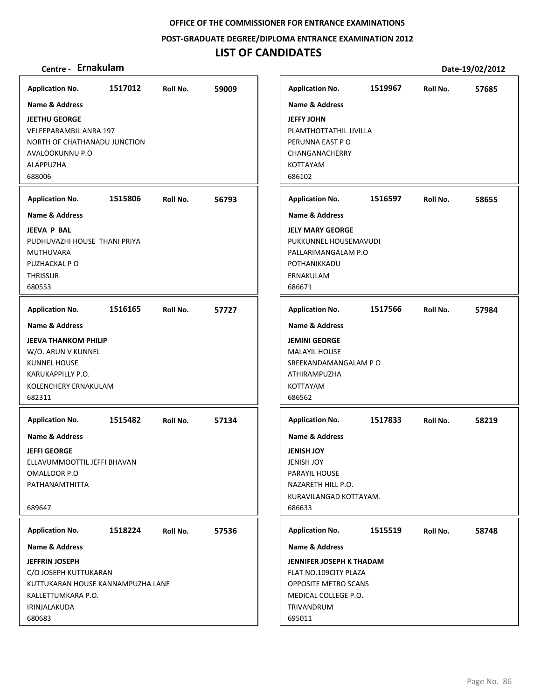**POST‐GRADUATE DEGREE/DIPLOMA ENTRANCE EXAMINATION 2012**

# **LIST OF CANDIDATES**

| <b>Application No.</b>                                                                                                    | 1517012 | Roll No. | 59009 | <b>Application No.</b>                                                                                          | 1519967 | Roll No. | 57685 |
|---------------------------------------------------------------------------------------------------------------------------|---------|----------|-------|-----------------------------------------------------------------------------------------------------------------|---------|----------|-------|
| <b>Name &amp; Address</b>                                                                                                 |         |          |       | <b>Name &amp; Address</b>                                                                                       |         |          |       |
| <b>JEETHU GEORGE</b><br><b>VELEEPARAMBIL ANRA 197</b><br>NORTH OF CHATHANADU JUNCTION<br>AVALOOKUNNU P.O                  |         |          |       | <b>JEFFY JOHN</b><br>PLAMTHOTTATHIL JJVILLA<br>PERUNNA EAST PO<br>CHANGANACHERRY                                |         |          |       |
| ALAPPUZHA                                                                                                                 |         |          |       | KOTTAYAM                                                                                                        |         |          |       |
| 688006                                                                                                                    |         |          |       | 686102                                                                                                          |         |          |       |
| <b>Application No.</b>                                                                                                    | 1515806 | Roll No. | 56793 | <b>Application No.</b>                                                                                          | 1516597 | Roll No. | 58655 |
| <b>Name &amp; Address</b>                                                                                                 |         |          |       | <b>Name &amp; Address</b>                                                                                       |         |          |       |
| <b>JEEVA P BAL</b><br>PUDHUVAZHI HOUSE THANI PRIYA<br><b>MUTHUVARA</b><br>PUZHACKAL PO<br><b>THRISSUR</b><br>680553       |         |          |       | <b>JELY MARY GEORGE</b><br>PUKKUNNEL HOUSEMAVUDI<br>PALLARIMANGALAM P.O<br>POTHANIKKADU<br>ERNAKULAM<br>686671  |         |          |       |
| <b>Application No.</b>                                                                                                    | 1516165 | Roll No. | 57727 | <b>Application No.</b>                                                                                          | 1517566 | Roll No. | 57984 |
| Name & Address                                                                                                            |         |          |       | <b>Name &amp; Address</b>                                                                                       |         |          |       |
| <b>JEEVA THANKOM PHILIP</b>                                                                                               |         |          |       | <b>JEMINI GEORGE</b>                                                                                            |         |          |       |
| W/O. ARUN V KUNNEL                                                                                                        |         |          |       | <b>MALAYIL HOUSE</b>                                                                                            |         |          |       |
| <b>KUNNEL HOUSE</b>                                                                                                       |         |          |       | SREEKANDAMANGALAM PO                                                                                            |         |          |       |
| KARUKAPPILLY P.O.<br>KOLENCHERY ERNAKULAM                                                                                 |         |          |       | ATHIRAMPUZHA<br>KOTTAYAM                                                                                        |         |          |       |
| 682311                                                                                                                    |         |          |       | 686562                                                                                                          |         |          |       |
|                                                                                                                           | 1515482 |          |       |                                                                                                                 | 1517833 |          |       |
| <b>Application No.</b>                                                                                                    |         | Roll No. | 57134 | <b>Application No.</b>                                                                                          |         | Roll No. | 58219 |
| Name & Address                                                                                                            |         |          |       | <b>Name &amp; Address</b>                                                                                       |         |          |       |
| JEFFI GEORGE<br>ELLAVUMMOOTTIL JEFFI BHAVAN                                                                               |         |          |       | <b>JENISH JOY</b><br><b>JENISH JOY</b>                                                                          |         |          |       |
| OMALLOOR P.O                                                                                                              |         |          |       | PARAYIL HOUSE                                                                                                   |         |          |       |
| PATHANAMTHITTA                                                                                                            |         |          |       | NAZARETH HILL P.O.                                                                                              |         |          |       |
| 689647                                                                                                                    |         |          |       | KURAVILANGAD KOTTAYAM.<br>686633                                                                                |         |          |       |
| <b>Application No.</b>                                                                                                    | 1518224 | Roll No. | 57536 | <b>Application No.</b>                                                                                          | 1515519 | Roll No. | 58748 |
| <b>Name &amp; Address</b>                                                                                                 |         |          |       | <b>Name &amp; Address</b>                                                                                       |         |          |       |
| <b>JEFFRIN JOSEPH</b><br>C/O JOSEPH KUTTUKARAN<br>KUTTUKARAN HOUSE KANNAMPUZHA LANE<br>KALLETTUMKARA P.O.<br>IRINJALAKUDA |         |          |       | JENNIFER JOSEPH K THADAM<br>FLAT NO.109CITY PLAZA<br>OPPOSITE METRO SCANS<br>MEDICAL COLLEGE P.O.<br>TRIVANDRUM |         |          |       |
| 680683                                                                                                                    |         |          |       | 695011                                                                                                          |         |          |       |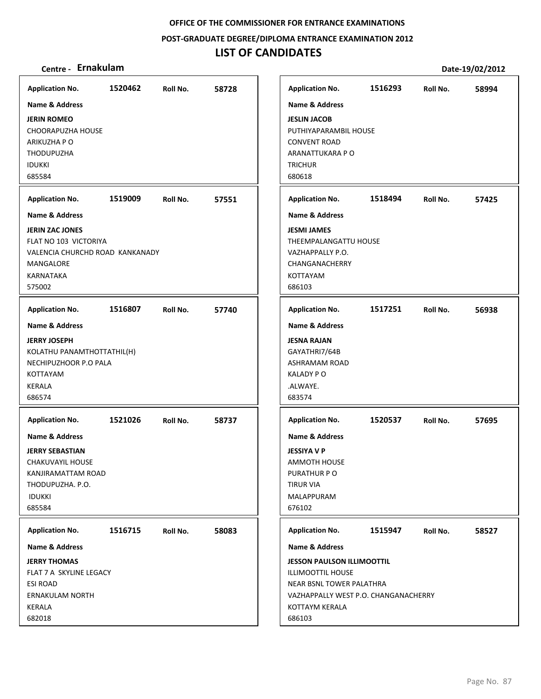**POST‐GRADUATE DEGREE/DIPLOMA ENTRANCE EXAMINATION 2012**

| Centre - Ernakulam                                                                                                                             |         |          |       |                                                                                                                                                        |         |          | Date-19/02/2012 |
|------------------------------------------------------------------------------------------------------------------------------------------------|---------|----------|-------|--------------------------------------------------------------------------------------------------------------------------------------------------------|---------|----------|-----------------|
| <b>Application No.</b>                                                                                                                         | 1520462 | Roll No. | 58728 | <b>Application No.</b>                                                                                                                                 | 1516293 | Roll No. | 58994           |
| <b>Name &amp; Address</b>                                                                                                                      |         |          |       | <b>Name &amp; Address</b>                                                                                                                              |         |          |                 |
| <b>JERIN ROMEO</b><br><b>CHOORAPUZHA HOUSE</b><br>ARIKUZHA P O<br><b>THODUPUZHA</b><br><b>IDUKKI</b><br>685584                                 |         |          |       | <b>JESLIN JACOB</b><br>PUTHIYAPARAMBIL HOUSE<br><b>CONVENT ROAD</b><br>ARANATTUKARA P O<br><b>TRICHUR</b><br>680618                                    |         |          |                 |
| <b>Application No.</b>                                                                                                                         | 1519009 | Roll No. | 57551 | <b>Application No.</b>                                                                                                                                 | 1518494 | Roll No. | 57425           |
| <b>Name &amp; Address</b>                                                                                                                      |         |          |       | <b>Name &amp; Address</b>                                                                                                                              |         |          |                 |
| <b>JERIN ZAC JONES</b><br>FLAT NO 103 VICTORIYA<br>VALENCIA CHURCHD ROAD KANKANADY<br>MANGALORE<br>KARNATAKA<br>575002                         |         |          |       | <b>JESMI JAMES</b><br>THEEMPALANGATTU HOUSE<br>VAZHAPPALLY P.O.<br>CHANGANACHERRY<br>KOTTAYAM<br>686103                                                |         |          |                 |
| <b>Application No.</b>                                                                                                                         | 1516807 | Roll No. | 57740 | <b>Application No.</b>                                                                                                                                 | 1517251 | Roll No. | 56938           |
| <b>Name &amp; Address</b><br><b>JERRY JOSEPH</b><br>KOLATHU PANAMTHOTTATHIL(H)<br>NECHIPUZHOOR P.O PALA<br>KOTTAYAM<br><b>KERALA</b><br>686574 |         |          |       | <b>Name &amp; Address</b><br><b>JESNA RAJAN</b><br>GAYATHRI7/64B<br>ASHRAMAM ROAD<br><b>KALADY PO</b><br>.ALWAYE.<br>683574                            |         |          |                 |
| <b>Application No.</b>                                                                                                                         | 1521026 | Roll No. | 58737 | <b>Application No.</b>                                                                                                                                 | 1520537 | Roll No. | 57695           |
| <b>Name &amp; Address</b><br><b>JERRY SEBASTIAN</b><br>CHAKUVAYIL HOUSE<br>KANJIRAMATTAM ROAD<br>THODUPUZHA, P.O.<br><b>IDUKKI</b><br>685584   |         |          |       | <b>Name &amp; Address</b><br><b>JESSIYA V P</b><br><b>AMMOTH HOUSE</b><br>PURATHUR PO<br>TIRUR VIA<br>MALAPPURAM<br>676102                             |         |          |                 |
| <b>Application No.</b>                                                                                                                         | 1516715 | Roll No. | 58083 | <b>Application No.</b>                                                                                                                                 | 1515947 | Roll No. | 58527           |
| <b>Name &amp; Address</b>                                                                                                                      |         |          |       | <b>Name &amp; Address</b>                                                                                                                              |         |          |                 |
| <b>JERRY THOMAS</b><br>FLAT 7 A SKYLINE LEGACY<br><b>ESI ROAD</b><br><b>ERNAKULAM NORTH</b><br>KERALA<br>682018                                |         |          |       | <b>JESSON PAULSON ILLIMOOTTIL</b><br>ILLIMOOTTIL HOUSE<br>NEAR BSNL TOWER PALATHRA<br>VAZHAPPALLY WEST P.O. CHANGANACHERRY<br>KOTTAYM KERALA<br>686103 |         |          |                 |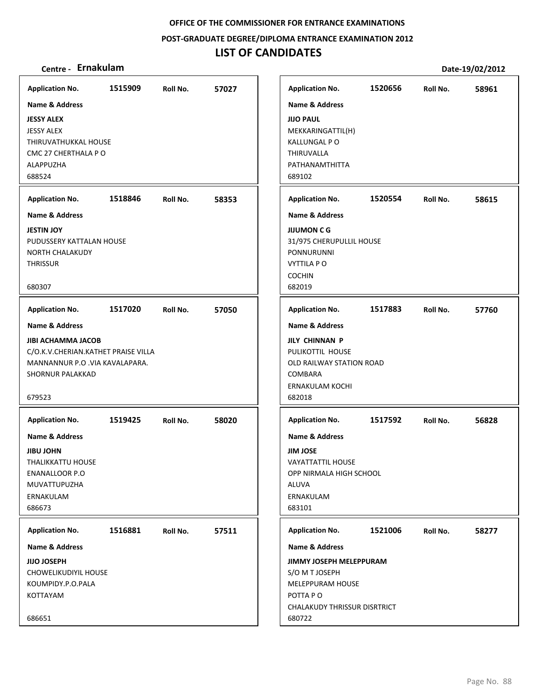**POST‐GRADUATE DEGREE/DIPLOMA ENTRANCE EXAMINATION 2012**

| Centre - Ernakulam                                                                                                                                 |         |          |       |                                                                                                                                                   |         |          | Date-19/02/2012 |
|----------------------------------------------------------------------------------------------------------------------------------------------------|---------|----------|-------|---------------------------------------------------------------------------------------------------------------------------------------------------|---------|----------|-----------------|
| <b>Application No.</b>                                                                                                                             | 1515909 | Roll No. | 57027 | <b>Application No.</b>                                                                                                                            | 1520656 | Roll No. | 58961           |
| <b>Name &amp; Address</b>                                                                                                                          |         |          |       | <b>Name &amp; Address</b>                                                                                                                         |         |          |                 |
| <b>JESSY ALEX</b><br><b>JESSY ALEX</b><br>THIRUVATHUKKAL HOUSE<br>CMC 27 CHERTHALA P O<br>ALAPPUZHA<br>688524                                      |         |          |       | <b>JIJO PAUL</b><br>MEKKARINGATTIL(H)<br><b>KALLUNGAL PO</b><br>THIRUVALLA<br>PATHANAMTHITTA<br>689102                                            |         |          |                 |
| <b>Application No.</b>                                                                                                                             | 1518846 | Roll No. | 58353 | <b>Application No.</b>                                                                                                                            | 1520554 | Roll No. | 58615           |
| Name & Address                                                                                                                                     |         |          |       | <b>Name &amp; Address</b>                                                                                                                         |         |          |                 |
| <b>JESTIN JOY</b><br>PUDUSSERY KATTALAN HOUSE<br><b>NORTH CHALAKUDY</b><br><b>THRISSUR</b><br>680307                                               |         |          |       | <b>JIJUMON C G</b><br>31/975 CHERUPULLIL HOUSE<br>PONNURUNNI<br><b>VYTTILA PO</b><br><b>COCHIN</b><br>682019                                      |         |          |                 |
| <b>Application No.</b>                                                                                                                             | 1517020 | Roll No. | 57050 | <b>Application No.</b>                                                                                                                            | 1517883 | Roll No. | 57760           |
| Name & Address<br><b>JIBI ACHAMMA JACOB</b><br>C/O.K.V.CHERIAN.KATHET PRAISE VILLA<br>MANNANNUR P.O. VIA KAVALAPARA.<br>SHORNUR PALAKKAD<br>679523 |         |          |       | <b>Name &amp; Address</b><br><b>JILY CHINNAN P</b><br>PULIKOTTIL HOUSE<br>OLD RAILWAY STATION ROAD<br><b>COMBARA</b><br>ERNAKULAM KOCHI<br>682018 |         |          |                 |
| <b>Application No.</b>                                                                                                                             | 1519425 | Roll No. | 58020 | <b>Application No.</b>                                                                                                                            | 1517592 | Roll No. | 56828           |
| <b>Name &amp; Address</b><br><b>JIBU JOHN</b><br><b>THALIKKATTU HOUSE</b><br><b>ENANALLOOR P.O</b><br>MUVATTUPUZHA<br>ERNAKULAM<br>686673          |         |          |       | <b>Name &amp; Address</b><br><b>JIM JOSE</b><br><b>VAYATTATTIL HOUSE</b><br>OPP NIRMALA HIGH SCHOOL<br>ALUVA<br>ERNAKULAM<br>683101               |         |          |                 |
| <b>Application No.</b>                                                                                                                             | 1516881 | Roll No. | 57511 | <b>Application No.</b>                                                                                                                            | 1521006 | Roll No. | 58277           |
| <b>Name &amp; Address</b>                                                                                                                          |         |          |       | <b>Name &amp; Address</b>                                                                                                                         |         |          |                 |
| <b>JIJO JOSEPH</b><br>CHOWELIKUDIYIL HOUSE<br>KOUMPIDY.P.O.PALA<br>KOTTAYAM<br>686651                                                              |         |          |       | <b>JIMMY JOSEPH MELEPPURAM</b><br>S/O M T JOSEPH<br>MELEPPURAM HOUSE<br>POTTA PO<br><b>CHALAKUDY THRISSUR DISRTRICT</b><br>680722                 |         |          |                 |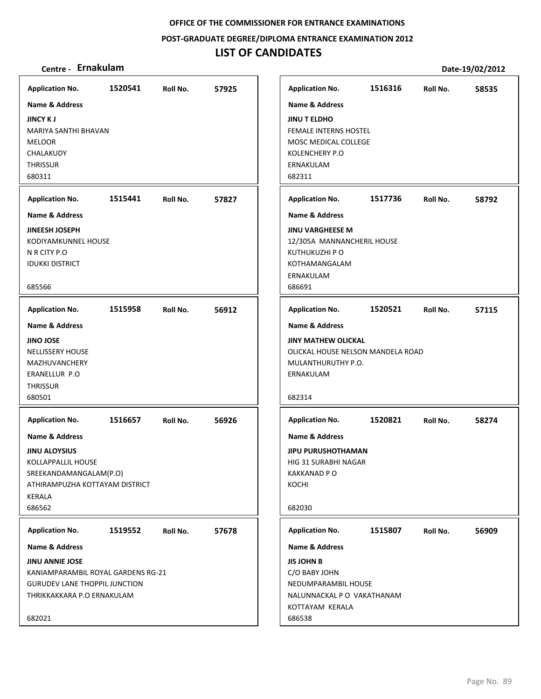**POST‐GRADUATE DEGREE/DIPLOMA ENTRANCE EXAMINATION 2012**

# **LIST OF CANDIDATES**

| <b>Application No.</b>                                                                                                                                                   | 1520541 | Roll No. | 57925 |
|--------------------------------------------------------------------------------------------------------------------------------------------------------------------------|---------|----------|-------|
| <b>Name &amp; Address</b>                                                                                                                                                |         |          |       |
| <b>JINCY KJ</b><br>MARIYA SANTHI BHAVAN<br><b>MELOOR</b><br>CHALAKUDY<br><b>THRISSUR</b><br>680311                                                                       |         |          |       |
| <b>Application No.</b>                                                                                                                                                   | 1515441 | Roll No. | 57827 |
| <b>Name &amp; Address</b>                                                                                                                                                |         |          |       |
| <b>JINEESH JOSEPH</b><br>KODIYAMKUNNEL HOUSE<br>N R CITY P.O<br><b>IDUKKI DISTRICT</b><br>685566                                                                         |         |          |       |
| <b>Application No.</b>                                                                                                                                                   | 1515958 | Roll No. | 56912 |
| <b>Name &amp; Address</b><br><b>JINO JOSE</b><br><b>NELLISSERY HOUSE</b><br><b>MAZHUVANCHERY</b><br>ERANELLUR P.O<br><b>THRISSUR</b><br>680501<br><b>Application No.</b> | 1516657 | Roll No. | 56926 |
| <b>Name &amp; Address</b><br><b>JINU ALOYSIUS</b><br>KOLLAPPALLIL HOUSE<br>SREEKANDAMANGALAM(P.O)<br>ATHIRAMPUZHA KOTTAYAM DISTRICT<br>KERALA<br>686562                  |         |          |       |
| <b>Application No.</b>                                                                                                                                                   | 1519552 | Roll No. | 57678 |
| Name & Address                                                                                                                                                           |         |          |       |
| <b>JINU ANNIE JOSE</b><br>KANIAMPARAMBIL ROYAL GARDENS RG-21<br><b>GURUDEV LANE THOPPIL JUNCTION</b><br>THRIKKAKKARA P.O ERNAKULAM<br>682021                             |         |          |       |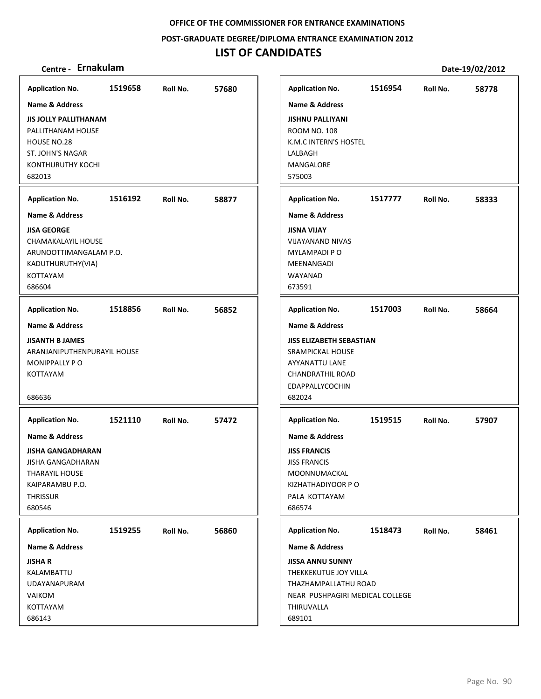**POST‐GRADUATE DEGREE/DIPLOMA ENTRANCE EXAMINATION 2012**

# **LIST OF CANDIDATES**

| <b>Application No.</b>       | 1519658 | Roll No. | 57680 | <b>Application No.</b>          | 1516954 | Roll No. | 58778 |
|------------------------------|---------|----------|-------|---------------------------------|---------|----------|-------|
| <b>Name &amp; Address</b>    |         |          |       | <b>Name &amp; Address</b>       |         |          |       |
| <b>JIS JOLLY PALLITHANAM</b> |         |          |       | <b>JISHNU PALLIYANI</b>         |         |          |       |
| PALLITHANAM HOUSE            |         |          |       | <b>ROOM NO. 108</b>             |         |          |       |
| HOUSE NO.28                  |         |          |       | K.M.C INTERN'S HOSTEL           |         |          |       |
| ST. JOHN'S NAGAR             |         |          |       | LALBAGH                         |         |          |       |
| KONTHURUTHY KOCHI            |         |          |       | MANGALORE                       |         |          |       |
| 682013                       |         |          |       | 575003                          |         |          |       |
|                              |         |          |       |                                 |         |          |       |
| <b>Application No.</b>       | 1516192 | Roll No. | 58877 | <b>Application No.</b>          | 1517777 | Roll No. | 58333 |
| Name & Address               |         |          |       | Name & Address                  |         |          |       |
| <b>JISA GEORGE</b>           |         |          |       | <b>JISNA VIJAY</b>              |         |          |       |
| CHAMAKALAYIL HOUSE           |         |          |       | <b>VIJAYANAND NIVAS</b>         |         |          |       |
| ARUNOOTTIMANGALAM P.O.       |         |          |       | <b>MYLAMPADI PO</b>             |         |          |       |
| KADUTHURUTHY(VIA)            |         |          |       | MEENANGADI                      |         |          |       |
| <b>KOTTAYAM</b>              |         |          |       | WAYANAD                         |         |          |       |
| 686604                       |         |          |       | 673591                          |         |          |       |
| <b>Application No.</b>       | 1518856 | Roll No. | 56852 | <b>Application No.</b>          | 1517003 | Roll No. | 58664 |
| <b>Name &amp; Address</b>    |         |          |       | <b>Name &amp; Address</b>       |         |          |       |
| <b>JISANTH B JAMES</b>       |         |          |       | <b>JISS ELIZABETH SEBASTIAN</b> |         |          |       |
| ARANJANIPUTHENPURAYIL HOUSE  |         |          |       | SRAMPICKAL HOUSE                |         |          |       |
| MONIPPALLY PO                |         |          |       | AYYANATTU LANE                  |         |          |       |
| <b>KOTTAYAM</b>              |         |          |       | <b>CHANDRATHIL ROAD</b>         |         |          |       |
|                              |         |          |       | <b>EDAPPALLYCOCHIN</b>          |         |          |       |
| 686636                       |         |          |       | 682024                          |         |          |       |
|                              |         |          |       |                                 |         |          |       |
| <b>Application No.</b>       | 1521110 | Roll No. | 57472 | <b>Application No.</b>          | 1519515 | Roll No. | 57907 |
| <b>Name &amp; Address</b>    |         |          |       | <b>Name &amp; Address</b>       |         |          |       |
| <b>JISHA GANGADHARAN</b>     |         |          |       | <b>JISS FRANCIS</b>             |         |          |       |
| <b>JISHA GANGADHARAN</b>     |         |          |       | <b>JISS FRANCIS</b>             |         |          |       |
| <b>THARAYIL HOUSE</b>        |         |          |       | MOONNUMACKAL                    |         |          |       |
| KAIPARAMBU P.O.              |         |          |       | KIZHATHADIYOOR P O              |         |          |       |
| <b>THRISSUR</b>              |         |          |       | PALA KOTTAYAM                   |         |          |       |
| 680546                       |         |          |       | 686574                          |         |          |       |
| <b>Application No.</b>       | 1519255 | Roll No. | 56860 | <b>Application No.</b>          | 1518473 | Roll No. | 58461 |
| <b>Name &amp; Address</b>    |         |          |       | <b>Name &amp; Address</b>       |         |          |       |
| <b>JISHA R</b>               |         |          |       | <b>JISSA ANNU SUNNY</b>         |         |          |       |
| KALAMBATTU                   |         |          |       | THEKKEKUTUE JOY VILLA           |         |          |       |
| <b>UDAYANAPURAM</b>          |         |          |       | THAZHAMPALLATHU ROAD            |         |          |       |
| <b>VAIKOM</b>                |         |          |       | NEAR PUSHPAGIRI MEDICAL COLLEGE |         |          |       |
| KOTTAYAM                     |         |          |       | THIRUVALLA                      |         |          |       |
| 686143                       |         |          |       | 689101                          |         |          |       |
|                              |         |          |       |                                 |         |          |       |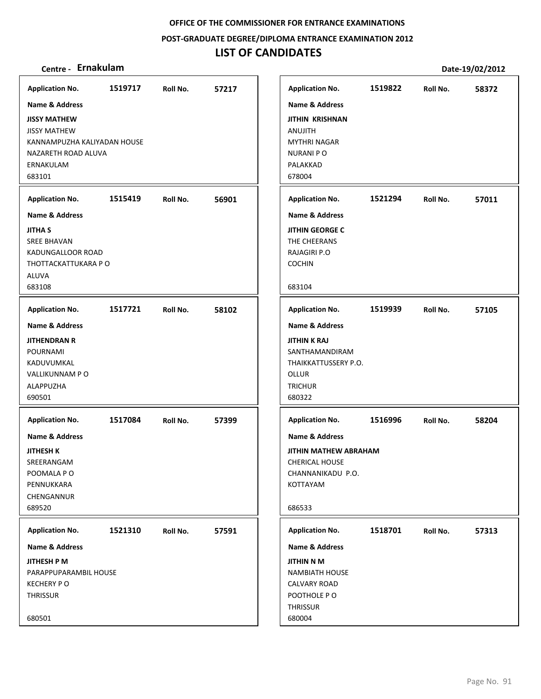**POST‐GRADUATE DEGREE/DIPLOMA ENTRANCE EXAMINATION 2012**

# **LIST OF CANDIDATES**

| <b>Application No.</b>                                                                                                     | 1519717 | Roll No. | 57217 | <b>Application No.</b>                                                                                                          | 1519822 | Roll No. | 58372 |
|----------------------------------------------------------------------------------------------------------------------------|---------|----------|-------|---------------------------------------------------------------------------------------------------------------------------------|---------|----------|-------|
| <b>Name &amp; Address</b>                                                                                                  |         |          |       | <b>Name &amp; Address</b>                                                                                                       |         |          |       |
| <b>JISSY MATHEW</b><br><b>JISSY MATHEW</b><br>KANNAMPUZHA KALIYADAN HOUSE<br>NAZARETH ROAD ALUVA<br>ERNAKULAM<br>683101    |         |          |       | <b>JITHIN KRISHNAN</b><br>ANUJITH<br><b>MYTHRI NAGAR</b><br><b>NURANI PO</b><br>PALAKKAD<br>678004                              |         |          |       |
| <b>Application No.</b>                                                                                                     | 1515419 | Roll No. | 56901 | <b>Application No.</b>                                                                                                          | 1521294 | Roll No. | 57011 |
| <b>Name &amp; Address</b>                                                                                                  |         |          |       | <b>Name &amp; Address</b>                                                                                                       |         |          |       |
| <b>JITHA S</b><br><b>SREE BHAVAN</b><br>KADUNGALLOOR ROAD<br>THOTTACKATTUKARA P O<br><b>ALUVA</b><br>683108                |         |          |       | <b>JITHIN GEORGE C</b><br>THE CHEERANS<br><b>RAJAGIRI P.O</b><br><b>COCHIN</b><br>683104                                        |         |          |       |
|                                                                                                                            |         |          |       |                                                                                                                                 |         |          |       |
| <b>Application No.</b>                                                                                                     | 1517721 | Roll No. | 58102 | <b>Application No.</b>                                                                                                          | 1519939 | Roll No. | 57105 |
| <b>Name &amp; Address</b><br><b>JITHENDRAN R</b><br><b>POURNAMI</b><br>KADUVUMKAL<br>VALLIKUNNAM PO<br>ALAPPUZHA<br>690501 |         |          |       | <b>Name &amp; Address</b><br><b>JITHIN K RAJ</b><br>SANTHAMANDIRAM<br>THAIKKATTUSSERY P.O.<br>OLLUR<br><b>TRICHUR</b><br>680322 |         |          |       |
| <b>Application No.</b>                                                                                                     | 1517084 | Roll No. | 57399 | <b>Application No.</b>                                                                                                          | 1516996 | Roll No. | 58204 |
| Name & Address<br><b>JITHESH K</b><br>SREERANGAM<br>POOMALA PO<br>PENNUKKARA<br>CHENGANNUR<br>689520                       |         |          |       | <b>Name &amp; Address</b><br><b>JITHIN MATHEW ABRAHAM</b><br><b>CHERICAL HOUSE</b><br>CHANNANIKADU P.O.<br>KOTTAYAM<br>686533   |         |          |       |
| <b>Application No.</b>                                                                                                     | 1521310 | Roll No. | 57591 | <b>Application No.</b>                                                                                                          | 1518701 | Roll No. | 57313 |
| Name & Address                                                                                                             |         |          |       | Name & Address                                                                                                                  |         |          |       |
| JITHESH P M<br>PARAPPUPARAMBIL HOUSE<br><b>KECHERY PO</b><br><b>THRISSUR</b><br>680501                                     |         |          |       | <b>JITHIN N M</b><br><b>NAMBIATH HOUSE</b><br><b>CALVARY ROAD</b><br>POOTHOLE PO<br><b>THRISSUR</b><br>680004                   |         |          |       |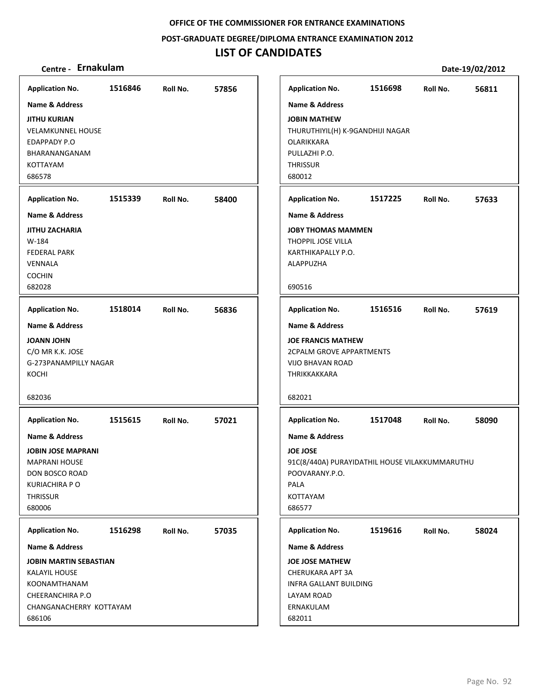**POST‐GRADUATE DEGREE/DIPLOMA ENTRANCE EXAMINATION 2012**

# **LIST OF CANDIDATES**

| <b>Application No.</b><br><b>Name &amp; Address</b><br><b>JITHU KURIAN</b><br><b>VELAMKUNNEL HOUSE</b>                               | 1516846 | Roll No. | 57856 | <b>Application No.</b><br><b>Name &amp; Address</b><br><b>JOBIN MATHEW</b><br>THURUTHIYIL(H) K-9GANDHIJI NAGAR                                 | 1516698 | Roll No. | 56811 |
|--------------------------------------------------------------------------------------------------------------------------------------|---------|----------|-------|------------------------------------------------------------------------------------------------------------------------------------------------|---------|----------|-------|
| EDAPPADY P.O<br>BHARANANGANAM<br>KOTTAYAM<br>686578                                                                                  |         |          |       | OLARIKKARA<br>PULLAZHI P.O.<br><b>THRISSUR</b><br>680012                                                                                       |         |          |       |
| <b>Application No.</b>                                                                                                               | 1515339 | Roll No. | 58400 | <b>Application No.</b>                                                                                                                         | 1517225 | Roll No. | 57633 |
| <b>Name &amp; Address</b>                                                                                                            |         |          |       | <b>Name &amp; Address</b>                                                                                                                      |         |          |       |
| <b>JITHU ZACHARIA</b><br>W-184<br><b>FEDERAL PARK</b><br>VENNALA<br><b>COCHIN</b>                                                    |         |          |       | <b>JOBY THOMAS MAMMEN</b><br>THOPPIL JOSE VILLA<br>KARTHIKAPALLY P.O.<br>ALAPPUZHA                                                             |         |          |       |
| 682028                                                                                                                               |         |          |       | 690516                                                                                                                                         |         |          |       |
| <b>Application No.</b>                                                                                                               | 1518014 | Roll No. | 56836 | <b>Application No.</b>                                                                                                                         | 1516516 | Roll No. | 57619 |
| <b>Name &amp; Address</b>                                                                                                            |         |          |       | <b>Name &amp; Address</b>                                                                                                                      |         |          |       |
| <b>JOANN JOHN</b><br>C/O MR K.K. JOSE<br>G-273PANAMPILLY NAGAR<br>KOCHI                                                              |         |          |       | <b>JOE FRANCIS MATHEW</b><br><b>2CPALM GROVE APPARTMENTS</b><br><b>VIJO BHAVAN ROAD</b><br>THRIKKAKKARA                                        |         |          |       |
| 682036                                                                                                                               |         |          |       | 682021                                                                                                                                         |         |          |       |
| <b>Application No.</b>                                                                                                               | 1515615 | Roll No. | 57021 | <b>Application No.</b>                                                                                                                         | 1517048 | Roll No. | 58090 |
| Name & Address<br><b>JOBIN JOSE MAPRANI</b><br><b>MAPRANI HOUSE</b><br>DON BOSCO ROAD<br>KURIACHIRA P O<br><b>THRISSUR</b><br>680006 |         |          |       | <b>Name &amp; Address</b><br><b>JOE JOSE</b><br>91C(8/440A) PURAYIDATHIL HOUSE VILAKKUMMARUTHU<br>POOVARANY.P.O.<br>PALA<br>KOTTAYAM<br>686577 |         |          |       |
| <b>Application No.</b>                                                                                                               | 1516298 | Roll No. | 57035 | <b>Application No.</b>                                                                                                                         | 1519616 | Roll No. | 58024 |
| Name & Address                                                                                                                       |         |          |       | <b>Name &amp; Address</b>                                                                                                                      |         |          |       |
| <b>JOBIN MARTIN SEBASTIAN</b><br>KALAYIL HOUSE<br>KOONAMTHANAM<br>CHEERANCHIRA P.O<br>CHANGANACHERRY KOTTAYAM<br>686106              |         |          |       | <b>JOE JOSE MATHEW</b><br>CHERUKARA APT 3A<br>INFRA GALLANT BUILDING<br>LAYAM ROAD<br>ERNAKULAM<br>682011                                      |         |          |       |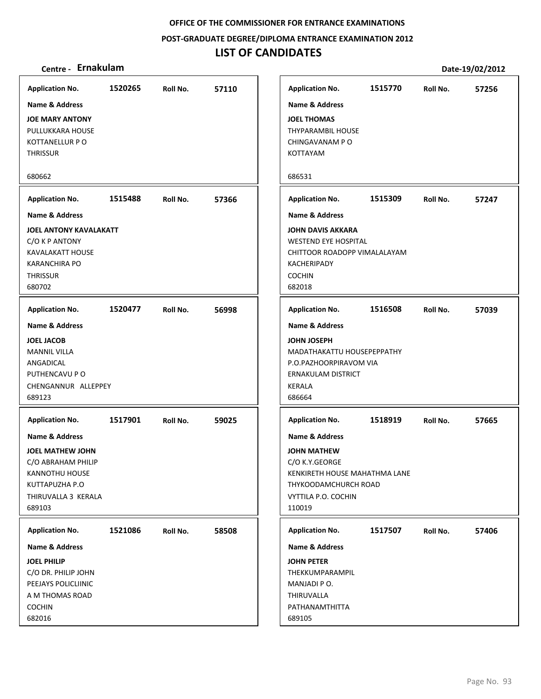**POST‐GRADUATE DEGREE/DIPLOMA ENTRANCE EXAMINATION 2012**

# **LIST OF CANDIDATES**

| <b>Application No.</b>                                                                                                                   | 1520265 | Roll No. | 57110 |                                                          | <b>Application No.</b>                                                                                                                            | 1515770 | Roll No. | 57256 |
|------------------------------------------------------------------------------------------------------------------------------------------|---------|----------|-------|----------------------------------------------------------|---------------------------------------------------------------------------------------------------------------------------------------------------|---------|----------|-------|
| <b>Name &amp; Address</b>                                                                                                                |         |          |       |                                                          | <b>Name &amp; Address</b>                                                                                                                         |         |          |       |
| <b>JOE MARY ANTONY</b><br>PULLUKKARA HOUSE<br>KOTTANELLUR P O<br><b>THRISSUR</b>                                                         |         |          |       | <b>JOEL THOMAS</b><br>KOTTAYAM                           | <b>THYPARAMBIL HOUSE</b><br>CHINGAVANAM PO                                                                                                        |         |          |       |
| 680662                                                                                                                                   |         |          |       | 686531                                                   |                                                                                                                                                   |         |          |       |
| <b>Application No.</b>                                                                                                                   | 1515488 | Roll No. | 57366 |                                                          | <b>Application No.</b>                                                                                                                            | 1515309 | Roll No. | 57247 |
| <b>Name &amp; Address</b>                                                                                                                |         |          |       |                                                          | <b>Name &amp; Address</b>                                                                                                                         |         |          |       |
| <b>JOEL ANTONY KAVALAKATT</b><br>C/O K P ANTONY<br>KAVALAKATT HOUSE<br><b>KARANCHIRA PO</b><br><b>THRISSUR</b><br>680702                 |         |          |       | KACHERIPADY<br><b>COCHIN</b><br>682018                   | <b>JOHN DAVIS AKKARA</b><br><b>WESTEND EYE HOSPITAL</b><br>CHITTOOR ROADOPP VIMALALAYAM                                                           |         |          |       |
| <b>Application No.</b>                                                                                                                   | 1520477 | Roll No. | 56998 |                                                          | <b>Application No.</b>                                                                                                                            | 1516508 | Roll No. | 57039 |
| <b>Name &amp; Address</b>                                                                                                                |         |          |       |                                                          | <b>Name &amp; Address</b>                                                                                                                         |         |          |       |
| <b>JOEL JACOB</b><br><b>MANNIL VILLA</b><br>ANGADICAL<br>PUTHENCAVU P O<br>CHENGANNUR ALLEPPEY<br>689123                                 |         |          |       | <b>JOHN JOSEPH</b><br><b>KERALA</b><br>686664            | MADATHAKATTU HOUSEPEPPATHY<br>P.O.PAZHOORPIRAVOM VIA<br>ERNAKULAM DISTRICT                                                                        |         |          |       |
| <b>Application No.</b>                                                                                                                   | 1517901 | Roll No. | 59025 |                                                          | <b>Application No.</b>                                                                                                                            | 1518919 | Roll No. | 57665 |
| <b>Name &amp; Address</b><br>JOEL MATHEW JOHN<br>C/O ABRAHAM PHILIP<br>KANNOTHU HOUSE<br>KUTTAPUZHA P.O<br>THIRUVALLA 3 KERALA<br>689103 |         |          |       | 110019                                                   | <b>Name &amp; Address</b><br><b>JOHN MATHEW</b><br>C/O K.Y.GEORGE<br>KENKIRETH HOUSE MAHATHMA LANE<br>THYKOODAMCHURCH ROAD<br>VYTTILA P.O. COCHIN |         |          |       |
| <b>Application No.</b>                                                                                                                   | 1521086 | Roll No. | 58508 |                                                          | <b>Application No.</b>                                                                                                                            | 1517507 | Roll No. | 57406 |
| Name & Address                                                                                                                           |         |          |       |                                                          | Name & Address                                                                                                                                    |         |          |       |
| <b>JOEL PHILIP</b><br>C/O DR. PHILIP JOHN<br>PEEJAYS POLICLIINIC<br>A M THOMAS ROAD<br><b>COCHIN</b><br>682016                           |         |          |       | <b>JOHN PETER</b><br>MANJADI PO.<br>THIRUVALLA<br>689105 | THEKKUMPARAMPIL<br>PATHANAMTHITTA                                                                                                                 |         |          |       |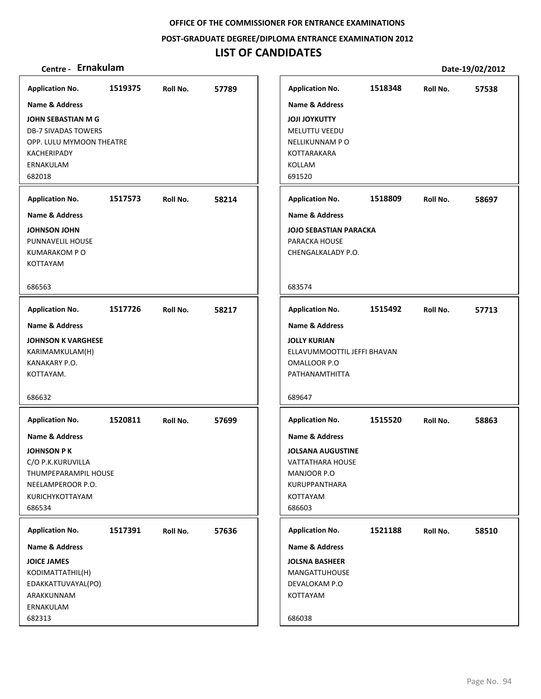**POST‐GRADUATE DEGREE/DIPLOMA ENTRANCE EXAMINATION 2012**

| Centre - Ernakulam         |         |          |       |                               |         |          | Date-19/02/2012 |
|----------------------------|---------|----------|-------|-------------------------------|---------|----------|-----------------|
| <b>Application No.</b>     | 1519375 | Roll No. | 57789 | <b>Application No.</b>        | 1518348 | Roll No. | 57538           |
| <b>Name &amp; Address</b>  |         |          |       | <b>Name &amp; Address</b>     |         |          |                 |
| <b>JOHN SEBASTIAN M G</b>  |         |          |       | <b>JOJI JOYKUTTY</b>          |         |          |                 |
| <b>DB-7 SIVADAS TOWERS</b> |         |          |       | MELUTTU VEEDU                 |         |          |                 |
| OPP. LULU MYMOON THEATRE   |         |          |       | NELLIKUNNAM PO                |         |          |                 |
| KACHERIPADY                |         |          |       | KOTTARAKARA                   |         |          |                 |
| ERNAKULAM<br>682018        |         |          |       | KOLLAM<br>691520              |         |          |                 |
|                            |         |          |       |                               |         |          |                 |
| <b>Application No.</b>     | 1517573 | Roll No. | 58214 | <b>Application No.</b>        | 1518809 | Roll No. | 58697           |
| <b>Name &amp; Address</b>  |         |          |       | Name & Address                |         |          |                 |
| JOHNSON JOHN               |         |          |       | <b>JOJO SEBASTIAN PARACKA</b> |         |          |                 |
| PUNNAVELIL HOUSE           |         |          |       | PARACKA HOUSE                 |         |          |                 |
| KUMARAKOM PO<br>KOTTAYAM   |         |          |       | CHENGALKALADY P.O.            |         |          |                 |
|                            |         |          |       |                               |         |          |                 |
| 686563                     |         |          |       | 683574                        |         |          |                 |
| <b>Application No.</b>     | 1517726 | Roll No. | 58217 | <b>Application No.</b>        | 1515492 | Roll No. | 57713           |
| <b>Name &amp; Address</b>  |         |          |       | <b>Name &amp; Address</b>     |         |          |                 |
| <b>JOHNSON K VARGHESE</b>  |         |          |       | <b>JOLLY KURIAN</b>           |         |          |                 |
| KARIMAMKULAM(H)            |         |          |       | ELLAVUMMOOTTIL JEFFI BHAVAN   |         |          |                 |
| KANAKARY P.O.              |         |          |       | OMALLOOR P.O                  |         |          |                 |
| KOTTAYAM.                  |         |          |       | PATHANAMTHITTA                |         |          |                 |
| 686632                     |         |          |       | 689647                        |         |          |                 |
| <b>Application No.</b>     | 1520811 | Roll No. | 57699 | <b>Application No.</b>        | 1515520 | Roll No. | 58863           |
| <b>Name &amp; Address</b>  |         |          |       | <b>Name &amp; Address</b>     |         |          |                 |
| <b>JOHNSON PK</b>          |         |          |       | <b>JOLSANA AUGUSTINE</b>      |         |          |                 |
| C/O P.K.KURUVILLA          |         |          |       | <b>VATTATHARA HOUSE</b>       |         |          |                 |
| THUMPEPARAMPIL HOUSE       |         |          |       | MANJOOR P.O                   |         |          |                 |
| NEELAMPEROOR P.O.          |         |          |       | KURUPPANTHARA                 |         |          |                 |
| KURICHYKOTTAYAM<br>686534  |         |          |       | KOTTAYAM<br>686603            |         |          |                 |
|                            |         |          |       |                               |         |          |                 |
| <b>Application No.</b>     | 1517391 | Roll No. | 57636 | <b>Application No.</b>        | 1521188 | Roll No. | 58510           |
| <b>Name &amp; Address</b>  |         |          |       | Name & Address                |         |          |                 |
| <b>JOICE JAMES</b>         |         |          |       | <b>JOLSNA BASHEER</b>         |         |          |                 |
| KODIMATTATHIL(H)           |         |          |       | MANGATTUHOUSE                 |         |          |                 |
| EDAKKATTUVAYAL(PO)         |         |          |       | DEVALOKAM P.O<br>KOTTAYAM     |         |          |                 |
| ARAKKUNNAM<br>ERNAKULAM    |         |          |       |                               |         |          |                 |
| 682313                     |         |          |       | 686038                        |         |          |                 |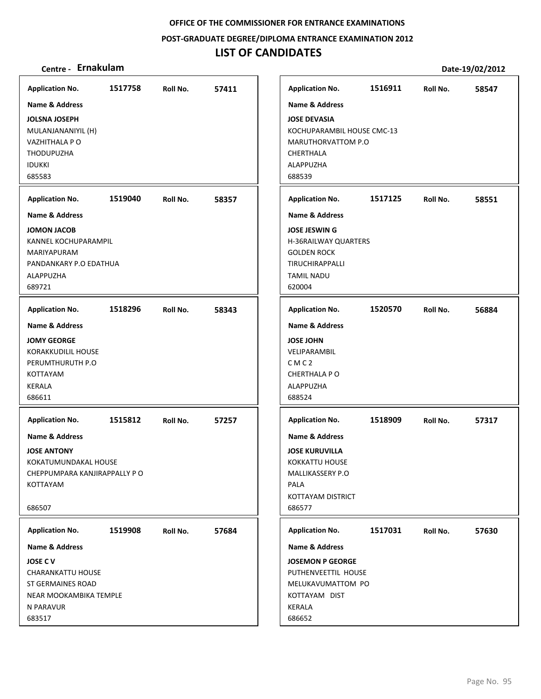**POST‐GRADUATE DEGREE/DIPLOMA ENTRANCE EXAMINATION 2012**

# **LIST OF CANDIDATES**

| <b>Application No.</b>                                                                                                                                       | 1517758 | Roll No. | 57411 | <b>Application No.</b>                                                                                                                                                 | 1516911 | Roll No. | 58547 |
|--------------------------------------------------------------------------------------------------------------------------------------------------------------|---------|----------|-------|------------------------------------------------------------------------------------------------------------------------------------------------------------------------|---------|----------|-------|
| <b>Name &amp; Address</b><br><b>JOLSNA JOSEPH</b><br>MULANJANANIYIL (H)<br>VAZHITHALA P O<br><b>THODUPUZHA</b><br><b>IDUKKI</b><br>685583                    |         |          |       | <b>Name &amp; Address</b><br><b>JOSE DEVASIA</b><br>KOCHUPARAMBIL HOUSE CMC-13<br>MARUTHORVATTOM P.O<br>CHERTHALA<br>ALAPPUZHA<br>688539                               |         |          |       |
| <b>Application No.</b>                                                                                                                                       | 1519040 | Roll No. | 58357 | <b>Application No.</b>                                                                                                                                                 | 1517125 | Roll No. | 58551 |
| <b>Name &amp; Address</b><br><b>JOMON JACOB</b><br>KANNEL KOCHUPARAMPIL<br>MARIYAPURAM<br>PANDANKARY P.O EDATHUA<br>ALAPPUZHA<br>689721                      |         |          |       | <b>Name &amp; Address</b><br><b>JOSE JESWING</b><br>H-36RAILWAY QUARTERS<br><b>GOLDEN ROCK</b><br>TIRUCHIRAPPALLI<br><b>TAMIL NADU</b><br>620004                       |         |          |       |
| <b>Application No.</b>                                                                                                                                       | 1518296 | Roll No. | 58343 | <b>Application No.</b>                                                                                                                                                 | 1520570 | Roll No. | 56884 |
| <b>Name &amp; Address</b><br><b>JOMY GEORGE</b><br><b>KORAKKUDILIL HOUSE</b><br>PERUMTHURUTH P.O<br>KOTTAYAM<br><b>KERALA</b><br>686611                      |         |          |       | <b>Name &amp; Address</b><br><b>JOSE JOHN</b><br>VELIPARAMBIL<br>CMC <sub>2</sub><br>CHERTHALA PO<br>ALAPPUZHA<br>688524                                               |         |          |       |
| <b>Application No.</b><br><b>Name &amp; Address</b><br><b>JOSE ANTONY</b><br>KOKATUMUNDAKAL HOUSE<br>CHEPPUMPARA KANJIRAPPALLY PO<br>KOTTAYAM<br>686507      | 1515812 | Roll No. | 57257 | <b>Application No.</b><br><b>Name &amp; Address</b><br><b>JOSE KURUVILLA</b><br><b>KOKKATTU HOUSE</b><br>MALLIKASSERY P.O<br>PALA<br>KOTTAYAM DISTRICT<br>686577       | 1518909 | Roll No. | 57317 |
| <b>Application No.</b><br>Name & Address<br><b>JOSE CV</b><br><b>CHARANKATTU HOUSE</b><br>ST GERMAINES ROAD<br>NEAR MOOKAMBIKA TEMPLE<br>N PARAVUR<br>683517 | 1519908 | Roll No. | 57684 | <b>Application No.</b><br><b>Name &amp; Address</b><br><b>JOSEMON P GEORGE</b><br>PUTHENVEETTIL HOUSE<br>MELUKAVUMATTOM PO<br>KOTTAYAM DIST<br><b>KERALA</b><br>686652 | 1517031 | Roll No. | 57630 |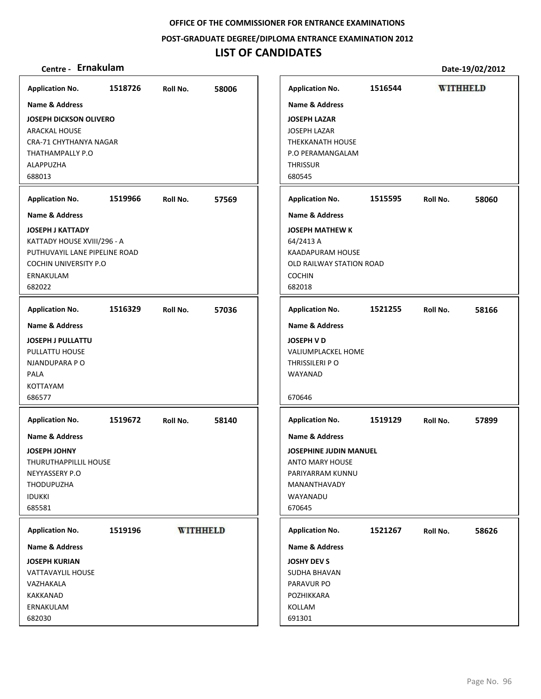**POST‐GRADUATE DEGREE/DIPLOMA ENTRANCE EXAMINATION 2012**

# **LIST OF CANDIDATES**

| <b>Application No.</b>                                                                                                     | 1518726 | Roll No. | 58006           | <b>Application No.</b>                                                                                                 | 1516544 |          | <b>WITHHELD</b> |
|----------------------------------------------------------------------------------------------------------------------------|---------|----------|-----------------|------------------------------------------------------------------------------------------------------------------------|---------|----------|-----------------|
| Name & Address                                                                                                             |         |          |                 | <b>Name &amp; Address</b>                                                                                              |         |          |                 |
| <b>JOSEPH DICKSON OLIVERO</b><br><b>ARACKAL HOUSE</b><br>CRA-71 CHYTHANYA NAGAR<br>THATHAMPALLY P.O<br>ALAPPUZHA<br>688013 |         |          |                 | <b>JOSEPH LAZAR</b><br><b>JOSEPH LAZAR</b><br><b>THEKKANATH HOUSE</b><br>P.O PERAMANGALAM<br><b>THRISSUR</b><br>680545 |         |          |                 |
| <b>Application No.</b>                                                                                                     | 1519966 | Roll No. | 57569           | <b>Application No.</b>                                                                                                 | 1515595 | Roll No. | 58060           |
| Name & Address                                                                                                             |         |          |                 | <b>Name &amp; Address</b>                                                                                              |         |          |                 |
| <b>JOSEPH J KATTADY</b>                                                                                                    |         |          |                 | <b>JOSEPH MATHEW K</b>                                                                                                 |         |          |                 |
| KATTADY HOUSE XVIII/296 - A                                                                                                |         |          |                 | 64/2413 A                                                                                                              |         |          |                 |
| PUTHUVAYIL LANE PIPELINE ROAD                                                                                              |         |          |                 | <b>KAADAPURAM HOUSE</b>                                                                                                |         |          |                 |
| <b>COCHIN UNIVERSITY P.O.</b>                                                                                              |         |          |                 | OLD RAILWAY STATION ROAD                                                                                               |         |          |                 |
| ERNAKULAM                                                                                                                  |         |          |                 | <b>COCHIN</b>                                                                                                          |         |          |                 |
| 682022                                                                                                                     |         |          |                 | 682018                                                                                                                 |         |          |                 |
| <b>Application No.</b>                                                                                                     | 1516329 | Roll No. | 57036           | <b>Application No.</b>                                                                                                 | 1521255 | Roll No. | 58166           |
| <b>Name &amp; Address</b>                                                                                                  |         |          |                 | <b>Name &amp; Address</b>                                                                                              |         |          |                 |
| <b>JOSEPH J PULLATTU</b>                                                                                                   |         |          |                 | <b>JOSEPH V D</b>                                                                                                      |         |          |                 |
| PULLATTU HOUSE                                                                                                             |         |          |                 | VALIUMPLACKEL HOME                                                                                                     |         |          |                 |
| NJANDUPARA P O                                                                                                             |         |          |                 | THRISSILERI P O                                                                                                        |         |          |                 |
| <b>PALA</b>                                                                                                                |         |          |                 | WAYANAD                                                                                                                |         |          |                 |
| KOTTAYAM                                                                                                                   |         |          |                 |                                                                                                                        |         |          |                 |
| 686577                                                                                                                     |         |          |                 | 670646                                                                                                                 |         |          |                 |
| <b>Application No.</b>                                                                                                     | 1519672 | Roll No. | 58140           | <b>Application No.</b>                                                                                                 | 1519129 | Roll No. | 57899           |
| <b>Name &amp; Address</b>                                                                                                  |         |          |                 | <b>Name &amp; Address</b>                                                                                              |         |          |                 |
| <b>JOSEPH JOHNY</b>                                                                                                        |         |          |                 | <b>JOSEPHINE JUDIN MANUEL</b>                                                                                          |         |          |                 |
| <b>THURUTHAPPILLIL HOUSE</b>                                                                                               |         |          |                 | <b>ANTO MARY HOUSE</b>                                                                                                 |         |          |                 |
| NEYYASSERY P.O                                                                                                             |         |          |                 | PARIYARRAM KUNNU                                                                                                       |         |          |                 |
| THODUPUZHA                                                                                                                 |         |          |                 | MANANTHAVADY                                                                                                           |         |          |                 |
| <b>IDUKKI</b>                                                                                                              |         |          |                 | WAYANADU                                                                                                               |         |          |                 |
| 685581                                                                                                                     |         |          |                 | 670645                                                                                                                 |         |          |                 |
| <b>Application No.</b>                                                                                                     | 1519196 |          | <b>WITHHELD</b> | <b>Application No.</b>                                                                                                 | 1521267 | Roll No. | 58626           |
| Name & Address                                                                                                             |         |          |                 | Name & Address                                                                                                         |         |          |                 |
| <b>JOSEPH KURIAN</b>                                                                                                       |         |          |                 | <b>JOSHY DEV S</b>                                                                                                     |         |          |                 |
| VATTAVAYLIL HOUSE                                                                                                          |         |          |                 | SUDHA BHAVAN                                                                                                           |         |          |                 |
| VAZHAKALA                                                                                                                  |         |          |                 | PARAVUR PO                                                                                                             |         |          |                 |
| KAKKANAD                                                                                                                   |         |          |                 | POZHIKKARA                                                                                                             |         |          |                 |
| ERNAKULAM                                                                                                                  |         |          |                 | KOLLAM                                                                                                                 |         |          |                 |
| 682030                                                                                                                     |         |          |                 | 691301                                                                                                                 |         |          |                 |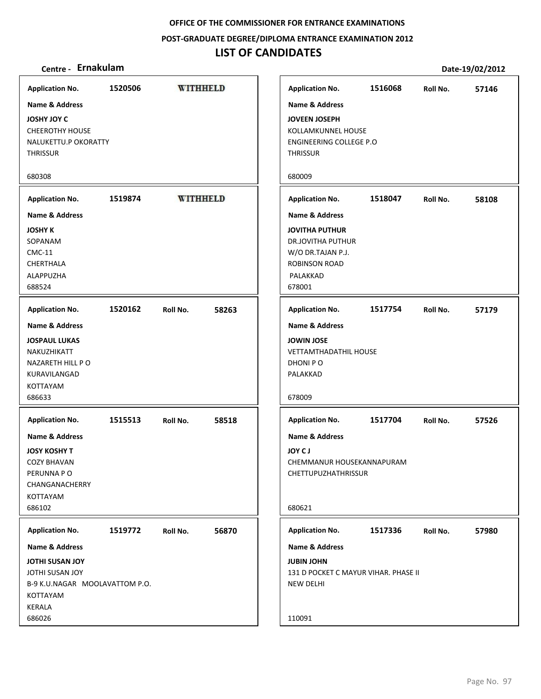## **POST‐GRADUATE DEGREE/DIPLOMA ENTRANCE EXAMINATION 2012**

# **LIST OF CANDIDATES**

| <b>Application No.</b>                                                                                                       | 1520506 | <b>WITHHELD</b> |       | <b>Application No.</b>                                                                                                                     | 1516068 | Roll No. | 57146 |
|------------------------------------------------------------------------------------------------------------------------------|---------|-----------------|-------|--------------------------------------------------------------------------------------------------------------------------------------------|---------|----------|-------|
| <b>Name &amp; Address</b>                                                                                                    |         |                 |       | <b>Name &amp; Address</b>                                                                                                                  |         |          |       |
| <b>JOSHY JOY C</b><br><b>CHEEROTHY HOUSE</b><br>NALUKETTU.P OKORATTY<br><b>THRISSUR</b>                                      |         |                 |       | <b>JOVEEN JOSEPH</b><br>KOLLAMKUNNEL HOUSE<br>ENGINEERING COLLEGE P.O<br><b>THRISSUR</b>                                                   |         |          |       |
| 680308                                                                                                                       |         |                 |       | 680009                                                                                                                                     |         |          |       |
| <b>Application No.</b>                                                                                                       | 1519874 | <b>WITHHELD</b> |       | <b>Application No.</b>                                                                                                                     | 1518047 | Roll No. | 58108 |
| <b>Name &amp; Address</b><br><b>JOSHY K</b><br>SOPANAM<br><b>CMC-11</b><br>CHERTHALA<br>ALAPPUZHA<br>688524                  |         |                 |       | <b>Name &amp; Address</b><br><b>JOVITHA PUTHUR</b><br><b>DR.JOVITHA PUTHUR</b><br>W/O DR.TAJAN P.J.<br>ROBINSON ROAD<br>PALAKKAD<br>678001 |         |          |       |
| <b>Application No.</b>                                                                                                       | 1520162 | Roll No.        | 58263 | <b>Application No.</b>                                                                                                                     | 1517754 | Roll No. | 57179 |
| <b>Name &amp; Address</b><br><b>JOSPAUL LUKAS</b><br>NAKUZHIKATT<br>NAZARETH HILL PO<br>KURAVILANGAD<br>KOTTAYAM<br>686633   |         |                 |       | <b>Name &amp; Address</b><br><b>JOWIN JOSE</b><br><b>VETTAMTHADATHIL HOUSE</b><br>DHONI PO<br>PALAKKAD<br>678009                           |         |          |       |
| <b>Application No.</b>                                                                                                       | 1515513 | Roll No.        | 58518 | <b>Application No.</b>                                                                                                                     | 1517704 | Roll No. | 57526 |
| <b>Name &amp; Address</b><br><b>JOSY KOSHY T</b><br><b>COZY BHAVAN</b><br>PERUNNA PO<br>CHANGANACHERRY<br>KOTTAYAM<br>686102 |         |                 |       | <b>Name &amp; Address</b><br><b>JOA C1</b><br>CHEMMANUR HOUSEKANNAPURAM<br>CHETTUPUZHATHRISSUR<br>680621                                   |         |          |       |
| <b>Application No.</b>                                                                                                       | 1519772 | Roll No.        | 56870 | <b>Application No.</b>                                                                                                                     | 1517336 | Roll No. | 57980 |
| Name & Address                                                                                                               |         |                 |       | Name & Address                                                                                                                             |         |          |       |
| <b>JOTHI SUSAN JOY</b><br>JOTHI SUSAN JOY<br>B-9 K.U.NAGAR MOOLAVATTOM P.O.<br>KOTTAYAM<br><b>KERALA</b>                     |         |                 |       | <b>JUBIN JOHN</b><br>131 D POCKET C MAYUR VIHAR. PHASE II<br><b>NEW DELHI</b>                                                              |         |          |       |
| 686026                                                                                                                       |         |                 |       | 110091                                                                                                                                     |         |          |       |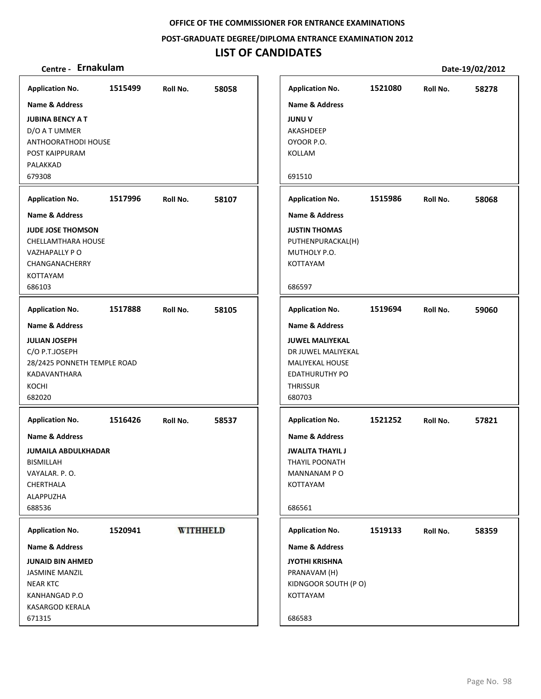**POST‐GRADUATE DEGREE/DIPLOMA ENTRANCE EXAMINATION 2012**

# **LIST OF CANDIDATES**

| <b>Application No.</b>                                                                                                                                                                                                                                                       | 1515499 | Roll No.        | 58058 | <b>Application No.</b>                                                                                                                                                                                                                                                                   | 1521080 | Roll No. | 58278 |
|------------------------------------------------------------------------------------------------------------------------------------------------------------------------------------------------------------------------------------------------------------------------------|---------|-----------------|-------|------------------------------------------------------------------------------------------------------------------------------------------------------------------------------------------------------------------------------------------------------------------------------------------|---------|----------|-------|
| <b>Name &amp; Address</b>                                                                                                                                                                                                                                                    |         |                 |       | <b>Name &amp; Address</b>                                                                                                                                                                                                                                                                |         |          |       |
| <b>JUBINA BENCY A T</b><br>D/O A T UMMER<br>ANTHOORATHODI HOUSE<br>POST KAIPPURAM<br>PALAKKAD<br>679308                                                                                                                                                                      |         |                 |       | <b>JUNUV</b><br>AKASHDEEP<br>OYOOR P.O.<br>KOLLAM<br>691510                                                                                                                                                                                                                              |         |          |       |
|                                                                                                                                                                                                                                                                              |         |                 |       |                                                                                                                                                                                                                                                                                          |         |          |       |
| <b>Application No.</b>                                                                                                                                                                                                                                                       | 1517996 | Roll No.        | 58107 | <b>Application No.</b>                                                                                                                                                                                                                                                                   | 1515986 | Roll No. | 58068 |
| Name & Address<br><b>JUDE JOSE THOMSON</b><br>CHELLAMTHARA HOUSE<br>VAZHAPALLY PO<br>CHANGANACHERRY<br>KOTTAYAM<br>686103                                                                                                                                                    |         |                 |       | <b>Name &amp; Address</b><br><b>JUSTIN THOMAS</b><br>PUTHENPURACKAL(H)<br>MUTHOLY P.O.<br><b>KOTTAYAM</b><br>686597                                                                                                                                                                      |         |          |       |
| <b>Application No.</b>                                                                                                                                                                                                                                                       | 1517888 | Roll No.        | 58105 | <b>Application No.</b>                                                                                                                                                                                                                                                                   | 1519694 | Roll No. | 59060 |
| <b>Name &amp; Address</b><br><b>JULIAN JOSEPH</b><br>C/O P.T.JOSEPH<br>28/2425 PONNETH TEMPLE ROAD<br>KADAVANTHARA<br>KOCHI<br>682020<br><b>Application No.</b><br><b>Name &amp; Address</b><br><b>JUMAILA ABDULKHADAR</b><br><b>BISMILLAH</b><br>VAYALAR. P.O.<br>CHERTHALA | 1516426 | Roll No.        | 58537 | <b>Name &amp; Address</b><br><b>JUWEL MALIYEKAL</b><br>DR JUWEL MALIYEKAL<br>MALIYEKAL HOUSE<br><b>EDATHURUTHY PO</b><br><b>THRISSUR</b><br>680703<br><b>Application No.</b><br><b>Name &amp; Address</b><br><b>JWALITA THAYIL J</b><br><b>THAYIL POONATH</b><br>MANNANAM PO<br>KOTTAYAM | 1521252 | Roll No. | 57821 |
| ALAPPUZHA<br>688536                                                                                                                                                                                                                                                          |         |                 |       | 686561                                                                                                                                                                                                                                                                                   |         |          |       |
| <b>Application No.</b>                                                                                                                                                                                                                                                       | 1520941 | <b>WITHHELD</b> |       | <b>Application No.</b>                                                                                                                                                                                                                                                                   | 1519133 | Roll No. | 58359 |
| Name & Address<br><b>JUNAID BIN AHMED</b><br><b>JASMINE MANZIL</b><br><b>NEAR KTC</b><br>KANHANGAD P.O<br>KASARGOD KERALA<br>671315                                                                                                                                          |         |                 |       | Name & Address<br><b>JYOTHI KRISHNA</b><br>PRANAVAM (H)<br>KIDNGOOR SOUTH (PO)<br>KOTTAYAM<br>686583                                                                                                                                                                                     |         |          |       |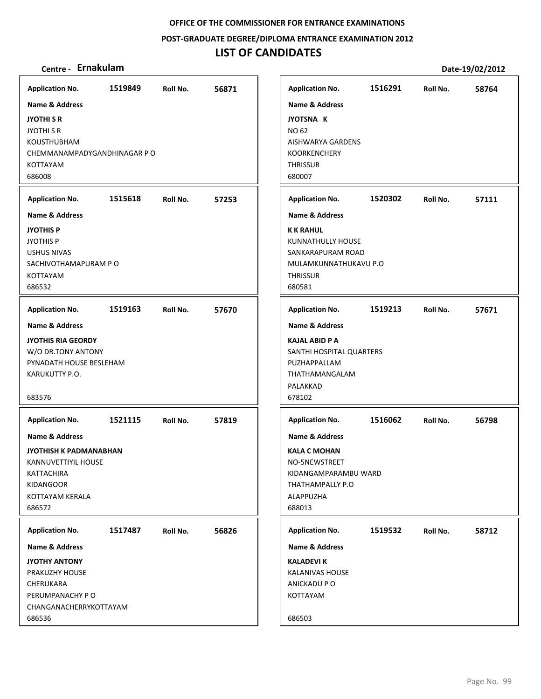**POST‐GRADUATE DEGREE/DIPLOMA ENTRANCE EXAMINATION 2012**

# **LIST OF CANDIDATES**

| <b>Application No.</b>                                                                                                                                   | 1519849 | Roll No. | 56871 |
|----------------------------------------------------------------------------------------------------------------------------------------------------------|---------|----------|-------|
| <b>Name &amp; Address</b><br><b>JYOTHI S R</b><br><b>JYOTHI S R</b><br><b>KOUSTHUBHAM</b><br>CHEMMANAMPADYGANDHINAGAR P O<br><b>KOTTAYAM</b><br>686008   |         |          |       |
| <b>Application No.</b>                                                                                                                                   | 1515618 | Roll No. | 57253 |
| Name & Address<br><b>JYOTHIS P</b><br><b>JYOTHIS P</b><br><b>USHUS NIVAS</b><br>SACHIVOTHAMAPURAM P O<br><b>KOTTAYAM</b><br>686532                       |         |          |       |
| <b>Application No.</b>                                                                                                                                   | 1519163 | Roll No. | 57670 |
| <b>Name &amp; Address</b><br><b>JYOTHIS RIA GEORDY</b><br>W/O DR.TONY ANTONY<br>PYNADATH HOUSE BESLEHAM<br>KARUKUTTY P.O.<br>683576                      |         |          |       |
| <b>Application No.</b><br>Name & Address<br>JYOTHISH K PADMANABHAN<br>KANNUVETTIYIL HOUSE<br>KATTACHIRA<br><b>KIDANGOOR</b><br>KOTTAYAM KERALA<br>686572 | 1521115 | Roll No. | 57819 |
| <b>Application No.</b><br>Name & Address<br><b>JYOTHY ANTONY</b><br>PRAKUZHY HOUSE<br>CHERUKARA<br>PERUMPANACHY PO<br>CHANGANACHERRYKOTTAYAM<br>686536   | 1517487 | Roll No. | 56826 |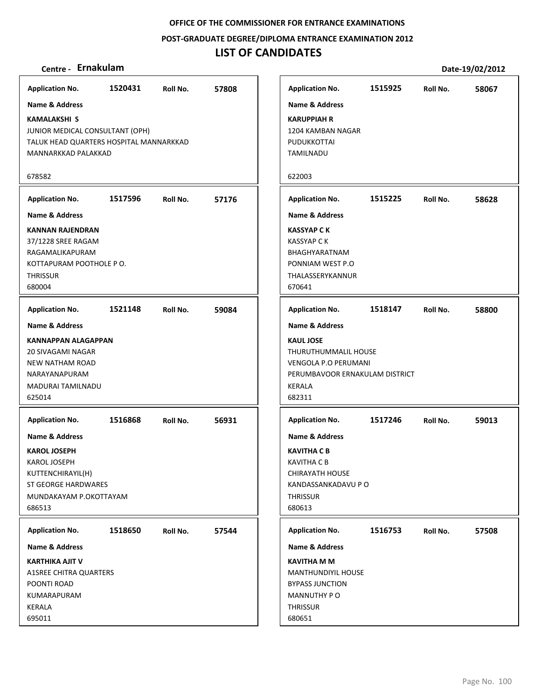**POST‐GRADUATE DEGREE/DIPLOMA ENTRANCE EXAMINATION 2012**

## **LIST OF CANDIDATES**

| <b>Application No.</b>                                                                                                                  | 1520431                  | Roll No. | 57808 |  |  |  |  |  |  |  |  |
|-----------------------------------------------------------------------------------------------------------------------------------------|--------------------------|----------|-------|--|--|--|--|--|--|--|--|
| <b>Name &amp; Address</b>                                                                                                               |                          |          |       |  |  |  |  |  |  |  |  |
| <b>KAMALAKSHI S</b><br>JUNIOR MEDICAL CONSULTANT (OPH)<br>TALUK HEAD QUARTERS HOSPITAL MANNARKKAD<br>MANNARKKAD PALAKKAD                |                          |          |       |  |  |  |  |  |  |  |  |
| 678582                                                                                                                                  |                          |          |       |  |  |  |  |  |  |  |  |
| <b>Application No.</b>                                                                                                                  | 1517596                  | Roll No. | 57176 |  |  |  |  |  |  |  |  |
| <b>Name &amp; Address</b>                                                                                                               |                          |          |       |  |  |  |  |  |  |  |  |
| KANNAN RAJENDRAN<br>37/1228 SREE RAGAM<br>RAGAMALIKAPURAM<br><b>THRISSUR</b><br>680004                                                  | KOTTAPURAM POOTHOLE P O. |          |       |  |  |  |  |  |  |  |  |
| <b>Application No.</b>                                                                                                                  | 1521148                  | Roll No. | 59084 |  |  |  |  |  |  |  |  |
| <b>Name &amp; Address</b>                                                                                                               |                          |          |       |  |  |  |  |  |  |  |  |
| <b>KANNAPPAN ALAGAPPAN</b><br><b>20 SIVAGAMI NAGAR</b><br><b>NEW NATHAM ROAD</b><br>NARAYANAPURAM<br><b>MADURAI TAMILNADU</b><br>625014 |                          |          |       |  |  |  |  |  |  |  |  |
| <b>Application No.</b>                                                                                                                  | 1516868                  | Roll No. | 56931 |  |  |  |  |  |  |  |  |
| <b>Name &amp; Address</b>                                                                                                               |                          |          |       |  |  |  |  |  |  |  |  |
| <b>KAROL JOSEPH</b><br>KAROL JOSEPH<br>KUTTENCHIRAYIL(H)<br><b>ST GEORGE HARDWARES</b><br>MUNDAKAYAM P.OKOTTAYAM<br>686513              |                          |          |       |  |  |  |  |  |  |  |  |
| <b>Application No.</b>                                                                                                                  | 1518650                  | Roll No. | 57544 |  |  |  |  |  |  |  |  |
| <b>Name &amp; Address</b>                                                                                                               |                          |          |       |  |  |  |  |  |  |  |  |
| KARTHIKA AJIT V<br><b>A1SREE CHITRA QUARTERS</b><br>POONTI ROAD<br>KUMARAPURAM<br>KERALA                                                |                          |          |       |  |  |  |  |  |  |  |  |
| 695011                                                                                                                                  |                          |          |       |  |  |  |  |  |  |  |  |

| <b>Application No.</b>                                                                                                               | 1515925 | Roll No. | 58067 |
|--------------------------------------------------------------------------------------------------------------------------------------|---------|----------|-------|
| <b>Name &amp; Address</b>                                                                                                            |         |          |       |
| <b>KARUPPIAH R</b><br>1204 KAMBAN NAGAR<br>PUDUKKOTTAI<br><b>TAMILNADU</b>                                                           |         |          |       |
| 622003                                                                                                                               |         |          |       |
| <b>Application No.</b>                                                                                                               | 1515225 | Roll No. | 58628 |
| <b>Name &amp; Address</b>                                                                                                            |         |          |       |
| <b>KASSYAP C K</b><br><b>KASSYAP C K</b><br>BHAGHYARATNAM<br>PONNIAM WEST P.O<br>THALASSERYKANNUR<br>670641                          |         |          |       |
| <b>Application No.</b>                                                                                                               | 1518147 | Roll No. | 58800 |
| <b>Name &amp; Address</b>                                                                                                            |         |          |       |
| <b>KAUL JOSE</b><br>THURUTHUMMALIL HOUSE<br><b>VENGOLA P.O PERUMANI</b><br>PERUMBAVOOR ERNAKULAM DISTRICT<br><b>KERALA</b><br>682311 |         |          |       |
| <b>Application No.</b>                                                                                                               | 1517246 | Roll No. | 59013 |
| <b>Name &amp; Address</b>                                                                                                            |         |          |       |
| <b>KAVITHA C B</b><br>KAVITHA C B<br>CHIRAYATH HOUSE<br>KANDASSANKADAVU P O<br><b>THRISSUR</b><br>680613                             |         |          |       |
| <b>Application No.</b>                                                                                                               | 1516753 | Roll No. | 57508 |
| <b>Name &amp; Address</b>                                                                                                            |         |          |       |
| <b>KAVITHA M M</b><br><b>MANTHUNDIYIL HOUSE</b><br><b>BYPASS JUNCTION</b><br><b>MANNUTHY PO</b><br><b>THRISSUR</b><br>680651         |         |          |       |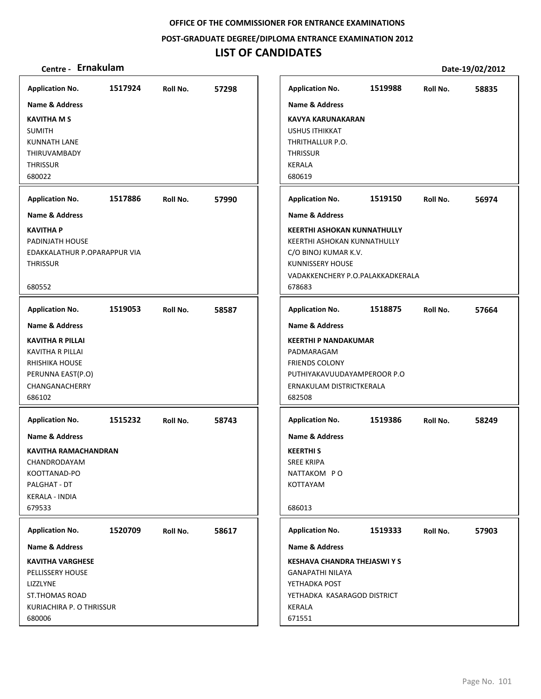**POST‐GRADUATE DEGREE/DIPLOMA ENTRANCE EXAMINATION 2012**

# **LIST OF CANDIDATES**

| <b>Application No.</b>                             | 1517924 | Roll No. | 57298 | <b>Application No.</b>                                      | 1519988 | Roll No. | 58835 |
|----------------------------------------------------|---------|----------|-------|-------------------------------------------------------------|---------|----------|-------|
| <b>Name &amp; Address</b>                          |         |          |       | <b>Name &amp; Address</b>                                   |         |          |       |
| <b>KAVITHA M S</b>                                 |         |          |       | <b>KAVYA KARUNAKARAN</b>                                    |         |          |       |
| <b>SUMITH</b>                                      |         |          |       | <b>USHUS ITHIKKAT</b>                                       |         |          |       |
| <b>KUNNATH LANE</b>                                |         |          |       | THRITHALLUR P.O.                                            |         |          |       |
| THIRUVAMBADY                                       |         |          |       | <b>THRISSUR</b>                                             |         |          |       |
| <b>THRISSUR</b>                                    |         |          |       | KERALA                                                      |         |          |       |
| 680022                                             |         |          |       | 680619                                                      |         |          |       |
| <b>Application No.</b>                             | 1517886 | Roll No. | 57990 | <b>Application No.</b>                                      | 1519150 | Roll No. | 56974 |
| <b>Name &amp; Address</b>                          |         |          |       | <b>Name &amp; Address</b>                                   |         |          |       |
| <b>KAVITHA P</b>                                   |         |          |       | <b>KEERTHI ASHOKAN KUNNATHULLY</b>                          |         |          |       |
| PADINJATH HOUSE                                    |         |          |       | KEERTHI ASHOKAN KUNNATHULLY                                 |         |          |       |
| EDAKKALATHUR P.OPARAPPUR VIA                       |         |          |       | C/O BINOJ KUMAR K.V.                                        |         |          |       |
| <b>THRISSUR</b>                                    |         |          |       | <b>KUNNISSERY HOUSE</b><br>VADAKKENCHERY P.O.PALAKKADKERALA |         |          |       |
| 680552                                             |         |          |       | 678683                                                      |         |          |       |
| <b>Application No.</b>                             | 1519053 | Roll No. | 58587 | <b>Application No.</b>                                      | 1518875 | Roll No. | 57664 |
| Name & Address                                     |         |          |       | <b>Name &amp; Address</b>                                   |         |          |       |
|                                                    |         |          |       |                                                             |         |          |       |
| <b>KAVITHA R PILLAI</b><br><b>KAVITHA R PILLAI</b> |         |          |       | <b>KEERTHI P NANDAKUMAR</b><br>PADMARAGAM                   |         |          |       |
| RHISHIKA HOUSE                                     |         |          |       | <b>FRIENDS COLONY</b>                                       |         |          |       |
| PERUNNA EAST(P.O)                                  |         |          |       | PUTHIYAKAVUUDAYAMPEROOR P.O                                 |         |          |       |
| CHANGANACHERRY                                     |         |          |       | ERNAKULAM DISTRICTKERALA                                    |         |          |       |
| 686102                                             |         |          |       | 682508                                                      |         |          |       |
| <b>Application No.</b>                             | 1515232 | Roll No. | 58743 | <b>Application No.</b>                                      | 1519386 | Roll No. | 58249 |
| Name & Address                                     |         |          |       | <b>Name &amp; Address</b>                                   |         |          |       |
| KAVITHA RAMACHANDRAN                               |         |          |       | <b>KEERTHIS</b>                                             |         |          |       |
| CHANDRODAYAM                                       |         |          |       | <b>SREE KRIPA</b>                                           |         |          |       |
| KOOTTANAD-PO                                       |         |          |       | NATTAKOM PO                                                 |         |          |       |
| PALGHAT - DT                                       |         |          |       | KOTTAYAM                                                    |         |          |       |
| KERALA - INDIA                                     |         |          |       |                                                             |         |          |       |
| 679533                                             |         |          |       | 686013                                                      |         |          |       |
| <b>Application No.</b>                             | 1520709 | Roll No. | 58617 | <b>Application No.</b>                                      | 1519333 | Roll No. | 57903 |
| <b>Name &amp; Address</b>                          |         |          |       | <b>Name &amp; Address</b>                                   |         |          |       |
| <b>KAVITHA VARGHESE</b>                            |         |          |       | <b>KESHAVA CHANDRA THEJASWI Y S</b>                         |         |          |       |
| PELLISSERY HOUSE                                   |         |          |       | GANAPATHI NILAYA                                            |         |          |       |
| LIZZLYNE                                           |         |          |       | YETHADKA POST                                               |         |          |       |
| <b>ST.THOMAS ROAD</b>                              |         |          |       | YETHADKA KASARAGOD DISTRICT                                 |         |          |       |
| KURIACHIRA P. O THRISSUR                           |         |          |       | KERALA                                                      |         |          |       |
| 680006                                             |         |          |       | 671551                                                      |         |          |       |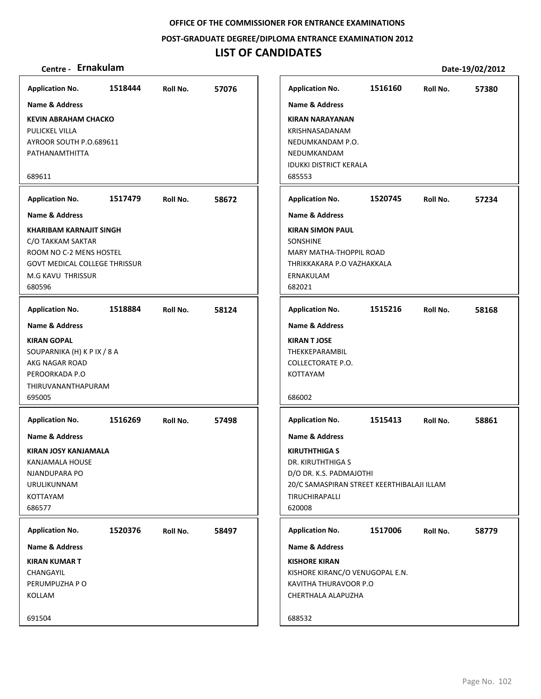**POST‐GRADUATE DEGREE/DIPLOMA ENTRANCE EXAMINATION 2012**

# **LIST OF CANDIDATES**

| <b>Application No.</b>                                                                                                                                | 1518444 | Roll No. | 57076 |
|-------------------------------------------------------------------------------------------------------------------------------------------------------|---------|----------|-------|
| Name & Address                                                                                                                                        |         |          |       |
| <b>KEVIN ABRAHAM CHACKO</b><br>PULICKEL VILLA<br>AYROOR SOUTH P.O.689611<br>PATHANAMTHITTA                                                            |         |          |       |
| 689611                                                                                                                                                |         |          |       |
| <b>Application No.</b><br><b>Name &amp; Address</b>                                                                                                   | 1517479 | Roll No. | 58672 |
| <b>KHARIBAM KARNAJIT SINGH</b><br>C/O TAKKAM SAKTAR<br>ROOM NO C-2 MENS HOSTEL<br><b>GOVT MEDICAL COLLEGE THRISSUR</b><br>M.G KAVU THRISSUR<br>680596 |         |          |       |
| <b>Application No.</b>                                                                                                                                | 1518884 | Roll No. | 58124 |
| <b>Name &amp; Address</b><br><b>KIRAN GOPAL</b><br>SOUPARNIKA (H) K P IX / 8 A<br>AKG NAGAR ROAD<br>PEROORKADA P.O<br>THIRUVANANTHAPURAM<br>695005    |         |          |       |
| <b>Application No.</b><br><b>Name &amp; Address</b><br>KIRAN JOSY KANJAMALA<br>KANJAMALA HOUSE<br>NJANDUPARA PO<br>URULIKUNNAM<br>KOTTAYAM<br>686577  | 1516269 | Roll No. | 57498 |
| <b>Application No.</b><br><b>Name &amp; Address</b><br><b>KIRAN KUMAR T</b><br>CHANGAYIL<br>PERUMPUZHA P O<br>KOLLAM                                  | 1520376 | Roll No. | 58497 |
| 691504                                                                                                                                                |         |          |       |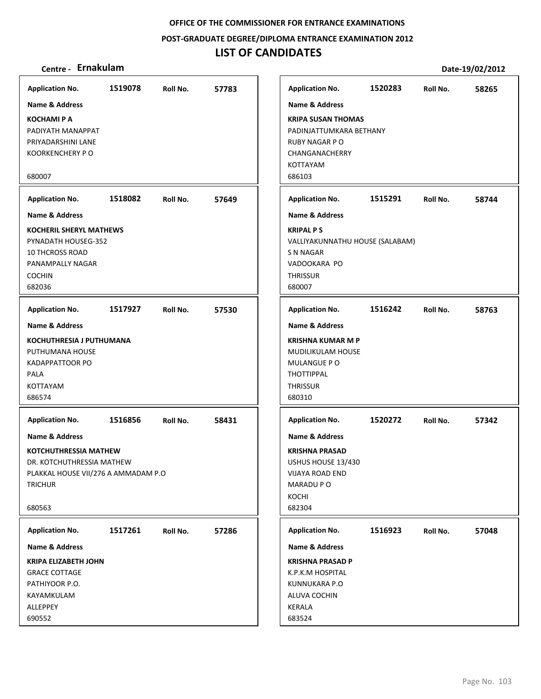**POST‐GRADUATE DEGREE/DIPLOMA ENTRANCE EXAMINATION 2012**

# **LIST OF CANDIDATES**

| <b>Application No.</b>              | 1519078 | Roll No. | 57783 | <b>Application No.</b>          | 1520283 | Roll No. | 58265 |
|-------------------------------------|---------|----------|-------|---------------------------------|---------|----------|-------|
| <b>Name &amp; Address</b>           |         |          |       | <b>Name &amp; Address</b>       |         |          |       |
| <b>KOCHAMI P A</b>                  |         |          |       | <b>KRIPA SUSAN THOMAS</b>       |         |          |       |
| PADIYATH MANAPPAT                   |         |          |       | PADINJATTUMKARA BETHANY         |         |          |       |
| PRIYADARSHINI LANE                  |         |          |       | <b>RUBY NAGAR P O</b>           |         |          |       |
| <b>KOORKENCHERY PO</b>              |         |          |       | CHANGANACHERRY                  |         |          |       |
|                                     |         |          |       | <b>KOTTAYAM</b>                 |         |          |       |
| 680007                              |         |          |       | 686103                          |         |          |       |
| <b>Application No.</b>              | 1518082 | Roll No. | 57649 | <b>Application No.</b>          | 1515291 | Roll No. | 58744 |
| <b>Name &amp; Address</b>           |         |          |       | Name & Address                  |         |          |       |
| <b>KOCHERIL SHERYL MATHEWS</b>      |         |          |       | <b>KRIPAL PS</b>                |         |          |       |
| PYNADATH HOUSEG-352                 |         |          |       | VALLIYAKUNNATHU HOUSE (SALABAM) |         |          |       |
| <b>10 THCROSS ROAD</b>              |         |          |       | S N NAGAR                       |         |          |       |
| PANAMPALLY NAGAR                    |         |          |       | VADOOKARA PO                    |         |          |       |
| <b>COCHIN</b><br>682036             |         |          |       | <b>THRISSUR</b><br>680007       |         |          |       |
|                                     |         |          |       |                                 |         |          |       |
| <b>Application No.</b>              | 1517927 | Roll No. | 57530 | <b>Application No.</b>          | 1516242 | Roll No. | 58763 |
| <b>Name &amp; Address</b>           |         |          |       | <b>Name &amp; Address</b>       |         |          |       |
| <b>KOCHUTHRESIA J PUTHUMANA</b>     |         |          |       | <b>KRISHNA KUMAR M P</b>        |         |          |       |
| PUTHUMANA HOUSE                     |         |          |       | MUDILIKULAM HOUSE               |         |          |       |
| <b>KADAPPATTOOR PO</b>              |         |          |       | MULANGUE PO                     |         |          |       |
| <b>PALA</b>                         |         |          |       | <b>THOTTIPPAL</b>               |         |          |       |
| <b>KOTTAYAM</b><br>686574           |         |          |       | <b>THRISSUR</b><br>680310       |         |          |       |
|                                     |         |          |       |                                 |         |          |       |
| <b>Application No.</b>              | 1516856 | Roll No. | 58431 | <b>Application No.</b>          | 1520272 | Roll No. | 57342 |
| Name & Address                      |         |          |       | Name & Address                  |         |          |       |
| <b>KOTCHUTHRESSIA MATHEW</b>        |         |          |       | <b>KRISHNA PRASAD</b>           |         |          |       |
| DR. KOTCHUTHRESSIA MATHEW           |         |          |       | USHUS HOUSE 13/430              |         |          |       |
| PLAKKAL HOUSE VII/276 A AMMADAM P.O |         |          |       | VIJAYA ROAD END                 |         |          |       |
| <b>TRICHUR</b>                      |         |          |       | MARADU PO                       |         |          |       |
| 680563                              |         |          |       | KOCHI<br>682304                 |         |          |       |
|                                     |         |          |       |                                 |         |          |       |
| <b>Application No.</b>              | 1517261 | Roll No. | 57286 | <b>Application No.</b>          | 1516923 | Roll No. | 57048 |
| Name & Address                      |         |          |       | Name & Address                  |         |          |       |
| <b>KRIPA ELIZABETH JOHN</b>         |         |          |       | <b>KRISHNA PRASAD P</b>         |         |          |       |
| <b>GRACE COTTAGE</b>                |         |          |       | K.P.K.M HOSPITAL                |         |          |       |
| PATHIYOOR P.O.                      |         |          |       | KUNNUKARA P.O                   |         |          |       |
| KAYAMKULAM                          |         |          |       | ALUVA COCHIN                    |         |          |       |
| ALLEPPEY<br>690552                  |         |          |       | KERALA<br>683524                |         |          |       |
|                                     |         |          |       |                                 |         |          |       |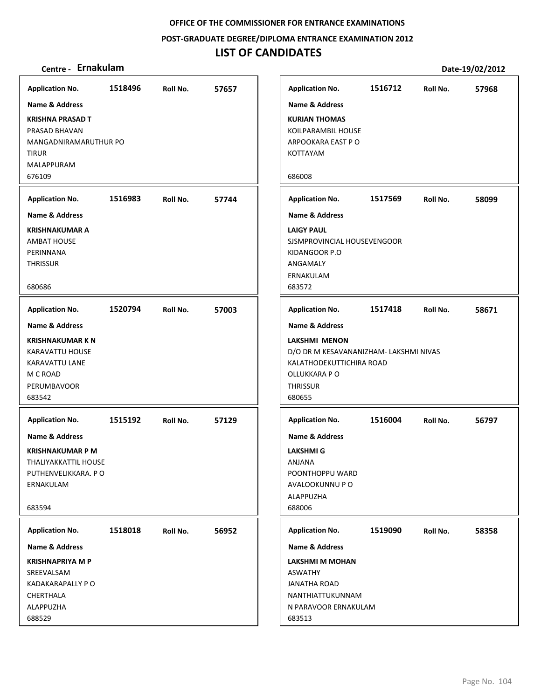**POST‐GRADUATE DEGREE/DIPLOMA ENTRANCE EXAMINATION 2012**

# **LIST OF CANDIDATES**

| <b>Application No.</b>                                                                                                     | 1518496 | Roll No. | 57657 | <b>Application No.</b>                                                                                                            | 1516712 | Roll No. | 57968 |
|----------------------------------------------------------------------------------------------------------------------------|---------|----------|-------|-----------------------------------------------------------------------------------------------------------------------------------|---------|----------|-------|
| <b>Name &amp; Address</b>                                                                                                  |         |          |       | <b>Name &amp; Address</b>                                                                                                         |         |          |       |
| <b>KRISHNA PRASAD T</b><br>PRASAD BHAVAN<br>MANGADNIRAMARUTHUR PO<br><b>TIRUR</b><br>MALAPPURAM<br>676109                  |         |          |       | <b>KURIAN THOMAS</b><br>KOILPARAMBIL HOUSE<br>ARPOOKARA EAST PO<br>KOTTAYAM<br>686008                                             |         |          |       |
| <b>Application No.</b>                                                                                                     | 1516983 | Roll No. | 57744 | <b>Application No.</b>                                                                                                            | 1517569 | Roll No. | 58099 |
| <b>Name &amp; Address</b>                                                                                                  |         |          |       | <b>Name &amp; Address</b>                                                                                                         |         |          |       |
| <b>KRISHNAKUMAR A</b><br><b>AMBAT HOUSE</b><br>PERINNANA<br><b>THRISSUR</b><br>680686                                      |         |          |       | <b>LAIGY PAUL</b><br>SJSMPROVINCIAL HOUSEVENGOOR<br>KIDANGOOR P.O<br>ANGAMALY<br>ERNAKULAM<br>683572                              |         |          |       |
|                                                                                                                            |         |          |       |                                                                                                                                   |         |          |       |
| <b>Application No.</b>                                                                                                     | 1520794 | Roll No. | 57003 | <b>Application No.</b>                                                                                                            | 1517418 | Roll No. | 58671 |
| <b>Name &amp; Address</b>                                                                                                  |         |          |       | <b>Name &amp; Address</b>                                                                                                         |         |          |       |
| <b>KRISHNAKUMAR K N</b><br><b>KARAVATTU HOUSE</b><br>KARAVATTU LANE<br>M C ROAD<br>PERUMBAVOOR<br>683542                   |         |          |       | LAKSHMI MENON<br>D/O DR M KESAVANANIZHAM- LAKSHMI NIVAS<br>KALATHODEKUTTICHIRA ROAD<br>OLLUKKARA P O<br><b>THRISSUR</b><br>680655 |         |          |       |
| <b>Application No.</b>                                                                                                     | 1515192 | Roll No. | 57129 | <b>Application No.</b>                                                                                                            | 1516004 | Roll No. | 56797 |
| <b>Name &amp; Address</b><br><b>KRISHNAKUMAR P M</b><br>THALIYAKKATTIL HOUSE<br>PUTHENVELIKKARA. PO<br>ERNAKULAM<br>683594 |         |          |       | <b>Name &amp; Address</b><br><b>LAKSHMI G</b><br><b>ANJANA</b><br>POONTHOPPU WARD<br>AVALOOKUNNU P O<br>ALAPPUZHA<br>688006       |         |          |       |
| <b>Application No.</b>                                                                                                     | 1518018 | Roll No. | 56952 | <b>Application No.</b>                                                                                                            | 1519090 | Roll No. | 58358 |
| <b>Name &amp; Address</b>                                                                                                  |         |          |       | <b>Name &amp; Address</b>                                                                                                         |         |          |       |
| <b>KRISHNAPRIYA M P</b><br>SREEVALSAM<br>KADAKARAPALLY P O<br>CHERTHALA<br>ALAPPUZHA<br>688529                             |         |          |       | LAKSHMI M MOHAN<br><b>ASWATHY</b><br><b>JANATHA ROAD</b><br>NANTHIATTUKUNNAM<br>N PARAVOOR ERNAKULAM<br>683513                    |         |          |       |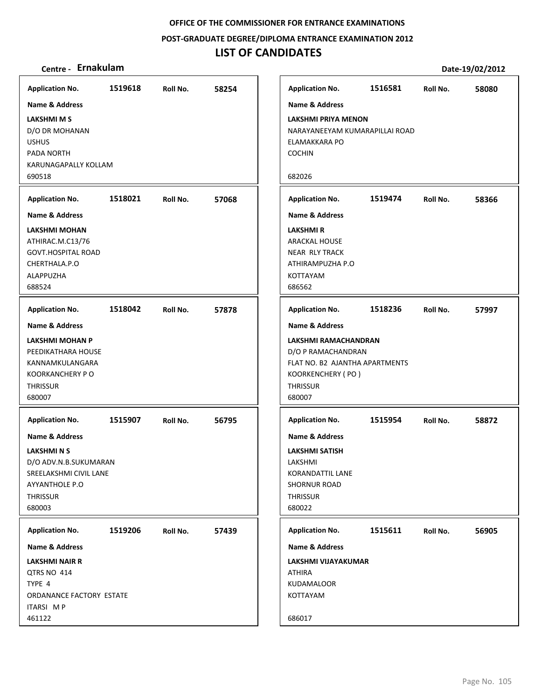**POST‐GRADUATE DEGREE/DIPLOMA ENTRANCE EXAMINATION 2012**

| Centre - Ernakulam                                                                                                    |         |          |       |                                                                                                                                |         |          | Date-19/02/2012 |
|-----------------------------------------------------------------------------------------------------------------------|---------|----------|-------|--------------------------------------------------------------------------------------------------------------------------------|---------|----------|-----------------|
| <b>Application No.</b>                                                                                                | 1519618 | Roll No. | 58254 | <b>Application No.</b>                                                                                                         | 1516581 | Roll No. | 58080           |
| <b>Name &amp; Address</b>                                                                                             |         |          |       | <b>Name &amp; Address</b>                                                                                                      |         |          |                 |
| <b>LAKSHMI M S</b><br>D/O DR MOHANAN<br><b>USHUS</b><br>PADA NORTH<br>KARUNAGAPALLY KOLLAM<br>690518                  |         |          |       | <b>LAKSHMI PRIYA MENON</b><br>NARAYANEEYAM KUMARAPILLAI ROAD<br>ELAMAKKARA PO<br><b>COCHIN</b><br>682026                       |         |          |                 |
| <b>Application No.</b>                                                                                                | 1518021 | Roll No. | 57068 | <b>Application No.</b>                                                                                                         | 1519474 | Roll No. | 58366           |
| <b>Name &amp; Address</b>                                                                                             |         |          |       | <b>Name &amp; Address</b>                                                                                                      |         |          |                 |
| <b>LAKSHMI MOHAN</b><br>ATHIRAC.M.C13/76<br><b>GOVT.HOSPITAL ROAD</b><br>CHERTHALA.P.O<br>ALAPPUZHA<br>688524         |         |          |       | <b>LAKSHMIR</b><br><b>ARACKAL HOUSE</b><br><b>NEAR RLY TRACK</b><br>ATHIRAMPUZHA P.O<br>KOTTAYAM<br>686562                     |         |          |                 |
| <b>Application No.</b>                                                                                                | 1518042 | Roll No. | 57878 | <b>Application No.</b>                                                                                                         | 1518236 | Roll No. | 57997           |
| <b>Name &amp; Address</b>                                                                                             |         |          |       | <b>Name &amp; Address</b>                                                                                                      |         |          |                 |
| LAKSHMI MOHAN P<br>PEEDIKATHARA HOUSE<br>KANNAMKULANGARA<br><b>KOORKANCHERY P O</b><br><b>THRISSUR</b><br>680007      |         |          |       | LAKSHMI RAMACHANDRAN<br>D/O P RAMACHANDRAN<br>FLAT NO. B2 AJANTHA APARTMENTS<br>KOORKENCHERY (PO)<br><b>THRISSUR</b><br>680007 |         |          |                 |
| <b>Application No.</b>                                                                                                | 1515907 | Roll No. | 56795 | <b>Application No.</b>                                                                                                         | 1515954 | Roll No. | 58872           |
| <b>Name &amp; Address</b>                                                                                             |         |          |       | <b>Name &amp; Address</b>                                                                                                      |         |          |                 |
| <b>LAKSHMI N S</b><br>D/O ADV.N.B.SUKUMARAN<br>SREELAKSHMI CIVIL LANE<br>AYYANTHOLE P.O.<br><b>THRISSUR</b><br>680003 |         |          |       | <b>LAKSHMI SATISH</b><br>LAKSHMI<br>KORANDATTIL LANE<br><b>SHORNUR ROAD</b><br><b>THRISSUR</b><br>680022                       |         |          |                 |
| <b>Application No.</b>                                                                                                | 1519206 | Roll No. | 57439 | <b>Application No.</b>                                                                                                         | 1515611 | Roll No. | 56905           |
| Name & Address                                                                                                        |         |          |       | Name & Address                                                                                                                 |         |          |                 |
| <b>LAKSHMI NAIR R</b><br>QTRS NO 414<br>TYPE 4<br>ORDANANCE FACTORY ESTATE<br>ITARSI MP<br>461122                     |         |          |       | LAKSHMI VIJAYAKUMAR<br><b>ATHIRA</b><br><b>KUDAMALOOR</b><br>KOTTAYAM<br>686017                                                |         |          |                 |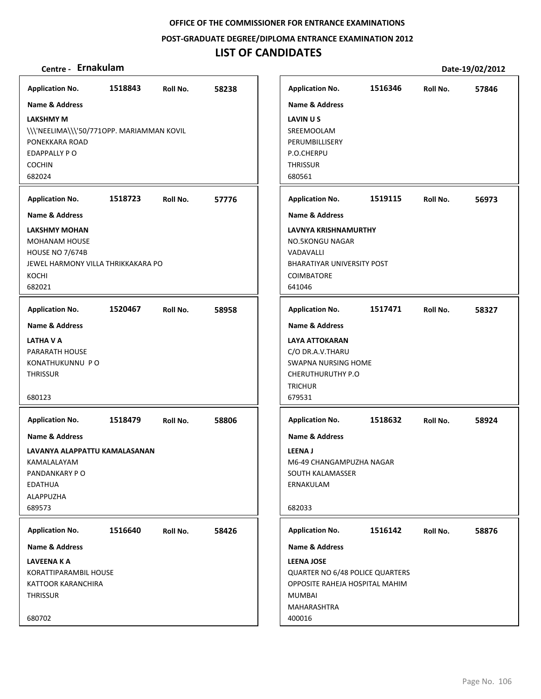**POST‐GRADUATE DEGREE/DIPLOMA ENTRANCE EXAMINATION 2012**

| Centre - Ernakulam                                                                                                                  |         |          |       |                                                                                                                                                              |         |          | Date-19/02/2012 |
|-------------------------------------------------------------------------------------------------------------------------------------|---------|----------|-------|--------------------------------------------------------------------------------------------------------------------------------------------------------------|---------|----------|-----------------|
| <b>Application No.</b>                                                                                                              | 1518843 | Roll No. | 58238 | <b>Application No.</b>                                                                                                                                       | 1516346 | Roll No. | 57846           |
| <b>Name &amp; Address</b>                                                                                                           |         |          |       | <b>Name &amp; Address</b>                                                                                                                                    |         |          |                 |
| <b>LAKSHMY M</b><br>\\\'NEELIMA\\\'50/7710PP. MARIAMMAN KOVIL<br>PONEKKARA ROAD<br>EDAPPALLY PO<br><b>COCHIN</b><br>682024          |         |          |       | LAVINUS<br>SREEMOOLAM<br>PERUMBILLISERY<br>P.O.CHERPU<br><b>THRISSUR</b><br>680561                                                                           |         |          |                 |
| <b>Application No.</b>                                                                                                              | 1518723 | Roll No. | 57776 | <b>Application No.</b>                                                                                                                                       | 1519115 | Roll No. | 56973           |
| Name & Address                                                                                                                      |         |          |       | Name & Address                                                                                                                                               |         |          |                 |
| <b>LAKSHMY MOHAN</b><br><b>MOHANAM HOUSE</b><br><b>HOUSE NO 7/674B</b><br>JEWEL HARMONY VILLA THRIKKAKARA PO<br>KOCHI<br>682021     |         |          |       | <b>LAVNYA KRISHNAMURTHY</b><br><b>NO.5KONGU NAGAR</b><br>VADAVALLI<br><b>BHARATIYAR UNIVERSITY POST</b><br><b>COIMBATORE</b><br>641046                       |         |          |                 |
| <b>Application No.</b>                                                                                                              | 1520467 | Roll No. | 58958 | <b>Application No.</b>                                                                                                                                       | 1517471 | Roll No. | 58327           |
| Name & Address<br>LATHA V A<br>PARARATH HOUSE<br>KONATHUKUNNU PO<br><b>THRISSUR</b><br>680123                                       |         |          |       | <b>Name &amp; Address</b><br><b>LAYA ATTOKARAN</b><br>C/O DR.A.V.THARU<br><b>SWAPNA NURSING HOME</b><br><b>CHERUTHURUTHY P.O</b><br><b>TRICHUR</b><br>679531 |         |          |                 |
| <b>Application No.</b>                                                                                                              | 1518479 | Roll No. | 58806 | <b>Application No.</b>                                                                                                                                       | 1518632 | Roll No. | 58924           |
| <b>Name &amp; Address</b><br>LAVANYA ALAPPATTU KAMALASANAN<br>KAMALALAYAM<br>PANDANKARY PO<br><b>EDATHUA</b><br>ALAPPUZHA<br>689573 |         |          |       | <b>Name &amp; Address</b><br><b>LEENAJ</b><br>M6-49 CHANGAMPUZHA NAGAR<br>SOUTH KALAMASSER<br>ERNAKULAM<br>682033                                            |         |          |                 |
| <b>Application No.</b>                                                                                                              | 1516640 | Roll No. | 58426 | <b>Application No.</b>                                                                                                                                       | 1516142 | Roll No. | 58876           |
| <b>Name &amp; Address</b>                                                                                                           |         |          |       | Name & Address                                                                                                                                               |         |          |                 |
| LAVEENA K A<br>KORATTIPARAMBIL HOUSE<br>KATTOOR KARANCHIRA<br><b>THRISSUR</b><br>680702                                             |         |          |       | <b>LEENA JOSE</b><br><b>QUARTER NO 6/48 POLICE QUARTERS</b><br>OPPOSITE RAHEJA HOSPITAL MAHIM<br><b>MUMBAI</b><br>MAHARASHTRA<br>400016                      |         |          |                 |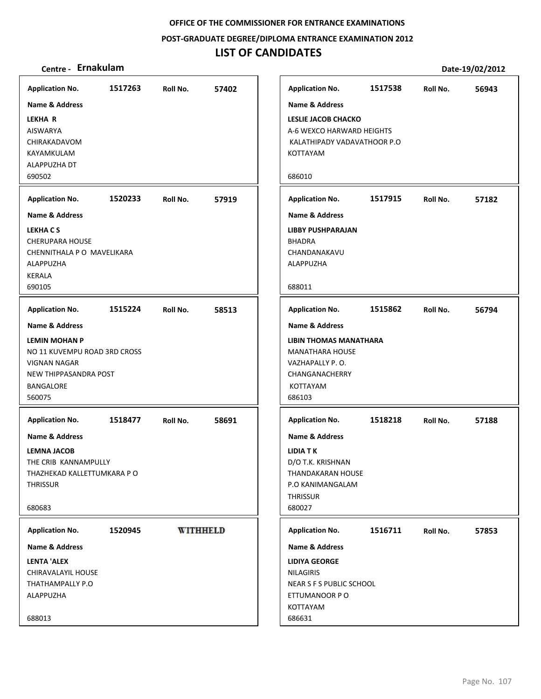**POST‐GRADUATE DEGREE/DIPLOMA ENTRANCE EXAMINATION 2012**

# **LIST OF CANDIDATES**

| <b>Application No.</b>                                                                                                               | 1517263 | Roll No. | 57402           | <b>Application No.</b>                                                                                                                  | 1517538 | Roll No. | 56943 |
|--------------------------------------------------------------------------------------------------------------------------------------|---------|----------|-----------------|-----------------------------------------------------------------------------------------------------------------------------------------|---------|----------|-------|
| <b>Name &amp; Address</b>                                                                                                            |         |          |                 | Name & Address                                                                                                                          |         |          |       |
| <b>LEKHA R</b><br><b>AISWARYA</b><br>CHIRAKADAVOM<br>KAYAMKULAM<br>ALAPPUZHA DT<br>690502                                            |         |          |                 | LESLIE JACOB CHACKO<br>A-6 WEXCO HARWARD HEIGHTS<br>KALATHIPADY VADAVATHOOR P.O<br>KOTTAYAM<br>686010                                   |         |          |       |
| <b>Application No.</b>                                                                                                               | 1520233 | Roll No. | 57919           | <b>Application No.</b>                                                                                                                  | 1517915 | Roll No. | 57182 |
| <b>Name &amp; Address</b><br><b>LEKHACS</b><br><b>CHERUPARA HOUSE</b><br>CHENNITHALA P O MAVELIKARA<br>ALAPPUZHA<br>KERALA<br>690105 |         |          |                 | <b>Name &amp; Address</b><br><b>LIBBY PUSHPARAJAN</b><br>BHADRA<br>CHANDANAKAVU<br>ALAPPUZHA<br>688011                                  |         |          |       |
|                                                                                                                                      |         |          |                 |                                                                                                                                         |         |          |       |
| <b>Application No.</b>                                                                                                               | 1515224 | Roll No. | 58513           | <b>Application No.</b>                                                                                                                  | 1515862 | Roll No. | 56794 |
| Name & Address                                                                                                                       |         |          |                 | <b>Name &amp; Address</b>                                                                                                               |         |          |       |
| <b>LEMIN MOHAN P</b><br>NO 11 KUVEMPU ROAD 3RD CROSS<br><b>VIGNAN NAGAR</b><br>NEW THIPPASANDRA POST<br>BANGALORE<br>560075          |         |          |                 | <b>LIBIN THOMAS MANATHARA</b><br><b>MANATHARA HOUSE</b><br>VAZHAPALLY P.O.<br>CHANGANACHERRY<br><b>KOTTAYAM</b><br>686103               |         |          |       |
| <b>Application No.</b>                                                                                                               | 1518477 | Roll No. | 58691           | <b>Application No.</b>                                                                                                                  | 1518218 | Roll No. | 57188 |
| <b>Name &amp; Address</b><br><b>LEMNA JACOB</b><br>THE CRIB KANNAMPULLY<br>THAZHEKAD KALLETTUMKARA P O<br><b>THRISSUR</b><br>680683  |         |          |                 | <b>Name &amp; Address</b><br><b>LIDIA TK</b><br>D/O T.K. KRISHNAN<br>THANDAKARAN HOUSE<br>P.O KANIMANGALAM<br><b>THRISSUR</b><br>680027 |         |          |       |
| <b>Application No.</b>                                                                                                               | 1520945 |          | <b>WITHHELD</b> | <b>Application No.</b>                                                                                                                  | 1516711 | Roll No. | 57853 |
| Name & Address                                                                                                                       |         |          |                 | Name & Address                                                                                                                          |         |          |       |
| <b>LENTA 'ALEX</b><br><b>CHIRAVALAYIL HOUSE</b><br>THATHAMPALLY P.O<br>ALAPPUZHA                                                     |         |          |                 | <b>LIDIYA GEORGE</b><br><b>NILAGIRIS</b><br>NEAR S F S PUBLIC SCHOOL<br>ETTUMANOOR PO                                                   |         |          |       |
| 688013                                                                                                                               |         |          |                 | KOTTAYAM<br>686631                                                                                                                      |         |          |       |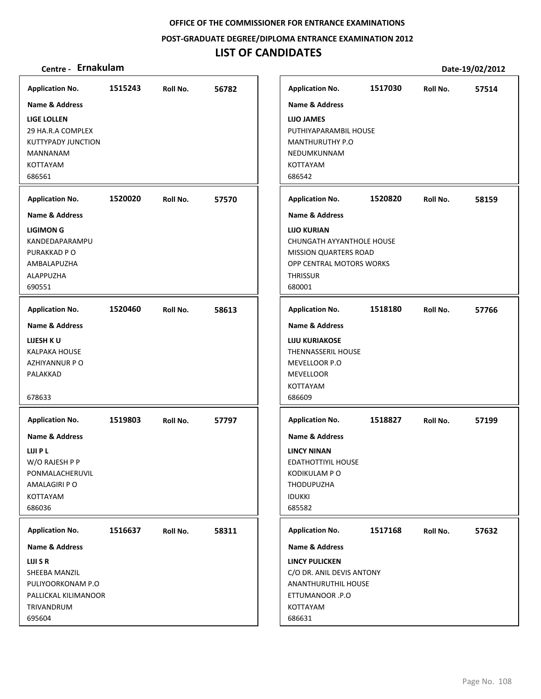**POST‐GRADUATE DEGREE/DIPLOMA ENTRANCE EXAMINATION 2012**

| Centre - Ernakulam          |         |          |       |                                                          |         |          | Date-19/02/2012 |
|-----------------------------|---------|----------|-------|----------------------------------------------------------|---------|----------|-----------------|
| <b>Application No.</b>      | 1515243 | Roll No. | 56782 | <b>Application No.</b>                                   | 1517030 | Roll No. | 57514           |
| <b>Name &amp; Address</b>   |         |          |       | <b>Name &amp; Address</b>                                |         |          |                 |
| <b>LIGE LOLLEN</b>          |         |          |       | LIJO JAMES                                               |         |          |                 |
| 29 HA.R.A COMPLEX           |         |          |       | PUTHIYAPARAMBIL HOUSE                                    |         |          |                 |
| <b>KUTTYPADY JUNCTION</b>   |         |          |       | MANTHURUTHY P.O                                          |         |          |                 |
| MANNANAM                    |         |          |       | NEDUMKUNNAM                                              |         |          |                 |
| <b>KOTTAYAM</b><br>686561   |         |          |       | KOTTAYAM<br>686542                                       |         |          |                 |
|                             |         |          |       |                                                          |         |          |                 |
| <b>Application No.</b>      | 1520020 | Roll No. | 57570 | <b>Application No.</b>                                   | 1520820 | Roll No. | 58159           |
| <b>Name &amp; Address</b>   |         |          |       | <b>Name &amp; Address</b>                                |         |          |                 |
| <b>LIGIMON G</b>            |         |          |       | <b>LIJO KURIAN</b>                                       |         |          |                 |
| KANDEDAPARAMPU              |         |          |       | CHUNGATH AYYANTHOLE HOUSE                                |         |          |                 |
| PURAKKAD P O<br>AMBALAPUZHA |         |          |       | <b>MISSION QUARTERS ROAD</b><br>OPP CENTRAL MOTORS WORKS |         |          |                 |
| ALAPPUZHA                   |         |          |       | <b>THRISSUR</b>                                          |         |          |                 |
| 690551                      |         |          |       | 680001                                                   |         |          |                 |
| <b>Application No.</b>      | 1520460 | Roll No. | 58613 | <b>Application No.</b>                                   | 1518180 | Roll No. | 57766           |
| <b>Name &amp; Address</b>   |         |          |       | <b>Name &amp; Address</b>                                |         |          |                 |
| LIJESH KU                   |         |          |       | <b>LIJU KURIAKOSE</b>                                    |         |          |                 |
| <b>KALPAKA HOUSE</b>        |         |          |       | THENNASSERIL HOUSE                                       |         |          |                 |
| AZHIYANNUR P O              |         |          |       | MEVELLOOR P.O                                            |         |          |                 |
| PALAKKAD                    |         |          |       | <b>MEVELLOOR</b><br>KOTTAYAM                             |         |          |                 |
| 678633                      |         |          |       | 686609                                                   |         |          |                 |
| <b>Application No.</b>      | 1519803 | Roll No. | 57797 | <b>Application No.</b>                                   | 1518827 | Roll No. | 57199           |
| <b>Name &amp; Address</b>   |         |          |       | <b>Name &amp; Address</b>                                |         |          |                 |
| LIJI P L                    |         |          |       | <b>LINCY NINAN</b>                                       |         |          |                 |
| W/O RAJESH P P              |         |          |       | EDATHOTTIYIL HOUSE                                       |         |          |                 |
| PONMALACHERUVIL             |         |          |       | KODIKULAM P O                                            |         |          |                 |
| AMALAGIRI P O<br>KOTTAYAM   |         |          |       | <b>THODUPUZHA</b><br><b>IDUKKI</b>                       |         |          |                 |
| 686036                      |         |          |       | 685582                                                   |         |          |                 |
| <b>Application No.</b>      | 1516637 | Roll No. | 58311 | <b>Application No.</b>                                   | 1517168 | Roll No. | 57632           |
| Name & Address              |         |          |       | Name & Address                                           |         |          |                 |
| LIJI S R                    |         |          |       | <b>LINCY PULICKEN</b>                                    |         |          |                 |
| SHEEBA MANZIL               |         |          |       | C/O DR. ANIL DEVIS ANTONY                                |         |          |                 |
| PULIYOORKONAM P.O           |         |          |       | ANANTHURUTHIL HOUSE                                      |         |          |                 |
| PALLICKAL KILIMANOOR        |         |          |       | ETTUMANOOR .P.O                                          |         |          |                 |
| TRIVANDRUM<br>695604        |         |          |       | KOTTAYAM<br>686631                                       |         |          |                 |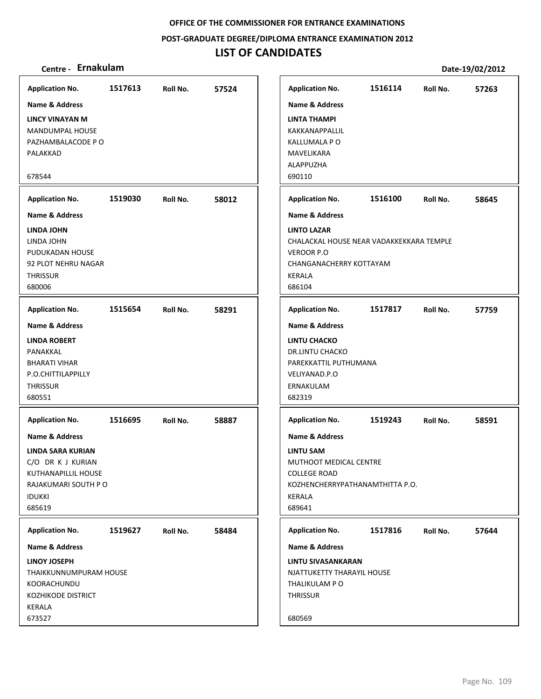**POST‐GRADUATE DEGREE/DIPLOMA ENTRANCE EXAMINATION 2012**

# **LIST OF CANDIDATES**

| <b>Application No.</b>                                                                                                                        | 1517613 | Roll No. | 57524 | <b>Application No.</b>                                                                                                                                | 1516114 | Roll No. | 57263 |
|-----------------------------------------------------------------------------------------------------------------------------------------------|---------|----------|-------|-------------------------------------------------------------------------------------------------------------------------------------------------------|---------|----------|-------|
| <b>Name &amp; Address</b>                                                                                                                     |         |          |       | <b>Name &amp; Address</b>                                                                                                                             |         |          |       |
| <b>LINCY VINAYAN M</b><br>MANDUMPAL HOUSE<br>PAZHAMBALACODE P O<br>PALAKKAD<br>678544                                                         |         |          |       | <b>LINTA THAMPI</b><br>KAKKANAPPALLIL<br>KALLUMALA P O<br>MAVELIKARA<br>ALAPPUZHA<br>690110                                                           |         |          |       |
| <b>Application No.</b>                                                                                                                        | 1519030 | Roll No. | 58012 | <b>Application No.</b>                                                                                                                                | 1516100 | Roll No. | 58645 |
| <b>Name &amp; Address</b>                                                                                                                     |         |          |       | <b>Name &amp; Address</b>                                                                                                                             |         |          |       |
| LINDA JOHN<br>LINDA JOHN<br>PUDUKADAN HOUSE<br>92 PLOT NEHRU NAGAR<br><b>THRISSUR</b><br>680006                                               |         |          |       | <b>LINTO LAZAR</b><br>CHALACKAL HOUSE NEAR VADAKKEKKARA TEMPLE<br>VEROOR P.O<br>CHANGANACHERRY KOTTAYAM<br><b>KERALA</b><br>686104                    |         |          |       |
| <b>Application No.</b>                                                                                                                        | 1515654 | Roll No. | 58291 | <b>Application No.</b>                                                                                                                                | 1517817 | Roll No. | 57759 |
| <b>Name &amp; Address</b><br><b>LINDA ROBERT</b><br>PANAKKAL<br><b>BHARATI VIHAR</b><br>P.O.CHITTILAPPILLY<br><b>THRISSUR</b><br>680551       |         |          |       | <b>Name &amp; Address</b><br><b>LINTU CHACKO</b><br><b>DR.LINTU CHACKO</b><br>PAREKKATTIL PUTHUMANA<br>VELIYANAD.P.O<br>ERNAKULAM<br>682319           |         |          |       |
| <b>Application No.</b>                                                                                                                        | 1516695 | Roll No. | 58887 | <b>Application No.</b>                                                                                                                                | 1519243 | Roll No. | 58591 |
| <b>Name &amp; Address</b><br>LINDA SARA KURIAN<br>C/O DR K J KURIAN<br>KUTHANAPILLIL HOUSE<br>RAJAKUMARI SOUTH P O<br><b>IDUKKI</b><br>685619 |         |          |       | <b>Name &amp; Address</b><br><b>LINTU SAM</b><br>MUTHOOT MEDICAL CENTRE<br><b>COLLEGE ROAD</b><br>KOZHENCHERRYPATHANAMTHITTA P.O.<br>KERALA<br>689641 |         |          |       |
| <b>Application No.</b>                                                                                                                        | 1519627 | Roll No. | 58484 | <b>Application No.</b>                                                                                                                                | 1517816 | Roll No. | 57644 |
| <b>Name &amp; Address</b>                                                                                                                     |         |          |       | <b>Name &amp; Address</b>                                                                                                                             |         |          |       |
| LINOY JOSEPH<br>THAIKKUNNUMPURAM HOUSE<br>KOORACHUNDU<br><b>KOZHIKODE DISTRICT</b><br>KERALA<br>673527                                        |         |          |       | <b>LINTU SIVASANKARAN</b><br>NJATTUKETTY THARAYIL HOUSE<br>THALIKULAM P O<br><b>THRISSUR</b><br>680569                                                |         |          |       |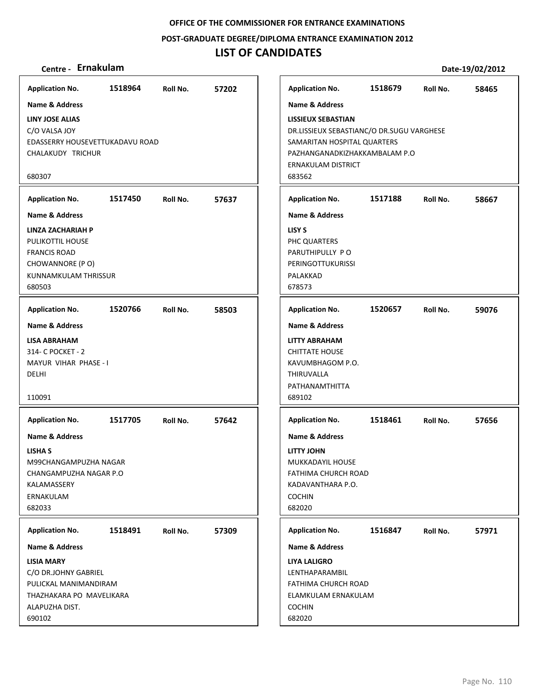**POST‐GRADUATE DEGREE/DIPLOMA ENTRANCE EXAMINATION 2012**

## **LIST OF CANDIDATES**

**LINY JOSE ALIAS** C/O VALSA JOY

**Application No. Name & Address**

680307

680503

DELHI

110091

**LISHA S**

KALAMASSERY ERNAKULAM 682033

**Application No. Name & Address**

**LISIA MARY**

ALAPUZHA DIST.

690102

C/O DR.JOHNY GABRIEL PULICKAL MANIMANDIRAM THAZHAKARA PO MAVELIKARA

**Application No. Name & Address**

M99CHANGAMPUZHA NAGAR CHANGAMPUZHA NAGAR P.O

**LISA ABRAHAM** 314‐ C POCKET ‐ 2 MAYUR VIHAR PHASE ‐ I

**Application No. Name & Address**

CHALAKUDY TRICHUR

**LINZA ZACHARIAH P** PULIKOTTIL HOUSE FRANCIS ROAD CHOWANNORE (P O) KUNNAMKULAM THRISSUR

**Application No. Name & Address**

**Centre ‐ Ernakulam Date‐19/02/2012 1518964 57202** EDASSERRY HOUSEVETTUKADAVU ROAD **1517450 57637 1520766 58503 1517705 57642 1518491 57309 1518679 58465 LISSIEUX SEBASTIAN** DR.LISSIEUX SEBASTIANC/O DR.SUGU VARGHESE SAMARITAN HOSPITAL QUARTERS PAZHANGANADKIZHAKKAMBALAM P.O ERNAKULAM DISTRICT 683562 **Application No. Name & Address 1517188 58667 LISY S** PHC QUARTERS PARUTHIPULLY P O PERINGOTTUKURISSI PALAKKAD 678573 **Application No. Name & Address 1520657 59076 LITTY ABRAHAM** CHITTATE HOUSE KAVUMBHAGOM P.O. THIRUVALLA PATHANAMTHITTA 689102 **Application No. Name & Address 1518461 57656 LITTY JOHN** MUKKADAYIL HOUSE FATHIMA CHURCH ROAD KADAVANTHARA P.O. COCHIN 682020 **Application No. Name & Address 1516847 57971 LIYA LALIGRO** LENTHAPARAMBIL FATHIMA CHURCH ROAD ELAMKULAM ERNAKULAM COCHIN **Application No. Name & Address**

682020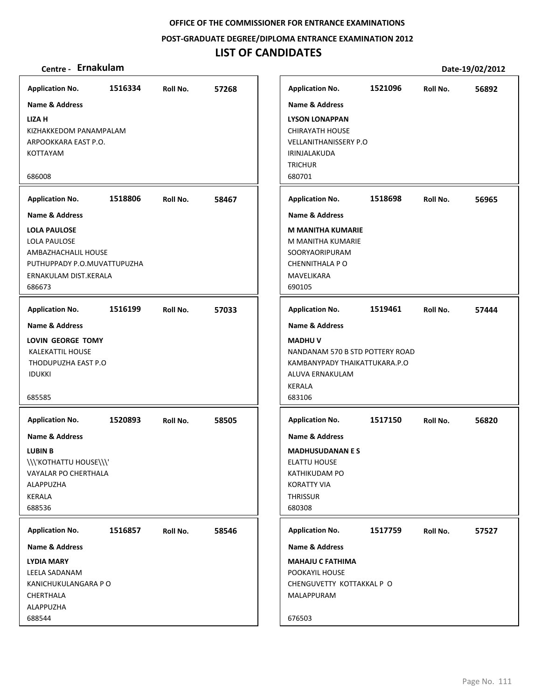**POST‐GRADUATE DEGREE/DIPLOMA ENTRANCE EXAMINATION 2012**

# **LIST OF CANDIDATES**

| <b>Application No.</b>                                                                                                                | 1516334 | Roll No. | 57268 | <b>Application No.</b>                                                                                                                                       | 1521096 | Roll No. | 56892 |
|---------------------------------------------------------------------------------------------------------------------------------------|---------|----------|-------|--------------------------------------------------------------------------------------------------------------------------------------------------------------|---------|----------|-------|
| <b>Name &amp; Address</b>                                                                                                             |         |          |       | <b>Name &amp; Address</b>                                                                                                                                    |         |          |       |
| <b>LIZA H</b><br>KIZHAKKEDOM PANAMPALAM<br>ARPOOKKARA EAST P.O.<br>KOTTAYAM                                                           |         |          |       | <b>LYSON LONAPPAN</b><br><b>CHIRAYATH HOUSE</b><br><b>VELLANITHANISSERY P.O</b><br>IRINJALAKUDA<br><b>TRICHUR</b>                                            |         |          |       |
| 686008                                                                                                                                |         |          |       | 680701                                                                                                                                                       |         |          |       |
| <b>Application No.</b>                                                                                                                | 1518806 | Roll No. | 58467 | <b>Application No.</b>                                                                                                                                       | 1518698 | Roll No. | 56965 |
| Name & Address                                                                                                                        |         |          |       | <b>Name &amp; Address</b>                                                                                                                                    |         |          |       |
| <b>LOLA PAULOSE</b><br>LOLA PAULOSE<br>AMBAZHACHALIL HOUSE<br>PUTHUPPADY P.O.MUVATTUPUZHA<br>ERNAKULAM DIST.KERALA<br>686673          |         |          |       | <b>M MANITHA KUMARIE</b><br>M MANITHA KUMARIE<br>SOORYAORIPURAM<br><b>CHENNITHALA P O</b><br><b>MAVELIKARA</b><br>690105                                     |         |          |       |
| <b>Application No.</b>                                                                                                                | 1516199 | Roll No. | 57033 | <b>Application No.</b>                                                                                                                                       | 1519461 | Roll No. | 57444 |
| <b>Name &amp; Address</b><br>LOVIN GEORGE TOMY<br><b>KALEKATTIL HOUSE</b><br>THODUPUZHA EAST P.O<br><b>IDUKKI</b><br>685585           |         |          |       | <b>Name &amp; Address</b><br><b>MADHUV</b><br>NANDANAM 570 B STD POTTERY ROAD<br>KAMBANYPADY THAIKATTUKARA.P.O<br>ALUVA ERNAKULAM<br><b>KERALA</b><br>683106 |         |          |       |
| <b>Application No.</b>                                                                                                                | 1520893 | Roll No. | 58505 | <b>Application No.</b>                                                                                                                                       | 1517150 | Roll No. | 56820 |
| <b>Name &amp; Address</b><br><b>LUBIN B</b><br>\\\'KOTHATTU HOUSE\\\'<br>VAYALAR PO CHERTHALA<br>ALAPPUZHA<br><b>KERALA</b><br>688536 |         |          |       | <b>Name &amp; Address</b><br><b>MADHUSUDANAN E S</b><br><b>ELATTU HOUSE</b><br>KATHIKUDAM PO<br><b>KORATTY VIA</b><br><b>THRISSUR</b><br>680308              |         |          |       |
| <b>Application No.</b>                                                                                                                | 1516857 | Roll No. | 58546 | <b>Application No.</b>                                                                                                                                       | 1517759 | Roll No. | 57527 |
| Name & Address                                                                                                                        |         |          |       | <b>Name &amp; Address</b>                                                                                                                                    |         |          |       |
| <b>LYDIA MARY</b><br>LEELA SADANAM<br>KANICHUKULANGARA P O<br>CHERTHALA<br>ALAPPUZHA<br>688544                                        |         |          |       | <b>MAHAJU C FATHIMA</b><br>POOKAYIL HOUSE<br>CHENGUVETTY KOTTAKKAL P O<br>MALAPPURAM<br>676503                                                               |         |          |       |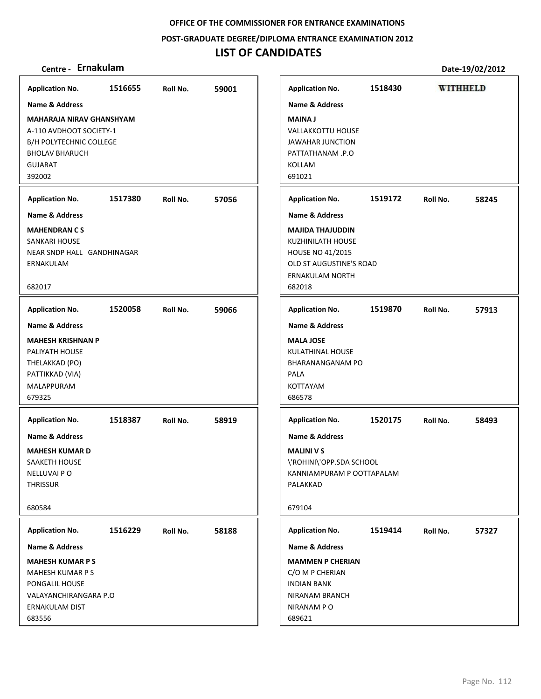**POST‐GRADUATE DEGREE/DIPLOMA ENTRANCE EXAMINATION 2012**

## **LIST OF CANDIDATES**

## **Centre ‐ Ernakulam Date‐19/02/2012**

**Application No. 1516655 59001 Application No. 1518430 WITHHELD Name & Address Name & Address MAHARAJA NIRAV GHANSHYAM MAINA J** A‐110 AVDHOOT SOCIETY‐1 VALLAKKOTTU HOUSE B/H POLYTECHNIC COLLEGE JAWAHAR JUNCTION BHOLAV BHARUCH PATTATHANAM .P.O GUJARAT KOLLAM 392002 691021 **Application No. 1517380 57056 Application No. 1519172 58245 Name & Address Name & Address MAHENDRAN C S MAJIDA THAJUDDIN** SANKARI HOUSE KUZHINILATH HOUSE NEAR SNDP HALL GANDHINAGAR HOUSE NO 41/2015 ERNAKULAM OLD ST AUGUSTINE'S ROAD ERNAKULAM NORTH 682017 682018 **Application No. 1520058 59066 Application No. 1519870 57913 Name & Address Name & Address MAHESH KRISHNAN P MALA JOSE** PALIYATH HOUSE KULATHINAL HOUSE THELAKKAD (PO) BHARANANGANAM PO PATTIKKAD (VIA) PALA MALAPPURAM KOTTAYAM 686578 679325 **Application No. Application No. 1518387 58919 1520175 58493 Name & Address Name & Address MAHESH KUMAR D MALINI V S** SAAKETH HOUSE \'ROHINI\'OPP.SDA SCHOOL NELLUVAI P O KANNIAMPURAM P OOTTAPALAM **THRISSUR** PALAKKAD 680584 679104 **Application No. Application No. 1516229 58188 1519414 57327 Name & Address Name & Address MAHESH KUMAR P S MAMMEN P CHERIAN** MAHESH KUMAR P S C/O M P CHERIAN INDIAN BANK PONGALIL HOUSE VALAYANCHIRANGARA P.O NIRANAM BRANCH ERNAKULAM DIST NIRANAM P O 683556 689621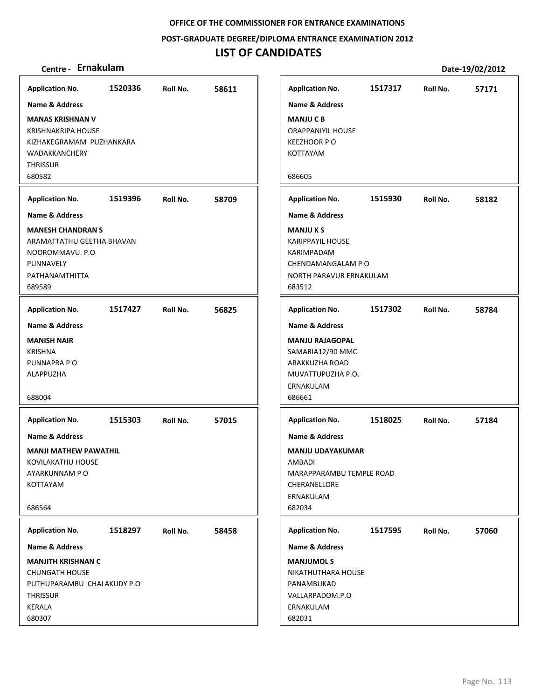**POST‐GRADUATE DEGREE/DIPLOMA ENTRANCE EXAMINATION 2012**

## **LIST OF CANDIDATES**

| <b>Application No.</b>                                                                                                                                                                | 1520336 | Roll No. | 58611 |
|---------------------------------------------------------------------------------------------------------------------------------------------------------------------------------------|---------|----------|-------|
| <b>Name &amp; Address</b><br><b>MANAS KRISHNAN V</b><br><b>KRISHNAKRIPA HOUSE</b><br>KIZHAKEGRAMAM PUZHANKARA<br>WADAKKANCHERY<br><b>THRISSUR</b><br>680582<br><b>Application No.</b> | 1519396 | Roll No. | 58709 |
| Name & Address<br><b>MANESH CHANDRAN S</b><br>ARAMATTATHU GEETHA BHAVAN<br>NOOROMMAVU. P.O<br>PUNNAVELY<br>PATHANAMTHITTA<br>689589                                                   |         |          |       |
| <b>Application No.</b><br>Name & Address<br><b>MANISH NAIR</b><br><b>KRISHNA</b><br>PUNNAPRA PO<br>ALAPPUZHA<br>688004                                                                | 1517427 | Roll No. | 56825 |
| <b>Application No.</b><br>Name & Address<br><b>MANJI MATHEW PAWATHIL</b><br>KOVILAKATHU HOUSE<br>AYARKUNNAM PO<br>KOTTAYAM<br>686564                                                  | 1515303 | Roll No. | 57015 |
| <b>Application No.</b><br>Name & Address<br><b>MANJITH KRISHNAN C</b><br><b>CHUNGATH HOUSE</b><br>PUTHUPARAMBU CHALAKUDY P.O<br><b>THRISSUR</b><br>KERALA<br>680307                   | 1518297 | Roll No. | 58458 |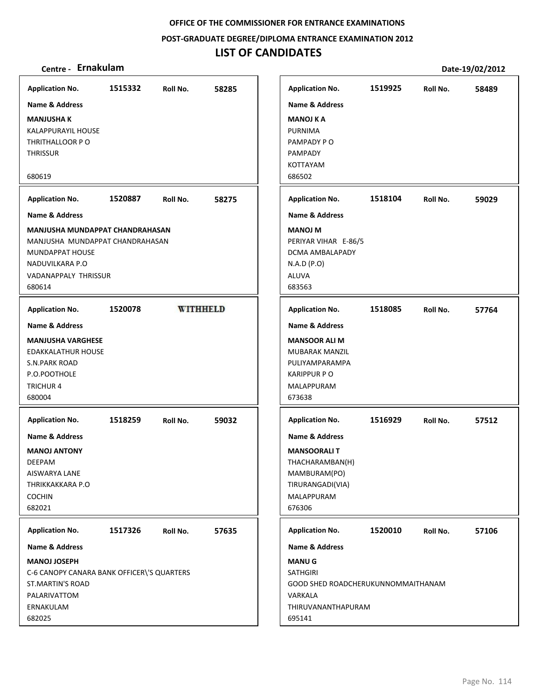**POST‐GRADUATE DEGREE/DIPLOMA ENTRANCE EXAMINATION 2012**

# **LIST OF CANDIDATES**

| <b>Application No.</b>                                                                                                                                      | 1515332 | Roll No.        | 58285 | <b>Application No.</b>                                                                                                                                   | 1519925 | Roll No. | 58489 |
|-------------------------------------------------------------------------------------------------------------------------------------------------------------|---------|-----------------|-------|----------------------------------------------------------------------------------------------------------------------------------------------------------|---------|----------|-------|
| <b>Name &amp; Address</b>                                                                                                                                   |         |                 |       | <b>Name &amp; Address</b>                                                                                                                                |         |          |       |
| <b>MANJUSHA K</b><br><b>KALAPPURAYIL HOUSE</b><br>THRITHALLOOR PO<br><b>THRISSUR</b>                                                                        |         |                 |       | <b>MANOJ K A</b><br>PURNIMA<br>PAMPADY PO<br>PAMPADY<br>KOTTAYAM                                                                                         |         |          |       |
| 680619                                                                                                                                                      |         |                 |       | 686502                                                                                                                                                   |         |          |       |
| <b>Application No.</b>                                                                                                                                      | 1520887 | Roll No.        | 58275 | <b>Application No.</b>                                                                                                                                   | 1518104 | Roll No. | 59029 |
| <b>Name &amp; Address</b>                                                                                                                                   |         |                 |       | <b>Name &amp; Address</b>                                                                                                                                |         |          |       |
| MANJUSHA MUNDAPPAT CHANDRAHASAN<br>MANJUSHA MUNDAPPAT CHANDRAHASAN<br>MUNDAPPAT HOUSE<br>NADUVILKARA P.O<br>VADANAPPALY THRISSUR<br>680614                  |         |                 |       | <b>MANOJ M</b><br>PERIYAR VIHAR E-86/5<br>DCMA AMBALAPADY<br>N.A.D (P.O)<br>ALUVA<br>683563                                                              |         |          |       |
| <b>Application No.</b>                                                                                                                                      | 1520078 | <b>WITHHELD</b> |       | <b>Application No.</b>                                                                                                                                   | 1518085 | Roll No. | 57764 |
| <b>Name &amp; Address</b><br><b>MANJUSHA VARGHESE</b><br>EDAKKALATHUR HOUSE<br>S.N.PARK ROAD<br>P.O.POOTHOLE<br><b>TRICHUR4</b><br>680004                   |         |                 |       | <b>Name &amp; Address</b><br><b>MANSOOR ALI M</b><br>MUBARAK MANZIL<br>PULIYAMPARAMPA<br><b>KARIPPUR P O</b><br>MALAPPURAM<br>673638                     |         |          |       |
| <b>Application No.</b><br><b>Name &amp; Address</b><br><b>MANOJ ANTONY</b><br><b>DEEPAM</b><br>AISWARYA LANE<br>THRIKKAKKARA P.O<br><b>COCHIN</b><br>682021 | 1518259 | Roll No.        | 59032 | <b>Application No.</b><br><b>Name &amp; Address</b><br><b>MANSOORALIT</b><br>THACHARAMBAN(H)<br>MAMBURAM(PO)<br>TIRURANGADI(VIA)<br>MALAPPURAM<br>676306 | 1516929 | Roll No. | 57512 |
| <b>Application No.</b>                                                                                                                                      | 1517326 | Roll No.        | 57635 | <b>Application No.</b>                                                                                                                                   | 1520010 | Roll No. | 57106 |
| Name & Address                                                                                                                                              |         |                 |       | Name & Address                                                                                                                                           |         |          |       |
| <b>MANOJ JOSEPH</b><br>C-6 CANOPY CANARA BANK OFFICER\'S QUARTERS<br><b>ST.MARTIN'S ROAD</b><br>PALARIVATTOM<br>ERNAKULAM<br>682025                         |         |                 |       | <b>MANUG</b><br><b>SATHGIRI</b><br>GOOD SHED ROADCHERUKUNNOMMAITHANAM<br>VARKALA<br>THIRUVANANTHAPURAM<br>695141                                         |         |          |       |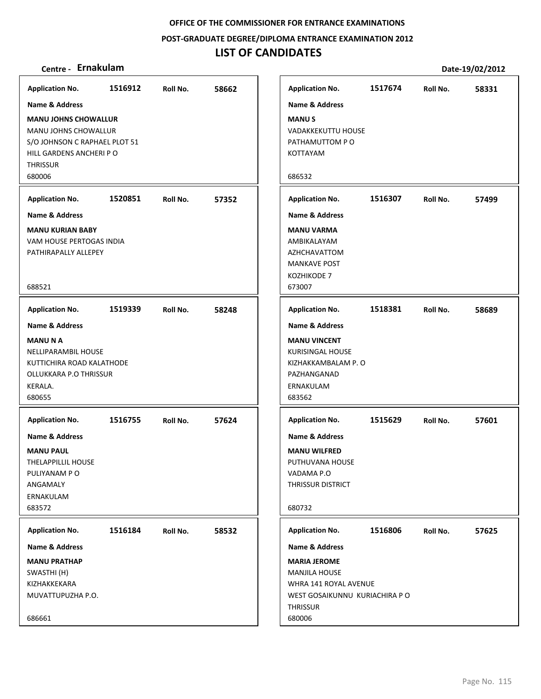**POST‐GRADUATE DEGREE/DIPLOMA ENTRANCE EXAMINATION 2012**

## **LIST OF CANDIDATES**

| <b>Application No.</b>                                                                                                                                                                                                                                          | 1516912 | Roll No. | 58662 |
|-----------------------------------------------------------------------------------------------------------------------------------------------------------------------------------------------------------------------------------------------------------------|---------|----------|-------|
| Name & Address                                                                                                                                                                                                                                                  |         |          |       |
| <b>MANU JOHNS CHOWALLUR</b><br>MANU JOHNS CHOWALLUR<br>S/O JOHNSON C RAPHAEL PLOT 51<br>HILL GARDENS ANCHERI PO<br><b>THRISSUR</b><br>680006                                                                                                                    |         |          |       |
| <b>Application No.</b>                                                                                                                                                                                                                                          | 1520851 | Roll No. | 57352 |
| <b>Name &amp; Address</b>                                                                                                                                                                                                                                       |         |          |       |
| <b>MANU KURIAN BABY</b><br>VAM HOUSE PERTOGAS INDIA<br>PATHIRAPALLY ALLEPEY<br>688521                                                                                                                                                                           |         |          |       |
| <b>Application No.</b>                                                                                                                                                                                                                                          | 1519339 | Roll No. | 58248 |
| Name & Address<br><b>MANUNA</b><br>NELLIPARAMBIL HOUSE<br>KUTTICHIRA ROAD KALATHODE<br>OLLUKKARA P.O THRISSUR<br>KERALA.<br>680655<br><b>Application No.</b><br><b>Name &amp; Address</b><br><b>MANU PAUL</b><br>THELAPPILLIL HOUSE<br>PULIYANAM PO<br>ANGAMALY | 1516755 | Roll No. | 57624 |
| ERNAKULAM<br>683572                                                                                                                                                                                                                                             |         |          |       |
| <b>Application No.</b>                                                                                                                                                                                                                                          | 1516184 | Roll No. | 58532 |
| Name & Address<br><b>MANU PRATHAP</b><br>SWASTHI (H)<br>KIZHAKKEKARA<br>MUVATTUPUZHA P.O.<br>686661                                                                                                                                                             |         |          |       |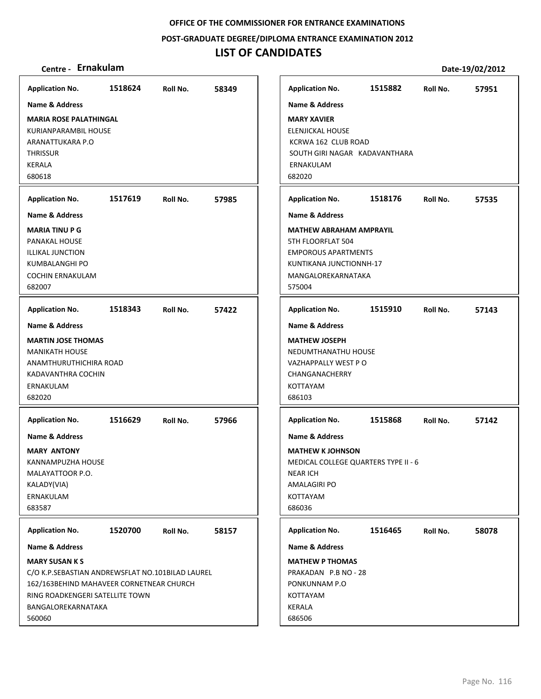**POST‐GRADUATE DEGREE/DIPLOMA ENTRANCE EXAMINATION 2012**

## **LIST OF CANDIDATES**

## **Centre ‐ Ernakulam Date‐19/02/2012**

**1518624 58349 MARIA ROSE PALATHINGAL** KURIANPARAMBIL HOUSE ARANATTUKARA P.O **THRISSUR** KERALA 680618 **Application No. Name & Address 1517619 57985 MARIA TINU P G** PANAKAL HOUSE ILLIKAL JUNCTION KUMBALANGHI PO COCHIN ERNAKULAM 682007 **Application No. Name & Address 1518343 57422 MARTIN JOSE THOMAS** MANIKATH HOUSE ANAMTHURUTHICHIRA ROAD KADAVANTHRA COCHIN ERNAKULAM 682020 **Application No. Name & Address 1516629 57966 MARY ANTONY** KANNAMPUZHA HOUSE MALAYATTOOR P.O. KALADY(VIA) ERNAKULAM 683587 **Application No. Name & Address 1520700 58157 MARY SUSAN K S** C/O K.P.SEBASTIAN ANDREWSFLAT NO.101BILAD LAUREL 162/163BEHIND MAHAVEER CORNETNEAR CHURCH RING ROADKENGERI SATELLITE TOWN BANGALOREKARNATAKA 560060 **Application No. Name & Address 1515882 57951 MARY XAVIER** ELENJICKAL HOUSE KCRWA 162 CLUB ROAD SOUTH GIRI NAGAR KADAVANTHARA ERNAKULAM 682020 **Application No. Name & Address 1518176 57535 MATHEW ABRAHAM AMPRAYIL** 5TH FLOORFLAT 504 EMPOROUS APARTMENTS KUNTIKANA JUNCTIONNH‐17 MANGALOREKARNATAKA 575004 **Application No. Name & Address 1515910 57143 MATHEW JOSEPH** NEDUMTHANATHU HOUSE VAZHAPPALLY WEST P O CHANGANACHERRY KOTTAYAM 686103 **Application No. Name & Address 1515868 57142 MATHEW K JOHNSON** MEDICAL COLLEGE QUARTERS TYPE II ‐ 6 NEAR ICH AMALAGIRI PO KOTTAYAM 686036 **Application No. Name & Address 1516465 58078 MATHEW P THOMAS** PRAKADAN P.B NO ‐ 28 PONKUNNAM P.O KOTTAYAM KERALA 686506 **Application No. Name & Address**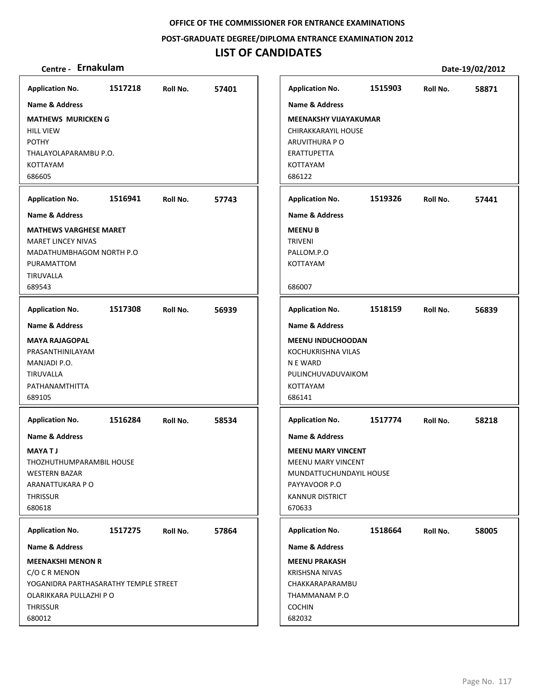**POST‐GRADUATE DEGREE/DIPLOMA ENTRANCE EXAMINATION 2012**

| Centre - Ernakulam                                                                                                                              |         |          |       |                                                                                                              |                                                                            |         |          | Date-19/02/2012 |
|-------------------------------------------------------------------------------------------------------------------------------------------------|---------|----------|-------|--------------------------------------------------------------------------------------------------------------|----------------------------------------------------------------------------|---------|----------|-----------------|
| <b>Application No.</b>                                                                                                                          | 1517218 | Roll No. | 57401 | <b>Application No.</b>                                                                                       |                                                                            | 1515903 | Roll No. | 58871           |
| <b>Name &amp; Address</b>                                                                                                                       |         |          |       | <b>Name &amp; Address</b>                                                                                    |                                                                            |         |          |                 |
| <b>MATHEWS MURICKEN G</b><br><b>HILL VIEW</b><br><b>POTHY</b><br>THALAYOLAPARAMBU P.O.<br>KOTTAYAM<br>686605                                    |         |          |       | ARUVITHURA P O<br>ERATTUPETTA<br><b>KOTTAYAM</b><br>686122                                                   | <b>MEENAKSHY VIJAYAKUMAR</b><br>CHIRAKKARAYIL HOUSE                        |         |          |                 |
| <b>Application No.</b>                                                                                                                          | 1516941 | Roll No. | 57743 | <b>Application No.</b>                                                                                       |                                                                            | 1519326 | Roll No. | 57441           |
| <b>Name &amp; Address</b>                                                                                                                       |         |          |       | <b>Name &amp; Address</b>                                                                                    |                                                                            |         |          |                 |
| <b>MATHEWS VARGHESE MARET</b><br><b>MARET LINCEY NIVAS</b><br>MADATHUMBHAGOM NORTH P.O<br>PURAMATTOM<br>TIRUVALLA<br>689543                     |         |          |       | <b>MEENU B</b><br><b>TRIVENI</b><br>PALLOM.P.O<br><b>KOTTAYAM</b><br>686007                                  |                                                                            |         |          |                 |
| <b>Application No.</b>                                                                                                                          | 1517308 | Roll No. | 56939 | <b>Application No.</b>                                                                                       |                                                                            | 1518159 | Roll No. | 56839           |
| <b>Name &amp; Address</b><br><b>MAYA RAJAGOPAL</b><br>PRASANTHINILAYAM<br>MANJADI P.O.<br>TIRUVALLA<br>PATHANAMTHITTA<br>689105                 |         |          |       | <b>Name &amp; Address</b><br>KOCHUKRISHNA VILAS<br>N E WARD<br>KOTTAYAM<br>686141                            | <b>MEENU INDUCHOODAN</b><br>PULINCHUVADUVAIKOM                             |         |          |                 |
| <b>Application No.</b>                                                                                                                          | 1516284 | Roll No. | 58534 | <b>Application No.</b>                                                                                       |                                                                            | 1517774 | Roll No. | 58218           |
| <b>Name &amp; Address</b><br><b>MAYATJ</b><br>THOZHUTHUMPARAMBIL HOUSE<br><b>WESTERN BAZAR</b><br>ARANATTUKARA P O<br><b>THRISSUR</b><br>680618 |         |          |       | <b>Name &amp; Address</b><br>PAYYAVOOR P.O<br><b>KANNUR DISTRICT</b><br>670633                               | <b>MEENU MARY VINCENT</b><br>MEENU MARY VINCENT<br>MUNDATTUCHUNDAYIL HOUSE |         |          |                 |
| <b>Application No.</b>                                                                                                                          | 1517275 | Roll No. | 57864 | <b>Application No.</b>                                                                                       |                                                                            | 1518664 | Roll No. | 58005           |
| <b>Name &amp; Address</b>                                                                                                                       |         |          |       | Name & Address                                                                                               |                                                                            |         |          |                 |
| <b>MEENAKSHI MENON R</b><br>C/O C R MENON<br>YOGANIDRA PARTHASARATHY TEMPLE STREET<br>OLARIKKARA PULLAZHI P O<br><b>THRISSUR</b><br>680012      |         |          |       | <b>MEENU PRAKASH</b><br><b>KRISHSNA NIVAS</b><br>CHAKKARAPARAMBU<br>THAMMANAM P.O<br><b>COCHIN</b><br>682032 |                                                                            |         |          |                 |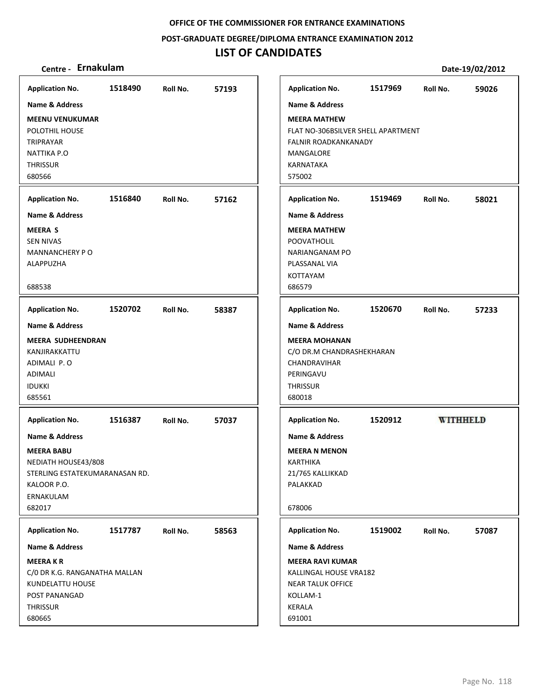**POST‐GRADUATE DEGREE/DIPLOMA ENTRANCE EXAMINATION 2012**

## **LIST OF CANDIDATES**

| <b>Application No.</b>         | 1518490 | Roll No. | 57193 | <b>Application No.</b>             | 1517969 | Roll No. | 59026           |
|--------------------------------|---------|----------|-------|------------------------------------|---------|----------|-----------------|
| Name & Address                 |         |          |       | <b>Name &amp; Address</b>          |         |          |                 |
| <b>MEENU VENUKUMAR</b>         |         |          |       | <b>MEERA MATHEW</b>                |         |          |                 |
| POLOTHIL HOUSE                 |         |          |       | FLAT NO-306BSILVER SHELL APARTMENT |         |          |                 |
| TRIPRAYAR                      |         |          |       | <b>FALNIR ROADKANKANADY</b>        |         |          |                 |
| NATTIKA P.O                    |         |          |       | MANGALORE                          |         |          |                 |
| <b>THRISSUR</b>                |         |          |       | KARNATAKA                          |         |          |                 |
| 680566                         |         |          |       | 575002                             |         |          |                 |
|                                |         |          |       |                                    |         |          |                 |
| <b>Application No.</b>         | 1516840 | Roll No. | 57162 | <b>Application No.</b>             | 1519469 | Roll No. | 58021           |
| <b>Name &amp; Address</b>      |         |          |       | <b>Name &amp; Address</b>          |         |          |                 |
| <b>MEERA S</b>                 |         |          |       | <b>MEERA MATHEW</b>                |         |          |                 |
| <b>SEN NIVAS</b>               |         |          |       | POOVATHOLIL                        |         |          |                 |
| <b>MANNANCHERY PO</b>          |         |          |       | <b>NARIANGANAM PO</b>              |         |          |                 |
| ALAPPUZHA                      |         |          |       | PLASSANAL VIA                      |         |          |                 |
|                                |         |          |       | <b>KOTTAYAM</b>                    |         |          |                 |
| 688538                         |         |          |       | 686579                             |         |          |                 |
| <b>Application No.</b>         | 1520702 | Roll No. | 58387 | <b>Application No.</b>             | 1520670 | Roll No. | 57233           |
| <b>Name &amp; Address</b>      |         |          |       | <b>Name &amp; Address</b>          |         |          |                 |
| <b>MEERA SUDHEENDRAN</b>       |         |          |       | <b>MEERA MOHANAN</b>               |         |          |                 |
| KANJIRAKKATTU                  |         |          |       | C/O DR.M CHANDRASHEKHARAN          |         |          |                 |
| ADIMALI P.O                    |         |          |       | CHANDRAVIHAR                       |         |          |                 |
| ADIMALI                        |         |          |       | PERINGAVU                          |         |          |                 |
| <b>IDUKKI</b>                  |         |          |       | <b>THRISSUR</b>                    |         |          |                 |
| 685561                         |         |          |       | 680018                             |         |          |                 |
| <b>Application No.</b>         | 1516387 | Roll No. | 57037 | <b>Application No.</b>             | 1520912 |          | <b>WITHHELD</b> |
| <b>Name &amp; Address</b>      |         |          |       | <b>Name &amp; Address</b>          |         |          |                 |
|                                |         |          |       |                                    |         |          |                 |
| <b>MEERA BABU</b>              |         |          |       | <b>MEERA N MENON</b>               |         |          |                 |
| NEDIATH HOUSE43/808            |         |          |       | <b>KARTHIKA</b>                    |         |          |                 |
| STERLING ESTATEKUMARANASAN RD. |         |          |       | 21/765 KALLIKKAD                   |         |          |                 |
| KALOOR P.O.                    |         |          |       | PALAKKAD                           |         |          |                 |
| ERNAKULAM                      |         |          |       |                                    |         |          |                 |
| 682017                         |         |          |       | 678006                             |         |          |                 |
| <b>Application No.</b>         | 1517787 | Roll No. | 58563 | <b>Application No.</b>             | 1519002 | Roll No. | 57087           |
| <b>Name &amp; Address</b>      |         |          |       | <b>Name &amp; Address</b>          |         |          |                 |
| <b>MEERAKR</b>                 |         |          |       | <b>MEERA RAVI KUMAR</b>            |         |          |                 |
| C/0 DR K.G. RANGANATHA MALLAN  |         |          |       | KALLINGAL HOUSE VRA182             |         |          |                 |
| KUNDELATTU HOUSE               |         |          |       | <b>NEAR TALUK OFFICE</b>           |         |          |                 |
| POST PANANGAD                  |         |          |       | KOLLAM-1                           |         |          |                 |
| <b>THRISSUR</b>                |         |          |       | KERALA                             |         |          |                 |
| 680665                         |         |          |       | 691001                             |         |          |                 |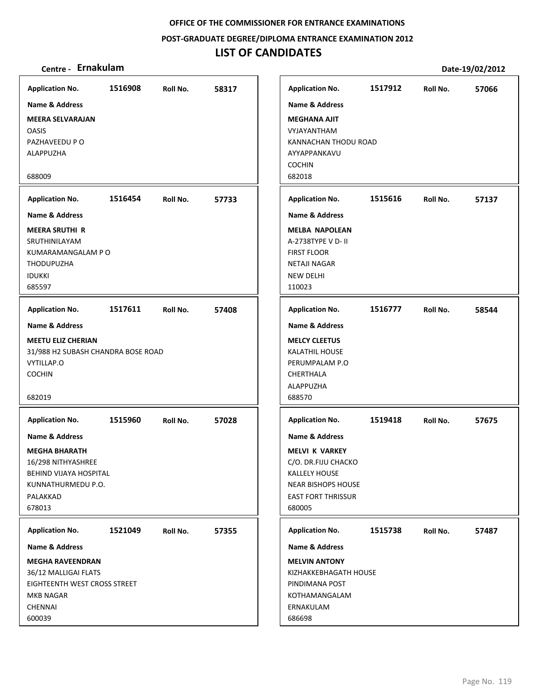**POST‐GRADUATE DEGREE/DIPLOMA ENTRANCE EXAMINATION 2012**

# **LIST OF CANDIDATES**

| <b>Application No.</b>             | 1516908 | Roll No. | 58317 | <b>Application No.</b>     | 1517912 | Roll No. | 57066 |
|------------------------------------|---------|----------|-------|----------------------------|---------|----------|-------|
| Name & Address                     |         |          |       | <b>Name &amp; Address</b>  |         |          |       |
| <b>MEERA SELVARAJAN</b>            |         |          |       | <b>MEGHANA AJIT</b>        |         |          |       |
| <b>OASIS</b>                       |         |          |       | VYJAYANTHAM                |         |          |       |
| PAZHAVEEDU P O                     |         |          |       | KANNACHAN THODU ROAD       |         |          |       |
| ALAPPUZHA                          |         |          |       | AYYAPPANKAVU               |         |          |       |
|                                    |         |          |       | <b>COCHIN</b>              |         |          |       |
| 688009                             |         |          |       | 682018                     |         |          |       |
| <b>Application No.</b>             | 1516454 | Roll No. | 57733 | <b>Application No.</b>     | 1515616 | Roll No. | 57137 |
| <b>Name &amp; Address</b>          |         |          |       | <b>Name &amp; Address</b>  |         |          |       |
| <b>MEERA SRUTHI R</b>              |         |          |       | <b>MELBA NAPOLEAN</b>      |         |          |       |
| SRUTHINILAYAM                      |         |          |       | A-2738TYPE V D- II         |         |          |       |
| KUMARAMANGALAM P O                 |         |          |       | <b>FIRST FLOOR</b>         |         |          |       |
| <b>THODUPUZHA</b>                  |         |          |       | <b>NETAJI NAGAR</b>        |         |          |       |
| <b>IDUKKI</b><br>685597            |         |          |       | <b>NEW DELHI</b><br>110023 |         |          |       |
|                                    |         |          |       |                            |         |          |       |
| <b>Application No.</b>             | 1517611 | Roll No. | 57408 | <b>Application No.</b>     | 1516777 | Roll No. | 58544 |
| <b>Name &amp; Address</b>          |         |          |       | <b>Name &amp; Address</b>  |         |          |       |
| <b>MEETU ELIZ CHERIAN</b>          |         |          |       | <b>MELCY CLEETUS</b>       |         |          |       |
| 31/988 H2 SUBASH CHANDRA BOSE ROAD |         |          |       | <b>KALATHIL HOUSE</b>      |         |          |       |
| VYTILLAP.O                         |         |          |       | PERUMPALAM P.O             |         |          |       |
| <b>COCHIN</b>                      |         |          |       | CHERTHALA                  |         |          |       |
|                                    |         |          |       | ALAPPUZHA                  |         |          |       |
| 682019                             |         |          |       | 688570                     |         |          |       |
| <b>Application No.</b>             | 1515960 | Roll No. | 57028 | <b>Application No.</b>     | 1519418 | Roll No. | 57675 |
| <b>Name &amp; Address</b>          |         |          |       | Name & Address             |         |          |       |
| <b>MEGHA BHARATH</b>               |         |          |       | <b>MELVI K VARKEY</b>      |         |          |       |
| 16/298 NITHYASHREE                 |         |          |       | C/O. DR.FIJU CHACKO        |         |          |       |
| BEHIND VIJAYA HOSPITAL             |         |          |       | <b>KALLELY HOUSE</b>       |         |          |       |
| KUNNATHURMEDU P.O.                 |         |          |       | <b>NEAR BISHOPS HOUSE</b>  |         |          |       |
| PALAKKAD                           |         |          |       | <b>EAST FORT THRISSUR</b>  |         |          |       |
| 678013                             |         |          |       | 680005                     |         |          |       |
| <b>Application No.</b>             | 1521049 | Roll No. | 57355 | <b>Application No.</b>     | 1515738 | Roll No. | 57487 |
| Name & Address                     |         |          |       | <b>Name &amp; Address</b>  |         |          |       |
| <b>MEGHA RAVEENDRAN</b>            |         |          |       | <b>MELVIN ANTONY</b>       |         |          |       |
| 36/12 MALLIGAI FLATS               |         |          |       | KIZHAKKEBHAGATH HOUSE      |         |          |       |
| EIGHTEENTH WEST CROSS STREET       |         |          |       | PINDIMANA POST             |         |          |       |
| <b>MKB NAGAR</b>                   |         |          |       | KOTHAMANGALAM              |         |          |       |
| <b>CHENNAI</b>                     |         |          |       | ERNAKULAM                  |         |          |       |
| 600039                             |         |          |       | 686698                     |         |          |       |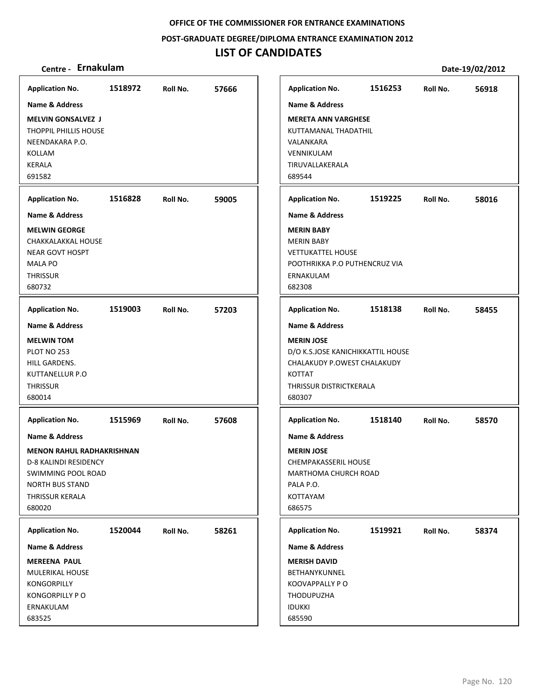**POST‐GRADUATE DEGREE/DIPLOMA ENTRANCE EXAMINATION 2012**

## **LIST OF CANDIDATES**

| <b>Application No.</b>           | 1518972 | Roll No. | 57666 | <b>Application No.</b>            | 1516253 | Roll No. | 56918 |
|----------------------------------|---------|----------|-------|-----------------------------------|---------|----------|-------|
| Name & Address                   |         |          |       | <b>Name &amp; Address</b>         |         |          |       |
| <b>MELVIN GONSALVEZ J</b>        |         |          |       | <b>MERETA ANN VARGHESE</b>        |         |          |       |
| <b>THOPPIL PHILLIS HOUSE</b>     |         |          |       | KUTTAMANAL THADATHIL              |         |          |       |
| NEENDAKARA P.O.                  |         |          |       | VALANKARA                         |         |          |       |
| KOLLAM                           |         |          |       | VENNIKULAM                        |         |          |       |
| <b>KERALA</b>                    |         |          |       | TIRUVALLAKERALA                   |         |          |       |
| 691582                           |         |          |       | 689544                            |         |          |       |
| <b>Application No.</b>           | 1516828 | Roll No. | 59005 | <b>Application No.</b>            | 1519225 | Roll No. | 58016 |
| <b>Name &amp; Address</b>        |         |          |       | <b>Name &amp; Address</b>         |         |          |       |
| <b>MELWIN GEORGE</b>             |         |          |       | <b>MERIN BABY</b>                 |         |          |       |
| CHAKKALAKKAL HOUSE               |         |          |       | <b>MERIN BABY</b>                 |         |          |       |
| <b>NEAR GOVT HOSPT</b>           |         |          |       | <b>VETTUKATTEL HOUSE</b>          |         |          |       |
| <b>MALA PO</b>                   |         |          |       | POOTHRIKKA P.O PUTHENCRUZ VIA     |         |          |       |
| <b>THRISSUR</b>                  |         |          |       | ERNAKULAM                         |         |          |       |
| 680732                           |         |          |       | 682308                            |         |          |       |
| <b>Application No.</b>           | 1519003 | Roll No. | 57203 | <b>Application No.</b>            | 1518138 | Roll No. | 58455 |
| <b>Name &amp; Address</b>        |         |          |       | <b>Name &amp; Address</b>         |         |          |       |
| <b>MELWIN TOM</b>                |         |          |       | <b>MERIN JOSE</b>                 |         |          |       |
| PLOT NO 253                      |         |          |       | D/O K.S.JOSE KANICHIKKATTIL HOUSE |         |          |       |
| HILL GARDENS.                    |         |          |       | CHALAKUDY P.OWEST CHALAKUDY       |         |          |       |
| <b>KUTTANELLUR P.O</b>           |         |          |       | <b>KOTTAT</b>                     |         |          |       |
| <b>THRISSUR</b>                  |         |          |       | THRISSUR DISTRICTKERALA           |         |          |       |
| 680014                           |         |          |       | 680307                            |         |          |       |
| <b>Application No.</b>           | 1515969 | Roll No. | 57608 | <b>Application No.</b>            | 1518140 | Roll No. | 58570 |
| <b>Name &amp; Address</b>        |         |          |       | <b>Name &amp; Address</b>         |         |          |       |
| <b>MENON RAHUL RADHAKRISHNAN</b> |         |          |       | <b>MERIN JOSE</b>                 |         |          |       |
| <b>D-8 KALINDI RESIDENCY</b>     |         |          |       | <b>CHEMPAKASSERIL HOUSE</b>       |         |          |       |
| SWIMMING POOL ROAD               |         |          |       | MARTHOMA CHURCH ROAD              |         |          |       |
| <b>NORTH BUS STAND</b>           |         |          |       | PALA P.O.                         |         |          |       |
| THRISSUR KERALA                  |         |          |       | KOTTAYAM                          |         |          |       |
| 680020                           |         |          |       | 686575                            |         |          |       |
| <b>Application No.</b>           | 1520044 | Roll No. | 58261 | <b>Application No.</b>            | 1519921 | Roll No. | 58374 |
| Name & Address                   |         |          |       | <b>Name &amp; Address</b>         |         |          |       |
| <b>MEREENA PAUL</b>              |         |          |       | <b>MERISH DAVID</b>               |         |          |       |
| MULERIKAL HOUSE                  |         |          |       | BETHANYKUNNEL                     |         |          |       |
| <b>KONGORPILLY</b>               |         |          |       | KOOVAPPALLY PO                    |         |          |       |
| <b>KONGORPILLY PO</b>            |         |          |       | THODUPUZHA                        |         |          |       |
| ERNAKULAM                        |         |          |       | <b>IDUKKI</b>                     |         |          |       |
| 683525                           |         |          |       | 685590                            |         |          |       |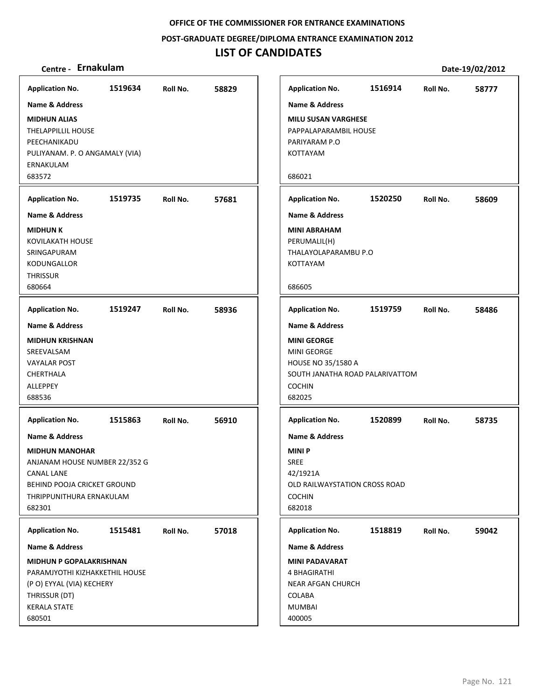**POST‐GRADUATE DEGREE/DIPLOMA ENTRANCE EXAMINATION 2012**

# **LIST OF CANDIDATES**

| <b>Application No.</b>                                                                                                                                             | 1519634 | Roll No. | 58829 |
|--------------------------------------------------------------------------------------------------------------------------------------------------------------------|---------|----------|-------|
| <b>Name &amp; Address</b>                                                                                                                                          |         |          |       |
| <b>MIDHUN ALIAS</b><br><b>THELAPPILLIL HOUSE</b><br>PEECHANIKADU<br>PULIYANAM. P. O ANGAMALY (VIA)<br>ERNAKULAM                                                    |         |          |       |
| 683572                                                                                                                                                             |         |          |       |
| <b>Application No.</b>                                                                                                                                             | 1519735 | Roll No. | 57681 |
| Name & Address                                                                                                                                                     |         |          |       |
| <b>MIDHUN K</b><br>KOVILAKATH HOUSE<br>SRINGAPURAM<br><b>KODUNGALLOR</b><br><b>THRISSUR</b><br>680664                                                              |         |          |       |
|                                                                                                                                                                    |         |          |       |
| <b>Application No.</b><br><b>Name &amp; Address</b>                                                                                                                | 1519247 | Roll No. | 58936 |
| <b>MIDHUN KRISHNAN</b><br>SREEVALSAM<br><b>VAYALAR POST</b><br>CHERTHALA<br>ALLEPPEY<br>688536                                                                     |         |          |       |
| <b>Application No.</b>                                                                                                                                             | 1515863 | Roll No. | 56910 |
| Name & Address<br><b>MIDHUN MANOHAR</b><br>ANJANAM HOUSE NUMBER 22/352 G<br><b>CANAL LANE</b><br>BEHIND POOJA CRICKET GROUND<br>THRIPPUNITHURA ERNAKULAM<br>682301 |         |          |       |
| <b>Application No.</b>                                                                                                                                             | 1515481 | Roll No. | 57018 |
| Name & Address                                                                                                                                                     |         |          |       |
| <b>MIDHUN P GOPALAKRISHNAN</b><br>PARAMJYOTHI KIZHAKKETHIL HOUSE<br>(P O) EYYAL (VIA) KECHERY<br>THRISSUR (DT)<br><b>KERALA STATE</b><br>680501                    |         |          |       |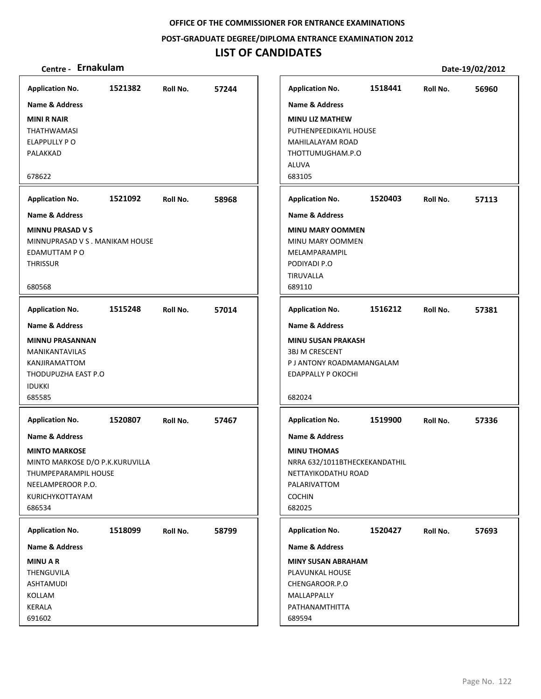**POST‐GRADUATE DEGREE/DIPLOMA ENTRANCE EXAMINATION 2012**

## **LIST OF CANDIDATES**

| 1521382<br><b>Application No.</b><br>57244<br>Roll No.<br><b>Name &amp; Address</b><br><b>MINI R NAIR</b><br><b>THATHWAMASI</b><br>ELAPPULLY PO<br>PALAKKAD<br>678622 | 1518441<br><b>Application No.</b><br>Roll No.<br><b>Name &amp; Address</b><br><b>MINU LIZ MATHEW</b><br>PUTHENPEEDIKAYIL HOUSE<br>MAHILALAYAM ROAD          | 56960 |
|-----------------------------------------------------------------------------------------------------------------------------------------------------------------------|-------------------------------------------------------------------------------------------------------------------------------------------------------------|-------|
|                                                                                                                                                                       |                                                                                                                                                             |       |
|                                                                                                                                                                       |                                                                                                                                                             |       |
|                                                                                                                                                                       |                                                                                                                                                             |       |
|                                                                                                                                                                       |                                                                                                                                                             |       |
|                                                                                                                                                                       |                                                                                                                                                             |       |
|                                                                                                                                                                       | THOTTUMUGHAM.P.O<br>ALUVA                                                                                                                                   |       |
|                                                                                                                                                                       | 683105                                                                                                                                                      |       |
|                                                                                                                                                                       |                                                                                                                                                             |       |
| 1521092<br><b>Application No.</b><br>58968<br>Roll No.                                                                                                                | 1520403<br><b>Application No.</b><br>Roll No.                                                                                                               | 57113 |
| Name & Address                                                                                                                                                        | <b>Name &amp; Address</b>                                                                                                                                   |       |
| <b>MINNU PRASAD V S</b>                                                                                                                                               | <b>MINU MARY OOMMEN</b>                                                                                                                                     |       |
| MINNUPRASAD V S. MANIKAM HOUSE                                                                                                                                        | MINU MARY OOMMEN                                                                                                                                            |       |
| EDAMUTTAM PO                                                                                                                                                          | MELAMPARAMPIL                                                                                                                                               |       |
| <b>THRISSUR</b>                                                                                                                                                       | PODIYADI P.O                                                                                                                                                |       |
|                                                                                                                                                                       | TIRUVALLA                                                                                                                                                   |       |
| 680568                                                                                                                                                                | 689110                                                                                                                                                      |       |
| <b>Application No.</b><br>1515248<br>57014<br>Roll No.                                                                                                                | 1516212<br><b>Application No.</b><br>Roll No.                                                                                                               | 57381 |
| <b>Name &amp; Address</b>                                                                                                                                             | <b>Name &amp; Address</b>                                                                                                                                   |       |
| <b>MINNU PRASANNAN</b>                                                                                                                                                | <b>MINU SUSAN PRAKASH</b>                                                                                                                                   |       |
| MANIKANTAVILAS                                                                                                                                                        | <b>3BJ M CRESCENT</b>                                                                                                                                       |       |
| KANJIRAMATTOM                                                                                                                                                         | P J ANTONY ROADMAMANGALAM                                                                                                                                   |       |
| THODUPUZHA EAST P.O                                                                                                                                                   | <b>EDAPPALLY P OKOCHI</b>                                                                                                                                   |       |
| <b>IDUKKI</b>                                                                                                                                                         |                                                                                                                                                             |       |
| 685585                                                                                                                                                                | 682024                                                                                                                                                      |       |
| <b>Application No.</b><br>1520807<br>57467<br>Roll No.                                                                                                                | <b>Application No.</b><br>1519900<br>Roll No.                                                                                                               | 57336 |
| Name & Address                                                                                                                                                        | <b>Name &amp; Address</b>                                                                                                                                   |       |
| <b>MINTO MARKOSE</b>                                                                                                                                                  | <b>MINU THOMAS</b>                                                                                                                                          |       |
| MINTO MARKOSE D/O P.K.KURUVILLA                                                                                                                                       | NRRA 632/1011BTHECKEKANDATHIL                                                                                                                               |       |
| THUMPEPARAMPIL HOUSE                                                                                                                                                  | NETTAYIKODATHU ROAD                                                                                                                                         |       |
| NEELAMPEROOR P.O.                                                                                                                                                     | PALARIVATTOM                                                                                                                                                |       |
| <b>KURICHYKOTTAYAM</b>                                                                                                                                                | <b>COCHIN</b>                                                                                                                                               |       |
| 686534                                                                                                                                                                | 682025                                                                                                                                                      |       |
|                                                                                                                                                                       |                                                                                                                                                             |       |
|                                                                                                                                                                       |                                                                                                                                                             |       |
|                                                                                                                                                                       |                                                                                                                                                             |       |
|                                                                                                                                                                       |                                                                                                                                                             |       |
|                                                                                                                                                                       |                                                                                                                                                             |       |
|                                                                                                                                                                       |                                                                                                                                                             |       |
| KERALA                                                                                                                                                                | PATHANAMTHITTA                                                                                                                                              |       |
| 691602                                                                                                                                                                | 689594                                                                                                                                                      |       |
| 1518099<br><b>Application No.</b><br>Roll No.<br>58799<br><b>Name &amp; Address</b><br><b>MINUAR</b><br>THENGUVILA<br><b>ASHTAMUDI</b><br>KOLLAM                      | 1520427<br><b>Application No.</b><br>Roll No.<br><b>Name &amp; Address</b><br><b>MINY SUSAN ABRAHAM</b><br>PLAVUNKAL HOUSE<br>CHENGAROOR.P.O<br>MALLAPPALLY | 57693 |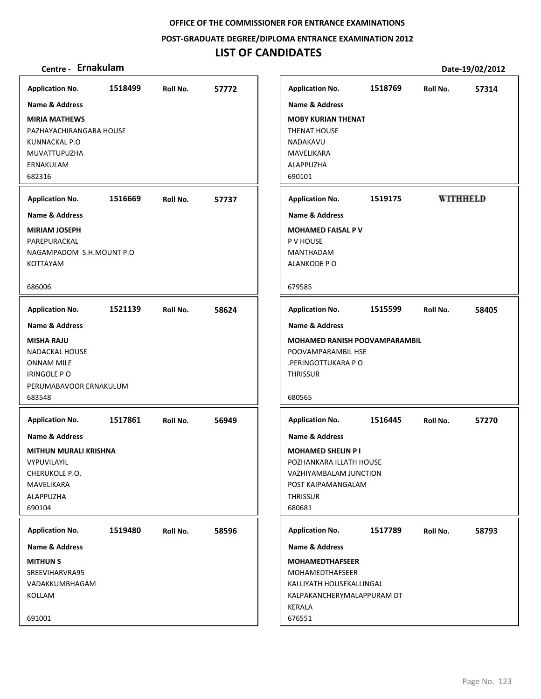**POST‐GRADUATE DEGREE/DIPLOMA ENTRANCE EXAMINATION 2012**

# **LIST OF CANDIDATES**

| <b>Application No.</b>       | 1518499 | Roll No. | 57772 | <b>Application No.</b>               | 1518769 | Roll No. | 57314           |
|------------------------------|---------|----------|-------|--------------------------------------|---------|----------|-----------------|
| Name & Address               |         |          |       | Name & Address                       |         |          |                 |
| <b>MIRIA MATHEWS</b>         |         |          |       | <b>MOBY KURIAN THENAT</b>            |         |          |                 |
| PAZHAYACHIRANGARA HOUSE      |         |          |       | <b>THENAT HOUSE</b>                  |         |          |                 |
| KUNNACKAL P.O                |         |          |       | NADAKAVU                             |         |          |                 |
| MUVATTUPUZHA                 |         |          |       | MAVELIKARA                           |         |          |                 |
| ERNAKULAM                    |         |          |       | ALAPPUZHA                            |         |          |                 |
| 682316                       |         |          |       | 690101                               |         |          |                 |
|                              |         |          |       |                                      |         |          |                 |
| <b>Application No.</b>       | 1516669 | Roll No. | 57737 | <b>Application No.</b>               | 1519175 |          | <b>WITHHELD</b> |
| <b>Name &amp; Address</b>    |         |          |       | <b>Name &amp; Address</b>            |         |          |                 |
| <b>MIRIAM JOSEPH</b>         |         |          |       | <b>MOHAMED FAISAL P V</b>            |         |          |                 |
| PAREPURACKAL                 |         |          |       | P V HOUSE                            |         |          |                 |
| NAGAMPADOM S.H.MOUNT P.O.    |         |          |       | MANTHADAM                            |         |          |                 |
| <b>KOTTAYAM</b>              |         |          |       | ALANKODE PO                          |         |          |                 |
| 686006                       |         |          |       | 679585                               |         |          |                 |
| <b>Application No.</b>       | 1521139 | Roll No. | 58624 | <b>Application No.</b>               | 1515599 | Roll No. | 58405           |
| <b>Name &amp; Address</b>    |         |          |       | Name & Address                       |         |          |                 |
| <b>MISHA RAJU</b>            |         |          |       | <b>MOHAMED RANISH POOVAMPARAMBIL</b> |         |          |                 |
| <b>NADACKAL HOUSE</b>        |         |          |       | POOVAMPARAMBIL HSE                   |         |          |                 |
| ONNAM MILE                   |         |          |       | .PERINGOTTUKARA PO                   |         |          |                 |
| IRINGOLE PO                  |         |          |       | <b>THRISSUR</b>                      |         |          |                 |
| PERUMABAVOOR ERNAKULUM       |         |          |       |                                      |         |          |                 |
| 683548                       |         |          |       | 680565                               |         |          |                 |
| <b>Application No.</b>       | 1517861 | Roll No. | 56949 | <b>Application No.</b>               | 1516445 | Roll No. | 57270           |
| <b>Name &amp; Address</b>    |         |          |       | <b>Name &amp; Address</b>            |         |          |                 |
| <b>MITHUN MURALI KRISHNA</b> |         |          |       | <b>MOHAMED SHELIN P I</b>            |         |          |                 |
| VYPUVILAYIL                  |         |          |       | POZHANKARA ILLATH HOUSE              |         |          |                 |
| CHERUKOLE P.O.               |         |          |       | VAZHIYAMBALAM JUNCTION               |         |          |                 |
| MAVELIKARA                   |         |          |       | POST KAIPAMANGALAM                   |         |          |                 |
| ALAPPUZHA                    |         |          |       | <b>THRISSUR</b>                      |         |          |                 |
| 690104                       |         |          |       | 680681                               |         |          |                 |
| <b>Application No.</b>       | 1519480 | Roll No. | 58596 | <b>Application No.</b>               | 1517789 | Roll No. | 58793           |
| <b>Name &amp; Address</b>    |         |          |       | <b>Name &amp; Address</b>            |         |          |                 |
| <b>MITHUN S</b>              |         |          |       | <b>MOHAMEDTHAFSEER</b>               |         |          |                 |
| SREEVIHARVRA95               |         |          |       | MOHAMEDTHAFSEER                      |         |          |                 |
| VADAKKUMBHAGAM               |         |          |       | KALLIYATH HOUSEKALLINGAL             |         |          |                 |
| KOLLAM                       |         |          |       | KALPAKANCHERYMALAPPURAM DT           |         |          |                 |
|                              |         |          |       | KERALA                               |         |          |                 |
| 691001                       |         |          |       | 676551                               |         |          |                 |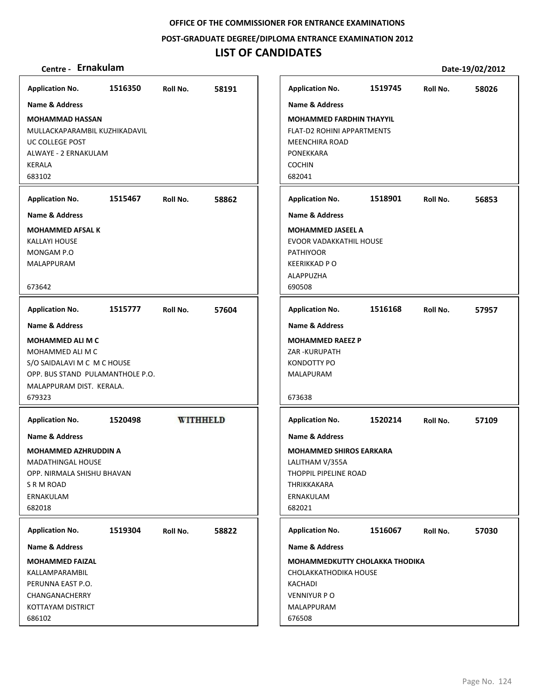**POST‐GRADUATE DEGREE/DIPLOMA ENTRANCE EXAMINATION 2012**

## **LIST OF CANDIDATES**

| 1516350<br>1519745<br><b>Application No.</b><br>58191<br><b>Application No.</b><br>Roll No.<br>Roll No.<br>Name & Address<br><b>Name &amp; Address</b><br><b>MOHAMMAD HASSAN</b><br><b>MOHAMMED FARDHIN THAYYIL</b><br>MULLACKAPARAMBIL KUZHIKADAVIL<br><b>FLAT-D2 ROHINI APPARTMENTS</b><br>UC COLLEGE POST<br><b>MEENCHIRA ROAD</b><br>PONEKKARA<br>ALWAYE - 2 ERNAKULAM<br><b>COCHIN</b><br>KERALA<br>683102<br>682041<br>1515467<br>1518901<br><b>Application No.</b><br>58862<br><b>Application No.</b><br>Roll No.<br>Roll No.<br><b>Name &amp; Address</b><br>Name & Address<br><b>MOHAMMED AFSAL K</b><br><b>MOHAMMED JASEEL A</b><br>EVOOR VADAKKATHIL HOUSE<br>KALLAYI HOUSE<br>MONGAM P.O<br><b>PATHIYOOR</b><br><b>KEERIKKAD PO</b><br>MALAPPURAM<br>ALAPPUZHA<br>673642<br>690508<br>1516168<br>1515777<br><b>Application No.</b><br>57604<br><b>Application No.</b><br>Roll No.<br>Roll No.<br>Name & Address<br>Name & Address<br><b>MOHAMMED ALI M C</b><br><b>MOHAMMED RAEEZ P</b><br>MOHAMMED ALI M C<br>ZAR - KURUPATH<br>KONDOTTY PO<br>S/O SAIDALAVI M C M C HOUSE<br>OPP. BUS STAND PULAMANTHOLE P.O.<br>MALAPURAM<br>MALAPPURAM DIST. KERALA.<br>679323<br>673638<br><b>WITHHELD</b><br><b>Application No.</b><br>1520498<br><b>Application No.</b><br>1520214<br>Roll No.<br><b>Name &amp; Address</b><br><b>Name &amp; Address</b><br><b>MOHAMMED AZHRUDDIN A</b><br><b>MOHAMMED SHIROS EARKARA</b><br>LALITHAM V/355A<br><b>MADATHINGAL HOUSE</b><br>OPP. NIRMALA SHISHU BHAVAN<br>THOPPIL PIPELINE ROAD<br>S R M ROAD<br>THRIKKAKARA<br>ERNAKULAM<br>ERNAKULAM<br>682018<br>682021<br>1519304<br>1516067<br><b>Application No.</b><br>Roll No.<br>58822<br><b>Application No.</b><br>Roll No.<br>Name & Address<br>Name & Address<br><b>MOHAMMED FAIZAL</b><br><b>MOHAMMEDKUTTY CHOLAKKA THODIKA</b><br>KALLAMPARAMBIL<br>CHOLAKKATHODIKA HOUSE<br>PERUNNA EAST P.O.<br>KACHADI<br>CHANGANACHERRY<br><b>VENNIYUR P O</b> |                   |  |            |  |       |
|-----------------------------------------------------------------------------------------------------------------------------------------------------------------------------------------------------------------------------------------------------------------------------------------------------------------------------------------------------------------------------------------------------------------------------------------------------------------------------------------------------------------------------------------------------------------------------------------------------------------------------------------------------------------------------------------------------------------------------------------------------------------------------------------------------------------------------------------------------------------------------------------------------------------------------------------------------------------------------------------------------------------------------------------------------------------------------------------------------------------------------------------------------------------------------------------------------------------------------------------------------------------------------------------------------------------------------------------------------------------------------------------------------------------------------------------------------------------------------------------------------------------------------------------------------------------------------------------------------------------------------------------------------------------------------------------------------------------------------------------------------------------------------------------------------------------------------------------------------------------------------------------------------------------------------------------------------|-------------------|--|------------|--|-------|
|                                                                                                                                                                                                                                                                                                                                                                                                                                                                                                                                                                                                                                                                                                                                                                                                                                                                                                                                                                                                                                                                                                                                                                                                                                                                                                                                                                                                                                                                                                                                                                                                                                                                                                                                                                                                                                                                                                                                                     |                   |  |            |  | 58026 |
|                                                                                                                                                                                                                                                                                                                                                                                                                                                                                                                                                                                                                                                                                                                                                                                                                                                                                                                                                                                                                                                                                                                                                                                                                                                                                                                                                                                                                                                                                                                                                                                                                                                                                                                                                                                                                                                                                                                                                     |                   |  |            |  |       |
|                                                                                                                                                                                                                                                                                                                                                                                                                                                                                                                                                                                                                                                                                                                                                                                                                                                                                                                                                                                                                                                                                                                                                                                                                                                                                                                                                                                                                                                                                                                                                                                                                                                                                                                                                                                                                                                                                                                                                     |                   |  |            |  |       |
|                                                                                                                                                                                                                                                                                                                                                                                                                                                                                                                                                                                                                                                                                                                                                                                                                                                                                                                                                                                                                                                                                                                                                                                                                                                                                                                                                                                                                                                                                                                                                                                                                                                                                                                                                                                                                                                                                                                                                     |                   |  |            |  | 56853 |
|                                                                                                                                                                                                                                                                                                                                                                                                                                                                                                                                                                                                                                                                                                                                                                                                                                                                                                                                                                                                                                                                                                                                                                                                                                                                                                                                                                                                                                                                                                                                                                                                                                                                                                                                                                                                                                                                                                                                                     |                   |  |            |  |       |
|                                                                                                                                                                                                                                                                                                                                                                                                                                                                                                                                                                                                                                                                                                                                                                                                                                                                                                                                                                                                                                                                                                                                                                                                                                                                                                                                                                                                                                                                                                                                                                                                                                                                                                                                                                                                                                                                                                                                                     |                   |  |            |  |       |
|                                                                                                                                                                                                                                                                                                                                                                                                                                                                                                                                                                                                                                                                                                                                                                                                                                                                                                                                                                                                                                                                                                                                                                                                                                                                                                                                                                                                                                                                                                                                                                                                                                                                                                                                                                                                                                                                                                                                                     |                   |  |            |  | 57957 |
|                                                                                                                                                                                                                                                                                                                                                                                                                                                                                                                                                                                                                                                                                                                                                                                                                                                                                                                                                                                                                                                                                                                                                                                                                                                                                                                                                                                                                                                                                                                                                                                                                                                                                                                                                                                                                                                                                                                                                     |                   |  |            |  |       |
|                                                                                                                                                                                                                                                                                                                                                                                                                                                                                                                                                                                                                                                                                                                                                                                                                                                                                                                                                                                                                                                                                                                                                                                                                                                                                                                                                                                                                                                                                                                                                                                                                                                                                                                                                                                                                                                                                                                                                     |                   |  |            |  |       |
|                                                                                                                                                                                                                                                                                                                                                                                                                                                                                                                                                                                                                                                                                                                                                                                                                                                                                                                                                                                                                                                                                                                                                                                                                                                                                                                                                                                                                                                                                                                                                                                                                                                                                                                                                                                                                                                                                                                                                     |                   |  |            |  | 57109 |
|                                                                                                                                                                                                                                                                                                                                                                                                                                                                                                                                                                                                                                                                                                                                                                                                                                                                                                                                                                                                                                                                                                                                                                                                                                                                                                                                                                                                                                                                                                                                                                                                                                                                                                                                                                                                                                                                                                                                                     |                   |  |            |  |       |
|                                                                                                                                                                                                                                                                                                                                                                                                                                                                                                                                                                                                                                                                                                                                                                                                                                                                                                                                                                                                                                                                                                                                                                                                                                                                                                                                                                                                                                                                                                                                                                                                                                                                                                                                                                                                                                                                                                                                                     |                   |  |            |  |       |
|                                                                                                                                                                                                                                                                                                                                                                                                                                                                                                                                                                                                                                                                                                                                                                                                                                                                                                                                                                                                                                                                                                                                                                                                                                                                                                                                                                                                                                                                                                                                                                                                                                                                                                                                                                                                                                                                                                                                                     |                   |  |            |  | 57030 |
|                                                                                                                                                                                                                                                                                                                                                                                                                                                                                                                                                                                                                                                                                                                                                                                                                                                                                                                                                                                                                                                                                                                                                                                                                                                                                                                                                                                                                                                                                                                                                                                                                                                                                                                                                                                                                                                                                                                                                     |                   |  |            |  |       |
|                                                                                                                                                                                                                                                                                                                                                                                                                                                                                                                                                                                                                                                                                                                                                                                                                                                                                                                                                                                                                                                                                                                                                                                                                                                                                                                                                                                                                                                                                                                                                                                                                                                                                                                                                                                                                                                                                                                                                     |                   |  |            |  |       |
|                                                                                                                                                                                                                                                                                                                                                                                                                                                                                                                                                                                                                                                                                                                                                                                                                                                                                                                                                                                                                                                                                                                                                                                                                                                                                                                                                                                                                                                                                                                                                                                                                                                                                                                                                                                                                                                                                                                                                     |                   |  |            |  |       |
|                                                                                                                                                                                                                                                                                                                                                                                                                                                                                                                                                                                                                                                                                                                                                                                                                                                                                                                                                                                                                                                                                                                                                                                                                                                                                                                                                                                                                                                                                                                                                                                                                                                                                                                                                                                                                                                                                                                                                     |                   |  |            |  |       |
|                                                                                                                                                                                                                                                                                                                                                                                                                                                                                                                                                                                                                                                                                                                                                                                                                                                                                                                                                                                                                                                                                                                                                                                                                                                                                                                                                                                                                                                                                                                                                                                                                                                                                                                                                                                                                                                                                                                                                     |                   |  |            |  |       |
| 686102<br>676508                                                                                                                                                                                                                                                                                                                                                                                                                                                                                                                                                                                                                                                                                                                                                                                                                                                                                                                                                                                                                                                                                                                                                                                                                                                                                                                                                                                                                                                                                                                                                                                                                                                                                                                                                                                                                                                                                                                                    | KOTTAYAM DISTRICT |  | MALAPPURAM |  |       |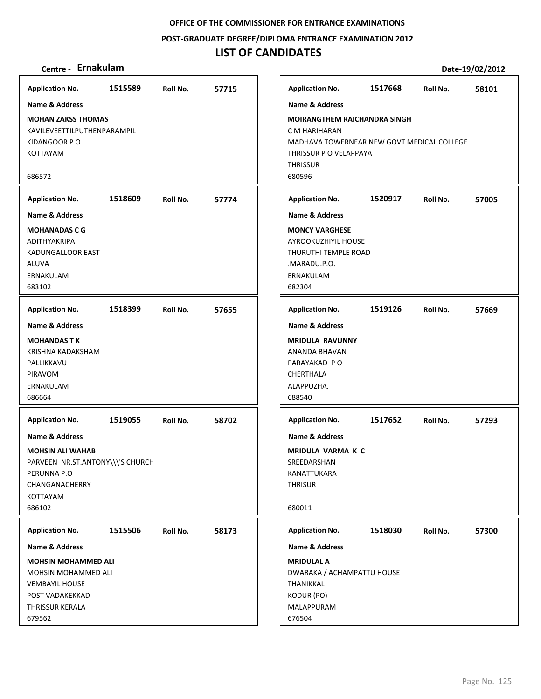**POST‐GRADUATE DEGREE/DIPLOMA ENTRANCE EXAMINATION 2012**

## **LIST OF CANDIDATES**

| <b>Application No.</b>                                                                                                                          | 1515589 | Roll No. | 57715 | <b>Application No.</b>                                                                                                                                    | 1517668 | Roll No. | 58101 |
|-------------------------------------------------------------------------------------------------------------------------------------------------|---------|----------|-------|-----------------------------------------------------------------------------------------------------------------------------------------------------------|---------|----------|-------|
| Name & Address                                                                                                                                  |         |          |       | Name & Address                                                                                                                                            |         |          |       |
| <b>MOHAN ZAKSS THOMAS</b><br>KAVILEVEETTILPUTHENPARAMPIL<br>KIDANGOOR PO<br>KOTTAYAM<br>686572                                                  |         |          |       | <b>MOIRANGTHEM RAICHANDRA SINGH</b><br>C M HARIHARAN<br>MADHAVA TOWERNEAR NEW GOVT MEDICAL COLLEGE<br>THRISSUR P O VELAPPAYA<br><b>THRISSUR</b><br>680596 |         |          |       |
|                                                                                                                                                 |         |          |       |                                                                                                                                                           |         |          |       |
| <b>Application No.</b>                                                                                                                          | 1518609 | Roll No. | 57774 | <b>Application No.</b>                                                                                                                                    | 1520917 | Roll No. | 57005 |
| <b>Name &amp; Address</b>                                                                                                                       |         |          |       | <b>Name &amp; Address</b>                                                                                                                                 |         |          |       |
| <b>MOHANADAS C G</b><br>ADITHYAKRIPA<br>KADUNGALLOOR EAST<br><b>ALUVA</b><br>ERNAKULAM<br>683102                                                |         |          |       | <b>MONCY VARGHESE</b><br>AYROOKUZHIYIL HOUSE<br>THURUTHI TEMPLE ROAD<br>.MARADU.P.O.<br>ERNAKULAM<br>682304                                               |         |          |       |
| <b>Application No.</b>                                                                                                                          | 1518399 | Roll No. | 57655 | <b>Application No.</b>                                                                                                                                    | 1519126 | Roll No. | 57669 |
| <b>Name &amp; Address</b>                                                                                                                       |         |          |       | <b>Name &amp; Address</b>                                                                                                                                 |         |          |       |
| <b>MOHANDAS TK</b><br>KRISHNA KADAKSHAM<br>PALLIKKAVU<br>PIRAVOM<br>ERNAKULAM<br>686664                                                         |         |          |       | <b>MRIDULA RAVUNNY</b><br>ANANDA BHAVAN<br>PARAYAKAD PO<br>CHERTHALA<br>ALAPPUZHA.<br>688540                                                              |         |          |       |
| <b>Application No.</b>                                                                                                                          | 1519055 | Roll No. | 58702 | <b>Application No.</b>                                                                                                                                    | 1517652 | Roll No. | 57293 |
| <b>Name &amp; Address</b><br><b>MOHSIN ALI WAHAB</b><br>PARVEEN NR.ST.ANTONY\\\'S CHURCH<br>PERUNNA P.O<br>CHANGANACHERRY<br>KOTTAYAM<br>686102 |         |          |       | <b>Name &amp; Address</b><br><b>MRIDULA VARMA K C</b><br>SREEDARSHAN<br>KANATTUKARA<br><b>THRISUR</b><br>680011                                           |         |          |       |
| <b>Application No.</b>                                                                                                                          | 1515506 | Roll No. | 58173 | <b>Application No.</b>                                                                                                                                    | 1518030 | Roll No. | 57300 |
| Name & Address                                                                                                                                  |         |          |       | Name & Address                                                                                                                                            |         |          |       |
| <b>MOHSIN MOHAMMED ALI</b><br>MOHSIN MOHAMMED ALI<br><b>VEMBAYIL HOUSE</b><br>POST VADAKEKKAD<br>THRISSUR KERALA                                |         |          |       | <b>MRIDULAL A</b><br>DWARAKA / ACHAMPATTU HOUSE<br>THANIKKAL<br>KODUR (PO)<br>MALAPPURAM                                                                  |         |          |       |
| 679562                                                                                                                                          |         |          |       | 676504                                                                                                                                                    |         |          |       |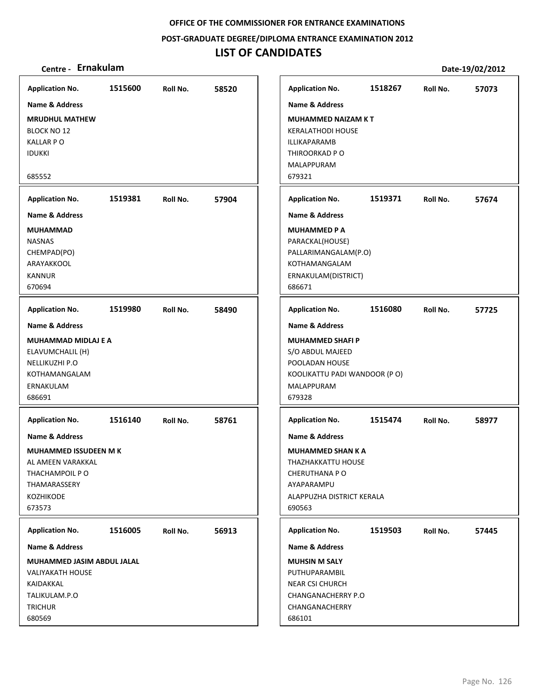**POST‐GRADUATE DEGREE/DIPLOMA ENTRANCE EXAMINATION 2012**

| Centre - Ernakulam                                                                                                                    |         |          |       |                                                                                                                                                    |         |          | Date-19/02/2012 |
|---------------------------------------------------------------------------------------------------------------------------------------|---------|----------|-------|----------------------------------------------------------------------------------------------------------------------------------------------------|---------|----------|-----------------|
| <b>Application No.</b>                                                                                                                | 1515600 | Roll No. | 58520 | <b>Application No.</b>                                                                                                                             | 1518267 | Roll No. | 57073           |
| <b>Name &amp; Address</b>                                                                                                             |         |          |       | <b>Name &amp; Address</b>                                                                                                                          |         |          |                 |
| <b>MRUDHUL MATHEW</b><br><b>BLOCK NO 12</b><br><b>KALLAR PO</b><br><b>IDUKKI</b>                                                      |         |          |       | <b>MUHAMMED NAIZAM KT</b><br><b>KERALATHODI HOUSE</b><br>ILLIKAPARAMB<br>THIROORKAD P O<br>MALAPPURAM                                              |         |          |                 |
| 685552                                                                                                                                |         |          |       | 679321                                                                                                                                             |         |          |                 |
| <b>Application No.</b>                                                                                                                | 1519381 | Roll No. | 57904 | <b>Application No.</b>                                                                                                                             | 1519371 | Roll No. | 57674           |
| <b>Name &amp; Address</b>                                                                                                             |         |          |       | <b>Name &amp; Address</b>                                                                                                                          |         |          |                 |
| <b>MUHAMMAD</b><br><b>NASNAS</b><br>CHEMPAD(PO)<br>ARAYAKKOOL<br><b>KANNUR</b><br>670694                                              |         |          |       | <b>MUHAMMED P A</b><br>PARACKAL(HOUSE)<br>PALLARIMANGALAM(P.O)<br>KOTHAMANGALAM<br>ERNAKULAM(DISTRICT)<br>686671                                   |         |          |                 |
| <b>Application No.</b>                                                                                                                | 1519980 | Roll No. | 58490 | <b>Application No.</b>                                                                                                                             | 1516080 | Roll No. | 57725           |
| <b>Name &amp; Address</b><br><b>MUHAMMAD MIDLAJ E A</b><br>ELAVUMCHALIL (H)<br>NELLIKUZHI P.O<br>KOTHAMANGALAM<br>ERNAKULAM<br>686691 |         |          |       | <b>Name &amp; Address</b><br><b>MUHAMMED SHAFI P</b><br>S/O ABDUL MAJEED<br>POOLADAN HOUSE<br>KOOLIKATTU PADI WANDOOR (PO)<br>MALAPPURAM<br>679328 |         |          |                 |
| <b>Application No.</b>                                                                                                                | 1516140 | Roll No. | 58761 | <b>Application No.</b>                                                                                                                             | 1515474 | Roll No. | 58977           |
| <b>Name &amp; Address</b>                                                                                                             |         |          |       | <b>Name &amp; Address</b>                                                                                                                          |         |          |                 |
| <b>MUHAMMED ISSUDEEN M K</b><br>AL AMEEN VARAKKAL<br>THACHAMPOIL PO<br>THAMARASSERY<br>KOZHIKODE<br>673573                            |         |          |       | <b>MUHAMMED SHAN K A</b><br>THAZHAKKATTU HOUSE<br><b>CHERUTHANA PO</b><br>AYAPARAMPU<br>ALAPPUZHA DISTRICT KERALA<br>690563                        |         |          |                 |
| <b>Application No.</b>                                                                                                                | 1516005 | Roll No. | 56913 | <b>Application No.</b>                                                                                                                             | 1519503 | Roll No. | 57445           |
| Name & Address                                                                                                                        |         |          |       | Name & Address                                                                                                                                     |         |          |                 |
| MUHAMMED JASIM ABDUL JALAL<br><b>VALIYAKATH HOUSE</b><br>KAIDAKKAL<br>TALIKULAM.P.O<br><b>TRICHUR</b><br>680569                       |         |          |       | <b>MUHSIN M SALY</b><br>PUTHUPARAMBIL<br><b>NEAR CSI CHURCH</b><br>CHANGANACHERRY P.O<br>CHANGANACHERRY<br>686101                                  |         |          |                 |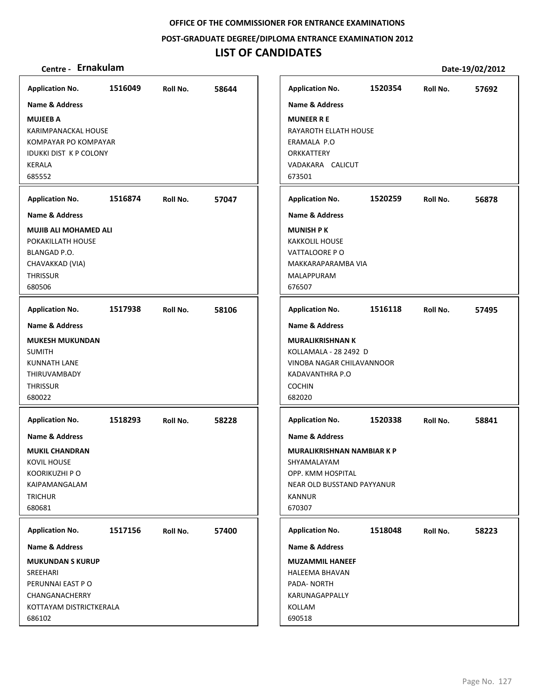**POST‐GRADUATE DEGREE/DIPLOMA ENTRANCE EXAMINATION 2012**

# **LIST OF CANDIDATES**

| <b>Application No.</b>                                                                                                | 1516049 | Roll No. | 58644 | <b>Application No.</b>                                                                                   | 1520354                                                         | Roll No. | 57692 |
|-----------------------------------------------------------------------------------------------------------------------|---------|----------|-------|----------------------------------------------------------------------------------------------------------|-----------------------------------------------------------------|----------|-------|
| Name & Address                                                                                                        |         |          |       | <b>Name &amp; Address</b>                                                                                |                                                                 |          |       |
| <b>MUJEEB A</b><br>KARIMPANACKAL HOUSE<br>KOMPAYAR PO KOMPAYAR<br><b>IDUKKI DIST K P COLONY</b><br>KERALA<br>685552   |         |          |       | <b>MUNEER R E</b><br>RAYAROTH ELLATH HOUSE<br>ERAMALA P.O<br>ORKKATTERY<br>VADAKARA CALICUT<br>673501    |                                                                 |          |       |
| <b>Application No.</b>                                                                                                | 1516874 | Roll No. | 57047 | <b>Application No.</b>                                                                                   | 1520259                                                         | Roll No. | 56878 |
| Name & Address                                                                                                        |         |          |       | <b>Name &amp; Address</b>                                                                                |                                                                 |          |       |
| <b>MUJIB ALI MOHAMED ALI</b><br>POKAKILLATH HOUSE<br>BLANGAD P.O.<br>CHAVAKKAD (VIA)<br><b>THRISSUR</b><br>680506     |         |          |       | <b>MUNISH PK</b><br><b>KAKKOLIL HOUSE</b><br>VATTALOORE PO<br>MAKKARAPARAMBA VIA<br>MALAPPURAM<br>676507 |                                                                 |          |       |
| <b>Application No.</b>                                                                                                | 1517938 | Roll No. | 58106 | <b>Application No.</b>                                                                                   | 1516118                                                         | Roll No. | 57495 |
| Name & Address                                                                                                        |         |          |       | <b>Name &amp; Address</b>                                                                                |                                                                 |          |       |
| <b>MUKESH MUKUNDAN</b><br><b>SUMITH</b><br><b>KUNNATH LANE</b><br><b>THIRUVAMBADY</b><br><b>THRISSUR</b><br>680022    |         |          |       | <b>MURALIKRISHNAN K</b><br>KOLLAMALA - 28 2492 D<br>KADAVANTHRA P.O<br><b>COCHIN</b><br>682020           | VINOBA NAGAR CHILAVANNOOR                                       |          |       |
| <b>Application No.</b>                                                                                                | 1518293 | Roll No. | 58228 | <b>Application No.</b>                                                                                   | 1520338                                                         | Roll No. | 58841 |
| Name & Address<br><b>MUKIL CHANDRAN</b><br>KOVIL HOUSE<br>KOORIKUZHI P O<br>KAIPAMANGALAM<br><b>TRICHUR</b><br>680681 |         |          |       | <b>Name &amp; Address</b><br>SHYAMALAYAM<br>OPP. KMM HOSPITAL<br>KANNUR<br>670307                        | <b>MURALIKRISHNAN NAMBIAR K P</b><br>NEAR OLD BUSSTAND PAYYANUR |          |       |
| <b>Application No.</b>                                                                                                | 1517156 | Roll No. | 57400 | <b>Application No.</b>                                                                                   | 1518048                                                         | Roll No. | 58223 |
| Name & Address                                                                                                        |         |          |       | Name & Address                                                                                           |                                                                 |          |       |
| <b>MUKUNDAN S KURUP</b><br>SREEHARI<br>PERUNNAI EAST PO<br>CHANGANACHERRY<br>KOTTAYAM DISTRICTKERALA<br>686102        |         |          |       | <b>MUZAMMIL HANEEF</b><br>HALEEMA BHAVAN<br>PADA-NORTH<br>KARUNAGAPPALLY<br>KOLLAM<br>690518             |                                                                 |          |       |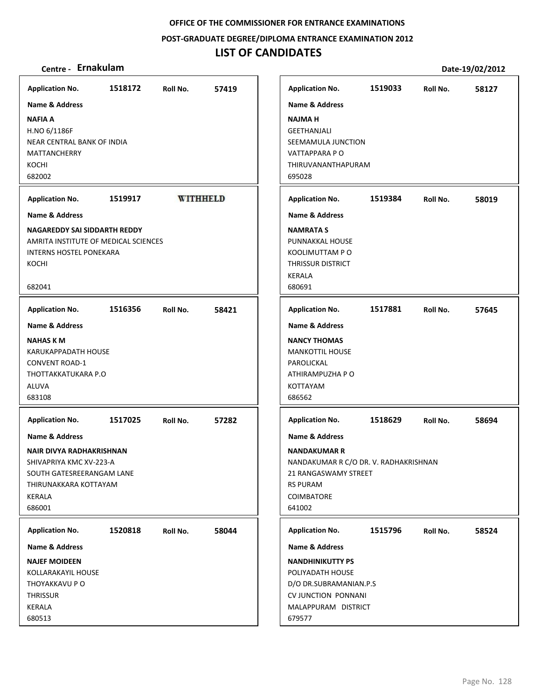**POST‐GRADUATE DEGREE/DIPLOMA ENTRANCE EXAMINATION 2012**

## **LIST OF CANDIDATES**

| <b>Application No.</b>                                                                                                                                            | 1518172 | Roll No. | 57419           | <b>Application No.</b>                                                                                                                                              | 1519033 | Roll No. | 58127 |
|-------------------------------------------------------------------------------------------------------------------------------------------------------------------|---------|----------|-----------------|---------------------------------------------------------------------------------------------------------------------------------------------------------------------|---------|----------|-------|
| <b>Name &amp; Address</b>                                                                                                                                         |         |          |                 | <b>Name &amp; Address</b>                                                                                                                                           |         |          |       |
| <b>NAFIA A</b><br>H.NO 6/1186F<br>NEAR CENTRAL BANK OF INDIA<br><b>MATTANCHERRY</b><br>KOCHI<br>682002                                                            |         |          |                 | <b>NAJMAH</b><br><b>GEETHANJALI</b><br>SEEMAMULA JUNCTION<br>VATTAPPARA P O<br>THIRUVANANTHAPURAM<br>695028                                                         |         |          |       |
| <b>Application No.</b>                                                                                                                                            | 1519917 |          | <b>WITHHELD</b> | <b>Application No.</b>                                                                                                                                              | 1519384 | Roll No. | 58019 |
| <b>Name &amp; Address</b>                                                                                                                                         |         |          |                 | <b>Name &amp; Address</b>                                                                                                                                           |         |          |       |
| <b>NAGAREDDY SAI SIDDARTH REDDY</b><br>AMRITA INSTITUTE OF MEDICAL SCIENCES<br><b>INTERNS HOSTEL PONEKARA</b><br>KOCHI<br>682041                                  |         |          |                 | <b>NAMRATA S</b><br>PUNNAKKAL HOUSE<br>KOOLIMUTTAM PO<br>THRISSUR DISTRICT<br>KERALA<br>680691                                                                      |         |          |       |
| <b>Application No.</b>                                                                                                                                            | 1516356 | Roll No. | 58421           | <b>Application No.</b>                                                                                                                                              | 1517881 | Roll No. | 57645 |
| <b>Name &amp; Address</b>                                                                                                                                         |         |          |                 | <b>Name &amp; Address</b>                                                                                                                                           |         |          |       |
| <b>NAHAS K M</b><br>KARUKAPPADATH HOUSE<br><b>CONVENT ROAD-1</b><br>THOTTAKKATUKARA P.O<br>ALUVA<br>683108                                                        |         |          |                 | <b>NANCY THOMAS</b><br><b>MANKOTTIL HOUSE</b><br>PAROLICKAL<br>ATHIRAMPUZHA P O<br>KOTTAYAM<br>686562                                                               |         |          |       |
| <b>Application No.</b>                                                                                                                                            | 1517025 | Roll No. | 57282           | <b>Application No.</b>                                                                                                                                              | 1518629 | Roll No. | 58694 |
| <b>Name &amp; Address</b><br>NAIR DIVYA RADHAKRISHNAN<br>SHIVAPRIYA KMC XV-223-A<br>SOUTH GATESREERANGAM LANE<br>THIRUNAKKARA KOTTAYAM<br><b>KERALA</b><br>686001 |         |          |                 | <b>Name &amp; Address</b><br><b>NANDAKUMAR R</b><br>NANDAKUMAR R C/O DR. V. RADHAKRISHNAN<br>21 RANGASWAMY STREET<br><b>RS PURAM</b><br><b>COIMBATORE</b><br>641002 |         |          |       |
| <b>Application No.</b>                                                                                                                                            | 1520818 | Roll No. | 58044           | <b>Application No.</b>                                                                                                                                              | 1515796 | Roll No. | 58524 |
| <b>Name &amp; Address</b>                                                                                                                                         |         |          |                 | Name & Address                                                                                                                                                      |         |          |       |
| <b>NAJEF MOIDEEN</b><br><b>KOLLARAKAYIL HOUSE</b><br>THOYAKKAVU P O<br><b>THRISSUR</b><br>KERALA<br>680513                                                        |         |          |                 | <b>NANDHINIKUTTY PS</b><br>POLIYADATH HOUSE<br>D/O DR.SUBRAMANIAN.P.S<br><b>CV JUNCTION PONNANI</b><br>MALAPPURAM DISTRICT<br>679577                                |         |          |       |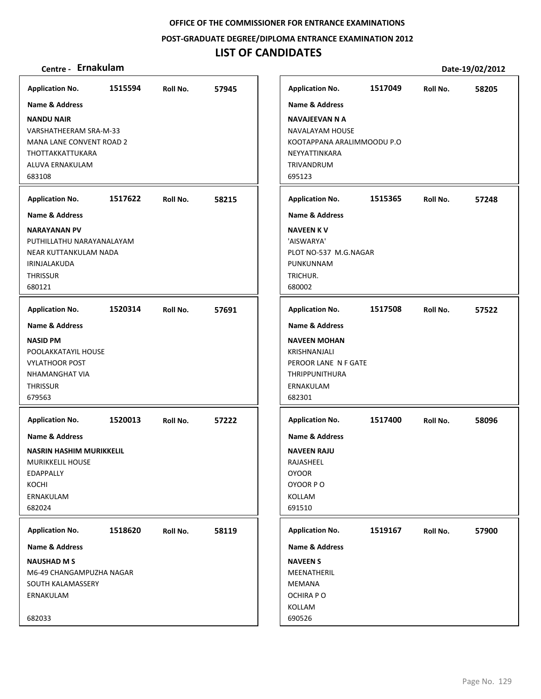**POST‐GRADUATE DEGREE/DIPLOMA ENTRANCE EXAMINATION 2012**

## **LIST OF CANDIDATES**

| <b>Application No.</b>                                                                                                                                         | 1515594 | Roll No. | 57945 |
|----------------------------------------------------------------------------------------------------------------------------------------------------------------|---------|----------|-------|
| <b>Name &amp; Address</b><br><b>NANDU NAIR</b><br>VARSHATHEERAM SRA-M-33<br><b>MANA LANE CONVENT ROAD 2</b><br>THOTTAKKATTUKARA<br>ALUVA ERNAKULAM<br>683108   |         |          |       |
| <b>Application No.</b>                                                                                                                                         | 1517622 | Roll No. | 58215 |
| <b>Name &amp; Address</b><br><b>NARAYANAN PV</b><br>PUTHILLATHU NARAYANALAYAM<br>NEAR KUTTANKULAM NADA<br>IRINJALAKUDA<br><b>THRISSUR</b><br>680121            |         |          |       |
| <b>Application No.</b>                                                                                                                                         | 1520314 | Roll No. | 57691 |
| <b>Name &amp; Address</b><br><b>NASID PM</b><br>POOLAKKATAYIL HOUSE<br><b>VYLATHOOR POST</b><br>NHAMANGHAT VIA<br><b>THRISSUR</b><br>679563                    |         |          |       |
| <b>Application No.</b><br><b>Name &amp; Address</b><br><b>NASRIN HASHIM MURIKKELIL</b><br><b>MURIKKELIL HOUSE</b><br>EDAPPALLY<br>KOCHI<br>ERNAKULAM<br>682024 | 1520013 | Roll No. | 57222 |
| <b>Application No.</b><br><b>Name &amp; Address</b><br><b>NAUSHAD M S</b><br>M6-49 CHANGAMPUZHA NAGAR<br>SOUTH KALAMASSERY<br>ERNAKULAM                        | 1518620 | Roll No. | 58119 |
| 682033                                                                                                                                                         |         |          |       |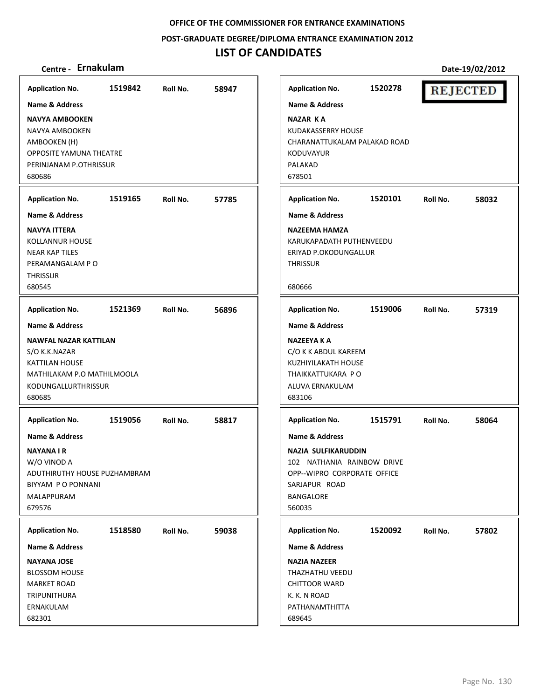**POST‐GRADUATE DEGREE/DIPLOMA ENTRANCE EXAMINATION 2012**

# **LIST OF CANDIDATES**

| <b>Application No.</b><br><b>Name &amp; Address</b><br><b>NAVYA AMBOOKEN</b><br>NAVYA AMBOOKEN<br>AMBOOKEN (H)<br>OPPOSITE YAMUNA THEATRE<br>PERINJANAM P.OTHRISSUR<br>680686         | 1519842 | Roll No. | 58947 | <b>Application No.</b><br><b>Name &amp; Address</b><br><b>NAZAR KA</b><br><b>KUDAKASSERRY HOUSE</b><br>CHARANATTUKALAM PALAKAD ROAD<br><b>KODUVAYUR</b><br>PALAKAD<br>678501    | 1520278 | <b>REJECTED</b> |       |
|---------------------------------------------------------------------------------------------------------------------------------------------------------------------------------------|---------|----------|-------|---------------------------------------------------------------------------------------------------------------------------------------------------------------------------------|---------|-----------------|-------|
| <b>Application No.</b><br><b>Name &amp; Address</b><br>NAVYA ITTERA<br>KOLLANNUR HOUSE<br><b>NEAR KAP TILES</b><br>PERAMANGALAM PO<br><b>THRISSUR</b><br>680545                       | 1519165 | Roll No. | 57785 | <b>Application No.</b><br><b>Name &amp; Address</b><br>NAZEEMA HAMZA<br>KARUKAPADATH PUTHENVEEDU<br>ERIYAD P.OKODUNGALLUR<br><b>THRISSUR</b><br>680666                          | 1520101 | Roll No.        | 58032 |
| <b>Application No.</b><br><b>Name &amp; Address</b><br><b>NAWFAL NAZAR KATTILAN</b><br>S/O K.K.NAZAR<br>KATTILAN HOUSE<br>MATHILAKAM P.O MATHILMOOLA<br>KODUNGALLURTHRISSUR<br>680685 | 1521369 | Roll No. | 56896 | <b>Application No.</b><br><b>Name &amp; Address</b><br><b>NAZEEYA K A</b><br>C/O K K ABDUL KAREEM<br>KUZHIYILAKATH HOUSE<br>THAIKKATTUKARA PO<br>ALUVA ERNAKULAM<br>683106      | 1519006 | Roll No.        | 57319 |
| <b>Application No.</b><br><b>Name &amp; Address</b><br>NAYANA I R<br>W/O VINOD A<br>ADUTHIRUTHY HOUSE PUZHAMBRAM<br>BIYYAM PO PONNANI<br>MALAPPURAM<br>679576                         | 1519056 | Roll No. | 58817 | <b>Application No.</b><br><b>Name &amp; Address</b><br>NAZIA SULFIKARUDDIN<br>102 NATHANIA RAINBOW DRIVE<br>OPP--WIPRO CORPORATE OFFICE<br>SARJAPUR ROAD<br>BANGALORE<br>560035 | 1515791 | Roll No.        | 58064 |
| <b>Application No.</b><br><b>Name &amp; Address</b><br><b>NAYANA JOSE</b><br><b>BLOSSOM HOUSE</b><br><b>MARKET ROAD</b><br>TRIPUNITHURA<br>ERNAKULAM<br>682301                        | 1518580 | Roll No. | 59038 | <b>Application No.</b><br><b>Name &amp; Address</b><br><b>NAZIA NAZEER</b><br>THAZHATHU VEEDU<br><b>CHITTOOR WARD</b><br>K. K. N ROAD<br>PATHANAMTHITTA<br>689645               | 1520092 | Roll No.        | 57802 |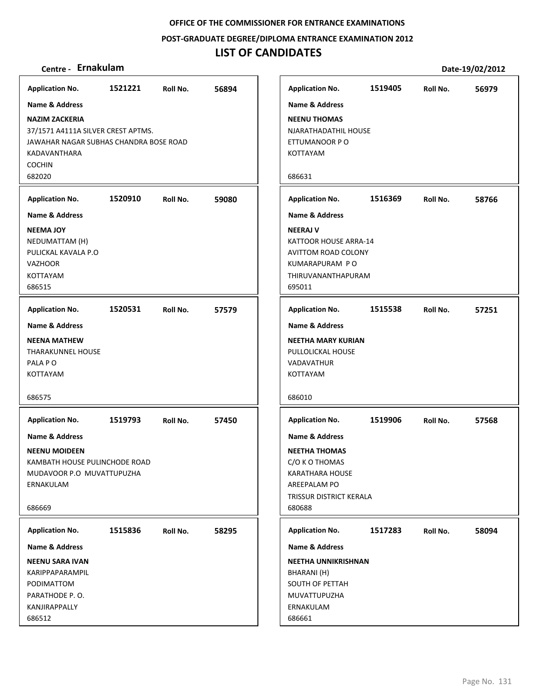**POST‐GRADUATE DEGREE/DIPLOMA ENTRANCE EXAMINATION 2012**

| <b>Application No.</b>    |                           | 1521221                                | Roll No. | 56894 |
|---------------------------|---------------------------|----------------------------------------|----------|-------|
| <b>Name &amp; Address</b> |                           |                                        |          |       |
| <b>NAZIM ZACKERIA</b>     |                           | 37/1571 A4111A SILVER CREST APTMS.     |          |       |
|                           |                           | JAWAHAR NAGAR SUBHAS CHANDRA BOSE ROAD |          |       |
| KADAVANTHARA              |                           |                                        |          |       |
| <b>COCHIN</b><br>682020   |                           |                                        |          |       |
|                           |                           |                                        |          |       |
| <b>Application No.</b>    |                           | 1520910                                | Roll No. | 59080 |
| <b>Name &amp; Address</b> |                           |                                        |          |       |
| <b>NEEMA JOY</b>          |                           |                                        |          |       |
| NEDUMATTAM (H)            | PULICKAL KAVALA P.O       |                                        |          |       |
| <b>VAZHOOR</b>            |                           |                                        |          |       |
| <b>KOTTAYAM</b>           |                           |                                        |          |       |
| 686515                    |                           |                                        |          |       |
| <b>Application No.</b>    |                           | 1520531 Roll No.                       |          | 57579 |
| <b>Name &amp; Address</b> |                           |                                        |          |       |
| <b>NEENA MATHEW</b>       |                           |                                        |          |       |
|                           | <b>THARAKUNNEL HOUSE</b>  |                                        |          |       |
| PALA PO                   |                           |                                        |          |       |
| <b>KOTTAYAM</b>           |                           |                                        |          |       |
| 686575                    |                           |                                        |          |       |
| <b>Application No.</b>    |                           | 1519793                                | Roll No. | 57450 |
| <b>Name &amp; Address</b> |                           |                                        |          |       |
| <b>NEENU MOIDEEN</b>      |                           |                                        |          |       |
|                           |                           | KAMBATH HOUSE PULINCHODE ROAD          |          |       |
|                           | MUDAVOOR P.O MUVATTUPUZHA |                                        |          |       |
| ERNAKULAM                 |                           |                                        |          |       |
| 686669                    |                           |                                        |          |       |
| <b>Application No.</b>    |                           | 1515836                                | Roll No. | 58295 |
| <b>Name &amp; Address</b> |                           |                                        |          |       |
| <b>NEENU SARA IVAN</b>    |                           |                                        |          |       |
| KARIPPAPARAMPIL           |                           |                                        |          |       |
| PODIMATTOM                |                           |                                        |          |       |
| PARATHODE P.O.            |                           |                                        |          |       |
| KANJIRAPPALLY<br>686512   |                           |                                        |          |       |
|                           |                           |                                        |          |       |

| Centre - Ernakulam                        |         |          |       |                              |         |          | Date-19/02/2012 |
|-------------------------------------------|---------|----------|-------|------------------------------|---------|----------|-----------------|
| olication No.                             | 1521221 | Roll No. | 56894 | <b>Application No.</b>       | 1519405 | Roll No. | 56979           |
| ne & Address                              |         |          |       | Name & Address               |         |          |                 |
| ZIM ZACKERIA                              |         |          |       | <b>NEENU THOMAS</b>          |         |          |                 |
| 1571 A4111A SILVER CREST APTMS.           |         |          |       | NJARATHADATHIL HOUSE         |         |          |                 |
| VAHAR NAGAR SUBHAS CHANDRA BOSE ROAD      |         |          |       | ETTUMANOOR P O               |         |          |                 |
| )AVANTHARA                                |         |          |       | KOTTAYAM                     |         |          |                 |
| CHIN                                      |         |          |       |                              |         |          |                 |
| 020                                       |         |          |       | 686631                       |         |          |                 |
| olication No.                             | 1520910 | Roll No. | 59080 | <b>Application No.</b>       | 1516369 | Roll No. | 58766           |
| ne & Address                              |         |          |       | Name & Address               |         |          |                 |
| MA JOY!                                   |         |          |       | <b>NEERAJ V</b>              |         |          |                 |
| )UMATTAM (H)                              |         |          |       | <b>KATTOOR HOUSE ARRA-14</b> |         |          |                 |
| ICKAL KAVALA P.O.                         |         |          |       | <b>AVITTOM ROAD COLONY</b>   |         |          |                 |
| 'HOOR                                     |         |          |       | KUMARAPURAM PO               |         |          |                 |
| TAYAM                                     |         |          |       | THIRUVANANTHAPURAM           |         |          |                 |
| 515                                       |         |          |       | 695011                       |         |          |                 |
| olication No.                             | 1520531 | Roll No. | 57579 | <b>Application No.</b>       | 1515538 | Roll No. | 57251           |
| ne & Address                              |         |          |       | Name & Address               |         |          |                 |
| NA MATHEW:                                |         |          |       | NEETHA MARY KURIAN           |         |          |                 |
| <b>ARAKUNNEL HOUSE</b>                    |         |          |       | PULLOLICKAL HOUSE            |         |          |                 |
| A P O                                     |         |          |       | VADAVATHUR                   |         |          |                 |
| <b>TAYAM</b>                              |         |          |       | <b>KOTTAYAM</b>              |         |          |                 |
|                                           |         |          |       | 686010                       |         |          |                 |
| 575                                       |         |          |       |                              |         |          |                 |
| olication No.                             | 1519793 | Roll No. | 57450 | <b>Application No.</b>       | 1519906 | Roll No. | 57568           |
| ne & Address                              |         |          |       | <b>Name &amp; Address</b>    |         |          |                 |
| NU MOIDEEN:                               |         |          |       | <b>NEETHA THOMAS</b>         |         |          |                 |
| <b><i>ABATH HOUSE PULINCHODE ROAD</i></b> |         |          |       | C/O K O THOMAS               |         |          |                 |
| DAVOOR P.O MUVATTUPUZHA                   |         |          |       | <b>KARATHARA HOUSE</b>       |         |          |                 |
| IAKULAM                                   |         |          |       | AREEPALAM PO                 |         |          |                 |
|                                           |         |          |       | TRISSUR DISTRICT KERALA      |         |          |                 |
| 669                                       |         |          |       | 680688                       |         |          |                 |
| olication No.                             | 1515836 | Roll No. | 58295 | <b>Application No.</b>       | 1517283 | Roll No. | 58094           |
| ne & Address                              |         |          |       | Name & Address               |         |          |                 |
| NU SARA IVAN:                             |         |          |       | <b>NEETHA UNNIKRISHNAN</b>   |         |          |                 |
| <b>IPPAPARAMPIL</b>                       |         |          |       | BHARANI (H)                  |         |          |                 |
| NOTTAMIC                                  |         |          |       | SOUTH OF PETTAH              |         |          |                 |
| ATHODE P.O.                               |         |          |       | MUVATTUPUZHA                 |         |          |                 |
| <b>JJIRAPPALLY</b>                        |         |          |       | ERNAKULAM                    |         |          |                 |
| 512                                       |         |          |       | 686661                       |         |          |                 |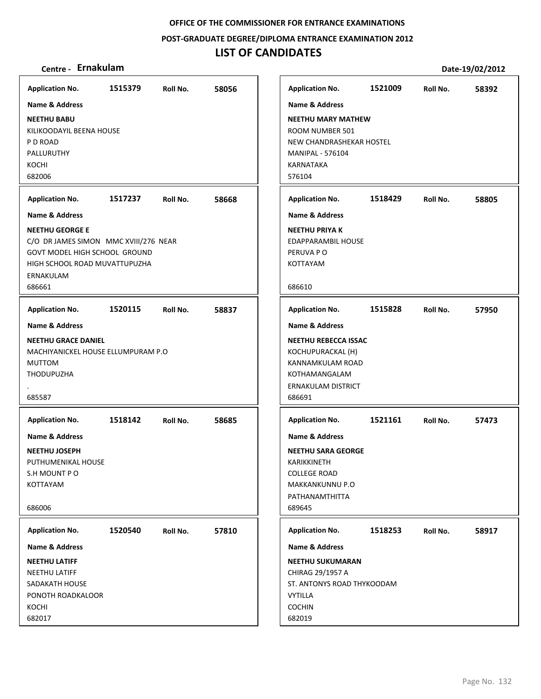### **POST‐GRADUATE DEGREE/DIPLOMA ENTRANCE EXAMINATION 2012**

| Centre - Ernakulam                                                                                                                                       |         |          |       |                                                                                                                            |         |          | Date-19/02/2012 |
|----------------------------------------------------------------------------------------------------------------------------------------------------------|---------|----------|-------|----------------------------------------------------------------------------------------------------------------------------|---------|----------|-----------------|
| <b>Application No.</b>                                                                                                                                   | 1515379 | Roll No. | 58056 | <b>Application No.</b>                                                                                                     | 1521009 | Roll No. | 58392           |
| <b>Name &amp; Address</b>                                                                                                                                |         |          |       | <b>Name &amp; Address</b>                                                                                                  |         |          |                 |
| <b>NEETHU BABU</b><br>KILIKOODAYIL BEENA HOUSE<br>P D ROAD<br>PALLURUTHY<br>KOCHI<br>682006                                                              |         |          |       | <b>NEETHU MARY MATHEW</b><br>ROOM NUMBER 501<br>NEW CHANDRASHEKAR HOSTEL<br><b>MANIPAL - 576104</b><br>KARNATAKA<br>576104 |         |          |                 |
| <b>Application No.</b>                                                                                                                                   | 1517237 | Roll No. | 58668 | <b>Application No.</b>                                                                                                     | 1518429 | Roll No. | 58805           |
| <b>Name &amp; Address</b>                                                                                                                                |         |          |       | <b>Name &amp; Address</b>                                                                                                  |         |          |                 |
| <b>NEETHU GEORGE E</b><br>C/O DR JAMES SIMON MMC XVIII/276 NEAR<br>GOVT MODEL HIGH SCHOOL GROUND<br>HIGH SCHOOL ROAD MUVATTUPUZHA<br>ERNAKULAM<br>686661 |         |          |       | <b>NEETHU PRIYAK</b><br>EDAPPARAMBIL HOUSE<br>PERUVA PO<br>KOTTAYAM<br>686610                                              |         |          |                 |
| <b>Application No.</b>                                                                                                                                   | 1520115 | Roll No. | 58837 | <b>Application No.</b>                                                                                                     | 1515828 | Roll No. | 57950           |
| <b>Name &amp; Address</b>                                                                                                                                |         |          |       | <b>Name &amp; Address</b>                                                                                                  |         |          |                 |
| <b>NEETHU GRACE DANIEL</b><br>MACHIYANICKEL HOUSE ELLUMPURAM P.O.<br><b>MUTTOM</b><br><b>THODUPUZHA</b>                                                  |         |          |       | <b>NEETHU REBECCA ISSAC</b><br>KOCHUPURACKAL (H)<br>KANNAMKULAM ROAD<br>KOTHAMANGALAM<br>ERNAKULAM DISTRICT                |         |          |                 |
| 685587                                                                                                                                                   |         |          |       | 686691                                                                                                                     |         |          |                 |
| <b>Application No.</b>                                                                                                                                   | 1518142 | Roll No. | 58685 | <b>Application No.</b>                                                                                                     | 1521161 | Roll No. | 57473           |
| <b>Name &amp; Address</b>                                                                                                                                |         |          |       | Name & Address                                                                                                             |         |          |                 |
| <b>NEETHU JOSEPH</b><br>PUTHUMENIKAL HOUSE<br>S.H MOUNT P O<br>KOTTAYAM<br>686006                                                                        |         |          |       | <b>NEETHU SARA GEORGE</b><br>KARIKKINETH<br><b>COLLEGE ROAD</b><br>MAKKANKUNNU P.O<br>PATHANAMTHITTA<br>689645             |         |          |                 |
| <b>Application No.</b>                                                                                                                                   | 1520540 | Roll No. | 57810 | <b>Application No.</b>                                                                                                     | 1518253 | Roll No. | 58917           |
| Name & Address                                                                                                                                           |         |          |       | Name & Address                                                                                                             |         |          |                 |
| <b>NEETHU LATIFF</b><br>NEETHU LATIFF<br>SADAKATH HOUSE<br>PONOTH ROADKALOOR<br>KOCHI<br>682017                                                          |         |          |       | <b>NEETHU SUKUMARAN</b><br>CHIRAG 29/1957 A<br>ST. ANTONYS ROAD THYKOODAM<br><b>VYTILLA</b><br><b>COCHIN</b><br>682019     |         |          |                 |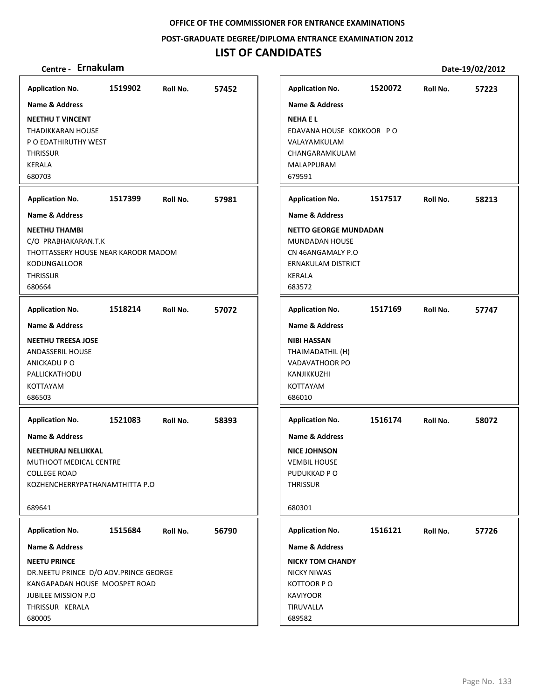**POST‐GRADUATE DEGREE/DIPLOMA ENTRANCE EXAMINATION 2012**

| Centre - Ernakulam                                                                                                                                        |         |          |       |                                                                                                                      |         |          | Date-19/02/2012 |
|-----------------------------------------------------------------------------------------------------------------------------------------------------------|---------|----------|-------|----------------------------------------------------------------------------------------------------------------------|---------|----------|-----------------|
| <b>Application No.</b>                                                                                                                                    | 1519902 | Roll No. | 57452 | <b>Application No.</b>                                                                                               | 1520072 | Roll No. | 57223           |
| <b>Name &amp; Address</b>                                                                                                                                 |         |          |       | <b>Name &amp; Address</b>                                                                                            |         |          |                 |
| <b>NEETHU T VINCENT</b><br><b>THADIKKARAN HOUSE</b><br>P O EDATHIRUTHY WEST<br><b>THRISSUR</b><br><b>KERALA</b><br>680703                                 |         |          |       | <b>NEHAEL</b><br>EDAVANA HOUSE KOKKOOR PO<br>VALAYAMKULAM<br>CHANGARAMKULAM<br><b>MALAPPURAM</b><br>679591           |         |          |                 |
| <b>Application No.</b>                                                                                                                                    | 1517399 | Roll No. | 57981 | <b>Application No.</b>                                                                                               | 1517517 | Roll No. | 58213           |
| <b>Name &amp; Address</b>                                                                                                                                 |         |          |       | <b>Name &amp; Address</b>                                                                                            |         |          |                 |
| <b>NEETHU THAMBI</b><br>C/O PRABHAKARAN.T.K<br>THOTTASSERY HOUSE NEAR KAROOR MADOM<br><b>KODUNGALLOOR</b><br><b>THRISSUR</b><br>680664                    |         |          |       | <b>NETTO GEORGE MUNDADAN</b><br>MUNDADAN HOUSE<br>CN 46ANGAMALY P.O<br>ERNAKULAM DISTRICT<br><b>KERALA</b><br>683572 |         |          |                 |
| <b>Application No.</b>                                                                                                                                    | 1518214 | Roll No. | 57072 | <b>Application No.</b>                                                                                               | 1517169 | Roll No. | 57747           |
| <b>Name &amp; Address</b>                                                                                                                                 |         |          |       | <b>Name &amp; Address</b>                                                                                            |         |          |                 |
| <b>NEETHU TREESA JOSE</b><br><b>ANDASSERIL HOUSE</b><br>ANICKADU P O<br>PALLICKATHODU<br>KOTTAYAM<br>686503                                               |         |          |       | <b>NIBI HASSAN</b><br>THAIMADATHIL (H)<br><b>VADAVATHOOR PO</b><br>KANJIKKUZHI<br>KOTTAYAM<br>686010                 |         |          |                 |
| <b>Application No.</b>                                                                                                                                    | 1521083 | Roll No. | 58393 | <b>Application No.</b>                                                                                               | 1516174 | Roll No. | 58072           |
| <b>Name &amp; Address</b><br>NEETHURAJ NELLIKKAL<br>MUTHOOT MEDICAL CENTRE<br><b>COLLEGE ROAD</b><br>KOZHENCHERRYPATHANAMTHITTA P.O<br>689641             |         |          |       | <b>Name &amp; Address</b><br><b>NICE JOHNSON</b><br><b>VEMBIL HOUSE</b><br>PUDUKKAD P O<br><b>THRISSUR</b><br>680301 |         |          |                 |
| <b>Application No.</b>                                                                                                                                    | 1515684 | Roll No. | 56790 | <b>Application No.</b>                                                                                               | 1516121 | Roll No. | 57726           |
| <b>Name &amp; Address</b>                                                                                                                                 |         |          |       | <b>Name &amp; Address</b>                                                                                            |         |          |                 |
| <b>NEETU PRINCE</b><br>DR.NEETU PRINCE D/O ADV.PRINCE GEORGE<br>KANGAPADAN HOUSE MOOSPET ROAD<br><b>JUBILEE MISSION P.O.</b><br>THRISSUR KERALA<br>680005 |         |          |       | <b>NICKY TOM CHANDY</b><br><b>NICKY NIWAS</b><br>KOTTOOR PO<br><b>KAVIYOOR</b><br>TIRUVALLA<br>689582                |         |          |                 |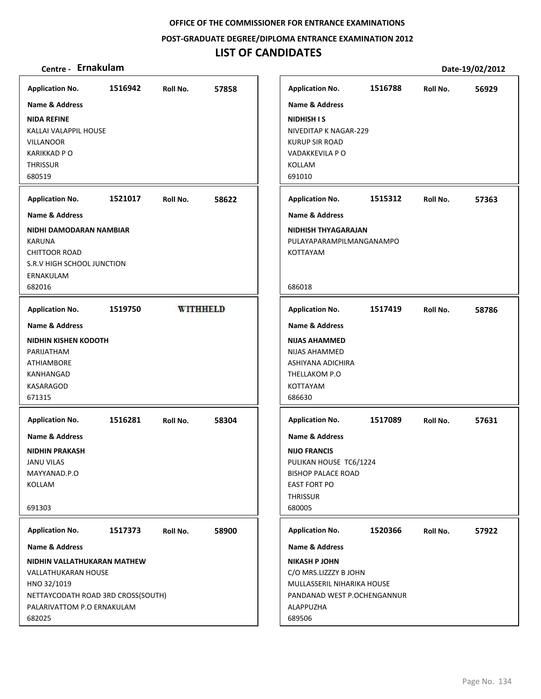**POST‐GRADUATE DEGREE/DIPLOMA ENTRANCE EXAMINATION 2012**

## **LIST OF CANDIDATES**

| <b>Application No.</b>             | 1516942 | Roll No. | 57858           | <b>Application No.</b>      | 1516788 | Roll No. | 56929 |
|------------------------------------|---------|----------|-----------------|-----------------------------|---------|----------|-------|
| <b>Name &amp; Address</b>          |         |          |                 | <b>Name &amp; Address</b>   |         |          |       |
| <b>NIDA REFINE</b>                 |         |          |                 | <b>NIDHISH IS</b>           |         |          |       |
| KALLAI VALAPPIL HOUSE              |         |          |                 | NIVEDITAP K NAGAR-229       |         |          |       |
| <b>VILLANOOR</b>                   |         |          |                 | <b>KURUP SIR ROAD</b>       |         |          |       |
| <b>KARIKKAD PO</b>                 |         |          |                 | VADAKKEVILA P O             |         |          |       |
| <b>THRISSUR</b>                    |         |          |                 | KOLLAM                      |         |          |       |
| 680519                             |         |          |                 | 691010                      |         |          |       |
| <b>Application No.</b>             | 1521017 | Roll No. | 58622           | <b>Application No.</b>      | 1515312 | Roll No. | 57363 |
| Name & Address                     |         |          |                 | <b>Name &amp; Address</b>   |         |          |       |
| NIDHI DAMODARAN NAMBIAR            |         |          |                 | NIDHISH THYAGARAJAN         |         |          |       |
| <b>KARUNA</b>                      |         |          |                 | PULAYAPARAMPILMANGANAMPO    |         |          |       |
| <b>CHITTOOR ROAD</b>               |         |          |                 | <b>KOTTAYAM</b>             |         |          |       |
| S.R.V HIGH SCHOOL JUNCTION         |         |          |                 |                             |         |          |       |
| ERNAKULAM<br>682016                |         |          |                 | 686018                      |         |          |       |
|                                    |         |          |                 |                             |         |          |       |
| <b>Application No.</b>             | 1519750 |          | <b>WITHHELD</b> | <b>Application No.</b>      | 1517419 | Roll No. | 58786 |
| <b>Name &amp; Address</b>          |         |          |                 | <b>Name &amp; Address</b>   |         |          |       |
| <b>NIDHIN KISHEN KODOTH</b>        |         |          |                 | <b>NIJAS AHAMMED</b>        |         |          |       |
| PARIJATHAM                         |         |          |                 | <b>NIJAS AHAMMED</b>        |         |          |       |
| <b>ATHIAMBORE</b>                  |         |          |                 | ASHIYANA ADICHIRA           |         |          |       |
| KANHANGAD                          |         |          |                 | THELLAKOM P.O               |         |          |       |
| <b>KASARAGOD</b>                   |         |          |                 | KOTTAYAM<br>686630          |         |          |       |
| 671315                             |         |          |                 |                             |         |          |       |
| <b>Application No.</b>             | 1516281 | Roll No. | 58304           | <b>Application No.</b>      | 1517089 | Roll No. | 57631 |
| Name & Address                     |         |          |                 | <b>Name &amp; Address</b>   |         |          |       |
| <b>NIDHIN PRAKASH</b>              |         |          |                 | <b>NIJO FRANCIS</b>         |         |          |       |
| <b>JANU VILAS</b>                  |         |          |                 | PULIKAN HOUSE TC6/1224      |         |          |       |
| MAYYANAD.P.O                       |         |          |                 | <b>BISHOP PALACE ROAD</b>   |         |          |       |
| KOLLAM                             |         |          |                 | <b>EAST FORT PO</b>         |         |          |       |
|                                    |         |          |                 | <b>THRISSUR</b>             |         |          |       |
| 691303                             |         |          |                 | 680005                      |         |          |       |
| <b>Application No.</b>             | 1517373 | Roll No. | 58900           | <b>Application No.</b>      | 1520366 | Roll No. | 57922 |
| Name & Address                     |         |          |                 | Name & Address              |         |          |       |
| NIDHIN VALLATHUKARAN MATHEW        |         |          |                 | <b>NIKASH P JOHN</b>        |         |          |       |
| <b>VALLATHUKARAN HOUSE</b>         |         |          |                 | C/O MRS.LIZZZY B JOHN       |         |          |       |
| HNO 32/1019                        |         |          |                 | MULLASSERIL NIHARIKA HOUSE  |         |          |       |
| NETTAYCODATH ROAD 3RD CROSS(SOUTH) |         |          |                 | PANDANAD WEST P.OCHENGANNUR |         |          |       |
| PALARIVATTOM P.O ERNAKULAM         |         |          |                 | ALAPPUZHA                   |         |          |       |
| 682025                             |         |          |                 | 689506                      |         |          |       |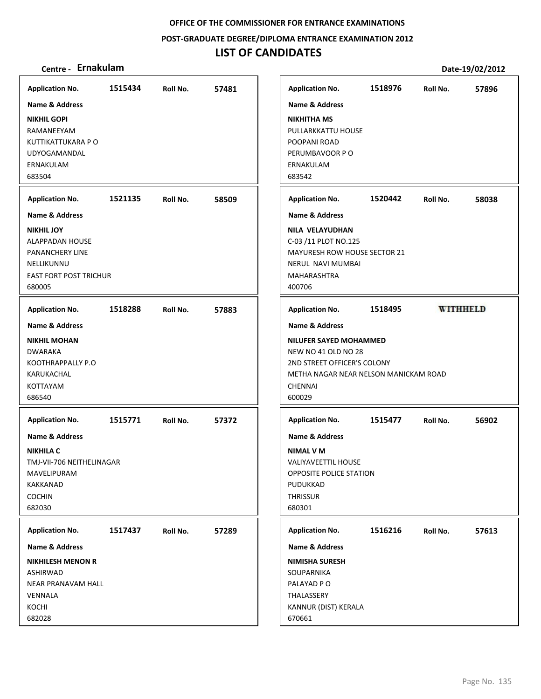**POST‐GRADUATE DEGREE/DIPLOMA ENTRANCE EXAMINATION 2012**

## **LIST OF CANDIDATES**

| <b>Application No.</b>                                                                                                                                     | 1515434 | Roll No. | 57481 |
|------------------------------------------------------------------------------------------------------------------------------------------------------------|---------|----------|-------|
| Name & Address<br><b>NIKHIL GOPI</b><br>RAMANEEYAM<br>KUTTIKATTUKARA P O<br><b>UDYOGAMANDAL</b><br>ERNAKULAM<br>683504                                     |         |          |       |
| <b>Application No.</b>                                                                                                                                     | 1521135 | Roll No. | 58509 |
| <b>Name &amp; Address</b>                                                                                                                                  |         |          |       |
| <b>NIKHIL JOY</b><br>ALAPPADAN HOUSE<br>PANANCHERY LINE<br>NELLIKUNNU<br><b>EAST FORT POST TRICHUR</b><br>680005                                           |         |          |       |
| <b>Application No.</b>                                                                                                                                     | 1518288 | Roll No. | 57883 |
| Name & Address<br><b>NIKHIL MOHAN</b><br><b>DWARAKA</b><br>KOOTHRAPPALLY P.O<br>KARUKACHAL<br>KOTTAYAM<br>686540                                           |         |          |       |
| <b>Application No.</b><br><b>Name &amp; Address</b><br><b>NIKHILA C</b><br>TMJ-VII-706 NEITHELINAGAR<br>MAVELIPURAM<br>KAKKANAD<br><b>COCHIN</b><br>682030 | 1515771 | Roll No. | 57372 |
|                                                                                                                                                            |         |          |       |
| <b>Application No.</b><br>Name & Address                                                                                                                   | 1517437 | Roll No. | 57289 |
| <b>NIKHILESH MENON R</b><br>ASHIRWAD<br>NEAR PRANAVAM HALL<br>VENNALA<br>KOCHI<br>682028                                                                   |         |          |       |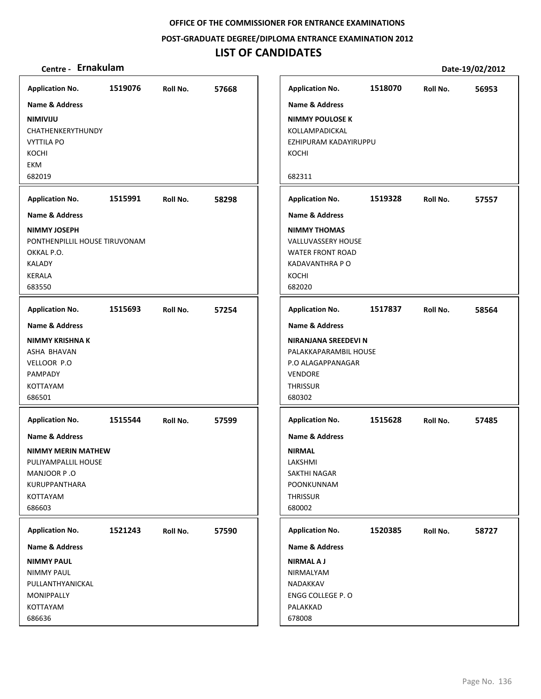**POST‐GRADUATE DEGREE/DIPLOMA ENTRANCE EXAMINATION 2012**

## **LIST OF CANDIDATES**

| <b>Application No.</b>                                                                                                                             | 1519076 | Roll No. | 57668 |
|----------------------------------------------------------------------------------------------------------------------------------------------------|---------|----------|-------|
| Name & Address                                                                                                                                     |         |          |       |
| NIMIVIJU<br>CHATHENKERYTHUNDY<br><b>VYTTILA PO</b><br>KOCHI<br>EKM<br>682019                                                                       |         |          |       |
| <b>Application No.</b>                                                                                                                             | 1515991 | Roll No. | 58298 |
| Name & Address                                                                                                                                     |         |          |       |
| <b>NIMMY JOSEPH</b><br>PONTHENPILLIL HOUSE TIRUVONAM<br>OKKAL P.O.<br><b>KALADY</b><br><b>KERALA</b><br>683550                                     |         |          |       |
| <b>Application No.</b>                                                                                                                             | 1515693 | Roll No. | 57254 |
| <b>Name &amp; Address</b><br><b>NIMMY KRISHNA K</b><br>ASHA BHAVAN<br>VELLOOR P.O<br>PAMPADY<br>KOTTAYAM<br>686501                                 |         |          |       |
| <b>Application No.</b><br>Name & Address<br><b>NIMMY MERIN MATHEW</b><br>PULIYAMPALLIL HOUSE<br>MANJOOR P.O<br>KURUPPANTHARA<br>KOTTAYAM<br>686603 | 1515544 | Roll No. | 57599 |
| <b>Application No.</b>                                                                                                                             | 1521243 | Roll No. | 57590 |
| Name & Address                                                                                                                                     |         |          |       |
| <b>NIMMY PAUL</b><br><b>NIMMY PAUL</b><br>PULLANTHYANICKAL<br>MONIPPALLY<br>KOTTAYAM<br>686636                                                     |         |          |       |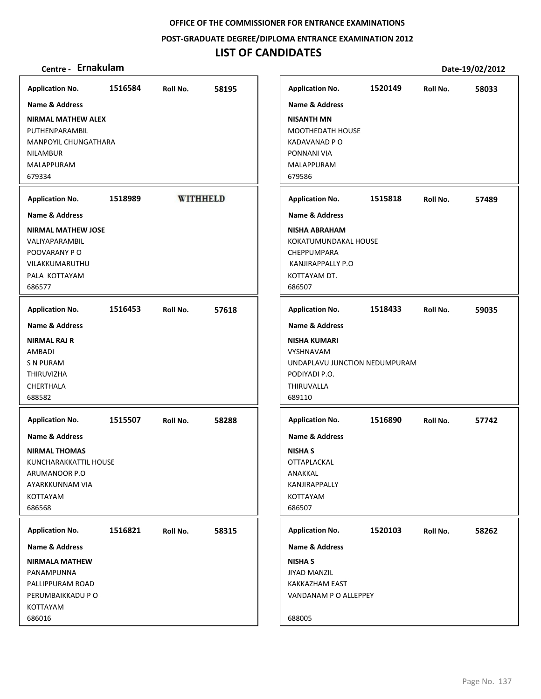**POST‐GRADUATE DEGREE/DIPLOMA ENTRANCE EXAMINATION 2012**

## **LIST OF CANDIDATES**

| <b>Application No.</b>                                                                                                               | 1516584 | Roll No.        | 58195 | <b>Application No.</b>                                                                                       | 1520149 | Roll No. | 58033 |
|--------------------------------------------------------------------------------------------------------------------------------------|---------|-----------------|-------|--------------------------------------------------------------------------------------------------------------|---------|----------|-------|
| Name & Address                                                                                                                       |         |                 |       | Name & Address                                                                                               |         |          |       |
| <b>NIRMAL MATHEW ALEX</b><br>PUTHENPARAMBIL<br>MANPOYIL CHUNGATHARA<br><b>NILAMBUR</b><br>MALAPPURAM<br>679334                       |         |                 |       | <b>NISANTH MN</b><br><b>MOOTHEDATH HOUSE</b><br>KADAVANAD P O<br>PONNANI VIA<br>MALAPPURAM<br>679586         |         |          |       |
| <b>Application No.</b>                                                                                                               | 1518989 | <b>WITHHELD</b> |       | <b>Application No.</b>                                                                                       | 1515818 | Roll No. | 57489 |
| <b>Name &amp; Address</b>                                                                                                            |         |                 |       | Name & Address                                                                                               |         |          |       |
| <b>NIRMAL MATHEW JOSE</b><br>VALIYAPARAMBIL<br>POOVARANY PO<br>VILAKKUMARUTHU<br>PALA KOTTAYAM<br>686577                             |         |                 |       | <b>NISHA ABRAHAM</b><br>KOKATUMUNDAKAL HOUSE<br>CHEPPUMPARA<br>KANJIRAPPALLY P.O<br>KOTTAYAM DT.<br>686507   |         |          |       |
| <b>Application No.</b>                                                                                                               | 1516453 | Roll No.        | 57618 | <b>Application No.</b>                                                                                       | 1518433 | Roll No. | 59035 |
| Name & Address                                                                                                                       |         |                 |       | Name & Address                                                                                               |         |          |       |
| <b>NIRMAL RAJ R</b><br>AMBADI<br>S N PURAM<br>THIRUVIZHA<br>CHERTHALA<br>688582                                                      |         |                 |       | <b>NISHA KUMARI</b><br>VYSHNAVAM<br>UNDAPLAVU JUNCTION NEDUMPURAM<br>PODIYADI P.O.<br>THIRUVALLA<br>689110   |         |          |       |
| <b>Application No.</b>                                                                                                               | 1515507 | Roll No.        | 58288 | <b>Application No.</b>                                                                                       | 1516890 | Roll No. | 57742 |
| <b>Name &amp; Address</b><br><b>NIRMAL THOMAS</b><br>KUNCHARAKKATTIL HOUSE<br>ARUMANOOR P.O<br>AYARKKUNNAM VIA<br>KOTTAYAM<br>686568 |         |                 |       | <b>Name &amp; Address</b><br><b>NISHA S</b><br>OTTAPLACKAL<br>ANAKKAL<br>KANJIRAPPALLY<br>KOTTAYAM<br>686507 |         |          |       |
| <b>Application No.</b>                                                                                                               | 1516821 | Roll No.        | 58315 | <b>Application No.</b>                                                                                       | 1520103 | Roll No. | 58262 |
| Name & Address                                                                                                                       |         |                 |       | Name & Address                                                                                               |         |          |       |
| <b>NIRMALA MATHEW</b><br>PANAMPUNNA<br>PALLIPPURAM ROAD<br>PERUMBAIKKADU P O<br>KOTTAYAM<br>686016                                   |         |                 |       | <b>NISHA S</b><br><b>JIYAD MANZIL</b><br>KAKKAZHAM EAST<br>VANDANAM P O ALLEPPEY<br>688005                   |         |          |       |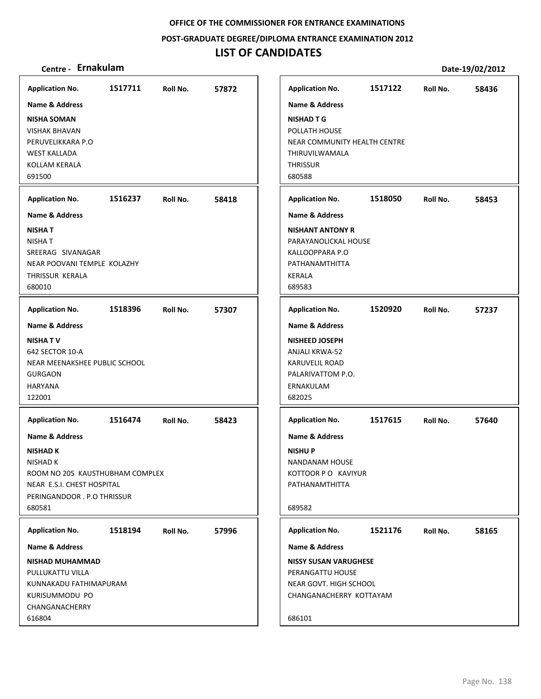**POST‐GRADUATE DEGREE/DIPLOMA ENTRANCE EXAMINATION 2012**

## **LIST OF CANDIDATES**

## **Centre ‐ Ernakulam Date‐19/02/2012**

**1517711 57872 NISHA SOMAN** VISHAK BHAVAN PERUVELIKKARA P.O WEST KALLADA KOLLAM KERALA 691500 **Application No. Name & Address 1516237 58418 NISHA T** NISHA T SREERAG SIVANAGAR NEAR POOVANI TEMPLE KOLAZHY THRISSUR KERALA 680010 **Application No. Name & Address 1518396 57307 NISHA T V** 642 SECTOR 10‐A NEAR MEENAKSHEE PUBLIC SCHOOL GURGAON HARYANA 122001 **Application No. Name & Address 1516474 58423 NISHAD K** NISHAD K ROOM NO 205 KAUSTHUBHAM COMPLEX NEAR E.S.I. CHEST HOSPITAL PERINGANDOOR . P.O THRISSUR 680581 **Application No. Name & Address 1518194 57996 NISHAD MUHAMMAD** PULLUKATTU VILLA KUNNAKADU FATHIMAPURAM KURISUMMODU PO CHANGANACHERRY 616804 **Application No. Name & Address 1517122 58436 NISHAD T G** POLLATH HOUSE NEAR COMMUNITY HEALTH CENTRE THIRUVILWAMALA **THRISSUR** 680588 **Application No. Name & Address 1518050 58453 NISHANT ANTONY R** PARAYANOLICKAL HOUSE KALLOOPPARA P.O PATHANAMTHITTA KERALA 689583 **Application No. Name & Address 1520920 57237 NISHEED JOSEPH** ANJALI KRWA‐52 KARUVELIL ROAD PALARIVATTOM P.O. ERNAKULAM 682025 **Application No. Name & Address 1517615 57640 NISHU P** NANDANAM HOUSE KOTTOOR P O KAVIYUR PATHANAMTHITTA 689582 **Application No. Name & Address 1521176 58165 NISSY SUSAN VARUGHESE** PERANGATTU HOUSE NEAR GOVT. HIGH SCHOOL CHANGANACHERRY KOTTAYAM 686101 **Application No. Name & Address**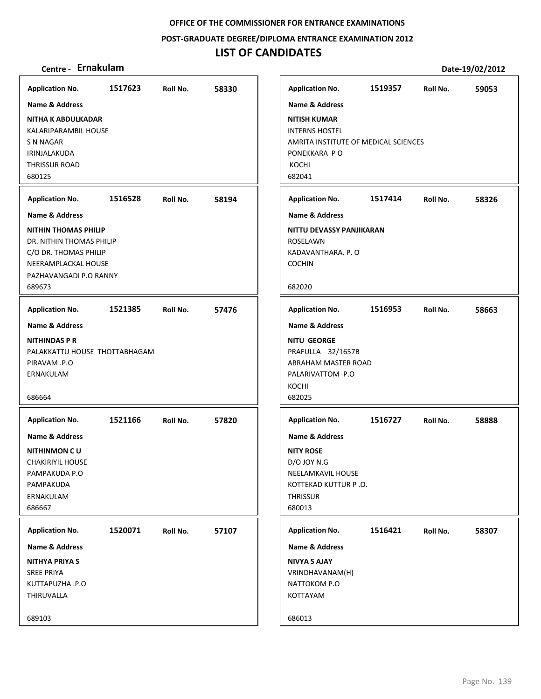**POST‐GRADUATE DEGREE/DIPLOMA ENTRANCE EXAMINATION 2012**

| Centre - Ernakulam                                                                                                                          |         |          |       |                                                                                                                                               |         |          | Date-19/02/2012 |
|---------------------------------------------------------------------------------------------------------------------------------------------|---------|----------|-------|-----------------------------------------------------------------------------------------------------------------------------------------------|---------|----------|-----------------|
| <b>Application No.</b>                                                                                                                      | 1517623 | Roll No. | 58330 | <b>Application No.</b>                                                                                                                        | 1519357 | Roll No. | 59053           |
| <b>Name &amp; Address</b>                                                                                                                   |         |          |       | <b>Name &amp; Address</b>                                                                                                                     |         |          |                 |
| <b>NITHA K ABDULKADAR</b><br>KALARIPARAMBIL HOUSE<br>S N NAGAR<br>IRINJALAKUDA<br><b>THRISSUR ROAD</b><br>680125                            |         |          |       | <b>NITISH KUMAR</b><br><b>INTERNS HOSTEL</b><br>AMRITA INSTITUTE OF MEDICAL SCIENCES<br>PONEKKARA PO<br>KOCHI<br>682041                       |         |          |                 |
| <b>Application No.</b>                                                                                                                      | 1516528 | Roll No. | 58194 | <b>Application No.</b>                                                                                                                        | 1517414 | Roll No. | 58326           |
| <b>Name &amp; Address</b>                                                                                                                   |         |          |       | <b>Name &amp; Address</b>                                                                                                                     |         |          |                 |
| <b>NITHIN THOMAS PHILIP</b><br>DR. NITHIN THOMAS PHILIP<br>C/O DR. THOMAS PHILIP<br>NEERAMPLACKAL HOUSE<br>PAZHAVANGADI P.O RANNY<br>689673 |         |          |       | NITTU DEVASSY PANJIKARAN<br>ROSELAWN<br>KADAVANTHARA, P. O<br><b>COCHIN</b><br>682020                                                         |         |          |                 |
| <b>Application No.</b>                                                                                                                      | 1521385 | Roll No. | 57476 | <b>Application No.</b>                                                                                                                        | 1516953 | Roll No. | 58663           |
| <b>Name &amp; Address</b><br><b>NITHINDAS P R</b><br>PALAKKATTU HOUSE THOTTABHAGAM<br>PIRAVAM .P.O<br>ERNAKULAM<br>686664                   |         |          |       | <b>Name &amp; Address</b><br><b>NITU GEORGE</b><br>PRAFULLA 32/1657B<br>ABRAHAM MASTER ROAD<br>PALARIVATTOM P.O<br>KOCHI<br>682025            |         |          |                 |
| <b>Application No.</b>                                                                                                                      | 1521166 | Roll No. | 57820 | <b>Application No.</b>                                                                                                                        | 1516727 | Roll No. | 58888           |
| <b>Name &amp; Address</b><br><b>NITHINMON CU</b><br><b>CHAKIRIYIL HOUSE</b><br>PAMPAKUDA P.O<br>PAMPAKUDA<br>ERNAKULAM<br>686667            |         |          |       | <b>Name &amp; Address</b><br><b>NITY ROSE</b><br><b>D/O JOY N.G</b><br>NEELAMKAVIL HOUSE<br>KOTTEKAD KUTTUR P.O.<br><b>THRISSUR</b><br>680013 |         |          |                 |
| <b>Application No.</b>                                                                                                                      | 1520071 | Roll No. | 57107 | <b>Application No.</b>                                                                                                                        | 1516421 | Roll No. | 58307           |
| <b>Name &amp; Address</b>                                                                                                                   |         |          |       | Name & Address                                                                                                                                |         |          |                 |
| <b>NITHYA PRIYA S</b><br><b>SREE PRIYA</b><br>KUTTAPUZHA .P.O<br>THIRUVALLA                                                                 |         |          |       | <b>NIVYA S AJAY</b><br>VRINDHAVANAM(H)<br>NATTOKOM P.O<br>KOTTAYAM                                                                            |         |          |                 |
| 689103                                                                                                                                      |         |          |       | 686013                                                                                                                                        |         |          |                 |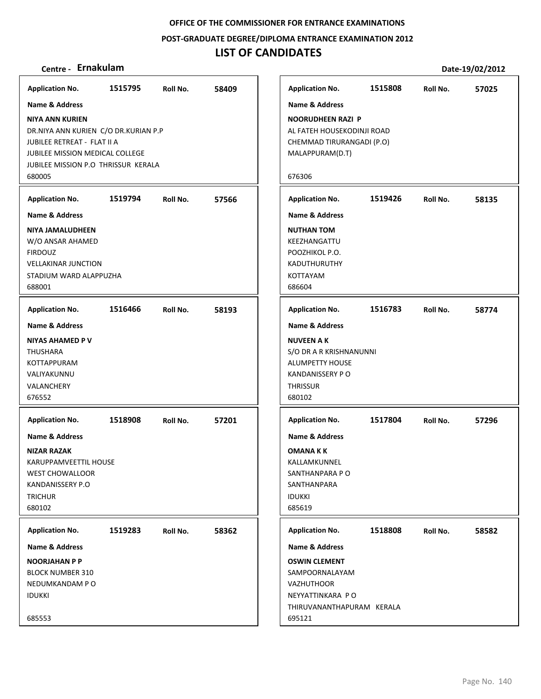**POST‐GRADUATE DEGREE/DIPLOMA ENTRANCE EXAMINATION 2012**

| <b>Application No.</b>                                                                                                                                                                                                | 1515795 | Roll No. | 58409 |
|-----------------------------------------------------------------------------------------------------------------------------------------------------------------------------------------------------------------------|---------|----------|-------|
| <b>Name &amp; Address</b><br><b>NIYA ANN KURIEN</b><br>DR.NIYA ANN KURIEN C/O DR.KURIAN P.P<br>JUBILEE RETREAT - FLAT II A<br><b>JUBILEE MISSION MEDICAL COLLEGE</b><br>JUBILEE MISSION P.O THRISSUR KERALA<br>680005 |         |          |       |
| <b>Application No.</b>                                                                                                                                                                                                | 1519794 | Roll No. | 57566 |
| Name & Address                                                                                                                                                                                                        |         |          |       |
| NIYA JAMALUDHEEN<br>W/O ANSAR AHAMED<br><b>FIRDOUZ</b><br><b>VELLAKINAR JUNCTION</b><br>STADIUM WARD ALAPPUZHA<br>688001                                                                                              |         |          |       |
| <b>Application No.</b>                                                                                                                                                                                                | 1516466 | Roll No. | 58193 |
| <b>Name &amp; Address</b>                                                                                                                                                                                             |         |          |       |
| <b>NIYAS AHAMED P V</b><br>THUSHARA<br><b>KOTTAPPURAM</b><br>VALIYAKUNNU<br>VALANCHERY<br>676552                                                                                                                      |         |          |       |
| <b>Application No.</b>                                                                                                                                                                                                | 1518908 | Roll No. | 57201 |
| <b>Name &amp; Address</b>                                                                                                                                                                                             |         |          |       |
| <b>NIZAR RAZAK</b><br>KARUPPAMVEETTIL HOUSE<br><b>WEST CHOWALLOOR</b><br>KANDANISSERY P.O<br><b>TRICHUR</b><br>680102                                                                                                 |         |          |       |
| <b>Application No.</b>                                                                                                                                                                                                | 1519283 | Roll No. | 58362 |
| <b>Name &amp; Address</b>                                                                                                                                                                                             |         |          |       |
| <b>NOORJAHAN P P</b><br><b>BLOCK NUMBER 310</b><br>NEDUMKANDAM P O<br><b>IDUKKI</b>                                                                                                                                   |         |          |       |
| 685553                                                                                                                                                                                                                |         |          |       |

| Centre - Ernakulam                                                                                                                                |         |          |       |
|---------------------------------------------------------------------------------------------------------------------------------------------------|---------|----------|-------|
| olication No.                                                                                                                                     | 1515795 | Roll No. | 58409 |
| ne & Address                                                                                                                                      |         |          |       |
| A ANN KURIEN<br>NIYA ANN KURIEN C/O DR.KURIAN P.P<br>ILEE RETREAT - FLAT II A<br>ILEE MISSION MEDICAL COLLEGE<br>ILEE MISSION P.O THRISSUR KERALA |         |          |       |
| 005                                                                                                                                               |         |          |       |
| olication No.                                                                                                                                     | 1519794 | Roll No. | 57566 |
| ne & Address                                                                                                                                      |         |          |       |
| A JAMALUDHEEN<br>O ANSAR AHAMED<br>20UZ<br>LAKINAR JUNCTION<br>DIUM WARD ALAPPUZHA<br>001                                                         |         |          |       |
| olication No.                                                                                                                                     | 1516466 | Roll No. | 58193 |
| ne & Address<br>AS AHAMED P V<br>JSHARA<br>TAPPURAM<br><b>IYAKUNNU</b><br>ANCHERY<br>552                                                          |         |          |       |
| olication No.                                                                                                                                     | 1518908 | Roll No. | 57201 |
| ne & Address<br>AR RAZAK<br>UPPAMVEETTIL HOUSE<br>ST CHOWALLOOR<br><b>JDANISSERY P.O</b><br>CHUR<br>102                                           |         |          |       |
| olication No.                                                                                                                                     | 1519283 | Roll No. | 58362 |
| ne & Address                                                                                                                                      |         |          |       |
| ORJAHAN P P<br>CK NUMBER 310<br>OUMKANDAM P O<br>KKI<br>553                                                                                       |         |          |       |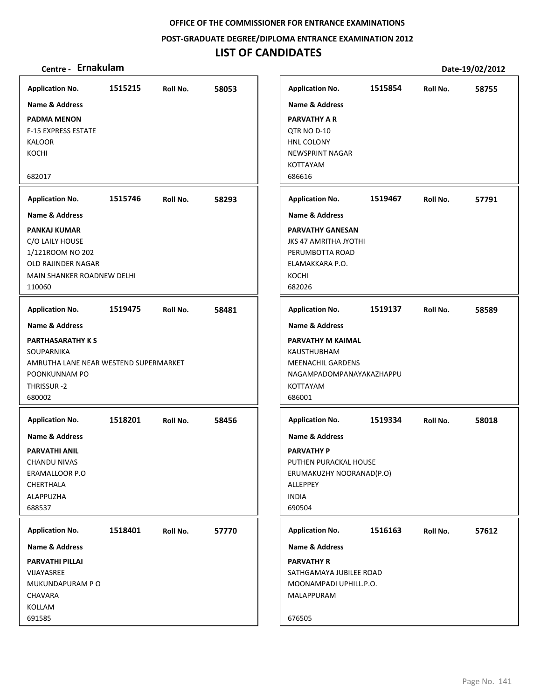### **POST‐GRADUATE DEGREE/DIPLOMA ENTRANCE EXAMINATION 2012**

| Centre - Ernakulam                                                                                                                        |         |          |       |                        |                                                                                                                                   |         |          | Date-19/02/2012 |
|-------------------------------------------------------------------------------------------------------------------------------------------|---------|----------|-------|------------------------|-----------------------------------------------------------------------------------------------------------------------------------|---------|----------|-----------------|
| <b>Application No.</b>                                                                                                                    | 1515215 | Roll No. | 58053 |                        | <b>Application No.</b>                                                                                                            | 1515854 | Roll No. | 58755           |
| <b>Name &amp; Address</b>                                                                                                                 |         |          |       |                        | <b>Name &amp; Address</b>                                                                                                         |         |          |                 |
| <b>PADMA MENON</b><br><b>F-15 EXPRESS ESTATE</b><br><b>KALOOR</b><br>KOCHI                                                                |         |          |       |                        | PARVATHY A R<br>QTR NO D-10<br>HNL COLONY<br>NEWSPRINT NAGAR<br>KOTTAYAM                                                          |         |          |                 |
| 682017                                                                                                                                    |         |          |       | 686616                 |                                                                                                                                   |         |          |                 |
| <b>Application No.</b>                                                                                                                    | 1515746 | Roll No. | 58293 |                        | <b>Application No.</b>                                                                                                            | 1519467 | Roll No. | 57791           |
| <b>Name &amp; Address</b>                                                                                                                 |         |          |       |                        | Name & Address                                                                                                                    |         |          |                 |
| <b>PANKAJ KUMAR</b><br>C/O LAILY HOUSE<br>1/121ROOM NO 202<br>OLD RAJINDER NAGAR<br>MAIN SHANKER ROADNEW DELHI<br>110060                  |         |          |       | KOCHI<br>682026        | <b>PARVATHY GANESAN</b><br><b>JKS 47 AMRITHA JYOTHI</b><br>PERUMBOTTA ROAD<br>ELAMAKKARA P.O.                                     |         |          |                 |
| <b>Application No.</b>                                                                                                                    | 1519475 | Roll No. | 58481 |                        | <b>Application No.</b>                                                                                                            | 1519137 | Roll No. | 58589           |
| Name & Address<br><b>PARTHASARATHY KS</b><br>SOUPARNIKA<br>AMRUTHA LANE NEAR WESTEND SUPERMARKET<br>POONKUNNAM PO<br>THRISSUR-2<br>680002 |         |          |       | 686001                 | <b>Name &amp; Address</b><br>PARVATHY M KAIMAL<br>KAUSTHUBHAM<br><b>MEENACHIL GARDENS</b><br>NAGAMPADOMPANAYAKAZHAPPU<br>KOTTAYAM |         |          |                 |
| <b>Application No.</b>                                                                                                                    | 1518201 | Roll No. | 58456 |                        | <b>Application No.</b>                                                                                                            | 1519334 | Roll No. | 58018           |
| <b>Name &amp; Address</b><br><b>PARVATHI ANIL</b><br>CHANDU NIVAS<br><b>ERAMALLOOR P.O</b><br>CHERTHALA<br><b>ALAPPUZHA</b><br>688537     |         |          |       | <b>INDIA</b><br>690504 | <b>Name &amp; Address</b><br><b>PARVATHY P</b><br>PUTHEN PURACKAL HOUSE<br>ERUMAKUZHY NOORANAD(P.O)<br>ALLEPPEY                   |         |          |                 |
| <b>Application No.</b>                                                                                                                    | 1518401 | Roll No. | 57770 |                        | <b>Application No.</b>                                                                                                            | 1516163 | Roll No. | 57612           |
| <b>Name &amp; Address</b>                                                                                                                 |         |          |       |                        | Name & Address                                                                                                                    |         |          |                 |
| <b>PARVATHI PILLAI</b><br>VIJAYASREE<br>MUKUNDAPURAM P O<br>CHAVARA<br>KOLLAM<br>691585                                                   |         |          |       | 676505                 | <b>PARVATHY R</b><br>SATHGAMAYA JUBILEE ROAD<br>MOONAMPADI UPHILL.P.O.<br>MALAPPURAM                                              |         |          |                 |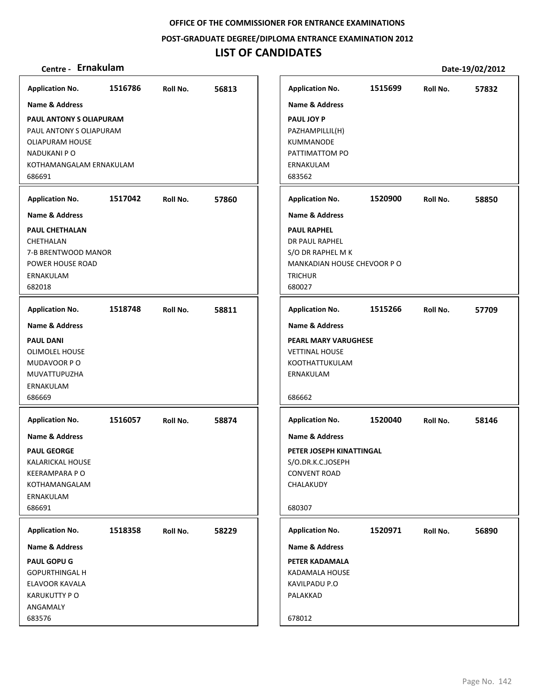**POST‐GRADUATE DEGREE/DIPLOMA ENTRANCE EXAMINATION 2012**

## **LIST OF CANDIDATES**

| <b>Application No.</b>                                                                                                              | 1516786 | Roll No. | 56813 | <b>Application No.</b>                                                                                                   | 1515699 | Roll No. | 57832 |
|-------------------------------------------------------------------------------------------------------------------------------------|---------|----------|-------|--------------------------------------------------------------------------------------------------------------------------|---------|----------|-------|
| <b>Name &amp; Address</b>                                                                                                           |         |          |       | <b>Name &amp; Address</b>                                                                                                |         |          |       |
| PAUL ANTONY S OLIAPURAM<br>PAUL ANTONY S OLIAPURAM<br><b>OLIAPURAM HOUSE</b><br>NADUKANI P O<br>KOTHAMANGALAM ERNAKULAM<br>686691   |         |          |       | <b>PAUL JOY P</b><br>PAZHAMPILLIL(H)<br>KUMMANODE<br>PATTIMATTOM PO<br>ERNAKULAM<br>683562                               |         |          |       |
| <b>Application No.</b>                                                                                                              | 1517042 | Roll No. | 57860 | <b>Application No.</b>                                                                                                   | 1520900 | Roll No. | 58850 |
| <b>Name &amp; Address</b>                                                                                                           |         |          |       | <b>Name &amp; Address</b>                                                                                                |         |          |       |
| <b>PAUL CHETHALAN</b><br>CHETHALAN<br>7-B BRENTWOOD MANOR<br>POWER HOUSE ROAD<br>ERNAKULAM<br>682018                                |         |          |       | <b>PAUL RAPHEL</b><br>DR PAUL RAPHEL<br>S/O DR RAPHEL M K<br>MANKADIAN HOUSE CHEVOOR PO<br><b>TRICHUR</b><br>680027      |         |          |       |
| <b>Application No.</b>                                                                                                              | 1518748 | Roll No. | 58811 | <b>Application No.</b>                                                                                                   | 1515266 | Roll No. | 57709 |
| <b>Name &amp; Address</b>                                                                                                           |         |          |       | <b>Name &amp; Address</b>                                                                                                |         |          |       |
| <b>PAUL DANI</b><br><b>OLIMOLEL HOUSE</b><br>MUDAVOOR PO<br>MUVATTUPUZHA<br>ERNAKULAM<br>686669                                     |         |          |       | PEARL MARY VARUGHESE<br><b>VETTINAL HOUSE</b><br>KOOTHATTUKULAM<br>ERNAKULAM<br>686662                                   |         |          |       |
| <b>Application No.</b>                                                                                                              | 1516057 | Roll No. | 58874 | <b>Application No.</b>                                                                                                   | 1520040 | Roll No. | 58146 |
| <b>Name &amp; Address</b><br><b>PAUL GEORGE</b><br>KALARICKAL HOUSE<br><b>KEERAMPARA PO</b><br>KOTHAMANGALAM<br>ERNAKULAM<br>686691 |         |          |       | <b>Name &amp; Address</b><br>PETER JOSEPH KINATTINGAL<br>S/O.DR.K.C.JOSEPH<br><b>CONVENT ROAD</b><br>CHALAKUDY<br>680307 |         |          |       |
| <b>Application No.</b>                                                                                                              | 1518358 | Roll No. | 58229 | <b>Application No.</b>                                                                                                   | 1520971 | Roll No. | 56890 |
| <b>Name &amp; Address</b>                                                                                                           |         |          |       | Name & Address                                                                                                           |         |          |       |
| <b>PAUL GOPU G</b><br><b>GOPURTHINGAL H</b><br>ELAVOOR KAVALA<br><b>KARUKUTTY PO</b><br>ANGAMALY<br>683576                          |         |          |       | PETER KADAMALA<br>KADAMALA HOUSE<br>KAVILPADU P.O<br>PALAKKAD<br>678012                                                  |         |          |       |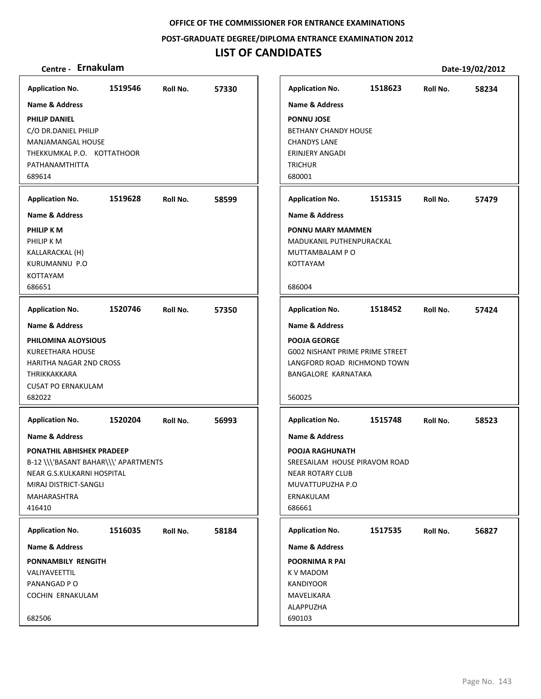**POST‐GRADUATE DEGREE/DIPLOMA ENTRANCE EXAMINATION 2012**

# **LIST OF CANDIDATES**

| <b>Application No.</b>                                                                                                                                                         | 1519546 | Roll No. | 57330 |
|--------------------------------------------------------------------------------------------------------------------------------------------------------------------------------|---------|----------|-------|
| Name & Address                                                                                                                                                                 |         |          |       |
| <b>PHILIP DANIEL</b><br>C/O DR.DANIEL PHILIP<br><b>MANJAMANGAL HOUSE</b><br>THEKKUMKAL P.O. KOTTATHOOR<br>PATHANAMTHITTA<br>689614                                             |         |          |       |
| <b>Application No.</b>                                                                                                                                                         | 1519628 | Roll No. | 58599 |
| <b>Name &amp; Address</b>                                                                                                                                                      |         |          |       |
| PHILIP K M<br>PHILIP K M<br>KALLARACKAL (H)<br><b>KURUMANNU P.O</b><br><b>KOTTAYAM</b><br>686651                                                                               |         |          |       |
|                                                                                                                                                                                | 1520746 |          |       |
| <b>Application No.</b><br><b>Name &amp; Address</b>                                                                                                                            |         | Roll No. | 57350 |
| PHILOMINA ALOYSIOUS<br>KUREETHARA HOUSE<br><b>HARITHA NAGAR 2ND CROSS</b><br>THRIKKAKKARA<br><b>CUSAT PO ERNAKULAM</b><br>682022                                               |         |          |       |
| <b>Application No.</b>                                                                                                                                                         | 1520204 | Roll No. | 56993 |
| <b>Name &amp; Address</b><br>PONATHIL ABHISHEK PRADEEP<br>B-12 \\\'BASANT BAHAR\\\' APARTMENTS<br>NEAR G.S.KULKARNI HOSPITAL<br>MIRAJ DISTRICT-SANGLI<br>MAHARASHTRA<br>416410 |         |          |       |
| <b>Application No.</b>                                                                                                                                                         | 1516035 | Roll No. | 58184 |
| <b>Name &amp; Address</b>                                                                                                                                                      |         |          |       |
| PONNAMBILY RENGITH                                                                                                                                                             |         |          |       |
| VALIYAVEETTIL                                                                                                                                                                  |         |          |       |
| PANANGAD P O                                                                                                                                                                   |         |          |       |
| <b>COCHIN ERNAKULAM</b>                                                                                                                                                        |         |          |       |
| 682506                                                                                                                                                                         |         |          |       |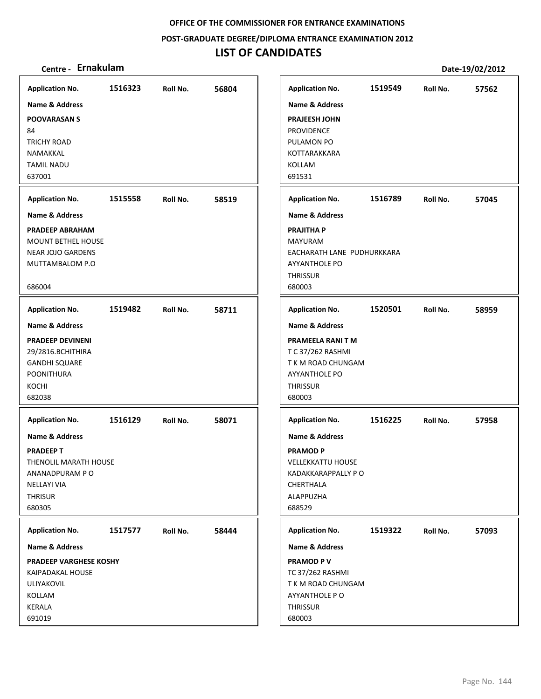### **POST‐GRADUATE DEGREE/DIPLOMA ENTRANCE EXAMINATION 2012**

# **LIST OF CANDIDATES**

| <b>Application No.</b>        | 1516323 | Roll No. | 56804 | <b>Application No.</b>     | 1519549 | Roll No. | 57562 |
|-------------------------------|---------|----------|-------|----------------------------|---------|----------|-------|
| Name & Address                |         |          |       | <b>Name &amp; Address</b>  |         |          |       |
| <b>POOVARASANS</b>            |         |          |       | <b>PRAJEESH JOHN</b>       |         |          |       |
| 84                            |         |          |       | PROVIDENCE                 |         |          |       |
| <b>TRICHY ROAD</b>            |         |          |       | PULAMON PO                 |         |          |       |
| NAMAKKAL                      |         |          |       | KOTTARAKKARA               |         |          |       |
| <b>TAMIL NADU</b>             |         |          |       | KOLLAM                     |         |          |       |
| 637001                        |         |          |       | 691531                     |         |          |       |
|                               |         |          |       |                            |         |          |       |
| <b>Application No.</b>        | 1515558 | Roll No. | 58519 | <b>Application No.</b>     | 1516789 | Roll No. | 57045 |
| Name & Address                |         |          |       | <b>Name &amp; Address</b>  |         |          |       |
| <b>PRADEEP ABRAHAM</b>        |         |          |       | <b>PRAJITHA P</b>          |         |          |       |
| <b>MOUNT BETHEL HOUSE</b>     |         |          |       | <b>MAYURAM</b>             |         |          |       |
| <b>NEAR JOJO GARDENS</b>      |         |          |       | EACHARATH LANE PUDHURKKARA |         |          |       |
| MUTTAMBALOM P.O               |         |          |       | <b>AYYANTHOLE PO</b>       |         |          |       |
|                               |         |          |       | <b>THRISSUR</b>            |         |          |       |
| 686004                        |         |          |       | 680003                     |         |          |       |
| <b>Application No.</b>        | 1519482 | Roll No. | 58711 | <b>Application No.</b>     | 1520501 | Roll No. | 58959 |
| <b>Name &amp; Address</b>     |         |          |       | <b>Name &amp; Address</b>  |         |          |       |
| <b>PRADEEP DEVINENI</b>       |         |          |       | PRAMEELA RANI T M          |         |          |       |
| 29/2816.BCHITHIRA             |         |          |       | T C 37/262 RASHMI          |         |          |       |
| <b>GANDHI SQUARE</b>          |         |          |       | T K M ROAD CHUNGAM         |         |          |       |
| <b>POONITHURA</b>             |         |          |       | <b>AYYANTHOLE PO</b>       |         |          |       |
| KOCHI                         |         |          |       | <b>THRISSUR</b>            |         |          |       |
| 682038                        |         |          |       | 680003                     |         |          |       |
| <b>Application No.</b>        | 1516129 | Roll No. | 58071 | <b>Application No.</b>     | 1516225 | Roll No. | 57958 |
| <b>Name &amp; Address</b>     |         |          |       | <b>Name &amp; Address</b>  |         |          |       |
|                               |         |          |       |                            |         |          |       |
| <b>PRADEEPT</b>               |         |          |       | <b>PRAMOD P</b>            |         |          |       |
| THENOLIL MARATH HOUSE         |         |          |       | <b>VELLEKKATTU HOUSE</b>   |         |          |       |
| ANANADPURAM PO                |         |          |       | KADAKKARAPPALLY P O        |         |          |       |
| <b>NELLAYI VIA</b>            |         |          |       | CHERTHALA                  |         |          |       |
| <b>THRISUR</b>                |         |          |       | ALAPPUZHA                  |         |          |       |
| 680305                        |         |          |       | 688529                     |         |          |       |
| <b>Application No.</b>        | 1517577 | Roll No. | 58444 | <b>Application No.</b>     | 1519322 | Roll No. | 57093 |
| Name & Address                |         |          |       | Name & Address             |         |          |       |
| <b>PRADEEP VARGHESE KOSHY</b> |         |          |       | <b>PRAMOD PV</b>           |         |          |       |
| <b>KAIPADAKAL HOUSE</b>       |         |          |       | <b>TC 37/262 RASHMI</b>    |         |          |       |
| <b>ULIYAKOVIL</b>             |         |          |       | T K M ROAD CHUNGAM         |         |          |       |
| KOLLAM                        |         |          |       | AYYANTHOLE PO              |         |          |       |
| KERALA                        |         |          |       | THRISSUR                   |         |          |       |
| 691019                        |         |          |       | 680003                     |         |          |       |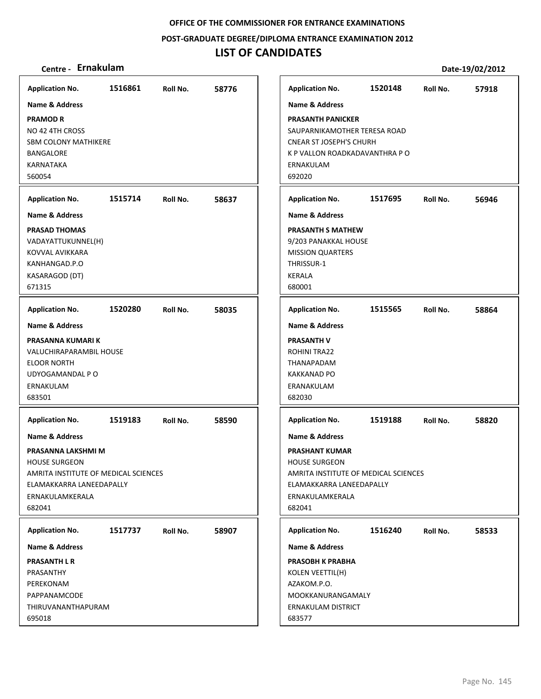**POST‐GRADUATE DEGREE/DIPLOMA ENTRANCE EXAMINATION 2012**

## **LIST OF CANDIDATES**

| <b>Application No.</b><br><b>Name &amp; Address</b><br><b>PRAMOD R</b><br>NO 42 4TH CROSS<br><b>SBM COLONY MATHIKERE</b><br><b>BANGALORE</b><br><b>KARNATAKA</b><br>560054                         | 1516861 | Roll No. | 58776 | <b>Application No.</b><br><b>Name &amp; Address</b><br><b>PRASANTH PANICKER</b><br>SAUPARNIKAMOTHER TERESA ROAD<br><b>CNEAR ST JOSEPH'S CHURH</b><br>K P VALLON ROADKADAVANTHRA P O<br>ERNAKULAM<br>692020 | 1520148 | Roll No. | 57918 |
|----------------------------------------------------------------------------------------------------------------------------------------------------------------------------------------------------|---------|----------|-------|------------------------------------------------------------------------------------------------------------------------------------------------------------------------------------------------------------|---------|----------|-------|
| <b>Application No.</b><br><b>Name &amp; Address</b><br><b>PRASAD THOMAS</b><br>VADAYATTUKUNNEL(H)<br>KOVVAL AVIKKARA<br>KANHANGAD.P.O<br>KASARAGOD (DT)                                            | 1515714 | Roll No. | 58637 | <b>Application No.</b><br><b>Name &amp; Address</b><br><b>PRASANTH S MATHEW</b><br>9/203 PANAKKAL HOUSE<br><b>MISSION QUARTERS</b><br>THRISSUR-1<br><b>KERALA</b>                                          | 1517695 | Roll No. | 56946 |
| 671315                                                                                                                                                                                             |         |          |       | 680001                                                                                                                                                                                                     |         |          |       |
| <b>Application No.</b>                                                                                                                                                                             | 1520280 | Roll No. | 58035 | <b>Application No.</b>                                                                                                                                                                                     | 1515565 | Roll No. | 58864 |
| <b>Name &amp; Address</b><br>PRASANNA KUMARI K<br>VALUCHIRAPARAMBIL HOUSE<br><b>ELOOR NORTH</b><br>UDYOGAMANDAL P O<br>ERNAKULAM<br>683501                                                         |         |          |       | <b>Name &amp; Address</b><br><b>PRASANTH V</b><br>ROHINI TRA22<br>THANAPADAM<br><b>KAKKANAD PO</b><br>ERANAKULAM<br>682030                                                                                 |         |          |       |
| <b>Application No.</b><br><b>Name &amp; Address</b><br>PRASANNA LAKSHMI M<br><b>HOUSE SURGEON</b><br>AMRITA INSTITUTE OF MEDICAL SCIENCES<br>ELAMAKKARRA LANEEDAPALLY<br>ERNAKULAMKERALA<br>682041 | 1519183 | Roll No. | 58590 | <b>Application No.</b><br><b>Name &amp; Address</b><br><b>PRASHANT KUMAR</b><br><b>HOUSE SURGEON</b><br>AMRITA INSTITUTE OF MEDICAL SCIENCES<br>ELAMAKKARRA LANEEDAPALLY<br>ERNAKULAMKERALA<br>682041      | 1519188 | Roll No. | 58820 |
| <b>Application No.</b><br><b>Name &amp; Address</b><br><b>PRASANTH L R</b><br>PRASANTHY<br>PEREKONAM<br>PAPPANAMCODE<br>THIRUVANANTHAPURAM<br>695018                                               | 1517737 | Roll No. | 58907 | <b>Application No.</b><br><b>Name &amp; Address</b><br><b>PRASOBH K PRABHA</b><br><b>KOLEN VEETTIL(H)</b><br>AZAKOM.P.O.<br>MOOKKANURANGAMALY<br>ERNAKULAM DISTRICT<br>683577                              | 1516240 | Roll No. | 58533 |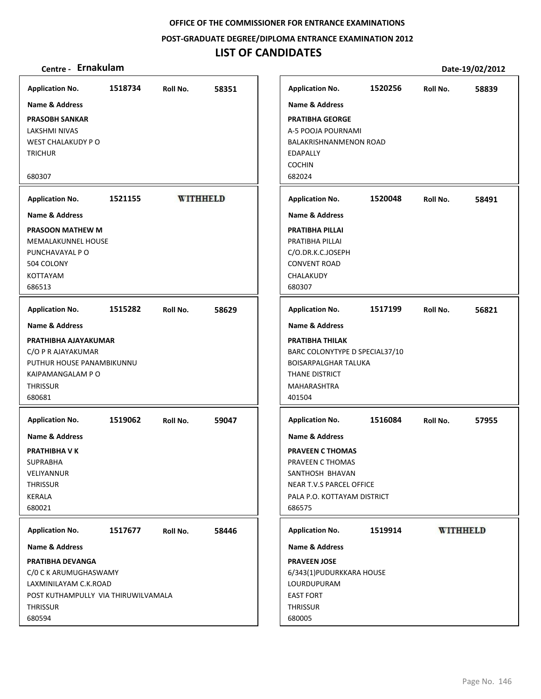**POST‐GRADUATE DEGREE/DIPLOMA ENTRANCE EXAMINATION 2012**

## **LIST OF CANDIDATES**

| <b>Application No.</b>              | 1518734 | Roll No.        | 58351 | <b>Application No.</b>         | 1520256 | Roll No.        | 58839 |
|-------------------------------------|---------|-----------------|-------|--------------------------------|---------|-----------------|-------|
| Name & Address                      |         |                 |       | <b>Name &amp; Address</b>      |         |                 |       |
| <b>PRASOBH SANKAR</b>               |         |                 |       | <b>PRATIBHA GEORGE</b>         |         |                 |       |
| LAKSHMI NIVAS                       |         |                 |       | A-5 POOJA POURNAMI             |         |                 |       |
| WEST CHALAKUDY PO                   |         |                 |       | BALAKRISHNANMENON ROAD         |         |                 |       |
| <b>TRICHUR</b>                      |         |                 |       | <b>EDAPALLY</b>                |         |                 |       |
|                                     |         |                 |       | <b>COCHIN</b>                  |         |                 |       |
| 680307                              |         |                 |       | 682024                         |         |                 |       |
|                                     |         |                 |       |                                |         |                 |       |
| <b>Application No.</b>              | 1521155 | <b>WITHHELD</b> |       | <b>Application No.</b>         | 1520048 | Roll No.        | 58491 |
| <b>Name &amp; Address</b>           |         |                 |       | <b>Name &amp; Address</b>      |         |                 |       |
| <b>PRASOON MATHEW M</b>             |         |                 |       | PRATIBHA PILLAI                |         |                 |       |
| <b>MEMALAKUNNEL HOUSE</b>           |         |                 |       | PRATIBHA PILLAI                |         |                 |       |
| PUNCHAVAYAL P O                     |         |                 |       | C/O.DR.K.C.JOSEPH              |         |                 |       |
| 504 COLONY                          |         |                 |       | <b>CONVENT ROAD</b>            |         |                 |       |
| <b>KOTTAYAM</b>                     |         |                 |       | CHALAKUDY                      |         |                 |       |
| 686513                              |         |                 |       | 680307                         |         |                 |       |
| <b>Application No.</b>              | 1515282 | Roll No.        | 58629 | <b>Application No.</b>         | 1517199 | Roll No.        | 56821 |
| <b>Name &amp; Address</b>           |         |                 |       | <b>Name &amp; Address</b>      |         |                 |       |
| PRATHIBHA AJAYAKUMAR                |         |                 |       | <b>PRATIBHA THILAK</b>         |         |                 |       |
| C/O P R AJAYAKUMAR                  |         |                 |       | BARC COLONYTYPE D SPECIAL37/10 |         |                 |       |
| PUTHUR HOUSE PANAMBIKUNNU           |         |                 |       | <b>BOISARPALGHAR TALUKA</b>    |         |                 |       |
| KAIPAMANGALAM PO                    |         |                 |       | <b>THANE DISTRICT</b>          |         |                 |       |
| <b>THRISSUR</b>                     |         |                 |       | MAHARASHTRA                    |         |                 |       |
| 680681                              |         |                 |       | 401504                         |         |                 |       |
|                                     |         |                 |       |                                |         |                 |       |
| <b>Application No.</b>              | 1519062 | Roll No.        | 59047 | <b>Application No.</b>         | 1516084 | Roll No.        | 57955 |
| <b>Name &amp; Address</b>           |         |                 |       | <b>Name &amp; Address</b>      |         |                 |       |
| PRATHIBHA V K                       |         |                 |       | <b>PRAVEEN C THOMAS</b>        |         |                 |       |
| <b>SUPRABHA</b>                     |         |                 |       | PRAVEEN C THOMAS               |         |                 |       |
| VELIYANNUR                          |         |                 |       | SANTHOSH BHAVAN                |         |                 |       |
| <b>THRISSUR</b>                     |         |                 |       | NEAR T.V.S PARCEL OFFICE       |         |                 |       |
| KERALA                              |         |                 |       | PALA P.O. KOTTAYAM DISTRICT    |         |                 |       |
| 680021                              |         |                 |       | 686575                         |         |                 |       |
|                                     |         |                 |       |                                |         |                 |       |
| <b>Application No.</b>              | 1517677 | Roll No.        | 58446 | <b>Application No.</b>         | 1519914 | <b>WITHHELD</b> |       |
| Name & Address                      |         |                 |       | Name & Address                 |         |                 |       |
| PRATIBHA DEVANGA                    |         |                 |       | <b>PRAVEEN JOSE</b>            |         |                 |       |
| C/0 C K ARUMUGHASWAMY               |         |                 |       | 6/343(1)PUDURKKARA HOUSE       |         |                 |       |
| LAXMINILAYAM C.K.ROAD               |         |                 |       | LOURDUPURAM                    |         |                 |       |
| POST KUTHAMPULLY VIA THIRUWILVAMALA |         |                 |       | <b>EAST FORT</b>               |         |                 |       |
| <b>THRISSUR</b>                     |         |                 |       | <b>THRISSUR</b>                |         |                 |       |
| 680594                              |         |                 |       | 680005                         |         |                 |       |
|                                     |         |                 |       |                                |         |                 |       |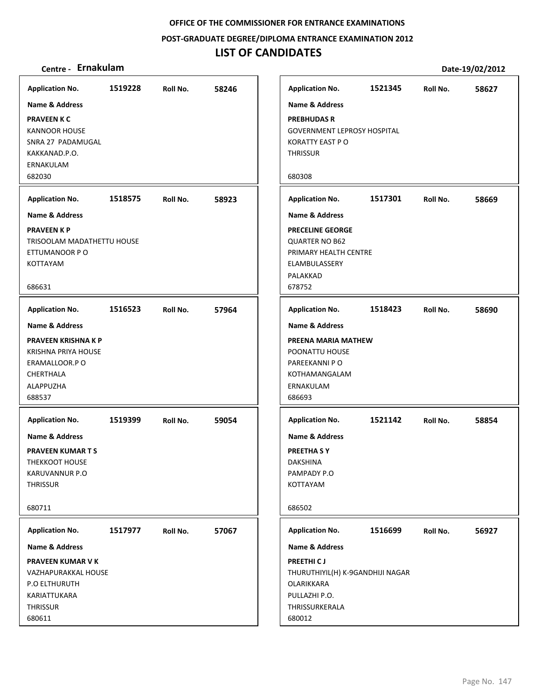**POST‐GRADUATE DEGREE/DIPLOMA ENTRANCE EXAMINATION 2012**

## **LIST OF CANDIDATES**

| <b>Application No.</b>                       | 1519228 | Roll No. | 58246 |
|----------------------------------------------|---------|----------|-------|
| <b>Name &amp; Address</b>                    |         |          |       |
| <b>PRAVEEN K C</b>                           |         |          |       |
| <b>KANNOOR HOUSE</b>                         |         |          |       |
| SNRA 27 PADAMUGAL<br>KAKKANAD.P.O.           |         |          |       |
| ERNAKULAM                                    |         |          |       |
| 682030                                       |         |          |       |
| <b>Application No.</b>                       | 1518575 | Roll No. | 58923 |
| <b>Name &amp; Address</b>                    |         |          |       |
| <b>PRAVEEN K P</b>                           |         |          |       |
| TRISOOLAM MADATHETTU HOUSE<br>ETTUMANOOR P O |         |          |       |
| KOTTAYAM                                     |         |          |       |
|                                              |         |          |       |
| 686631                                       |         |          |       |
| <b>Application No.</b>                       | 1516523 | Roll No. | 57964 |
| <b>Name &amp; Address</b>                    |         |          |       |
| <b>PRAVEEN KRISHNA K P</b>                   |         |          |       |
| KRISHNA PRIYA HOUSE                          |         |          |       |
| ERAMALLOOR.P O<br>CHERTHALA                  |         |          |       |
| ALAPPUZHA                                    |         |          |       |
| 688537                                       |         |          |       |
| <b>Application No.</b>                       | 1519399 | Roll No. | 59054 |
| Name & Address                               |         |          |       |
| <b>PRAVEEN KUMAR T S</b>                     |         |          |       |
| THEKKOOT HOUSE                               |         |          |       |
| KARUVANNUR P.O                               |         |          |       |
| <b>THRISSUR</b>                              |         |          |       |
| 680711                                       |         |          |       |
| <b>Application No.</b>                       | 1517977 | Roll No. | 57067 |
| Name & Address                               |         |          |       |
| <b>PRAVEEN KUMAR V K</b>                     |         |          |       |
| VAZHAPURAKKAL HOUSE                          |         |          |       |
| P.O ELTHURUTH                                |         |          |       |
| KARIATTUKARA                                 |         |          |       |
| THRISSUR                                     |         |          |       |
| 680611                                       |         |          |       |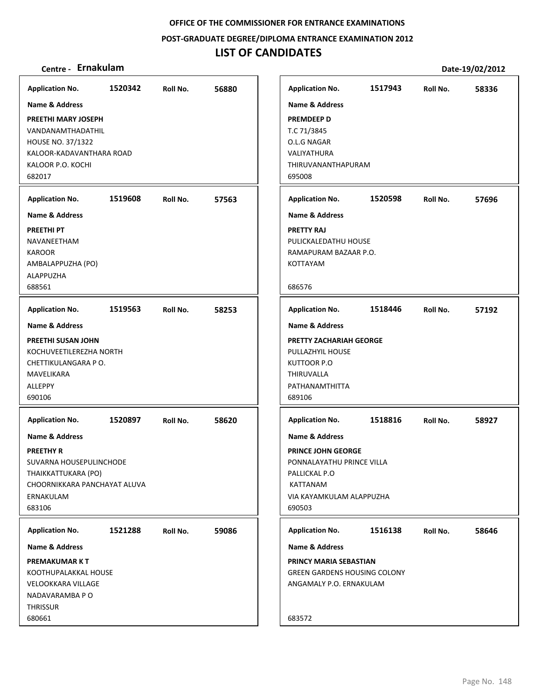**POST‐GRADUATE DEGREE/DIPLOMA ENTRANCE EXAMINATION 2012**

## **LIST OF CANDIDATES**

| Centre - Ernakulam                                                                                                                                                                     |         |          |       |                                                                                                                                                                                  |         |          | Date-19/02/2012 |
|----------------------------------------------------------------------------------------------------------------------------------------------------------------------------------------|---------|----------|-------|----------------------------------------------------------------------------------------------------------------------------------------------------------------------------------|---------|----------|-----------------|
| <b>Application No.</b>                                                                                                                                                                 | 1520342 | Roll No. | 56880 | <b>Application No.</b>                                                                                                                                                           | 1517943 | Roll No. | 58336           |
| <b>Name &amp; Address</b><br>PREETHI MARY JOSEPH<br>VANDANAMTHADATHIL<br><b>HOUSE NO. 37/1322</b><br>KALOOR-KADAVANTHARA ROAD<br>KALOOR P.O. KOCHI<br>682017<br><b>Application No.</b> | 1519608 | Roll No. | 57563 | <b>Name &amp; Address</b><br><b>PREMDEEP D</b><br>T.C 71/3845<br>O.L.G NAGAR<br>VALIYATHURA<br>THIRUVANANTHAPURAM<br>695008<br><b>Application No.</b>                            | 1520598 | Roll No. | 57696           |
| <b>Name &amp; Address</b><br><b>PREETHI PT</b><br>NAVANEETHAM<br><b>KAROOR</b><br>AMBALAPPUZHA (PO)<br>ALAPPUZHA<br>688561                                                             |         |          |       | <b>Name &amp; Address</b><br><b>PRETTY RAJ</b><br>PULICKALEDATHU HOUSE<br>RAMAPURAM BAZAAR P.O.<br><b>KOTTAYAM</b><br>686576                                                     |         |          |                 |
| <b>Application No.</b><br><b>Name &amp; Address</b><br>PREETHI SUSAN JOHN<br>KOCHUVEETILEREZHA NORTH<br>CHETTIKULANGARA P O.<br>MAVELIKARA<br>ALLEPPY<br>690106                        | 1519563 | Roll No. | 58253 | <b>Application No.</b><br><b>Name &amp; Address</b><br>PRETTY ZACHARIAH GEORGE<br>PULLAZHYIL HOUSE<br>KUTTOOR P.O<br>THIRUVALLA<br>PATHANAMTHITTA<br>689106                      | 1518446 | Roll No. | 57192           |
| <b>Application No.</b><br><b>Name &amp; Address</b><br><b>PREETHY R</b><br>SUVARNA HOUSEPULINCHODE<br>THAIKKATTUKARA (PO)<br>CHOORNIKKARA PANCHAYAT ALUVA<br>ERNAKULAM<br>683106       | 1520897 | Roll No. | 58620 | <b>Application No.</b><br><b>Name &amp; Address</b><br><b>PRINCE JOHN GEORGE</b><br>PONNALAYATHU PRINCE VILLA<br>PALLICKAL P.O<br>KATTANAM<br>VIA KAYAMKULAM ALAPPUZHA<br>690503 | 1518816 | Roll No. | 58927           |
| <b>Application No.</b><br><b>Name &amp; Address</b><br><b>PREMAKUMARKT</b><br>KOOTHUPALAKKAL HOUSE<br>VELOOKKARA VILLAGE<br>NADAVARAMBA P O<br><b>THRISSUR</b><br>680661               | 1521288 | Roll No. | 59086 | <b>Application No.</b><br><b>Name &amp; Address</b><br>PRINCY MARIA SEBASTIAN<br><b>GREEN GARDENS HOUSING COLONY</b><br>ANGAMALY P.O. ERNAKULAM<br>683572                        | 1516138 | Roll No. | 58646           |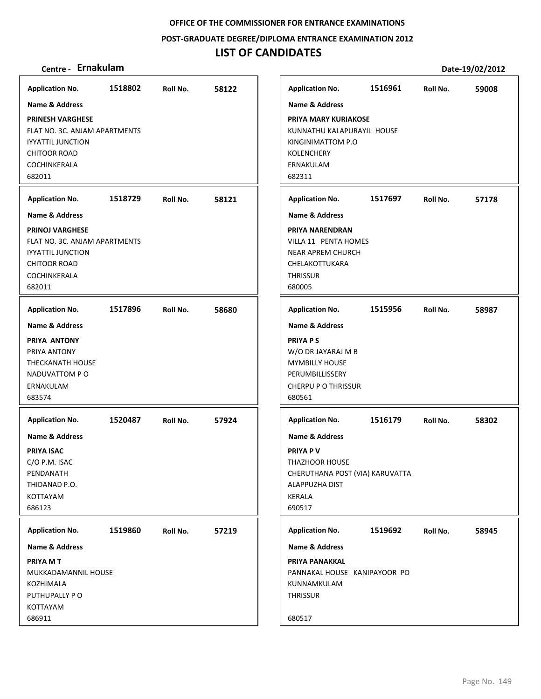**POST‐GRADUATE DEGREE/DIPLOMA ENTRANCE EXAMINATION 2012**

## **LIST OF CANDIDATES**

| Centre - Ernakulam                                                                                                                    |         |          |       |                                                                                                                                                        |         |          | Date-19/02/2012 |
|---------------------------------------------------------------------------------------------------------------------------------------|---------|----------|-------|--------------------------------------------------------------------------------------------------------------------------------------------------------|---------|----------|-----------------|
| <b>Application No.</b>                                                                                                                | 1518802 | Roll No. | 58122 | <b>Application No.</b>                                                                                                                                 | 1516961 | Roll No. | 59008           |
| <b>Name &amp; Address</b>                                                                                                             |         |          |       | <b>Name &amp; Address</b>                                                                                                                              |         |          |                 |
| <b>PRINESH VARGHESE</b><br>FLAT NO. 3C. ANJAM APARTMENTS<br><b>IYYATTIL JUNCTION</b><br><b>CHITOOR ROAD</b><br>COCHINKERALA<br>682011 |         |          |       | <b>PRIYA MARY KURIAKOSE</b><br>KUNNATHU KALAPURAYIL HOUSE<br>KINGINIMATTOM P.O<br><b>KOLENCHERY</b><br>ERNAKULAM<br>682311                             |         |          |                 |
| <b>Application No.</b>                                                                                                                | 1518729 | Roll No. | 58121 | <b>Application No.</b>                                                                                                                                 | 1517697 | Roll No. | 57178           |
| <b>Name &amp; Address</b>                                                                                                             |         |          |       | <b>Name &amp; Address</b>                                                                                                                              |         |          |                 |
| <b>PRINOJ VARGHESE</b><br>FLAT NO. 3C. ANJAM APARTMENTS<br><b>IYYATTIL JUNCTION</b><br><b>CHITOOR ROAD</b><br>COCHINKERALA<br>682011  |         |          |       | PRIYA NARENDRAN<br>VILLA 11 PENTA HOMES<br><b>NEAR APREM CHURCH</b><br>CHELAKOTTUKARA<br><b>THRISSUR</b><br>680005                                     |         |          |                 |
| <b>Application No.</b>                                                                                                                | 1517896 | Roll No. | 58680 | <b>Application No.</b>                                                                                                                                 | 1515956 | Roll No. | 58987           |
| <b>Name &amp; Address</b><br>PRIYA ANTONY<br>PRIYA ANTONY<br>THECKANATH HOUSE<br>NADUVATTOM PO<br>ERNAKULAM<br>683574                 |         |          |       | <b>Name &amp; Address</b><br><b>PRIYA PS</b><br>W/O DR JAYARAJ M B<br><b>MYMBILLY HOUSE</b><br>PERUMBILLISSERY<br><b>CHERPU P O THRISSUR</b><br>680561 |         |          |                 |
| <b>Application No.</b>                                                                                                                | 1520487 | Roll No. | 57924 | <b>Application No.</b>                                                                                                                                 | 1516179 | Roll No. | 58302           |
| <b>Name &amp; Address</b><br><b>PRIYA ISAC</b><br>C/O P.M. ISAC<br>PENDANATH<br>THIDANAD P.O.<br><b>KOTTAYAM</b><br>686123            |         |          |       | <b>Name &amp; Address</b><br><b>PRIYA PV</b><br><b>THAZHOOR HOUSE</b><br>CHERUTHANA POST (VIA) KARUVATTA<br>ALAPPUZHA DIST<br><b>KERALA</b><br>690517  |         |          |                 |
| <b>Application No.</b>                                                                                                                | 1519860 | Roll No. | 57219 | <b>Application No.</b>                                                                                                                                 | 1519692 | Roll No. | 58945           |
| <b>Name &amp; Address</b>                                                                                                             |         |          |       | <b>Name &amp; Address</b>                                                                                                                              |         |          |                 |
| PRIYA M T<br>MUKKADAMANNIL HOUSE<br>KOZHIMALA<br>PUTHUPALLY PO<br>KOTTAYAM<br>686911                                                  |         |          |       | PRIYA PANAKKAL<br>PANNAKAL HOUSE KANIPAYOOR PO<br>KUNNAMKULAM<br><b>THRISSUR</b><br>680517                                                             |         |          |                 |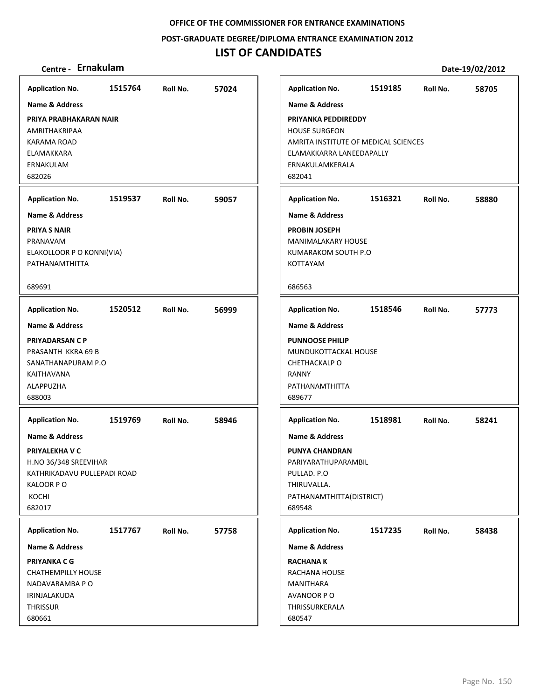#### **POST‐GRADUATE DEGREE/DIPLOMA ENTRANCE EXAMINATION 2012**

## **LIST OF CANDIDATES**

### **Centre ‐ Ernakulam Date‐19/02/2012**

**1515764 57024 PRIYA PRABHAKARAN NAIR** AMRITHAKRIPAA KARAMA ROAD ELAMAKKARA ERNAKULAM 682026 **Application No. Name & Address 1519537 59057 PRIYA S NAIR** PRANAVAM ELAKOLLOOR P O KONNI(VIA) PATHANAMTHITTA 689691 **Application No. Name & Address 1520512 56999 PRIYADARSAN C P** PRASANTH KKRA 69 B SANATHANAPURAM P.O KAITHAVANA ALAPPUZHA 688003 **Application No. Name & Address 1519769 58946 PRIYALEKHA V C** H.NO 36/348 SREEVIHAR KATHRIKADAVU PULLEPADI ROAD KALOOR P O KOCHI 682017 **Application No. Name & Address 1517767 57758 PRIYANKA C G** CHATHEMPILLY HOUSE NADAVARAMBA P O IRINJALAKUDA **THRISSUR** 680661 **Application No. Name & Address 1519185 58705 PRIYANKA PEDDIREDDY** HOUSE SURGEON AMRITA INSTITUTE OF MEDICAL SCIENCES ELAMAKKARRA LANEEDAPALLY ERNAKULAMKERALA 682041 **Application No. Name & Address 1516321 58880 PROBIN JOSEPH** MANIMALAKARY HOUSE KUMARAKOM SOUTH P.O KOTTAYAM 686563 **Application No. Name & Address 1518546 57773 PUNNOOSE PHILIP** MUNDUKOTTACKAL HOUSE CHETHACKALP O RANNY PATHANAMTHITTA 689677 **Application No. Name & Address 1518981 58241 PUNYA CHANDRAN** PARIYARATHUPARAMBIL PULLAD. P.O THIRUVALLA. PATHANAMTHITTA(DISTRICT) 689548 **Application No. Name & Address 1517235 58438 RACHANA K** RACHANA HOUSE MANITHARA AVANOOR P O THRISSURKERALA 680547 **Application No. Name & Address**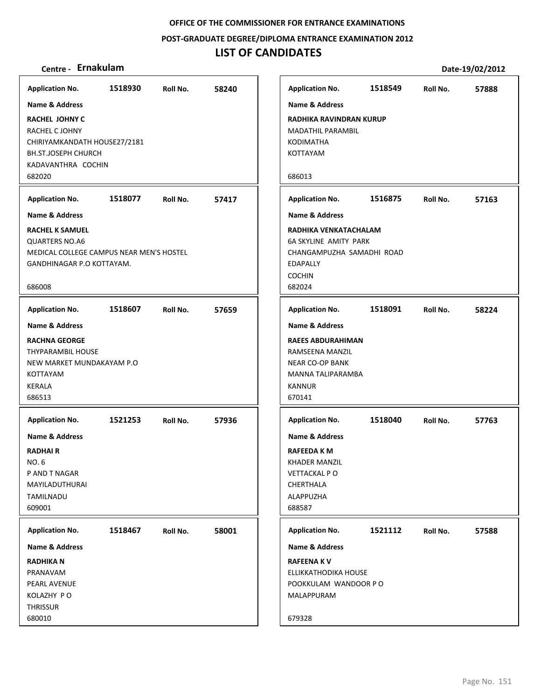**POST‐GRADUATE DEGREE/DIPLOMA ENTRANCE EXAMINATION 2012**

## **LIST OF CANDIDATES**

| <b>Application No.</b>                                                                                                                | 1518930 | Roll No. | 58240 |
|---------------------------------------------------------------------------------------------------------------------------------------|---------|----------|-------|
| <b>Name &amp; Address</b>                                                                                                             |         |          |       |
| <b>RACHEL JOHNY C</b><br>RACHEL C JOHNY<br>CHIRIYAMKANDATH HOUSE27/2181<br><b>BH.ST.JOSEPH CHURCH</b><br>KADAVANTHRA COCHIN<br>682020 |         |          |       |
| <b>Application No.</b>                                                                                                                | 1518077 | Roll No. | 57417 |
| <b>Name &amp; Address</b>                                                                                                             |         |          |       |
| <b>RACHEL K SAMUEL</b><br><b>QUARTERS NO.A6</b><br>MEDICAL COLLEGE CAMPUS NEAR MEN'S HOSTEL<br>GANDHINAGAR P.O KOTTAYAM.<br>686008    |         |          |       |
| <b>Application No.</b>                                                                                                                | 1518607 | Roll No. | 57659 |
| <b>Name &amp; Address</b>                                                                                                             |         |          |       |
| <b>RACHNA GEORGE</b><br><b>THYPARAMBIL HOUSE</b><br>NEW MARKET MUNDAKAYAM P.O<br>KOTTAYAM<br><b>KERALA</b><br>686513                  |         |          |       |
| <b>Application No.</b>                                                                                                                | 1521253 | Roll No. | 57936 |
| Name & Address<br><b>RADHAIR</b><br>NO. 6<br>P AND T NAGAR<br>MAYILADUTHURAI<br>TAMILNADU<br>609001                                   |         |          |       |
| <b>Application No.</b>                                                                                                                | 1518467 | Roll No. | 58001 |
| Name & Address<br><b>RADHIKA N</b><br>PRANAVAM<br>PEARL AVENUE<br>KOLAZHY PO<br><b>THRISSUR</b><br>680010                             |         |          |       |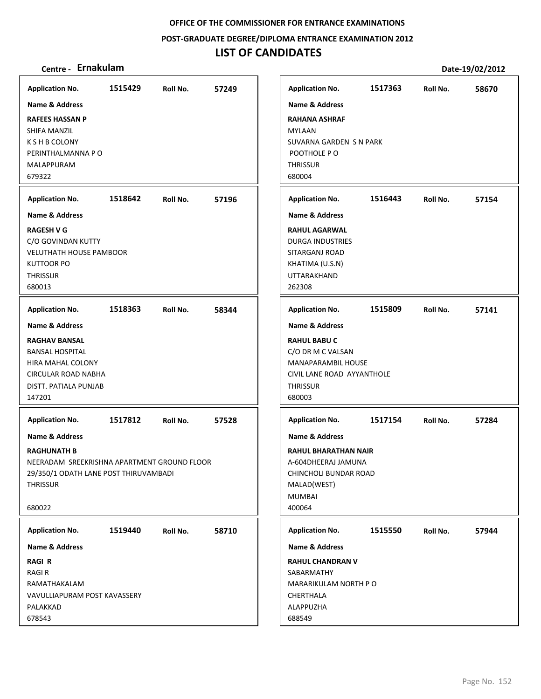**POST‐GRADUATE DEGREE/DIPLOMA ENTRANCE EXAMINATION 2012**

## **LIST OF CANDIDATES**

| <b>Application No.</b>                      | 1515429 | Roll No. | 57249 | <b>Application No.</b>      | 1517363 | Roll No. | 58670 |
|---------------------------------------------|---------|----------|-------|-----------------------------|---------|----------|-------|
| <b>Name &amp; Address</b>                   |         |          |       | <b>Name &amp; Address</b>   |         |          |       |
| <b>RAFEES HASSAN P</b>                      |         |          |       | <b>RAHANA ASHRAF</b>        |         |          |       |
| SHIFA MANZIL                                |         |          |       | <b>MYLAAN</b>               |         |          |       |
| K S H B COLONY                              |         |          |       | SUVARNA GARDEN S N PARK     |         |          |       |
| PERINTHALMANNA P O                          |         |          |       | POOTHOLE PO                 |         |          |       |
| MALAPPURAM                                  |         |          |       | <b>THRISSUR</b>             |         |          |       |
| 679322                                      |         |          |       | 680004                      |         |          |       |
| <b>Application No.</b>                      | 1518642 | Roll No. | 57196 | <b>Application No.</b>      | 1516443 | Roll No. | 57154 |
| Name & Address                              |         |          |       | <b>Name &amp; Address</b>   |         |          |       |
| <b>RAGESH V G</b>                           |         |          |       | <b>RAHUL AGARWAL</b>        |         |          |       |
| C/O GOVINDAN KUTTY                          |         |          |       | <b>DURGA INDUSTRIES</b>     |         |          |       |
| <b>VELUTHATH HOUSE PAMBOOR</b>              |         |          |       | SITARGANJ ROAD              |         |          |       |
| <b>KUTTOOR PO</b>                           |         |          |       | KHATIMA (U.S.N)             |         |          |       |
| <b>THRISSUR</b>                             |         |          |       | <b>UTTARAKHAND</b>          |         |          |       |
| 680013                                      |         |          |       | 262308                      |         |          |       |
| <b>Application No.</b>                      | 1518363 | Roll No. | 58344 | <b>Application No.</b>      | 1515809 | Roll No. | 57141 |
| <b>Name &amp; Address</b>                   |         |          |       | <b>Name &amp; Address</b>   |         |          |       |
| <b>RAGHAV BANSAL</b>                        |         |          |       | <b>RAHUL BABU C</b>         |         |          |       |
| <b>BANSAL HOSPITAL</b>                      |         |          |       | C/O DR M C VALSAN           |         |          |       |
| HIRA MAHAL COLONY                           |         |          |       | MANAPARAMBIL HOUSE          |         |          |       |
| <b>CIRCULAR ROAD NABHA</b>                  |         |          |       | CIVIL LANE ROAD AYYANTHOLE  |         |          |       |
| DISTT. PATIALA PUNJAB                       |         |          |       | <b>THRISSUR</b>             |         |          |       |
| 147201                                      |         |          |       | 680003                      |         |          |       |
| <b>Application No.</b>                      | 1517812 | Roll No. | 57528 | <b>Application No.</b>      | 1517154 | Roll No. | 57284 |
| Name & Address                              |         |          |       | <b>Name &amp; Address</b>   |         |          |       |
| <b>RAGHUNATH B</b>                          |         |          |       | <b>RAHUL BHARATHAN NAIR</b> |         |          |       |
| NEERADAM SREEKRISHNA APARTMENT GROUND FLOOR |         |          |       | A-604DHEERAJ JAMUNA         |         |          |       |
| 29/350/1 ODATH LANE POST THIRUVAMBADI       |         |          |       | CHINCHOLI BUNDAR ROAD       |         |          |       |
| <b>THRISSUR</b>                             |         |          |       | MALAD(WEST)                 |         |          |       |
|                                             |         |          |       | <b>MUMBAI</b>               |         |          |       |
| 680022                                      |         |          |       | 400064                      |         |          |       |
| <b>Application No.</b>                      | 1519440 | Roll No. | 58710 | <b>Application No.</b>      | 1515550 | Roll No. | 57944 |
| Name & Address                              |         |          |       | <b>Name &amp; Address</b>   |         |          |       |
| <b>RAGIR</b>                                |         |          |       | <b>RAHUL CHANDRAN V</b>     |         |          |       |
| <b>RAGIR</b>                                |         |          |       | SABARMATHY                  |         |          |       |
| RAMATHAKALAM                                |         |          |       | MARARIKULAM NORTH PO        |         |          |       |
| VAVULLIAPURAM POST KAVASSERY                |         |          |       | CHERTHALA                   |         |          |       |
| PALAKKAD                                    |         |          |       | ALAPPUZHA                   |         |          |       |
| 678543                                      |         |          |       | 688549                      |         |          |       |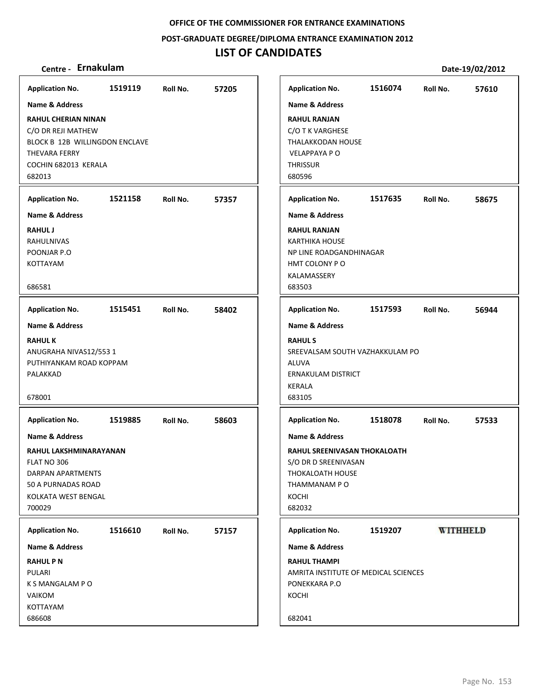**POST‐GRADUATE DEGREE/DIPLOMA ENTRANCE EXAMINATION 2012**

## **LIST OF CANDIDATES**

| <b>Name &amp; Address</b><br><b>RAHUL CHERIAN NINAN</b><br>BLOCK B 12B WILLINGDON ENCLAVE<br>COCHIN 682013 KERALA<br>1521158<br>Roll No.<br>57357<br><b>Application No.</b><br>1515451<br>58402<br>Roll No.<br><b>Name &amp; Address</b><br><b>RAHULK</b><br>ANUGRAHA NIVAS12/5531<br>PUTHIYANKAM ROAD KOPPAM<br>PALAKKAD<br>678001<br>1519885<br>58603<br><b>Application No.</b><br>Roll No.<br><b>Name &amp; Address</b><br>RAHUL LAKSHMINARAYANAN<br>FLAT NO 306<br><b>DARPAN APARTMENTS</b><br>50 A PURNADAS ROAD<br>KOLKATA WEST BENGAL<br>700029<br>1516610<br>Roll No.<br>57157<br>Name & Address<br><b>RAHUL PN</b><br>PULARI<br>K S MANGALAM P O<br>VAIKOM<br>KOTTAYAM<br>686608 | <b>Application No.</b>                                            | 1519119 | Roll No. | 57205 |
|-------------------------------------------------------------------------------------------------------------------------------------------------------------------------------------------------------------------------------------------------------------------------------------------------------------------------------------------------------------------------------------------------------------------------------------------------------------------------------------------------------------------------------------------------------------------------------------------------------------------------------------------------------------------------------------------|-------------------------------------------------------------------|---------|----------|-------|
|                                                                                                                                                                                                                                                                                                                                                                                                                                                                                                                                                                                                                                                                                           |                                                                   |         |          |       |
|                                                                                                                                                                                                                                                                                                                                                                                                                                                                                                                                                                                                                                                                                           | C/O DR REJI MATHEW<br><b>THEVARA FERRY</b><br>682013              |         |          |       |
|                                                                                                                                                                                                                                                                                                                                                                                                                                                                                                                                                                                                                                                                                           | <b>Application No.</b>                                            |         |          |       |
|                                                                                                                                                                                                                                                                                                                                                                                                                                                                                                                                                                                                                                                                                           | <b>Name &amp; Address</b>                                         |         |          |       |
| <b>Application No.</b>                                                                                                                                                                                                                                                                                                                                                                                                                                                                                                                                                                                                                                                                    | <b>RAHUL J</b><br>RAHULNIVAS<br>POONJAR P.O<br>KOTTAYAM<br>686581 |         |          |       |
| <b>Name &amp; Address</b><br><b>RAHULS</b><br>SREEVALSAM SOUTH VAZHAKKULAM PO<br><b>ALUVA</b><br>ERNAKULAM DISTRICT<br><b>KERALA</b><br>683105<br>KOCHI                                                                                                                                                                                                                                                                                                                                                                                                                                                                                                                                   |                                                                   |         |          |       |
| <b>Application No.</b><br><b>Name &amp; Address</b><br>KOCHI<br>682032<br><b>Application No.</b><br>Name & Address<br><b>RAHUL THAMPI</b><br>PONEKKARA P.O<br>682041                                                                                                                                                                                                                                                                                                                                                                                                                                                                                                                      |                                                                   |         |          |       |
| RAHUL SREENIVASAN THOKALOATH<br>S/O DR D SREENIVASAN<br>THOKALOATH HOUSE<br>THAMMANAM P O                                                                                                                                                                                                                                                                                                                                                                                                                                                                                                                                                                                                 |                                                                   |         |          |       |
| AMRITA INSTITUTE OF MEDICAL SCIENCES                                                                                                                                                                                                                                                                                                                                                                                                                                                                                                                                                                                                                                                      |                                                                   |         |          |       |
|                                                                                                                                                                                                                                                                                                                                                                                                                                                                                                                                                                                                                                                                                           | <b>Application No.</b>                                            |         |          |       |
|                                                                                                                                                                                                                                                                                                                                                                                                                                                                                                                                                                                                                                                                                           |                                                                   |         |          |       |
|                                                                                                                                                                                                                                                                                                                                                                                                                                                                                                                                                                                                                                                                                           |                                                                   |         |          |       |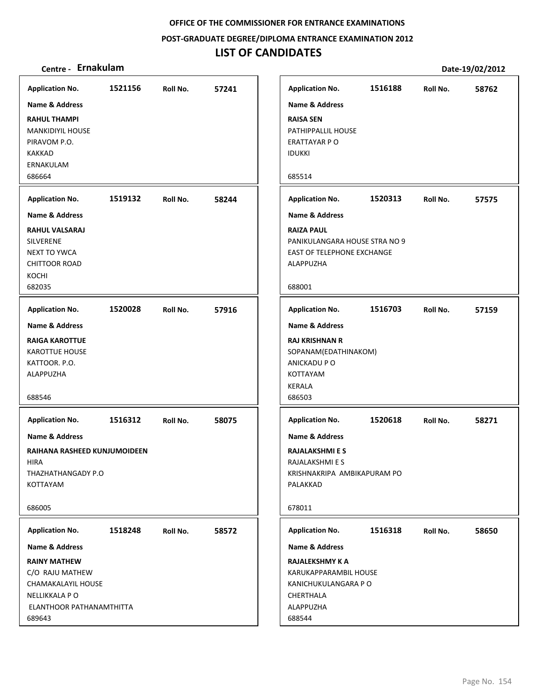**POST‐GRADUATE DEGREE/DIPLOMA ENTRANCE EXAMINATION 2012**

## **LIST OF CANDIDATES**

| Centre - Ernakulam                                                                                                   |         |          |       |                                                                                                                                   |         |          | Date-19/02/2012 |
|----------------------------------------------------------------------------------------------------------------------|---------|----------|-------|-----------------------------------------------------------------------------------------------------------------------------------|---------|----------|-----------------|
| <b>Application No.</b>                                                                                               | 1521156 | Roll No. | 57241 | <b>Application No.</b>                                                                                                            | 1516188 | Roll No. | 58762           |
| Name & Address                                                                                                       |         |          |       | <b>Name &amp; Address</b>                                                                                                         |         |          |                 |
| <b>RAHUL THAMPI</b><br><b>MANKIDIYIL HOUSE</b><br>PIRAVOM P.O.<br><b>KAKKAD</b><br>ERNAKULAM<br>686664               |         |          |       | <b>RAISA SEN</b><br>PATHIPPALLIL HOUSE<br>ERATTAYAR P O<br><b>IDUKKI</b><br>685514                                                |         |          |                 |
| <b>Application No.</b>                                                                                               | 1519132 | Roll No. | 58244 | <b>Application No.</b>                                                                                                            | 1520313 | Roll No. | 57575           |
| Name & Address                                                                                                       |         |          |       | <b>Name &amp; Address</b>                                                                                                         |         |          |                 |
| <b>RAHUL VALSARAJ</b><br><b>SILVERENE</b><br><b>NEXT TO YWCA</b><br><b>CHITTOOR ROAD</b><br>KOCHI<br>682035          |         |          |       | <b>RAIZA PAUL</b><br>PANIKULANGARA HOUSE STRA NO 9<br><b>EAST OF TELEPHONE EXCHANGE</b><br>ALAPPUZHA<br>688001                    |         |          |                 |
| <b>Application No.</b>                                                                                               | 1520028 | Roll No. | 57916 | <b>Application No.</b>                                                                                                            | 1516703 | Roll No. | 57159           |
| <b>Name &amp; Address</b><br><b>RAIGA KAROTTUE</b><br><b>KAROTTUE HOUSE</b><br>KATTOOR. P.O.<br>ALAPPUZHA<br>688546  |         |          |       | <b>Name &amp; Address</b><br><b>RAJ KRISHNAN R</b><br>SOPANAM(EDATHINAKOM)<br>ANICKADU P O<br>KOTTAYAM<br><b>KERALA</b><br>686503 |         |          |                 |
| <b>Application No.</b>                                                                                               | 1516312 | Roll No. | 58075 | <b>Application No.</b>                                                                                                            | 1520618 | Roll No. | 58271           |
| <b>Name &amp; Address</b><br>RAIHANA RASHEED KUNJUMOIDEEN<br><b>HIRA</b><br>THAZHATHANGADY P.O<br>KOTTAYAM<br>686005 |         |          |       | <b>Name &amp; Address</b><br><b>RAJALAKSHMI E S</b><br>RAJALAKSHMI E S<br>KRISHNAKRIPA AMBIKAPURAM PO<br>PALAKKAD<br>678011       |         |          |                 |
| <b>Application No.</b>                                                                                               | 1518248 | Roll No. | 58572 | <b>Application No.</b>                                                                                                            | 1516318 | Roll No. | 58650           |
| <b>Name &amp; Address</b>                                                                                            |         |          |       | Name & Address                                                                                                                    |         |          |                 |
| <b>RAINY MATHEW</b><br>C/O RAJU MATHEW<br>CHAMAKALAYIL HOUSE<br>NELLIKKALA P O<br>ELANTHOOR PATHANAMTHITTA<br>689643 |         |          |       | <b>RAJALEKSHMY K A</b><br>KARUKAPPARAMBIL HOUSE<br>KANICHUKULANGARA P O<br>CHERTHALA<br>ALAPPUZHA<br>688544                       |         |          |                 |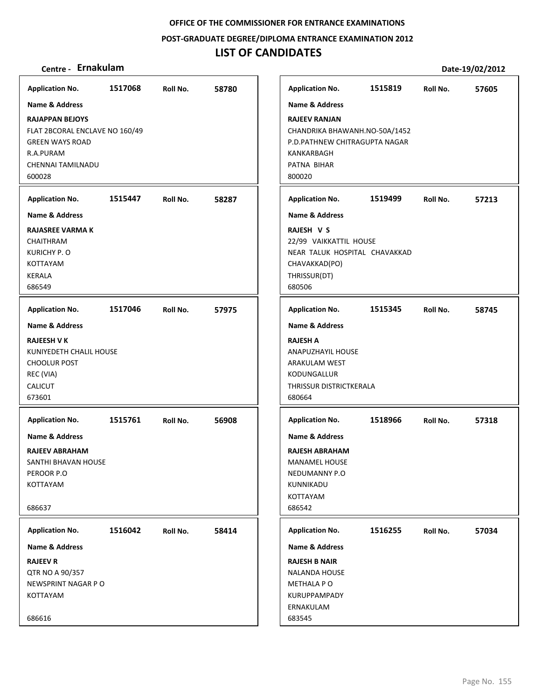**POST‐GRADUATE DEGREE/DIPLOMA ENTRANCE EXAMINATION 2012**

## **LIST OF CANDIDATES**

| <b>Application No.</b>                                                                                                                | 1517068 | Roll No. | 58780 | <b>Application No.</b>                                                                                                         | 1515819                                                        | Roll No. | 57605 |
|---------------------------------------------------------------------------------------------------------------------------------------|---------|----------|-------|--------------------------------------------------------------------------------------------------------------------------------|----------------------------------------------------------------|----------|-------|
| Name & Address                                                                                                                        |         |          |       | <b>Name &amp; Address</b>                                                                                                      |                                                                |          |       |
| <b>RAJAPPAN BEJOYS</b><br>FLAT 2BCORAL ENCLAVE NO 160/49<br><b>GREEN WAYS ROAD</b><br>R.A.PURAM<br><b>CHENNAI TAMILNADU</b><br>600028 |         |          |       | <b>RAJEEV RANJAN</b><br>KANKARBAGH<br>PATNA BIHAR<br>800020                                                                    | CHANDRIKA BHAWANH.NO-50A/1452<br>P.D.PATHNEW CHITRAGUPTA NAGAR |          |       |
| <b>Application No.</b>                                                                                                                | 1515447 | Roll No. | 58287 | <b>Application No.</b>                                                                                                         | 1519499                                                        | Roll No. | 57213 |
| <b>Name &amp; Address</b>                                                                                                             |         |          |       | <b>Name &amp; Address</b>                                                                                                      |                                                                |          |       |
| <b>RAJASREE VARMA K</b><br>CHAITHRAM<br>KURICHY P. O<br>KOTTAYAM<br><b>KERALA</b><br>686549                                           |         |          |       | RAJESH V S<br>22/99 VAIKKATTIL HOUSE<br>CHAVAKKAD(PO)<br>THRISSUR(DT)<br>680506                                                | NEAR TALUK HOSPITAL CHAVAKKAD                                  |          |       |
| <b>Application No.</b>                                                                                                                | 1517046 | Roll No. | 57975 | <b>Application No.</b>                                                                                                         | 1515345                                                        | Roll No. | 58745 |
| <b>Name &amp; Address</b>                                                                                                             |         |          |       | <b>Name &amp; Address</b>                                                                                                      |                                                                |          |       |
| <b>RAJEESH V K</b><br>KUNIYEDETH CHALIL HOUSE<br><b>CHOOLUR POST</b><br>REC (VIA)<br><b>CALICUT</b><br>673601                         |         |          |       | <b>RAJESH A</b><br>ANAPUZHAYIL HOUSE<br>ARAKULAM WEST<br>KODUNGALLUR<br>THRISSUR DISTRICTKERALA<br>680664                      |                                                                |          |       |
| <b>Application No.</b>                                                                                                                | 1515761 | Roll No. | 56908 | <b>Application No.</b>                                                                                                         | 1518966                                                        | Roll No. | 57318 |
| <b>Name &amp; Address</b><br><b>RAJEEV ABRAHAM</b><br>SANTHI BHAVAN HOUSE<br>PEROOR P.O<br>KOTTAYAM<br>686637                         |         |          |       | <b>Name &amp; Address</b><br><b>RAJESH ABRAHAM</b><br><b>MANAMEL HOUSE</b><br>NEDUMANNY P.O<br>KUNNIKADU<br>KOTTAYAM<br>686542 |                                                                |          |       |
| <b>Application No.</b>                                                                                                                | 1516042 | Roll No. | 58414 | <b>Application No.</b>                                                                                                         | 1516255                                                        | Roll No. | 57034 |
| Name & Address                                                                                                                        |         |          |       | Name & Address                                                                                                                 |                                                                |          |       |
| <b>RAJEEV R</b><br>QTR NO A 90/357<br>NEWSPRINT NAGAR PO<br>KOTTAYAM                                                                  |         |          |       | <b>RAJESH B NAIR</b><br><b>NALANDA HOUSE</b><br>METHALA PO<br>KURUPPAMPADY                                                     |                                                                |          |       |
| 686616                                                                                                                                |         |          |       | ERNAKULAM<br>683545                                                                                                            |                                                                |          |       |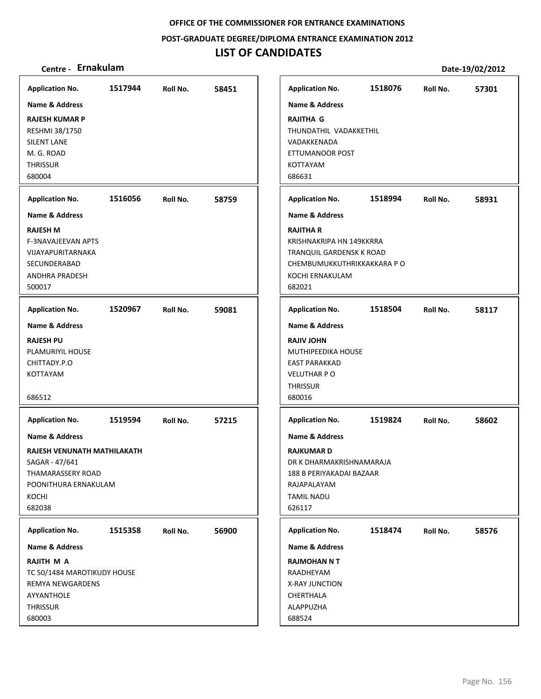**POST‐GRADUATE DEGREE/DIPLOMA ENTRANCE EXAMINATION 2012**

## **LIST OF CANDIDATES**

| <b>Application No.</b>          | 1517944 | Roll No. | 58451 | <b>Application No.</b>                     | 1518076 | Roll No. | 57301 |
|---------------------------------|---------|----------|-------|--------------------------------------------|---------|----------|-------|
| <b>Name &amp; Address</b>       |         |          |       | <b>Name &amp; Address</b>                  |         |          |       |
| <b>RAJESH KUMAR P</b>           |         |          |       | <b>RAJITHA G</b>                           |         |          |       |
| RESHMI 38/1750                  |         |          |       | THUNDATHIL VADAKKETHIL                     |         |          |       |
| <b>SILENT LANE</b>              |         |          |       | VADAKKENADA                                |         |          |       |
| M. G. ROAD                      |         |          |       | ETTUMANOOR POST                            |         |          |       |
| <b>THRISSUR</b>                 |         |          |       | KOTTAYAM                                   |         |          |       |
| 680004                          |         |          |       | 686631                                     |         |          |       |
| <b>Application No.</b>          | 1516056 | Roll No. | 58759 | <b>Application No.</b>                     | 1518994 | Roll No. | 58931 |
| <b>Name &amp; Address</b>       |         |          |       | <b>Name &amp; Address</b>                  |         |          |       |
| <b>RAJESH M</b>                 |         |          |       | <b>RAJITHA R</b>                           |         |          |       |
| F-3NAVAJEEVAN APTS              |         |          |       | KRISHNAKRIPA HN 149KKRRA                   |         |          |       |
| VIJAYAPURITARNAKA               |         |          |       | TRANQUIL GARDENSK K ROAD                   |         |          |       |
| SECUNDERABAD                    |         |          |       | CHEMBUMUKKUTHRIKKAKKARA PO                 |         |          |       |
| <b>ANDHRA PRADESH</b>           |         |          |       | KOCHI ERNAKULAM                            |         |          |       |
| 500017                          |         |          |       | 682021                                     |         |          |       |
| <b>Application No.</b>          | 1520967 | Roll No. | 59081 | <b>Application No.</b>                     | 1518504 | Roll No. | 58117 |
| <b>Name &amp; Address</b>       |         |          |       | <b>Name &amp; Address</b>                  |         |          |       |
|                                 |         |          |       |                                            |         |          |       |
| <b>RAJESH PU</b>                |         |          |       | <b>RAJIV JOHN</b>                          |         |          |       |
| PLAMURIYIL HOUSE                |         |          |       | MUTHIPEEDIKA HOUSE                         |         |          |       |
| CHITTADY.P.O<br><b>KOTTAYAM</b> |         |          |       | <b>EAST PARAKKAD</b><br><b>VELUTHAR PO</b> |         |          |       |
|                                 |         |          |       | THRISSUR                                   |         |          |       |
| 686512                          |         |          |       | 680016                                     |         |          |       |
|                                 |         |          |       |                                            |         |          |       |
| <b>Application No.</b>          | 1519594 | Roll No. | 57215 | <b>Application No.</b>                     | 1519824 | Roll No. | 58602 |
| Name & Address                  |         |          |       | Name & Address                             |         |          |       |
| RAJESH VENUNATH MATHILAKATH     |         |          |       | <b>RAJKUMARD</b>                           |         |          |       |
| SAGAR - 47/641                  |         |          |       | DR K DHARMAKRISHNAMARAJA                   |         |          |       |
| THAMARASSERY ROAD               |         |          |       | 188 B PERIYAKADAI BAZAAR                   |         |          |       |
| POONITHURA ERNAKULAM            |         |          |       | RAJAPALAYAM                                |         |          |       |
| KOCHI                           |         |          |       | TAMIL NADU                                 |         |          |       |
| 682038                          |         |          |       | 626117                                     |         |          |       |
| <b>Application No.</b>          | 1515358 | Roll No. | 56900 | <b>Application No.</b>                     | 1518474 | Roll No. | 58576 |
| Name & Address                  |         |          |       | Name & Address                             |         |          |       |
| RAJITH M A                      |         |          |       | <b>RAJMOHAN N T</b>                        |         |          |       |
| TC 50/1484 MAROTIKUDY HOUSE     |         |          |       | RAADHEYAM                                  |         |          |       |
| <b>REMYA NEWGARDENS</b>         |         |          |       | X-RAY JUNCTION                             |         |          |       |
| AYYANTHOLE                      |         |          |       | CHERTHALA                                  |         |          |       |
| <b>THRISSUR</b>                 |         |          |       | ALAPPUZHA                                  |         |          |       |
| 680003                          |         |          |       | 688524                                     |         |          |       |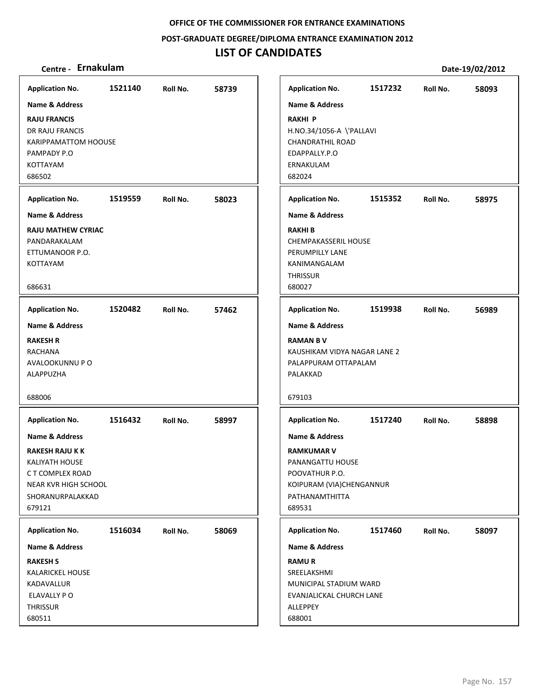**POST‐GRADUATE DEGREE/DIPLOMA ENTRANCE EXAMINATION 2012**

## **LIST OF CANDIDATES**

| <b>Application No.</b>                                                                               | 1521140 | Roll No. | 58739 | <b>Application No.</b>                                                                                  | 1517232 | Roll No. | 58093 |
|------------------------------------------------------------------------------------------------------|---------|----------|-------|---------------------------------------------------------------------------------------------------------|---------|----------|-------|
| Name & Address                                                                                       |         |          |       | <b>Name &amp; Address</b>                                                                               |         |          |       |
| <b>RAJU FRANCIS</b><br>DR RAJU FRANCIS<br><b>KARIPPAMATTOM HOOUSE</b>                                |         |          |       | <b>RAKHI P</b><br>H.NO.34/1056-A \'PALLAVI<br><b>CHANDRATHIL ROAD</b>                                   |         |          |       |
| PAMPADY P.O                                                                                          |         |          |       | EDAPPALLY.P.O                                                                                           |         |          |       |
| <b>KOTTAYAM</b>                                                                                      |         |          |       | ERNAKULAM                                                                                               |         |          |       |
| 686502                                                                                               |         |          |       | 682024                                                                                                  |         |          |       |
| <b>Application No.</b>                                                                               | 1519559 | Roll No. | 58023 | <b>Application No.</b>                                                                                  | 1515352 | Roll No. | 58975 |
| <b>Name &amp; Address</b>                                                                            |         |          |       | <b>Name &amp; Address</b>                                                                               |         |          |       |
| <b>RAJU MATHEW CYRIAC</b><br>PANDARAKALAM<br>ETTUMANOOR P.O.<br>KOTTAYAM                             |         |          |       | <b>RAKHIB</b><br><b>CHEMPAKASSERIL HOUSE</b><br>PERUMPILLY LANE<br>KANIMANGALAM<br><b>THRISSUR</b>      |         |          |       |
| 686631                                                                                               |         |          |       | 680027                                                                                                  |         |          |       |
| <b>Application No.</b>                                                                               | 1520482 | Roll No. | 57462 | <b>Application No.</b>                                                                                  | 1519938 | Roll No. | 56989 |
| <b>Name &amp; Address</b>                                                                            |         |          |       | <b>Name &amp; Address</b>                                                                               |         |          |       |
| <b>RAKESH R</b><br><b>RACHANA</b><br>AVALOOKUNNU P O<br>ALAPPUZHA<br>688006                          |         |          |       | <b>RAMAN BV</b><br>KAUSHIKAM VIDYA NAGAR LANE 2<br>PALAPPURAM OTTAPALAM<br>PALAKKAD<br>679103           |         |          |       |
| <b>Application No.</b>                                                                               | 1516432 | Roll No. | 58997 | <b>Application No.</b>                                                                                  | 1517240 | Roll No. | 58898 |
| <b>Name &amp; Address</b>                                                                            |         |          |       | <b>Name &amp; Address</b>                                                                               |         |          |       |
| <b>RAKESH RAJU K K</b>                                                                               |         |          |       | <b>RAMKUMAR V</b>                                                                                       |         |          |       |
| <b>KALIYATH HOUSE</b>                                                                                |         |          |       | PANANGATTU HOUSE                                                                                        |         |          |       |
| C T COMPLEX ROAD<br>NEAR KVR HIGH SCHOOL                                                             |         |          |       | POOVATHUR P.O.<br>KOIPURAM (VIA)CHENGANNUR                                                              |         |          |       |
| SHORANURPALAKKAD                                                                                     |         |          |       | PATHANAMTHITTA                                                                                          |         |          |       |
| 679121                                                                                               |         |          |       | 689531                                                                                                  |         |          |       |
| <b>Application No.</b>                                                                               | 1516034 | Roll No. | 58069 | <b>Application No.</b>                                                                                  | 1517460 | Roll No. | 58097 |
| Name & Address                                                                                       |         |          |       | Name & Address                                                                                          |         |          |       |
| <b>RAKESH S</b><br><b>KALARICKEL HOUSE</b><br>KADAVALLUR<br>ELAVALLY PO<br><b>THRISSUR</b><br>680511 |         |          |       | <b>RAMUR</b><br>SREELAKSHMI<br>MUNICIPAL STADIUM WARD<br>EVANJALICKAL CHURCH LANE<br>ALLEPPEY<br>688001 |         |          |       |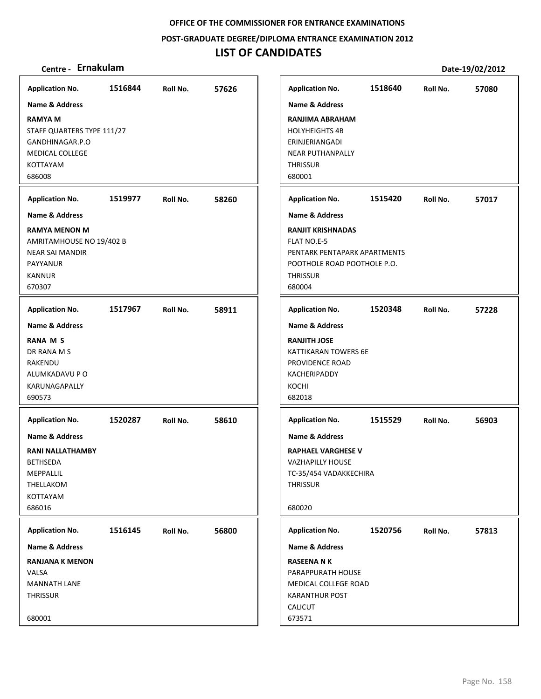**POST‐GRADUATE DEGREE/DIPLOMA ENTRANCE EXAMINATION 2012**

## **LIST OF CANDIDATES**

| Centre - Ernakulam                                                                                                  |         |          |       |                                                                                                                                     |         |          | Date-19/02/2012 |
|---------------------------------------------------------------------------------------------------------------------|---------|----------|-------|-------------------------------------------------------------------------------------------------------------------------------------|---------|----------|-----------------|
| <b>Application No.</b>                                                                                              | 1516844 | Roll No. | 57626 | <b>Application No.</b>                                                                                                              | 1518640 | Roll No. | 57080           |
| <b>Name &amp; Address</b>                                                                                           |         |          |       | <b>Name &amp; Address</b>                                                                                                           |         |          |                 |
| <b>RAMYA M</b><br>STAFF QUARTERS TYPE 111/27<br>GANDHINAGAR.P.O<br><b>MEDICAL COLLEGE</b><br>KOTTAYAM<br>686008     |         |          |       | <b>RANJIMA ABRAHAM</b><br><b>HOLYHEIGHTS 4B</b><br>ERINJERIANGADI<br><b>NEAR PUTHANPALLY</b><br><b>THRISSUR</b><br>680001           |         |          |                 |
| <b>Application No.</b>                                                                                              | 1519977 | Roll No. | 58260 | <b>Application No.</b>                                                                                                              | 1515420 | Roll No. | 57017           |
| <b>Name &amp; Address</b>                                                                                           |         |          |       | <b>Name &amp; Address</b>                                                                                                           |         |          |                 |
| <b>RAMYA MENON M</b><br>AMRITAMHOUSE NO 19/402 B<br><b>NEAR SAI MANDIR</b><br>PAYYANUR<br><b>KANNUR</b><br>670307   |         |          |       | <b>RANJIT KRISHNADAS</b><br>FLAT NO.E-5<br>PENTARK PENTAPARK APARTMENTS<br>POOTHOLE ROAD POOTHOLE P.O.<br><b>THRISSUR</b><br>680004 |         |          |                 |
| <b>Application No.</b>                                                                                              | 1517967 | Roll No. | 58911 | <b>Application No.</b>                                                                                                              | 1520348 | Roll No. | 57228           |
| <b>Name &amp; Address</b><br><b>RANA M S</b><br>DR RANA M S<br>RAKENDU<br>ALUMKADAVU P O<br>KARUNAGAPALLY<br>690573 |         |          |       | <b>Name &amp; Address</b><br><b>RANJITH JOSE</b><br>KATTIKARAN TOWERS 6E<br>PROVIDENCE ROAD<br>KACHERIPADDY<br>KOCHI<br>682018      |         |          |                 |
| <b>Application No.</b>                                                                                              | 1520287 | Roll No. | 58610 | <b>Application No.</b>                                                                                                              | 1515529 | Roll No. | 56903           |
| <b>Name &amp; Address</b>                                                                                           |         |          |       | <b>Name &amp; Address</b>                                                                                                           |         |          |                 |
| RANI NALLATHAMBY<br><b>BETHSEDA</b><br>MEPPALLIL<br>THELLAKOM<br>KOTTAYAM<br>686016                                 |         |          |       | <b>RAPHAEL VARGHESE V</b><br><b>VAZHAPILLY HOUSE</b><br>TC-35/454 VADAKKECHIRA<br><b>THRISSUR</b><br>680020                         |         |          |                 |
| <b>Application No.</b>                                                                                              | 1516145 | Roll No. | 56800 | <b>Application No.</b>                                                                                                              | 1520756 | Roll No. | 57813           |
| Name & Address                                                                                                      |         |          |       | Name & Address                                                                                                                      |         |          |                 |
| <b>RANJANA K MENON</b><br>VALSA<br><b>MANNATH LANE</b><br><b>THRISSUR</b><br>680001                                 |         |          |       | <b>RASEENA NK</b><br>PARAPPURATH HOUSE<br>MEDICAL COLLEGE ROAD<br><b>KARANTHUR POST</b><br>CALICUT<br>673571                        |         |          |                 |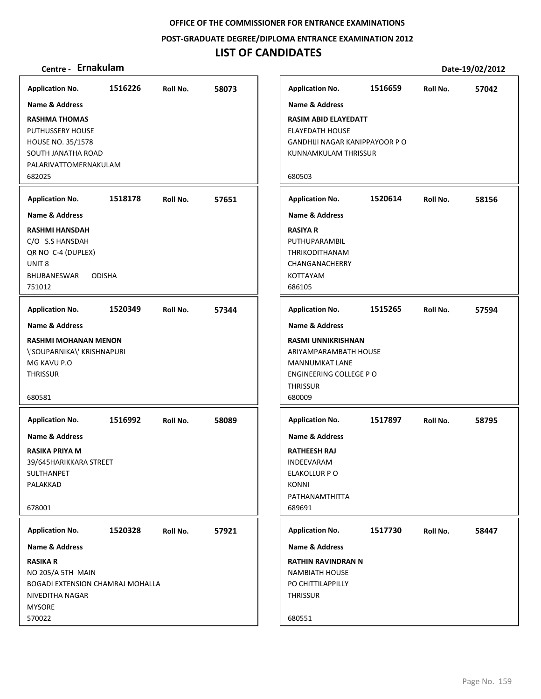**POST‐GRADUATE DEGREE/DIPLOMA ENTRANCE EXAMINATION 2012**

## **LIST OF CANDIDATES**

| 1516226<br>58073<br><b>Application No.</b><br>1516659<br><b>Application No.</b><br>Roll No.<br>Roll No.<br>Name & Address<br><b>Name &amp; Address</b><br><b>RASIM ABID ELAYEDATT</b><br><b>RASHMA THOMAS</b><br>PUTHUSSERY HOUSE<br><b>ELAYEDATH HOUSE</b><br>HOUSE NO. 35/1578<br>GANDHIJI NAGAR KANIPPAYOOR P O<br>SOUTH JANATHA ROAD<br>KUNNAMKULAM THRISSUR<br>PALARIVATTOMERNAKULAM<br>682025<br>680503 | 57042<br>58156 |
|---------------------------------------------------------------------------------------------------------------------------------------------------------------------------------------------------------------------------------------------------------------------------------------------------------------------------------------------------------------------------------------------------------------|----------------|
|                                                                                                                                                                                                                                                                                                                                                                                                               |                |
|                                                                                                                                                                                                                                                                                                                                                                                                               |                |
|                                                                                                                                                                                                                                                                                                                                                                                                               |                |
|                                                                                                                                                                                                                                                                                                                                                                                                               |                |
| <b>Application No.</b><br>1518178<br><b>Application No.</b><br>1520614<br>57651<br>Roll No.<br>Roll No.                                                                                                                                                                                                                                                                                                       |                |
| <b>Name &amp; Address</b><br><b>Name &amp; Address</b>                                                                                                                                                                                                                                                                                                                                                        |                |
| <b>RASHMI HANSDAH</b><br><b>RASIYA R</b><br>C/O S.S HANSDAH<br>PUTHUPARAMBIL<br>QR NO C-4 (DUPLEX)<br>THRIKODITHANAM<br>UNIT <sub>8</sub><br>CHANGANACHERRY<br>BHUBANESWAR<br><b>KOTTAYAM</b><br><b>ODISHA</b><br>686105<br>751012                                                                                                                                                                            |                |
| <b>Application No.</b><br>1520349<br>57344<br><b>Application No.</b><br>1515265<br>Roll No.<br>Roll No.                                                                                                                                                                                                                                                                                                       | 57594          |
| <b>Name &amp; Address</b><br><b>Name &amp; Address</b>                                                                                                                                                                                                                                                                                                                                                        |                |
| <b>RASHMI MOHANAN MENON</b><br><b>RASMI UNNIKRISHNAN</b><br>\'SOUPARNIKA\' KRISHNAPURI<br>ARIYAMPARAMBATH HOUSE<br>MG KAVU P.O<br><b>MANNUMKAT LANE</b><br>THRISSUR<br>ENGINEERING COLLEGE PO<br><b>THRISSUR</b><br>680581<br>680009                                                                                                                                                                          |                |
| <b>Application No.</b><br>1516992<br><b>Application No.</b><br>1517897<br>Roll No.<br>58089<br>Roll No.                                                                                                                                                                                                                                                                                                       | 58795          |
| <b>Name &amp; Address</b><br><b>Name &amp; Address</b>                                                                                                                                                                                                                                                                                                                                                        |                |
| RASIKA PRIYA M<br><b>RATHEESH RAJ</b><br>39/645HARIKKARA STREET<br>INDEEVARAM<br>SULTHANPET<br>ELAKOLLUR P O<br>PALAKKAD<br><b>KONNI</b><br>PATHANAMTHITTA<br>689691<br>678001                                                                                                                                                                                                                                |                |
| <b>Application No.</b><br>1520328<br>Roll No.<br>57921<br><b>Application No.</b><br>1517730<br>Roll No.                                                                                                                                                                                                                                                                                                       | 58447          |
| <b>Name &amp; Address</b><br><b>Name &amp; Address</b>                                                                                                                                                                                                                                                                                                                                                        |                |
| <b>RASIKA R</b><br><b>RATHIN RAVINDRAN N</b><br>NO 205/A 5TH MAIN<br><b>NAMBIATH HOUSE</b><br><b>BOGADI EXTENSION CHAMRAJ MOHALLA</b><br>PO CHITTILAPPILLY<br><b>THRISSUR</b><br>NIVEDITHA NAGAR<br><b>MYSORE</b><br>570022<br>680551                                                                                                                                                                         |                |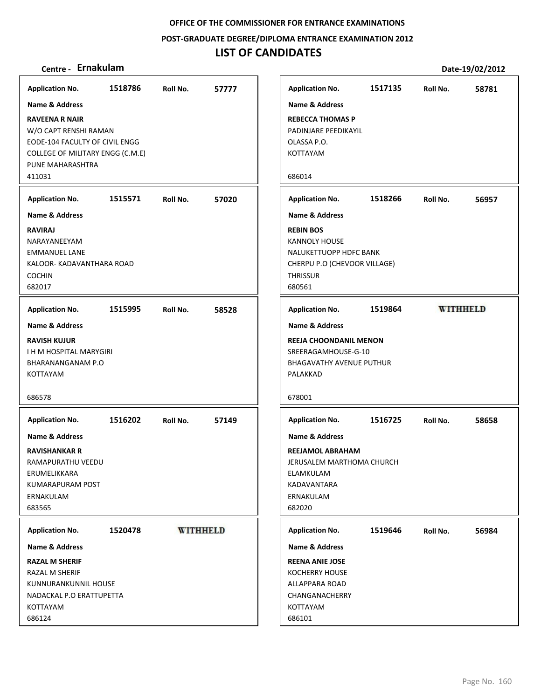**POST‐GRADUATE DEGREE/DIPLOMA ENTRANCE EXAMINATION 2012**

## **LIST OF CANDIDATES**

| <b>Application No.</b>                                                                                                                                                                                                                                | 1518786 | Roll No. | 57777           |
|-------------------------------------------------------------------------------------------------------------------------------------------------------------------------------------------------------------------------------------------------------|---------|----------|-----------------|
| Name & Address                                                                                                                                                                                                                                        |         |          |                 |
| <b>RAVEENA R NAIR</b><br>W/O CAPT RENSHI RAMAN<br>EODE-104 FACULTY OF CIVIL ENGG<br>COLLEGE OF MILITARY ENGG (C.M.E)<br>PUNE MAHARASHTRA<br>411031                                                                                                    |         |          |                 |
| <b>Application No.</b>                                                                                                                                                                                                                                | 1515571 | Roll No. | 57020           |
| <b>Name &amp; Address</b>                                                                                                                                                                                                                             |         |          |                 |
| <b>RAVIRAJ</b><br>NARAYANEEYAM<br><b>EMMANUEL LANE</b><br>KALOOR- KADAVANTHARA ROAD<br><b>COCHIN</b><br>682017                                                                                                                                        |         |          |                 |
| <b>Application No.</b>                                                                                                                                                                                                                                | 1515995 | Roll No. | 58528           |
| Name & Address<br><b>RAVISH KUJUR</b><br>I H M HOSPITAL MARYGIRI<br>BHARANANGANAM P.O<br>KOTTAYAM<br>686578<br><b>Application No.</b><br>Name & Address<br><b>RAVISHANKAR R</b><br>RAMAPURATHU VEEDU<br>ERUMELIKKARA<br>KUMARAPURAM POST<br>ERNAKULAM | 1516202 | Roll No. | 57149           |
| 683565                                                                                                                                                                                                                                                |         |          |                 |
| <b>Application No.</b>                                                                                                                                                                                                                                | 1520478 |          | <b>WITHHELD</b> |
| Name & Address                                                                                                                                                                                                                                        |         |          |                 |
| <b>RAZAL M SHERIF</b><br>RAZAL M SHERIF<br>KUNNURANKUNNIL HOUSE<br>NADACKAL P.O ERATTUPETTA<br>KOTTAYAM<br>686124                                                                                                                                     |         |          |                 |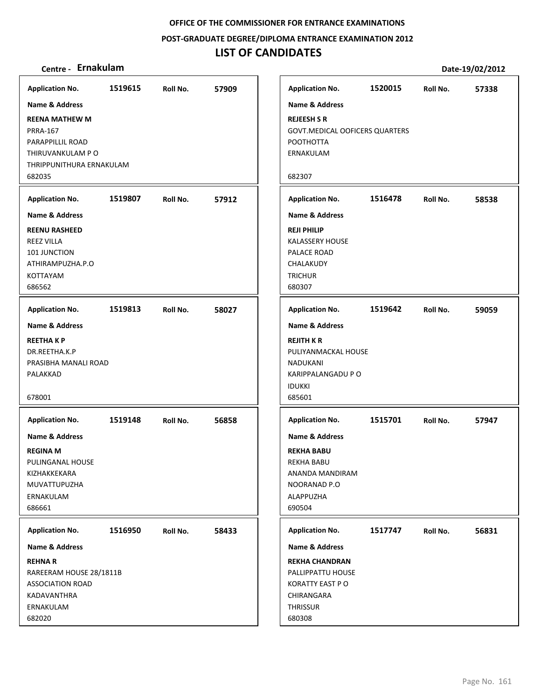**POST‐GRADUATE DEGREE/DIPLOMA ENTRANCE EXAMINATION 2012**

## **LIST OF CANDIDATES**

| <b>Application No.</b>    | 1519615 | Roll No. | 57909 | <b>Application No.</b>                | 1520015 | Roll No. | 57338 |
|---------------------------|---------|----------|-------|---------------------------------------|---------|----------|-------|
| Name & Address            |         |          |       | <b>Name &amp; Address</b>             |         |          |       |
| <b>REENA MATHEW M</b>     |         |          |       | <b>REJEESH S R</b>                    |         |          |       |
| <b>PRRA-167</b>           |         |          |       | <b>GOVT.MEDICAL OOFICERS QUARTERS</b> |         |          |       |
| PARAPPILLIL ROAD          |         |          |       | POOTHOTTA                             |         |          |       |
| THIRUVANKULAM P O         |         |          |       | ERNAKULAM                             |         |          |       |
|                           |         |          |       |                                       |         |          |       |
| THRIPPUNITHURA ERNAKULAM  |         |          |       |                                       |         |          |       |
| 682035                    |         |          |       | 682307                                |         |          |       |
| <b>Application No.</b>    | 1519807 | Roll No. | 57912 | <b>Application No.</b>                | 1516478 | Roll No. | 58538 |
| <b>Name &amp; Address</b> |         |          |       | <b>Name &amp; Address</b>             |         |          |       |
| <b>REENU RASHEED</b>      |         |          |       | <b>REJI PHILIP</b>                    |         |          |       |
| <b>REEZ VILLA</b>         |         |          |       | <b>KALASSERY HOUSE</b>                |         |          |       |
| 101 JUNCTION              |         |          |       | PALACE ROAD                           |         |          |       |
| ATHIRAMPUZHA.P.O          |         |          |       | CHALAKUDY                             |         |          |       |
| KOTTAYAM                  |         |          |       | <b>TRICHUR</b>                        |         |          |       |
| 686562                    |         |          |       | 680307                                |         |          |       |
|                           |         |          |       |                                       |         |          |       |
| <b>Application No.</b>    | 1519813 | Roll No. | 58027 | <b>Application No.</b>                | 1519642 | Roll No. | 59059 |
| <b>Name &amp; Address</b> |         |          |       | <b>Name &amp; Address</b>             |         |          |       |
| <b>REETHAKP</b>           |         |          |       | <b>REJITH K R</b>                     |         |          |       |
| DR.REETHA.K.P             |         |          |       | PULIYANMACKAL HOUSE                   |         |          |       |
|                           |         |          |       |                                       |         |          |       |
| PRASIBHA MANALI ROAD      |         |          |       | <b>NADUKANI</b>                       |         |          |       |
| PALAKKAD                  |         |          |       | KARIPPALANGADU P O                    |         |          |       |
|                           |         |          |       | <b>IDUKKI</b>                         |         |          |       |
| 678001                    |         |          |       | 685601                                |         |          |       |
| <b>Application No.</b>    | 1519148 | Roll No. | 56858 | <b>Application No.</b>                | 1515701 | Roll No. | 57947 |
| Name & Address            |         |          |       | <b>Name &amp; Address</b>             |         |          |       |
|                           |         |          |       |                                       |         |          |       |
| <b>REGINA M</b>           |         |          |       | <b>REKHA BABU</b>                     |         |          |       |
| PULINGANAL HOUSE          |         |          |       | <b>REKHA BABU</b>                     |         |          |       |
| KIZHAKKEKARA              |         |          |       | ANANDA MANDIRAM                       |         |          |       |
| MUVATTUPUZHA              |         |          |       | NOORANAD P.O                          |         |          |       |
| ERNAKULAM                 |         |          |       | ALAPPUZHA                             |         |          |       |
| 686661                    |         |          |       | 690504                                |         |          |       |
| <b>Application No.</b>    | 1516950 | Roll No. | 58433 | <b>Application No.</b>                | 1517747 | Roll No. | 56831 |
| Name & Address            |         |          |       | <b>Name &amp; Address</b>             |         |          |       |
| <b>REHNAR</b>             |         |          |       | <b>REKHA CHANDRAN</b>                 |         |          |       |
| RAREERAM HOUSE 28/1811B   |         |          |       | PALLIPPATTU HOUSE                     |         |          |       |
| <b>ASSOCIATION ROAD</b>   |         |          |       | <b>KORATTY EAST PO</b>                |         |          |       |
| KADAVANTHRA               |         |          |       | CHIRANGARA                            |         |          |       |
|                           |         |          |       |                                       |         |          |       |
| ERNAKULAM                 |         |          |       | THRISSUR                              |         |          |       |
| 682020                    |         |          |       | 680308                                |         |          |       |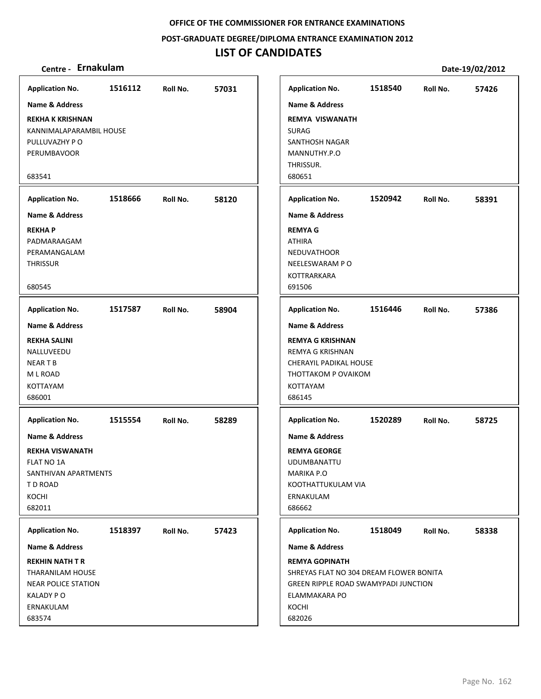**POST‐GRADUATE DEGREE/DIPLOMA ENTRANCE EXAMINATION 2012**

## **LIST OF CANDIDATES**

| <b>Application No.</b>     | 1516112 | Roll No. | 57031 | <b>Application No.</b>                  | 1518540 | Roll No. | 57426 |
|----------------------------|---------|----------|-------|-----------------------------------------|---------|----------|-------|
| Name & Address             |         |          |       | <b>Name &amp; Address</b>               |         |          |       |
| <b>REKHA K KRISHNAN</b>    |         |          |       | <b>REMYA VISWANATH</b>                  |         |          |       |
| KANNIMALAPARAMBIL HOUSE    |         |          |       | <b>SURAG</b>                            |         |          |       |
| PULLUVAZHY PO              |         |          |       | SANTHOSH NAGAR                          |         |          |       |
| PERUMBAVOOR                |         |          |       | MANNUTHY.P.O                            |         |          |       |
|                            |         |          |       | THRISSUR.                               |         |          |       |
| 683541                     |         |          |       | 680651                                  |         |          |       |
| <b>Application No.</b>     | 1518666 | Roll No. | 58120 | <b>Application No.</b>                  | 1520942 | Roll No. | 58391 |
| <b>Name &amp; Address</b>  |         |          |       | <b>Name &amp; Address</b>               |         |          |       |
| <b>REKHAP</b>              |         |          |       | <b>REMYA G</b>                          |         |          |       |
| PADMARAAGAM                |         |          |       | <b>ATHIRA</b>                           |         |          |       |
| PERAMANGALAM               |         |          |       | <b>NEDUVATHOOR</b>                      |         |          |       |
| <b>THRISSUR</b>            |         |          |       | NEELESWARAM PO                          |         |          |       |
|                            |         |          |       | <b>KOTTRARKARA</b>                      |         |          |       |
| 680545                     |         |          |       | 691506                                  |         |          |       |
| <b>Application No.</b>     | 1517587 | Roll No. | 58904 | <b>Application No.</b>                  | 1516446 | Roll No. | 57386 |
| <b>Name &amp; Address</b>  |         |          |       | <b>Name &amp; Address</b>               |         |          |       |
| <b>REKHA SALINI</b>        |         |          |       | <b>REMYA G KRISHNAN</b>                 |         |          |       |
| NALLUVEEDU                 |         |          |       | REMYA G KRISHNAN                        |         |          |       |
| <b>NEARTB</b>              |         |          |       | CHERAYIL PADIKAL HOUSE                  |         |          |       |
| M L ROAD                   |         |          |       | THOTTAKOM P OVAIKOM                     |         |          |       |
| <b>KOTTAYAM</b>            |         |          |       | KOTTAYAM                                |         |          |       |
| 686001                     |         |          |       | 686145                                  |         |          |       |
| <b>Application No.</b>     | 1515554 | Roll No. | 58289 | <b>Application No.</b>                  | 1520289 | Roll No. | 58725 |
| <b>Name &amp; Address</b>  |         |          |       | <b>Name &amp; Address</b>               |         |          |       |
| <b>REKHA VISWANATH</b>     |         |          |       | <b>REMYA GEORGE</b>                     |         |          |       |
| <b>FLAT NO 1A</b>          |         |          |       | UDUMBANATTU                             |         |          |       |
| SANTHIVAN APARTMENTS       |         |          |       | <b>MARIKA P.O</b>                       |         |          |       |
| T D ROAD                   |         |          |       | KOOTHATTUKULAM VIA                      |         |          |       |
| KOCHI                      |         |          |       | ERNAKULAM                               |         |          |       |
| 682011                     |         |          |       | 686662                                  |         |          |       |
|                            |         |          |       |                                         |         |          |       |
| <b>Application No.</b>     | 1518397 | Roll No. | 57423 | <b>Application No.</b>                  | 1518049 | Roll No. | 58338 |
| Name & Address             |         |          |       | Name & Address                          |         |          |       |
| <b>REKHIN NATH T R</b>     |         |          |       | <b>REMYA GOPINATH</b>                   |         |          |       |
| THARANILAM HOUSE           |         |          |       | SHREYAS FLAT NO 304 DREAM FLOWER BONITA |         |          |       |
| <b>NEAR POLICE STATION</b> |         |          |       | GREEN RIPPLE ROAD SWAMYPADI JUNCTION    |         |          |       |
| KALADY PO                  |         |          |       | ELAMMAKARA PO                           |         |          |       |
| ERNAKULAM                  |         |          |       | KOCHI                                   |         |          |       |
| 683574                     |         |          |       | 682026                                  |         |          |       |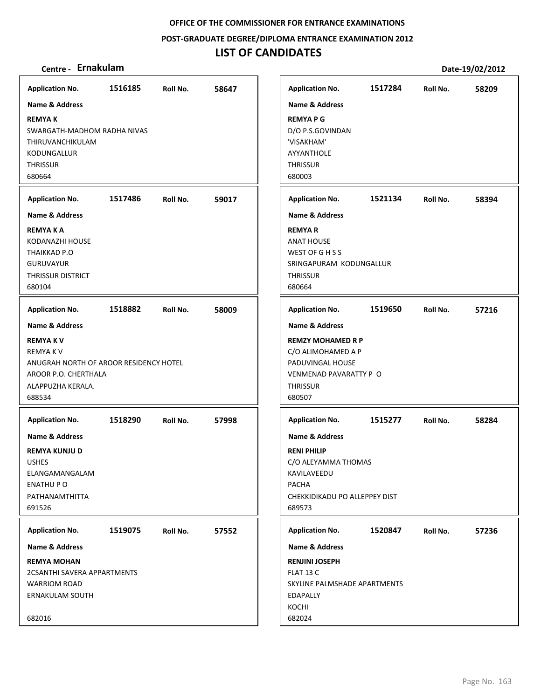**POST‐GRADUATE DEGREE/DIPLOMA ENTRANCE EXAMINATION 2012**

## **LIST OF CANDIDATES**

| <b>Application No.</b>                                                                                                              | 1516185 | Roll No. | 58647 |
|-------------------------------------------------------------------------------------------------------------------------------------|---------|----------|-------|
| Name & Address                                                                                                                      |         |          |       |
| <b>REMYAK</b><br>SWARGATH-MADHOM RADHA NIVAS<br>THIRUVANCHIKULAM<br>KODUNGALLUR<br><b>THRISSUR</b><br>680664                        |         |          |       |
| <b>Application No.</b>                                                                                                              | 1517486 | Roll No. | 59017 |
| <b>Name &amp; Address</b>                                                                                                           |         |          |       |
| <b>REMYAKA</b><br>KODANAZHI HOUSE<br>THAIKKAD P.O<br><b>GURUVAYUR</b><br><b>THRISSUR DISTRICT</b><br>680104                         |         |          |       |
| <b>Application No.</b>                                                                                                              | 1518882 | Roll No. | 58009 |
| Name & Address                                                                                                                      |         |          |       |
| <b>REMYAKV</b><br>REMYA K V<br>ANUGRAH NORTH OF AROOR RESIDENCY HOTEL<br>AROOR P.O. CHERTHALA<br>ALAPPUZHA KERALA.<br>688534        |         |          |       |
| <b>Application No.</b>                                                                                                              | 1518290 | Roll No. | 57998 |
| <b>Name &amp; Address</b><br><b>REMYA KUNJU D</b><br><b>USHES</b><br>ELANGAMANGALAM<br><b>ENATHUP O</b><br>PATHANAMTHITTA<br>691526 |         |          |       |
|                                                                                                                                     |         |          |       |
| <b>Application No.</b>                                                                                                              | 1519075 | Roll No. | 57552 |
| Name & Address<br><b>REMYA MOHAN</b>                                                                                                |         |          |       |
| <b>2CSANTHI SAVERA APPARTMENTS</b><br><b>WARRIOM ROAD</b><br><b>ERNAKULAM SOUTH</b><br>682016                                       |         |          |       |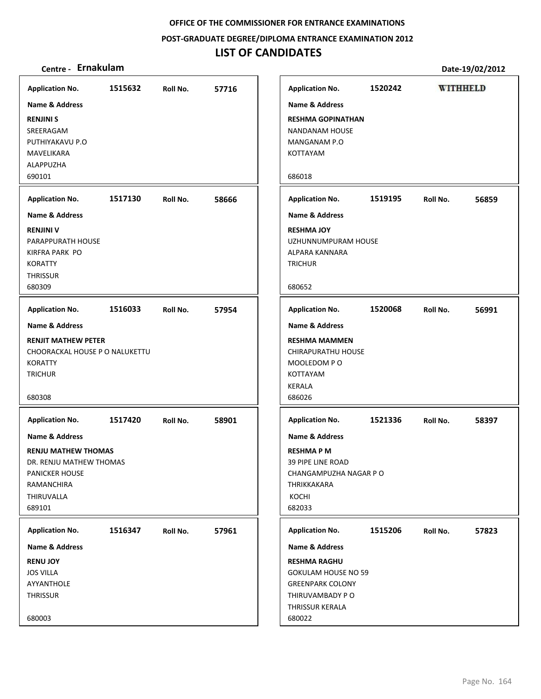**POST‐GRADUATE DEGREE/DIPLOMA ENTRANCE EXAMINATION 2012**

## **LIST OF CANDIDATES**

| <b>Application No.</b>         | 1515632 | Roll No. | 57716 | <b>Application No.</b>     | 1520242 |          | <b>WITHHELD</b> |
|--------------------------------|---------|----------|-------|----------------------------|---------|----------|-----------------|
| <b>Name &amp; Address</b>      |         |          |       | <b>Name &amp; Address</b>  |         |          |                 |
| <b>RENJINI S</b>               |         |          |       | <b>RESHMA GOPINATHAN</b>   |         |          |                 |
| SREERAGAM                      |         |          |       | <b>NANDANAM HOUSE</b>      |         |          |                 |
| PUTHIYAKAVU P.O                |         |          |       | MANGANAM P.O               |         |          |                 |
| MAVELIKARA                     |         |          |       | KOTTAYAM                   |         |          |                 |
| ALAPPUZHA                      |         |          |       |                            |         |          |                 |
| 690101                         |         |          |       | 686018                     |         |          |                 |
| <b>Application No.</b>         | 1517130 | Roll No. | 58666 | <b>Application No.</b>     | 1519195 | Roll No. | 56859           |
| <b>Name &amp; Address</b>      |         |          |       | <b>Name &amp; Address</b>  |         |          |                 |
| <b>RENJINI V</b>               |         |          |       | <b>RESHMA JOY</b>          |         |          |                 |
| PARAPPURATH HOUSE              |         |          |       | UZHUNNUMPURAM HOUSE        |         |          |                 |
| KIRFRA PARK PO                 |         |          |       | ALPARA KANNARA             |         |          |                 |
| <b>KORATTY</b>                 |         |          |       | <b>TRICHUR</b>             |         |          |                 |
| <b>THRISSUR</b>                |         |          |       |                            |         |          |                 |
| 680309                         |         |          |       | 680652                     |         |          |                 |
| <b>Application No.</b>         | 1516033 | Roll No. | 57954 | <b>Application No.</b>     | 1520068 | Roll No. | 56991           |
| Name & Address                 |         |          |       | <b>Name &amp; Address</b>  |         |          |                 |
| <b>RENJIT MATHEW PETER</b>     |         |          |       | <b>RESHMA MAMMEN</b>       |         |          |                 |
| CHOORACKAL HOUSE P O NALUKETTU |         |          |       | CHIRAPURATHU HOUSE         |         |          |                 |
| <b>KORATTY</b>                 |         |          |       | MOOLEDOM PO                |         |          |                 |
| <b>TRICHUR</b>                 |         |          |       | KOTTAYAM                   |         |          |                 |
|                                |         |          |       | <b>KERALA</b>              |         |          |                 |
| 680308                         |         |          |       | 686026                     |         |          |                 |
| <b>Application No.</b>         | 1517420 | Roll No. | 58901 | <b>Application No.</b>     | 1521336 | Roll No. | 58397           |
| <b>Name &amp; Address</b>      |         |          |       | <b>Name &amp; Address</b>  |         |          |                 |
| <b>RENJU MATHEW THOMAS</b>     |         |          |       | <b>RESHMAPM</b>            |         |          |                 |
| DR. RENJU MATHEW THOMAS        |         |          |       | <b>39 PIPE LINE ROAD</b>   |         |          |                 |
| <b>PANICKER HOUSE</b>          |         |          |       | CHANGAMPUZHA NAGAR P O     |         |          |                 |
| RAMANCHIRA                     |         |          |       | THRIKKAKARA                |         |          |                 |
| THIRUVALLA                     |         |          |       | KOCHI                      |         |          |                 |
| 689101                         |         |          |       | 682033                     |         |          |                 |
| <b>Application No.</b>         | 1516347 | Roll No. | 57961 | <b>Application No.</b>     | 1515206 | Roll No. | 57823           |
| <b>Name &amp; Address</b>      |         |          |       | Name & Address             |         |          |                 |
| <b>RENU JOY</b>                |         |          |       | <b>RESHMA RAGHU</b>        |         |          |                 |
| <b>JOS VILLA</b>               |         |          |       | <b>GOKULAM HOUSE NO 59</b> |         |          |                 |
| AYYANTHOLE                     |         |          |       | <b>GREENPARK COLONY</b>    |         |          |                 |
| THRISSUR                       |         |          |       | THIRUVAMBADY PO            |         |          |                 |
|                                |         |          |       | THRISSUR KERALA            |         |          |                 |
| 680003                         |         |          |       | 680022                     |         |          |                 |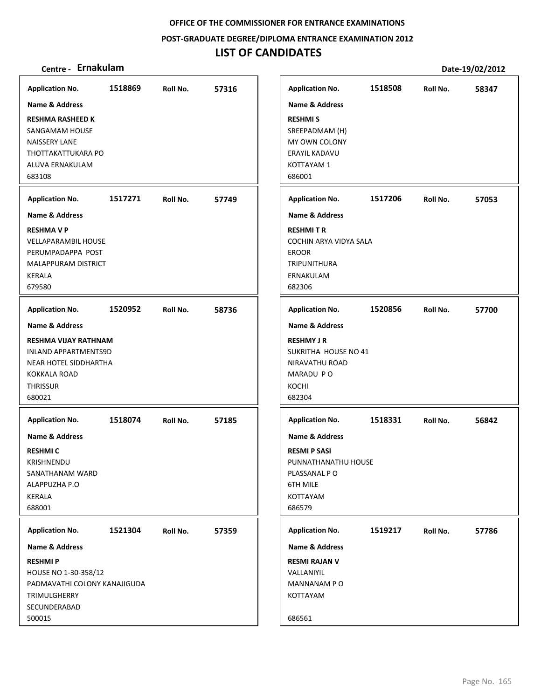**POST‐GRADUATE DEGREE/DIPLOMA ENTRANCE EXAMINATION 2012**

## **LIST OF CANDIDATES**

| <b>Application No.</b>                                                        | 1518508                                                             | Roll No. |
|-------------------------------------------------------------------------------|---------------------------------------------------------------------|----------|
| <b>RESHMIS</b><br>ERAYIL KADAVU<br>KOTTAYAM 1<br>686001                       | Name & Address<br>SREEPADMAM (H)<br>MY OWN COLONY                   |          |
| <b>Application No.</b>                                                        | 1517206                                                             | Roll No. |
| <b>RESHMITR</b><br><b>EROOR</b><br><b>TRIPUNITHURA</b><br>ERNAKULAM<br>682306 | <b>Name &amp; Address</b><br>COCHIN ARYA VIDYA SALA                 |          |
| <b>Application No.</b>                                                        | 1520856                                                             | Roll No. |
|                                                                               | <b>Name &amp; Address</b><br>SUKRITHA HOUSE NO 41<br>NIRAVATHU ROAD |          |
| <b>Name &amp; Address</b>                                                     | 1518331<br>PUNNATHANATHU HOUSE                                      | Roll No. |
| Name & Address<br>MANNANAM PO                                                 | 1519217                                                             | Roll No. |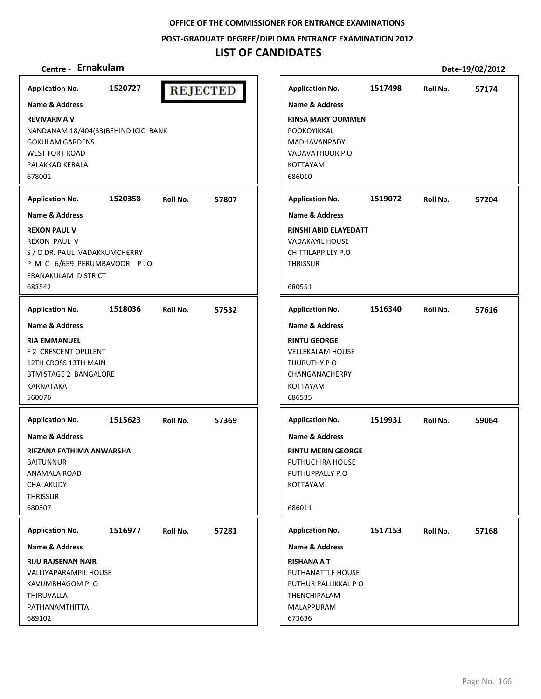**POST‐GRADUATE DEGREE/DIPLOMA ENTRANCE EXAMINATION 2012**

## **LIST OF CANDIDATES**

| Centre - Ernakulam                                                                                                                                      |         |          |                 |                                                                                                                                    |         | Date-19/02/2012 |       |
|---------------------------------------------------------------------------------------------------------------------------------------------------------|---------|----------|-----------------|------------------------------------------------------------------------------------------------------------------------------------|---------|-----------------|-------|
| <b>Application No.</b>                                                                                                                                  | 1520727 |          | <b>REJECTED</b> | <b>Application No.</b>                                                                                                             | 1517498 | Roll No.        | 57174 |
| <b>Name &amp; Address</b>                                                                                                                               |         |          |                 | <b>Name &amp; Address</b>                                                                                                          |         |                 |       |
| <b>REVIVARMA V</b><br>NANDANAM 18/404(33) BEHIND ICICI BANK<br><b>GOKULAM GARDENS</b><br><b>WEST FORT ROAD</b><br>PALAKKAD KERALA                       |         |          |                 | <b>RINSA MARY OOMMEN</b><br>POOKOYIKKAL<br><b>MADHAVANPADY</b><br>VADAVATHOOR PO<br><b>KOTTAYAM</b>                                |         |                 |       |
| 678001                                                                                                                                                  |         |          |                 | 686010                                                                                                                             |         |                 |       |
| <b>Application No.</b>                                                                                                                                  | 1520358 | Roll No. | 57807           | <b>Application No.</b>                                                                                                             | 1519072 | Roll No.        | 57204 |
| <b>Name &amp; Address</b>                                                                                                                               |         |          |                 | Name & Address                                                                                                                     |         |                 |       |
| <b>REXON PAUL V</b><br><b>REXON PAUL V</b><br>S / O DR. PAUL VADAKKUMCHERRY<br>P M C 6/659 PERUMBAVOOR P.O<br>ERANAKULAM DISTRICT<br>683542             |         |          |                 | RINSHI ABID ELAYEDATT<br><b>VADAKAYIL HOUSE</b><br>CHITTILAPPILLY P.O<br><b>THRISSUR</b><br>680551                                 |         |                 |       |
|                                                                                                                                                         |         |          |                 |                                                                                                                                    |         |                 |       |
| <b>Application No.</b>                                                                                                                                  | 1518036 | Roll No. | 57532           | <b>Application No.</b>                                                                                                             | 1516340 | Roll No.        | 57616 |
| <b>Name &amp; Address</b><br><b>RIA EMMANUEL</b><br>F 2 CRESCENT OPULENT<br>12TH CROSS 13TH MAIN<br><b>BTM STAGE 2 BANGALORE</b><br>KARNATAKA<br>560076 |         |          |                 | <b>Name &amp; Address</b><br><b>RINTU GEORGE</b><br><b>VELLEKALAM HOUSE</b><br>THURUTHY PO<br>CHANGANACHERRY<br>KOTTAYAM<br>686535 |         |                 |       |
| <b>Application No.</b>                                                                                                                                  | 1515623 | Roll No. | 57369           | <b>Application No.</b>                                                                                                             | 1519931 | Roll No.        | 59064 |
| Name & Address<br>RIFZANA FATHIMA ANWARSHA<br><b>BAITUNNUR</b><br><b>ANAMALA ROAD</b><br>CHALAKUDY<br><b>THRISSUR</b><br>680307                         |         |          |                 | Name & Address<br><b>RINTU MERIN GEORGE</b><br>PUTHUCHIRA HOUSE<br>PUTHUPPALLY P.O<br>KOTTAYAM<br>686011                           |         |                 |       |
| <b>Application No.</b>                                                                                                                                  | 1516977 | Roll No. | 57281           | <b>Application No.</b>                                                                                                             | 1517153 | Roll No.        | 57168 |
| <b>Name &amp; Address</b>                                                                                                                               |         |          |                 | <b>Name &amp; Address</b>                                                                                                          |         |                 |       |
| <b>RIJU RAJSENAN NAIR</b><br>VALLIYAPARAMPIL HOUSE<br>KAVUMBHAGOM P.O<br>THIRUVALLA<br>PATHANAMTHITTA<br>689102                                         |         |          |                 | <b>RISHANA A T</b><br>PUTHANATTLE HOUSE<br>PUTHUR PALLIKKAL P O<br>THENCHIPALAM<br>MALAPPURAM<br>673636                            |         |                 |       |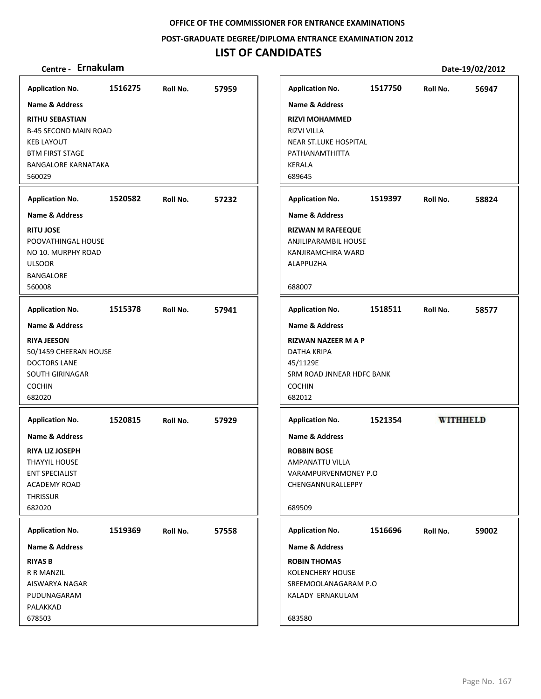**POST‐GRADUATE DEGREE/DIPLOMA ENTRANCE EXAMINATION 2012**

## **LIST OF CANDIDATES**

| <b>Application No.</b>                                                                                                                                                             | 1516275 | Roll No. | 57959 |
|------------------------------------------------------------------------------------------------------------------------------------------------------------------------------------|---------|----------|-------|
| Name & Address<br><b>RITHU SEBASTIAN</b><br><b>B-45 SECOND MAIN ROAD</b><br><b>KEB LAYOUT</b><br><b>BTM FIRST STAGE</b><br><b>BANGALORE KARNATAKA</b><br>560029                    |         |          |       |
| <b>Application No.</b>                                                                                                                                                             | 1520582 | Roll No. | 57232 |
| Name & Address<br><b>RITU JOSE</b><br>POOVATHINGAL HOUSE<br>NO 10. MURPHY ROAD<br><b>ULSOOR</b><br><b>BANGALORE</b><br>560008                                                      |         |          |       |
| <b>Application No.</b>                                                                                                                                                             | 1515378 | Roll No. | 57941 |
| <b>RIYA JEESON</b><br>50/1459 CHEERAN HOUSE<br><b>DOCTORS LANE</b><br>SOUTH GIRINAGAR<br><b>COCHIN</b><br>682020                                                                   |         |          |       |
| <b>Application No.</b><br><b>Name &amp; Address</b><br><b>RIYA LIZ JOSEPH</b><br><b>THAYYIL HOUSE</b><br><b>ENT SPECIALIST</b><br><b>ACADEMY ROAD</b><br><b>THRISSUR</b><br>682020 | 1520815 | Roll No. | 57929 |
| <b>Application No.</b><br><b>Name &amp; Address</b><br><b>RIYAS B</b><br>R R MANZIL<br>AISWARYA NAGAR<br>PUDUNAGARAM<br>PALAKKAD<br>678503                                         | 1519369 | Roll No. | 57558 |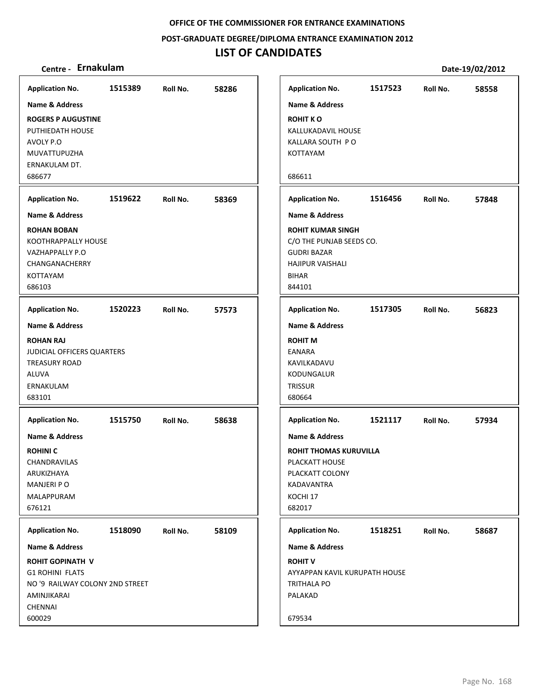**POST‐GRADUATE DEGREE/DIPLOMA ENTRANCE EXAMINATION 2012**

## **LIST OF CANDIDATES**

| <b>Application No.</b>                                                                                        | 1515389 | Roll No. | 58286 |
|---------------------------------------------------------------------------------------------------------------|---------|----------|-------|
| Name & Address                                                                                                |         |          |       |
| <b>ROGERS P AUGUSTINE</b><br>PUTHIEDATH HOUSE<br>AVOLY P.O<br>MUVATTUPUZHA<br>ERNAKULAM DT.<br>686677         |         |          |       |
| <b>Application No.</b>                                                                                        | 1519622 | Roll No. | 58369 |
| <b>Name &amp; Address</b>                                                                                     |         |          |       |
| <b>ROHAN BOBAN</b><br>KOOTHRAPPALLY HOUSE<br>VAZHAPPALLY P.O<br>CHANGANACHERRY<br>KOTTAYAM<br>686103          |         |          |       |
| <b>Application No.</b>                                                                                        | 1520223 | Roll No. | 57573 |
| <b>Name &amp; Address</b>                                                                                     |         |          |       |
| <b>ROHAN RAJ</b><br>JUDICIAL OFFICERS QUARTERS<br><b>TREASURY ROAD</b><br><b>ALUVA</b><br>ERNAKULAM<br>683101 |         |          |       |
| <b>Application No.</b>                                                                                        | 1515750 | Roll No. | 58638 |
| <b>Name &amp; Address</b>                                                                                     |         |          |       |
| <b>ROHINIC</b><br>CHANDRAVILAS<br>ARUKIZHAYA<br>MANJERI PO<br>MALAPPURAM<br>676121                            |         |          |       |
|                                                                                                               |         |          |       |
| <b>Application No.</b>                                                                                        | 1518090 | Roll No. | 58109 |
| Name & Address                                                                                                |         |          |       |
| <b>ROHIT GOPINATH V</b><br><b>G1 ROHINI FLATS</b><br>NO '9 RAILWAY COLONY 2ND STREET<br>AMINJIKARAI           |         |          |       |
| <b>CHENNAI</b><br>600029                                                                                      |         |          |       |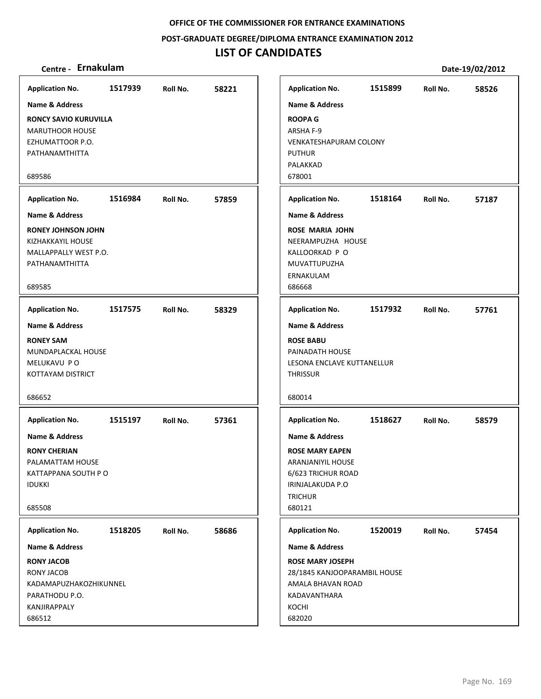**POST‐GRADUATE DEGREE/DIPLOMA ENTRANCE EXAMINATION 2012**

## **LIST OF CANDIDATES**

| <b>Application No.</b>    | 1517939 | Roll No. | 58221 | <b>Application No.</b>        | 1515899 | Roll No. | 58526 |
|---------------------------|---------|----------|-------|-------------------------------|---------|----------|-------|
| Name & Address            |         |          |       | <b>Name &amp; Address</b>     |         |          |       |
| RONCY SAVIO KURUVILLA     |         |          |       | <b>ROOPA G</b>                |         |          |       |
| <b>MARUTHOOR HOUSE</b>    |         |          |       | ARSHA F-9                     |         |          |       |
| EZHUMATTOOR P.O.          |         |          |       | <b>VENKATESHAPURAM COLONY</b> |         |          |       |
| PATHANAMTHITTA            |         |          |       | <b>PUTHUR</b>                 |         |          |       |
|                           |         |          |       | PALAKKAD                      |         |          |       |
| 689586                    |         |          |       | 678001                        |         |          |       |
| <b>Application No.</b>    | 1516984 | Roll No. | 57859 | <b>Application No.</b>        | 1518164 | Roll No. | 57187 |
| Name & Address            |         |          |       | <b>Name &amp; Address</b>     |         |          |       |
| <b>RONEY JOHNSON JOHN</b> |         |          |       | <b>ROSE MARIA JOHN</b>        |         |          |       |
| KIZHAKKAYIL HOUSE         |         |          |       | NEERAMPUZHA HOUSE             |         |          |       |
| MALLAPPALLY WEST P.O.     |         |          |       | KALLOORKAD P O                |         |          |       |
| PATHANAMTHITTA            |         |          |       | MUVATTUPUZHA                  |         |          |       |
| 689585                    |         |          |       | ERNAKULAM<br>686668           |         |          |       |
|                           |         |          |       |                               |         |          |       |
| <b>Application No.</b>    | 1517575 | Roll No. | 58329 | <b>Application No.</b>        | 1517932 | Roll No. | 57761 |
| <b>Name &amp; Address</b> |         |          |       | <b>Name &amp; Address</b>     |         |          |       |
| <b>RONEY SAM</b>          |         |          |       | <b>ROSE BABU</b>              |         |          |       |
| MUNDAPLACKAL HOUSE        |         |          |       | PAINADATH HOUSE               |         |          |       |
| MELUKAVU PO               |         |          |       | LESONA ENCLAVE KUTTANELLUR    |         |          |       |
| KOTTAYAM DISTRICT         |         |          |       | <b>THRISSUR</b>               |         |          |       |
| 686652                    |         |          |       | 680014                        |         |          |       |
|                           |         |          |       |                               |         |          |       |
| <b>Application No.</b>    | 1515197 | Roll No. | 57361 | <b>Application No.</b>        | 1518627 | Roll No. | 58579 |
| <b>Name &amp; Address</b> |         |          |       | <b>Name &amp; Address</b>     |         |          |       |
| <b>RONY CHERIAN</b>       |         |          |       | <b>ROSE MARY EAPEN</b>        |         |          |       |
| PALAMATTAM HOUSE          |         |          |       | ARANJANIYIL HOUSE             |         |          |       |
| KATTAPPANA SOUTH PO       |         |          |       | 6/623 TRICHUR ROAD            |         |          |       |
| <b>IDUKKI</b>             |         |          |       | IRINJALAKUDA P.O              |         |          |       |
|                           |         |          |       | <b>TRICHUR</b>                |         |          |       |
| 685508                    |         |          |       | 680121                        |         |          |       |
| <b>Application No.</b>    | 1518205 | Roll No. | 58686 | <b>Application No.</b>        | 1520019 | Roll No. | 57454 |
| <b>Name &amp; Address</b> |         |          |       | Name & Address                |         |          |       |
| <b>RONY JACOB</b>         |         |          |       | <b>ROSE MARY JOSEPH</b>       |         |          |       |
| <b>RONY JACOB</b>         |         |          |       | 28/1845 KANJOOPARAMBIL HOUSE  |         |          |       |
| KADAMAPUZHAKOZHIKUNNEL    |         |          |       | AMALA BHAVAN ROAD             |         |          |       |
| PARATHODU P.O.            |         |          |       | KADAVANTHARA                  |         |          |       |
| KANJIRAPPALY              |         |          |       | KOCHI                         |         |          |       |
| 686512                    |         |          |       | 682020                        |         |          |       |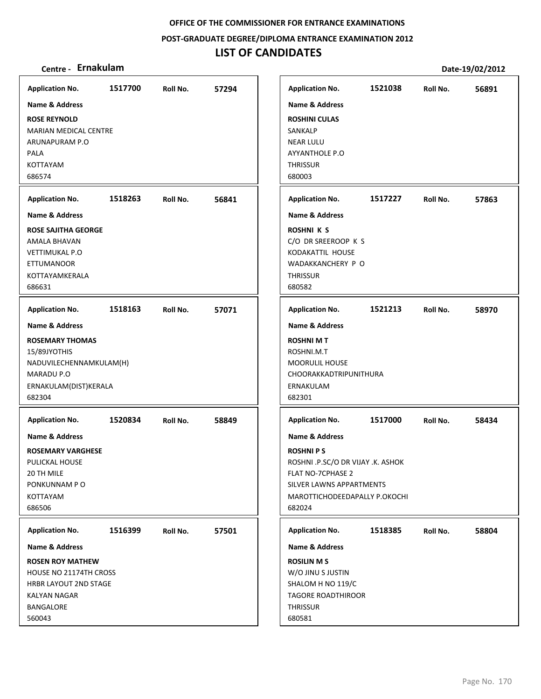**POST‐GRADUATE DEGREE/DIPLOMA ENTRANCE EXAMINATION 2012**

## **LIST OF CANDIDATES**

| <b>Application No.</b>        | 1517700 | Roll No. | 57294 | <b>Application No.</b>                                 | 1521038 | Roll No. | 56891 |
|-------------------------------|---------|----------|-------|--------------------------------------------------------|---------|----------|-------|
| <b>Name &amp; Address</b>     |         |          |       | <b>Name &amp; Address</b>                              |         |          |       |
| <b>ROSE REYNOLD</b>           |         |          |       | <b>ROSHINI CULAS</b>                                   |         |          |       |
| <b>MARIAN MEDICAL CENTRE</b>  |         |          |       | SANKALP                                                |         |          |       |
| ARUNAPURAM P.O                |         |          |       | <b>NEAR LULU</b>                                       |         |          |       |
| <b>PALA</b>                   |         |          |       | AYYANTHOLE P.O                                         |         |          |       |
| KOTTAYAM                      |         |          |       | <b>THRISSUR</b>                                        |         |          |       |
| 686574                        |         |          |       | 680003                                                 |         |          |       |
|                               |         |          |       |                                                        |         |          |       |
| <b>Application No.</b>        | 1518263 | Roll No. | 56841 | <b>Application No.</b>                                 | 1517227 | Roll No. | 57863 |
| Name & Address                |         |          |       | <b>Name &amp; Address</b>                              |         |          |       |
| <b>ROSE SAJITHA GEORGE</b>    |         |          |       | <b>ROSHNI K S</b>                                      |         |          |       |
| AMALA BHAVAN                  |         |          |       | C/O DR SREEROOP K S                                    |         |          |       |
| <b>VETTIMUKAL P.O</b>         |         |          |       | KODAKATTIL HOUSE                                       |         |          |       |
| <b>ETTUMANOOR</b>             |         |          |       | WADAKKANCHERY P O                                      |         |          |       |
| KOTTAYAMKERALA                |         |          |       | <b>THRISSUR</b>                                        |         |          |       |
| 686631                        |         |          |       | 680582                                                 |         |          |       |
| <b>Application No.</b>        | 1518163 | Roll No. | 57071 | <b>Application No.</b>                                 | 1521213 | Roll No. | 58970 |
| <b>Name &amp; Address</b>     |         |          |       | <b>Name &amp; Address</b>                              |         |          |       |
| <b>ROSEMARY THOMAS</b>        |         |          |       | <b>ROSHNI MT</b>                                       |         |          |       |
| 15/89JYOTHIS                  |         |          |       | ROSHNI.M.T                                             |         |          |       |
| NADUVILECHENNAMKULAM(H)       |         |          |       | <b>MOORULIL HOUSE</b>                                  |         |          |       |
| MARADU P.O                    |         |          |       | CHOORAKKADTRIPUNITHURA                                 |         |          |       |
| ERNAKULAM(DIST)KERALA         |         |          |       | ERNAKULAM                                              |         |          |       |
| 682304                        |         |          |       | 682301                                                 |         |          |       |
| <b>Application No.</b>        | 1520834 | Roll No. | 58849 | <b>Application No.</b>                                 | 1517000 | Roll No. | 58434 |
| Name & Address                |         |          |       | <b>Name &amp; Address</b>                              |         |          |       |
|                               |         |          |       |                                                        |         |          |       |
| <b>ROSEMARY VARGHESE</b>      |         |          |       | <b>ROSHNIPS</b>                                        |         |          |       |
| PULICKAL HOUSE<br>20 TH MILE  |         |          |       | ROSHNI .P.SC/O DR VIJAY .K. ASHOK<br>FLAT NO-7CPHASE 2 |         |          |       |
| PONKUNNAM PO                  |         |          |       | SILVER LAWNS APPARTMENTS                               |         |          |       |
| KOTTAYAM                      |         |          |       | MAROTTICHODEEDAPALLY P.OKOCHI                          |         |          |       |
| 686506                        |         |          |       | 682024                                                 |         |          |       |
|                               |         |          |       |                                                        |         |          |       |
| <b>Application No.</b>        | 1516399 | Roll No. | 57501 | <b>Application No.</b>                                 | 1518385 | Roll No. | 58804 |
| <b>Name &amp; Address</b>     |         |          |       | <b>Name &amp; Address</b>                              |         |          |       |
| <b>ROSEN ROY MATHEW</b>       |         |          |       | <b>ROSILIN MS</b>                                      |         |          |       |
| <b>HOUSE NO 21174TH CROSS</b> |         |          |       | W/O JINU S JUSTIN                                      |         |          |       |
| <b>HRBR LAYOUT 2ND STAGE</b>  |         |          |       | SHALOM H NO 119/C                                      |         |          |       |
| KALYAN NAGAR                  |         |          |       | TAGORE ROADTHIROOR                                     |         |          |       |
| <b>BANGALORE</b>              |         |          |       | <b>THRISSUR</b>                                        |         |          |       |
| 560043                        |         |          |       | 680581                                                 |         |          |       |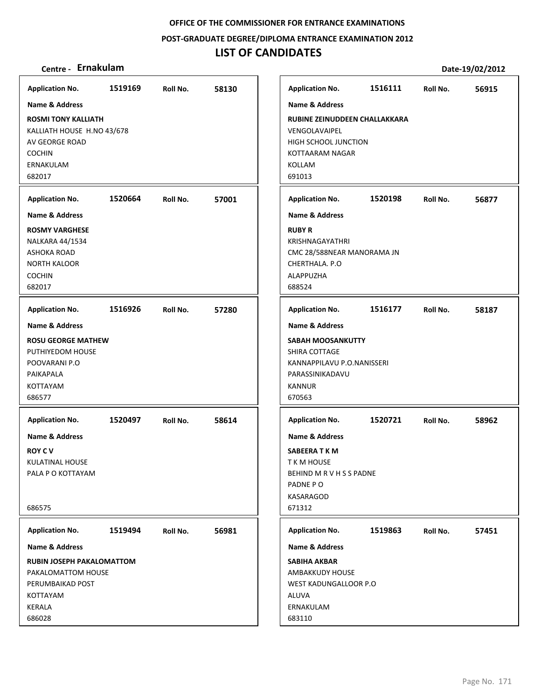**POST‐GRADUATE DEGREE/DIPLOMA ENTRANCE EXAMINATION 2012**

## **LIST OF CANDIDATES**

| Centre - Ernakulam                                                                                                 |         |          |       |                                                                                                                          |         |          | Date-19/02/2012 |
|--------------------------------------------------------------------------------------------------------------------|---------|----------|-------|--------------------------------------------------------------------------------------------------------------------------|---------|----------|-----------------|
| <b>Application No.</b>                                                                                             | 1519169 | Roll No. | 58130 | <b>Application No.</b>                                                                                                   | 1516111 | Roll No. | 56915           |
| <b>Name &amp; Address</b>                                                                                          |         |          |       | <b>Name &amp; Address</b>                                                                                                |         |          |                 |
| <b>ROSMI TONY KALLIATH</b><br>KALLIATH HOUSE H.NO 43/678<br>AV GEORGE ROAD<br><b>COCHIN</b><br>ERNAKULAM<br>682017 |         |          |       | RUBINE ZEINUDDEEN CHALLAKKARA<br>VENGOLAVAIPEL<br><b>HIGH SCHOOL JUNCTION</b><br>KOTTAARAM NAGAR<br>KOLLAM<br>691013     |         |          |                 |
| <b>Application No.</b>                                                                                             | 1520664 | Roll No. | 57001 | <b>Application No.</b>                                                                                                   | 1520198 | Roll No. | 56877           |
| Name & Address                                                                                                     |         |          |       | <b>Name &amp; Address</b>                                                                                                |         |          |                 |
| <b>ROSMY VARGHESE</b><br>NALKARA 44/1534<br><b>ASHOKA ROAD</b><br><b>NORTH KALOOR</b><br><b>COCHIN</b><br>682017   |         |          |       | <b>RUBY R</b><br>KRISHNAGAYATHRI<br>CMC 28/588NEAR MANORAMA JN<br>CHERTHALA, P.O.<br>ALAPPUZHA<br>688524                 |         |          |                 |
| <b>Application No.</b>                                                                                             | 1516926 | Roll No. | 57280 | <b>Application No.</b>                                                                                                   | 1516177 | Roll No. | 58187           |
| <b>Name &amp; Address</b>                                                                                          |         |          |       | <b>Name &amp; Address</b>                                                                                                |         |          |                 |
| <b>ROSU GEORGE MATHEW</b><br>PUTHIYEDOM HOUSE<br>POOVARANI P.O<br>PAIKAPALA<br>KOTTAYAM<br>686577                  |         |          |       | <b>SABAH MOOSANKUTTY</b><br>SHIRA COTTAGE<br>KANNAPPILAVU P.O.NANISSERI<br>PARASSINIKADAVU<br><b>KANNUR</b><br>670563    |         |          |                 |
| <b>Application No.</b>                                                                                             | 1520497 | Roll No. | 58614 | <b>Application No.</b>                                                                                                   | 1520721 | Roll No. | 58962           |
| <b>Name &amp; Address</b><br><b>ROY C V</b><br>KULATINAL HOUSE<br>PALA P O KOTTAYAM<br>686575                      |         |          |       | <b>Name &amp; Address</b><br>SABEERA T K M<br>T K M HOUSE<br>BEHIND M R V H S S PADNE<br>PADNE PO<br>KASARAGOD<br>671312 |         |          |                 |
| <b>Application No.</b>                                                                                             | 1519494 | Roll No. | 56981 | <b>Application No.</b>                                                                                                   | 1519863 | Roll No. | 57451           |
| <b>Name &amp; Address</b>                                                                                          |         |          |       | <b>Name &amp; Address</b>                                                                                                |         |          |                 |
| <b>RUBIN JOSEPH PAKALOMATTOM</b><br>PAKALOMATTOM HOUSE<br>PERUMBAIKAD POST<br>KOTTAYAM<br>KERALA<br>686028         |         |          |       | <b>SABIHA AKBAR</b><br>AMBAKKUDY HOUSE<br>WEST KADUNGALLOOR P.O<br>ALUVA<br>ERNAKULAM<br>683110                          |         |          |                 |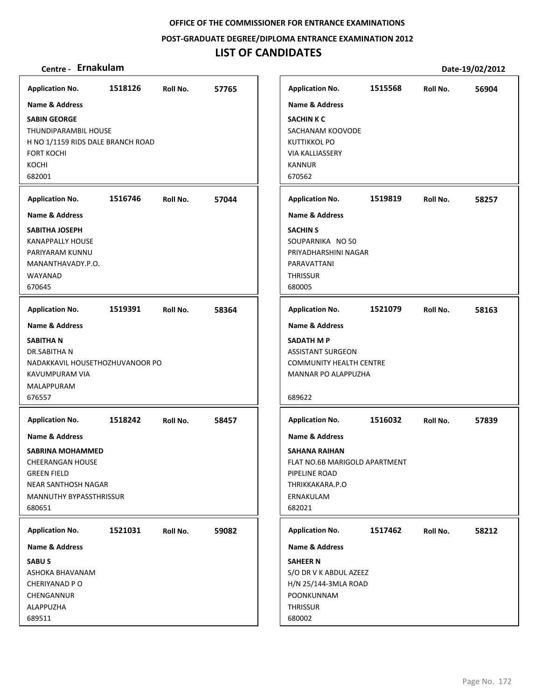**POST‐GRADUATE DEGREE/DIPLOMA ENTRANCE EXAMINATION 2012**

## **LIST OF CANDIDATES**

| <b>Application No.</b>            | 1518126 | Roll No. | 57765 |
|-----------------------------------|---------|----------|-------|
| <b>Name &amp; Address</b>         |         |          |       |
| <b>SABIN GEORGE</b>               |         |          |       |
| THUNDIPARAMBIL HOUSE              |         |          |       |
| H NO 1/1159 RIDS DALE BRANCH ROAD |         |          |       |
| <b>FORT KOCHI</b>                 |         |          |       |
| KOCHI                             |         |          |       |
| 682001                            |         |          |       |
| <b>Application No.</b>            | 1516746 | Roll No. | 57044 |
| <b>Name &amp; Address</b>         |         |          |       |
| SABITHA JOSEPH                    |         |          |       |
| <b>KANAPPALLY HOUSE</b>           |         |          |       |
| PARIYARAM KUNNU                   |         |          |       |
| MANANTHAVADY.P.O.                 |         |          |       |
| WAYANAD                           |         |          |       |
| 670645                            |         |          |       |
| <b>Application No.</b>            | 1519391 | Roll No. | 58364 |
| <b>Name &amp; Address</b>         |         |          |       |
| <b>SABITHAN</b>                   |         |          |       |
| <b>DR.SABITHAN</b>                |         |          |       |
| NADAKKAVIL HOUSETHOZHUVANOOR PO   |         |          |       |
| KAVUMPURAM VIA                    |         |          |       |
| MALAPPURAM                        |         |          |       |
| 676557                            |         |          |       |
| <b>Application No.</b>            | 1518242 | Roll No. | 58457 |
| Name & Address                    |         |          |       |
| SABRINA MOHAMMED                  |         |          |       |
| <b>CHEERANGAN HOUSE</b>           |         |          |       |
| <b>GREEN FIELD</b>                |         |          |       |
| NEAR SANTHOSH NAGAR               |         |          |       |
| MANNUTHY BYPASSTHRISSUR           |         |          |       |
| 680651                            |         |          |       |
| <b>Application No.</b>            | 1521031 | Roll No. | 59082 |
| Name & Address                    |         |          |       |
| <b>SABUS</b>                      |         |          |       |
| ASHOKA BHAVANAM                   |         |          |       |
| CHERIYANAD P O                    |         |          |       |
| CHENGANNUR                        |         |          |       |
| ALAPPUZHA                         |         |          |       |
| 689511                            |         |          |       |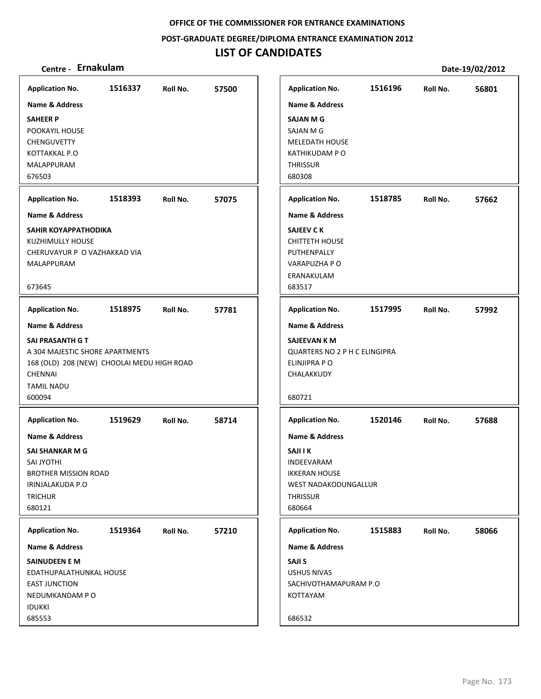**POST‐GRADUATE DEGREE/DIPLOMA ENTRANCE EXAMINATION 2012**

## **LIST OF CANDIDATES**

| <b>Application No.</b><br><b>Name &amp; Address</b>                                                                                      | 1516337 | Roll No. | 57500 | <b>Application No.</b><br><b>Name &amp; Address</b>                                                        | 1516196 | Roll No. | 56801 |
|------------------------------------------------------------------------------------------------------------------------------------------|---------|----------|-------|------------------------------------------------------------------------------------------------------------|---------|----------|-------|
| <b>SAHEER P</b><br>POOKAYIL HOUSE<br><b>CHENGUVETTY</b><br>KOTTAKKAL P.O<br><b>MALAPPURAM</b>                                            |         |          |       | <b>SAJAN M G</b><br><b>SAJAN M G</b><br><b>MELEDATH HOUSE</b><br><b>KATHIKUDAM P O</b><br><b>THRISSUR</b>  |         |          |       |
| 676503                                                                                                                                   |         |          |       | 680308                                                                                                     |         |          |       |
| <b>Application No.</b>                                                                                                                   | 1518393 | Roll No. | 57075 | <b>Application No.</b>                                                                                     | 1518785 | Roll No. | 57662 |
| <b>Name &amp; Address</b>                                                                                                                |         |          |       | <b>Name &amp; Address</b>                                                                                  |         |          |       |
| SAHIR KOYAPPATHODIKA<br>KUZHIMULLY HOUSE<br>CHERUVAYUR P O VAZHAKKAD VIA<br>MALAPPURAM                                                   |         |          |       | SAJEEV C K<br><b>CHITTETH HOUSE</b><br>PUTHENPALLY<br>VARAPUZHA P O<br>ERANAKULAM                          |         |          |       |
| 673645                                                                                                                                   |         |          |       | 683517                                                                                                     |         |          |       |
| <b>Application No.</b>                                                                                                                   | 1518975 | Roll No. | 57781 | <b>Application No.</b>                                                                                     | 1517995 | Roll No. | 57992 |
| Name & Address                                                                                                                           |         |          |       | <b>Name &amp; Address</b>                                                                                  |         |          |       |
| SAI PRASANTH G T<br>A 304 MAJESTIC SHORE APARTMENTS<br>168 (OLD) 208 (NEW) CHOOLAI MEDU HIGH ROAD<br><b>CHENNAI</b><br><b>TAMIL NADU</b> |         |          |       | SAJEEVAN K M<br>QUARTERS NO 2 P H C ELINGIPRA<br>ELINJIPRA PO<br>CHALAKKUDY                                |         |          |       |
| 600094                                                                                                                                   |         |          |       | 680721                                                                                                     |         |          |       |
| <b>Application No.</b>                                                                                                                   | 1519629 | Roll No. | 58714 | <b>Application No.</b>                                                                                     | 1520146 | Roll No. | 57688 |
| <b>Name &amp; Address</b>                                                                                                                |         |          |       | <b>Name &amp; Address</b>                                                                                  |         |          |       |
| SAI SHANKAR M G<br><b>SAI JYOTHI</b><br><b>BROTHER MISSION ROAD</b><br>IRINJALAKUDA P.O<br><b>TRICHUR</b><br>680121                      |         |          |       | <b>SAJI I K</b><br>INDEEVARAM<br><b>IKKERAN HOUSE</b><br>WEST NADAKODUNGALLUR<br><b>THRISSUR</b><br>680664 |         |          |       |
| <b>Application No.</b>                                                                                                                   | 1519364 | Roll No. | 57210 | <b>Application No.</b>                                                                                     | 1515883 | Roll No. | 58066 |
| <b>Name &amp; Address</b>                                                                                                                |         |          |       | <b>Name &amp; Address</b>                                                                                  |         |          |       |
| <b>SAINUDEEN E M</b><br>EDATHUPALATHUNKAL HOUSE<br><b>EAST JUNCTION</b><br>NEDUMKANDAM PO<br><b>IDUKKI</b><br>685553                     |         |          |       | SAJI S<br><b>USHUS NIVAS</b><br>SACHIVOTHAMAPURAM P.O<br>KOTTAYAM<br>686532                                |         |          |       |
|                                                                                                                                          |         |          |       |                                                                                                            |         |          |       |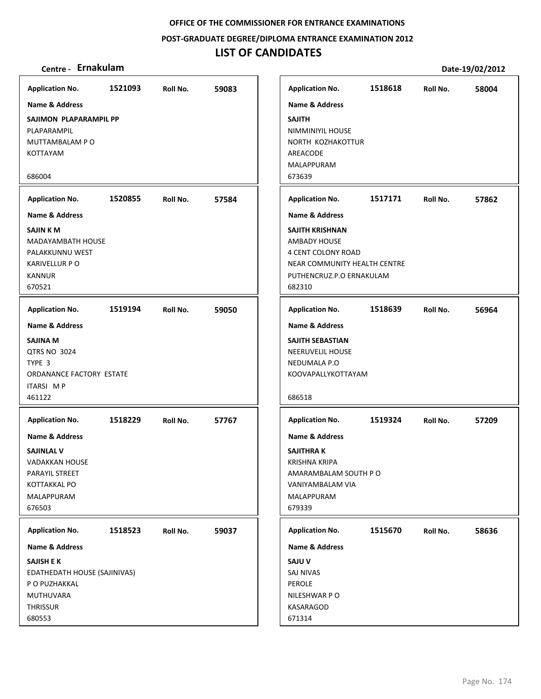**POST‐GRADUATE DEGREE/DIPLOMA ENTRANCE EXAMINATION 2012**

## **LIST OF CANDIDATES**

### **Centre ‐ Ernakulam Date‐19/02/2012**

**1521093 59083 SAJIMON PLAPARAMPIL PP** PLAPARAMPIL MUTTAMBALAM P O KOTTAYAM 686004 **Application No. Name & Address 1520855 57584 SAJIN K M** MADAYAMBATH HOUSE PALAKKUNNU WEST KARIVELLUR P O KANNUR 670521 **Application No. Name & Address 1519194 59050 SAJINA M** QTRS NO 3024 TYPE 3 ORDANANCE FACTORY ESTATE ITARSI M P 461122 **Application No. Name & Address 1518229 57767 SAJINLAL V** VADAKKAN HOUSE PARAYIL STREET KOTTAKKAL PO MALAPPURAM 676503 **Application No. Name & Address 1518523 59037 SAJISH E K** EDATHEDATH HOUSE (SAJINIVAS) P O PUZHAKKAL MUTHUVARA **THRISSUR** 680553 **Application No. Name & Address 1518618 58004 SAJITH** NIMMINIYIL HOUSE NORTH KOZHAKOTTUR AREACODE MALAPPURAM 673639 **Application No. Name & Address 1517171 57862 SAJITH KRISHNAN** AMBADY HOUSE 4 CENT COLONY ROAD NEAR COMMUNITY HEALTH CENTRE PUTHENCRUZ.P.O ERNAKULAM 682310 **Application No. Name & Address 1518639 56964 SAJITH SEBASTIAN** NEERUVELIL HOUSE NEDUMALA P.O KOOVAPALLYKOTTAYAM 686518 **Application No. Name & Address 1519324 57209 SAJITHRA K** KRISHNA KRIPA AMARAMBALAM SOUTH P O VANIYAMBALAM VIA MALAPPURAM 679339 **Application No. Name & Address 1515670 58636 SAJU V** SAJ NIVAS PEROLE NILESHWAR P O KASARAGOD 671314 **Application No. Name & Address**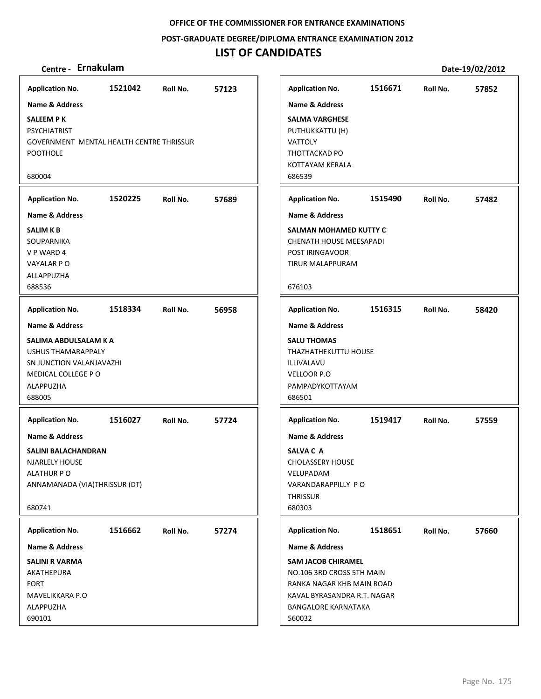**POST‐GRADUATE DEGREE/DIPLOMA ENTRANCE EXAMINATION 2012**

## **LIST OF CANDIDATES**

| <b>Application No.</b>                                                                                                             | 1521042 | Roll No. | 57123 | <b>Application No.</b>                                                                                                                                     | 1516671 | Roll No. | 57852 |
|------------------------------------------------------------------------------------------------------------------------------------|---------|----------|-------|------------------------------------------------------------------------------------------------------------------------------------------------------------|---------|----------|-------|
| Name & Address                                                                                                                     |         |          |       | <b>Name &amp; Address</b>                                                                                                                                  |         |          |       |
| SALEEM PK<br><b>PSYCHIATRIST</b><br>GOVERNMENT MENTAL HEALTH CENTRE THRISSUR<br><b>POOTHOLE</b>                                    |         |          |       | <b>SALMA VARGHESE</b><br>PUTHUKKATTU (H)<br><b>VATTOLY</b><br>THOTTACKAD PO<br><b>KOTTAYAM KERALA</b>                                                      |         |          |       |
| 680004                                                                                                                             |         |          |       | 686539                                                                                                                                                     |         |          |       |
| <b>Application No.</b>                                                                                                             | 1520225 | Roll No. | 57689 | <b>Application No.</b>                                                                                                                                     | 1515490 | Roll No. | 57482 |
| <b>Name &amp; Address</b>                                                                                                          |         |          |       | <b>Name &amp; Address</b>                                                                                                                                  |         |          |       |
| <b>SALIM K B</b><br>SOUPARNIKA<br>V P WARD 4<br>VAYALAR P O<br>ALLAPPUZHA<br>688536                                                |         |          |       | SALMAN MOHAMED KUTTY C<br>CHENATH HOUSE MEESAPADI<br>POST IRINGAVOOR<br><b>TIRUR MALAPPURAM</b><br>676103                                                  |         |          |       |
|                                                                                                                                    |         |          |       |                                                                                                                                                            |         |          |       |
| <b>Application No.</b>                                                                                                             | 1518334 | Roll No. | 56958 | <b>Application No.</b>                                                                                                                                     | 1516315 | Roll No. | 58420 |
| Name & Address                                                                                                                     |         |          |       | <b>Name &amp; Address</b>                                                                                                                                  |         |          |       |
| SALIMA ABDULSALAM K A<br>USHUS THAMARAPPALY<br>SN JUNCTION VALANJAVAZHI<br>MEDICAL COLLEGE PO<br>ALAPPUZHA<br>688005               |         |          |       | <b>SALU THOMAS</b><br>THAZHATHEKUTTU HOUSE<br>ILLIVALAVU<br>VELLOOR P.O<br>PAMPADYKOTTAYAM<br>686501                                                       |         |          |       |
| <b>Application No.</b>                                                                                                             | 1516027 | Roll No. | 57724 | <b>Application No.</b>                                                                                                                                     | 1519417 | Roll No. | 57559 |
| <b>Name &amp; Address</b><br>SALINI BALACHANDRAN<br>NJARLELY HOUSE<br><b>ALATHUR PO</b><br>ANNAMANADA (VIA)THRISSUR (DT)<br>680741 |         |          |       | <b>Name &amp; Address</b><br>SALVA C A<br><b>CHOLASSERY HOUSE</b><br>VELUPADAM<br>VARANDARAPPILLY PO<br><b>THRISSUR</b><br>680303                          |         |          |       |
| <b>Application No.</b>                                                                                                             | 1516662 | Roll No. | 57274 | <b>Application No.</b>                                                                                                                                     | 1518651 | Roll No. | 57660 |
| Name & Address                                                                                                                     |         |          |       | Name & Address                                                                                                                                             |         |          |       |
| <b>SALINI R VARMA</b><br>AKATHEPURA<br><b>FORT</b><br>MAVELIKKARA P.O<br>ALAPPUZHA<br>690101                                       |         |          |       | <b>SAM JACOB CHIRAMEL</b><br>NO.106 3RD CROSS 5TH MAIN<br>RANKA NAGAR KHB MAIN ROAD<br>KAVAL BYRASANDRA R.T. NAGAR<br><b>BANGALORE KARNATAKA</b><br>560032 |         |          |       |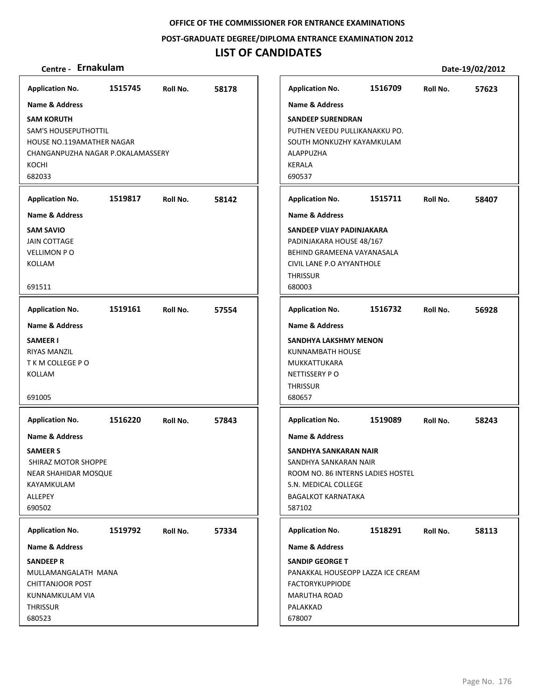**POST‐GRADUATE DEGREE/DIPLOMA ENTRANCE EXAMINATION 2012**

## **LIST OF CANDIDATES**

## **Centre ‐ Ernakulam Date‐19/02/2012**

**1515745 58178 SAM KORUTH** SAM'S HOUSEPUTHOTTIL HOUSE NO.119AMATHER NAGAR CHANGANPUZHA NAGAR P.OKALAMASSERY KOCHI 682033 **Application No. Name & Address 1519817 58142 SAM SAVIO** JAIN COTTAGE VELLIMON P O KOLLAM 691511 **Application No. Name & Address 1519161 57554 SAMEER I** RIYAS MANZIL T K M COLLEGE P O KOLLAM 691005 **Application No. Name & Address 1516220 57843 SAMEER S** SHIRAZ MOTOR SHOPPE NEAR SHAHIDAR MOSQUE KAYAMKULAM ALLEPEY 690502 **Application No. Name & Address 1519792 57334 SANDEEP R** MULLAMANGALATH MANA CHITTANJOOR POST KUNNAMKULAM VIA **THRISSUR** 680523 **Application No. Name & Address 1516709 57623 SANDEEP SURENDRAN** PUTHEN VEEDU PULLIKANAKKU PO. SOUTH MONKUZHY KAYAMKULAM ALAPPUZHA KERALA 690537 **Application No. Name & Address 1515711 58407 SANDEEP VIJAY PADINJAKARA** PADINJAKARA HOUSE 48/167 BEHIND GRAMEENA VAYANASALA CIVIL LANE P.O AYYANTHOLE **THRISSUR** 680003 **Application No. Name & Address 1516732 56928 SANDHYA LAKSHMY MENON** KUNNAMBATH HOUSE MUKKATTUKARA NETTISSERY P O **THRISSUR** 680657 **Application No. Name & Address 1519089 58243 SANDHYA SANKARAN NAIR** SANDHYA SANKARAN NAIR ROOM NO. 86 INTERNS LADIES HOSTEL S.N. MEDICAL COLLEGE BAGALKOT KARNATAKA 587102 **Application No. Name & Address 1518291 58113 SANDIP GEORGE T** PANAKKAL HOUSEOPP LAZZA ICE CREAM FACTORYKUPPIODE MARUTHA ROAD PALAKKAD 678007 **Application No. Name & Address**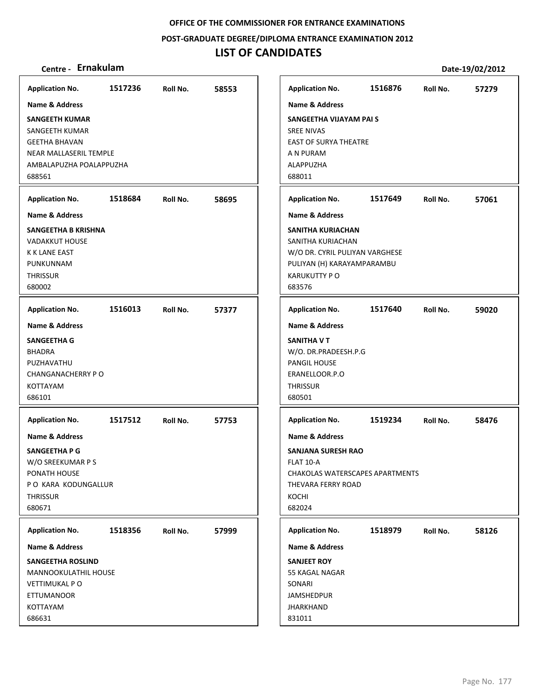**POST‐GRADUATE DEGREE/DIPLOMA ENTRANCE EXAMINATION 2012**

## **LIST OF CANDIDATES**

| <b>Application No.</b>      | 1517236 | Roll No. | 58553 | <b>Application No.</b>          | 1516876 | Roll No. | 57279 |
|-----------------------------|---------|----------|-------|---------------------------------|---------|----------|-------|
| Name & Address              |         |          |       | Name & Address                  |         |          |       |
| <b>SANGEETH KUMAR</b>       |         |          |       | SANGEETHA VIJAYAM PAI S         |         |          |       |
| SANGEETH KUMAR              |         |          |       | <b>SREE NIVAS</b>               |         |          |       |
| <b>GEETHA BHAVAN</b>        |         |          |       | <b>EAST OF SURYA THEATRE</b>    |         |          |       |
| NEAR MALLASERIL TEMPLE      |         |          |       | A N PURAM                       |         |          |       |
| AMBALAPUZHA POALAPPUZHA     |         |          |       | <b>ALAPPUZHA</b>                |         |          |       |
| 688561                      |         |          |       | 688011                          |         |          |       |
| <b>Application No.</b>      | 1518684 | Roll No. | 58695 | <b>Application No.</b>          | 1517649 | Roll No. | 57061 |
| <b>Name &amp; Address</b>   |         |          |       | <b>Name &amp; Address</b>       |         |          |       |
| SANGEETHA B KRISHNA         |         |          |       | SANITHA KURIACHAN               |         |          |       |
| <b>VADAKKUT HOUSE</b>       |         |          |       | SANITHA KURIACHAN               |         |          |       |
| <b>K K LANE EAST</b>        |         |          |       | W/O DR. CYRIL PULIYAN VARGHESE  |         |          |       |
| PUNKUNNAM                   |         |          |       | PULIYAN (H) KARAYAMPARAMBU      |         |          |       |
| <b>THRISSUR</b>             |         |          |       | <b>KARUKUTTY PO</b>             |         |          |       |
| 680002                      |         |          |       | 683576                          |         |          |       |
| <b>Application No.</b>      | 1516013 | Roll No. | 57377 | <b>Application No.</b>          | 1517640 | Roll No. | 59020 |
| <b>Name &amp; Address</b>   |         |          |       | <b>Name &amp; Address</b>       |         |          |       |
| <b>SANGEETHA G</b>          |         |          |       | SANITHA V T                     |         |          |       |
| <b>BHADRA</b>               |         |          |       | W/O. DR.PRADEESH.P.G            |         |          |       |
| PUZHAVATHU                  |         |          |       | PANGIL HOUSE                    |         |          |       |
| CHANGANACHERRY PO           |         |          |       | ERANELLOOR.P.O                  |         |          |       |
| <b>KOTTAYAM</b>             |         |          |       | <b>THRISSUR</b>                 |         |          |       |
| 686101                      |         |          |       | 680501                          |         |          |       |
|                             |         |          |       |                                 |         |          |       |
| <b>Application No.</b>      | 1517512 | Roll No. | 57753 | <b>Application No.</b>          | 1519234 | Roll No. | 58476 |
| <b>Name &amp; Address</b>   |         |          |       | <b>Name &amp; Address</b>       |         |          |       |
| SANGEETHA P G               |         |          |       | <b>SANJANA SURESH RAO</b>       |         |          |       |
| W/O SREEKUMAR P S           |         |          |       | FLAT 10-A                       |         |          |       |
| PONATH HOUSE                |         |          |       | CHAKOLAS WATERSCAPES APARTMENTS |         |          |       |
| PO KARA KODUNGALLUR         |         |          |       | THEVARA FERRY ROAD              |         |          |       |
| <b>THRISSUR</b>             |         |          |       | KOCHI                           |         |          |       |
| 680671                      |         |          |       | 682024                          |         |          |       |
| <b>Application No.</b>      | 1518356 | Roll No. | 57999 | <b>Application No.</b>          | 1518979 | Roll No. | 58126 |
| Name & Address              |         |          |       | <b>Name &amp; Address</b>       |         |          |       |
| <b>SANGEETHA ROSLIND</b>    |         |          |       | <b>SANJEET ROY</b>              |         |          |       |
| <b>MANNOOKULATHIL HOUSE</b> |         |          |       | 55 KAGAL NAGAR                  |         |          |       |
| <b>VETTIMUKAL PO</b>        |         |          |       | SONARI                          |         |          |       |
| <b>ETTUMANOOR</b>           |         |          |       | <b>JAMSHEDPUR</b>               |         |          |       |
| KOTTAYAM                    |         |          |       | <b>JHARKHAND</b>                |         |          |       |
| 686631                      |         |          |       | 831011                          |         |          |       |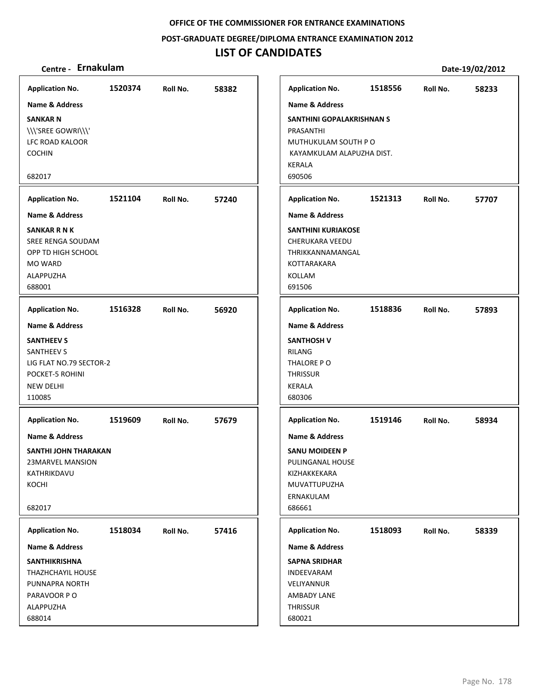**POST‐GRADUATE DEGREE/DIPLOMA ENTRANCE EXAMINATION 2012**

## **LIST OF CANDIDATES**

### **Centre ‐ Ernakulam Date‐19/02/2012**

**1520374 58382 SANKAR N** \\\'SREE GOWRI\\\' LFC ROAD KALOOR COCHIN 682017 **Application No. Name & Address 1521104 57240 SANKAR R N K** SREE RENGA SOUDAM OPP TD HIGH SCHOOL MO WARD ALAPPUZHA 688001 **Application No. Name & Address 1516328 56920 SANTHEEV S** SANTHEEV S LIG FLAT NO.79 SECTOR‐2 POCKET‐5 ROHINI NEW DELHI 110085 **Application No. Name & Address 1519609 57679 SANTHI JOHN THARAKAN** 23MARVEL MANSION KATHRIKDAVU KOCHI 682017 **Application No. Name & Address 1518034 57416 SANTHIKRISHNA** THAZHCHAYIL HOUSE PUNNAPRA NORTH PARAVOOR P O ALAPPUZHA 688014 **Application No. Name & Address 1518556 58233 SANTHINI GOPALAKRISHNAN S** PRASANTHI MUTHUKULAM SOUTH P O KAYAMKULAM ALAPUZHA DIST. KERALA 690506 **Application No. Name & Address 1521313 57707 SANTHINI KURIAKOSE** CHERUKARA VEEDU THRIKKANNAMANGAL KOTTARAKARA KOLLAM 691506 **Application No. Name & Address 1518836 57893 SANTHOSH V** RILANG THALORE P O **THRISSUR** KERALA 680306 **Application No. Name & Address 1519146 58934 SANU MOIDEEN P** PULINGANAL HOUSE KIZHAKKEKARA MUVATTUPUZHA ERNAKULAM 686661 **Application No. Name & Address 1518093 58339 SAPNA SRIDHAR** INDEEVARAM VELIYANNUR AMBADY LANE **THRISSUR** 680021 **Application No. Name & Address**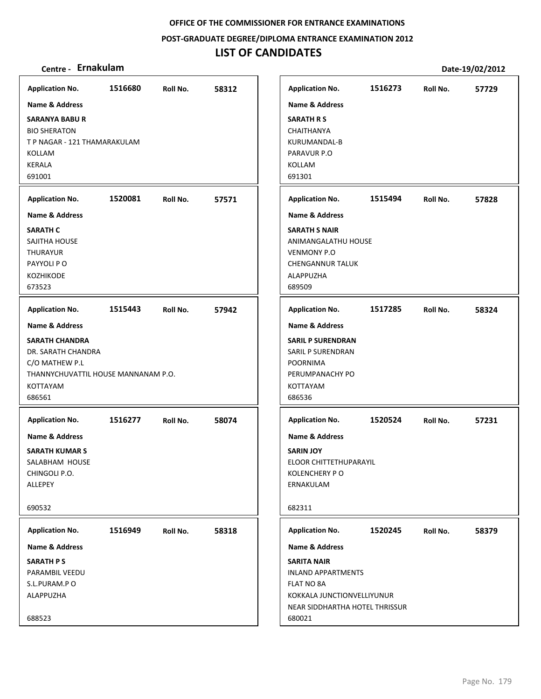**POST‐GRADUATE DEGREE/DIPLOMA ENTRANCE EXAMINATION 2012**

## **LIST OF CANDIDATES**

| <b>Application No.</b>                                                                                                     | 1516680 | Roll No. | 58312 | <b>Application No.</b>                                                                                                                  | 1516273 | Roll No. | 57729 |
|----------------------------------------------------------------------------------------------------------------------------|---------|----------|-------|-----------------------------------------------------------------------------------------------------------------------------------------|---------|----------|-------|
| <b>Name &amp; Address</b>                                                                                                  |         |          |       | <b>Name &amp; Address</b>                                                                                                               |         |          |       |
| <b>SARANYA BABU R</b><br><b>BIO SHERATON</b><br>T P NAGAR - 121 THAMARAKULAM<br>KOLLAM<br><b>KERALA</b><br>691001          |         |          |       | <b>SARATH R S</b><br>CHAITHANYA<br>KURUMANDAL-B<br>PARAVUR P.O<br>KOLLAM<br>691301                                                      |         |          |       |
| <b>Application No.</b>                                                                                                     | 1520081 | Roll No. | 57571 | <b>Application No.</b>                                                                                                                  | 1515494 | Roll No. | 57828 |
| <b>Name &amp; Address</b>                                                                                                  |         |          |       | <b>Name &amp; Address</b>                                                                                                               |         |          |       |
| <b>SARATH C</b><br>SAJITHA HOUSE<br><b>THURAYUR</b><br>PAYYOLI PO<br>KOZHIKODE<br>673523                                   |         |          |       | <b>SARATH S NAIR</b><br>ANIMANGALATHU HOUSE<br><b>VENMONY P.O</b><br><b>CHENGANNUR TALUK</b><br>ALAPPUZHA<br>689509                     |         |          |       |
| <b>Application No.</b>                                                                                                     | 1515443 | Roll No. | 57942 | <b>Application No.</b>                                                                                                                  | 1517285 | Roll No. | 58324 |
| <b>Name &amp; Address</b>                                                                                                  |         |          |       | Name & Address                                                                                                                          |         |          |       |
| <b>SARATH CHANDRA</b><br>DR. SARATH CHANDRA<br>C/O MATHEW P.L<br>THANNYCHUVATTIL HOUSE MANNANAM P.O.<br>KOTTAYAM<br>686561 |         |          |       | <b>SARIL P SURENDRAN</b><br>SARIL P SURENDRAN<br>POORNIMA<br>PERUMPANACHY PO<br>KOTTAYAM<br>686536                                      |         |          |       |
| <b>Application No.</b>                                                                                                     | 1516277 | Roll No. | 58074 | <b>Application No.</b>                                                                                                                  | 1520524 | Roll No. | 57231 |
| <b>Name &amp; Address</b>                                                                                                  |         |          |       | <b>Name &amp; Address</b>                                                                                                               |         |          |       |
| <b>SARATH KUMAR S</b><br>SALABHAM HOUSE<br>CHINGOLI P.O.<br>ALLEPEY                                                        |         |          |       | <b>SARIN JOY</b><br>ELOOR CHITTETHUPARAYIL<br><b>KOLENCHERY PO</b><br>ERNAKULAM                                                         |         |          |       |
| 690532                                                                                                                     |         |          |       | 682311                                                                                                                                  |         |          |       |
| <b>Application No.</b>                                                                                                     | 1516949 | Roll No. | 58318 | <b>Application No.</b>                                                                                                                  | 1520245 | Roll No. | 58379 |
| <b>Name &amp; Address</b>                                                                                                  |         |          |       | Name & Address                                                                                                                          |         |          |       |
| <b>SARATH PS</b><br>PARAMBIL VEEDU<br>S.L.PURAM.PO<br>ALAPPUZHA<br>688523                                                  |         |          |       | <b>SARITA NAIR</b><br><b>INLAND APPARTMENTS</b><br>FLAT NO 8A<br>KOKKALA JUNCTIONVELLIYUNUR<br>NEAR SIDDHARTHA HOTEL THRISSUR<br>680021 |         |          |       |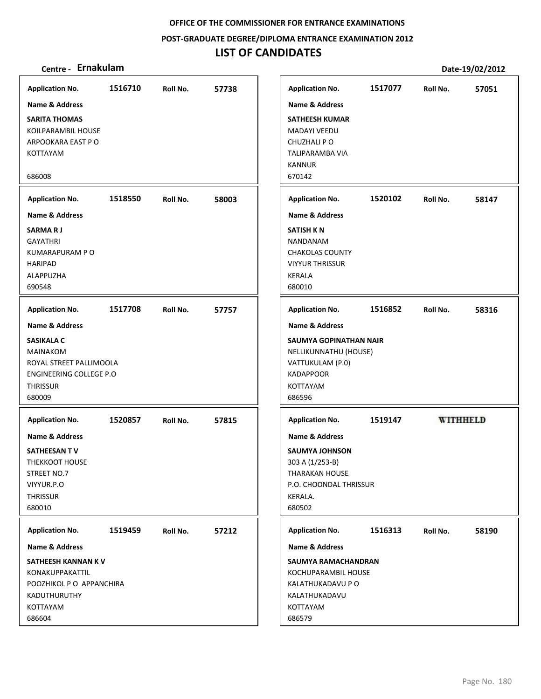**POST‐GRADUATE DEGREE/DIPLOMA ENTRANCE EXAMINATION 2012**

## **LIST OF CANDIDATES**

| <b>Application No.</b>                                                                                                   | 1516710 | Roll No. | 57738 |
|--------------------------------------------------------------------------------------------------------------------------|---------|----------|-------|
| Name & Address                                                                                                           |         |          |       |
| <b>SARITA THOMAS</b><br>KOILPARAMBIL HOUSE<br>ARPOOKARA EAST PO<br>KOTTAYAM                                              |         |          |       |
| 686008                                                                                                                   |         |          |       |
| <b>Application No.</b>                                                                                                   | 1518550 | Roll No. | 58003 |
| <b>Name &amp; Address</b>                                                                                                |         |          |       |
| <b>SARMARJ</b><br><b>GAYATHRI</b><br>KUMARAPURAM P O<br><b>HARIPAD</b><br><b>ALAPPUZHA</b><br>690548                     |         |          |       |
| <b>Application No.</b>                                                                                                   | 1517708 | Roll No. | 57757 |
| Name & Address                                                                                                           |         |          |       |
| <b>SASIKALA C</b><br><b>MAINAKOM</b><br>ROYAL STREET PALLIMOOLA<br>ENGINEERING COLLEGE P.O.<br><b>THRISSUR</b><br>680009 |         |          |       |
| <b>Application No.</b>                                                                                                   | 1520857 | Roll No. | 57815 |
| <b>Name &amp; Address</b><br>SATHEESAN TV<br><b>THEKKOOT HOUSE</b><br>STREET NO.7<br>VIYYUR.P.O<br>THRISSUR<br>680010    |         |          |       |
|                                                                                                                          | 1519459 |          |       |
| <b>Application No.</b><br>Name & Address                                                                                 |         | Roll No. | 57212 |
| SATHEESH KANNAN K V<br>KONAKUPPAKATTIL<br>POOZHIKOL P O APPANCHIRA<br>KADUTHURUTHY<br>KOTTAYAM<br>686604                 |         |          |       |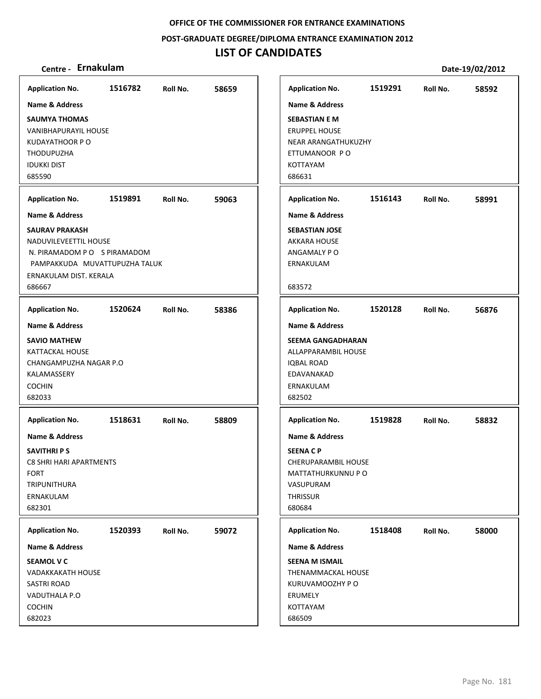**POST‐GRADUATE DEGREE/DIPLOMA ENTRANCE EXAMINATION 2012**

## **LIST OF CANDIDATES**

| <b>Application No.</b>                                                                                                                                                          | 1516782 | Roll No. | 58659 | <b>Application No.</b>                                                                                                                                       | 1519291 | Roll No. | 58592 |
|---------------------------------------------------------------------------------------------------------------------------------------------------------------------------------|---------|----------|-------|--------------------------------------------------------------------------------------------------------------------------------------------------------------|---------|----------|-------|
| Name & Address<br><b>SAUMYA THOMAS</b><br><b>VANIBHAPURAYIL HOUSE</b><br><b>KUDAYATHOOR P O</b><br><b>THODUPUZHA</b><br><b>IDUKKI DIST</b><br>685590                            |         |          |       | Name & Address<br><b>SEBASTIAN E M</b><br><b>ERUPPEL HOUSE</b><br>NEAR ARANGATHUKUZHY<br>ETTUMANOOR PO<br><b>KOTTAYAM</b><br>686631                          |         |          |       |
| <b>Application No.</b>                                                                                                                                                          | 1519891 | Roll No. | 59063 | <b>Application No.</b>                                                                                                                                       | 1516143 | Roll No. | 58991 |
| <b>Name &amp; Address</b><br><b>SAURAV PRAKASH</b><br>NADUVILEVEETTIL HOUSE<br>N. PIRAMADOM PO S PIRAMADOM<br>PAMPAKKUDA MUVATTUPUZHA TALUK<br>ERNAKULAM DIST. KERALA<br>686667 |         |          |       | <b>Name &amp; Address</b><br><b>SEBASTIAN JOSE</b><br><b>AKKARA HOUSE</b><br>ANGAMALY PO<br>ERNAKULAM<br>683572                                              |         |          |       |
| <b>Application No.</b>                                                                                                                                                          | 1520624 | Roll No. | 58386 | <b>Application No.</b>                                                                                                                                       | 1520128 | Roll No. | 56876 |
| <b>Name &amp; Address</b><br><b>SAVIO MATHEW</b><br>KATTACKAL HOUSE<br>CHANGAMPUZHA NAGAR P.O<br>KALAMASSERY<br><b>COCHIN</b><br>682033                                         |         |          |       | <b>Name &amp; Address</b><br><b>SEEMA GANGADHARAN</b><br>ALLAPPARAMBIL HOUSE<br><b>IQBAL ROAD</b><br>EDAVANAKAD<br>ERNAKULAM<br>682502                       |         |          |       |
| <b>Application No.</b><br><b>Name &amp; Address</b><br><b>SAVITHRI P S</b><br><b>C8 SHRI HARI APARTMENTS</b><br><b>FORT</b><br>TRIPUNITHURA<br>ERNAKULAM<br>682301              | 1518631 | Roll No. | 58809 | <b>Application No.</b><br><b>Name &amp; Address</b><br><b>SEENACP</b><br>CHERUPARAMBIL HOUSE<br>MATTATHURKUNNU P O<br>VASUPURAM<br><b>THRISSUR</b><br>680684 | 1519828 | Roll No. | 58832 |
| <b>Application No.</b><br>Name & Address<br><b>SEAMOL V C</b><br><b>VADAKKAKATH HOUSE</b><br><b>SASTRI ROAD</b><br>VADUTHALA P.O<br><b>COCHIN</b><br>682023                     | 1520393 | Roll No. | 59072 | <b>Application No.</b><br>Name & Address<br><b>SEENA M ISMAIL</b><br>THENAMMACKAL HOUSE<br>KURUVAMOOZHY P O<br>ERUMELY<br>KOTTAYAM<br>686509                 | 1518408 | Roll No. | 58000 |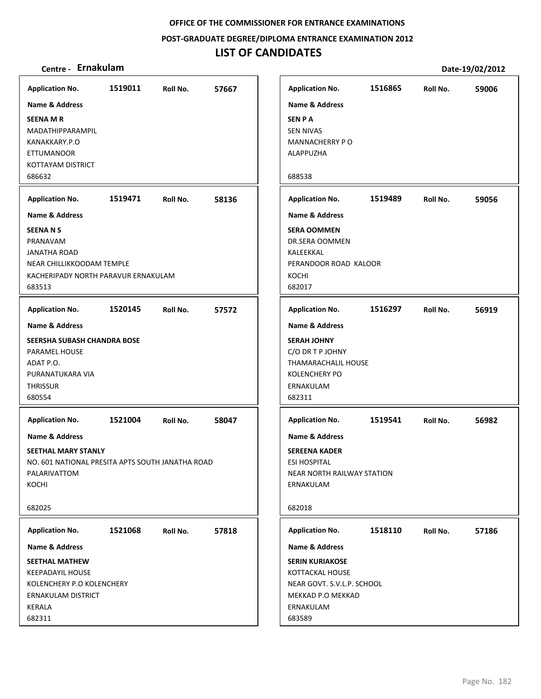**POST‐GRADUATE DEGREE/DIPLOMA ENTRANCE EXAMINATION 2012**

## **LIST OF CANDIDATES**

| <b>Application No.</b>                                                  | 1519011 | Roll No. | 57667 |
|-------------------------------------------------------------------------|---------|----------|-------|
| <b>Name &amp; Address</b>                                               |         |          |       |
| <b>SEENA MR</b><br>MADATHIPPARAMPIL                                     |         |          |       |
| KANAKKARY.P.O                                                           |         |          |       |
| <b>ETTUMANOOR</b>                                                       |         |          |       |
| KOTTAYAM DISTRICT                                                       |         |          |       |
| 686632                                                                  |         |          |       |
| <b>Application No.</b>                                                  | 1519471 | Roll No. | 58136 |
| <b>Name &amp; Address</b>                                               |         |          |       |
| <b>SEENANS</b>                                                          |         |          |       |
| PRANAVAM                                                                |         |          |       |
| <b>JANATHA ROAD</b>                                                     |         |          |       |
| NEAR CHILLIKKOODAM TEMPLE                                               |         |          |       |
| KACHERIPADY NORTH PARAVUR ERNAKULAM<br>683513                           |         |          |       |
|                                                                         |         |          |       |
| <b>Application No.</b>                                                  | 1520145 | Roll No. | 57572 |
| Name & Address                                                          |         |          |       |
| SEERSHA SUBASH CHANDRA BOSE                                             |         |          |       |
| PARAMEL HOUSE                                                           |         |          |       |
| ADAT P.O.<br>PURANATUKARA VIA                                           |         |          |       |
| <b>THRISSUR</b>                                                         |         |          |       |
| 680554                                                                  |         |          |       |
| <b>Application No.</b>                                                  | 1521004 | Roll No. | 58047 |
| Name & Address                                                          |         |          |       |
|                                                                         |         |          |       |
| SEETHAL MARY STANLY<br>NO. 601 NATIONAL PRESITA APTS SOUTH JANATHA ROAD |         |          |       |
| PALARIVATTOM                                                            |         |          |       |
| KOCHI                                                                   |         |          |       |
|                                                                         |         |          |       |
| 682025                                                                  |         |          |       |
| <b>Application No.</b>                                                  | 1521068 | Roll No. | 57818 |
| Name & Address                                                          |         |          |       |
| <b>SEETHAL MATHEW</b>                                                   |         |          |       |
| <b>KEEPADAYIL HOUSE</b>                                                 |         |          |       |
| KOLENCHERY P.O KOLENCHERY                                               |         |          |       |
| <b>ERNAKULAM DISTRICT</b>                                               |         |          |       |
| KERALA                                                                  |         |          |       |
| 682311                                                                  |         |          |       |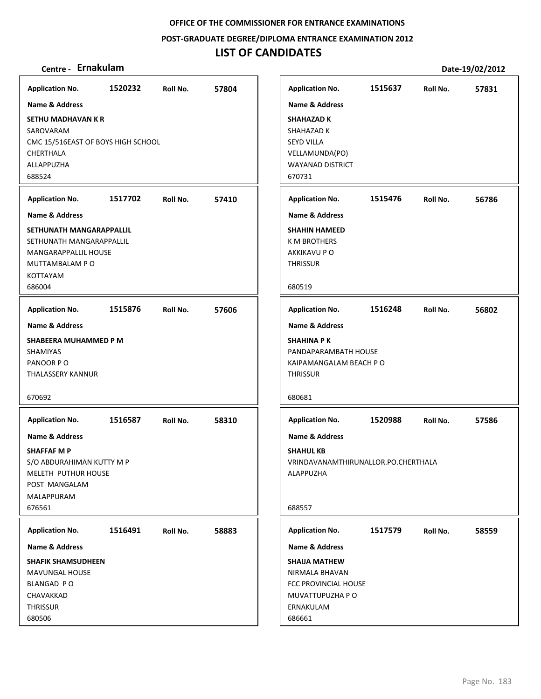**POST‐GRADUATE DEGREE/DIPLOMA ENTRANCE EXAMINATION 2012**

## **LIST OF CANDIDATES**

| <b>Application No.</b>             | 1520232 | Roll No. | 57804 |
|------------------------------------|---------|----------|-------|
| <b>Name &amp; Address</b>          |         |          |       |
| SETHU MADHAVAN K R                 |         |          |       |
| SAROVARAM                          |         |          |       |
| CMC 15/516EAST OF BOYS HIGH SCHOOL |         |          |       |
| CHERTHALA                          |         |          |       |
| ALLAPPUZHA                         |         |          |       |
| 688524                             |         |          |       |
| <b>Application No.</b>             | 1517702 | Roll No. | 57410 |
| Name & Address                     |         |          |       |
| SETHUNATH MANGARAPPALLIL           |         |          |       |
| SETHUNATH MANGARAPPALLIL           |         |          |       |
| MANGARAPPALLIL HOUSE               |         |          |       |
| <b>MUTTAMBALAM P O</b>             |         |          |       |
| <b>KOTTAYAM</b>                    |         |          |       |
| 686004                             |         |          |       |
| <b>Application No.</b>             | 1515876 | Roll No. | 57606 |
| <b>Name &amp; Address</b>          |         |          |       |
| SHABEERA MUHAMMED P M              |         |          |       |
| <b>SHAMIYAS</b>                    |         |          |       |
| PANOOR PO                          |         |          |       |
| THALASSERY KANNUR                  |         |          |       |
|                                    |         |          |       |
| 670692                             |         |          |       |
| <b>Application No.</b>             | 1516587 | Roll No. | 58310 |
| Name & Address                     |         |          |       |
| <b>SHAFFAF M P</b>                 |         |          |       |
| S/O ABDURAHIMAN KUTTY M P          |         |          |       |
| MELETH PUTHUR HOUSE                |         |          |       |
| POST MANGALAM                      |         |          |       |
| MALAPPURAM                         |         |          |       |
| 676561                             |         |          |       |
| <b>Application No.</b>             | 1516491 | Roll No. | 58883 |
| Name & Address                     |         |          |       |
| <b>SHAFIK SHAMSUDHEEN</b>          |         |          |       |
| MAVUNGAL HOUSE                     |         |          |       |
| BLANGAD PO                         |         |          |       |
| CHAVAKKAD                          |         |          |       |
| THRISSUR                           |         |          |       |
| 680506                             |         |          |       |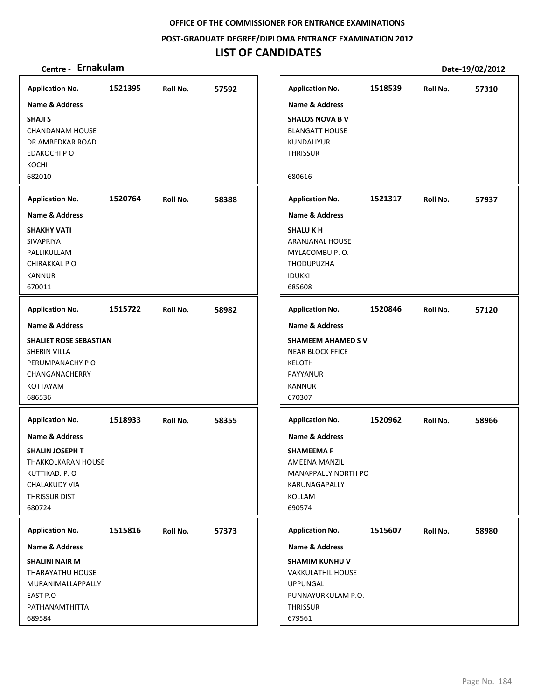**POST‐GRADUATE DEGREE/DIPLOMA ENTRANCE EXAMINATION 2012**

## **LIST OF CANDIDATES**

| <b>Application No.</b>                                                                                                                  | 1521395 | Roll No. | 57592 | <b>Application No.</b>                                                                                                     | 1518539 | Roll No. | 57310 |
|-----------------------------------------------------------------------------------------------------------------------------------------|---------|----------|-------|----------------------------------------------------------------------------------------------------------------------------|---------|----------|-------|
| <b>Name &amp; Address</b>                                                                                                               |         |          |       | <b>Name &amp; Address</b>                                                                                                  |         |          |       |
| <b>SHAJI S</b><br><b>CHANDANAM HOUSE</b><br>DR AMBEDKAR ROAD<br>EDAKOCHI P O<br>KOCHI<br>682010                                         |         |          |       | <b>SHALOS NOVA B V</b><br><b>BLANGATT HOUSE</b><br>KUNDALIYUR<br><b>THRISSUR</b><br>680616                                 |         |          |       |
| <b>Application No.</b>                                                                                                                  | 1520764 | Roll No. | 58388 | <b>Application No.</b>                                                                                                     | 1521317 | Roll No. | 57937 |
| <b>Name &amp; Address</b>                                                                                                               |         |          |       | <b>Name &amp; Address</b>                                                                                                  |         |          |       |
| <b>SHAKHY VATI</b><br>SIVAPRIYA<br>PALLIKULLAM<br>CHIRAKKAL P O<br><b>KANNUR</b><br>670011                                              |         |          |       | <b>SHALU KH</b><br>ARANJANAL HOUSE<br>MYLACOMBU P.O.<br><b>THODUPUZHA</b><br><b>IDUKKI</b><br>685608                       |         |          |       |
| <b>Application No.</b>                                                                                                                  | 1515722 | Roll No. | 58982 | <b>Application No.</b>                                                                                                     | 1520846 | Roll No. | 57120 |
| <b>Name &amp; Address</b>                                                                                                               |         |          |       | <b>Name &amp; Address</b>                                                                                                  |         |          |       |
| <b>SHALIET ROSE SEBASTIAN</b><br>SHERIN VILLA<br>PERUMPANACHY PO<br>CHANGANACHERRY<br>KOTTAYAM<br>686536                                |         |          |       | <b>SHAMEEM AHAMED SV</b><br><b>NEAR BLOCK FFICE</b><br><b>KELOTH</b><br>PAYYANUR<br><b>KANNUR</b><br>670307                |         |          |       |
| <b>Application No.</b>                                                                                                                  | 1518933 | Roll No. | 58355 | <b>Application No.</b>                                                                                                     | 1520962 | Roll No. | 58966 |
| <b>Name &amp; Address</b><br>SHALIN JOSEPH T<br>THAKKOLKARAN HOUSE<br>KUTTIKAD. P. O<br><b>CHALAKUDY VIA</b><br>THRISSUR DIST<br>680724 |         |          |       | <b>Name &amp; Address</b><br><b>SHAMEEMAF</b><br>AMEENA MANZIL<br>MANAPPALLY NORTH PO<br>KARUNAGAPALLY<br>KOLLAM<br>690574 |         |          |       |
| <b>Application No.</b>                                                                                                                  | 1515816 | Roll No. | 57373 | <b>Application No.</b>                                                                                                     | 1515607 | Roll No. | 58980 |
| <b>Name &amp; Address</b>                                                                                                               |         |          |       | <b>Name &amp; Address</b>                                                                                                  |         |          |       |
| <b>SHALINI NAIR M</b><br>THARAYATHU HOUSE<br>MURANIMALLAPPALLY<br>EAST P.O<br>PATHANAMTHITTA<br>689584                                  |         |          |       | <b>SHAMIM KUNHU V</b><br>VAKKULATHIL HOUSE<br><b>UPPUNGAL</b><br>PUNNAYURKULAM P.O.<br><b>THRISSUR</b><br>679561           |         |          |       |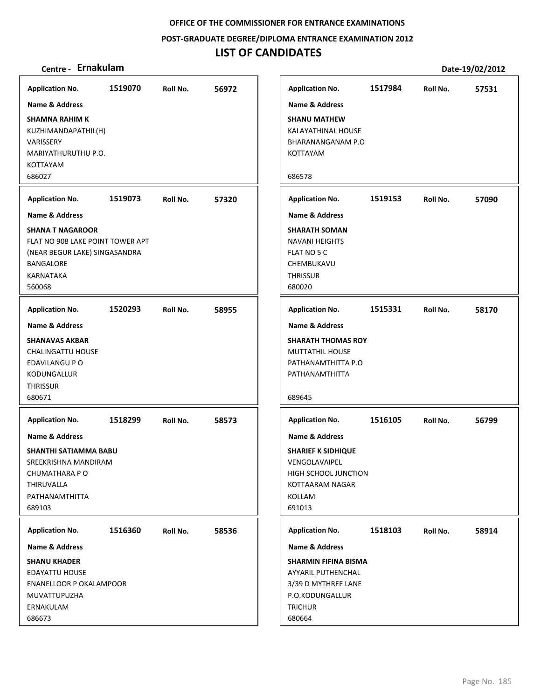**POST‐GRADUATE DEGREE/DIPLOMA ENTRANCE EXAMINATION 2012**

## **LIST OF CANDIDATES**

| <b>Application No.</b>                                                                                 | 1519070 | Roll No. | 56972 | <b>Application No.</b>                                                               | 1517984 | Roll No. | 57531 |
|--------------------------------------------------------------------------------------------------------|---------|----------|-------|--------------------------------------------------------------------------------------|---------|----------|-------|
| <b>Name &amp; Address</b>                                                                              |         |          |       | Name & Address                                                                       |         |          |       |
| <b>SHAMNA RAHIM K</b><br>KUZHIMANDAPATHIL(H)<br>VARISSERY<br>MARIYATHURUTHU P.O.<br>KOTTAYAM<br>686027 |         |          |       | <b>SHANU MATHEW</b><br>KALAYATHINAL HOUSE<br>BHARANANGANAM P.O<br>KOTTAYAM<br>686578 |         |          |       |
| <b>Application No.</b>                                                                                 | 1519073 | Roll No. | 57320 | <b>Application No.</b>                                                               | 1519153 | Roll No. | 57090 |
| <b>Name &amp; Address</b>                                                                              |         |          |       | <b>Name &amp; Address</b>                                                            |         |          |       |
| <b>SHANA T NAGAROOR</b>                                                                                |         |          |       | <b>SHARATH SOMAN</b>                                                                 |         |          |       |
| FLAT NO 908 LAKE POINT TOWER APT                                                                       |         |          |       | NAVANI HEIGHTS                                                                       |         |          |       |
| (NEAR BEGUR LAKE) SINGASANDRA                                                                          |         |          |       | FLAT NO 5 C                                                                          |         |          |       |
| BANGALORE<br>KARNATAKA                                                                                 |         |          |       | CHEMBUKAVU<br><b>THRISSUR</b>                                                        |         |          |       |
| 560068                                                                                                 |         |          |       | 680020                                                                               |         |          |       |
|                                                                                                        |         |          |       |                                                                                      |         |          |       |
| <b>Application No.</b>                                                                                 | 1520293 | Roll No. | 58955 | <b>Application No.</b>                                                               | 1515331 | Roll No. | 58170 |
| <b>Name &amp; Address</b>                                                                              |         |          |       | Name & Address                                                                       |         |          |       |
| <b>SHANAVAS AKBAR</b>                                                                                  |         |          |       | <b>SHARATH THOMAS ROY</b>                                                            |         |          |       |
| CHALINGATTU HOUSE<br>EDAVILANGU P O                                                                    |         |          |       | <b>MUTTATHIL HOUSE</b><br>PATHANAMTHITTA P.O                                         |         |          |       |
| KODUNGALLUR                                                                                            |         |          |       | PATHANAMTHITTA                                                                       |         |          |       |
| <b>THRISSUR</b>                                                                                        |         |          |       |                                                                                      |         |          |       |
| 680671                                                                                                 |         |          |       | 689645                                                                               |         |          |       |
| <b>Application No.</b>                                                                                 | 1518299 | Roll No. | 58573 | <b>Application No.</b>                                                               | 1516105 | Roll No. | 56799 |
| <b>Name &amp; Address</b>                                                                              |         |          |       | Name & Address                                                                       |         |          |       |
| <b>SHANTHI SATIAMMA BABU</b>                                                                           |         |          |       | <b>SHARIEF K SIDHIQUE</b>                                                            |         |          |       |
| SREEKRISHNA MANDIRAM                                                                                   |         |          |       | <b>VENGOLAVAIPEL</b>                                                                 |         |          |       |
| CHUMATHARA P O<br>THIRUVALLA                                                                           |         |          |       | HIGH SCHOOL JUNCTION<br>KOTTAARAM NAGAR                                              |         |          |       |
| PATHANAMTHITTA                                                                                         |         |          |       | KOLLAM                                                                               |         |          |       |
| 689103                                                                                                 |         |          |       | 691013                                                                               |         |          |       |
| <b>Application No.</b>                                                                                 | 1516360 | Roll No. | 58536 | <b>Application No.</b>                                                               | 1518103 | Roll No. | 58914 |
| Name & Address                                                                                         |         |          |       | <b>Name &amp; Address</b>                                                            |         |          |       |
| <b>SHANU KHADER</b>                                                                                    |         |          |       | <b>SHARMIN FIFINA BISMA</b>                                                          |         |          |       |
| <b>EDAYATTU HOUSE</b>                                                                                  |         |          |       | AYYARIL PUTHENCHAL                                                                   |         |          |       |
| ENANELLOOR P OKALAMPOOR                                                                                |         |          |       | 3/39 D MYTHREE LANE                                                                  |         |          |       |
| MUVATTUPUZHA<br>ERNAKULAM                                                                              |         |          |       | P.O.KODUNGALLUR<br><b>TRICHUR</b>                                                    |         |          |       |
| 686673                                                                                                 |         |          |       | 680664                                                                               |         |          |       |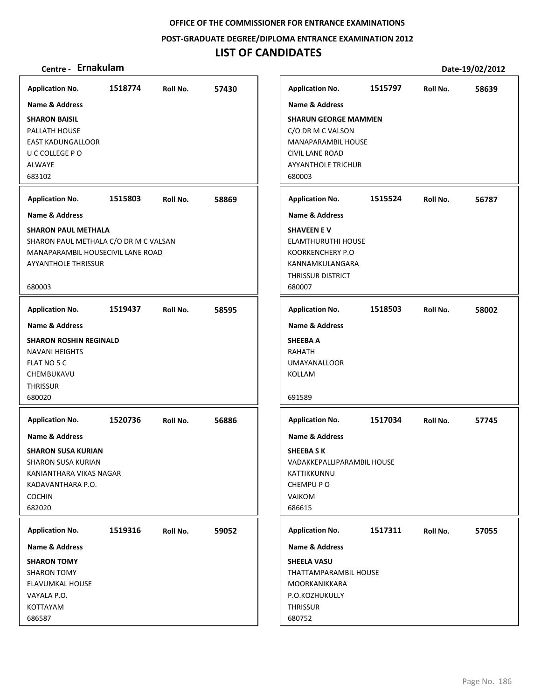**POST‐GRADUATE DEGREE/DIPLOMA ENTRANCE EXAMINATION 2012**

## **LIST OF CANDIDATES**

| <b>Application No.</b>                                                                                                                                         | 1518774 | Roll No. | 57430 |
|----------------------------------------------------------------------------------------------------------------------------------------------------------------|---------|----------|-------|
| Name & Address                                                                                                                                                 |         |          |       |
| <b>SHARON BAISIL</b><br>PALLATH HOUSE<br><b>EAST KADUNGALLOOR</b><br>U C COLLEGE P O<br><b>ALWAYE</b><br>683102                                                |         |          |       |
| <b>Application No.</b>                                                                                                                                         | 1515803 | Roll No. | 58869 |
| <b>Name &amp; Address</b>                                                                                                                                      |         |          |       |
| <b>SHARON PAUL METHALA</b><br>SHARON PAUL METHALA C/O DR M C VALSAN<br>MANAPARAMBIL HOUSECIVIL LANE ROAD<br><b>AYYANTHOLE THRISSUR</b><br>680003               |         |          |       |
| <b>Application No.</b>                                                                                                                                         | 1519437 | Roll No. | 58595 |
| Name & Address                                                                                                                                                 |         |          |       |
| <b>SHARON ROSHIN REGINALD</b><br><b>NAVANI HEIGHTS</b><br>FLAT NO 5 C<br>CHEMBUKAVU<br><b>THRISSUR</b><br>680020                                               |         |          |       |
| <b>Application No.</b>                                                                                                                                         | 1520736 | Roll No. | 56886 |
| <b>Name &amp; Address</b><br><b>SHARON SUSA KURIAN</b><br><b>SHARON SUSA KURIAN</b><br>KANIANTHARA VIKAS NAGAR<br>KADAVANTHARA P.O.<br><b>COCHIN</b><br>682020 |         |          |       |
| <b>Application No.</b>                                                                                                                                         | 1519316 | Roll No. | 59052 |
| <b>Name &amp; Address</b><br><b>SHARON TOMY</b><br><b>SHARON TOMY</b><br>ELAVUMKAL HOUSE<br>VAYALA P.O.<br>KOTTAYAM<br>686587                                  |         |          |       |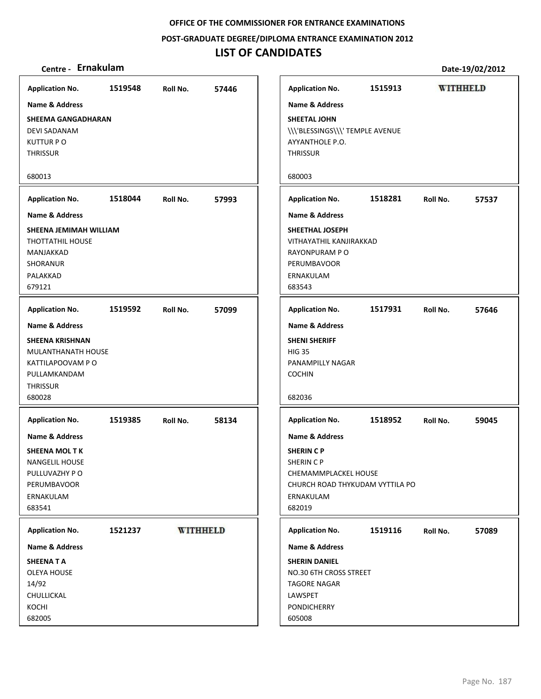**POST‐GRADUATE DEGREE/DIPLOMA ENTRANCE EXAMINATION 2012**

## **LIST OF CANDIDATES**

| <b>Application No.</b>                                                                                                      | 1519548 | Roll No. | 57446           | <b>Application No.</b>                                                                                                                        | 1515913 | <b>WITHHELD</b> |       |
|-----------------------------------------------------------------------------------------------------------------------------|---------|----------|-----------------|-----------------------------------------------------------------------------------------------------------------------------------------------|---------|-----------------|-------|
| <b>Name &amp; Address</b>                                                                                                   |         |          |                 | <b>Name &amp; Address</b>                                                                                                                     |         |                 |       |
| <b>SHEEMA GANGADHARAN</b><br>DEVI SADANAM<br><b>KUTTUR PO</b><br><b>THRISSUR</b>                                            |         |          |                 | SHEETAL JOHN<br>\\\'BLESSINGS\\\'TEMPLE AVENUE<br>AYYANTHOLE P.O.<br><b>THRISSUR</b>                                                          |         |                 |       |
| 680013                                                                                                                      |         |          |                 | 680003                                                                                                                                        |         |                 |       |
| <b>Application No.</b>                                                                                                      | 1518044 | Roll No. | 57993           | <b>Application No.</b>                                                                                                                        | 1518281 | Roll No.        | 57537 |
| <b>Name &amp; Address</b>                                                                                                   |         |          |                 | <b>Name &amp; Address</b>                                                                                                                     |         |                 |       |
| SHEENA JEMIMAH WILLIAM<br><b>THOTTATHIL HOUSE</b><br>MANJAKKAD<br><b>SHORANUR</b><br>PALAKKAD<br>679121                     |         |          |                 | SHEETHAL JOSEPH<br>VITHAYATHIL KANJIRAKKAD<br>RAYONPURAM P O<br><b>PERUMBAVOOR</b><br>ERNAKULAM<br>683543                                     |         |                 |       |
| <b>Application No.</b>                                                                                                      | 1519592 | Roll No. | 57099           | <b>Application No.</b>                                                                                                                        | 1517931 | Roll No.        | 57646 |
| Name & Address                                                                                                              |         |          |                 | <b>Name &amp; Address</b>                                                                                                                     |         |                 |       |
| <b>SHEENA KRISHNAN</b><br>MULANTHANATH HOUSE<br>KATTILAPOOVAM PO<br>PULLAMKANDAM<br><b>THRISSUR</b><br>680028               |         |          |                 | <b>SHENI SHERIFF</b><br><b>HIG 35</b><br>PANAMPILLY NAGAR<br><b>COCHIN</b><br>682036                                                          |         |                 |       |
| <b>Application No.</b>                                                                                                      | 1519385 | Roll No. | 58134           | <b>Application No.</b>                                                                                                                        | 1518952 | Roll No.        | 59045 |
| <b>Name &amp; Address</b><br>SHEENA MOL T K<br><b>NANGELIL HOUSE</b><br>PULLUVAZHY PO<br>PERUMBAVOOR<br>ERNAKULAM<br>683541 |         |          |                 | <b>Name &amp; Address</b><br><b>SHERIN CP</b><br>SHERIN C P<br>CHEMAMMPLACKEL HOUSE<br>CHURCH ROAD THYKUDAM VYTTILA PO<br>ERNAKULAM<br>682019 |         |                 |       |
| <b>Application No.</b>                                                                                                      | 1521237 |          | <b>WITHHELD</b> | <b>Application No.</b>                                                                                                                        | 1519116 | Roll No.        | 57089 |
| Name & Address                                                                                                              |         |          |                 | <b>Name &amp; Address</b>                                                                                                                     |         |                 |       |
| SHEENATA<br><b>OLEYA HOUSE</b><br>14/92<br>CHULLICKAL<br>KOCHI<br>682005                                                    |         |          |                 | <b>SHERIN DANIEL</b><br>NO.30 6TH CROSS STREET<br><b>TAGORE NAGAR</b><br>LAWSPET<br><b>PONDICHERRY</b><br>605008                              |         |                 |       |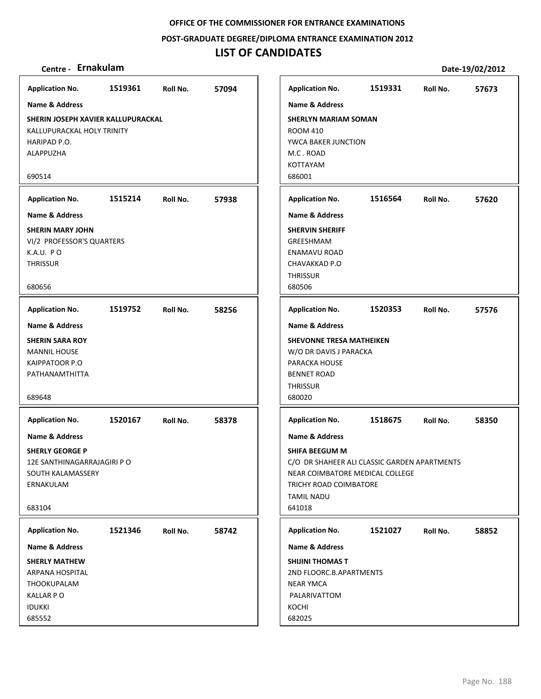### **POST‐GRADUATE DEGREE/DIPLOMA ENTRANCE EXAMINATION 2012**

## **LIST OF CANDIDATES**

| Centre - Ernakulam                                                                                                             |         |          |       |                                                                                                                                                                                  |         |          | Date-19/02/2012 |
|--------------------------------------------------------------------------------------------------------------------------------|---------|----------|-------|----------------------------------------------------------------------------------------------------------------------------------------------------------------------------------|---------|----------|-----------------|
| <b>Application No.</b>                                                                                                         | 1519361 | Roll No. | 57094 | <b>Application No.</b>                                                                                                                                                           | 1519331 | Roll No. | 57673           |
| <b>Name &amp; Address</b>                                                                                                      |         |          |       | <b>Name &amp; Address</b>                                                                                                                                                        |         |          |                 |
| SHERIN JOSEPH XAVIER KALLUPURACKAL<br>KALLUPURACKAL HOLY TRINITY<br>HARIPAD P.O.<br>ALAPPUZHA<br>690514                        |         |          |       | <b>SHERLYN MARIAM SOMAN</b><br><b>ROOM 410</b><br>YWCA BAKER JUNCTION<br>M.C. ROAD<br><b>KOTTAYAM</b><br>686001                                                                  |         |          |                 |
| <b>Application No.</b>                                                                                                         | 1515214 | Roll No. | 57938 | <b>Application No.</b>                                                                                                                                                           | 1516564 | Roll No. | 57620           |
| <b>Name &amp; Address</b>                                                                                                      |         |          |       | <b>Name &amp; Address</b>                                                                                                                                                        |         |          |                 |
| <b>SHERIN MARY JOHN</b><br>VI/2 PROFESSOR'S QUARTERS<br>K.A.U. PO<br><b>THRISSUR</b><br>680656                                 |         |          |       | <b>SHERVIN SHERIFF</b><br>GREESHMAM<br><b>ENAMAVU ROAD</b><br>CHAVAKKAD P.O<br><b>THRISSUR</b><br>680506                                                                         |         |          |                 |
| <b>Application No.</b>                                                                                                         | 1519752 | Roll No. | 58256 | <b>Application No.</b>                                                                                                                                                           | 1520353 | Roll No. | 57576           |
| Name & Address<br><b>SHERIN SARA ROY</b><br><b>MANNIL HOUSE</b><br>KAIPPATOOR P.O<br>PATHANAMTHITTA<br>689648                  |         |          |       | <b>Name &amp; Address</b><br><b>SHEVONNE TRESA MATHEIKEN</b><br>W/O DR DAVIS J PARACKA<br>PARACKA HOUSE<br><b>BENNET ROAD</b><br><b>THRISSUR</b><br>680020                       |         |          |                 |
| <b>Application No.</b>                                                                                                         | 1520167 | Roll No. | 58378 | <b>Application No.</b>                                                                                                                                                           | 1518675 | Roll No. | 58350           |
| <b>Name &amp; Address</b><br><b>SHERLY GEORGE P</b><br>12E SANTHINAGARRAJAGIRI P O<br>SOUTH KALAMASSERY<br>ERNAKULAM<br>683104 |         |          |       | <b>Name &amp; Address</b><br>SHIFA BEEGUM M<br>C/O DR SHAHEER ALI CLASSIC GARDEN APARTMENTS<br>NEAR COIMBATORE MEDICAL COLLEGE<br>TRICHY ROAD COIMBATORE<br>TAMIL NADU<br>641018 |         |          |                 |
| <b>Application No.</b>                                                                                                         | 1521346 | Roll No. | 58742 | <b>Application No.</b>                                                                                                                                                           | 1521027 | Roll No. | 58852           |
| Name & Address                                                                                                                 |         |          |       | Name & Address                                                                                                                                                                   |         |          |                 |
| <b>SHERLY MATHEW</b><br>ARPANA HOSPITAL<br>THOOKUPALAM<br><b>KALLAR PO</b><br><b>IDUKKI</b><br>685552                          |         |          |       | <b>SHIJINI THOMAS T</b><br>2ND FLOORC.B.APARTMENTS<br>NEAR YMCA<br>PALARIVATTOM<br>KOCHI<br>682025                                                                               |         |          |                 |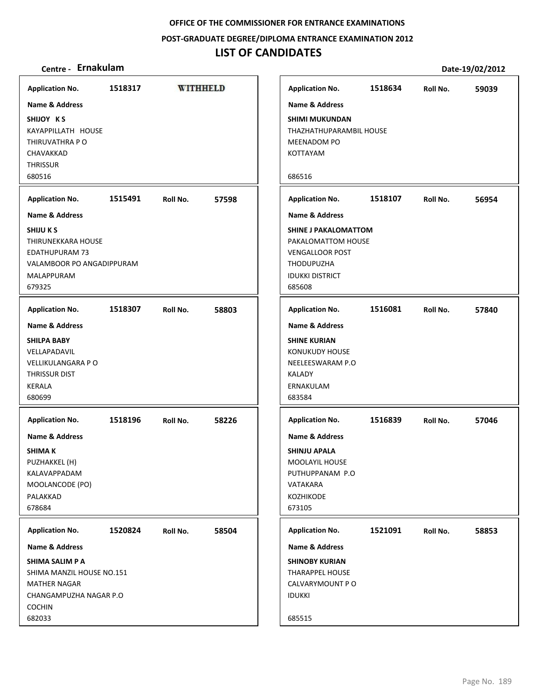### **POST‐GRADUATE DEGREE/DIPLOMA ENTRANCE EXAMINATION 2012**

## **LIST OF CANDIDATES**

| <b>Application No.</b>                                                                                                                     | 1518317 | <b>WITHHELD</b> |       | <b>Application No.</b>                                                                                                                                    | 1518634 | Roll No. | 59039 |
|--------------------------------------------------------------------------------------------------------------------------------------------|---------|-----------------|-------|-----------------------------------------------------------------------------------------------------------------------------------------------------------|---------|----------|-------|
| <b>Name &amp; Address</b>                                                                                                                  |         |                 |       | <b>Name &amp; Address</b>                                                                                                                                 |         |          |       |
| SHIJOY KS<br>KAYAPPILLATH HOUSE<br>THIRUVATHRA P O<br>CHAVAKKAD<br><b>THRISSUR</b><br>680516                                               |         |                 |       | <b>SHIMI MUKUNDAN</b><br>THAZHATHUPARAMBIL HOUSE<br>MEENADOM PO<br>KOTTAYAM<br>686516                                                                     |         |          |       |
| <b>Application No.</b>                                                                                                                     | 1515491 | Roll No.        | 57598 | <b>Application No.</b>                                                                                                                                    | 1518107 | Roll No. | 56954 |
| <b>Name &amp; Address</b>                                                                                                                  |         |                 |       | <b>Name &amp; Address</b>                                                                                                                                 |         |          |       |
| <b>SHIJUKS</b><br>THIRUNEKKARA HOUSE<br><b>EDATHUPURAM 73</b><br><b>VALAMBOOR PO ANGADIPPURAM</b><br>MALAPPURAM<br>679325                  |         |                 |       | <b>SHINE J PAKALOMATTOM</b><br>PAKALOMATTOM HOUSE<br><b>VENGALLOOR POST</b><br>THODUPUZHA<br><b>IDUKKI DISTRICT</b><br>685608                             |         |          |       |
| <b>Application No.</b>                                                                                                                     | 1518307 | Roll No.        | 58803 | <b>Application No.</b>                                                                                                                                    | 1516081 | Roll No. | 57840 |
| <b>Name &amp; Address</b><br><b>SHILPA BABY</b><br>VELLAPADAVIL<br><b>VELLIKULANGARA P O</b><br><b>THRISSUR DIST</b><br>KERALA<br>680699   |         |                 |       | <b>Name &amp; Address</b><br><b>SHINE KURIAN</b><br><b>KONUKUDY HOUSE</b><br>NEELEESWARAM P.O<br><b>KALADY</b><br>ERNAKULAM<br>683584                     |         |          |       |
| <b>Application No.</b><br><b>Name &amp; Address</b><br>SHIMA K<br>PUZHAKKEL (H)<br>KALAVAPPADAM<br>MOOLANCODE (PO)<br>PALAKKAD<br>678684   | 1518196 | Roll No.        | 58226 | <b>Application No.</b><br><b>Name &amp; Address</b><br><b>SHINJU APALA</b><br><b>MOOLAYIL HOUSE</b><br>PUTHUPPANAM P.O<br>VATAKARA<br>KOZHIKODE<br>673105 | 1516839 | Roll No. | 57046 |
| <b>Application No.</b>                                                                                                                     | 1520824 | Roll No.        | 58504 | <b>Application No.</b>                                                                                                                                    | 1521091 | Roll No. | 58853 |
| Name & Address<br>SHIMA SALIM P A<br>SHIMA MANZIL HOUSE NO.151<br><b>MATHER NAGAR</b><br>CHANGAMPUZHA NAGAR P.O<br><b>COCHIN</b><br>682033 |         |                 |       | Name & Address<br><b>SHINOBY KURIAN</b><br><b>THARAPPEL HOUSE</b><br>CALVARYMOUNT P O<br><b>IDUKKI</b><br>685515                                          |         |          |       |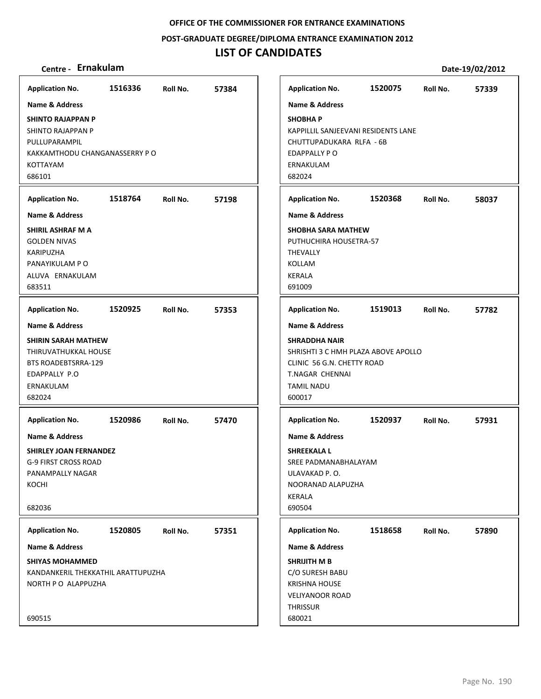**POST‐GRADUATE DEGREE/DIPLOMA ENTRANCE EXAMINATION 2012**

## **LIST OF CANDIDATES**

| <b>Application No.</b>                                                                                                        | 1516336 | Roll No. | 57384 | <b>Application No.</b>                                                                                                 | 1520075                             | Roll No. | 57339 |
|-------------------------------------------------------------------------------------------------------------------------------|---------|----------|-------|------------------------------------------------------------------------------------------------------------------------|-------------------------------------|----------|-------|
| <b>Name &amp; Address</b>                                                                                                     |         |          |       | <b>Name &amp; Address</b>                                                                                              |                                     |          |       |
| <b>SHINTO RAJAPPAN P</b><br>SHINTO RAJAPPAN P<br>PULLUPARAMPIL<br>KAKKAMTHODU CHANGANASSERRY P O<br><b>KOTTAYAM</b><br>686101 |         |          |       | <b>SHOBHAP</b><br>CHUTTUPADUKARA RLFA - 6B<br>EDAPPALLY PO<br>ERNAKULAM<br>682024                                      | KAPPILLIL SANJEEVANI RESIDENTS LANE |          |       |
| <b>Application No.</b>                                                                                                        | 1518764 | Roll No. | 57198 | <b>Application No.</b>                                                                                                 | 1520368                             | Roll No. | 58037 |
| <b>Name &amp; Address</b>                                                                                                     |         |          |       | <b>Name &amp; Address</b>                                                                                              |                                     |          |       |
| SHIRIL ASHRAF M A<br><b>GOLDEN NIVAS</b><br><b>KARIPUZHA</b><br>PANAYIKULAM P O<br>ALUVA ERNAKULAM<br>683511                  |         |          |       | <b>SHOBHA SARA MATHEW</b><br>PUTHUCHIRA HOUSETRA-57<br>THEVALLY<br><b>KOLLAM</b><br><b>KERALA</b><br>691009            |                                     |          |       |
| <b>Application No.</b>                                                                                                        | 1520925 | Roll No. | 57353 | <b>Application No.</b>                                                                                                 | 1519013                             | Roll No. | 57782 |
| <b>Name &amp; Address</b>                                                                                                     |         |          |       | <b>Name &amp; Address</b>                                                                                              |                                     |          |       |
| <b>SHIRIN SARAH MATHEW</b><br>THIRUVATHUKKAL HOUSE<br>BTS ROADEBTSRRA-129<br>EDAPPALLY P.O<br>ERNAKULAM<br>682024             |         |          |       | <b>SHRADDHA NAIR</b><br>CLINIC 56 G.N. CHETTY ROAD<br><b>T.NAGAR CHENNAI</b><br><b>TAMIL NADU</b><br>600017            | SHRISHTI 3 C HMH PLAZA ABOVE APOLLO |          |       |
| <b>Application No.</b>                                                                                                        | 1520986 | Roll No. | 57470 | <b>Application No.</b>                                                                                                 | 1520937                             | Roll No. | 57931 |
| <b>Name &amp; Address</b><br><b>SHIRLEY JOAN FERNANDEZ</b><br>G-9 FIRST CROSS ROAD<br>PANAMPALLY NAGAR<br>KOCHI<br>682036     |         |          |       | Name & Address<br><b>SHREEKALA L</b><br>SREE PADMANABHALAYAM<br>ULAVAKAD P.O.<br>NOORANAD ALAPUZHA<br>KERALA<br>690504 |                                     |          |       |
| <b>Application No.</b>                                                                                                        | 1520805 | Roll No. | 57351 | <b>Application No.</b>                                                                                                 | 1518658                             | Roll No. | 57890 |
| Name & Address                                                                                                                |         |          |       | Name & Address                                                                                                         |                                     |          |       |
| <b>SHIYAS MOHAMMED</b><br>KANDANKERIL THEKKATHIL ARATTUPUZHA<br>NORTH P O ALAPPUZHA                                           |         |          |       | SHRIJITH M B<br>C/O SURESH BABU<br><b>KRISHNA HOUSE</b><br><b>VELIYANOOR ROAD</b>                                      |                                     |          |       |
| 690515                                                                                                                        |         |          |       | <b>THRISSUR</b><br>680021                                                                                              |                                     |          |       |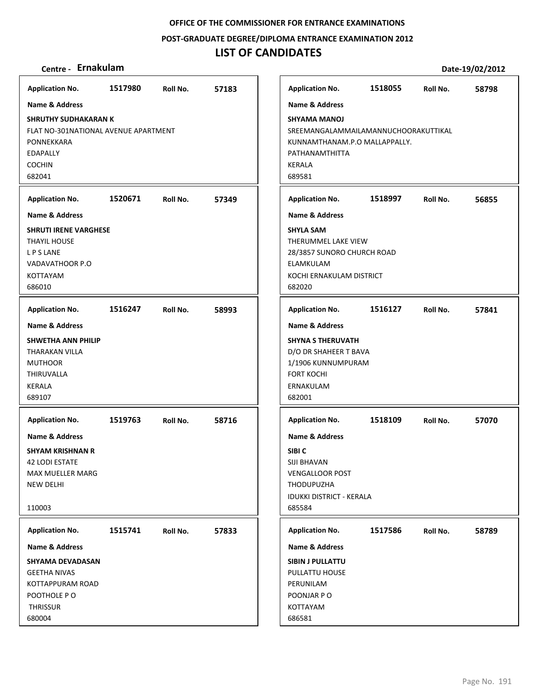**POST‐GRADUATE DEGREE/DIPLOMA ENTRANCE EXAMINATION 2012**

## **LIST OF CANDIDATES**

| <b>Application No.</b>                                                                                                                     | 1517980 | Roll No. | 57183 | <b>Application No.</b>                                                                                                                      |
|--------------------------------------------------------------------------------------------------------------------------------------------|---------|----------|-------|---------------------------------------------------------------------------------------------------------------------------------------------|
| <b>Name &amp; Address</b>                                                                                                                  |         |          |       | <b>Name &amp; Address</b>                                                                                                                   |
| <b>SHRUTHY SUDHAKARAN K</b><br>FLAT NO-301NATIONAL AVENUE APARTMENT<br>PONNEKKARA<br><b>EDAPALLY</b><br><b>COCHIN</b><br>682041            |         |          |       | <b>SHYAMA MANOJ</b><br>SREEMANGALAMMA<br>KUNNAMTHANAM.P<br>PATHANAMTHITTA<br><b>KERALA</b><br>689581                                        |
| <b>Application No.</b>                                                                                                                     | 1520671 | Roll No. | 57349 | <b>Application No.</b>                                                                                                                      |
| <b>Name &amp; Address</b>                                                                                                                  |         |          |       | <b>Name &amp; Address</b>                                                                                                                   |
| <b>SHRUTI IRENE VARGHESE</b><br>THAYIL HOUSE<br><b>LPSLANE</b><br>VADAVATHOOR P.O<br>KOTTAYAM<br>686010                                    |         |          |       | <b>SHYLA SAM</b><br>THERUMMEL LAKE V<br>28/3857 SUNORO CH<br>ELAMKULAM<br>KOCHI ERNAKULAM I<br>682020                                       |
| <b>Application No.</b>                                                                                                                     | 1516247 | Roll No. | 58993 | <b>Application No.</b>                                                                                                                      |
| <b>Name &amp; Address</b><br><b>SHWETHA ANN PHILIP</b><br><b>THARAKAN VILLA</b><br><b>MUTHOOR</b><br>THIRUVALLA<br><b>KERALA</b><br>689107 |         |          |       | <b>Name &amp; Address</b><br><b>SHYNA S THERUVATI</b><br>D/O DR SHAHEER T B<br>1/1906 KUNNUMPUI<br><b>FORT KOCHI</b><br>ERNAKULAM<br>682001 |
| <b>Application No.</b>                                                                                                                     | 1519763 | Roll No. | 58716 | <b>Application No.</b>                                                                                                                      |
| <b>Name &amp; Address</b><br><b>SHYAM KRISHNAN R</b><br><b>42 LODI ESTATE</b><br>MAX MUELLER MARG<br><b>NEW DELHI</b><br>110003            |         |          |       | <b>Name &amp; Address</b><br>SIBI C<br>SIJI BHAVAN<br><b>VENGALLOOR POST</b><br>THODUPUZHA<br><b>IDUKKI DISTRICT - KE</b><br>685584         |
| <b>Application No.</b>                                                                                                                     | 1515741 | Roll No. | 57833 | <b>Application No.</b>                                                                                                                      |
| <b>Name &amp; Address</b>                                                                                                                  |         |          |       | <b>Name &amp; Address</b>                                                                                                                   |
| SHYAMA DEVADASAN<br><b>GEETHA NIVAS</b><br>KOTTAPPURAM ROAD<br>POOTHOLE P O<br><b>THRISSUR</b><br>680004                                   |         |          |       | SIBIN J PULLATTU<br>PULLATTU HOUSE<br>PERUNILAM<br>POONJAR P O<br>KOTTAYAM<br>686581                                                        |

| Centre - Ernakulam                                                                                  |         |          |       |                                                                                                                                          |         |          | Date-19/02/2012 |
|-----------------------------------------------------------------------------------------------------|---------|----------|-------|------------------------------------------------------------------------------------------------------------------------------------------|---------|----------|-----------------|
| olication No.                                                                                       | 1517980 | Roll No. | 57183 | <b>Application No.</b>                                                                                                                   | 1518055 | Roll No. | 58798           |
| ne & Address                                                                                        |         |          |       | <b>Name &amp; Address</b>                                                                                                                |         |          |                 |
| RUTHY SUDHAKARAN K<br>T NO-301NATIONAL AVENUE APARTMENT<br>NNEKKARA<br><b>\PALLY</b><br>CHIN<br>041 |         |          |       | <b>SHYAMA MANOJ</b><br>SREEMANGALAMMAILAMANNUCHOORAKUTTIKAL<br>KUNNAMTHANAM.P.O MALLAPPALLY.<br>PATHANAMTHITTA<br>KERALA<br>689581       |         |          |                 |
| olication No.                                                                                       | 1520671 | Roll No. | 57349 | <b>Application No.</b>                                                                                                                   | 1518997 | Roll No. | 56855           |
| ne & Address                                                                                        |         |          |       | <b>Name &amp; Address</b>                                                                                                                |         |          |                 |
| <b>IUTI IRENE VARGHESE</b><br>YIL HOUSE<br>S LANE<br>)AVATHOOR P.O<br>TAYAM<br>010                  |         |          |       | <b>SHYLA SAM</b><br>THERUMMEL LAKE VIEW<br>28/3857 SUNORO CHURCH ROAD<br>ELAMKULAM<br>KOCHI ERNAKULAM DISTRICT<br>682020                 |         |          |                 |
| olication No.                                                                                       | 1516247 | Roll No. | 58993 | <b>Application No.</b>                                                                                                                   | 1516127 | Roll No. | 57841           |
| ne & Address                                                                                        |         |          |       | <b>Name &amp; Address</b>                                                                                                                |         |          |                 |
| VETHA ANN PHILIP<br>ARAKAN VILLA<br>THOOR<br>RUVALLA<br>:ALA<br>107                                 |         |          |       | <b>SHYNA S THERUVATH</b><br>D/O DR SHAHEER T BAVA<br>1/1906 KUNNUMPURAM<br><b>FORT KOCHI</b><br>ERNAKULAM<br>682001                      |         |          |                 |
| olication No.                                                                                       | 1519763 | Roll No. | 58716 | <b>Application No.</b>                                                                                                                   | 1518109 | Roll No. | 57070           |
| ne & Address<br>YAM KRISHNAN R<br>ODI ESTATE.<br>X MUELLER MARG<br>V DELHI                          |         |          |       | <b>Name &amp; Address</b><br>SIBI <sub>C</sub><br>SIJI BHAVAN<br><b>VENGALLOOR POST</b><br>THODUPUZHA<br><b>IDUKKI DISTRICT - KERALA</b> |         |          |                 |
| 003                                                                                                 |         |          |       | 685584                                                                                                                                   |         |          |                 |
| olication No.                                                                                       | 1515741 | Roll No. | 57833 | <b>Application No.</b>                                                                                                                   | 1517586 | Roll No. | 58789           |
| ne & Address                                                                                        |         |          |       | Name & Address                                                                                                                           |         |          |                 |
| 'AMA DEVADASAN<br>:THA NIVAS<br>TTAPPURAM ROAD<br>OTHOLE P O<br>rissur                              |         |          |       | SIBIN J PULLATTU<br>PULLATTU HOUSE<br>PERUNILAM<br>POONJAR PO<br>KOTTAYAM                                                                |         |          |                 |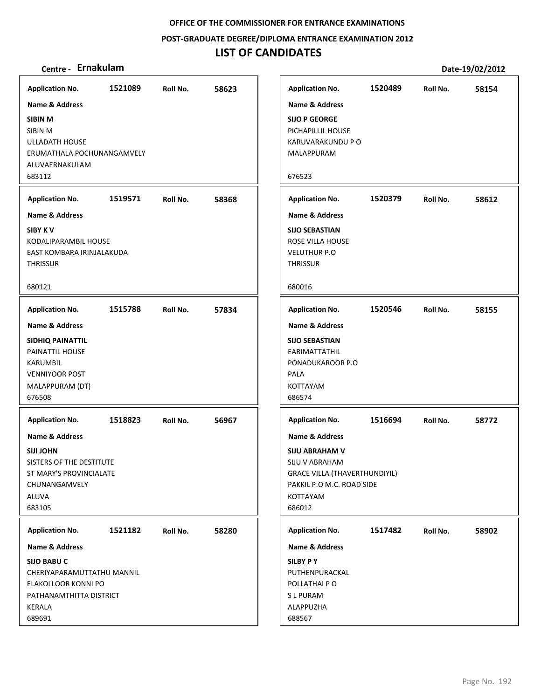**POST‐GRADUATE DEGREE/DIPLOMA ENTRANCE EXAMINATION 2012**

## **LIST OF CANDIDATES**

|                                                                                                                                    |         |          |       |                                                                                                                                                                 |         |          | PULL 19, 04, 4014 |
|------------------------------------------------------------------------------------------------------------------------------------|---------|----------|-------|-----------------------------------------------------------------------------------------------------------------------------------------------------------------|---------|----------|-------------------|
| <b>Application No.</b>                                                                                                             | 1521089 | Roll No. | 58623 | <b>Application No.</b>                                                                                                                                          | 1520489 | Roll No. | 58154             |
| Name & Address                                                                                                                     |         |          |       | <b>Name &amp; Address</b>                                                                                                                                       |         |          |                   |
| SIBIN M<br>SIBIN M<br>ULLADATH HOUSE<br>ERUMATHALA POCHUNANGAMVELY<br>ALUVAERNAKULAM<br>683112                                     |         |          |       | <b>SIJO P GEORGE</b><br>PICHAPILLIL HOUSE<br>KARUVARAKUNDU P O<br>MALAPPURAM<br>676523                                                                          |         |          |                   |
| <b>Application No.</b>                                                                                                             | 1519571 | Roll No. | 58368 | <b>Application No.</b>                                                                                                                                          | 1520379 | Roll No. | 58612             |
| Name & Address<br><b>SIBY KV</b><br>KODALIPARAMBIL HOUSE<br>EAST KOMBARA IRINJALAKUDA<br><b>THRISSUR</b>                           |         |          |       | <b>Name &amp; Address</b><br><b>SIJO SEBASTIAN</b><br>ROSE VILLA HOUSE<br><b>VELUTHUR P.O</b><br><b>THRISSUR</b>                                                |         |          |                   |
| 680121                                                                                                                             |         |          |       | 680016                                                                                                                                                          |         |          |                   |
| <b>Application No.</b>                                                                                                             | 1515788 | Roll No. | 57834 | <b>Application No.</b>                                                                                                                                          | 1520546 | Roll No. | 58155             |
| <b>Name &amp; Address</b><br>SIDHIQ PAINATTIL<br>PAINATTIL HOUSE<br>KARUMBIL<br><b>VENNIYOOR POST</b><br>MALAPPURAM (DT)<br>676508 |         |          |       | <b>Name &amp; Address</b><br><b>SIJO SEBASTIAN</b><br>EARIMATTATHIL<br>PONADUKAROOR P.O<br>PALA<br>KOTTAYAM<br>686574                                           |         |          |                   |
| <b>Application No.</b>                                                                                                             | 1518823 | Roll No. | 56967 | <b>Application No.</b>                                                                                                                                          | 1516694 | Roll No. | 58772             |
| Name & Address<br><b>SIJI JOHN</b><br>SISTERS OF THE DESTITUTE<br>ST MARY'S PROVINCIALATE<br>CHUNANGAMVELY<br>ALUVA<br>683105      |         |          |       | <b>Name &amp; Address</b><br><b>SIJU ABRAHAM V</b><br>SIJU V ABRAHAM<br><b>GRACE VILLA (THAVERTHUNDIYIL)</b><br>PAKKIL P.O M.C. ROAD SIDE<br>KOTTAYAM<br>686012 |         |          |                   |
| <b>Application No.</b>                                                                                                             | 1521182 | Roll No. | 58280 | <b>Application No.</b>                                                                                                                                          | 1517482 | Roll No. | 58902             |
| Name & Address                                                                                                                     |         |          |       | Name & Address                                                                                                                                                  |         |          |                   |
| <b>SIJO BABU C</b><br>CHERIYAPARAMUTTATHU MANNIL<br>ELAKOLLOOR KONNI PO<br>PATHANAMTHITTA DISTRICT<br>KERALA<br>689691             |         |          |       | <b>SILBY PY</b><br>PUTHENPURACKAL<br>POLLATHAI PO<br>S L PURAM<br>ALAPPUZHA<br>688567                                                                           |         |          |                   |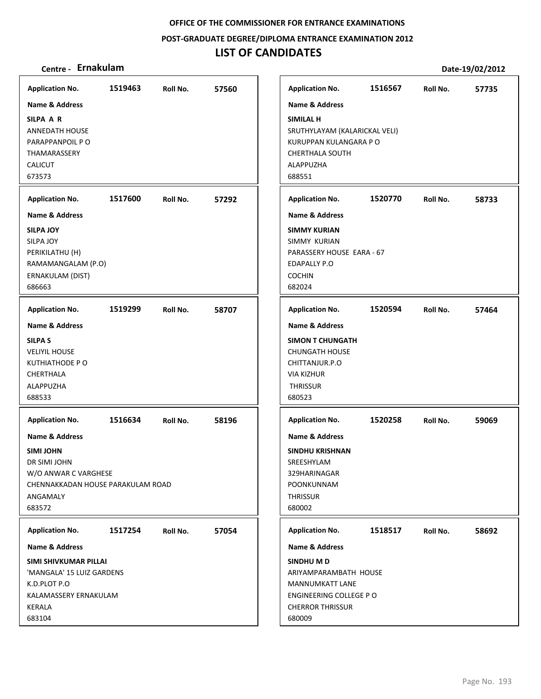**POST‐GRADUATE DEGREE/DIPLOMA ENTRANCE EXAMINATION 2012**

## **LIST OF CANDIDATES**

| <b>Application No.</b>                                                                                                                           | 1519463 | Roll No. | 57560 | <b>Application No.</b>                                                                                                       | 1516567 | Roll No. | 57735 |
|--------------------------------------------------------------------------------------------------------------------------------------------------|---------|----------|-------|------------------------------------------------------------------------------------------------------------------------------|---------|----------|-------|
| Name & Address                                                                                                                                   |         |          |       | <b>Name &amp; Address</b>                                                                                                    |         |          |       |
| SILPA A R<br><b>ANNEDATH HOUSE</b><br>PARAPPANPOIL PO<br>THAMARASSERY<br><b>CALICUT</b><br>673573                                                |         |          |       | SIMILAL H<br>SRUTHYLAYAM (KALARICKAL VELI)<br>KURUPPAN KULANGARA P O<br><b>CHERTHALA SOUTH</b><br><b>ALAPPUZHA</b><br>688551 |         |          |       |
| <b>Application No.</b>                                                                                                                           | 1517600 | Roll No. | 57292 | <b>Application No.</b>                                                                                                       | 1520770 | Roll No. | 58733 |
| <b>Name &amp; Address</b>                                                                                                                        |         |          |       | <b>Name &amp; Address</b>                                                                                                    |         |          |       |
| <b>SILPA JOY</b><br>SILPA JOY<br>PERIKILATHU (H)<br>RAMAMANGALAM (P.O)<br>ERNAKULAM (DIST)<br>686663                                             |         |          |       | <b>SIMMY KURIAN</b><br>SIMMY KURIAN<br>PARASSERY HOUSE EARA - 67<br><b>EDAPALLY P.O</b><br><b>COCHIN</b><br>682024           |         |          |       |
| <b>Application No.</b>                                                                                                                           | 1519299 | Roll No. | 58707 | <b>Application No.</b>                                                                                                       | 1520594 | Roll No. | 57464 |
| <b>Name &amp; Address</b>                                                                                                                        |         |          |       | <b>Name &amp; Address</b>                                                                                                    |         |          |       |
| <b>SILPA S</b><br><b>VELIYIL HOUSE</b><br>KUTHIATHODE PO<br>CHERTHALA<br>ALAPPUZHA<br>688533                                                     |         |          |       | <b>SIMON T CHUNGATH</b><br><b>CHUNGATH HOUSE</b><br>CHITTANJUR.P.O<br><b>VIA KIZHUR</b><br><b>THRISSUR</b><br>680523         |         |          |       |
| <b>Application No.</b>                                                                                                                           | 1516634 | Roll No. | 58196 | <b>Application No.</b>                                                                                                       | 1520258 | Roll No. | 59069 |
| <b>Name &amp; Address</b><br><b>SIMI JOHN</b><br>DR SIMI JOHN<br>W/O ANWAR C VARGHESE<br>CHENNAKKADAN HOUSE PARAKULAM ROAD<br>ANGAMALY<br>683572 |         |          |       | <b>Name &amp; Address</b><br><b>SINDHU KRISHNAN</b><br>SREESHYLAM<br>329HARINAGAR<br>POONKUNNAM<br><b>THRISSUR</b><br>680002 |         |          |       |
| <b>Application No.</b>                                                                                                                           | 1517254 | Roll No. | 57054 | <b>Application No.</b>                                                                                                       | 1518517 | Roll No. | 58692 |
| Name & Address                                                                                                                                   |         |          |       | <b>Name &amp; Address</b>                                                                                                    |         |          |       |
| SIMI SHIVKUMAR PILLAI<br>'MANGALA' 15 LUIZ GARDENS<br>K.D.PLOT P.O<br>KALAMASSERY ERNAKULAM<br>KERALA<br>683104                                  |         |          |       | SINDHU M D<br>ARIYAMPARAMBATH HOUSE<br>MANNUMKATT LANE<br>ENGINEERING COLLEGE PO<br><b>CHERROR THRISSUR</b><br>680009        |         |          |       |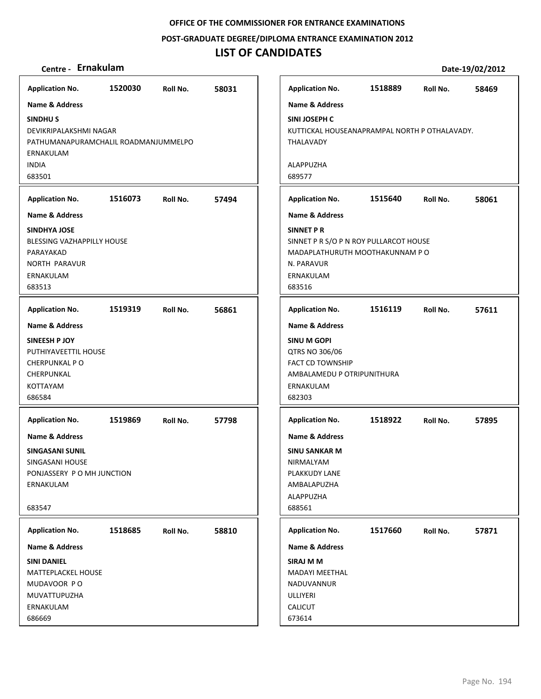**POST‐GRADUATE DEGREE/DIPLOMA ENTRANCE EXAMINATION 2012**

## **LIST OF CANDIDATES**

| <b>Application No.</b>                                                                                        | 1520030 | Roll No. | 58031 | <b>Application No.</b>                                                                                                             | 1518889 | Roll No. | 58469 |
|---------------------------------------------------------------------------------------------------------------|---------|----------|-------|------------------------------------------------------------------------------------------------------------------------------------|---------|----------|-------|
| <b>Name &amp; Address</b>                                                                                     |         |          |       | <b>Name &amp; Address</b>                                                                                                          |         |          |       |
| <b>SINDHUS</b><br>DEVIKRIPALAKSHMI NAGAR<br>PATHUMANAPURAMCHALIL ROADMANJUMMELPO<br>ERNAKULAM                 |         |          |       | SINI JOSEPH C<br>KUTTICKAL HOUSEANAPRAMPAL NORTH P OTHALAVADY.<br>THALAVADY                                                        |         |          |       |
| <b>INDIA</b><br>683501                                                                                        |         |          |       | ALAPPUZHA<br>689577                                                                                                                |         |          |       |
| <b>Application No.</b>                                                                                        | 1516073 | Roll No. | 57494 | <b>Application No.</b>                                                                                                             | 1515640 | Roll No. | 58061 |
| <b>Name &amp; Address</b>                                                                                     |         |          |       | <b>Name &amp; Address</b>                                                                                                          |         |          |       |
| <b>SINDHYA JOSE</b><br>BLESSING VAZHAPPILLY HOUSE<br>PARAYAKAD<br><b>NORTH PARAVUR</b><br>ERNAKULAM<br>683513 |         |          |       | <b>SINNET P R</b><br>SINNET P R S/O P N ROY PULLARCOT HOUSE<br>MADAPLATHURUTH MOOTHAKUNNAM PO<br>N. PARAVUR<br>ERNAKULAM<br>683516 |         |          |       |
| <b>Application No.</b>                                                                                        | 1519319 | Roll No. | 56861 | <b>Application No.</b>                                                                                                             | 1516119 | Roll No. | 57611 |
| <b>Name &amp; Address</b>                                                                                     |         |          |       | <b>Name &amp; Address</b>                                                                                                          |         |          |       |
| SINEESH P JOY                                                                                                 |         |          |       | <b>SINU M GOPI</b>                                                                                                                 |         |          |       |
| PUTHIYAVEETTIL HOUSE                                                                                          |         |          |       | QTRS NO 306/06                                                                                                                     |         |          |       |
| <b>CHERPUNKAL PO</b>                                                                                          |         |          |       | <b>FACT CD TOWNSHIP</b>                                                                                                            |         |          |       |
| CHERPUNKAL<br><b>KOTTAYAM</b>                                                                                 |         |          |       | AMBALAMEDU P OTRIPUNITHURA                                                                                                         |         |          |       |
| 686584                                                                                                        |         |          |       | ERNAKULAM<br>682303                                                                                                                |         |          |       |
| <b>Application No.</b>                                                                                        | 1519869 | Roll No. | 57798 | <b>Application No.</b>                                                                                                             | 1518922 | Roll No. | 57895 |
|                                                                                                               |         |          |       |                                                                                                                                    |         |          |       |
| Name & Address                                                                                                |         |          |       | <b>Name &amp; Address</b>                                                                                                          |         |          |       |
| <b>SINGASANI SUNIL</b><br>SINGASANI HOUSE                                                                     |         |          |       | <b>SINU SANKAR M</b><br>NIRMALYAM                                                                                                  |         |          |       |
| PONJASSERY P O MH JUNCTION                                                                                    |         |          |       | PLAKKUDY LANE                                                                                                                      |         |          |       |
| ERNAKULAM                                                                                                     |         |          |       | AMBALAPUZHA                                                                                                                        |         |          |       |
| 683547                                                                                                        |         |          |       | ALAPPUZHA<br>688561                                                                                                                |         |          |       |
| <b>Application No.</b>                                                                                        | 1518685 | Roll No. | 58810 | <b>Application No.</b>                                                                                                             | 1517660 | Roll No. | 57871 |
| Name & Address                                                                                                |         |          |       | Name & Address                                                                                                                     |         |          |       |
| <b>SINI DANIEL</b>                                                                                            |         |          |       | SIRAJ M M                                                                                                                          |         |          |       |
| <b>MATTEPLACKEL HOUSE</b>                                                                                     |         |          |       | <b>MADAYI MEETHAL</b>                                                                                                              |         |          |       |
| MUDAVOOR PO<br>MUVATTUPUZHA                                                                                   |         |          |       | NADUVANNUR<br>ULLIYERI                                                                                                             |         |          |       |
| ERNAKULAM                                                                                                     |         |          |       | <b>CALICUT</b>                                                                                                                     |         |          |       |
| 686669                                                                                                        |         |          |       | 673614                                                                                                                             |         |          |       |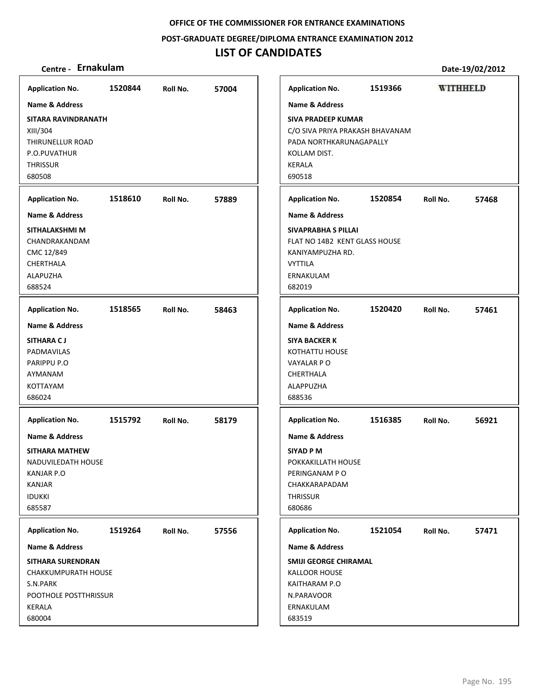**POST‐GRADUATE DEGREE/DIPLOMA ENTRANCE EXAMINATION 2012**

## **LIST OF CANDIDATES**

### **Centre ‐ Ernakulam Date‐19/02/2012**

XIII/304

**THRISSUR** 680508

CMC 12/849 CHERTHALA ALAPUZHA 688524

**SITHARA C J** PADMAVILAS PARIPPU P.O AYMANAM KOTTAYAM 686024

KANJAR P.O KANJAR IDUKKI 685587

S.N.PARK

KERALA 680004

**Application No. Application No. 1520844 57004 1519366 WITHHELD Name & Address Name & Address SITARA RAVINDRANATH SIVA PRADEEP KUMAR** C/O SIVA PRIYA PRAKASH BHAVANAM THIRUNELLUR ROAD PADA NORTHKARUNAGAPALLY P.O.PUVATHUR KOLLAM DIST. KERALA 690518 **Application No. 1518610 57889 Application No. 1520854 57468 Name & Address Name & Address SITHALAKSHMI M SIVAPRABHA S PILLAI** CHANDRAKANDAM FLAT NO 14B2 KENT GLASS HOUSE KANIYAMPUZHA RD. VYTTILA ERNAKULAM 682019 **Application No. 1518565 58463 Application No. 1520420 57461 Name & Address Name & Address SIYA BACKER K** KOTHATTU HOUSE VAYALAR P O CHERTHALA ALAPPUZHA 688536 **Application No. Application No. 1515792 58179 1516385 56921 Name & Address Name & Address SITHARA MATHEW SIYAD P M** NADUVILEDATH HOUSE POKKAKILLATH HOUSE PERINGANAM P O CHAKKARAPADAM **THRISSUR** 680686 **Application No. Application No. 1519264 57556 1521054 57471 Name & Address Name & Address SITHARA SURENDRAN SMIJI GEORGE CHIRAMAL** CHAKKUMPURATH HOUSE KALLOOR HOUSE KAITHARAM P.O POOTHOLE POSTTHRISSUR N.PARAVOOR ERNAKULAM 683519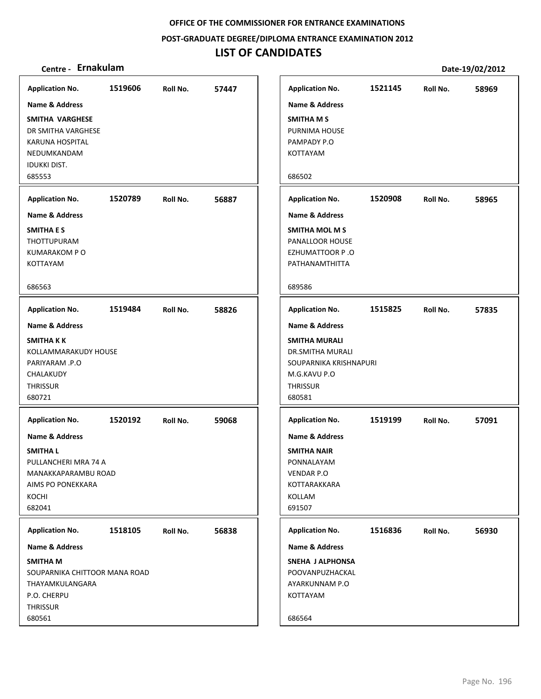**POST‐GRADUATE DEGREE/DIPLOMA ENTRANCE EXAMINATION 2012**

## **LIST OF CANDIDATES**

| <b>Application No.</b>                                                                                                                                       | 1519606 | Roll No. | 57447 |
|--------------------------------------------------------------------------------------------------------------------------------------------------------------|---------|----------|-------|
| Name & Address<br>SMITHA VARGHESE<br>DR SMITHA VARGHESE<br>KARUNA HOSPITAL<br>NEDUMKANDAM<br><b>IDUKKI DIST.</b>                                             |         |          |       |
| 685553                                                                                                                                                       |         |          |       |
| <b>Application No.</b>                                                                                                                                       | 1520789 | Roll No. | 56887 |
| <b>Name &amp; Address</b><br><b>SMITHA E S</b><br>THOTTUPURAM<br><b>KUMARAKOM PO</b><br>KOTTAYAM                                                             |         |          |       |
| 686563                                                                                                                                                       |         |          |       |
| <b>Application No.</b>                                                                                                                                       | 1519484 | Roll No. | 58826 |
| <b>Name &amp; Address</b><br><b>SMITHAKK</b><br>KOLLAMMARAKUDY HOUSE<br>PARIYARAM .P.O<br>CHALAKUDY<br><b>THRISSUR</b><br>680721                             |         |          |       |
| <b>Application No.</b><br><b>Name &amp; Address</b><br><b>SMITHAL</b><br>PULLANCHERI MRA 74 A<br>MANAKKAPARAMBU ROAD<br>AIMS PO PONEKKARA<br>KOCHI<br>682041 | 1520192 | Roll No. | 59068 |
| <b>Application No.</b><br>Name & Address<br><b>SMITHAM</b><br>SOUPARNIKA CHITTOOR MANA ROAD<br>THAYAMKULANGARA<br>P.O. CHERPU<br><b>THRISSUR</b><br>680561   | 1518105 | Roll No. | 56838 |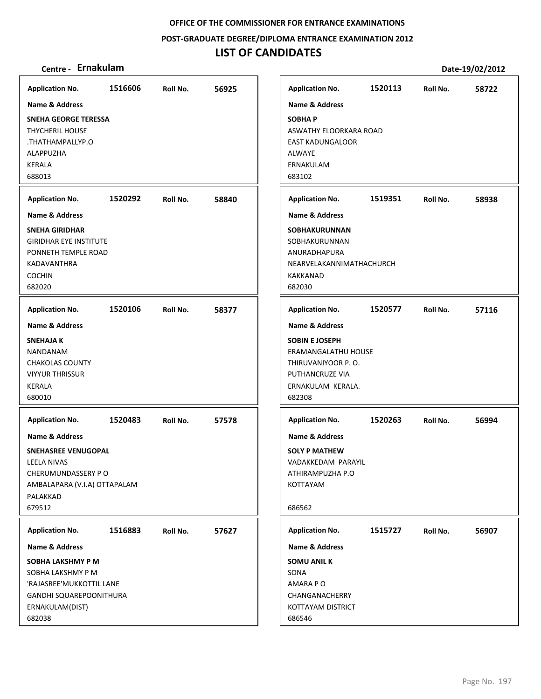**POST‐GRADUATE DEGREE/DIPLOMA ENTRANCE EXAMINATION 2012**

## **LIST OF CANDIDATES**

| <b>Application No.</b>                                                                                                                                                        | 1516606 | Roll No. | 56925 | <b>Application No.</b>                                                                                                                             | 1520113 | Roll No. | 58722 |
|-------------------------------------------------------------------------------------------------------------------------------------------------------------------------------|---------|----------|-------|----------------------------------------------------------------------------------------------------------------------------------------------------|---------|----------|-------|
| <b>Name &amp; Address</b><br><b>SNEHA GEORGE TERESSA</b><br><b>THYCHERIL HOUSE</b><br>THATHAMPALLYP.O.<br>ALAPPUZHA<br>KERALA<br>688013                                       |         |          |       | <b>Name &amp; Address</b><br><b>SOBHAP</b><br>ASWATHY ELOORKARA ROAD<br><b>EAST KADUNGALOOR</b><br><b>ALWAYE</b><br>ERNAKULAM<br>683102            |         |          |       |
| <b>Application No.</b>                                                                                                                                                        | 1520292 | Roll No. | 58840 | <b>Application No.</b>                                                                                                                             | 1519351 | Roll No. | 58938 |
| <b>Name &amp; Address</b><br><b>SNEHA GIRIDHAR</b><br><b>GIRIDHAR EYE INSTITUTE</b><br>PONNETH TEMPLE ROAD<br><b>KADAVANTHRA</b><br><b>COCHIN</b><br>682020                   |         |          |       | <b>Name &amp; Address</b><br><b>SOBHAKURUNNAN</b><br>SOBHAKURUNNAN<br>ANURADHAPURA<br>NEARVELAKANNIMATHACHURCH<br>KAKKANAD<br>682030               |         |          |       |
| <b>Application No.</b>                                                                                                                                                        | 1520106 | Roll No. | 58377 | <b>Application No.</b>                                                                                                                             | 1520577 | Roll No. | 57116 |
| <b>Name &amp; Address</b><br><b>SNEHAJA K</b><br><b>NANDANAM</b><br><b>CHAKOLAS COUNTY</b><br><b>VIYYUR THRISSUR</b><br>KERALA<br>680010                                      |         |          |       | <b>Name &amp; Address</b><br><b>SOBIN E JOSEPH</b><br>ERAMANGALATHU HOUSE<br>THIRUVANIYOOR P.O.<br>PUTHANCRUZE VIA<br>ERNAKULAM KERALA.<br>682308  |         |          |       |
| <b>Application No.</b><br>Name & Address<br><b>SNEHASREE VENUGOPAL</b><br><b>LEELA NIVAS</b><br>CHERUMUNDASSERY PO<br>AMBALAPARA (V.I.A) OTTAPALAM<br>PALAKKAD<br>679512      | 1520483 | Roll No. | 57578 | <b>Application No.</b><br><b>Name &amp; Address</b><br><b>SOLY P MATHEW</b><br>VADAKKEDAM PARAYIL<br>ATHIRAMPUZHA P.O<br><b>KOTTAYAM</b><br>686562 | 1520263 | Roll No. | 56994 |
| <b>Application No.</b><br>Name & Address<br>SOBHA LAKSHMY P M<br>SOBHA LAKSHMY P M<br>'RAJASREE'MUKKOTTIL LANE<br><b>GANDHI SQUAREPOONITHURA</b><br>ERNAKULAM(DIST)<br>682038 | 1516883 | Roll No. | 57627 | <b>Application No.</b><br>Name & Address<br><b>SOMU ANIL K</b><br>SONA<br>AMARA PO<br>CHANGANACHERRY<br>KOTTAYAM DISTRICT<br>686546                | 1515727 | Roll No. | 56907 |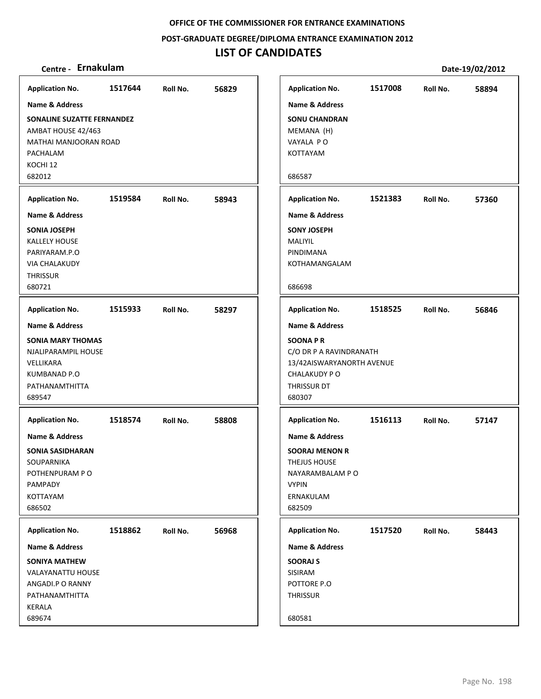**POST‐GRADUATE DEGREE/DIPLOMA ENTRANCE EXAMINATION 2012**

## **LIST OF CANDIDATES**

| <b>Application No.</b>                                                                                     | 1517644 | Roll No. | 56829 | <b>Application No.</b>                                                                                                       | 1517008                   | Roll No. | 58894 |
|------------------------------------------------------------------------------------------------------------|---------|----------|-------|------------------------------------------------------------------------------------------------------------------------------|---------------------------|----------|-------|
| <b>Name &amp; Address</b>                                                                                  |         |          |       | <b>Name &amp; Address</b>                                                                                                    |                           |          |       |
| SONALINE SUZATTE FERNANDEZ<br>AMBAT HOUSE 42/463<br>MATHAI MANJOORAN ROAD<br>PACHALAM<br>KOCHI 12          |         |          |       | <b>SONU CHANDRAN</b><br>MEMANA (H)<br>VAYALA PO<br>KOTTAYAM                                                                  |                           |          |       |
| 682012                                                                                                     |         |          |       | 686587                                                                                                                       |                           |          |       |
| <b>Application No.</b>                                                                                     | 1519584 | Roll No. | 58943 | <b>Application No.</b>                                                                                                       | 1521383                   | Roll No. | 57360 |
| <b>Name &amp; Address</b>                                                                                  |         |          |       | <b>Name &amp; Address</b>                                                                                                    |                           |          |       |
| <b>SONIA JOSEPH</b><br>KALLELY HOUSE<br>PARIYARAM.P.O<br><b>VIA CHALAKUDY</b><br><b>THRISSUR</b><br>680721 |         |          |       | <b>SONY JOSEPH</b><br>MALIYIL<br>PINDIMANA<br>KOTHAMANGALAM<br>686698                                                        |                           |          |       |
|                                                                                                            |         |          |       |                                                                                                                              |                           |          |       |
| <b>Application No.</b>                                                                                     | 1515933 | Roll No. | 58297 | <b>Application No.</b>                                                                                                       | 1518525                   | Roll No. | 56846 |
| <b>Name &amp; Address</b>                                                                                  |         |          |       | <b>Name &amp; Address</b>                                                                                                    |                           |          |       |
| <b>SONIA MARY THOMAS</b><br>NJALIPARAMPIL HOUSE<br>VELLIKARA<br>KUMBANAD P.O<br>PATHANAMTHITTA<br>689547   |         |          |       | <b>SOONAPR</b><br>C/O DR P A RAVINDRANATH<br><b>CHALAKUDY PO</b><br>THRISSUR DT<br>680307                                    | 13/42AISWARYANORTH AVENUE |          |       |
| <b>Application No.</b>                                                                                     | 1518574 | Roll No. | 58808 | <b>Application No.</b>                                                                                                       | 1516113                   | Roll No. | 57147 |
| Name & Address<br><b>SONIA SASIDHARAN</b><br>SOUPARNIKA<br>POTHENPURAM PO<br>PAMPADY<br>KOTTAYAM<br>686502 |         |          |       | <b>Name &amp; Address</b><br><b>SOORAJ MENON R</b><br>THEJUS HOUSE<br>NAYARAMBALAM PO<br><b>VYPIN</b><br>ERNAKULAM<br>682509 |                           |          |       |
| <b>Application No.</b>                                                                                     | 1518862 | Roll No. | 56968 | <b>Application No.</b>                                                                                                       | 1517520                   | Roll No. | 58443 |
| <b>Name &amp; Address</b>                                                                                  |         |          |       | Name & Address                                                                                                               |                           |          |       |
| <b>SONIYA MATHEW</b><br><b>VALAYANATTU HOUSE</b><br>ANGADI.P O RANNY<br>PATHANAMTHITTA<br>KERALA<br>689674 |         |          |       | <b>SOORAJ S</b><br>SISIRAM<br>POTTORE P.O<br><b>THRISSUR</b><br>680581                                                       |                           |          |       |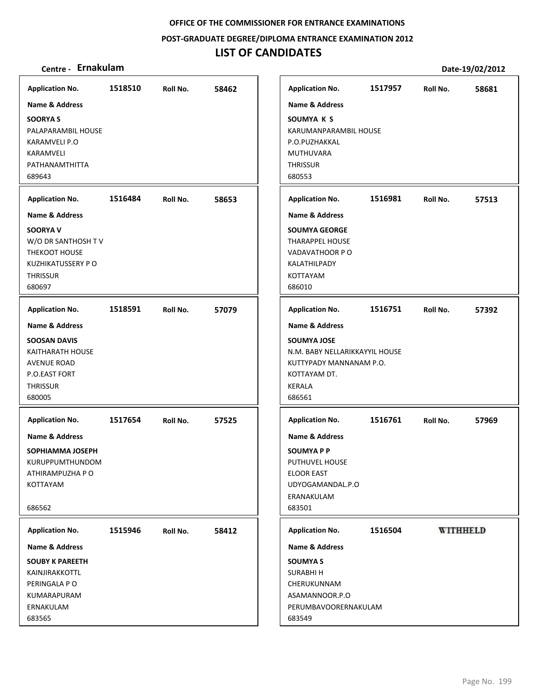**POST‐GRADUATE DEGREE/DIPLOMA ENTRANCE EXAMINATION 2012**

## **LIST OF CANDIDATES**

| <b>Application No.</b>                                                                                                                          | 1518510 | Roll No. | 58462 |
|-------------------------------------------------------------------------------------------------------------------------------------------------|---------|----------|-------|
| <b>Name &amp; Address</b><br><b>SOORYA S</b><br>PALAPARAMBIL HOUSE<br>KARAMVELI P.O<br>KARAMVELI<br>PATHANAMTHITTA<br>689643                    |         |          |       |
| <b>Application No.</b>                                                                                                                          | 1516484 | Roll No. | 58653 |
| <b>Name &amp; Address</b><br><b>SOORYA V</b><br>W/O DR SANTHOSH TV<br>THEKOOT HOUSE<br><b>KUZHIKATUSSERY PO</b><br><b>THRISSUR</b><br>680697    |         |          |       |
| <b>Application No.</b>                                                                                                                          | 1518591 | Roll No. | 57079 |
| <b>Name &amp; Address</b><br><b>SOOSAN DAVIS</b><br><b>KAITHARATH HOUSE</b><br><b>AVENUE ROAD</b><br>P.O.EAST FORT<br><b>THRISSUR</b><br>680005 |         |          |       |
| <b>Application No.</b><br><b>Name &amp; Address</b><br>SOPHIAMMA JOSEPH<br>KURUPPUMTHUNDOM<br>ATHIRAMPUZHA P O<br>KOTTAYAM<br>686562            | 1517654 | Roll No. | 57525 |
| <b>Application No.</b>                                                                                                                          | 1515946 | Roll No. | 58412 |
| Name & Address<br><b>SOUBY K PAREETH</b><br>KAINJIRAKKOTTL<br>PERINGALA PO<br>KUMARAPURAM<br>ERNAKULAM<br>683565                                |         |          |       |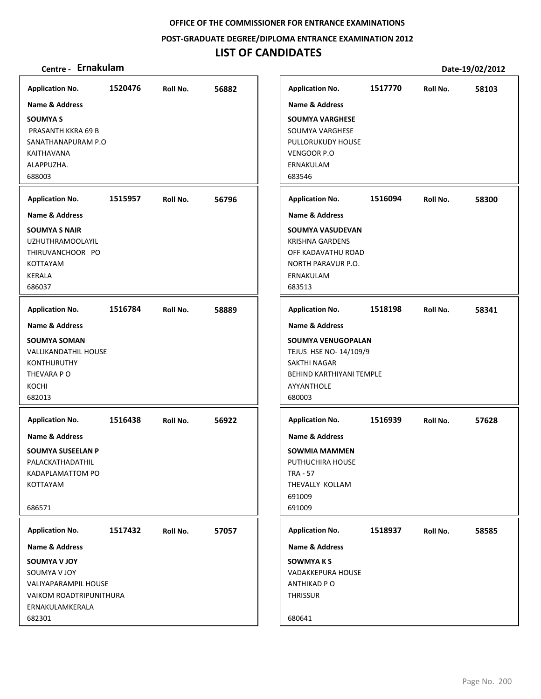**POST‐GRADUATE DEGREE/DIPLOMA ENTRANCE EXAMINATION 2012**

## **LIST OF CANDIDATES**

| Centre - Ernakulam                                                                                                                     |         |          |       |                                                                                                                                               |         |          | Date-19/02/2012 |
|----------------------------------------------------------------------------------------------------------------------------------------|---------|----------|-------|-----------------------------------------------------------------------------------------------------------------------------------------------|---------|----------|-----------------|
| <b>Application No.</b>                                                                                                                 | 1520476 | Roll No. | 56882 | <b>Application No.</b>                                                                                                                        | 1517770 | Roll No. | 58103           |
| <b>Name &amp; Address</b><br><b>SOUMYAS</b><br>PRASANTH KKRA 69 B<br>SANATHANAPURAM P.O<br>KAITHAVANA<br>ALAPPUZHA.<br>688003          |         |          |       | <b>Name &amp; Address</b><br><b>SOUMYA VARGHESE</b><br>SOUMYA VARGHESE<br>PULLORUKUDY HOUSE<br>VENGOOR P.O<br>ERNAKULAM<br>683546             |         |          |                 |
| <b>Application No.</b>                                                                                                                 | 1515957 | Roll No. | 56796 | <b>Application No.</b>                                                                                                                        | 1516094 | Roll No. | 58300           |
| <b>Name &amp; Address</b>                                                                                                              |         |          |       | <b>Name &amp; Address</b>                                                                                                                     |         |          |                 |
| <b>SOUMYA S NAIR</b><br><b>UZHUTHRAMOOLAYIL</b><br>THIRUVANCHOOR PO<br>KOTTAYAM<br><b>KERALA</b><br>686037                             |         |          |       | SOUMYA VASUDEVAN<br><b>KRISHNA GARDENS</b><br>OFF KADAVATHU ROAD<br>NORTH PARAVUR P.O.<br>ERNAKULAM<br>683513                                 |         |          |                 |
| <b>Application No.</b>                                                                                                                 | 1516784 | Roll No. | 58889 | <b>Application No.</b>                                                                                                                        | 1518198 | Roll No. | 58341           |
| <b>Name &amp; Address</b><br><b>SOUMYA SOMAN</b><br><b>VALLIKANDATHIL HOUSE</b><br><b>KONTHURUTHY</b><br>THEVARA PO<br>KOCHI<br>682013 |         |          |       | <b>Name &amp; Address</b><br>SOUMYA VENUGOPALAN<br>TEJUS HSE NO- 14/109/9<br>SAKTHI NAGAR<br>BEHIND KARTHIYANI TEMPLE<br>AYYANTHOLE<br>680003 |         |          |                 |
| <b>Application No.</b>                                                                                                                 | 1516438 | Roll No. | 56922 | <b>Application No.</b>                                                                                                                        | 1516939 | Roll No. | 57628           |
| <b>Name &amp; Address</b><br><b>SOUMYA SUSEELAN P</b><br>PALACKATHADATHIL<br>KADAPLAMATTOM PO<br>KOTTAYAM<br>686571                    |         |          |       | <b>Name &amp; Address</b><br><b>SOWMIA MAMMEN</b><br>PUTHUCHIRA HOUSE<br><b>TRA - 57</b><br>THEVALLY KOLLAM<br>691009<br>691009               |         |          |                 |
| <b>Application No.</b>                                                                                                                 | 1517432 | Roll No. | 57057 | <b>Application No.</b>                                                                                                                        | 1518937 | Roll No. | 58585           |
| Name & Address                                                                                                                         |         |          |       | Name & Address                                                                                                                                |         |          |                 |
| <b>SOUMYA V JOY</b><br>SOUMYA V JOY<br>VALIYAPARAMPIL HOUSE<br>VAIKOM ROADTRIPUNITHURA<br>ERNAKULAMKERALA<br>682301                    |         |          |       | <b>SOWMYAKS</b><br><b>VADAKKEPURA HOUSE</b><br><b>ANTHIKAD PO</b><br><b>THRISSUR</b><br>680641                                                |         |          |                 |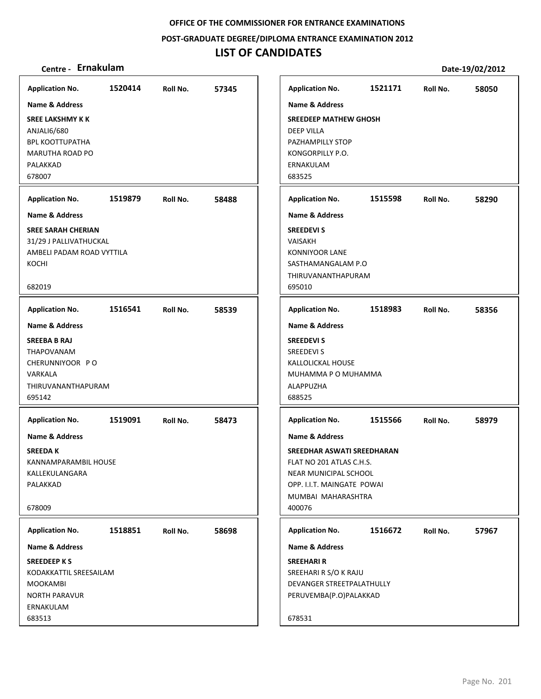**POST‐GRADUATE DEGREE/DIPLOMA ENTRANCE EXAMINATION 2012**

## **LIST OF CANDIDATES**

| <b>Application No.</b>                                                                                         | 1520414 | Roll No. | 57345 |
|----------------------------------------------------------------------------------------------------------------|---------|----------|-------|
| <b>Name &amp; Address</b>                                                                                      |         |          |       |
| <b>SREE LAKSHMY K K</b><br>ANJALI6/680<br><b>BPL KOOTTUPATHA</b><br>MARUTHA ROAD PO<br>PALAKKAD<br>678007      |         |          |       |
| <b>Application No.</b>                                                                                         | 1519879 | Roll No. | 58488 |
| Name & Address                                                                                                 |         |          |       |
| <b>SREE SARAH CHERIAN</b><br>31/29 J PALLIVATHUCKAL<br>AMBELI PADAM ROAD VYTTILA<br>KOCHI<br>682019            |         |          |       |
| <b>Application No.</b>                                                                                         | 1516541 | Roll No. | 58539 |
| <b>Name &amp; Address</b>                                                                                      |         |          |       |
| <b>SREEBA B RAJ</b><br>THAPOVANAM<br>CHERUNNIYOOR PO<br>VARKALA<br>THIRUVANANTHAPURAM<br>695142                |         |          |       |
| <b>Application No.</b>                                                                                         | 1519091 | Roll No. | 58473 |
| Name & Address<br><b>SREEDAK</b><br>KANNAMPARAMBIL HOUSE<br>KALLEKULANGARA<br>PALAKKAD<br>678009               |         |          |       |
| <b>Application No.</b>                                                                                         | 1518851 | Roll No. | 58698 |
| Name & Address                                                                                                 |         |          |       |
| <b>SREEDEEP KS</b><br>KODAKKATTIL SREESAILAM<br><b>MOOKAMBI</b><br><b>NORTH PARAVUR</b><br>ERNAKULAM<br>683513 |         |          |       |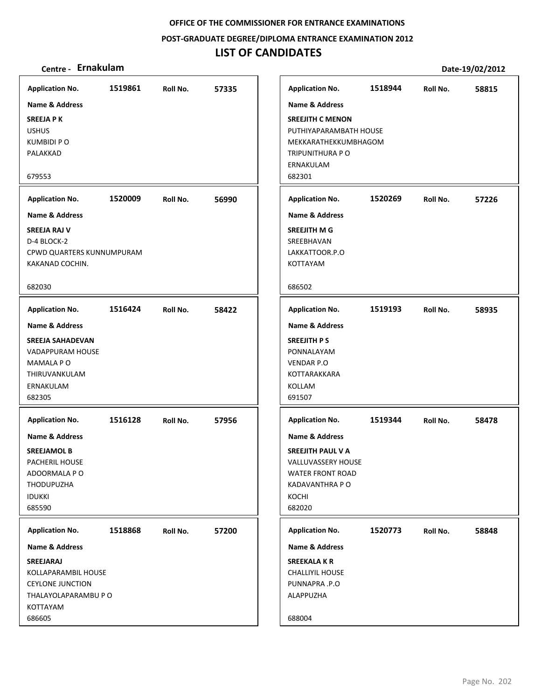**POST‐GRADUATE DEGREE/DIPLOMA ENTRANCE EXAMINATION 2012**

## **LIST OF CANDIDATES**

| Centre - Ernakulam                                                                                                                 |         |          |       |                                                                                                                            |         |          | Date-19/02/2012 |
|------------------------------------------------------------------------------------------------------------------------------------|---------|----------|-------|----------------------------------------------------------------------------------------------------------------------------|---------|----------|-----------------|
| <b>Application No.</b>                                                                                                             | 1519861 | Roll No. | 57335 | <b>Application No.</b>                                                                                                     | 1518944 | Roll No. | 58815           |
| Name & Address                                                                                                                     |         |          |       | Name & Address                                                                                                             |         |          |                 |
| <b>SREEJA P K</b><br><b>USHUS</b><br>KUMBIDI P O<br>PALAKKAD                                                                       |         |          |       | <b>SREEJITH C MENON</b><br>PUTHIYAPARAMBATH HOUSE<br>MEKKARATHEKKUMBHAGOM<br>TRIPUNITHURA P O<br>ERNAKULAM                 |         |          |                 |
| 679553                                                                                                                             |         |          |       | 682301                                                                                                                     |         |          |                 |
| <b>Application No.</b>                                                                                                             | 1520009 | Roll No. | 56990 | <b>Application No.</b>                                                                                                     | 1520269 | Roll No. | 57226           |
| <b>Name &amp; Address</b>                                                                                                          |         |          |       | <b>Name &amp; Address</b>                                                                                                  |         |          |                 |
| <b>SREEJA RAJ V</b><br>D-4 BLOCK-2<br>CPWD QUARTERS KUNNUMPURAM<br>KAKANAD COCHIN.                                                 |         |          |       | SREEJITH M G<br>SREEBHAVAN<br>LAKKATTOOR.P.O<br>KOTTAYAM                                                                   |         |          |                 |
| 682030                                                                                                                             |         |          |       | 686502                                                                                                                     |         |          |                 |
| <b>Application No.</b>                                                                                                             | 1516424 | Roll No. | 58422 | <b>Application No.</b>                                                                                                     | 1519193 | Roll No. | 58935           |
| Name & Address                                                                                                                     |         |          |       | <b>Name &amp; Address</b>                                                                                                  |         |          |                 |
| <b>SREEJA SAHADEVAN</b><br>VADAPPURAM HOUSE<br>MAMALA PO<br>THIRUVANKULAM<br>ERNAKULAM<br>682305                                   |         |          |       | <b>SREEJITH PS</b><br>PONNALAYAM<br><b>VENDAR P.O</b><br>KOTTARAKKARA<br>KOLLAM<br>691507                                  |         |          |                 |
| <b>Application No.</b>                                                                                                             | 1516128 | Roll No. | 57956 | <b>Application No.</b>                                                                                                     | 1519344 | Roll No. | 58478           |
| <b>Name &amp; Address</b><br><b>SREEJAMOL B</b><br>PACHERIL HOUSE<br>ADOORMALA P O<br><b>THODUPUZHA</b><br><b>IDUKKI</b><br>685590 |         |          |       | Name & Address<br>SREEJITH PAUL V A<br>VALLUVASSERY HOUSE<br><b>WATER FRONT ROAD</b><br>KADAVANTHRA P O<br>KOCHI<br>682020 |         |          |                 |
| <b>Application No.</b>                                                                                                             | 1518868 | Roll No. | 57200 | <b>Application No.</b>                                                                                                     | 1520773 | Roll No. | 58848           |
| Name & Address                                                                                                                     |         |          |       | Name & Address                                                                                                             |         |          |                 |
| SREEJARAJ<br>KOLLAPARAMBIL HOUSE<br><b>CEYLONE JUNCTION</b><br>THALAYOLAPARAMBU P O<br>KOTTAYAM                                    |         |          |       | <b>SREEKALA K R</b><br><b>CHALLIYIL HOUSE</b><br>PUNNAPRA .P.O<br>ALAPPUZHA                                                |         |          |                 |
| 686605                                                                                                                             |         |          |       | 688004                                                                                                                     |         |          |                 |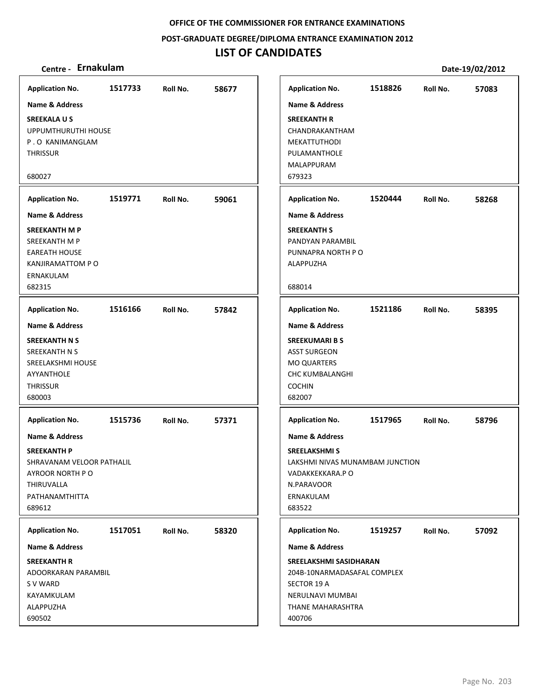**POST‐GRADUATE DEGREE/DIPLOMA ENTRANCE EXAMINATION 2012**

## **LIST OF CANDIDATES**

| <b>Application No.</b>    | 1517733 | Roll No. | 58677 | <b>Application No.</b>          | 1518826 | Roll No. | 57083 |
|---------------------------|---------|----------|-------|---------------------------------|---------|----------|-------|
| Name & Address            |         |          |       | <b>Name &amp; Address</b>       |         |          |       |
| <b>SREEKALAUS</b>         |         |          |       | <b>SREEKANTH R</b>              |         |          |       |
| UPPUMTHURUTHI HOUSE       |         |          |       | CHANDRAKANTHAM                  |         |          |       |
| P.O KANIMANGLAM           |         |          |       | MEKATTUTHODI                    |         |          |       |
| <b>THRISSUR</b>           |         |          |       | PULAMANTHOLE                    |         |          |       |
|                           |         |          |       | MALAPPURAM                      |         |          |       |
| 680027                    |         |          |       | 679323                          |         |          |       |
| <b>Application No.</b>    | 1519771 | Roll No. | 59061 | <b>Application No.</b>          | 1520444 | Roll No. | 58268 |
| <b>Name &amp; Address</b> |         |          |       | <b>Name &amp; Address</b>       |         |          |       |
| <b>SREEKANTH M P</b>      |         |          |       | <b>SREEKANTH S</b>              |         |          |       |
| SREEKANTH M P             |         |          |       | PANDYAN PARAMBIL                |         |          |       |
| <b>EAREATH HOUSE</b>      |         |          |       | PUNNAPRA NORTH PO               |         |          |       |
| <b>KANJIRAMATTOM P O</b>  |         |          |       | ALAPPUZHA                       |         |          |       |
| ERNAKULAM                 |         |          |       |                                 |         |          |       |
| 682315                    |         |          |       | 688014                          |         |          |       |
| <b>Application No.</b>    | 1516166 | Roll No. | 57842 | <b>Application No.</b>          | 1521186 | Roll No. | 58395 |
| Name & Address            |         |          |       | Name & Address                  |         |          |       |
| <b>SREEKANTH N S</b>      |         |          |       | <b>SREEKUMARI B S</b>           |         |          |       |
| SREEKANTH N S             |         |          |       | <b>ASST SURGEON</b>             |         |          |       |
| SREELAKSHMI HOUSE         |         |          |       | <b>MO QUARTERS</b>              |         |          |       |
| AYYANTHOLE                |         |          |       | <b>CHC KUMBALANGHI</b>          |         |          |       |
| <b>THRISSUR</b>           |         |          |       | <b>COCHIN</b>                   |         |          |       |
| 680003                    |         |          |       | 682007                          |         |          |       |
| <b>Application No.</b>    | 1515736 | Roll No. | 57371 | <b>Application No.</b>          | 1517965 | Roll No. | 58796 |
| <b>Name &amp; Address</b> |         |          |       | <b>Name &amp; Address</b>       |         |          |       |
| <b>SREEKANTH P</b>        |         |          |       | <b>SREELAKSHMIS</b>             |         |          |       |
| SHRAVANAM VELOOR PATHALIL |         |          |       | LAKSHMI NIVAS MUNAMBAM JUNCTION |         |          |       |
| AYROOR NORTH PO           |         |          |       | VADAKKEKKARA.PO                 |         |          |       |
| THIRUVALLA                |         |          |       | N.PARAVOOR                      |         |          |       |
| PATHANAMTHITTA            |         |          |       | ERNAKULAM                       |         |          |       |
| 689612                    |         |          |       | 683522                          |         |          |       |
| <b>Application No.</b>    | 1517051 | Roll No. | 58320 | <b>Application No.</b>          | 1519257 | Roll No. | 57092 |
| Name & Address            |         |          |       | Name & Address                  |         |          |       |
| <b>SREEKANTH R</b>        |         |          |       | SREELAKSHMI SASIDHARAN          |         |          |       |
| ADOORKARAN PARAMBIL       |         |          |       | 204B-10NARMADASAFAL COMPLEX     |         |          |       |
| S V WARD                  |         |          |       | SECTOR 19 A                     |         |          |       |
| KAYAMKULAM                |         |          |       | NERULNAVI MUMBAI                |         |          |       |
| ALAPPUZHA                 |         |          |       | THANE MAHARASHTRA               |         |          |       |
| 690502                    |         |          |       | 400706                          |         |          |       |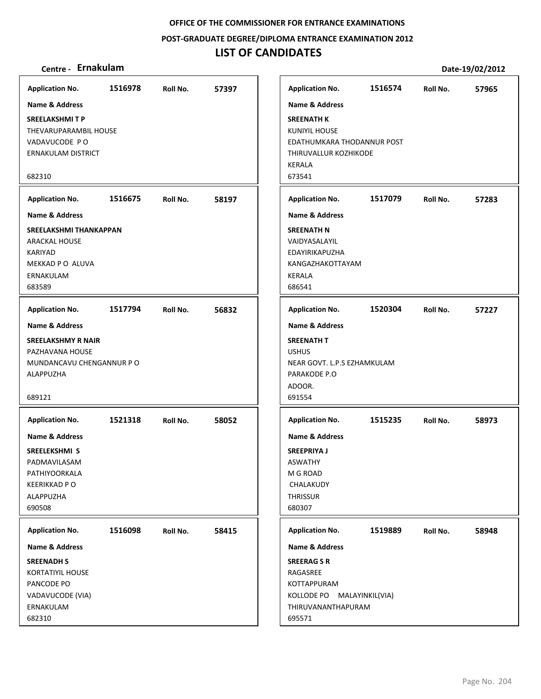**POST‐GRADUATE DEGREE/DIPLOMA ENTRANCE EXAMINATION 2012**

## **LIST OF CANDIDATES**

### **Centre ‐ Ernakulam Date‐19/02/2012**

**1516978 57397 SREELAKSHMI T P** THEVARUPARAMBIL HOUSE VADAVUCODE P O ERNAKULAM DISTRICT 682310 **Application No. Name & Address 1516675 58197 SREELAKSHMI THANKAPPAN** ARACKAL HOUSE KARIYAD MEKKAD P O ALUVA ERNAKULAM 683589 **Application No. Name & Address 1517794 56832 SREELAKSHMY R NAIR** PAZHAVANA HOUSE MUNDANCAVU CHENGANNUR P O ALAPPUZHA 689121 **Application No. Name & Address 1521318 58052 SREELEKSHMI S** PADMAVILASAM PATHIYOORKALA KEERIKKAD P O ALAPPUZHA 690508 **Application No. Name & Address 1516098 58415 SREENADH S** KORTATIYIL HOUSE PANCODE PO VADAVUCODE (VIA) ERNAKULAM 682310 **Application No. Name & Address 1516574 57965 SREENATH K** KUNIYIL HOUSE EDATHUMKARA THODANNUR POST THIRUVALLUR KOZHIKODE KERALA 673541 **Application No. Name & Address 1517079 57283 SREENATH N** VAIDYASALAYIL EDAYIRIKAPUZHA KANGAZHAKOTTAYAM KERALA 686541 **Application No. Name & Address 1520304 57227 SREENATH T** USHUS NEAR GOVT. L.P.S EZHAMKULAM PARAKODE P.O ADOOR. 691554 **Application No. Name & Address 1515235 58973 SREEPRIYA J** ASWATHY M G ROAD CHALAKUDY **THRISSUR** 680307 **Application No. Name & Address 1519889 58948 SREERAG S R** RAGASREE KOTTAPPURAM KOLLODE PO MALAYINKIL(VIA) THIRUVANANTHAPURAM 695571 **Application No. Name & Address**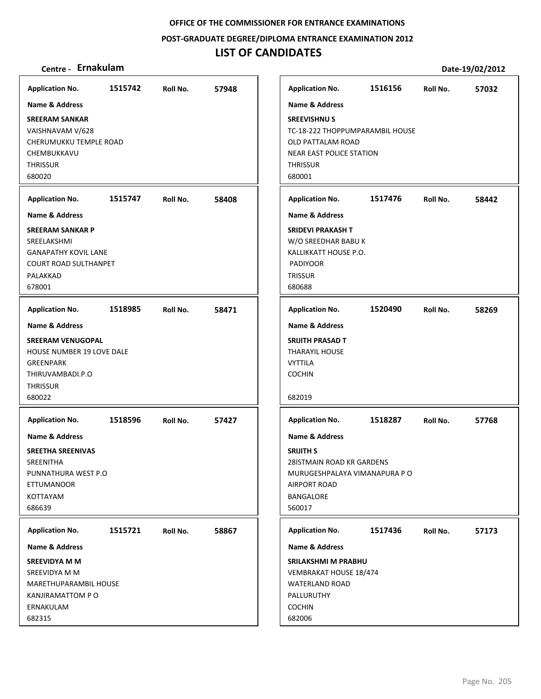**POST‐GRADUATE DEGREE/DIPLOMA ENTRANCE EXAMINATION 2012**

## **LIST OF CANDIDATES**

| Centre - Ernakulam                                                                                                                        |         |          |       |                                           |                                                                                                                             |         |          | Date-19/02/2012 |
|-------------------------------------------------------------------------------------------------------------------------------------------|---------|----------|-------|-------------------------------------------|-----------------------------------------------------------------------------------------------------------------------------|---------|----------|-----------------|
| <b>Application No.</b>                                                                                                                    | 1515742 | Roll No. | 57948 |                                           | <b>Application No.</b>                                                                                                      | 1516156 | Roll No. | 57032           |
| Name & Address                                                                                                                            |         |          |       |                                           | <b>Name &amp; Address</b>                                                                                                   |         |          |                 |
| <b>SREERAM SANKAR</b><br>VAISHNAVAM V/628<br>CHERUMUKKU TEMPLE ROAD<br>CHEMBUKKAVU<br>THRISSUR<br>680020                                  |         |          |       | <b>THRISSUR</b><br>680001                 | <b>SREEVISHNUS</b><br>TC-18-222 THOPPUMPARAMBIL HOUSE<br>OLD PATTALAM ROAD<br>NEAR EAST POLICE STATION                      |         |          |                 |
| <b>Application No.</b>                                                                                                                    | 1515747 | Roll No. | 58408 |                                           | <b>Application No.</b>                                                                                                      | 1517476 | Roll No. | 58442           |
| <b>Name &amp; Address</b>                                                                                                                 |         |          |       |                                           | <b>Name &amp; Address</b>                                                                                                   |         |          |                 |
| SREERAM SANKAR P<br>SREELAKSHMI<br><b>GANAPATHY KOVIL LANE</b><br><b>COURT ROAD SULTHANPET</b><br>PALAKKAD<br>678001                      |         |          |       | <b>TRISSUR</b><br>680688                  | <b>SRIDEVI PRAKASH T</b><br>W/O SREEDHAR BABU K<br>KALLIKKATT HOUSE P.O.<br><b>PADIYOOR</b>                                 |         |          |                 |
| <b>Application No.</b>                                                                                                                    | 1518985 | Roll No. | 58471 |                                           | <b>Application No.</b>                                                                                                      | 1520490 | Roll No. | 58269           |
| <b>Name &amp; Address</b><br><b>SREERAM VENUGOPAL</b><br>HOUSE NUMBER 19 LOVE DALE<br>GREENPARK<br>THIRUVAMBADI.P.O<br>THRISSUR<br>680022 |         |          |       | <b>VYTTILA</b><br><b>COCHIN</b><br>682019 | <b>Name &amp; Address</b><br>SRIJITH PRASAD T<br><b>THARAYIL HOUSE</b>                                                      |         |          |                 |
| <b>Application No.</b>                                                                                                                    | 1518596 | Roll No. | 57427 |                                           | <b>Application No.</b>                                                                                                      | 1518287 | Roll No. | 57768           |
| <b>Name &amp; Address</b><br><b>SREETHA SREENIVAS</b><br>SREENITHA<br>PUNNATHURA WEST P.O<br><b>ETTUMANOOR</b><br>KOTTAYAM<br>686639      |         |          |       | <b>SRIJITH S</b><br>560017                | <b>Name &amp; Address</b><br>28 STMAIN ROAD KR GARDENS<br>MURUGESHPALAYA VIMANAPURA P O<br><b>AIRPORT ROAD</b><br>BANGALORE |         |          |                 |
| <b>Application No.</b>                                                                                                                    | 1515721 | Roll No. | 58867 |                                           | <b>Application No.</b>                                                                                                      | 1517436 | Roll No. | 57173           |
| <b>Name &amp; Address</b>                                                                                                                 |         |          |       |                                           | <b>Name &amp; Address</b>                                                                                                   |         |          |                 |
| SREEVIDYA M M<br>SREEVIDYA M M<br>MARETHUPARAMBIL HOUSE<br>KANJIRAMATTOM P O<br>ERNAKULAM<br>682315                                       |         |          |       | <b>COCHIN</b><br>682006                   | <b>SRILAKSHMI M PRABHU</b><br>VEMBRAKAT HOUSE 18/474<br><b>WATERLAND ROAD</b><br>PALLURUTHY                                 |         |          |                 |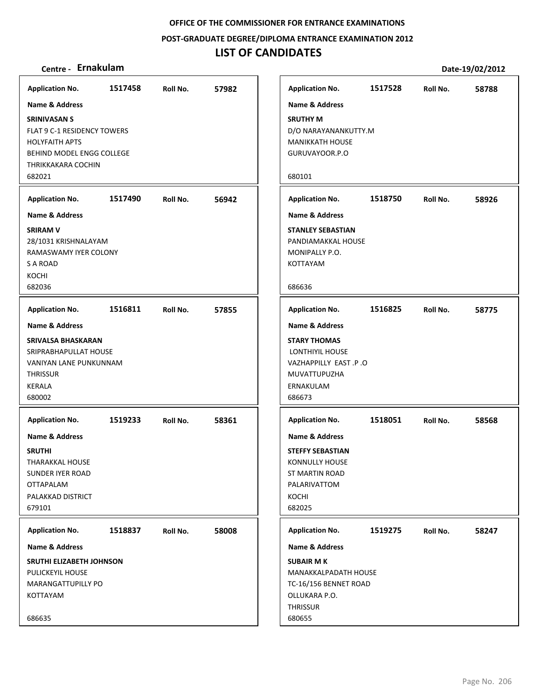**POST‐GRADUATE DEGREE/DIPLOMA ENTRANCE EXAMINATION 2012**

## **LIST OF CANDIDATES**

|         |                                                                                                                                                                                                                                                                                        |                                                | ı                                                                                                              |
|---------|----------------------------------------------------------------------------------------------------------------------------------------------------------------------------------------------------------------------------------------------------------------------------------------|------------------------------------------------|----------------------------------------------------------------------------------------------------------------|
|         |                                                                                                                                                                                                                                                                                        |                                                | ľ                                                                                                              |
|         |                                                                                                                                                                                                                                                                                        |                                                | S                                                                                                              |
|         |                                                                                                                                                                                                                                                                                        |                                                | D                                                                                                              |
|         |                                                                                                                                                                                                                                                                                        |                                                | N                                                                                                              |
|         |                                                                                                                                                                                                                                                                                        |                                                | C                                                                                                              |
|         |                                                                                                                                                                                                                                                                                        |                                                | Е                                                                                                              |
|         |                                                                                                                                                                                                                                                                                        |                                                |                                                                                                                |
|         |                                                                                                                                                                                                                                                                                        |                                                | I                                                                                                              |
|         |                                                                                                                                                                                                                                                                                        |                                                | ľ                                                                                                              |
|         |                                                                                                                                                                                                                                                                                        |                                                | S                                                                                                              |
|         |                                                                                                                                                                                                                                                                                        |                                                | P<br>N                                                                                                         |
|         |                                                                                                                                                                                                                                                                                        |                                                | K                                                                                                              |
|         |                                                                                                                                                                                                                                                                                        |                                                |                                                                                                                |
|         |                                                                                                                                                                                                                                                                                        |                                                | Е                                                                                                              |
|         |                                                                                                                                                                                                                                                                                        |                                                | ı                                                                                                              |
|         |                                                                                                                                                                                                                                                                                        |                                                | ľ                                                                                                              |
|         |                                                                                                                                                                                                                                                                                        |                                                | S                                                                                                              |
|         |                                                                                                                                                                                                                                                                                        |                                                |                                                                                                                |
|         |                                                                                                                                                                                                                                                                                        |                                                |                                                                                                                |
|         |                                                                                                                                                                                                                                                                                        |                                                | N<br>Е                                                                                                         |
|         |                                                                                                                                                                                                                                                                                        |                                                | Е                                                                                                              |
|         |                                                                                                                                                                                                                                                                                        |                                                | ı                                                                                                              |
|         |                                                                                                                                                                                                                                                                                        |                                                |                                                                                                                |
|         |                                                                                                                                                                                                                                                                                        |                                                | ľ                                                                                                              |
|         |                                                                                                                                                                                                                                                                                        |                                                | S<br>к                                                                                                         |
|         |                                                                                                                                                                                                                                                                                        |                                                | S                                                                                                              |
|         |                                                                                                                                                                                                                                                                                        |                                                | F                                                                                                              |
|         |                                                                                                                                                                                                                                                                                        |                                                | K                                                                                                              |
|         |                                                                                                                                                                                                                                                                                        |                                                | Е                                                                                                              |
| 1518837 | Roll No.                                                                                                                                                                                                                                                                               | 58008                                          | I                                                                                                              |
|         |                                                                                                                                                                                                                                                                                        |                                                | ľ                                                                                                              |
|         |                                                                                                                                                                                                                                                                                        |                                                | S                                                                                                              |
|         |                                                                                                                                                                                                                                                                                        |                                                | N                                                                                                              |
|         |                                                                                                                                                                                                                                                                                        |                                                | T<br>C                                                                                                         |
|         |                                                                                                                                                                                                                                                                                        |                                                | ı                                                                                                              |
|         |                                                                                                                                                                                                                                                                                        |                                                | б                                                                                                              |
|         | <b>FLAT 9 C-1 RESIDENCY TOWERS</b><br>BEHIND MODEL ENGG COLLEGE<br>THRIKKAKARA COCHIN<br>28/1031 KRISHNALAYAM<br>RAMASWAMY IYER COLONY<br><b>SRIVALSA BHASKARAN</b><br>SRIPRABHAPULLAT HOUSE<br>VANIYAN LANE PUNKUNNAM<br><b>SRUTHI ELIZABETH JOHNSON</b><br><b>MARANGATTUPILLY PO</b> | 1517490<br>Roll No.<br>Application No. 1519233 | Application No. 1517458 Roll No. 57982<br>56942<br>Application No. 1516811 Roll No. 57855<br>Roll No.<br>58361 |

| Centre - Ernakulam                                                                                                         |         |          |       |                                                                                                                                                                     |         |          | Date-19/02/2012 |
|----------------------------------------------------------------------------------------------------------------------------|---------|----------|-------|---------------------------------------------------------------------------------------------------------------------------------------------------------------------|---------|----------|-----------------|
| olication No.                                                                                                              | 1517458 | Roll No. | 57982 | <b>Application No.</b>                                                                                                                                              | 1517528 | Roll No. | 58788           |
| ne & Address<br>VIVASAN S<br>T 9 C-1 RESIDENCY TOWERS<br>YFAITH APTS.<br>IIND MODEL ENGG COLLEGE<br>IKKAKARA COCHIN<br>021 |         |          |       | <b>Name &amp; Address</b><br><b>SRUTHY M</b><br>D/O NARAYANANKUTTY.M<br><b>MANIKKATH HOUSE</b><br>GURUVAYOOR.P.O<br>680101                                          |         |          |                 |
| olication No.                                                                                                              | 1517490 | Roll No. | 56942 | <b>Application No.</b>                                                                                                                                              | 1518750 | Roll No. | 58926           |
| ne & Address                                                                                                               |         |          |       | <b>Name &amp; Address</b>                                                                                                                                           |         |          |                 |
| V MAS<br>1031 KRISHNALAYAM<br><b><i>AASWAMY IYER COLONY</i></b><br>ROAD<br>ìНL<br>036                                      |         |          |       | <b>STANLEY SEBASTIAN</b><br>PANDIAMAKKAL HOUSE<br>MONIPALLY P.O.<br>KOTTAYAM<br>686636                                                                              |         |          |                 |
|                                                                                                                            |         |          |       |                                                                                                                                                                     |         |          |                 |
| olication No.                                                                                                              | 1516811 | Roll No. | 57855 | <b>Application No.</b>                                                                                                                                              | 1516825 | Roll No. | 58775           |
| ne & Address<br>/ALSA BHASKARAN<br><b>PRABHAPULLAT HOUSE</b><br>IIYAN LANE PUNKUNNAM<br><b>ISSUR</b><br>ALA<br>002         |         |          |       | <b>Name &amp; Address</b><br><b>STARY THOMAS</b><br>LONTHIYIL HOUSE<br>VAZHAPPILLY EAST .P .O<br>MUVATTUPUZHA<br>ERNAKULAM<br>686673                                |         |          |                 |
| olication No.<br>ne & Address<br><b>ITHI</b><br>RAKKAL HOUSE،<br>IDER IYER ROAD<br>APALAM<br>AKKAD DISTRICT<br>101         | 1519233 | Roll No. | 58361 | <b>Application No.</b><br><b>Name &amp; Address</b><br><b>STEFFY SEBASTIAN</b><br><b>KONNULLY HOUSE</b><br><b>ST MARTIN ROAD</b><br>PALARIVATTOM<br>KOCHI<br>682025 | 1518051 | Roll No. | 58568           |
| olication No.                                                                                                              | 1518837 | Roll No. | 58008 | <b>Application No.</b>                                                                                                                                              | 1519275 | Roll No. | 58247           |
| ne & Address                                                                                                               |         |          |       | <b>Name &amp; Address</b>                                                                                                                                           |         |          |                 |
| <b>THI ELIZABETH JOHNSON</b><br><b>ICKEYIL HOUSE</b><br>RANGATTUPILLY PO<br>TAYAM<br>635                                   |         |          |       | <b>SUBAIR MK</b><br>MANAKKALPADATH HOUSE<br>TC-16/156 BENNET ROAD<br>OLLUKARA P.O.<br>THRISSUR<br>680655                                                            |         |          |                 |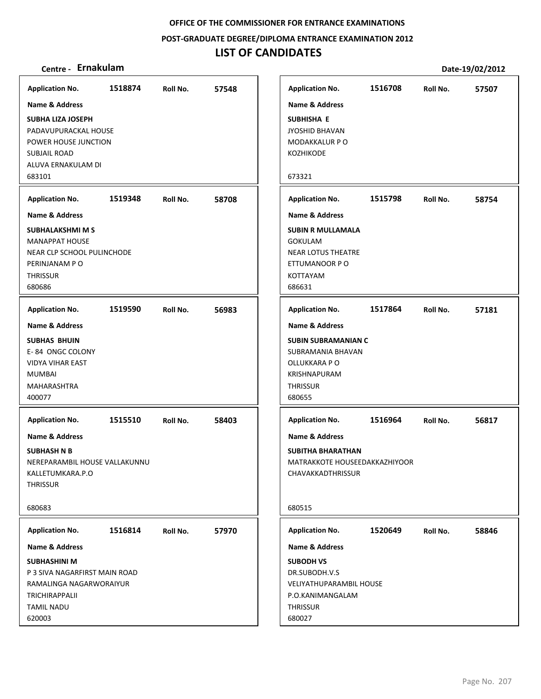**POST‐GRADUATE DEGREE/DIPLOMA ENTRANCE EXAMINATION 2012**

## **LIST OF CANDIDATES**

| <b>Application No.</b>                              | 1518874 | Roll No. | 57548 |
|-----------------------------------------------------|---------|----------|-------|
| <b>Name &amp; Address</b>                           |         |          |       |
| <b>SUBHA LIZA JOSEPH</b>                            |         |          |       |
| PADAVUPURACKAL HOUSE<br>POWER HOUSE JUNCTION        |         |          |       |
| <b>SUBJAIL ROAD</b>                                 |         |          |       |
| ALUVA ERNAKULAM DI                                  |         |          |       |
| 683101                                              |         |          |       |
| <b>Application No.</b>                              | 1519348 | Roll No. | 58708 |
| <b>Name &amp; Address</b>                           |         |          |       |
| <b>SUBHALAKSHMI M S</b>                             |         |          |       |
| <b>MANAPPAT HOUSE</b><br>NEAR CLP SCHOOL PULINCHODE |         |          |       |
| PERINJANAM PO                                       |         |          |       |
| <b>THRISSUR</b>                                     |         |          |       |
| 680686                                              |         |          |       |
| <b>Application No.</b>                              | 1519590 | Roll No. | 56983 |
| <b>Name &amp; Address</b>                           |         |          |       |
| <b>SUBHAS BHUIN</b>                                 |         |          |       |
| E-84 ONGC COLONY                                    |         |          |       |
| <b>VIDYA VIHAR EAST</b>                             |         |          |       |
| <b>MUMBAI</b>                                       |         |          |       |
| MAHARASHTRA                                         |         |          |       |
| 400077                                              |         |          |       |
| <b>Application No.</b>                              | 1515510 | Roll No. | 58403 |
| <b>Name &amp; Address</b>                           |         |          |       |
| <b>SUBHASH N B</b>                                  |         |          |       |
| NEREPARAMBIL HOUSE VALLAKUNNU                       |         |          |       |
| KALLETUMKARA.P.O                                    |         |          |       |
| <b>THRISSUR</b>                                     |         |          |       |
| 680683                                              |         |          |       |
| <b>Application No.</b>                              | 1516814 | Roll No. | 57970 |
| <b>Name &amp; Address</b>                           |         |          |       |
| <b>SUBHASHINI M</b>                                 |         |          |       |
| P 3 SIVA NAGARFIRST MAIN ROAD                       |         |          |       |
| RAMALINGA NAGARWORAIYUR                             |         |          |       |
| <b>TRICHIRAPPALII</b>                               |         |          |       |
| <b>TAMIL NADU</b>                                   |         |          |       |
| 620003                                              |         |          |       |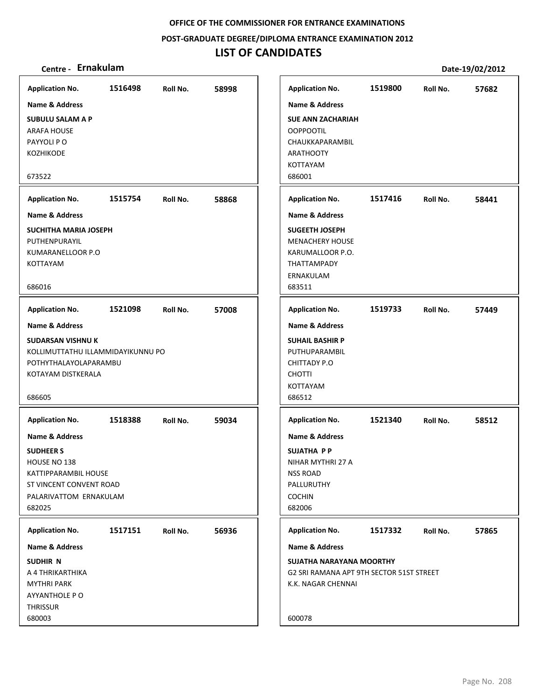### **POST‐GRADUATE DEGREE/DIPLOMA ENTRANCE EXAMINATION 2012**

## **LIST OF CANDIDATES**

| <b>Application No.</b>            | 1516498 | Roll No. | 58998 | <b>Application No.</b>                   | 1519800 | Roll No. | 57682 |
|-----------------------------------|---------|----------|-------|------------------------------------------|---------|----------|-------|
| Name & Address                    |         |          |       | <b>Name &amp; Address</b>                |         |          |       |
| <b>SUBULU SALAM A P</b>           |         |          |       | <b>SUE ANN ZACHARIAH</b>                 |         |          |       |
| <b>ARAFA HOUSE</b>                |         |          |       | <b>OOPPOOTIL</b>                         |         |          |       |
| PAYYOLI PO                        |         |          |       | CHAUKKAPARAMBIL                          |         |          |       |
| KOZHIKODE                         |         |          |       | <b>ARATHOOTY</b>                         |         |          |       |
|                                   |         |          |       | KOTTAYAM                                 |         |          |       |
| 673522                            |         |          |       | 686001                                   |         |          |       |
| <b>Application No.</b>            | 1515754 | Roll No. | 58868 | <b>Application No.</b>                   | 1517416 | Roll No. | 58441 |
| Name & Address                    |         |          |       | <b>Name &amp; Address</b>                |         |          |       |
| SUCHITHA MARIA JOSEPH             |         |          |       | <b>SUGEETH JOSEPH</b>                    |         |          |       |
| PUTHENPURAYIL                     |         |          |       | <b>MENACHERY HOUSE</b>                   |         |          |       |
| KUMARANELLOOR P.O.                |         |          |       | KARUMALLOOR P.O.                         |         |          |       |
| <b>KOTTAYAM</b>                   |         |          |       | THATTAMPADY                              |         |          |       |
|                                   |         |          |       | ERNAKULAM                                |         |          |       |
| 686016                            |         |          |       | 683511                                   |         |          |       |
| <b>Application No.</b>            | 1521098 | Roll No. | 57008 | <b>Application No.</b>                   | 1519733 | Roll No. | 57449 |
| Name & Address                    |         |          |       | <b>Name &amp; Address</b>                |         |          |       |
| <b>SUDARSAN VISHNU K</b>          |         |          |       | <b>SUHAIL BASHIR P</b>                   |         |          |       |
| KOLLIMUTTATHU ILLAMMIDAYIKUNNU PO |         |          |       | PUTHUPARAMBIL                            |         |          |       |
| POTHYTHALAYOLAPARAMBU             |         |          |       | <b>CHITTADY P.O</b>                      |         |          |       |
| KOTAYAM DISTKERALA                |         |          |       | <b>CHOTTI</b>                            |         |          |       |
|                                   |         |          |       | KOTTAYAM                                 |         |          |       |
| 686605                            |         |          |       | 686512                                   |         |          |       |
| <b>Application No.</b>            | 1518388 | Roll No. | 59034 | <b>Application No.</b>                   | 1521340 | Roll No. | 58512 |
| Name & Address                    |         |          |       | <b>Name &amp; Address</b>                |         |          |       |
| <b>SUDHEER S</b>                  |         |          |       | <b>SUJATHA PP</b>                        |         |          |       |
| HOUSE NO 138                      |         |          |       | NIHAR MYTHRI 27 A                        |         |          |       |
| KATTIPPARAMBIL HOUSE              |         |          |       | <b>NSS ROAD</b>                          |         |          |       |
| ST VINCENT CONVENT ROAD           |         |          |       | PALLURUTHY                               |         |          |       |
| PALARIVATTOM ERNAKULAM            |         |          |       | <b>COCHIN</b>                            |         |          |       |
| 682025                            |         |          |       | 682006                                   |         |          |       |
|                                   |         |          |       |                                          |         |          |       |
| <b>Application No.</b>            | 1517151 | Roll No. | 56936 | <b>Application No.</b>                   | 1517332 | Roll No. | 57865 |
| <b>Name &amp; Address</b>         |         |          |       | <b>Name &amp; Address</b>                |         |          |       |
| <b>SUDHIR N</b>                   |         |          |       | SUJATHA NARAYANA MOORTHY                 |         |          |       |
| A 4 THRIKARTHIKA                  |         |          |       | G2 SRI RAMANA APT 9TH SECTOR 51ST STREET |         |          |       |
| <b>MYTHRI PARK</b>                |         |          |       | K.K. NAGAR CHENNAI                       |         |          |       |
| AYYANTHOLE PO                     |         |          |       |                                          |         |          |       |
| <b>THRISSUR</b>                   |         |          |       |                                          |         |          |       |
| 680003                            |         |          |       | 600078                                   |         |          |       |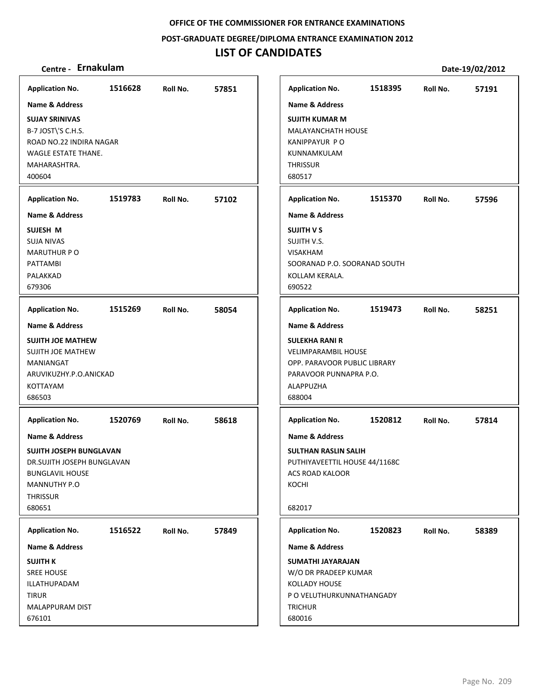**POST‐GRADUATE DEGREE/DIPLOMA ENTRANCE EXAMINATION 2012**

## **LIST OF CANDIDATES**

| <b>Application No.</b>                                                                                                                                    | 1516628 | Roll No. | 57851 |
|-----------------------------------------------------------------------------------------------------------------------------------------------------------|---------|----------|-------|
| Name & Address                                                                                                                                            |         |          |       |
| <b>SUJAY SRINIVAS</b><br>B-7 JOST\'S C.H.S.<br>ROAD NO.22 INDIRA NAGAR<br>WAGLE ESTATE THANE.<br>MAHARASHTRA.<br>400604                                   |         |          |       |
| <b>Application No.</b>                                                                                                                                    | 1519783 | Roll No. | 57102 |
| <b>Name &amp; Address</b>                                                                                                                                 |         |          |       |
| SUJESH M<br><b>SUJA NIVAS</b><br><b>MARUTHUR P O</b><br>PATTAMBI<br>PALAKKAD<br>679306                                                                    |         |          |       |
| <b>Application No.</b>                                                                                                                                    | 1515269 | Roll No. | 58054 |
| Name & Address                                                                                                                                            |         |          |       |
| <b>SUJITH JOE MATHEW</b><br><b>SUJITH JOE MATHEW</b><br>MANIANGAT<br>ARUVIKUZHY.P.O.ANICKAD<br>KOTTAYAM<br>686503                                         |         |          |       |
| <b>Application No.</b>                                                                                                                                    | 1520769 | Roll No. | 58618 |
| <b>Name &amp; Address</b><br>SUJITH JOSEPH BUNGLAVAN<br>DR.SUJITH JOSEPH BUNGLAVAN<br><b>BUNGLAVIL HOUSE</b><br>MANNUTHY P.O<br><b>THRISSUR</b><br>680651 |         |          |       |
| <b>Application No.</b>                                                                                                                                    | 1516522 | Roll No. | 57849 |
| Name & Address                                                                                                                                            |         |          |       |
| <b>SUJITH K</b><br><b>SREE HOUSE</b><br>ILLATHUPADAM<br><b>TIRUR</b><br>MALAPPURAM DIST<br>676101                                                         |         |          |       |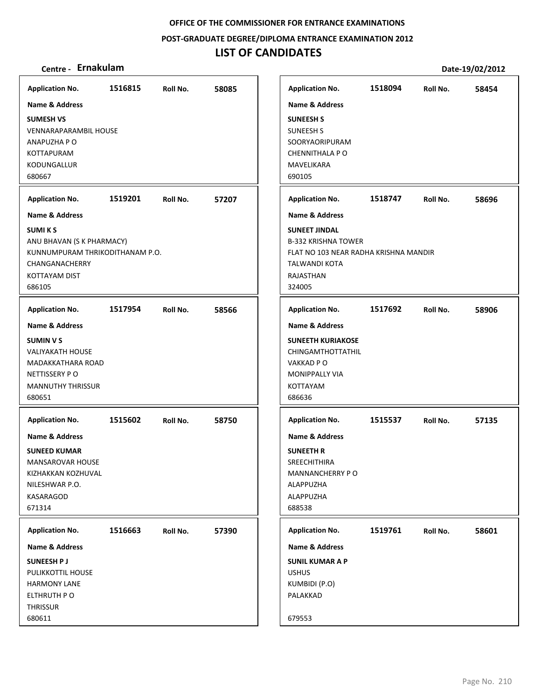**POST‐GRADUATE DEGREE/DIPLOMA ENTRANCE EXAMINATION 2012**

## **LIST OF CANDIDATES**

| <b>Application No.</b>                                                                                                                                               | 1516815 | Roll No. | 58085 |
|----------------------------------------------------------------------------------------------------------------------------------------------------------------------|---------|----------|-------|
| Name & Address<br><b>SUMESH VS</b><br><b>VENNARAPARAMBIL HOUSE</b><br>ANAPUZHA P O<br><b>KOTTAPURAM</b><br>KODUNGALLUR<br>680667                                     |         |          |       |
| <b>Application No.</b>                                                                                                                                               | 1519201 | Roll No. | 57207 |
| <b>Name &amp; Address</b><br><b>SUMIKS</b><br>ANU BHAVAN (S K PHARMACY)<br>KUNNUMPURAM THRIKODITHANAM P.O.<br>CHANGANACHERRY<br><b>KOTTAYAM DIST</b><br>686105       |         |          |       |
| <b>Application No.</b>                                                                                                                                               | 1517954 | Roll No. | 58566 |
| <b>Name &amp; Address</b><br><b>SUMIN V S</b><br><b>VALIYAKATH HOUSE</b><br>MADAKKATHARA ROAD<br>NETTISSERY PO<br><b>MANNUTHY THRISSUR</b><br>680651                 |         |          |       |
| <b>Application No.</b><br><b>Name &amp; Address</b><br><b>SUNEED KUMAR</b><br><b>MANSAROVAR HOUSE</b><br>KIZHAKKAN KOZHUVAL<br>NILESHWAR P.O.<br>KASARAGOD<br>671314 | 1515602 | Roll No. | 58750 |
| <b>Application No.</b>                                                                                                                                               | 1516663 | Roll No. | 57390 |
| Name & Address<br><b>SUNEESH PJ</b><br>PULIKKOTTIL HOUSE<br><b>HARMONY LANE</b><br>ELTHRUTH PO<br>THRISSUR<br>680611                                                 |         |          |       |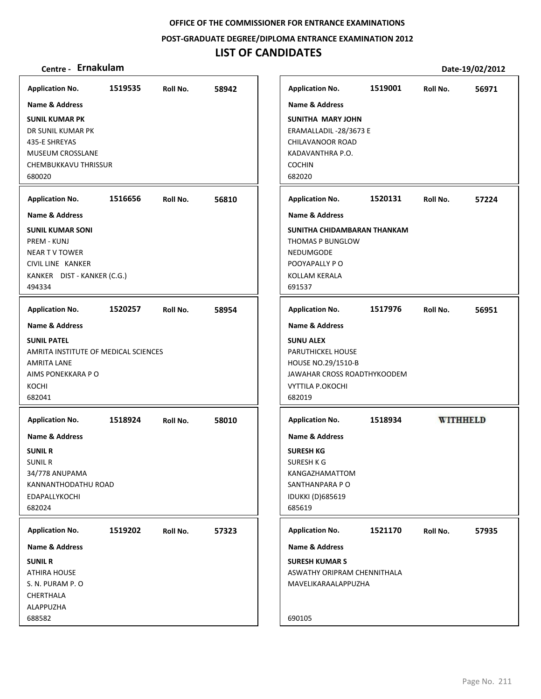**POST‐GRADUATE DEGREE/DIPLOMA ENTRANCE EXAMINATION 2012**

## **LIST OF CANDIDATES**

| <b>Application No.</b>                                                                                                                                                                                                                                          | 1519535 | Roll No. | 58942 | <b>Application No.</b>                                                                                                                                                                                                                                                           | 1519001 | Roll No.        | 56971 |
|-----------------------------------------------------------------------------------------------------------------------------------------------------------------------------------------------------------------------------------------------------------------|---------|----------|-------|----------------------------------------------------------------------------------------------------------------------------------------------------------------------------------------------------------------------------------------------------------------------------------|---------|-----------------|-------|
| Name & Address<br><b>SUNIL KUMAR PK</b><br>DR SUNIL KUMAR PK<br>435-E SHREYAS<br><b>MUSEUM CROSSLANE</b><br>CHEMBUKKAVU THRISSUR<br>680020<br><b>Application No.</b><br>Name & Address<br><b>SUNIL KUMAR SONI</b><br><b>PREM - KUNJ</b><br><b>NEAR TV TOWER</b> | 1516656 | Roll No. | 56810 | <b>Name &amp; Address</b><br><b>SUNITHA MARY JOHN</b><br>ERAMALLADIL -28/3673 E<br>CHILAVANOOR ROAD<br>KADAVANTHRA P.O.<br><b>COCHIN</b><br>682020<br><b>Application No.</b><br><b>Name &amp; Address</b><br>SUNITHA CHIDAMBARAN THANKAM<br>THOMAS P BUNGLOW<br><b>NEDUMGODE</b> | 1520131 | Roll No.        | 57224 |
| CIVIL LINE KANKER<br>KANKER DIST - KANKER (C.G.)<br>494334                                                                                                                                                                                                      |         |          |       | POOYAPALLY PO<br>KOLLAM KERALA<br>691537                                                                                                                                                                                                                                         |         |                 |       |
| <b>Application No.</b>                                                                                                                                                                                                                                          | 1520257 | Roll No. | 58954 | <b>Application No.</b>                                                                                                                                                                                                                                                           | 1517976 | Roll No.        | 56951 |
| <b>Name &amp; Address</b><br><b>SUNIL PATEL</b><br>AMRITA INSTITUTE OF MEDICAL SCIENCES<br><b>AMRITA LANE</b><br>AIMS PONEKKARA P O<br>KOCHI<br>682041                                                                                                          |         |          |       | <b>Name &amp; Address</b><br><b>SUNU ALEX</b><br>PARUTHICKEL HOUSE<br>HOUSE NO.29/1510-B<br>JAWAHAR CROSS ROADTHYKOODEM<br><b>VYTTILA P.OKOCHI</b><br>682019                                                                                                                     |         |                 |       |
| <b>Application No.</b>                                                                                                                                                                                                                                          | 1518924 | Roll No. | 58010 | <b>Application No.</b>                                                                                                                                                                                                                                                           | 1518934 | <b>WITHHELD</b> |       |
| Name & Address<br><b>SUNIL R</b><br><b>SUNIL R</b><br>34/778 ANUPAMA<br>KANNANTHODATHU ROAD<br>EDAPALLYKOCHI<br>682024                                                                                                                                          |         |          |       | <b>Name &amp; Address</b><br><b>SURESH KG</b><br>SURESH K G<br>KANGAZHAMATTOM<br>SANTHANPARA P O<br><b>IDUKKI (D)685619</b><br>685619                                                                                                                                            |         |                 |       |
| <b>Application No.</b>                                                                                                                                                                                                                                          | 1519202 | Roll No. | 57323 | <b>Application No.</b>                                                                                                                                                                                                                                                           | 1521170 | Roll No.        | 57935 |
| <b>Name &amp; Address</b><br><b>SUNIL R</b><br><b>ATHIRA HOUSE</b><br>S. N. PURAM P. O<br>CHERTHALA<br>ALAPPUZHA<br>688582                                                                                                                                      |         |          |       | Name & Address<br><b>SURESH KUMAR S</b><br>ASWATHY ORIPRAM CHENNITHALA<br>MAVELIKARAALAPPUZHA<br>690105                                                                                                                                                                          |         |                 |       |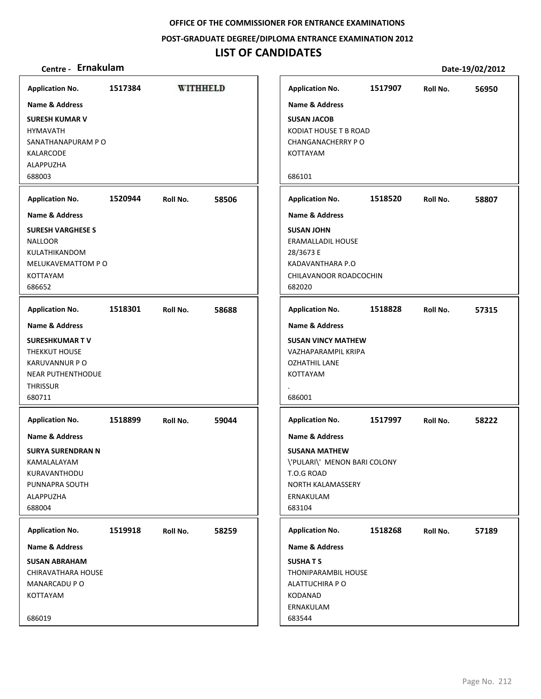### **POST‐GRADUATE DEGREE/DIPLOMA ENTRANCE EXAMINATION 2012**

## **LIST OF CANDIDATES**

| <b>Application No.</b>                                                                                                               | 1517384 | <b>WITHHELD</b> |       | <b>Application No.</b>                                                                                                           | 1517907 | Roll No. | 56950 |
|--------------------------------------------------------------------------------------------------------------------------------------|---------|-----------------|-------|----------------------------------------------------------------------------------------------------------------------------------|---------|----------|-------|
| Name & Address                                                                                                                       |         |                 |       | <b>Name &amp; Address</b>                                                                                                        |         |          |       |
| <b>SURESH KUMAR V</b><br><b>HYMAVATH</b><br>SANATHANAPURAM PO<br>KALARCODE<br>ALAPPUZHA<br>688003                                    |         |                 |       | <b>SUSAN JACOB</b><br>KODIAT HOUSE T B ROAD<br><b>CHANGANACHERRY PO</b><br>KOTTAYAM<br>686101                                    |         |          |       |
| <b>Application No.</b>                                                                                                               | 1520944 | Roll No.        | 58506 | <b>Application No.</b>                                                                                                           | 1518520 | Roll No. | 58807 |
| <b>Name &amp; Address</b>                                                                                                            |         |                 |       | <b>Name &amp; Address</b>                                                                                                        |         |          |       |
| <b>SURESH VARGHESE S</b><br><b>NALLOOR</b><br>KULATHIKANDOM<br>MELUKAVEMATTOM PO<br>KOTTAYAM<br>686652                               |         |                 |       | <b>SUSAN JOHN</b><br>ERAMALLADIL HOUSE<br>28/3673 E<br>KADAVANTHARA P.O<br>CHILAVANOOR ROADCOCHIN<br>682020                      |         |          |       |
| <b>Application No.</b>                                                                                                               | 1518301 | Roll No.        | 58688 | <b>Application No.</b>                                                                                                           | 1518828 | Roll No. | 57315 |
| <b>Name &amp; Address</b>                                                                                                            |         |                 |       | Name & Address                                                                                                                   |         |          |       |
| <b>SURESHKUMAR TV</b><br>THEKKUT HOUSE<br>KARUVANNUR P O<br><b>NEAR PUTHENTHODUE</b><br><b>THRISSUR</b><br>680711                    |         |                 |       | <b>SUSAN VINCY MATHEW</b><br>VAZHAPARAMPIL KRIPA<br><b>OZHATHIL LANE</b><br>KOTTAYAM<br>686001                                   |         |          |       |
| <b>Application No.</b>                                                                                                               | 1518899 | Roll No.        | 59044 | <b>Application No.</b>                                                                                                           | 1517997 | Roll No. | 58222 |
| <b>Name &amp; Address</b><br><b>SURYA SURENDRAN N</b><br>KAMALALAYAM<br>KURAVANTHODU<br>PUNNAPRA SOUTH<br><b>ALAPPUZHA</b><br>688004 |         |                 |       | Name & Address<br><b>SUSANA MATHEW</b><br>\'PULARI\' MENON BARI COLONY<br>T.O.G ROAD<br>NORTH KALAMASSERY<br>ERNAKULAM<br>683104 |         |          |       |
| <b>Application No.</b>                                                                                                               | 1519918 | Roll No.        | 58259 | <b>Application No.</b>                                                                                                           | 1518268 | Roll No. | 57189 |
| Name & Address                                                                                                                       |         |                 |       | Name & Address                                                                                                                   |         |          |       |
| <b>SUSAN ABRAHAM</b><br>CHIRAVATHARA HOUSE<br>MANARCADU P O<br>KOTTAYAM                                                              |         |                 |       | <b>SUSHATS</b><br><b>THONIPARAMBIL HOUSE</b><br>ALATTUCHIRA P O<br>KODANAD<br>ERNAKULAM                                          |         |          |       |
| 686019                                                                                                                               |         |                 |       | 683544                                                                                                                           |         |          |       |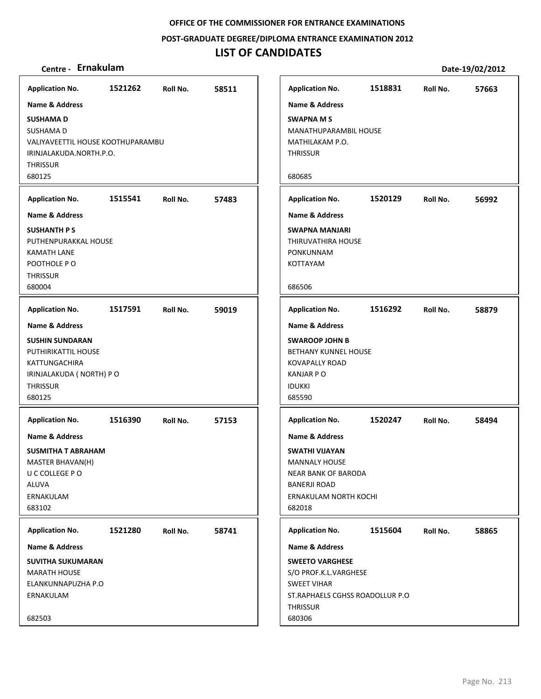**POST‐GRADUATE DEGREE/DIPLOMA ENTRANCE EXAMINATION 2012**

## **LIST OF CANDIDATES**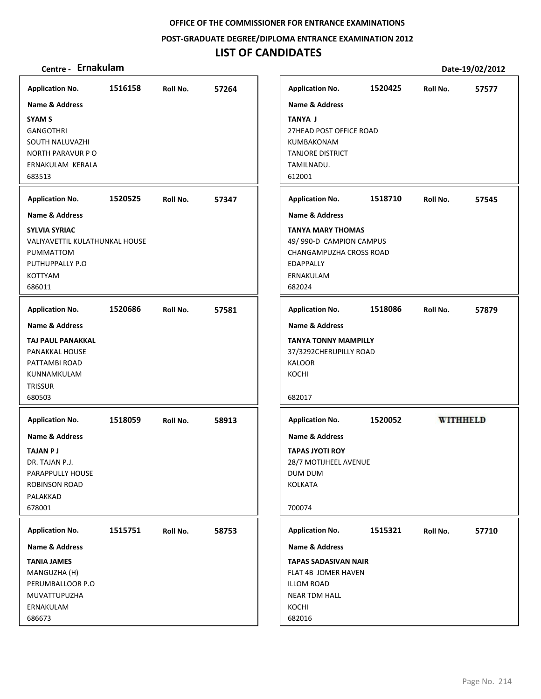**POST‐GRADUATE DEGREE/DIPLOMA ENTRANCE EXAMINATION 2012**

## **LIST OF CANDIDATES**

| <b>Application No.</b>                                                                                                                                             | 1516158 | Roll No. | 57264 |
|--------------------------------------------------------------------------------------------------------------------------------------------------------------------|---------|----------|-------|
| <b>Name &amp; Address</b><br><b>SYAM S</b><br><b>GANGOTHRI</b><br>SOUTH NALUVAZHI<br>NORTH PARAVUR PO<br>ERNAKULAM KERALA<br>683513                                |         |          |       |
| <b>Application No.</b><br><b>Name &amp; Address</b><br><b>SYLVIA SYRIAC</b><br>VALIYAVETTIL KULATHUNKAL HOUSE<br>PUMMATTOM<br>PUTHUPPALLY P.O<br>KOTTYAM<br>686011 | 1520525 | Roll No. | 57347 |
| <b>Application No.</b><br>Name & Address<br>TAJ PAUL PANAKKAL<br>PANAKKAL HOUSE<br>PATTAMBI ROAD<br>KUNNAMKULAM<br><b>TRISSUR</b><br>680503                        | 1520686 | Roll No. | 57581 |
| <b>Application No.</b><br><b>Name &amp; Address</b><br>TAJAN P J<br>DR. TAJAN P.J.<br>PARAPPULLY HOUSE<br><b>ROBINSON ROAD</b><br>PALAKKAD<br>678001               | 1518059 | Roll No. | 58913 |
| <b>Application No.</b><br>Name & Address<br><b>TANIA JAMES</b><br>MANGUZHA (H)<br>PERUMBALLOOR P.O<br>MUVATTUPUZHA<br>ERNAKULAM<br>686673                          | 1515751 | Roll No. | 58753 |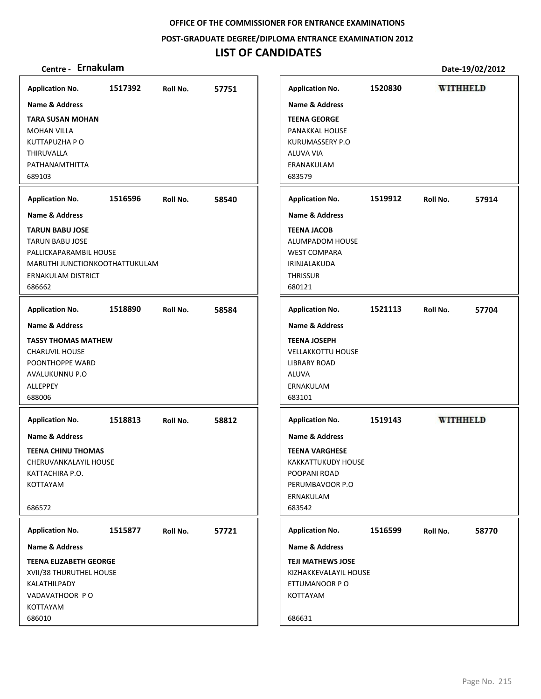**POST‐GRADUATE DEGREE/DIPLOMA ENTRANCE EXAMINATION 2012**

## **LIST OF CANDIDATES**

| 1517392<br><b>Application No.</b><br>57751<br>Roll No.<br><b>Name &amp; Address</b><br><b>TARA SUSAN MOHAN</b><br><b>MOHAN VILLA</b><br>KUTTAPUZHA P O<br>THIRUVALLA<br>PATHANAMTHITTA<br>689103<br>1516596<br>58540<br><b>Application No.</b><br>Roll No.<br><b>Name &amp; Address</b><br><b>TARUN BABU JOSE</b><br><b>TARUN BABU JOSE</b><br>PALLICKAPARAMBIL HOUSE<br>MARUTHI JUNCTIONKOOTHATTUKULAM<br><b>ERNAKULAM DISTRICT</b><br>686662<br>1518890<br><b>Application No.</b><br>58584<br>Roll No.<br><b>Name &amp; Address</b><br><b>TASSY THOMAS MATHEW</b><br><b>CHARUVIL HOUSE</b><br>POONTHOPPE WARD<br>AVALUKUNNU P.O<br><b>ALLEPPEY</b><br>688006<br>1518813<br><b>Application No.</b><br>58812<br>Roll No.<br><b>Name &amp; Address</b><br>TEENA CHINU THOMAS<br>CHERUVANKALAYIL HOUSE<br>KATTACHIRA P.O.<br>KOTTAYAM<br>686572<br>1515877<br>Roll No.<br>57721<br><b>Application No.</b><br><b>Name &amp; Address</b><br><b>TEENA ELIZABETH GEORGE</b> |                                                                                                                                    |         |                 |       |
|-----------------------------------------------------------------------------------------------------------------------------------------------------------------------------------------------------------------------------------------------------------------------------------------------------------------------------------------------------------------------------------------------------------------------------------------------------------------------------------------------------------------------------------------------------------------------------------------------------------------------------------------------------------------------------------------------------------------------------------------------------------------------------------------------------------------------------------------------------------------------------------------------------------------------------------------------------------------------|------------------------------------------------------------------------------------------------------------------------------------|---------|-----------------|-------|
|                                                                                                                                                                                                                                                                                                                                                                                                                                                                                                                                                                                                                                                                                                                                                                                                                                                                                                                                                                       | <b>Application No.</b>                                                                                                             | 1520830 | <b>WITHHELD</b> |       |
|                                                                                                                                                                                                                                                                                                                                                                                                                                                                                                                                                                                                                                                                                                                                                                                                                                                                                                                                                                       | <b>Name &amp; Address</b>                                                                                                          |         |                 |       |
|                                                                                                                                                                                                                                                                                                                                                                                                                                                                                                                                                                                                                                                                                                                                                                                                                                                                                                                                                                       | <b>TEENA GEORGE</b><br><b>PANAKKAL HOUSE</b><br>KURUMASSERY P.O<br>ALUVA VIA<br>ERANAKULAM<br>683579                               |         |                 |       |
|                                                                                                                                                                                                                                                                                                                                                                                                                                                                                                                                                                                                                                                                                                                                                                                                                                                                                                                                                                       | <b>Application No.</b>                                                                                                             | 1519912 | Roll No.        | 57914 |
|                                                                                                                                                                                                                                                                                                                                                                                                                                                                                                                                                                                                                                                                                                                                                                                                                                                                                                                                                                       | <b>Name &amp; Address</b>                                                                                                          |         |                 |       |
|                                                                                                                                                                                                                                                                                                                                                                                                                                                                                                                                                                                                                                                                                                                                                                                                                                                                                                                                                                       | <b>TEENA JACOB</b><br>ALUMPADOM HOUSE<br><b>WEST COMPARA</b><br>IRINJALAKUDA<br><b>THRISSUR</b><br>680121                          |         |                 |       |
|                                                                                                                                                                                                                                                                                                                                                                                                                                                                                                                                                                                                                                                                                                                                                                                                                                                                                                                                                                       | <b>Application No.</b>                                                                                                             | 1521113 | Roll No.        | 57704 |
|                                                                                                                                                                                                                                                                                                                                                                                                                                                                                                                                                                                                                                                                                                                                                                                                                                                                                                                                                                       | <b>Name &amp; Address</b>                                                                                                          |         |                 |       |
|                                                                                                                                                                                                                                                                                                                                                                                                                                                                                                                                                                                                                                                                                                                                                                                                                                                                                                                                                                       | <b>TEENA JOSEPH</b><br><b>VELLAKKOTTU HOUSE</b><br><b>LIBRARY ROAD</b><br><b>ALUVA</b><br>ERNAKULAM<br>683101                      |         |                 |       |
|                                                                                                                                                                                                                                                                                                                                                                                                                                                                                                                                                                                                                                                                                                                                                                                                                                                                                                                                                                       | <b>Application No.</b>                                                                                                             | 1519143 | <b>WITHHELD</b> |       |
|                                                                                                                                                                                                                                                                                                                                                                                                                                                                                                                                                                                                                                                                                                                                                                                                                                                                                                                                                                       | <b>Name &amp; Address</b><br><b>TEENA VARGHESE</b><br>KAKKATTUKUDY HOUSE<br>POOPANI ROAD<br>PERUMBAVOOR P.O<br>ERNAKULAM<br>683542 |         |                 |       |
|                                                                                                                                                                                                                                                                                                                                                                                                                                                                                                                                                                                                                                                                                                                                                                                                                                                                                                                                                                       | <b>Application No.</b>                                                                                                             | 1516599 | Roll No.        | 58770 |
|                                                                                                                                                                                                                                                                                                                                                                                                                                                                                                                                                                                                                                                                                                                                                                                                                                                                                                                                                                       | <b>Name &amp; Address</b>                                                                                                          |         |                 |       |
| XVII/38 THURUTHEL HOUSE<br>KALATHILPADY<br>VADAVATHOOR PO<br>KOTTAYAM<br>686010                                                                                                                                                                                                                                                                                                                                                                                                                                                                                                                                                                                                                                                                                                                                                                                                                                                                                       | <b>TEJI MATHEWS JOSE</b><br>KIZHAKKEVALAYIL HOUSE<br>ETTUMANOOR PO<br>KOTTAYAM<br>686631                                           |         |                 |       |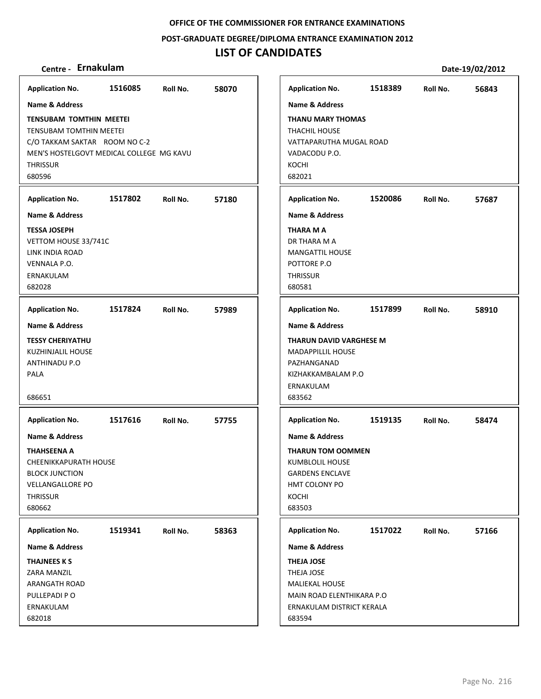**POST‐GRADUATE DEGREE/DIPLOMA ENTRANCE EXAMINATION 2012**

## **LIST OF CANDIDATES**

| <b>Application No.</b>                                                                                                                                                     | 1516085 | Roll No. | 58070 |
|----------------------------------------------------------------------------------------------------------------------------------------------------------------------------|---------|----------|-------|
| <b>Name &amp; Address</b>                                                                                                                                                  |         |          |       |
| <b>TENSUBAM TOMTHIN MEETEI</b><br><b>TENSUBAM TOMTHIN MEETEI</b><br>C/O TAKKAM SAKTAR ROOM NO C-2<br>MEN'S HOSTELGOVT MEDICAL COLLEGE MG KAVU<br><b>THRISSUR</b><br>680596 |         |          |       |
| <b>Application No.</b>                                                                                                                                                     | 1517802 | Roll No. | 57180 |
| <b>Name &amp; Address</b><br><b>TESSA JOSEPH</b><br>VETTOM HOUSE 33/741C<br>LINK INDIA ROAD<br>VENNALA P.O.<br>ERNAKULAM<br>682028                                         |         |          |       |
| <b>Application No.</b>                                                                                                                                                     | 1517824 | Roll No. | 57989 |
| <b>Name &amp; Address</b><br><b>TESSY CHERIYATHU</b><br>KUZHINJALIL HOUSE<br>ANTHINADU P.O<br>PALA<br>686651                                                               |         |          |       |
| <b>Application No.</b>                                                                                                                                                     | 1517616 | Roll No. | 57755 |
| <b>Name &amp; Address</b><br>THAHSEENA A<br><b>CHEENIKKAPURATH HOUSE</b><br><b>BLOCK JUNCTION</b><br><b>VELLANGALLORE PO</b><br><b>THRISSUR</b><br>680662                  |         |          |       |
| <b>Application No.</b>                                                                                                                                                     | 1519341 | Roll No. | 58363 |
| <b>Name &amp; Address</b>                                                                                                                                                  |         |          |       |
| <b>THAJNEES K S</b><br>ZARA MANZIL<br><b>ARANGATH ROAD</b><br>PULLEPADI PO<br>ERNAKULAM<br>682018                                                                          |         |          |       |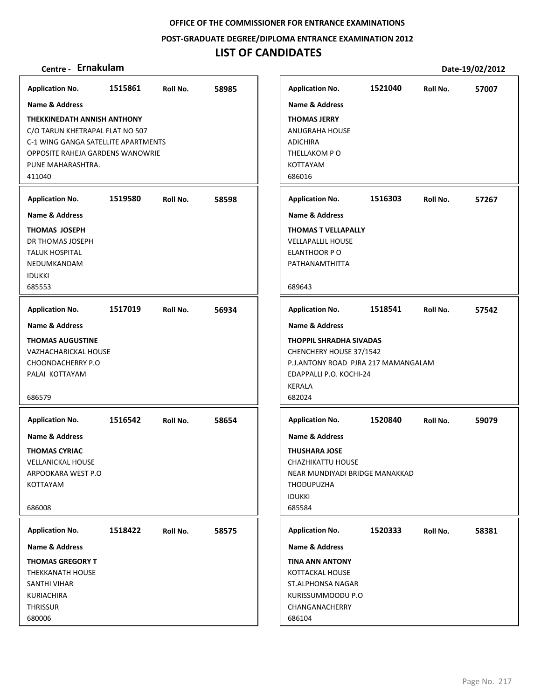**POST‐GRADUATE DEGREE/DIPLOMA ENTRANCE EXAMINATION 2012**

## **LIST OF CANDIDATES**

| <b>Application No.</b>                                                                                                                                                          | 1515861 | Roll No. | 58985 | <b>Application No.</b>                                                                                                                                   | 1521040 | Roll No. | 57007 |
|---------------------------------------------------------------------------------------------------------------------------------------------------------------------------------|---------|----------|-------|----------------------------------------------------------------------------------------------------------------------------------------------------------|---------|----------|-------|
| <b>Name &amp; Address</b>                                                                                                                                                       |         |          |       | <b>Name &amp; Address</b>                                                                                                                                |         |          |       |
| <b>THEKKINEDATH ANNISH ANTHONY</b><br>C/O TARUN KHETRAPAL FLAT NO 507<br>C-1 WING GANGA SATELLITE APARTMENTS<br>OPPOSITE RAHEJA GARDENS WANOWRIE<br>PUNE MAHARASHTRA.<br>411040 |         |          |       | <b>THOMAS JERRY</b><br><b>ANUGRAHA HOUSE</b><br><b>ADICHIRA</b><br>THELLAKOM PO<br>KOTTAYAM<br>686016                                                    |         |          |       |
| <b>Application No.</b>                                                                                                                                                          | 1519580 | Roll No. | 58598 | <b>Application No.</b>                                                                                                                                   | 1516303 | Roll No. | 57267 |
| <b>Name &amp; Address</b>                                                                                                                                                       |         |          |       | <b>Name &amp; Address</b>                                                                                                                                |         |          |       |
| <b>THOMAS JOSEPH</b><br>DR THOMAS JOSEPH<br><b>TALUK HOSPITAL</b><br>NEDUMKANDAM<br><b>IDUKKI</b><br>685553                                                                     |         |          |       | <b>THOMAS T VELLAPALLY</b><br><b>VELLAPALLIL HOUSE</b><br>ELANTHOOR PO<br>PATHANAMTHITTA<br>689643                                                       |         |          |       |
| <b>Application No.</b>                                                                                                                                                          | 1517019 | Roll No. | 56934 | <b>Application No.</b>                                                                                                                                   | 1518541 | Roll No. | 57542 |
| Name & Address                                                                                                                                                                  |         |          |       | <b>Name &amp; Address</b>                                                                                                                                |         |          |       |
| <b>THOMAS AUGUSTINE</b><br><b>VAZHACHARICKAL HOUSE</b><br>CHOONDACHERRY P.O<br>PALAI KOTTAYAM<br>686579                                                                         |         |          |       | <b>THOPPIL SHRADHA SIVADAS</b><br>CHENCHERY HOUSE 37/1542<br>P.J.ANTONY ROAD PJRA 217 MAMANGALAM<br>EDAPPALLI P.O. KOCHI-24<br><b>KERALA</b><br>682024   |         |          |       |
| <b>Application No.</b>                                                                                                                                                          | 1516542 | Roll No. | 58654 | <b>Application No.</b>                                                                                                                                   | 1520840 | Roll No. | 59079 |
| <b>Name &amp; Address</b><br><b>THOMAS CYRIAC</b><br><b>VELLANICKAL HOUSE</b><br>ARPOOKARA WEST P.O<br>KOTTAYAM<br>686008                                                       |         |          |       | <b>Name &amp; Address</b><br><b>THUSHARA JOSE</b><br>CHAZHIKATTU HOUSE<br>NEAR MUNDIYADI BRIDGE MANAKKAD<br><b>THODUPUZHA</b><br><b>IDUKKI</b><br>685584 |         |          |       |
| <b>Application No.</b>                                                                                                                                                          | 1518422 | Roll No. | 58575 | <b>Application No.</b>                                                                                                                                   | 1520333 | Roll No. | 58381 |
| Name & Address                                                                                                                                                                  |         |          |       | Name & Address                                                                                                                                           |         |          |       |
| <b>THOMAS GREGORY T</b><br>THEKKANATH HOUSE<br>SANTHI VIHAR<br><b>KURIACHIRA</b><br><b>THRISSUR</b><br>680006                                                                   |         |          |       | <b>TINA ANN ANTONY</b><br><b>KOTTACKAL HOUSE</b><br>ST.ALPHONSA NAGAR<br>KURISSUMMOODU P.O<br>CHANGANACHERRY<br>686104                                   |         |          |       |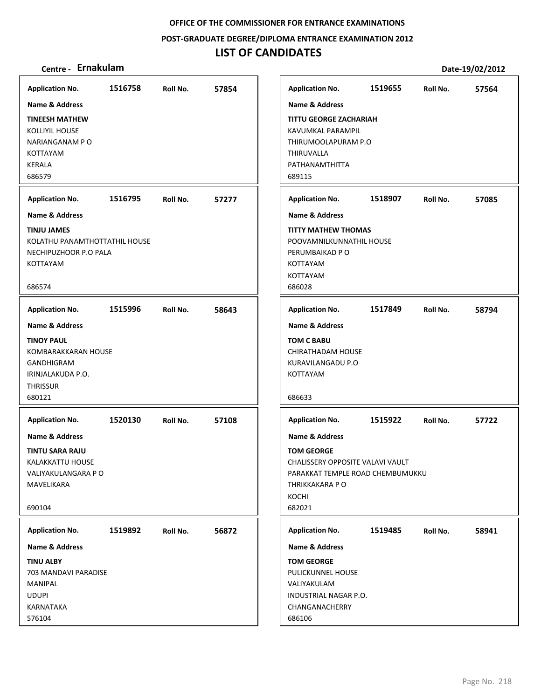**POST‐GRADUATE DEGREE/DIPLOMA ENTRANCE EXAMINATION 2012**

## **LIST OF CANDIDATES**

| <b>Application No.</b>                                                                                             | 1516758 | Roll No. | 57854 |
|--------------------------------------------------------------------------------------------------------------------|---------|----------|-------|
| <b>Name &amp; Address</b>                                                                                          |         |          |       |
| <b>TINEESH MATHEW</b><br><b>KOLLIYIL HOUSE</b><br>NARIANGANAM PO<br><b>KOTTAYAM</b><br><b>KERALA</b><br>686579     |         |          |       |
| <b>Application No.</b>                                                                                             | 1516795 | Roll No. | 57277 |
| Name & Address                                                                                                     |         |          |       |
| <b>TINJU JAMES</b><br>KOLATHU PANAMTHOTTATHIL HOUSE<br>NECHIPUZHOOR P.O PALA<br>KOTTAYAM<br>686574                 |         |          |       |
| <b>Application No.</b>                                                                                             | 1515996 | Roll No. | 58643 |
| <b>Name &amp; Address</b>                                                                                          |         |          |       |
| <b>TINOY PAUL</b><br>KOMBARAKKARAN HOUSE<br>GANDHIGRAM<br>IRINJALAKUDA P.O.<br><b>THRISSUR</b><br>680121           |         |          |       |
| <b>Application No.</b>                                                                                             | 1520130 | Roll No. | 57108 |
| Name & Address<br><b>TINTU SARA RAJU</b><br><b>KALAKKATTU HOUSE</b><br>VALIYAKULANGARA P O<br>MAVELIKARA<br>690104 |         |          |       |
|                                                                                                                    |         |          |       |
| <b>Application No.</b>                                                                                             | 1519892 | Roll No. | 56872 |
| Name & Address<br><b>TINU ALBY</b>                                                                                 |         |          |       |
| 703 MANDAVI PARADISE<br>MANIPAL<br><b>UDUPI</b><br>KARNATAKA<br>576104                                             |         |          |       |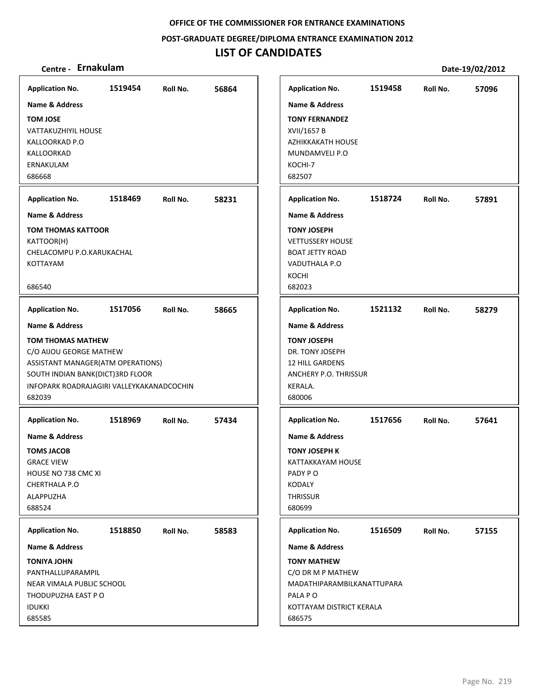**POST‐GRADUATE DEGREE/DIPLOMA ENTRANCE EXAMINATION 2012**

## **LIST OF CANDIDATES**

| <b>Application No.</b>                    | 1519454 | Roll No. | 56864 | <b>Application No.</b>       | 1519458 | Roll No. | 57096 |
|-------------------------------------------|---------|----------|-------|------------------------------|---------|----------|-------|
| <b>Name &amp; Address</b>                 |         |          |       | <b>Name &amp; Address</b>    |         |          |       |
| <b>TOM JOSE</b>                           |         |          |       | <b>TONY FERNANDEZ</b>        |         |          |       |
| <b>VATTAKUZHIYIL HOUSE</b>                |         |          |       | XVII/1657 B                  |         |          |       |
| KALLOORKAD P.O                            |         |          |       | <b>AZHIKKAKATH HOUSE</b>     |         |          |       |
| KALLOORKAD                                |         |          |       | MUNDAMVELI P.O               |         |          |       |
| ERNAKULAM                                 |         |          |       | KOCHI-7                      |         |          |       |
| 686668                                    |         |          |       | 682507                       |         |          |       |
| <b>Application No.</b>                    | 1518469 | Roll No. | 58231 | <b>Application No.</b>       | 1518724 | Roll No. | 57891 |
| Name & Address                            |         |          |       | <b>Name &amp; Address</b>    |         |          |       |
| TOM THOMAS KATTOOR                        |         |          |       | <b>TONY JOSEPH</b>           |         |          |       |
| KATTOOR(H)                                |         |          |       | <b>VETTUSSERY HOUSE</b>      |         |          |       |
| CHELACOMPU P.O.KARUKACHAL                 |         |          |       | <b>BOAT JETTY ROAD</b>       |         |          |       |
| KOTTAYAM                                  |         |          |       | VADUTHALA P.O                |         |          |       |
|                                           |         |          |       | KOCHI                        |         |          |       |
| 686540                                    |         |          |       | 682023                       |         |          |       |
| <b>Application No.</b>                    | 1517056 | Roll No. | 58665 | <b>Application No.</b>       | 1521132 | Roll No. | 58279 |
| <b>Name &amp; Address</b>                 |         |          |       | <b>Name &amp; Address</b>    |         |          |       |
| TOM THOMAS MATHEW                         |         |          |       | <b>TONY JOSEPH</b>           |         |          |       |
| C/O AIJOU GEORGE MATHEW                   |         |          |       | DR. TONY JOSEPH              |         |          |       |
| ASSISTANT MANAGER(ATM OPERATIONS)         |         |          |       | 12 HILL GARDENS              |         |          |       |
| SOUTH INDIAN BANK(DICT)3RD FLOOR          |         |          |       | ANCHERY P.O. THRISSUR        |         |          |       |
| INFOPARK ROADRAJAGIRI VALLEYKAKANADCOCHIN |         |          |       | KERALA.                      |         |          |       |
| 682039                                    |         |          |       | 680006                       |         |          |       |
| <b>Application No.</b>                    | 1518969 | Roll No. | 57434 | <b>Application No.</b>       | 1517656 | Roll No. | 57641 |
| <b>Name &amp; Address</b>                 |         |          |       | <b>Name &amp; Address</b>    |         |          |       |
|                                           |         |          |       |                              |         |          |       |
| <b>TOMS JACOB</b>                         |         |          |       | <b>TONY JOSEPH K</b>         |         |          |       |
| <b>GRACE VIEW</b><br>HOUSE NO 738 CMC XI  |         |          |       | KATTAKKAYAM HOUSE<br>PADY PO |         |          |       |
| CHERTHALA P.O                             |         |          |       | KODALY                       |         |          |       |
| ALAPPUZHA                                 |         |          |       | <b>THRISSUR</b>              |         |          |       |
| 688524                                    |         |          |       | 680699                       |         |          |       |
|                                           |         |          |       |                              |         |          |       |
| <b>Application No.</b>                    | 1518850 | Roll No. | 58583 | <b>Application No.</b>       | 1516509 | Roll No. | 57155 |
| <b>Name &amp; Address</b>                 |         |          |       | <b>Name &amp; Address</b>    |         |          |       |
| <b>TONIYA JOHN</b>                        |         |          |       | <b>TONY MATHEW</b>           |         |          |       |
| PANTHALLUPARAMPIL                         |         |          |       | C/O DR M P MATHEW            |         |          |       |
| NEAR VIMALA PUBLIC SCHOOL                 |         |          |       | MADATHIPARAMBILKANATTUPARA   |         |          |       |
| THODUPUZHA EAST P O                       |         |          |       | PALA PO                      |         |          |       |
| <b>IDUKKI</b>                             |         |          |       | KOTTAYAM DISTRICT KERALA     |         |          |       |
| 685585                                    |         |          |       | 686575                       |         |          |       |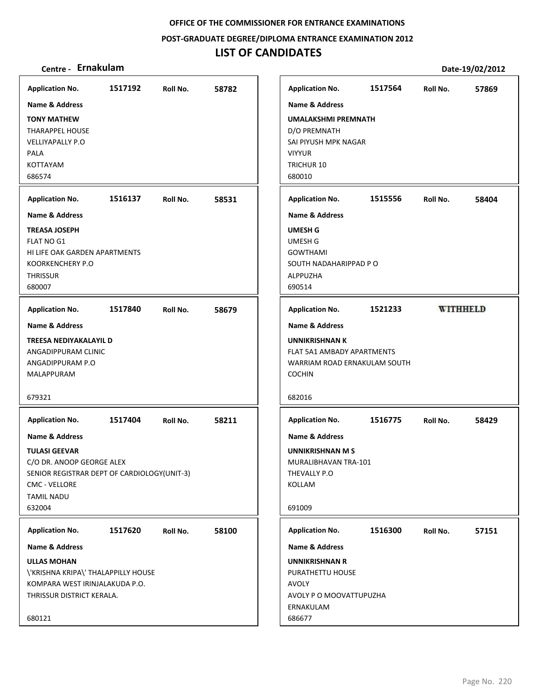**POST‐GRADUATE DEGREE/DIPLOMA ENTRANCE EXAMINATION 2012**

## **LIST OF CANDIDATES**

| 58782<br><b>Application No.</b><br>Roll No.                                                                                                                                     |
|---------------------------------------------------------------------------------------------------------------------------------------------------------------------------------|
|                                                                                                                                                                                 |
| 58531<br><b>Application No.</b><br>Roll No.                                                                                                                                     |
| <b>Name &amp; Address</b><br><b>UMESH G</b><br><b>UMESH G</b><br><b>GOWTHAMI</b><br>SOUTH NADAHARIPPAD PO<br>ALPPUZHA<br>690514                                                 |
| 58679<br><b>Application No.</b><br>Roll No.                                                                                                                                     |
| <b>Name &amp; Address</b><br><b>UNNIKRISHNAN K</b><br>FLAT 5A1 AMBADY APARTMENTS<br>WARRIAM ROAD ERNAKULAM SOUTH<br><b>COCHIN</b><br>682016                                     |
| 58211<br>Roll No.<br><b>Application No.</b>                                                                                                                                     |
| <b>Name &amp; Address</b><br><b>UNNIKRISHNAN M S</b><br>MURALIBHAVAN TRA-101<br>THEVALLY P.O<br>SENIOR REGISTRAR DEPT OF CARDIOLOGY(UNIT-3)<br>KOLLAM<br>691009                 |
| Roll No.<br>58100<br><b>Application No.</b>                                                                                                                                     |
| <b>Name &amp; Address</b><br><b>UNNIKRISHNAN R</b><br>\'KRISHNA KRIPA\' THALAPPILLY HOUSE<br>PURATHETTU HOUSE<br><b>AVOLY</b><br>AVOLY P O MOOVATTUPUZHA<br>ERNAKULAM<br>686677 |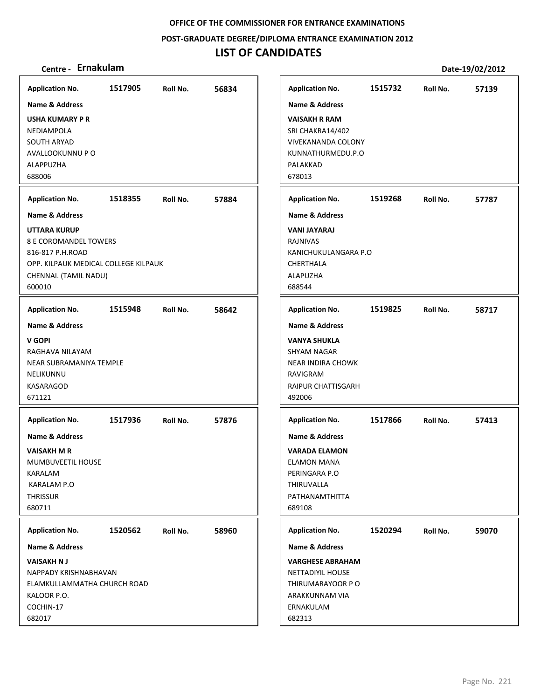**POST‐GRADUATE DEGREE/DIPLOMA ENTRANCE EXAMINATION 2012**

## **LIST OF CANDIDATES**

| <b>Application No.</b>                                                                                                                      | 1517905 | Roll No. | 56834 |
|---------------------------------------------------------------------------------------------------------------------------------------------|---------|----------|-------|
| Name & Address                                                                                                                              |         |          |       |
| <b>USHA KUMARY P R</b><br>NEDIAMPOLA<br>SOUTH ARYAD<br>AVALLOOKUNNU P O<br>ALAPPUZHA<br>688006                                              |         |          |       |
| <b>Application No.</b>                                                                                                                      | 1518355 | Roll No. | 57884 |
| <b>Name &amp; Address</b>                                                                                                                   |         |          |       |
| <b>UTTARA KURUP</b><br>8 E COROMANDEL TOWERS<br>816-817 P.H.ROAD<br>OPP. KILPAUK MEDICAL COLLEGE KILPAUK<br>CHENNAI. (TAMIL NADU)<br>600010 |         |          |       |
| <b>Application No.</b>                                                                                                                      | 1515948 | Roll No. | 58642 |
| <b>Name &amp; Address</b>                                                                                                                   |         |          |       |
| V GOPI<br>RAGHAVA NILAYAM<br>NEAR SUBRAMANIYA TEMPLE<br>NELIKUNNU<br>KASARAGOD<br>671121                                                    |         |          |       |
| <b>Application No.</b>                                                                                                                      | 1517936 | Roll No. | 57876 |
| <b>Name &amp; Address</b><br>VAISAKH M R<br>MUMBUVEETIL HOUSE<br>KARALAM<br>KARALAM P.O<br><b>THRISSUR</b><br>680711                        |         |          |       |
| <b>Application No.</b>                                                                                                                      | 1520562 | Roll No. | 58960 |
| <b>Name &amp; Address</b>                                                                                                                   |         |          |       |
| <b>VAISAKH N J</b><br>NAPPADY KRISHNABHAVAN<br>ELAMKULLAMMATHA CHURCH ROAD<br>KALOOR P.O.<br>COCHIN-17<br>682017                            |         |          |       |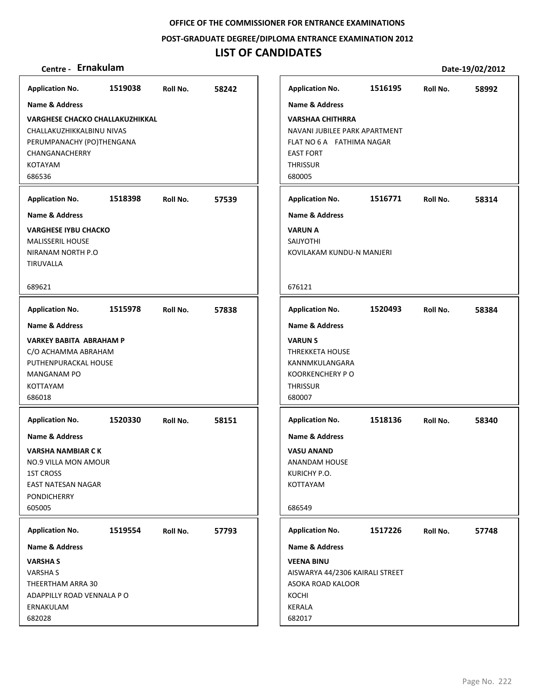**POST‐GRADUATE DEGREE/DIPLOMA ENTRANCE EXAMINATION 2012**

| <b>Application No.</b>                 | 1519038 | Roll No. | 58242 | Application        |
|----------------------------------------|---------|----------|-------|--------------------|
| <b>Name &amp; Address</b>              |         |          |       | Name & Ad          |
| <b>VARGHESE CHACKO CHALLAKUZHIKKAL</b> |         |          |       | <b>VARSHAA C</b>   |
| CHALLAKUZHIKKALBINU NIVAS              |         |          |       | <b>NAVANI JUE</b>  |
| PERUMPANACHY (PO)THENGANA              |         |          |       | <b>FLAT NO 6 A</b> |
| CHANGANACHERRY                         |         |          |       | <b>EAST FORT</b>   |
| <b>KOTAYAM</b>                         |         |          |       | <b>THRISSUR</b>    |
| 686536                                 |         |          |       | 680005             |
| <b>Application No.</b>                 | 1518398 | Roll No. | 57539 | Application        |
| <b>Name &amp; Address</b>              |         |          |       | Name & Ad          |
| <b>VARGHESE IYBU CHACKO</b>            |         |          |       | VARUN A            |
| <b>MALISSERIL HOUSE</b>                |         |          |       | SAIJYOTHI          |
| NIRANAM NORTH P.O                      |         |          |       | KOVILAKAN          |
| TIRUVALLA                              |         |          |       |                    |
|                                        |         |          |       |                    |
| 689621                                 |         |          |       | 676121             |
| <b>Application No.</b>                 | 1515978 | Roll No. | 57838 | Application        |
| <b>Name &amp; Address</b>              |         |          |       | Name & Ad          |
| <b>VARKEY BABITA ABRAHAM P</b>         |         |          |       | <b>VARUN S</b>     |
| C/O ACHAMMA ABRAHAM                    |         |          |       | THREKKETA          |
| PUTHENPURACKAL HOUSE                   |         |          |       | KANNMKUL           |
| MANGANAM PO                            |         |          |       | <b>KOORKENCI</b>   |
| <b>KOTTAYAM</b>                        |         |          |       | THRISSUR           |
| 686018                                 |         |          |       | 680007             |
| <b>Application No.</b>                 | 1520330 | Roll No. | 58151 | Application        |
|                                        |         |          |       |                    |
| <b>Name &amp; Address</b>              |         |          |       | Name & Ad          |
| VARSHA NAMBIAR C K                     |         |          |       | <b>VASU ANAM</b>   |
| <b>NO.9 VILLA MON AMOUR</b>            |         |          |       | ANANDAM            |
| 1ST CROSS                              |         |          |       | KURICHY P.         |
| EAST NATESAN NAGAR                     |         |          |       | <b>KOTTAYAM</b>    |
| <b>PONDICHERRY</b>                     |         |          |       |                    |
| 605005                                 |         |          |       | 686549             |
| <b>Application No.</b>                 | 1519554 | Roll No. | 57793 | Application        |
| <b>Name &amp; Address</b>              |         |          |       | Name & Ad          |
| <b>VARSHAS</b>                         |         |          |       | <b>VEENA BINI</b>  |
| VARSHA S                               |         |          |       | AISWARYA           |
| THEERTHAM ARRA 30                      |         |          |       | <b>ASOKA ROA</b>   |
| ADAPPILLY ROAD VENNALA PO              |         |          |       | KOCHI              |
| ERNAKULAM                              |         |          |       | KERALA             |
| 682028                                 |         |          |       | 682017             |
|                                        |         |          |       |                    |

| Centre - Ernakulam                                                                                                                                                          |                    |                      |                |                                                                                                                                                                                                                         |                    |                      | Date-19/02/2012 |
|-----------------------------------------------------------------------------------------------------------------------------------------------------------------------------|--------------------|----------------------|----------------|-------------------------------------------------------------------------------------------------------------------------------------------------------------------------------------------------------------------------|--------------------|----------------------|-----------------|
| olication No.<br>ne & Address<br>RGHESE CHACKO CHALLAKUZHIKKAL<br>ALLAKUZHIKKALBINU NIVAS<br>UMPANACHY (PO)THENGANA<br><b>INGANACHERRY</b><br>TAYAM<br>536<br>olication No. | 1519038<br>1518398 | Roll No.<br>Roll No. | 58242<br>57539 | <b>Application No.</b><br><b>Name &amp; Address</b><br><b>VARSHAA CHITHRRA</b><br>NAVANI JUBILEE PARK APARTMENT<br>FLAT NO 6 A FATHIMA NAGAR<br><b>EAST FORT</b><br><b>THRISSUR</b><br>680005<br><b>Application No.</b> | 1516195<br>1516771 | Roll No.<br>Roll No. | 58992<br>58314  |
| ne & Address<br><b>RGHESE IYBU CHACKO</b><br>LISSERIL HOUSE<br>ANAM NORTH P.O<br>UVALLA<br>621                                                                              |                    |                      |                | <b>Name &amp; Address</b><br><b>VARUN A</b><br><b>SAIJYOTHI</b><br>KOVILAKAM KUNDU-N MANJERI<br>676121                                                                                                                  |                    |                      |                 |
|                                                                                                                                                                             |                    |                      |                |                                                                                                                                                                                                                         |                    |                      |                 |
| olication No.<br>ne & Address<br>RKEY BABITA  ABRAHAM P<br>ACHAMMA ABRAHAM<br>THENPURACKAL HOUSE<br>NGANAM PO<br>TAYAM<br>018                                               | 1515978            | Roll No.             | 57838          | <b>Application No.</b><br><b>Name &amp; Address</b><br><b>VARUNS</b><br>THREKKETA HOUSE<br>KANNMKULANGARA<br><b>KOORKENCHERY PO</b><br><b>THRISSUR</b><br>680007                                                        | 1520493            | Roll No.             | 58384           |
| olication No.<br>ne & Address<br>RSHA NAMBIAR C K<br>9 VILLA MON AMOUR<br><b>CROSS</b><br>T NATESAN NAGAR<br><b>NDICHERRY</b><br>005                                        | 1520330            | Roll No.             | 58151          | <b>Application No.</b><br><b>Name &amp; Address</b><br><b>VASU ANAND</b><br><b>ANANDAM HOUSE</b><br>KURICHY P.O.<br>KOTTAYAM<br>686549                                                                                  | 1518136            | Roll No.             | 58340           |
| olication No.<br>ne & Address<br><b>SHA S</b><br>\SHA S<br>ERTHAM ARRA 30:<br>APPILLY ROAD VENNALA P O<br>IAKULAM<br>028                                                    | 1519554            | Roll No.             | 57793          | <b>Application No.</b><br>Name & Address<br><b>VEENA BINU</b><br>AISWARYA 44/2306 KAIRALI STREET<br>ASOKA ROAD KALOOR<br>KOCHI<br><b>KERALA</b><br>682017                                                               | 1517226            | Roll No.             | 57748           |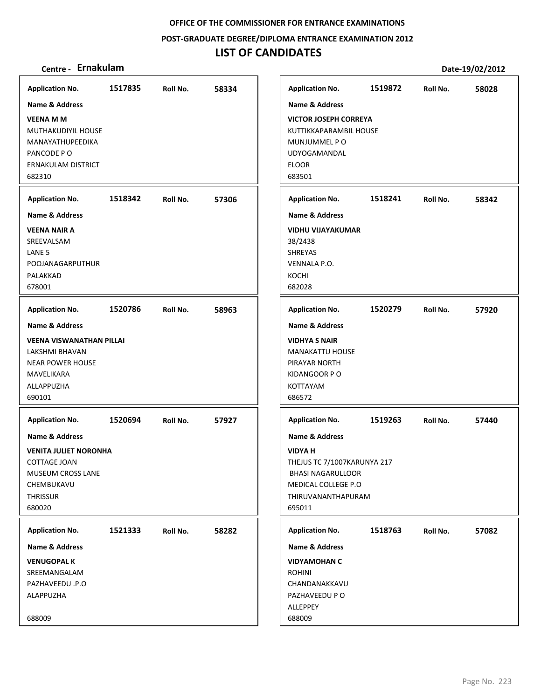**POST‐GRADUATE DEGREE/DIPLOMA ENTRANCE EXAMINATION 2012**

## **LIST OF CANDIDATES**

| <b>Application No.</b>          | 1517835 | Roll No. | 58334 | <b>Application No.</b>       | 1519872 | Roll No. | 58028 |
|---------------------------------|---------|----------|-------|------------------------------|---------|----------|-------|
| <b>Name &amp; Address</b>       |         |          |       | <b>Name &amp; Address</b>    |         |          |       |
| <b>VEENA M M</b>                |         |          |       | <b>VICTOR JOSEPH CORREYA</b> |         |          |       |
| MUTHAKUDIYIL HOUSE              |         |          |       | KUTTIKKAPARAMBIL HOUSE       |         |          |       |
| MANAYATHUPEEDIKA                |         |          |       | MUNJUMMEL P O                |         |          |       |
| PANCODE PO                      |         |          |       | <b>UDYOGAMANDAL</b>          |         |          |       |
| ERNAKULAM DISTRICT              |         |          |       | <b>ELOOR</b>                 |         |          |       |
| 682310                          |         |          |       | 683501                       |         |          |       |
|                                 |         |          |       |                              |         |          |       |
| <b>Application No.</b>          | 1518342 | Roll No. | 57306 | <b>Application No.</b>       | 1518241 | Roll No. | 58342 |
| <b>Name &amp; Address</b>       |         |          |       | <b>Name &amp; Address</b>    |         |          |       |
| <b>VEENA NAIR A</b>             |         |          |       | <b>VIDHU VIJAYAKUMAR</b>     |         |          |       |
| SREEVALSAM                      |         |          |       | 38/2438                      |         |          |       |
| LANE <sub>5</sub>               |         |          |       | <b>SHREYAS</b>               |         |          |       |
| POOJANAGARPUTHUR                |         |          |       | <b>VENNALA P.O.</b>          |         |          |       |
| PALAKKAD                        |         |          |       | KOCHI                        |         |          |       |
| 678001                          |         |          |       | 682028                       |         |          |       |
| <b>Application No.</b>          | 1520786 | Roll No. | 58963 | <b>Application No.</b>       | 1520279 | Roll No. | 57920 |
| <b>Name &amp; Address</b>       |         |          |       | <b>Name &amp; Address</b>    |         |          |       |
| <b>VEENA VISWANATHAN PILLAI</b> |         |          |       | <b>VIDHYA S NAIR</b>         |         |          |       |
| LAKSHMI BHAVAN                  |         |          |       | <b>MANAKATTU HOUSE</b>       |         |          |       |
| <b>NEAR POWER HOUSE</b>         |         |          |       | PIRAYAR NORTH                |         |          |       |
| MAVELIKARA                      |         |          |       | KIDANGOOR PO                 |         |          |       |
| ALLAPPUZHA                      |         |          |       | <b>KOTTAYAM</b>              |         |          |       |
| 690101                          |         |          |       | 686572                       |         |          |       |
|                                 |         |          |       |                              |         |          |       |
| <b>Application No.</b>          | 1520694 | Roll No. | 57927 | <b>Application No.</b>       | 1519263 | Roll No. | 57440 |
| <b>Name &amp; Address</b>       |         |          |       | <b>Name &amp; Address</b>    |         |          |       |
| <b>VENITA JULIET NORONHA</b>    |         |          |       | <b>VIDYA H</b>               |         |          |       |
| COTTAGE JOAN                    |         |          |       | THEJUS TC 7/1007KARUNYA 217  |         |          |       |
| MUSEUM CROSS LANE               |         |          |       | <b>BHASI NAGARULLOOR</b>     |         |          |       |
| CHEMBUKAVU                      |         |          |       | MEDICAL COLLEGE P.O          |         |          |       |
| THRISSUR                        |         |          |       | THIRUVANANTHAPURAM           |         |          |       |
| 680020                          |         |          |       | 695011                       |         |          |       |
| <b>Application No.</b>          | 1521333 | Roll No. | 58282 | <b>Application No.</b>       | 1518763 | Roll No. | 57082 |
| Name & Address                  |         |          |       | <b>Name &amp; Address</b>    |         |          |       |
| <b>VENUGOPAL K</b>              |         |          |       | <b>VIDYAMOHAN C</b>          |         |          |       |
| SREEMANGALAM                    |         |          |       | <b>ROHINI</b>                |         |          |       |
| PAZHAVEEDU .P.O                 |         |          |       | CHANDANAKKAVU                |         |          |       |
| ALAPPUZHA                       |         |          |       | PAZHAVEEDU P O               |         |          |       |
|                                 |         |          |       | ALLEPPEY                     |         |          |       |
| 688009                          |         |          |       | 688009                       |         |          |       |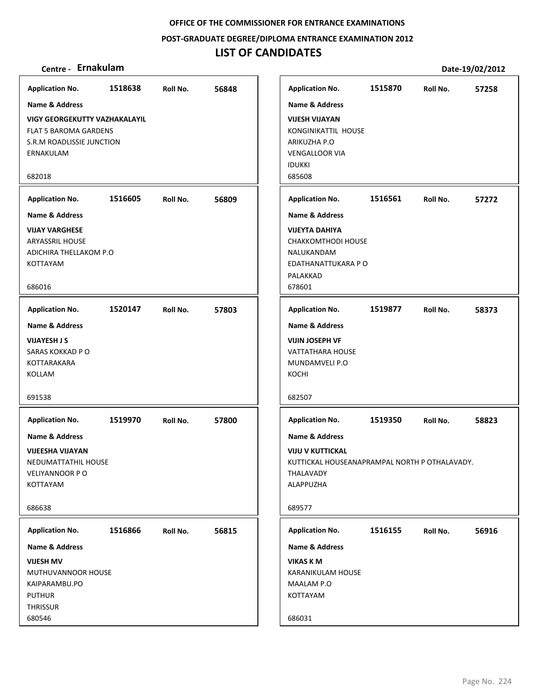### **POST‐GRADUATE DEGREE/DIPLOMA ENTRANCE EXAMINATION 2012**

## **LIST OF CANDIDATES**

| <b>Application No.</b>                                                                                                   | 1518638 | Roll No. | 56848 | <b>Application No.</b>                                                                                                         | 1515870 | Roll No. | 57258 |
|--------------------------------------------------------------------------------------------------------------------------|---------|----------|-------|--------------------------------------------------------------------------------------------------------------------------------|---------|----------|-------|
| <b>Name &amp; Address</b>                                                                                                |         |          |       | <b>Name &amp; Address</b>                                                                                                      |         |          |       |
| <b>VIGY GEORGEKUTTY VAZHAKALAYIL</b><br><b>FLAT 5 BAROMA GARDENS</b><br>S.R.M ROADLISSIE JUNCTION<br>ERNAKULAM<br>682018 |         |          |       | <b>VIJESH VIJAYAN</b><br>KONGINIKATTIL HOUSE<br>ARIKUZHA P.O<br><b>VENGALLOOR VIA</b><br><b>IDUKKI</b><br>685608               |         |          |       |
|                                                                                                                          |         |          |       |                                                                                                                                |         |          |       |
| <b>Application No.</b>                                                                                                   | 1516605 | Roll No. | 56809 | <b>Application No.</b>                                                                                                         | 1516561 | Roll No. | 57272 |
| Name & Address                                                                                                           |         |          |       | <b>Name &amp; Address</b>                                                                                                      |         |          |       |
| <b>VIJAY VARGHESE</b><br>ARYASSRIL HOUSE<br>ADICHIRA THELLAKOM P.O<br>KOTTAYAM                                           |         |          |       | <b>VIJEYTA DAHIYA</b><br><b>CHAKKOMTHODI HOUSE</b><br>NALUKANDAM<br>EDATHANATTUKARA P O<br>PALAKKAD                            |         |          |       |
| 686016                                                                                                                   |         |          |       | 678601                                                                                                                         |         |          |       |
| <b>Application No.</b>                                                                                                   | 1520147 | Roll No. | 57803 | <b>Application No.</b>                                                                                                         | 1519877 | Roll No. | 58373 |
| <b>Name &amp; Address</b>                                                                                                |         |          |       | <b>Name &amp; Address</b>                                                                                                      |         |          |       |
| <b>VIJAYESH J S</b><br>SARAS KOKKAD P O<br>KOTTARAKARA<br>KOLLAM<br>691538                                               |         |          |       | <b>VIJIN JOSEPH VF</b><br><b>VATTATHARA HOUSE</b><br>MUNDAMVELI P.O<br>KOCHI<br>682507                                         |         |          |       |
| <b>Application No.</b>                                                                                                   | 1519970 | Roll No. | 57800 | <b>Application No.</b>                                                                                                         | 1519350 | Roll No. | 58823 |
| Name & Address<br><b>VIJEESHA VIJAYAN</b><br>NEDUMATTATHIL HOUSE<br>VELIYANNOOR PO<br>KOTTAYAM<br>686638                 |         |          |       | Name & Address<br><b>VIJU V KUTTICKAL</b><br>KUTTICKAL HOUSEANAPRAMPAL NORTH P OTHALAVADY.<br>THALAVADY<br>ALAPPUZHA<br>689577 |         |          |       |
|                                                                                                                          |         |          |       |                                                                                                                                |         |          |       |
| <b>Application No.</b>                                                                                                   | 1516866 | Roll No. | 56815 | <b>Application No.</b>                                                                                                         | 1516155 | Roll No. | 56916 |
| Name & Address                                                                                                           |         |          |       | Name & Address                                                                                                                 |         |          |       |
| <b>VIJESH MV</b><br>MUTHUVANNOOR HOUSE<br>KAIPARAMBU.PO<br><b>PUTHUR</b><br>THRISSUR<br>680546                           |         |          |       | <b>VIKAS K M</b><br>KARANIKULAM HOUSE<br>MAALAM P.O<br>KOTTAYAM<br>686031                                                      |         |          |       |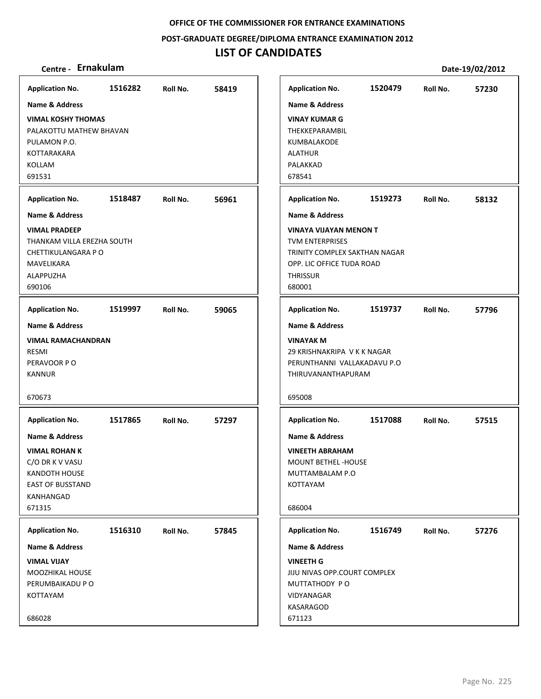**POST‐GRADUATE DEGREE/DIPLOMA ENTRANCE EXAMINATION 2012**

## **LIST OF CANDIDATES**

| <b>Application No.</b>                                                                                                                         | 1516282 | Roll No. | 58419 |                                                       | <b>Application No.</b>                                                                                                | 1520479 | Roll No. | 57230 |
|------------------------------------------------------------------------------------------------------------------------------------------------|---------|----------|-------|-------------------------------------------------------|-----------------------------------------------------------------------------------------------------------------------|---------|----------|-------|
| Name & Address                                                                                                                                 |         |          |       |                                                       | <b>Name &amp; Address</b>                                                                                             |         |          |       |
| <b>VIMAL KOSHY THOMAS</b><br>PALAKOTTU MATHEW BHAVAN<br>PULAMON P.O.<br>KOTTARAKARA<br>KOLLAM<br>691531                                        |         |          |       | <b>ALATHUR</b><br>PALAKKAD<br>678541                  | <b>VINAY KUMAR G</b><br><b>THEKKEPARAMBIL</b><br>KUMBALAKODE                                                          |         |          |       |
| <b>Application No.</b>                                                                                                                         | 1518487 | Roll No. | 56961 |                                                       | <b>Application No.</b>                                                                                                | 1519273 | Roll No. | 58132 |
| <b>Name &amp; Address</b>                                                                                                                      |         |          |       |                                                       | Name & Address                                                                                                        |         |          |       |
| <b>VIMAL PRADEEP</b><br>THANKAM VILLA EREZHA SOUTH<br>CHETTIKULANGARA P O<br>MAVELIKARA<br>ALAPPUZHA<br>690106                                 |         |          |       | <b>THRISSUR</b><br>680001                             | <b>VINAYA VIJAYAN MENON T</b><br><b>TVM ENTERPRISES</b><br>TRINITY COMPLEX SAKTHAN NAGAR<br>OPP. LIC OFFICE TUDA ROAD |         |          |       |
| <b>Application No.</b>                                                                                                                         | 1519997 | Roll No. | 59065 |                                                       | <b>Application No.</b>                                                                                                | 1519737 | Roll No. | 57796 |
| Name & Address<br><b>VIMAL RAMACHANDRAN</b><br><b>RESMI</b><br>PERAVOOR PO<br><b>KANNUR</b><br>670673                                          |         |          |       | <b>VINAYAK M</b><br>695008                            | <b>Name &amp; Address</b><br>29 KRISHNAKRIPA V K K NAGAR<br>PERUNTHANNI VALLAKADAVU P.O<br>THIRUVANANTHAPURAM         |         |          |       |
| <b>Application No.</b>                                                                                                                         | 1517865 | Roll No. | 57297 |                                                       | <b>Application No.</b>                                                                                                | 1517088 | Roll No. | 57515 |
| <b>Name &amp; Address</b><br><b>VIMAL ROHAN K</b><br>C/O DR K V VASU<br><b>KANDOTH HOUSE</b><br><b>EAST OF BUSSTAND</b><br>KANHANGAD<br>671315 |         |          |       | KOTTAYAM<br>686004                                    | <b>Name &amp; Address</b><br><b>VINEETH ABRAHAM</b><br><b>MOUNT BETHEL-HOUSE</b><br>MUTTAMBALAM P.O                   |         |          |       |
| <b>Application No.</b>                                                                                                                         | 1516310 | Roll No. | 57845 |                                                       | <b>Application No.</b>                                                                                                | 1516749 | Roll No. | 57276 |
| Name & Address                                                                                                                                 |         |          |       |                                                       | Name & Address                                                                                                        |         |          |       |
| <b>VIMAL VIJAY</b><br><b>MOOZHIKAL HOUSE</b><br>PERUMBAIKADU P O<br>KOTTAYAM<br>686028                                                         |         |          |       | <b>VINEETH G</b><br>VIDYANAGAR<br>KASARAGOD<br>671123 | JIJU NIVAS OPP.COURT COMPLEX<br>MUTTATHODY PO                                                                         |         |          |       |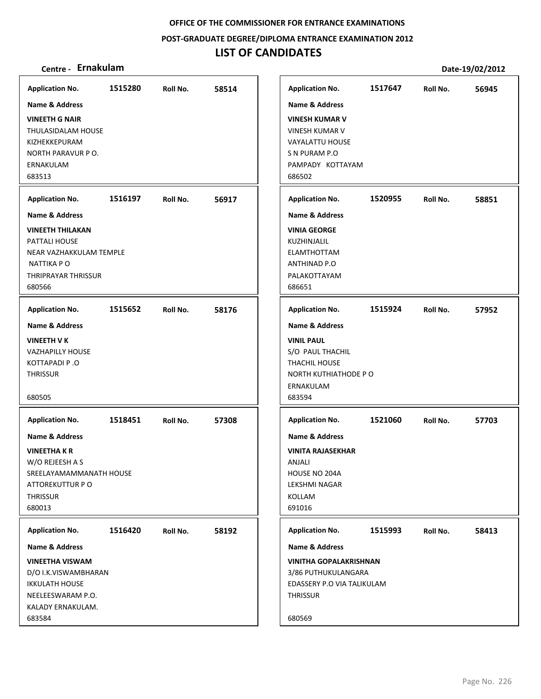**POST‐GRADUATE DEGREE/DIPLOMA ENTRANCE EXAMINATION 2012**

## **LIST OF CANDIDATES**

| <b>Application No.</b><br><b>Name &amp; Address</b>                                                                                                                     | 1515280 | Roll No. | 58514 | <b>Application No.</b><br><b>Name &amp; Address</b>                                                                                                                    | 1517647 | Roll No. | 56945 |
|-------------------------------------------------------------------------------------------------------------------------------------------------------------------------|---------|----------|-------|------------------------------------------------------------------------------------------------------------------------------------------------------------------------|---------|----------|-------|
| <b>VINEETH G NAIR</b><br>THULASIDALAM HOUSE<br>KIZHEKKEPURAM<br>NORTH PARAVUR P O.<br>ERNAKULAM<br>683513                                                               |         |          |       | <b>VINESH KUMAR V</b><br><b>VINESH KUMAR V</b><br><b>VAYALATTU HOUSE</b><br>S N PURAM P.O<br>PAMPADY KOTTAYAM<br>686502                                                |         |          |       |
| <b>Application No.</b>                                                                                                                                                  | 1516197 | Roll No. | 56917 | <b>Application No.</b>                                                                                                                                                 | 1520955 | Roll No. | 58851 |
| <b>Name &amp; Address</b><br><b>VINEETH THILAKAN</b><br>PATTALI HOUSE<br>NEAR VAZHAKKULAM TEMPLE<br>NATTIKA PO<br>THRIPRAYAR THRISSUR<br>680566                         |         |          |       | <b>Name &amp; Address</b><br><b>VINIA GEORGE</b><br>KUZHINJALIL<br><b>ELAMTHOTTAM</b><br><b>ANTHINAD P.O</b><br>PALAKOTTAYAM<br>686651                                 |         |          |       |
| <b>Application No.</b>                                                                                                                                                  | 1515652 | Roll No. | 58176 | <b>Application No.</b>                                                                                                                                                 | 1515924 | Roll No. | 57952 |
| <b>Name &amp; Address</b><br><b>VINEETH V K</b><br><b>VAZHAPILLY HOUSE</b><br>KOTTAPADI P.O<br><b>THRISSUR</b><br>680505                                                |         |          |       | <b>Name &amp; Address</b><br><b>VINIL PAUL</b><br>S/O PAUL THACHIL<br>THACHIL HOUSE<br>NORTH KUTHIATHODE PO<br>ERNAKULAM<br>683594                                     |         |          |       |
| <b>Application No.</b><br><b>Name &amp; Address</b><br><b>VINEETHAKR</b><br>W/O REJEESH A S<br>SREELAYAMAMMANATH HOUSE<br>ATTOREKUTTUR P O<br><b>THRISSUR</b><br>680013 | 1518451 | Roll No. | 57308 | <b>Application No.</b><br><b>Name &amp; Address</b><br><b>VINITA RAJASEKHAR</b><br>ANJALI<br>HOUSE NO 204A<br>LEKSHMI NAGAR<br>KOLLAM<br>691016                        | 1521060 | Roll No. | 57703 |
| <b>Application No.</b><br>Name & Address<br><b>VINEETHA VISWAM</b><br>D/O I.K.VISWAMBHARAN<br><b>IKKULATH HOUSE</b><br>NEELEESWARAM P.O.<br>KALADY ERNAKULAM.<br>683584 | 1516420 | Roll No. | 58192 | <b>Application No.</b><br><b>Name &amp; Address</b><br><b>VINITHA GOPALAKRISHNAN</b><br>3/86 PUTHUKULANGARA<br>EDASSERY P.O VIA TALIKULAM<br><b>THRISSUR</b><br>680569 | 1515993 | Roll No. | 58413 |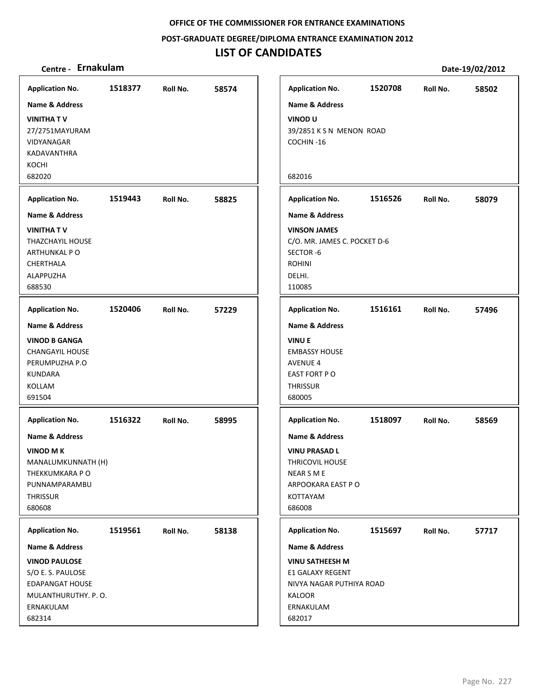**POST‐GRADUATE DEGREE/DIPLOMA ENTRANCE EXAMINATION 2012**

| Centre - Ernakulam                          |         |          |       |                                              |         |          | Date-19/02/2012 |
|---------------------------------------------|---------|----------|-------|----------------------------------------------|---------|----------|-----------------|
| <b>Application No.</b>                      | 1518377 | Roll No. | 58574 | <b>Application No.</b>                       | 1520708 | Roll No. | 58502           |
| <b>Name &amp; Address</b>                   |         |          |       | Name & Address                               |         |          |                 |
| <b>VINITHAT V</b>                           |         |          |       | <b>VINOD U</b>                               |         |          |                 |
| 27/2751MAYURAM                              |         |          |       | 39/2851 K S N MENON ROAD                     |         |          |                 |
| VIDYANAGAR                                  |         |          |       | COCHIN-16                                    |         |          |                 |
| KADAVANTHRA                                 |         |          |       |                                              |         |          |                 |
| KOCHI                                       |         |          |       |                                              |         |          |                 |
| 682020                                      |         |          |       | 682016                                       |         |          |                 |
| <b>Application No.</b>                      | 1519443 | Roll No. | 58825 | <b>Application No.</b>                       | 1516526 | Roll No. | 58079           |
| <b>Name &amp; Address</b>                   |         |          |       | <b>Name &amp; Address</b>                    |         |          |                 |
| <b>VINITHATV</b>                            |         |          |       | <b>VINSON JAMES</b>                          |         |          |                 |
| THAZCHAYIL HOUSE                            |         |          |       | C/O. MR. JAMES C. POCKET D-6                 |         |          |                 |
| ARTHUNKAL PO                                |         |          |       | SECTOR-6                                     |         |          |                 |
| CHERTHALA<br>ALAPPUZHA                      |         |          |       | <b>ROHINI</b><br>DELHI.                      |         |          |                 |
| 688530                                      |         |          |       | 110085                                       |         |          |                 |
|                                             |         |          |       |                                              |         |          |                 |
| <b>Application No.</b>                      | 1520406 | Roll No. | 57229 | <b>Application No.</b>                       | 1516161 | Roll No. | 57496           |
| <b>Name &amp; Address</b>                   |         |          |       | <b>Name &amp; Address</b>                    |         |          |                 |
| <b>VINOD B GANGA</b>                        |         |          |       | <b>VINUE</b>                                 |         |          |                 |
| <b>CHANGAYIL HOUSE</b>                      |         |          |       | <b>EMBASSY HOUSE</b>                         |         |          |                 |
| PERUMPUZHA P.O<br><b>KUNDARA</b>            |         |          |       | <b>AVENUE 4</b><br>EAST FORT PO              |         |          |                 |
| KOLLAM                                      |         |          |       | <b>THRISSUR</b>                              |         |          |                 |
| 691504                                      |         |          |       | 680005                                       |         |          |                 |
|                                             |         |          |       |                                              |         |          |                 |
| <b>Application No.</b>                      | 1516322 | Roll No. | 58995 | <b>Application No.</b>                       | 1518097 | Roll No. | 58569           |
| <b>Name &amp; Address</b>                   |         |          |       | <b>Name &amp; Address</b>                    |         |          |                 |
| <b>VINOD M K</b>                            |         |          |       | <b>VINU PRASAD L</b>                         |         |          |                 |
| MANALUMKUNNATH (H)                          |         |          |       | <b>THRICOVIL HOUSE</b>                       |         |          |                 |
| THEKKUMKARA P O<br>PUNNAMPARAMBU            |         |          |       | NEAR S M E<br>ARPOOKARA EAST PO              |         |          |                 |
| <b>THRISSUR</b>                             |         |          |       | KOTTAYAM                                     |         |          |                 |
| 680608                                      |         |          |       | 686008                                       |         |          |                 |
|                                             |         |          |       |                                              |         |          |                 |
| <b>Application No.</b>                      | 1519561 | Roll No. | 58138 | <b>Application No.</b>                       | 1515697 | Roll No. | 57717           |
| Name & Address                              |         |          |       | Name & Address                               |         |          |                 |
| <b>VINOD PAULOSE</b>                        |         |          |       | <b>VINU SATHEESH M</b>                       |         |          |                 |
| S/O E. S. PAULOSE<br><b>EDAPANGAT HOUSE</b> |         |          |       | E1 GALAXY REGENT<br>NIVYA NAGAR PUTHIYA ROAD |         |          |                 |
| MULANTHURUTHY. P.O.                         |         |          |       | KALOOR                                       |         |          |                 |
| ERNAKULAM                                   |         |          |       | ERNAKULAM                                    |         |          |                 |
| 682314                                      |         |          |       | 682017                                       |         |          |                 |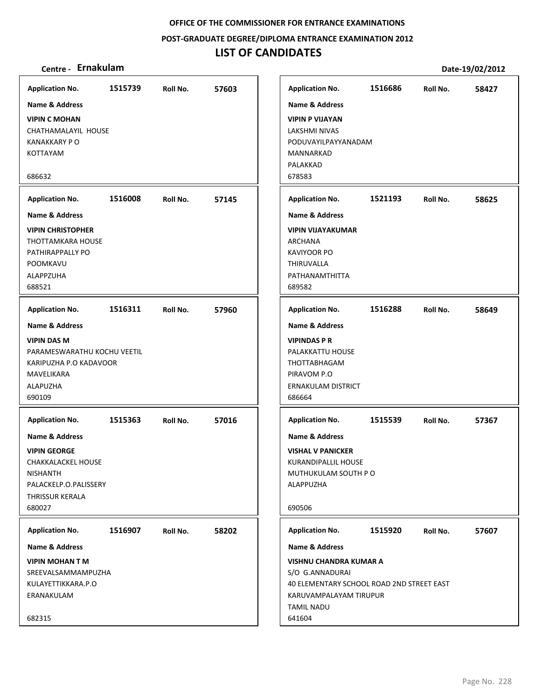### **POST‐GRADUATE DEGREE/DIPLOMA ENTRANCE EXAMINATION 2012**

## **LIST OF CANDIDATES**

| <b>Application No.</b>                                                                                                                                                | 1515739 | Roll No. | 57603 | <b>Application No.</b>                                                                                                                                      | 1516686 | Roll No. | 58427 |
|-----------------------------------------------------------------------------------------------------------------------------------------------------------------------|---------|----------|-------|-------------------------------------------------------------------------------------------------------------------------------------------------------------|---------|----------|-------|
| <b>Name &amp; Address</b><br><b>VIPIN C MOHAN</b><br>CHATHAMALAYIL HOUSE<br><b>KANAKKARY PO</b><br><b>KOTTAYAM</b><br>686632                                          |         |          |       | <b>Name &amp; Address</b><br><b>VIPIN P VIJAYAN</b><br><b>LAKSHMI NIVAS</b><br>PODUVAYILPAYYANADAM<br>MANNARKAD<br>PALAKKAD<br>678583                       |         |          |       |
| <b>Application No.</b>                                                                                                                                                | 1516008 | Roll No. | 57145 | <b>Application No.</b>                                                                                                                                      | 1521193 | Roll No. | 58625 |
| <b>Name &amp; Address</b><br><b>VIPIN CHRISTOPHER</b><br>THOTTAMKARA HOUSE<br>PATHIRAPPALLY PO<br>POOMKAVU<br>ALAPPZUHA<br>688521                                     |         |          |       | <b>Name &amp; Address</b><br><b>VIPIN VIJAYAKUMAR</b><br><b>ARCHANA</b><br><b>KAVIYOOR PO</b><br><b>THIRUVALLA</b><br>PATHANAMTHITTA<br>689582              |         |          |       |
| <b>Application No.</b>                                                                                                                                                | 1516311 | Roll No. | 57960 | <b>Application No.</b>                                                                                                                                      | 1516288 | Roll No. | 58649 |
| <b>Name &amp; Address</b><br><b>VIPIN DAS M</b><br>PARAMESWARATHU KOCHU VEETIL<br>KARIPUZHA P.O KADAVOOR<br>MAVELIKARA<br>ALAPUZHA<br>690109                          |         |          |       | <b>Name &amp; Address</b><br><b>VIPINDAS P R</b><br>PALAKKATTU HOUSE<br>THOTTABHAGAM<br>PIRAVOM P.O<br>ERNAKULAM DISTRICT<br>686664                         |         |          |       |
| <b>Application No.</b><br>Name & Address<br><b>VIPIN GEORGE</b><br>CHAKKALACKEL HOUSE<br><b>NISHANTH</b><br>PALACKELP.O.PALISSERY<br><b>THRISSUR KERALA</b><br>680027 | 1515363 | Roll No. | 57016 | <b>Application No.</b><br><b>Name &amp; Address</b><br><b>VISHAL V PANICKER</b><br>KURANDIPALLIL HOUSE<br>MUTHUKULAM SOUTH PO<br><b>ALAPPUZHA</b><br>690506 | 1515539 | Roll No. | 57367 |
| <b>Application No.</b>                                                                                                                                                | 1516907 | Roll No. | 58202 | <b>Application No.</b>                                                                                                                                      | 1515920 | Roll No. | 57607 |
| <b>Name &amp; Address</b>                                                                                                                                             |         |          |       | <b>Name &amp; Address</b>                                                                                                                                   |         |          |       |
| <b>VIPIN MOHAN T M</b><br>SREEVALSAMMAMPUZHA<br>KULAYETTIKKARA.P.O<br>ERANAKULAM<br>682315                                                                            |         |          |       | <b>VISHNU CHANDRA KUMAR A</b><br>S/O G.ANNADURAI<br>40 ELEMENTARY SCHOOL ROAD 2ND STREET EAST<br>KARUVAMPALAYAM TIRUPUR<br><b>TAMIL NADU</b><br>641604      |         |          |       |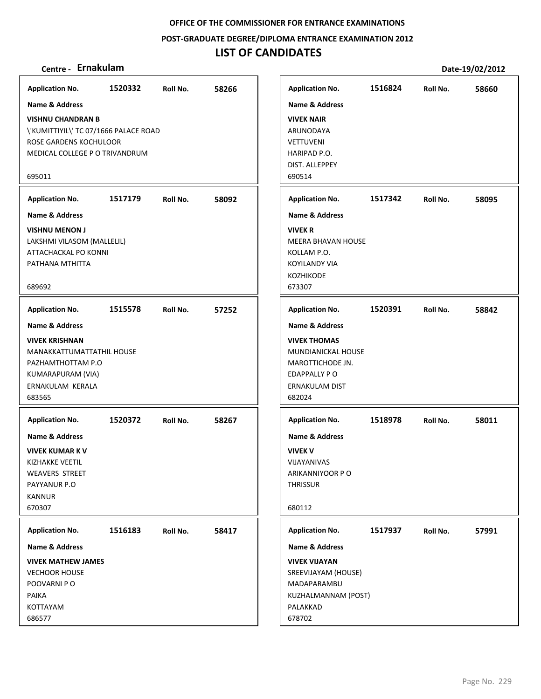**POST‐GRADUATE DEGREE/DIPLOMA ENTRANCE EXAMINATION 2012**

| Centre - Ernakulam                                                                                                                                |         |          |       |                                                                                                             |         |          | Date-19/02/2012 |
|---------------------------------------------------------------------------------------------------------------------------------------------------|---------|----------|-------|-------------------------------------------------------------------------------------------------------------|---------|----------|-----------------|
| <b>Application No.</b>                                                                                                                            | 1520332 | Roll No. | 58266 | <b>Application No.</b>                                                                                      | 1516824 | Roll No. | 58660           |
| Name & Address                                                                                                                                    |         |          |       | <b>Name &amp; Address</b>                                                                                   |         |          |                 |
| <b>VISHNU CHANDRAN B</b><br>\'KUMITTIYIL\' TC 07/1666 PALACE ROAD<br>ROSE GARDENS KOCHULOOR<br>MEDICAL COLLEGE P O TRIVANDRUM                     |         |          |       | <b>VIVEK NAIR</b><br>ARUNODAYA<br><b>VETTUVENI</b><br>HARIPAD P.O.<br>DIST. ALLEPPEY                        |         |          |                 |
| 695011                                                                                                                                            |         |          |       | 690514                                                                                                      |         |          |                 |
| <b>Application No.</b>                                                                                                                            | 1517179 | Roll No. | 58092 | <b>Application No.</b>                                                                                      | 1517342 | Roll No. | 58095           |
| Name & Address                                                                                                                                    |         |          |       | <b>Name &amp; Address</b>                                                                                   |         |          |                 |
| <b>VISHNU MENON J</b><br>LAKSHMI VILASOM (MALLELIL)<br>ATTACHACKAL PO KONNI<br>PATHANA MTHITTA<br>689692                                          |         |          |       | <b>VIVEK R</b><br><b>MEERA BHAVAN HOUSE</b><br>KOLLAM P.O.<br><b>KOYILANDY VIA</b><br>KOZHIKODE<br>673307   |         |          |                 |
| <b>Application No.</b>                                                                                                                            | 1515578 | Roll No. | 57252 | <b>Application No.</b>                                                                                      | 1520391 | Roll No. | 58842           |
| <b>Name &amp; Address</b>                                                                                                                         |         |          |       | <b>Name &amp; Address</b>                                                                                   |         |          |                 |
| <b>VIVEK KRISHNAN</b><br>MANAKKATTUMATTATHIL HOUSE<br>PAZHAMTHOTTAM P.O<br>KUMARAPURAM (VIA)<br>ERNAKULAM KERALA<br>683565                        |         |          |       | <b>VIVEK THOMAS</b><br>MUNDIANICKAL HOUSE<br>MAROTTICHODE JN.<br>EDAPPALLY PO<br>ERNAKULAM DIST<br>682024   |         |          |                 |
| <b>Application No.</b>                                                                                                                            | 1520372 | Roll No. | 58267 | <b>Application No.</b>                                                                                      | 1518978 | Roll No. | 58011           |
| <b>Name &amp; Address</b><br><b>VIVEK KUMAR K V</b><br><b>KIZHAKKE VEETIL</b><br><b>WEAVERS STREET</b><br>PAYYANUR P.O<br><b>KANNUR</b><br>670307 |         |          |       | <b>Name &amp; Address</b><br><b>VIVEK V</b><br>VIJAYANIVAS<br>ARIKANNIYOOR P O<br><b>THRISSUR</b><br>680112 |         |          |                 |
| <b>Application No.</b>                                                                                                                            | 1516183 | Roll No. | 58417 | <b>Application No.</b>                                                                                      | 1517937 | Roll No. | 57991           |
| Name & Address                                                                                                                                    |         |          |       | Name & Address                                                                                              |         |          |                 |
| <b>VIVEK MATHEW JAMES</b><br><b>VECHOOR HOUSE</b><br>POOVARNI P O<br>PAIKA<br>KOTTAYAM<br>686577                                                  |         |          |       | <b>VIVEK VIJAYAN</b><br>SREEVIJAYAM (HOUSE)<br>MADAPARAMBU<br>KUZHALMANNAM (POST)<br>PALAKKAD<br>678702     |         |          |                 |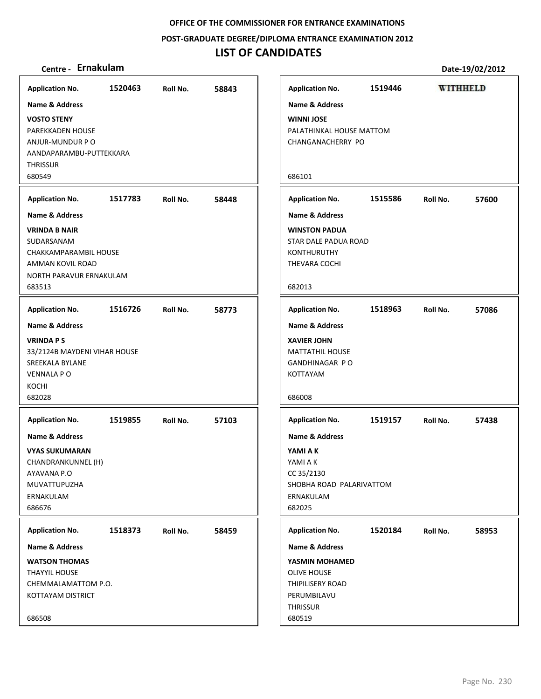**POST‐GRADUATE DEGREE/DIPLOMA ENTRANCE EXAMINATION 2012**

| <b>Application No.</b>                                                                                               | 1520463          | Roll No. | 58843 |
|----------------------------------------------------------------------------------------------------------------------|------------------|----------|-------|
| <b>Name &amp; Address</b>                                                                                            |                  |          |       |
| <b>VOSTO STENY</b><br>PAREKKADEN HOUSE<br>ANJUR-MUNDUR P O<br>AANDAPARAMBU-PUTTEKKARA<br><b>THRISSUR</b><br>680549   |                  |          |       |
| <b>Application No.</b>                                                                                               | 1517783          | Roll No. | 58448 |
| <b>Name &amp; Address</b>                                                                                            |                  |          |       |
| <b>VRINDA B NAIR</b><br>SUDARSANAM<br>CHAKKAMPARAMBIL HOUSE<br>AMMAN KOVIL ROAD<br>NORTH PARAVUR ERNAKULAM<br>683513 |                  |          |       |
| <b>Application No.</b>                                                                                               | 1516726 Roll No. |          | 58773 |
| <b>Name &amp; Address</b>                                                                                            |                  |          |       |
| <b>VRINDA P S</b><br>33/2124B MAYDENI VIHAR HOUSE<br>SREEKALA BYLANE<br><b>VENNALA P O</b><br>KOCHI<br>682028        |                  |          |       |
| <b>Application No.</b>                                                                                               | 1519855          | Roll No. | 57103 |
| <b>Name &amp; Address</b>                                                                                            |                  |          |       |
| <b>VYAS SUKUMARAN</b><br>CHANDRANKUNNEL (H)<br>AYAVANA P.O<br>MUVATTUPUZHA<br>ERNAKULAM<br>686676                    |                  |          |       |
| <b>Application No.</b>                                                                                               | 1518373          | Roll No. | 58459 |
| <b>Name &amp; Address</b>                                                                                            |                  |          |       |
| <b>WATSON THOMAS</b><br><b>THAYYIL HOUSE</b><br>CHEMMALAMATTOM P.O.<br>KOTTAYAM DISTRICT                             |                  |          |       |
| 686508                                                                                                               |                  |          |       |

| Centre - Ernakulam                                                                                                         |         |          |       |                                                                                                                    |         |                 | Date-19/02/2012 |
|----------------------------------------------------------------------------------------------------------------------------|---------|----------|-------|--------------------------------------------------------------------------------------------------------------------|---------|-----------------|-----------------|
| olication No.                                                                                                              | 1520463 | Roll No. | 58843 | <b>Application No.</b>                                                                                             | 1519446 | <b>WITHHELD</b> |                 |
| ne & Address<br><b>STO STENY</b><br><b>REKKADEN HOUSE</b><br>UR-MUNDUR PO<br><b>NDAPARAMBU-PUTTEKKARA</b><br>≀issur<br>549 |         |          |       | <b>Name &amp; Address</b><br><b>WINNI JOSE</b><br>PALATHINKAL HOUSE MATTOM<br>CHANGANACHERRY PO<br>686101          |         |                 |                 |
| olication No.                                                                                                              | 1517783 | Roll No. | 58448 | <b>Application No.</b>                                                                                             | 1515586 | Roll No.        | 57600           |
| ne & Address                                                                                                               |         |          |       | <b>Name &amp; Address</b>                                                                                          |         |                 |                 |
| NDA B NAIR<br>)ARSANAM<br>AKKAMPARAMBIL HOUSE<br>MAN KOVIL ROAD<br>RTH PARAVUR ERNAKULAM<br>513                            |         |          |       | <b>WINSTON PADUA</b><br><b>STAR DALE PADUA ROAD</b><br><b>KONTHURUTHY</b><br>THEVARA COCHI<br>682013               |         |                 |                 |
| olication No.                                                                                                              | 1516726 | Roll No. | 58773 | <b>Application No.</b>                                                                                             | 1518963 | Roll No.        | 57086           |
| ne & Address<br>NDA P S<br>2124B MAYDENI VIHAR HOUSE<br><b>EKALA BYLANE</b><br>INALA P O<br>CHI<br>028                     |         |          |       | <b>Name &amp; Address</b><br><b>XAVIER JOHN</b><br><b>MATTATHIL HOUSE</b><br>GANDHINAGAR PO<br>KOTTAYAM<br>686008  |         |                 |                 |
| olication No.                                                                                                              | 1519855 | Roll No. | 57103 | <b>Application No.</b>                                                                                             | 1519157 | Roll No.        | 57438           |
| ne & Address<br><b>\S SUKUMARAN</b><br>ANDRANKUNNEL (H)<br>(VANA P.O<br>VATTUPUZHA<br>IAKULAM<br>676                       |         |          |       | <b>Name &amp; Address</b><br>YAMI A K<br>YAMI A K<br>CC 35/2130<br>SHOBHA ROAD PALARIVATTOM<br>ERNAKULAM<br>682025 |         |                 |                 |
| olication No.                                                                                                              | 1518373 | Roll No. | 58459 | <b>Application No.</b>                                                                                             | 1520184 | Roll No.        | 58953           |
| ne & Address                                                                                                               |         |          |       | <b>Name &amp; Address</b>                                                                                          |         |                 |                 |
| TSON THOMAS<br>YYIL HOUSE<br>MMALAMATTOM P.O.<br>TAYAM DISTRICT<br>508                                                     |         |          |       | YASMIN MOHAMED<br>OLIVE HOUSE<br><b>THIPILISERY ROAD</b><br>PERUMBILAVU<br><b>THRISSUR</b><br>680519               |         |                 |                 |